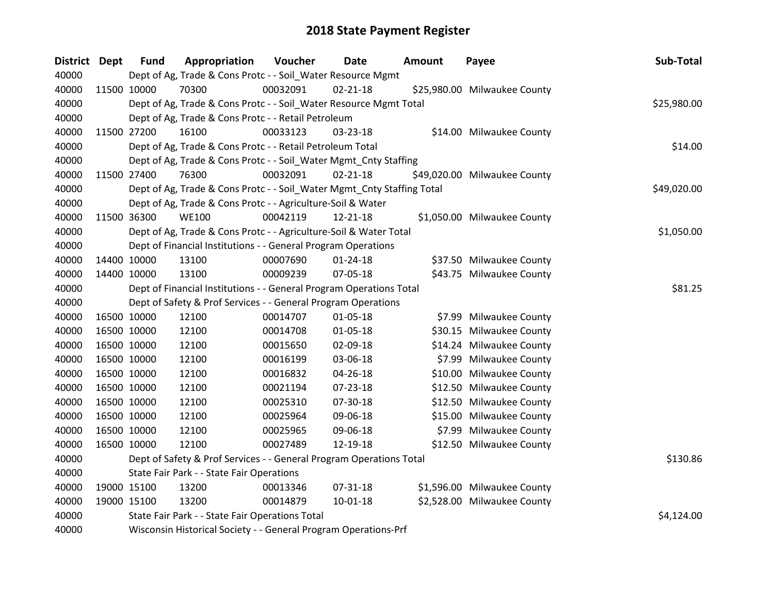| <b>District</b> | Dept | <b>Fund</b> | Appropriation                                                          | Voucher    | <b>Date</b>    | <b>Amount</b> | Payee                        | Sub-Total   |
|-----------------|------|-------------|------------------------------------------------------------------------|------------|----------------|---------------|------------------------------|-------------|
| 40000           |      |             | Dept of Ag, Trade & Cons Protc - - Soil_Water Resource Mgmt            |            |                |               |                              |             |
| 40000           |      | 11500 10000 | 70300                                                                  | 00032091   | $02 - 21 - 18$ |               | \$25,980.00 Milwaukee County |             |
| 40000           |      |             | Dept of Ag, Trade & Cons Protc - - Soil_Water Resource Mgmt Total      |            |                |               |                              | \$25,980.00 |
| 40000           |      |             | Dept of Ag, Trade & Cons Protc - - Retail Petroleum                    |            |                |               |                              |             |
| 40000           |      | 11500 27200 | 16100                                                                  | 00033123   | 03-23-18       |               | \$14.00 Milwaukee County     |             |
| 40000           |      |             | Dept of Ag, Trade & Cons Protc - - Retail Petroleum Total              |            |                |               |                              | \$14.00     |
| 40000           |      |             | Dept of Ag, Trade & Cons Protc - - Soil_Water Mgmt_Cnty Staffing       |            |                |               |                              |             |
| 40000           |      | 11500 27400 | 76300                                                                  | 00032091   | $02 - 21 - 18$ |               | \$49,020.00 Milwaukee County |             |
| 40000           |      |             | Dept of Ag, Trade & Cons Protc - - Soil_Water Mgmt_Cnty Staffing Total |            |                |               |                              | \$49,020.00 |
| 40000           |      |             | Dept of Ag, Trade & Cons Protc - - Agriculture-Soil & Water            |            |                |               |                              |             |
| 40000           |      | 11500 36300 | <b>WE100</b>                                                           | 00042119   | 12-21-18       |               | \$1,050.00 Milwaukee County  |             |
| 40000           |      |             | Dept of Ag, Trade & Cons Protc - - Agriculture-Soil & Water Total      |            |                |               |                              | \$1,050.00  |
| 40000           |      |             | Dept of Financial Institutions - - General Program Operations          |            |                |               |                              |             |
| 40000           |      | 14400 10000 | 13100                                                                  | 00007690   | $01 - 24 - 18$ |               | \$37.50 Milwaukee County     |             |
| 40000           |      | 14400 10000 | 13100                                                                  | 00009239   | 07-05-18       |               | \$43.75 Milwaukee County     |             |
| 40000           |      |             | Dept of Financial Institutions - - General Program Operations Total    |            |                |               |                              | \$81.25     |
| 40000           |      |             | Dept of Safety & Prof Services - - General Program Operations          |            |                |               |                              |             |
| 40000           |      | 16500 10000 | 12100                                                                  | 00014707   | 01-05-18       |               | \$7.99 Milwaukee County      |             |
| 40000           |      | 16500 10000 | 12100                                                                  | 00014708   | 01-05-18       |               | \$30.15 Milwaukee County     |             |
| 40000           |      | 16500 10000 | 12100                                                                  | 00015650   | 02-09-18       |               | \$14.24 Milwaukee County     |             |
| 40000           |      | 16500 10000 | 12100                                                                  | 00016199   | 03-06-18       |               | \$7.99 Milwaukee County      |             |
| 40000           |      | 16500 10000 | 12100                                                                  | 00016832   | 04-26-18       |               | \$10.00 Milwaukee County     |             |
| 40000           |      | 16500 10000 | 12100                                                                  | 00021194   | 07-23-18       |               | \$12.50 Milwaukee County     |             |
| 40000           |      | 16500 10000 | 12100                                                                  | 00025310   | 07-30-18       |               | \$12.50 Milwaukee County     |             |
| 40000           |      | 16500 10000 | 12100                                                                  | 00025964   | 09-06-18       |               | \$15.00 Milwaukee County     |             |
| 40000           |      | 16500 10000 | 12100                                                                  | 00025965   | 09-06-18       |               | \$7.99 Milwaukee County      |             |
| 40000           |      | 16500 10000 | 12100                                                                  | 00027489   | 12-19-18       |               | \$12.50 Milwaukee County     |             |
| 40000           |      |             | Dept of Safety & Prof Services - - General Program Operations Total    |            |                |               |                              | \$130.86    |
| 40000           |      |             | State Fair Park - - State Fair Operations                              |            |                |               |                              |             |
| 40000           |      | 19000 15100 | 13200                                                                  | 00013346   | 07-31-18       |               | \$1,596.00 Milwaukee County  |             |
| 40000           |      | 19000 15100 | 13200                                                                  | 00014879   | 10-01-18       |               | \$2,528.00 Milwaukee County  |             |
| 40000           |      |             | State Fair Park - - State Fair Operations Total                        | \$4,124.00 |                |               |                              |             |
| 40000           |      |             | Wisconsin Historical Society - - General Program Operations-Prf        |            |                |               |                              |             |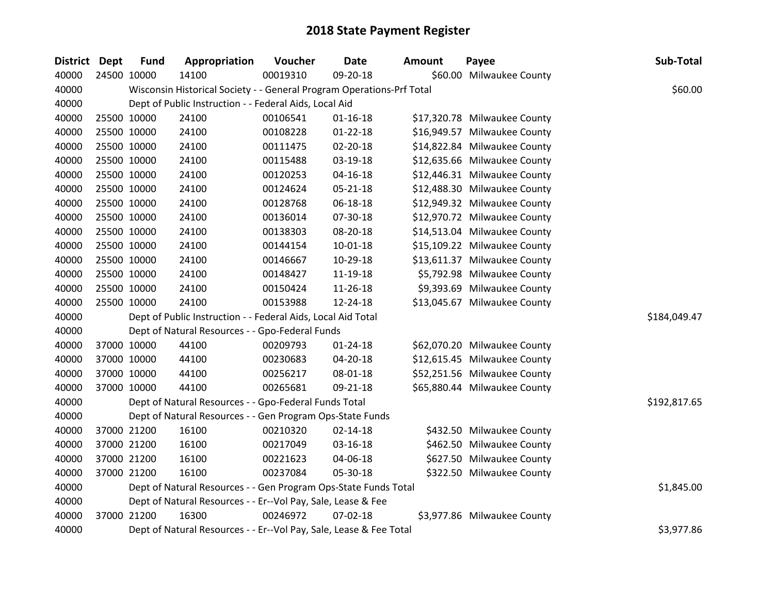| District Dept | <b>Fund</b> | Appropriation                                                         | Voucher  | <b>Date</b>    | <b>Amount</b> | Payee                        | Sub-Total    |
|---------------|-------------|-----------------------------------------------------------------------|----------|----------------|---------------|------------------------------|--------------|
| 40000         | 24500 10000 | 14100                                                                 | 00019310 | 09-20-18       |               | \$60.00 Milwaukee County     |              |
| 40000         |             | Wisconsin Historical Society - - General Program Operations-Prf Total |          |                |               |                              | \$60.00      |
| 40000         |             | Dept of Public Instruction - - Federal Aids, Local Aid                |          |                |               |                              |              |
| 40000         | 25500 10000 | 24100                                                                 | 00106541 | $01 - 16 - 18$ |               | \$17,320.78 Milwaukee County |              |
| 40000         | 25500 10000 | 24100                                                                 | 00108228 | $01 - 22 - 18$ |               | \$16,949.57 Milwaukee County |              |
| 40000         | 25500 10000 | 24100                                                                 | 00111475 | 02-20-18       |               | \$14,822.84 Milwaukee County |              |
| 40000         | 25500 10000 | 24100                                                                 | 00115488 | 03-19-18       |               | \$12,635.66 Milwaukee County |              |
| 40000         | 25500 10000 | 24100                                                                 | 00120253 | $04 - 16 - 18$ |               | \$12,446.31 Milwaukee County |              |
| 40000         | 25500 10000 | 24100                                                                 | 00124624 | $05 - 21 - 18$ |               | \$12,488.30 Milwaukee County |              |
| 40000         | 25500 10000 | 24100                                                                 | 00128768 | 06-18-18       |               | \$12,949.32 Milwaukee County |              |
| 40000         | 25500 10000 | 24100                                                                 | 00136014 | 07-30-18       |               | \$12,970.72 Milwaukee County |              |
| 40000         | 25500 10000 | 24100                                                                 | 00138303 | 08-20-18       |               | \$14,513.04 Milwaukee County |              |
| 40000         | 25500 10000 | 24100                                                                 | 00144154 | $10 - 01 - 18$ |               | \$15,109.22 Milwaukee County |              |
| 40000         | 25500 10000 | 24100                                                                 | 00146667 | 10-29-18       |               | \$13,611.37 Milwaukee County |              |
| 40000         | 25500 10000 | 24100                                                                 | 00148427 | 11-19-18       |               | \$5,792.98 Milwaukee County  |              |
| 40000         | 25500 10000 | 24100                                                                 | 00150424 | 11-26-18       |               | \$9,393.69 Milwaukee County  |              |
| 40000         | 25500 10000 | 24100                                                                 | 00153988 | 12-24-18       |               | \$13,045.67 Milwaukee County |              |
| 40000         |             | Dept of Public Instruction - - Federal Aids, Local Aid Total          |          |                |               |                              | \$184,049.47 |
| 40000         |             | Dept of Natural Resources - - Gpo-Federal Funds                       |          |                |               |                              |              |
| 40000         | 37000 10000 | 44100                                                                 | 00209793 | 01-24-18       |               | \$62,070.20 Milwaukee County |              |
| 40000         | 37000 10000 | 44100                                                                 | 00230683 | 04-20-18       |               | \$12,615.45 Milwaukee County |              |
| 40000         | 37000 10000 | 44100                                                                 | 00256217 | 08-01-18       |               | \$52,251.56 Milwaukee County |              |
| 40000         | 37000 10000 | 44100                                                                 | 00265681 | 09-21-18       |               | \$65,880.44 Milwaukee County |              |
| 40000         |             | Dept of Natural Resources - - Gpo-Federal Funds Total                 |          |                |               |                              | \$192,817.65 |
| 40000         |             | Dept of Natural Resources - - Gen Program Ops-State Funds             |          |                |               |                              |              |
| 40000         | 37000 21200 | 16100                                                                 | 00210320 | $02 - 14 - 18$ |               | \$432.50 Milwaukee County    |              |
| 40000         | 37000 21200 | 16100                                                                 | 00217049 | 03-16-18       |               | \$462.50 Milwaukee County    |              |
| 40000         | 37000 21200 | 16100                                                                 | 00221623 | 04-06-18       |               | \$627.50 Milwaukee County    |              |
| 40000         | 37000 21200 | 16100                                                                 | 00237084 | 05-30-18       |               | \$322.50 Milwaukee County    |              |
| 40000         |             | Dept of Natural Resources - - Gen Program Ops-State Funds Total       |          |                |               |                              | \$1,845.00   |
| 40000         |             | Dept of Natural Resources - - Er--Vol Pay, Sale, Lease & Fee          |          |                |               |                              |              |
| 40000         | 37000 21200 | 16300                                                                 | 00246972 | $07 - 02 - 18$ |               | \$3,977.86 Milwaukee County  |              |
| 40000         |             | Dept of Natural Resources - - Er--Vol Pay, Sale, Lease & Fee Total    |          |                |               |                              | \$3,977.86   |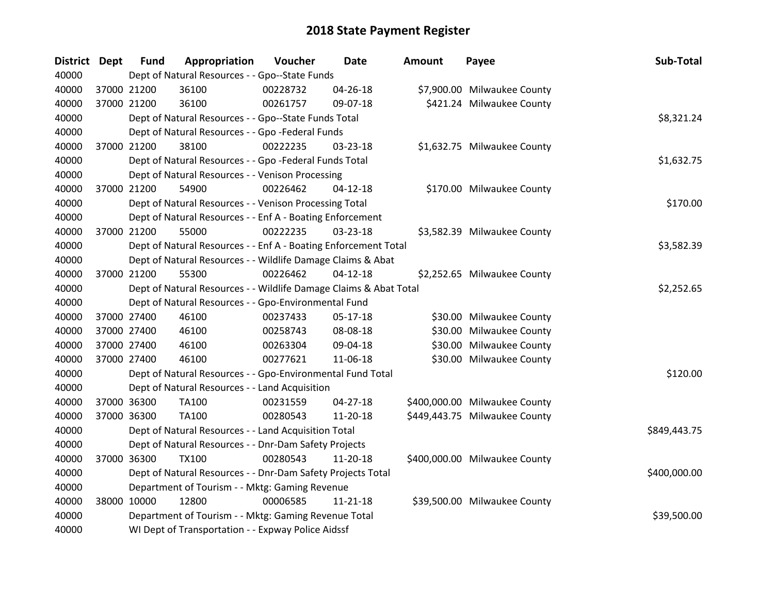| District Dept | <b>Fund</b> | Appropriation                                                     | Voucher  | <b>Date</b>    | <b>Amount</b> | Payee                         | Sub-Total    |
|---------------|-------------|-------------------------------------------------------------------|----------|----------------|---------------|-------------------------------|--------------|
| 40000         |             | Dept of Natural Resources - - Gpo--State Funds                    |          |                |               |                               |              |
| 40000         | 37000 21200 | 36100                                                             | 00228732 | 04-26-18       |               | \$7,900.00 Milwaukee County   |              |
| 40000         | 37000 21200 | 36100                                                             | 00261757 | 09-07-18       |               | \$421.24 Milwaukee County     |              |
| 40000         |             | Dept of Natural Resources - - Gpo--State Funds Total              |          |                |               |                               | \$8,321.24   |
| 40000         |             | Dept of Natural Resources - - Gpo -Federal Funds                  |          |                |               |                               |              |
| 40000         | 37000 21200 | 38100                                                             | 00222235 | 03-23-18       |               | \$1,632.75 Milwaukee County   |              |
| 40000         |             | Dept of Natural Resources - - Gpo -Federal Funds Total            |          |                |               |                               | \$1,632.75   |
| 40000         |             | Dept of Natural Resources - - Venison Processing                  |          |                |               |                               |              |
| 40000         | 37000 21200 | 54900                                                             | 00226462 | $04 - 12 - 18$ |               | \$170.00 Milwaukee County     |              |
| 40000         |             | Dept of Natural Resources - - Venison Processing Total            |          |                |               |                               | \$170.00     |
| 40000         |             | Dept of Natural Resources - - Enf A - Boating Enforcement         |          |                |               |                               |              |
| 40000         | 37000 21200 | 55000                                                             | 00222235 | 03-23-18       |               | \$3,582.39 Milwaukee County   |              |
| 40000         |             | Dept of Natural Resources - - Enf A - Boating Enforcement Total   |          |                |               |                               | \$3,582.39   |
| 40000         |             | Dept of Natural Resources - - Wildlife Damage Claims & Abat       |          |                |               |                               |              |
| 40000         | 37000 21200 | 55300                                                             | 00226462 | $04 - 12 - 18$ |               | \$2,252.65 Milwaukee County   |              |
| 40000         |             | Dept of Natural Resources - - Wildlife Damage Claims & Abat Total |          |                |               |                               | \$2,252.65   |
| 40000         |             | Dept of Natural Resources - - Gpo-Environmental Fund              |          |                |               |                               |              |
| 40000         | 37000 27400 | 46100                                                             | 00237433 | 05-17-18       |               | \$30.00 Milwaukee County      |              |
| 40000         | 37000 27400 | 46100                                                             | 00258743 | 08-08-18       |               | \$30.00 Milwaukee County      |              |
| 40000         | 37000 27400 | 46100                                                             | 00263304 | 09-04-18       |               | \$30.00 Milwaukee County      |              |
| 40000         | 37000 27400 | 46100                                                             | 00277621 | 11-06-18       |               | \$30.00 Milwaukee County      |              |
| 40000         |             | Dept of Natural Resources - - Gpo-Environmental Fund Total        |          |                |               |                               | \$120.00     |
| 40000         |             | Dept of Natural Resources - - Land Acquisition                    |          |                |               |                               |              |
| 40000         | 37000 36300 | TA100                                                             | 00231559 | $04 - 27 - 18$ |               | \$400,000.00 Milwaukee County |              |
| 40000         | 37000 36300 | <b>TA100</b>                                                      | 00280543 | 11-20-18       |               | \$449,443.75 Milwaukee County |              |
| 40000         |             | Dept of Natural Resources - - Land Acquisition Total              |          |                |               |                               | \$849,443.75 |
| 40000         |             | Dept of Natural Resources - - Dnr-Dam Safety Projects             |          |                |               |                               |              |
| 40000         | 37000 36300 | <b>TX100</b>                                                      | 00280543 | 11-20-18       |               | \$400,000.00 Milwaukee County |              |
| 40000         |             | Dept of Natural Resources - - Dnr-Dam Safety Projects Total       |          |                |               |                               | \$400,000.00 |
| 40000         |             | Department of Tourism - - Mktg: Gaming Revenue                    |          |                |               |                               |              |
| 40000         | 38000 10000 | 12800                                                             | 00006585 | $11 - 21 - 18$ |               | \$39,500.00 Milwaukee County  |              |
| 40000         |             | Department of Tourism - - Mktg: Gaming Revenue Total              |          |                |               |                               | \$39,500.00  |
| 40000         |             | WI Dept of Transportation - - Expway Police Aidssf                |          |                |               |                               |              |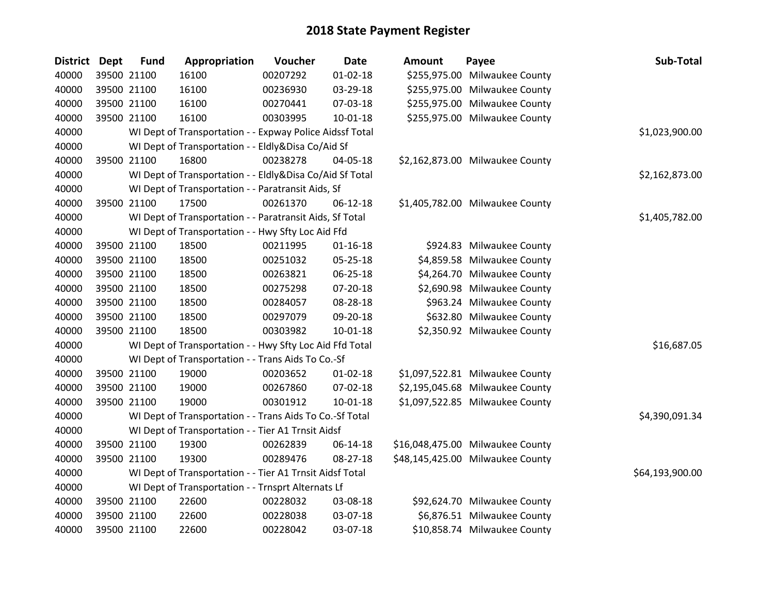| <b>District</b> | <b>Dept</b> | <b>Fund</b> | Appropriation                                            | Voucher  | <b>Date</b>    | <b>Amount</b> | Payee                            | Sub-Total       |
|-----------------|-------------|-------------|----------------------------------------------------------|----------|----------------|---------------|----------------------------------|-----------------|
| 40000           |             | 39500 21100 | 16100                                                    | 00207292 | $01 - 02 - 18$ |               | \$255,975.00 Milwaukee County    |                 |
| 40000           |             | 39500 21100 | 16100                                                    | 00236930 | 03-29-18       |               | \$255,975.00 Milwaukee County    |                 |
| 40000           |             | 39500 21100 | 16100                                                    | 00270441 | 07-03-18       |               | \$255,975.00 Milwaukee County    |                 |
| 40000           |             | 39500 21100 | 16100                                                    | 00303995 | 10-01-18       |               | \$255,975.00 Milwaukee County    |                 |
| 40000           |             |             | WI Dept of Transportation - - Expway Police Aidssf Total |          |                |               |                                  | \$1,023,900.00  |
| 40000           |             |             | WI Dept of Transportation - - Eldly&Disa Co/Aid Sf       |          |                |               |                                  |                 |
| 40000           |             | 39500 21100 | 16800                                                    | 00238278 | 04-05-18       |               | \$2,162,873.00 Milwaukee County  |                 |
| 40000           |             |             | WI Dept of Transportation - - Eldly&Disa Co/Aid Sf Total |          |                |               |                                  | \$2,162,873.00  |
| 40000           |             |             | WI Dept of Transportation - - Paratransit Aids, Sf       |          |                |               |                                  |                 |
| 40000           |             | 39500 21100 | 17500                                                    | 00261370 | $06-12-18$     |               | \$1,405,782.00 Milwaukee County  |                 |
| 40000           |             |             | WI Dept of Transportation - - Paratransit Aids, Sf Total |          |                |               |                                  | \$1,405,782.00  |
| 40000           |             |             | WI Dept of Transportation - - Hwy Sfty Loc Aid Ffd       |          |                |               |                                  |                 |
| 40000           |             | 39500 21100 | 18500                                                    | 00211995 | $01 - 16 - 18$ |               | \$924.83 Milwaukee County        |                 |
| 40000           |             | 39500 21100 | 18500                                                    | 00251032 | 05-25-18       |               | \$4,859.58 Milwaukee County      |                 |
| 40000           |             | 39500 21100 | 18500                                                    | 00263821 | 06-25-18       |               | \$4,264.70 Milwaukee County      |                 |
| 40000           |             | 39500 21100 | 18500                                                    | 00275298 | 07-20-18       |               | \$2,690.98 Milwaukee County      |                 |
| 40000           |             | 39500 21100 | 18500                                                    | 00284057 | 08-28-18       |               | \$963.24 Milwaukee County        |                 |
| 40000           |             | 39500 21100 | 18500                                                    | 00297079 | 09-20-18       |               | \$632.80 Milwaukee County        |                 |
| 40000           |             | 39500 21100 | 18500                                                    | 00303982 | $10 - 01 - 18$ |               | \$2,350.92 Milwaukee County      |                 |
| 40000           |             |             | WI Dept of Transportation - - Hwy Sfty Loc Aid Ffd Total |          |                |               |                                  | \$16,687.05     |
| 40000           |             |             | WI Dept of Transportation - - Trans Aids To Co.-Sf       |          |                |               |                                  |                 |
| 40000           |             | 39500 21100 | 19000                                                    | 00203652 | $01 - 02 - 18$ |               | \$1,097,522.81 Milwaukee County  |                 |
| 40000           |             | 39500 21100 | 19000                                                    | 00267860 | 07-02-18       |               | \$2,195,045.68 Milwaukee County  |                 |
| 40000           |             | 39500 21100 | 19000                                                    | 00301912 | $10 - 01 - 18$ |               | \$1,097,522.85 Milwaukee County  |                 |
| 40000           |             |             | WI Dept of Transportation - - Trans Aids To Co.-Sf Total |          |                |               |                                  | \$4,390,091.34  |
| 40000           |             |             | WI Dept of Transportation - - Tier A1 Trnsit Aidsf       |          |                |               |                                  |                 |
| 40000           |             | 39500 21100 | 19300                                                    | 00262839 | 06-14-18       |               | \$16,048,475.00 Milwaukee County |                 |
| 40000           |             | 39500 21100 | 19300                                                    | 00289476 | 08-27-18       |               | \$48,145,425.00 Milwaukee County |                 |
| 40000           |             |             | WI Dept of Transportation - - Tier A1 Trnsit Aidsf Total |          |                |               |                                  | \$64,193,900.00 |
| 40000           |             |             | WI Dept of Transportation - - Trnsprt Alternats Lf       |          |                |               |                                  |                 |
| 40000           |             | 39500 21100 | 22600                                                    | 00228032 | 03-08-18       |               | \$92,624.70 Milwaukee County     |                 |
| 40000           |             | 39500 21100 | 22600                                                    | 00228038 | 03-07-18       |               | \$6,876.51 Milwaukee County      |                 |
| 40000           |             | 39500 21100 | 22600                                                    | 00228042 | 03-07-18       |               | \$10,858.74 Milwaukee County     |                 |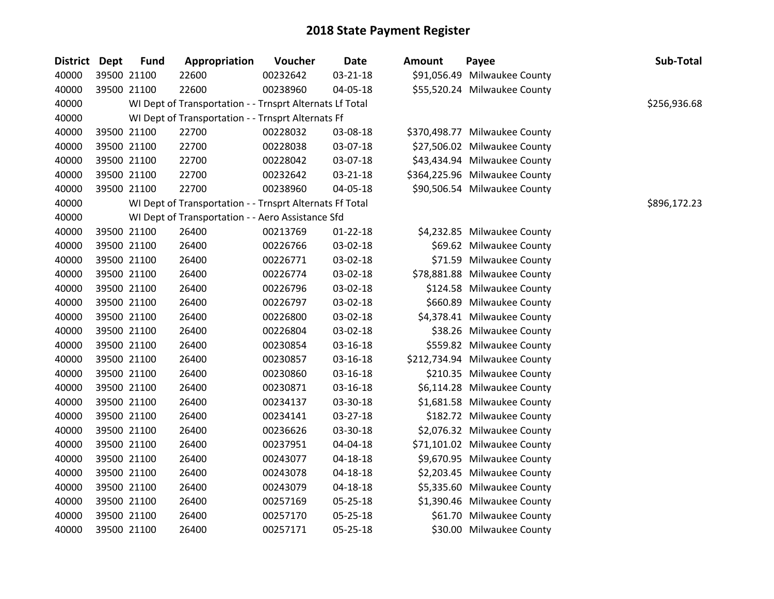| District Dept | <b>Fund</b> | Appropriation                                            | Voucher  | <b>Date</b>    | <b>Amount</b> | Payee                         | Sub-Total    |
|---------------|-------------|----------------------------------------------------------|----------|----------------|---------------|-------------------------------|--------------|
| 40000         | 39500 21100 | 22600                                                    | 00232642 | $03 - 21 - 18$ |               | \$91,056.49 Milwaukee County  |              |
| 40000         | 39500 21100 | 22600                                                    | 00238960 | 04-05-18       |               | \$55,520.24 Milwaukee County  |              |
| 40000         |             | WI Dept of Transportation - - Trnsprt Alternats Lf Total |          |                |               |                               | \$256,936.68 |
| 40000         |             | WI Dept of Transportation - - Trnsprt Alternats Ff       |          |                |               |                               |              |
| 40000         | 39500 21100 | 22700                                                    | 00228032 | 03-08-18       |               | \$370,498.77 Milwaukee County |              |
| 40000         | 39500 21100 | 22700                                                    | 00228038 | 03-07-18       |               | \$27,506.02 Milwaukee County  |              |
| 40000         | 39500 21100 | 22700                                                    | 00228042 | 03-07-18       |               | \$43,434.94 Milwaukee County  |              |
| 40000         | 39500 21100 | 22700                                                    | 00232642 | 03-21-18       |               | \$364,225.96 Milwaukee County |              |
| 40000         | 39500 21100 | 22700                                                    | 00238960 | 04-05-18       |               | \$90,506.54 Milwaukee County  |              |
| 40000         |             | WI Dept of Transportation - - Trnsprt Alternats Ff Total |          |                |               |                               | \$896,172.23 |
| 40000         |             | WI Dept of Transportation - - Aero Assistance Sfd        |          |                |               |                               |              |
| 40000         | 39500 21100 | 26400                                                    | 00213769 | $01 - 22 - 18$ |               | \$4,232.85 Milwaukee County   |              |
| 40000         | 39500 21100 | 26400                                                    | 00226766 | 03-02-18       |               | \$69.62 Milwaukee County      |              |
| 40000         | 39500 21100 | 26400                                                    | 00226771 | 03-02-18       |               | \$71.59 Milwaukee County      |              |
| 40000         | 39500 21100 | 26400                                                    | 00226774 | 03-02-18       |               | \$78,881.88 Milwaukee County  |              |
| 40000         | 39500 21100 | 26400                                                    | 00226796 | 03-02-18       |               | \$124.58 Milwaukee County     |              |
| 40000         | 39500 21100 | 26400                                                    | 00226797 | 03-02-18       |               | \$660.89 Milwaukee County     |              |
| 40000         | 39500 21100 | 26400                                                    | 00226800 | 03-02-18       |               | \$4,378.41 Milwaukee County   |              |
| 40000         | 39500 21100 | 26400                                                    | 00226804 | 03-02-18       |               | \$38.26 Milwaukee County      |              |
| 40000         | 39500 21100 | 26400                                                    | 00230854 | 03-16-18       |               | \$559.82 Milwaukee County     |              |
| 40000         | 39500 21100 | 26400                                                    | 00230857 | 03-16-18       |               | \$212,734.94 Milwaukee County |              |
| 40000         | 39500 21100 | 26400                                                    | 00230860 | 03-16-18       |               | \$210.35 Milwaukee County     |              |
| 40000         | 39500 21100 | 26400                                                    | 00230871 | 03-16-18       |               | \$6,114.28 Milwaukee County   |              |
| 40000         | 39500 21100 | 26400                                                    | 00234137 | 03-30-18       |               | \$1,681.58 Milwaukee County   |              |
| 40000         | 39500 21100 | 26400                                                    | 00234141 | 03-27-18       |               | \$182.72 Milwaukee County     |              |
| 40000         | 39500 21100 | 26400                                                    | 00236626 | 03-30-18       |               | \$2,076.32 Milwaukee County   |              |
| 40000         | 39500 21100 | 26400                                                    | 00237951 | 04-04-18       |               | \$71,101.02 Milwaukee County  |              |
| 40000         | 39500 21100 | 26400                                                    | 00243077 | $04 - 18 - 18$ |               | \$9,670.95 Milwaukee County   |              |
| 40000         | 39500 21100 | 26400                                                    | 00243078 | 04-18-18       |               | \$2,203.45 Milwaukee County   |              |
| 40000         | 39500 21100 | 26400                                                    | 00243079 | 04-18-18       |               | \$5,335.60 Milwaukee County   |              |
| 40000         | 39500 21100 | 26400                                                    | 00257169 | 05-25-18       |               | \$1,390.46 Milwaukee County   |              |
| 40000         | 39500 21100 | 26400                                                    | 00257170 | 05-25-18       |               | \$61.70 Milwaukee County      |              |
| 40000         | 39500 21100 | 26400                                                    | 00257171 | 05-25-18       |               | \$30.00 Milwaukee County      |              |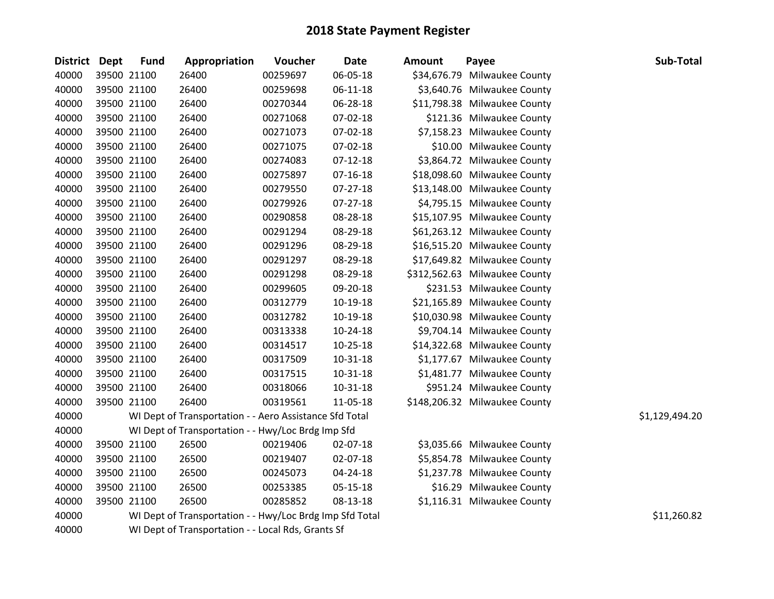| <b>District</b> | Dept | <b>Fund</b> | Appropriation                                            | Voucher  | <b>Date</b>    | <b>Amount</b> | Payee                         | Sub-Total      |
|-----------------|------|-------------|----------------------------------------------------------|----------|----------------|---------------|-------------------------------|----------------|
| 40000           |      | 39500 21100 | 26400                                                    | 00259697 | 06-05-18       |               | \$34,676.79 Milwaukee County  |                |
| 40000           |      | 39500 21100 | 26400                                                    | 00259698 | 06-11-18       |               | \$3,640.76 Milwaukee County   |                |
| 40000           |      | 39500 21100 | 26400                                                    | 00270344 | 06-28-18       |               | \$11,798.38 Milwaukee County  |                |
| 40000           |      | 39500 21100 | 26400                                                    | 00271068 | 07-02-18       |               | \$121.36 Milwaukee County     |                |
| 40000           |      | 39500 21100 | 26400                                                    | 00271073 | 07-02-18       |               | \$7,158.23 Milwaukee County   |                |
| 40000           |      | 39500 21100 | 26400                                                    | 00271075 | 07-02-18       |               | \$10.00 Milwaukee County      |                |
| 40000           |      | 39500 21100 | 26400                                                    | 00274083 | $07 - 12 - 18$ |               | \$3,864.72 Milwaukee County   |                |
| 40000           |      | 39500 21100 | 26400                                                    | 00275897 | $07 - 16 - 18$ |               | \$18,098.60 Milwaukee County  |                |
| 40000           |      | 39500 21100 | 26400                                                    | 00279550 | 07-27-18       |               | \$13,148.00 Milwaukee County  |                |
| 40000           |      | 39500 21100 | 26400                                                    | 00279926 | 07-27-18       |               | \$4,795.15 Milwaukee County   |                |
| 40000           |      | 39500 21100 | 26400                                                    | 00290858 | 08-28-18       |               | \$15,107.95 Milwaukee County  |                |
| 40000           |      | 39500 21100 | 26400                                                    | 00291294 | 08-29-18       |               | \$61,263.12 Milwaukee County  |                |
| 40000           |      | 39500 21100 | 26400                                                    | 00291296 | 08-29-18       |               | \$16,515.20 Milwaukee County  |                |
| 40000           |      | 39500 21100 | 26400                                                    | 00291297 | 08-29-18       |               | \$17,649.82 Milwaukee County  |                |
| 40000           |      | 39500 21100 | 26400                                                    | 00291298 | 08-29-18       |               | \$312,562.63 Milwaukee County |                |
| 40000           |      | 39500 21100 | 26400                                                    | 00299605 | 09-20-18       |               | \$231.53 Milwaukee County     |                |
| 40000           |      | 39500 21100 | 26400                                                    | 00312779 | 10-19-18       |               | \$21,165.89 Milwaukee County  |                |
| 40000           |      | 39500 21100 | 26400                                                    | 00312782 | 10-19-18       |               | \$10,030.98 Milwaukee County  |                |
| 40000           |      | 39500 21100 | 26400                                                    | 00313338 | 10-24-18       |               | \$9,704.14 Milwaukee County   |                |
| 40000           |      | 39500 21100 | 26400                                                    | 00314517 | $10 - 25 - 18$ |               | \$14,322.68 Milwaukee County  |                |
| 40000           |      | 39500 21100 | 26400                                                    | 00317509 | $10 - 31 - 18$ |               | \$1,177.67 Milwaukee County   |                |
| 40000           |      | 39500 21100 | 26400                                                    | 00317515 | 10-31-18       |               | \$1,481.77 Milwaukee County   |                |
| 40000           |      | 39500 21100 | 26400                                                    | 00318066 | 10-31-18       |               | \$951.24 Milwaukee County     |                |
| 40000           |      | 39500 21100 | 26400                                                    | 00319561 | 11-05-18       |               | \$148,206.32 Milwaukee County |                |
| 40000           |      |             | WI Dept of Transportation - - Aero Assistance Sfd Total  |          |                |               |                               | \$1,129,494.20 |
| 40000           |      |             | WI Dept of Transportation - - Hwy/Loc Brdg Imp Sfd       |          |                |               |                               |                |
| 40000           |      | 39500 21100 | 26500                                                    | 00219406 | 02-07-18       |               | \$3,035.66 Milwaukee County   |                |
| 40000           |      | 39500 21100 | 26500                                                    | 00219407 | 02-07-18       |               | \$5,854.78 Milwaukee County   |                |
| 40000           |      | 39500 21100 | 26500                                                    | 00245073 | 04-24-18       |               | \$1,237.78 Milwaukee County   |                |
| 40000           |      | 39500 21100 | 26500                                                    | 00253385 | 05-15-18       |               | \$16.29 Milwaukee County      |                |
| 40000           |      | 39500 21100 | 26500                                                    | 00285852 | 08-13-18       |               | \$1,116.31 Milwaukee County   |                |
| 40000           |      |             | WI Dept of Transportation - - Hwy/Loc Brdg Imp Sfd Total |          |                |               |                               | \$11,260.82    |
| 40000           |      |             | WI Dept of Transportation - - Local Rds, Grants Sf       |          |                |               |                               |                |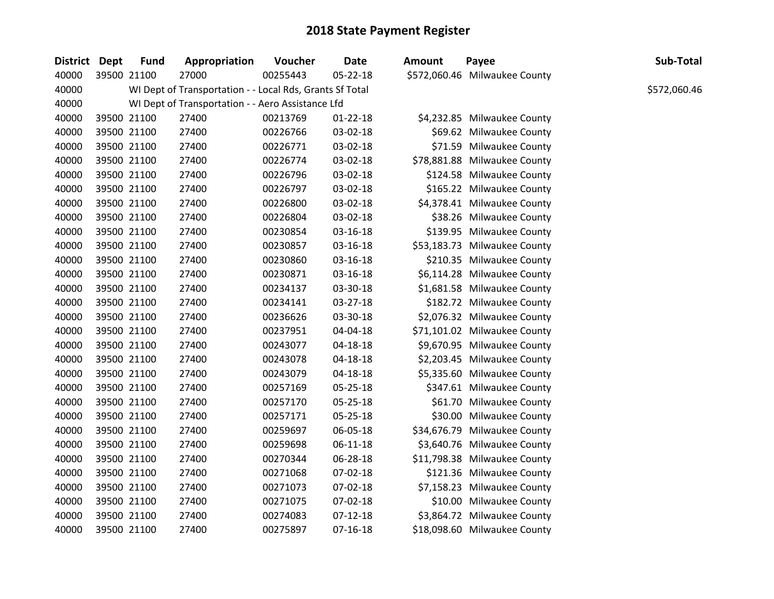| District Dept | <b>Fund</b> | Appropriation                                            | <b>Voucher</b> | Date           | Amount | Payee                         | Sub-Total    |
|---------------|-------------|----------------------------------------------------------|----------------|----------------|--------|-------------------------------|--------------|
| 40000         | 39500 21100 | 27000                                                    | 00255443       | 05-22-18       |        | \$572,060.46 Milwaukee County |              |
| 40000         |             | WI Dept of Transportation - - Local Rds, Grants Sf Total |                |                |        |                               | \$572,060.46 |
| 40000         |             | WI Dept of Transportation - - Aero Assistance Lfd        |                |                |        |                               |              |
| 40000         | 39500 21100 | 27400                                                    | 00213769       | $01 - 22 - 18$ |        | \$4,232.85 Milwaukee County   |              |
| 40000         | 39500 21100 | 27400                                                    | 00226766       | 03-02-18       |        | \$69.62 Milwaukee County      |              |
| 40000         | 39500 21100 | 27400                                                    | 00226771       | 03-02-18       |        | \$71.59 Milwaukee County      |              |
| 40000         | 39500 21100 | 27400                                                    | 00226774       | 03-02-18       |        | \$78,881.88 Milwaukee County  |              |
| 40000         | 39500 21100 | 27400                                                    | 00226796       | 03-02-18       |        | \$124.58 Milwaukee County     |              |
| 40000         | 39500 21100 | 27400                                                    | 00226797       | 03-02-18       |        | \$165.22 Milwaukee County     |              |
| 40000         | 39500 21100 | 27400                                                    | 00226800       | 03-02-18       |        | \$4,378.41 Milwaukee County   |              |
| 40000         | 39500 21100 | 27400                                                    | 00226804       | 03-02-18       |        | \$38.26 Milwaukee County      |              |
| 40000         | 39500 21100 | 27400                                                    | 00230854       | 03-16-18       |        | \$139.95 Milwaukee County     |              |
| 40000         | 39500 21100 | 27400                                                    | 00230857       | 03-16-18       |        | \$53,183.73 Milwaukee County  |              |
| 40000         | 39500 21100 | 27400                                                    | 00230860       | 03-16-18       |        | \$210.35 Milwaukee County     |              |
| 40000         | 39500 21100 | 27400                                                    | 00230871       | 03-16-18       |        | \$6,114.28 Milwaukee County   |              |
| 40000         | 39500 21100 | 27400                                                    | 00234137       | 03-30-18       |        | \$1,681.58 Milwaukee County   |              |
| 40000         | 39500 21100 | 27400                                                    | 00234141       | 03-27-18       |        | \$182.72 Milwaukee County     |              |
| 40000         | 39500 21100 | 27400                                                    | 00236626       | 03-30-18       |        | \$2,076.32 Milwaukee County   |              |
| 40000         | 39500 21100 | 27400                                                    | 00237951       | 04-04-18       |        | \$71,101.02 Milwaukee County  |              |
| 40000         | 39500 21100 | 27400                                                    | 00243077       | $04 - 18 - 18$ |        | \$9,670.95 Milwaukee County   |              |
| 40000         | 39500 21100 | 27400                                                    | 00243078       | 04-18-18       |        | \$2,203.45 Milwaukee County   |              |
| 40000         | 39500 21100 | 27400                                                    | 00243079       | 04-18-18       |        | \$5,335.60 Milwaukee County   |              |
| 40000         | 39500 21100 | 27400                                                    | 00257169       | 05-25-18       |        | \$347.61 Milwaukee County     |              |
| 40000         | 39500 21100 | 27400                                                    | 00257170       | 05-25-18       |        | \$61.70 Milwaukee County      |              |
| 40000         | 39500 21100 | 27400                                                    | 00257171       | 05-25-18       |        | \$30.00 Milwaukee County      |              |
| 40000         | 39500 21100 | 27400                                                    | 00259697       | 06-05-18       |        | \$34,676.79 Milwaukee County  |              |
| 40000         | 39500 21100 | 27400                                                    | 00259698       | $06-11-18$     |        | \$3,640.76 Milwaukee County   |              |
| 40000         | 39500 21100 | 27400                                                    | 00270344       | 06-28-18       |        | \$11,798.38 Milwaukee County  |              |
| 40000         | 39500 21100 | 27400                                                    | 00271068       | 07-02-18       |        | \$121.36 Milwaukee County     |              |
| 40000         | 39500 21100 | 27400                                                    | 00271073       | 07-02-18       |        | \$7,158.23 Milwaukee County   |              |
| 40000         | 39500 21100 | 27400                                                    | 00271075       | 07-02-18       |        | \$10.00 Milwaukee County      |              |
| 40000         | 39500 21100 | 27400                                                    | 00274083       | $07 - 12 - 18$ |        | \$3,864.72 Milwaukee County   |              |
| 40000         | 39500 21100 | 27400                                                    | 00275897       | $07-16-18$     |        | \$18,098.60 Milwaukee County  |              |

| Sub-Total<br>Payee                        |  |
|-------------------------------------------|--|
| 2,060.46 Milwaukee County<br>\$572,060.46 |  |
| 4,232.85 Milwaukee County                 |  |
| \$69.62 Milwaukee County                  |  |
| \$71.59 Milwaukee County                  |  |
| 8,881.88 Milwaukee County                 |  |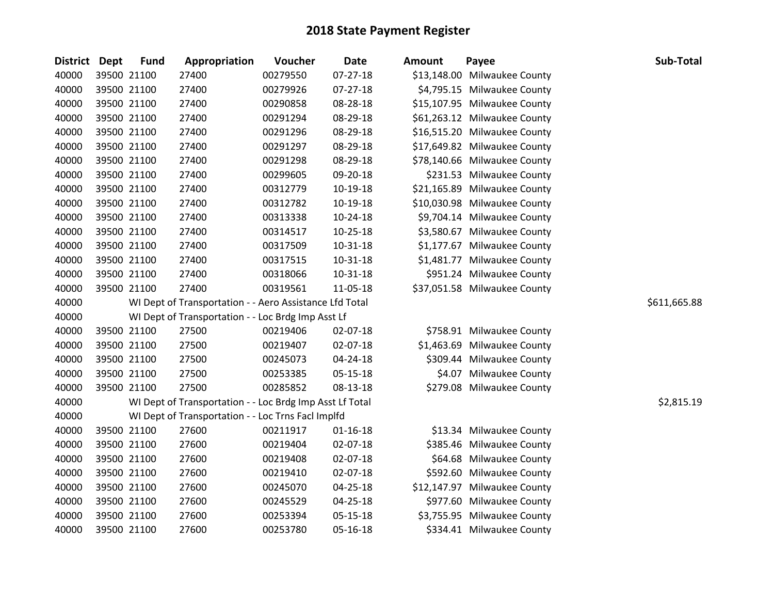| District Dept |             | <b>Fund</b> | Appropriation                                            | Voucher  | <b>Date</b>    | <b>Amount</b> | Payee                        | Sub-Total    |
|---------------|-------------|-------------|----------------------------------------------------------|----------|----------------|---------------|------------------------------|--------------|
| 40000         | 39500 21100 |             | 27400                                                    | 00279550 | 07-27-18       |               | \$13,148.00 Milwaukee County |              |
| 40000         |             | 39500 21100 | 27400                                                    | 00279926 | $07 - 27 - 18$ |               | \$4,795.15 Milwaukee County  |              |
| 40000         | 39500 21100 |             | 27400                                                    | 00290858 | 08-28-18       |               | \$15,107.95 Milwaukee County |              |
| 40000         | 39500 21100 |             | 27400                                                    | 00291294 | 08-29-18       |               | \$61,263.12 Milwaukee County |              |
| 40000         | 39500 21100 |             | 27400                                                    | 00291296 | 08-29-18       |               | \$16,515.20 Milwaukee County |              |
| 40000         | 39500 21100 |             | 27400                                                    | 00291297 | 08-29-18       |               | \$17,649.82 Milwaukee County |              |
| 40000         |             | 39500 21100 | 27400                                                    | 00291298 | 08-29-18       |               | \$78,140.66 Milwaukee County |              |
| 40000         | 39500 21100 |             | 27400                                                    | 00299605 | 09-20-18       |               | \$231.53 Milwaukee County    |              |
| 40000         | 39500 21100 |             | 27400                                                    | 00312779 | 10-19-18       |               | \$21,165.89 Milwaukee County |              |
| 40000         | 39500 21100 |             | 27400                                                    | 00312782 | $10-19-18$     |               | \$10,030.98 Milwaukee County |              |
| 40000         | 39500 21100 |             | 27400                                                    | 00313338 | $10-24-18$     |               | \$9,704.14 Milwaukee County  |              |
| 40000         |             | 39500 21100 | 27400                                                    | 00314517 | $10 - 25 - 18$ |               | \$3,580.67 Milwaukee County  |              |
| 40000         | 39500 21100 |             | 27400                                                    | 00317509 | 10-31-18       |               | \$1,177.67 Milwaukee County  |              |
| 40000         | 39500 21100 |             | 27400                                                    | 00317515 | 10-31-18       |               | \$1,481.77 Milwaukee County  |              |
| 40000         | 39500 21100 |             | 27400                                                    | 00318066 | $10 - 31 - 18$ |               | \$951.24 Milwaukee County    |              |
| 40000         | 39500 21100 |             | 27400                                                    | 00319561 | 11-05-18       |               | \$37,051.58 Milwaukee County |              |
| 40000         |             |             | WI Dept of Transportation - - Aero Assistance Lfd Total  |          |                |               |                              | \$611,665.88 |
| 40000         |             |             | WI Dept of Transportation - - Loc Brdg Imp Asst Lf       |          |                |               |                              |              |
| 40000         |             | 39500 21100 | 27500                                                    | 00219406 | 02-07-18       |               | \$758.91 Milwaukee County    |              |
| 40000         | 39500 21100 |             | 27500                                                    | 00219407 | 02-07-18       |               | \$1,463.69 Milwaukee County  |              |
| 40000         |             | 39500 21100 | 27500                                                    | 00245073 | 04-24-18       |               | \$309.44 Milwaukee County    |              |
| 40000         | 39500 21100 |             | 27500                                                    | 00253385 | 05-15-18       |               | \$4.07 Milwaukee County      |              |
| 40000         | 39500 21100 |             | 27500                                                    | 00285852 | 08-13-18       |               | \$279.08 Milwaukee County    |              |
| 40000         |             |             | WI Dept of Transportation - - Loc Brdg Imp Asst Lf Total |          |                |               |                              | \$2,815.19   |
| 40000         |             |             | WI Dept of Transportation - - Loc Trns Facl Implfd       |          |                |               |                              |              |
| 40000         | 39500 21100 |             | 27600                                                    | 00211917 | $01 - 16 - 18$ |               | \$13.34 Milwaukee County     |              |
| 40000         | 39500 21100 |             | 27600                                                    | 00219404 | 02-07-18       |               | \$385.46 Milwaukee County    |              |
| 40000         | 39500 21100 |             | 27600                                                    | 00219408 | 02-07-18       |               | \$64.68 Milwaukee County     |              |
| 40000         | 39500 21100 |             | 27600                                                    | 00219410 | 02-07-18       |               | \$592.60 Milwaukee County    |              |
| 40000         | 39500 21100 |             | 27600                                                    | 00245070 | 04-25-18       |               | \$12,147.97 Milwaukee County |              |
| 40000         |             | 39500 21100 | 27600                                                    | 00245529 | 04-25-18       |               | \$977.60 Milwaukee County    |              |
| 40000         | 39500 21100 |             | 27600                                                    | 00253394 | 05-15-18       |               | \$3,755.95 Milwaukee County  |              |
| 40000         | 39500 21100 |             | 27600                                                    | 00253780 | 05-16-18       |               | \$334.41 Milwaukee County    |              |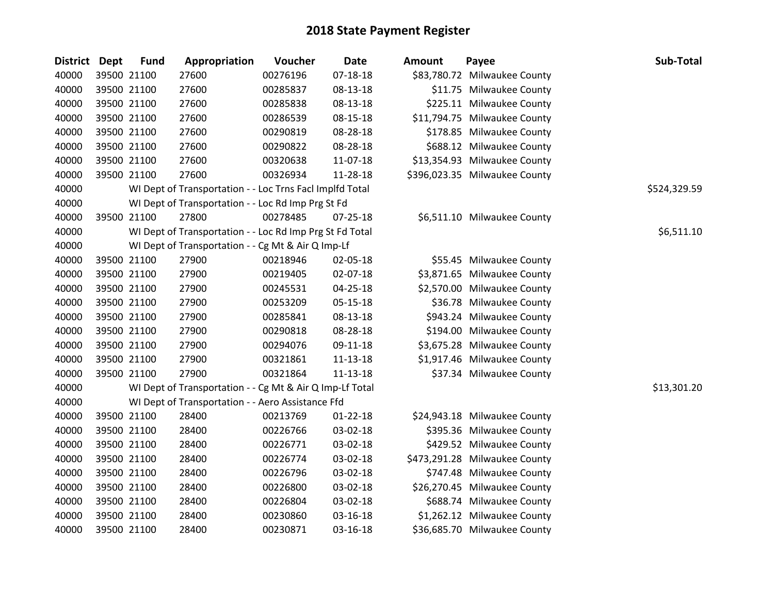| <b>District Dept</b> | <b>Fund</b> | Appropriation                                            | Voucher  | <b>Date</b>    | <b>Amount</b> | Payee                         | Sub-Total    |
|----------------------|-------------|----------------------------------------------------------|----------|----------------|---------------|-------------------------------|--------------|
| 40000                | 39500 21100 | 27600                                                    | 00276196 | $07 - 18 - 18$ |               | \$83,780.72 Milwaukee County  |              |
| 40000                | 39500 21100 | 27600                                                    | 00285837 | 08-13-18       |               | \$11.75 Milwaukee County      |              |
| 40000                | 39500 21100 | 27600                                                    | 00285838 | 08-13-18       |               | \$225.11 Milwaukee County     |              |
| 40000                | 39500 21100 | 27600                                                    | 00286539 | 08-15-18       |               | \$11,794.75 Milwaukee County  |              |
| 40000                | 39500 21100 | 27600                                                    | 00290819 | 08-28-18       |               | \$178.85 Milwaukee County     |              |
| 40000                | 39500 21100 | 27600                                                    | 00290822 | 08-28-18       |               | \$688.12 Milwaukee County     |              |
| 40000                | 39500 21100 | 27600                                                    | 00320638 | 11-07-18       |               | \$13,354.93 Milwaukee County  |              |
| 40000                | 39500 21100 | 27600                                                    | 00326934 | 11-28-18       |               | \$396,023.35 Milwaukee County |              |
| 40000                |             | WI Dept of Transportation - - Loc Trns Facl Implfd Total |          |                |               |                               | \$524,329.59 |
| 40000                |             | WI Dept of Transportation - - Loc Rd Imp Prg St Fd       |          |                |               |                               |              |
| 40000                | 39500 21100 | 27800                                                    | 00278485 | 07-25-18       |               | \$6,511.10 Milwaukee County   |              |
| 40000                |             | WI Dept of Transportation - - Loc Rd Imp Prg St Fd Total |          |                |               |                               | \$6,511.10   |
| 40000                |             | WI Dept of Transportation - - Cg Mt & Air Q Imp-Lf       |          |                |               |                               |              |
| 40000                | 39500 21100 | 27900                                                    | 00218946 | 02-05-18       |               | \$55.45 Milwaukee County      |              |
| 40000                | 39500 21100 | 27900                                                    | 00219405 | 02-07-18       |               | \$3,871.65 Milwaukee County   |              |
| 40000                | 39500 21100 | 27900                                                    | 00245531 | 04-25-18       |               | \$2,570.00 Milwaukee County   |              |
| 40000                | 39500 21100 | 27900                                                    | 00253209 | 05-15-18       |               | \$36.78 Milwaukee County      |              |
| 40000                | 39500 21100 | 27900                                                    | 00285841 | 08-13-18       |               | \$943.24 Milwaukee County     |              |
| 40000                | 39500 21100 | 27900                                                    | 00290818 | 08-28-18       |               | \$194.00 Milwaukee County     |              |
| 40000                | 39500 21100 | 27900                                                    | 00294076 | 09-11-18       |               | \$3,675.28 Milwaukee County   |              |
| 40000                | 39500 21100 | 27900                                                    | 00321861 | $11 - 13 - 18$ |               | \$1,917.46 Milwaukee County   |              |
| 40000                | 39500 21100 | 27900                                                    | 00321864 | 11-13-18       |               | \$37.34 Milwaukee County      |              |
| 40000                |             | WI Dept of Transportation - - Cg Mt & Air Q Imp-Lf Total |          |                |               |                               | \$13,301.20  |
| 40000                |             | WI Dept of Transportation - - Aero Assistance Ffd        |          |                |               |                               |              |
| 40000                | 39500 21100 | 28400                                                    | 00213769 | 01-22-18       |               | \$24,943.18 Milwaukee County  |              |
| 40000                | 39500 21100 | 28400                                                    | 00226766 | 03-02-18       |               | \$395.36 Milwaukee County     |              |
| 40000                | 39500 21100 | 28400                                                    | 00226771 | 03-02-18       |               | \$429.52 Milwaukee County     |              |
| 40000                | 39500 21100 | 28400                                                    | 00226774 | 03-02-18       |               | \$473,291.28 Milwaukee County |              |
| 40000                | 39500 21100 | 28400                                                    | 00226796 | 03-02-18       |               | \$747.48 Milwaukee County     |              |
| 40000                | 39500 21100 | 28400                                                    | 00226800 | 03-02-18       |               | \$26,270.45 Milwaukee County  |              |
| 40000                | 39500 21100 | 28400                                                    | 00226804 | 03-02-18       |               | \$688.74 Milwaukee County     |              |
| 40000                | 39500 21100 | 28400                                                    | 00230860 | 03-16-18       |               | \$1,262.12 Milwaukee County   |              |
| 40000                | 39500 21100 | 28400                                                    | 00230871 | 03-16-18       |               | \$36,685.70 Milwaukee County  |              |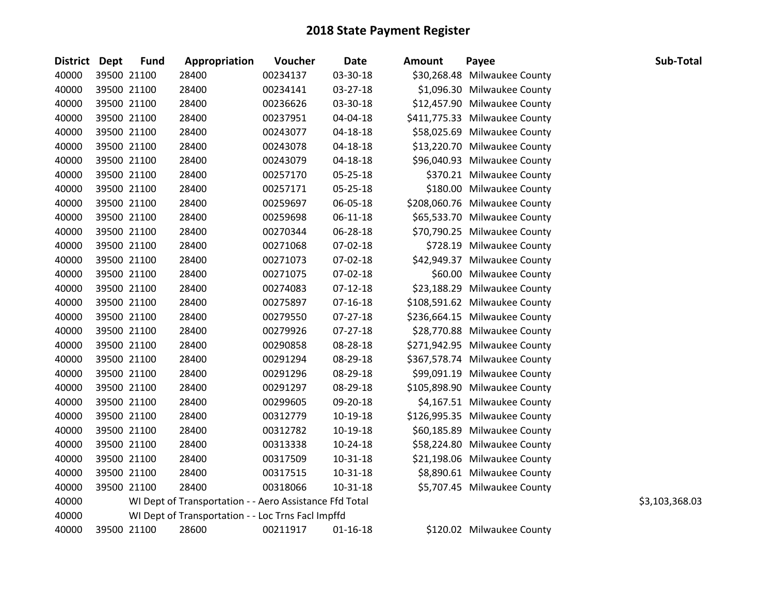| District Dept | <b>Fund</b> | Appropriation                                           | Voucher  | <b>Date</b>    | <b>Amount</b> | Payee                         | Sub-Total      |
|---------------|-------------|---------------------------------------------------------|----------|----------------|---------------|-------------------------------|----------------|
| 40000         | 39500 21100 | 28400                                                   | 00234137 | 03-30-18       |               | \$30,268.48 Milwaukee County  |                |
| 40000         | 39500 21100 | 28400                                                   | 00234141 | 03-27-18       |               | \$1,096.30 Milwaukee County   |                |
| 40000         | 39500 21100 | 28400                                                   | 00236626 | 03-30-18       |               | \$12,457.90 Milwaukee County  |                |
| 40000         | 39500 21100 | 28400                                                   | 00237951 | 04-04-18       |               | \$411,775.33 Milwaukee County |                |
| 40000         | 39500 21100 | 28400                                                   | 00243077 | 04-18-18       |               | \$58,025.69 Milwaukee County  |                |
| 40000         | 39500 21100 | 28400                                                   | 00243078 | 04-18-18       |               | \$13,220.70 Milwaukee County  |                |
| 40000         | 39500 21100 | 28400                                                   | 00243079 | 04-18-18       |               | \$96,040.93 Milwaukee County  |                |
| 40000         | 39500 21100 | 28400                                                   | 00257170 | 05-25-18       |               | \$370.21 Milwaukee County     |                |
| 40000         | 39500 21100 | 28400                                                   | 00257171 | 05-25-18       |               | \$180.00 Milwaukee County     |                |
| 40000         | 39500 21100 | 28400                                                   | 00259697 | 06-05-18       |               | \$208,060.76 Milwaukee County |                |
| 40000         | 39500 21100 | 28400                                                   | 00259698 | 06-11-18       |               | \$65,533.70 Milwaukee County  |                |
| 40000         | 39500 21100 | 28400                                                   | 00270344 | 06-28-18       |               | \$70,790.25 Milwaukee County  |                |
| 40000         | 39500 21100 | 28400                                                   | 00271068 | 07-02-18       |               | \$728.19 Milwaukee County     |                |
| 40000         | 39500 21100 | 28400                                                   | 00271073 | 07-02-18       |               | \$42,949.37 Milwaukee County  |                |
| 40000         | 39500 21100 | 28400                                                   | 00271075 | 07-02-18       |               | \$60.00 Milwaukee County      |                |
| 40000         | 39500 21100 | 28400                                                   | 00274083 | $07-12-18$     |               | \$23,188.29 Milwaukee County  |                |
| 40000         | 39500 21100 | 28400                                                   | 00275897 | $07-16-18$     |               | \$108,591.62 Milwaukee County |                |
| 40000         | 39500 21100 | 28400                                                   | 00279550 | $07 - 27 - 18$ |               | \$236,664.15 Milwaukee County |                |
| 40000         | 39500 21100 | 28400                                                   | 00279926 | 07-27-18       |               | \$28,770.88 Milwaukee County  |                |
| 40000         | 39500 21100 | 28400                                                   | 00290858 | 08-28-18       |               | \$271,942.95 Milwaukee County |                |
| 40000         | 39500 21100 | 28400                                                   | 00291294 | 08-29-18       |               | \$367,578.74 Milwaukee County |                |
| 40000         | 39500 21100 | 28400                                                   | 00291296 | 08-29-18       |               | \$99,091.19 Milwaukee County  |                |
| 40000         | 39500 21100 | 28400                                                   | 00291297 | 08-29-18       |               | \$105,898.90 Milwaukee County |                |
| 40000         | 39500 21100 | 28400                                                   | 00299605 | 09-20-18       |               | \$4,167.51 Milwaukee County   |                |
| 40000         | 39500 21100 | 28400                                                   | 00312779 | 10-19-18       |               | \$126,995.35 Milwaukee County |                |
| 40000         | 39500 21100 | 28400                                                   | 00312782 | 10-19-18       |               | \$60,185.89 Milwaukee County  |                |
| 40000         | 39500 21100 | 28400                                                   | 00313338 | 10-24-18       |               | \$58,224.80 Milwaukee County  |                |
| 40000         | 39500 21100 | 28400                                                   | 00317509 | 10-31-18       |               | \$21,198.06 Milwaukee County  |                |
| 40000         | 39500 21100 | 28400                                                   | 00317515 | 10-31-18       |               | \$8,890.61 Milwaukee County   |                |
| 40000         | 39500 21100 | 28400                                                   | 00318066 | 10-31-18       |               | \$5,707.45 Milwaukee County   |                |
| 40000         |             | WI Dept of Transportation - - Aero Assistance Ffd Total |          |                |               |                               | \$3,103,368.03 |
| 40000         |             | WI Dept of Transportation - - Loc Trns Facl Impffd      |          |                |               |                               |                |
| 40000         | 39500 21100 | 28600                                                   | 00211917 | $01 - 16 - 18$ |               | \$120.02 Milwaukee County     |                |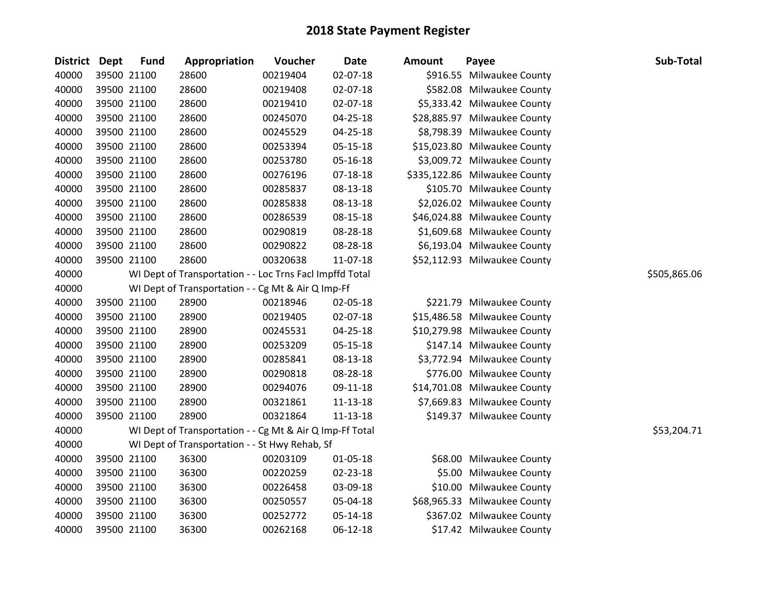|       |       | <b>Fund</b>   | Appropriation                                                                                                                                                                                                                                                                                                                                                                                                                                   | Voucher                 | <b>Date</b>    | <b>Amount</b>                                                                                                                                                                                                                            | Payee | Sub-Total                                                                                                                                                                                                                                                                                                                                                                                                                                                                                                                                                                                                                                                                                                                                                                                                                                                                                                    |
|-------|-------|---------------|-------------------------------------------------------------------------------------------------------------------------------------------------------------------------------------------------------------------------------------------------------------------------------------------------------------------------------------------------------------------------------------------------------------------------------------------------|-------------------------|----------------|------------------------------------------------------------------------------------------------------------------------------------------------------------------------------------------------------------------------------------------|-------|--------------------------------------------------------------------------------------------------------------------------------------------------------------------------------------------------------------------------------------------------------------------------------------------------------------------------------------------------------------------------------------------------------------------------------------------------------------------------------------------------------------------------------------------------------------------------------------------------------------------------------------------------------------------------------------------------------------------------------------------------------------------------------------------------------------------------------------------------------------------------------------------------------------|
| 40000 |       |               | 28600                                                                                                                                                                                                                                                                                                                                                                                                                                           | 00219404                | 02-07-18       |                                                                                                                                                                                                                                          |       |                                                                                                                                                                                                                                                                                                                                                                                                                                                                                                                                                                                                                                                                                                                                                                                                                                                                                                              |
| 40000 |       |               | 28600                                                                                                                                                                                                                                                                                                                                                                                                                                           | 00219408                | 02-07-18       |                                                                                                                                                                                                                                          |       |                                                                                                                                                                                                                                                                                                                                                                                                                                                                                                                                                                                                                                                                                                                                                                                                                                                                                                              |
| 40000 |       |               | 28600                                                                                                                                                                                                                                                                                                                                                                                                                                           | 00219410                | 02-07-18       |                                                                                                                                                                                                                                          |       |                                                                                                                                                                                                                                                                                                                                                                                                                                                                                                                                                                                                                                                                                                                                                                                                                                                                                                              |
| 40000 |       |               | 28600                                                                                                                                                                                                                                                                                                                                                                                                                                           | 00245070                | 04-25-18       |                                                                                                                                                                                                                                          |       |                                                                                                                                                                                                                                                                                                                                                                                                                                                                                                                                                                                                                                                                                                                                                                                                                                                                                                              |
| 40000 |       |               | 28600                                                                                                                                                                                                                                                                                                                                                                                                                                           | 00245529                | 04-25-18       |                                                                                                                                                                                                                                          |       |                                                                                                                                                                                                                                                                                                                                                                                                                                                                                                                                                                                                                                                                                                                                                                                                                                                                                                              |
| 40000 |       |               | 28600                                                                                                                                                                                                                                                                                                                                                                                                                                           | 00253394                | $05 - 15 - 18$ |                                                                                                                                                                                                                                          |       |                                                                                                                                                                                                                                                                                                                                                                                                                                                                                                                                                                                                                                                                                                                                                                                                                                                                                                              |
| 40000 |       |               | 28600                                                                                                                                                                                                                                                                                                                                                                                                                                           | 00253780                | 05-16-18       |                                                                                                                                                                                                                                          |       |                                                                                                                                                                                                                                                                                                                                                                                                                                                                                                                                                                                                                                                                                                                                                                                                                                                                                                              |
| 40000 |       |               | 28600                                                                                                                                                                                                                                                                                                                                                                                                                                           | 00276196                | 07-18-18       |                                                                                                                                                                                                                                          |       |                                                                                                                                                                                                                                                                                                                                                                                                                                                                                                                                                                                                                                                                                                                                                                                                                                                                                                              |
| 40000 |       |               | 28600                                                                                                                                                                                                                                                                                                                                                                                                                                           | 00285837                | 08-13-18       |                                                                                                                                                                                                                                          |       |                                                                                                                                                                                                                                                                                                                                                                                                                                                                                                                                                                                                                                                                                                                                                                                                                                                                                                              |
| 40000 |       |               | 28600                                                                                                                                                                                                                                                                                                                                                                                                                                           | 00285838                | 08-13-18       |                                                                                                                                                                                                                                          |       |                                                                                                                                                                                                                                                                                                                                                                                                                                                                                                                                                                                                                                                                                                                                                                                                                                                                                                              |
| 40000 |       |               | 28600                                                                                                                                                                                                                                                                                                                                                                                                                                           | 00286539                | 08-15-18       |                                                                                                                                                                                                                                          |       |                                                                                                                                                                                                                                                                                                                                                                                                                                                                                                                                                                                                                                                                                                                                                                                                                                                                                                              |
| 40000 |       |               | 28600                                                                                                                                                                                                                                                                                                                                                                                                                                           | 00290819                | 08-28-18       |                                                                                                                                                                                                                                          |       |                                                                                                                                                                                                                                                                                                                                                                                                                                                                                                                                                                                                                                                                                                                                                                                                                                                                                                              |
| 40000 |       |               | 28600                                                                                                                                                                                                                                                                                                                                                                                                                                           | 00290822                | 08-28-18       |                                                                                                                                                                                                                                          |       |                                                                                                                                                                                                                                                                                                                                                                                                                                                                                                                                                                                                                                                                                                                                                                                                                                                                                                              |
| 40000 |       |               | 28600                                                                                                                                                                                                                                                                                                                                                                                                                                           | 00320638                | 11-07-18       |                                                                                                                                                                                                                                          |       |                                                                                                                                                                                                                                                                                                                                                                                                                                                                                                                                                                                                                                                                                                                                                                                                                                                                                                              |
| 40000 |       |               |                                                                                                                                                                                                                                                                                                                                                                                                                                                 |                         |                |                                                                                                                                                                                                                                          |       | \$505,865.06                                                                                                                                                                                                                                                                                                                                                                                                                                                                                                                                                                                                                                                                                                                                                                                                                                                                                                 |
| 40000 |       |               |                                                                                                                                                                                                                                                                                                                                                                                                                                                 |                         |                |                                                                                                                                                                                                                                          |       |                                                                                                                                                                                                                                                                                                                                                                                                                                                                                                                                                                                                                                                                                                                                                                                                                                                                                                              |
| 40000 |       |               | 28900                                                                                                                                                                                                                                                                                                                                                                                                                                           | 00218946                | 02-05-18       |                                                                                                                                                                                                                                          |       |                                                                                                                                                                                                                                                                                                                                                                                                                                                                                                                                                                                                                                                                                                                                                                                                                                                                                                              |
| 40000 |       |               | 28900                                                                                                                                                                                                                                                                                                                                                                                                                                           | 00219405                | 02-07-18       |                                                                                                                                                                                                                                          |       |                                                                                                                                                                                                                                                                                                                                                                                                                                                                                                                                                                                                                                                                                                                                                                                                                                                                                                              |
| 40000 |       |               | 28900                                                                                                                                                                                                                                                                                                                                                                                                                                           | 00245531                | $04 - 25 - 18$ |                                                                                                                                                                                                                                          |       |                                                                                                                                                                                                                                                                                                                                                                                                                                                                                                                                                                                                                                                                                                                                                                                                                                                                                                              |
| 40000 |       |               | 28900                                                                                                                                                                                                                                                                                                                                                                                                                                           | 00253209                | 05-15-18       |                                                                                                                                                                                                                                          |       |                                                                                                                                                                                                                                                                                                                                                                                                                                                                                                                                                                                                                                                                                                                                                                                                                                                                                                              |
| 40000 |       |               | 28900                                                                                                                                                                                                                                                                                                                                                                                                                                           | 00285841                | 08-13-18       |                                                                                                                                                                                                                                          |       |                                                                                                                                                                                                                                                                                                                                                                                                                                                                                                                                                                                                                                                                                                                                                                                                                                                                                                              |
| 40000 |       |               | 28900                                                                                                                                                                                                                                                                                                                                                                                                                                           | 00290818                | 08-28-18       |                                                                                                                                                                                                                                          |       |                                                                                                                                                                                                                                                                                                                                                                                                                                                                                                                                                                                                                                                                                                                                                                                                                                                                                                              |
| 40000 |       |               | 28900                                                                                                                                                                                                                                                                                                                                                                                                                                           | 00294076                | 09-11-18       |                                                                                                                                                                                                                                          |       |                                                                                                                                                                                                                                                                                                                                                                                                                                                                                                                                                                                                                                                                                                                                                                                                                                                                                                              |
| 40000 |       |               |                                                                                                                                                                                                                                                                                                                                                                                                                                                 | 00321861                | $11 - 13 - 18$ |                                                                                                                                                                                                                                          |       |                                                                                                                                                                                                                                                                                                                                                                                                                                                                                                                                                                                                                                                                                                                                                                                                                                                                                                              |
| 40000 |       |               | 28900                                                                                                                                                                                                                                                                                                                                                                                                                                           | 00321864                | 11-13-18       |                                                                                                                                                                                                                                          |       |                                                                                                                                                                                                                                                                                                                                                                                                                                                                                                                                                                                                                                                                                                                                                                                                                                                                                                              |
| 40000 |       |               |                                                                                                                                                                                                                                                                                                                                                                                                                                                 |                         |                |                                                                                                                                                                                                                                          |       | \$53,204.71                                                                                                                                                                                                                                                                                                                                                                                                                                                                                                                                                                                                                                                                                                                                                                                                                                                                                                  |
| 40000 |       |               |                                                                                                                                                                                                                                                                                                                                                                                                                                                 |                         |                |                                                                                                                                                                                                                                          |       |                                                                                                                                                                                                                                                                                                                                                                                                                                                                                                                                                                                                                                                                                                                                                                                                                                                                                                              |
| 40000 |       |               |                                                                                                                                                                                                                                                                                                                                                                                                                                                 | 00203109                | 01-05-18       |                                                                                                                                                                                                                                          |       |                                                                                                                                                                                                                                                                                                                                                                                                                                                                                                                                                                                                                                                                                                                                                                                                                                                                                                              |
|       |       |               |                                                                                                                                                                                                                                                                                                                                                                                                                                                 | 00220259                |                |                                                                                                                                                                                                                                          |       |                                                                                                                                                                                                                                                                                                                                                                                                                                                                                                                                                                                                                                                                                                                                                                                                                                                                                                              |
| 40000 |       |               | 36300                                                                                                                                                                                                                                                                                                                                                                                                                                           | 00226458                | 03-09-18       |                                                                                                                                                                                                                                          |       |                                                                                                                                                                                                                                                                                                                                                                                                                                                                                                                                                                                                                                                                                                                                                                                                                                                                                                              |
| 40000 |       |               | 36300                                                                                                                                                                                                                                                                                                                                                                                                                                           | 00250557                | 05-04-18       |                                                                                                                                                                                                                                          |       |                                                                                                                                                                                                                                                                                                                                                                                                                                                                                                                                                                                                                                                                                                                                                                                                                                                                                                              |
| 40000 |       |               | 36300                                                                                                                                                                                                                                                                                                                                                                                                                                           | 00252772                | 05-14-18       |                                                                                                                                                                                                                                          |       |                                                                                                                                                                                                                                                                                                                                                                                                                                                                                                                                                                                                                                                                                                                                                                                                                                                                                                              |
| 40000 |       |               | 36300                                                                                                                                                                                                                                                                                                                                                                                                                                           | 00262168                | 06-12-18       |                                                                                                                                                                                                                                          |       |                                                                                                                                                                                                                                                                                                                                                                                                                                                                                                                                                                                                                                                                                                                                                                                                                                                                                                              |
|       | 40000 | District Dept | 39500 21100<br>39500 21100<br>39500 21100<br>39500 21100<br>39500 21100<br>39500 21100<br>39500 21100<br>39500 21100<br>39500 21100<br>39500 21100<br>39500 21100<br>39500 21100<br>39500 21100<br>39500 21100<br>39500 21100<br>39500 21100<br>39500 21100<br>39500 21100<br>39500 21100<br>39500 21100<br>39500 21100<br>39500 21100<br>39500 21100<br>39500 21100<br>39500 21100<br>39500 21100<br>39500 21100<br>39500 21100<br>39500 21100 | 28900<br>36300<br>36300 |                | WI Dept of Transportation - - Loc Trns Facl Impffd Total<br>WI Dept of Transportation - - Cg Mt & Air Q Imp-Ff<br>WI Dept of Transportation - - Cg Mt & Air Q Imp-Ff Total<br>WI Dept of Transportation - - St Hwy Rehab, Sf<br>02-23-18 |       | \$916.55 Milwaukee County<br>\$582.08 Milwaukee County<br>\$5,333.42 Milwaukee County<br>\$28,885.97 Milwaukee County<br>\$8,798.39 Milwaukee County<br>\$15,023.80 Milwaukee County<br>\$3,009.72 Milwaukee County<br>\$335,122.86 Milwaukee County<br>\$105.70 Milwaukee County<br>\$2,026.02 Milwaukee County<br>\$46,024.88 Milwaukee County<br>\$1,609.68 Milwaukee County<br>\$6,193.04 Milwaukee County<br>\$52,112.93 Milwaukee County<br>\$221.79 Milwaukee County<br>\$15,486.58 Milwaukee County<br>\$10,279.98 Milwaukee County<br>\$147.14 Milwaukee County<br>\$3,772.94 Milwaukee County<br>\$776.00 Milwaukee County<br>\$14,701.08 Milwaukee County<br>\$7,669.83 Milwaukee County<br>\$149.37 Milwaukee County<br>\$68.00 Milwaukee County<br>\$5.00 Milwaukee County<br>\$10.00 Milwaukee County<br>\$68,965.33 Milwaukee County<br>\$367.02 Milwaukee County<br>\$17.42 Milwaukee County |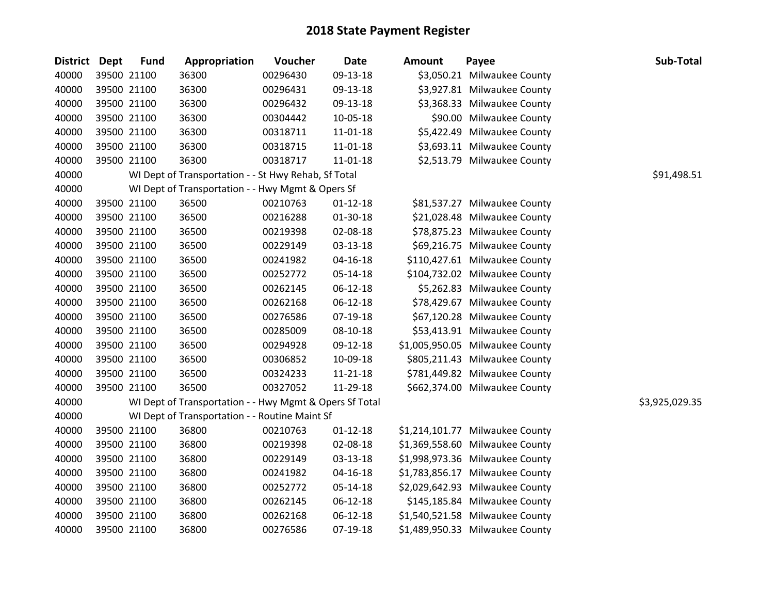| <b>District Dept</b> | <b>Fund</b> | Appropriation                                           | Voucher  | <b>Date</b>    | Amount | Payee                           | Sub-Total      |
|----------------------|-------------|---------------------------------------------------------|----------|----------------|--------|---------------------------------|----------------|
| 40000                | 39500 21100 | 36300                                                   | 00296430 | 09-13-18       |        | \$3,050.21 Milwaukee County     |                |
| 40000                | 39500 21100 | 36300                                                   | 00296431 | 09-13-18       |        | \$3,927.81 Milwaukee County     |                |
| 40000                | 39500 21100 | 36300                                                   | 00296432 | 09-13-18       |        | \$3,368.33 Milwaukee County     |                |
| 40000                | 39500 21100 | 36300                                                   | 00304442 | 10-05-18       |        | \$90.00 Milwaukee County        |                |
| 40000                | 39500 21100 | 36300                                                   | 00318711 | $11 - 01 - 18$ |        | \$5,422.49 Milwaukee County     |                |
| 40000                | 39500 21100 | 36300                                                   | 00318715 | 11-01-18       |        | \$3,693.11 Milwaukee County     |                |
| 40000                | 39500 21100 | 36300                                                   | 00318717 | 11-01-18       |        | \$2,513.79 Milwaukee County     |                |
| 40000                |             | WI Dept of Transportation - - St Hwy Rehab, Sf Total    |          |                |        |                                 | \$91,498.51    |
| 40000                |             | WI Dept of Transportation - - Hwy Mgmt & Opers Sf       |          |                |        |                                 |                |
| 40000                | 39500 21100 | 36500                                                   | 00210763 | $01 - 12 - 18$ |        | \$81,537.27 Milwaukee County    |                |
| 40000                | 39500 21100 | 36500                                                   | 00216288 | 01-30-18       |        | \$21,028.48 Milwaukee County    |                |
| 40000                | 39500 21100 | 36500                                                   | 00219398 | 02-08-18       |        | \$78,875.23 Milwaukee County    |                |
| 40000                | 39500 21100 | 36500                                                   | 00229149 | 03-13-18       |        | \$69,216.75 Milwaukee County    |                |
| 40000                | 39500 21100 | 36500                                                   | 00241982 | $04 - 16 - 18$ |        | \$110,427.61 Milwaukee County   |                |
| 40000                | 39500 21100 | 36500                                                   | 00252772 | 05-14-18       |        | \$104,732.02 Milwaukee County   |                |
| 40000                | 39500 21100 | 36500                                                   | 00262145 | 06-12-18       |        | \$5,262.83 Milwaukee County     |                |
| 40000                | 39500 21100 | 36500                                                   | 00262168 | 06-12-18       |        | \$78,429.67 Milwaukee County    |                |
| 40000                | 39500 21100 | 36500                                                   | 00276586 | 07-19-18       |        | \$67,120.28 Milwaukee County    |                |
| 40000                | 39500 21100 | 36500                                                   | 00285009 | 08-10-18       |        | \$53,413.91 Milwaukee County    |                |
| 40000                | 39500 21100 | 36500                                                   | 00294928 | 09-12-18       |        | \$1,005,950.05 Milwaukee County |                |
| 40000                | 39500 21100 | 36500                                                   | 00306852 | 10-09-18       |        | \$805,211.43 Milwaukee County   |                |
| 40000                | 39500 21100 | 36500                                                   | 00324233 | 11-21-18       |        | \$781,449.82 Milwaukee County   |                |
| 40000                | 39500 21100 | 36500                                                   | 00327052 | 11-29-18       |        | \$662,374.00 Milwaukee County   |                |
| 40000                |             | WI Dept of Transportation - - Hwy Mgmt & Opers Sf Total |          |                |        |                                 | \$3,925,029.35 |
| 40000                |             | WI Dept of Transportation - - Routine Maint Sf          |          |                |        |                                 |                |
| 40000                | 39500 21100 | 36800                                                   | 00210763 | $01 - 12 - 18$ |        | \$1,214,101.77 Milwaukee County |                |
| 40000                | 39500 21100 | 36800                                                   | 00219398 | 02-08-18       |        | \$1,369,558.60 Milwaukee County |                |
| 40000                | 39500 21100 | 36800                                                   | 00229149 | 03-13-18       |        | \$1,998,973.36 Milwaukee County |                |
| 40000                | 39500 21100 | 36800                                                   | 00241982 | $04 - 16 - 18$ |        | \$1,783,856.17 Milwaukee County |                |
| 40000                | 39500 21100 | 36800                                                   | 00252772 | 05-14-18       |        | \$2,029,642.93 Milwaukee County |                |
| 40000                | 39500 21100 | 36800                                                   | 00262145 | 06-12-18       |        | \$145,185.84 Milwaukee County   |                |
| 40000                | 39500 21100 | 36800                                                   | 00262168 | 06-12-18       |        | \$1,540,521.58 Milwaukee County |                |
| 40000                | 39500 21100 | 36800                                                   | 00276586 | 07-19-18       |        | \$1,489,950.33 Milwaukee County |                |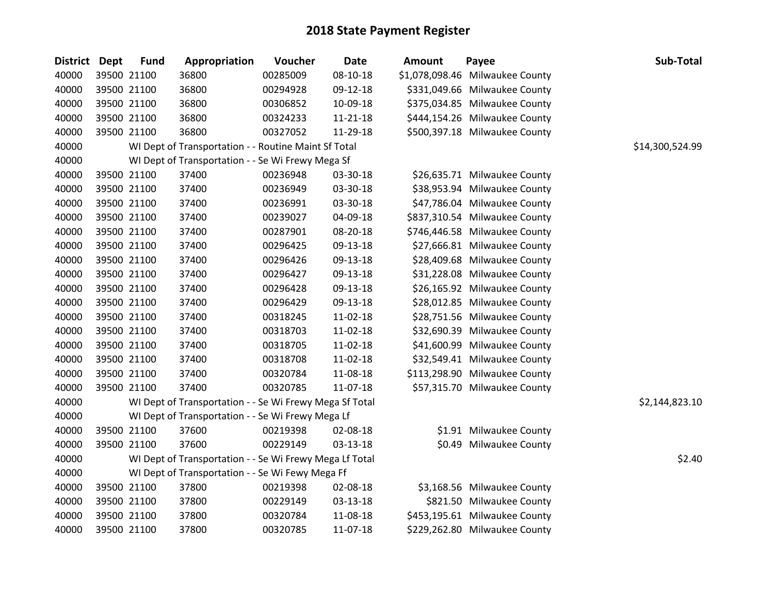| <b>District</b> | Dept | <b>Fund</b> | Appropriation                                           | Voucher  | <b>Date</b>    | <b>Amount</b> | Payee                           | Sub-Total       |
|-----------------|------|-------------|---------------------------------------------------------|----------|----------------|---------------|---------------------------------|-----------------|
| 40000           |      | 39500 21100 | 36800                                                   | 00285009 | $08 - 10 - 18$ |               | \$1,078,098.46 Milwaukee County |                 |
| 40000           |      | 39500 21100 | 36800                                                   | 00294928 | 09-12-18       |               | \$331,049.66 Milwaukee County   |                 |
| 40000           |      | 39500 21100 | 36800                                                   | 00306852 | 10-09-18       |               | \$375,034.85 Milwaukee County   |                 |
| 40000           |      | 39500 21100 | 36800                                                   | 00324233 | 11-21-18       |               | \$444,154.26 Milwaukee County   |                 |
| 40000           |      | 39500 21100 | 36800                                                   | 00327052 | 11-29-18       |               | \$500,397.18 Milwaukee County   |                 |
| 40000           |      |             | WI Dept of Transportation - - Routine Maint Sf Total    |          |                |               |                                 | \$14,300,524.99 |
| 40000           |      |             | WI Dept of Transportation - - Se Wi Frewy Mega Sf       |          |                |               |                                 |                 |
| 40000           |      | 39500 21100 | 37400                                                   | 00236948 | 03-30-18       |               | \$26,635.71 Milwaukee County    |                 |
| 40000           |      | 39500 21100 | 37400                                                   | 00236949 | 03-30-18       |               | \$38,953.94 Milwaukee County    |                 |
| 40000           |      | 39500 21100 | 37400                                                   | 00236991 | 03-30-18       |               | \$47,786.04 Milwaukee County    |                 |
| 40000           |      | 39500 21100 | 37400                                                   | 00239027 | 04-09-18       |               | \$837,310.54 Milwaukee County   |                 |
| 40000           |      | 39500 21100 | 37400                                                   | 00287901 | 08-20-18       |               | \$746,446.58 Milwaukee County   |                 |
| 40000           |      | 39500 21100 | 37400                                                   | 00296425 | 09-13-18       |               | \$27,666.81 Milwaukee County    |                 |
| 40000           |      | 39500 21100 | 37400                                                   | 00296426 | 09-13-18       |               | \$28,409.68 Milwaukee County    |                 |
| 40000           |      | 39500 21100 | 37400                                                   | 00296427 | 09-13-18       |               | \$31,228.08 Milwaukee County    |                 |
| 40000           |      | 39500 21100 | 37400                                                   | 00296428 | 09-13-18       |               | \$26,165.92 Milwaukee County    |                 |
| 40000           |      | 39500 21100 | 37400                                                   | 00296429 | 09-13-18       |               | \$28,012.85 Milwaukee County    |                 |
| 40000           |      | 39500 21100 | 37400                                                   | 00318245 | 11-02-18       |               | \$28,751.56 Milwaukee County    |                 |
| 40000           |      | 39500 21100 | 37400                                                   | 00318703 | 11-02-18       |               | \$32,690.39 Milwaukee County    |                 |
| 40000           |      | 39500 21100 | 37400                                                   | 00318705 | 11-02-18       |               | \$41,600.99 Milwaukee County    |                 |
| 40000           |      | 39500 21100 | 37400                                                   | 00318708 | 11-02-18       |               | \$32,549.41 Milwaukee County    |                 |
| 40000           |      | 39500 21100 | 37400                                                   | 00320784 | 11-08-18       |               | \$113,298.90 Milwaukee County   |                 |
| 40000           |      | 39500 21100 | 37400                                                   | 00320785 | 11-07-18       |               | \$57,315.70 Milwaukee County    |                 |
| 40000           |      |             | WI Dept of Transportation - - Se Wi Frewy Mega Sf Total |          |                |               |                                 | \$2,144,823.10  |
| 40000           |      |             | WI Dept of Transportation - - Se Wi Frewy Mega Lf       |          |                |               |                                 |                 |
| 40000           |      | 39500 21100 | 37600                                                   | 00219398 | 02-08-18       |               | \$1.91 Milwaukee County         |                 |
| 40000           |      | 39500 21100 | 37600                                                   | 00229149 | 03-13-18       |               | \$0.49 Milwaukee County         |                 |
| 40000           |      |             | WI Dept of Transportation - - Se Wi Frewy Mega Lf Total |          |                |               |                                 | \$2.40          |
| 40000           |      |             | WI Dept of Transportation - - Se Wi Fewy Mega Ff        |          |                |               |                                 |                 |
| 40000           |      | 39500 21100 | 37800                                                   | 00219398 | 02-08-18       |               | \$3,168.56 Milwaukee County     |                 |
| 40000           |      | 39500 21100 | 37800                                                   | 00229149 | $03 - 13 - 18$ |               | \$821.50 Milwaukee County       |                 |
| 40000           |      | 39500 21100 | 37800                                                   | 00320784 | 11-08-18       |               | \$453,195.61 Milwaukee County   |                 |
| 40000           |      | 39500 21100 | 37800                                                   | 00320785 | 11-07-18       |               | \$229,262.80 Milwaukee County   |                 |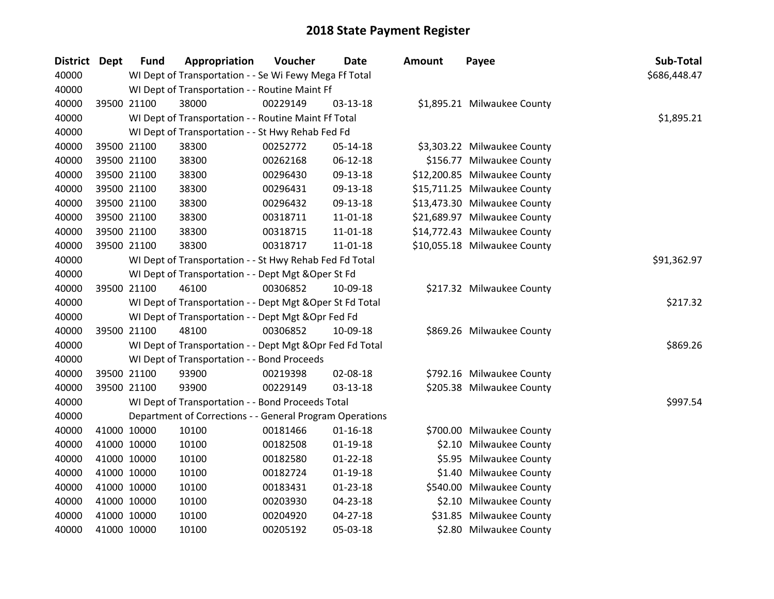| <b>District Dept</b> | <b>Fund</b> | Appropriation                                             | Voucher  | <b>Date</b>    | Amount | Payee                        | Sub-Total    |
|----------------------|-------------|-----------------------------------------------------------|----------|----------------|--------|------------------------------|--------------|
| 40000                |             | WI Dept of Transportation - - Se Wi Fewy Mega Ff Total    |          |                |        |                              | \$686,448.47 |
| 40000                |             | WI Dept of Transportation - - Routine Maint Ff            |          |                |        |                              |              |
| 40000                | 39500 21100 | 38000                                                     | 00229149 | 03-13-18       |        | \$1,895.21 Milwaukee County  |              |
| 40000                |             | WI Dept of Transportation - - Routine Maint Ff Total      |          |                |        |                              | \$1,895.21   |
| 40000                |             | WI Dept of Transportation - - St Hwy Rehab Fed Fd         |          |                |        |                              |              |
| 40000                | 39500 21100 | 38300                                                     | 00252772 | $05 - 14 - 18$ |        | \$3,303.22 Milwaukee County  |              |
| 40000                | 39500 21100 | 38300                                                     | 00262168 | 06-12-18       |        | \$156.77 Milwaukee County    |              |
| 40000                | 39500 21100 | 38300                                                     | 00296430 | 09-13-18       |        | \$12,200.85 Milwaukee County |              |
| 40000                | 39500 21100 | 38300                                                     | 00296431 | 09-13-18       |        | \$15,711.25 Milwaukee County |              |
| 40000                | 39500 21100 | 38300                                                     | 00296432 | 09-13-18       |        | \$13,473.30 Milwaukee County |              |
| 40000                | 39500 21100 | 38300                                                     | 00318711 | 11-01-18       |        | \$21,689.97 Milwaukee County |              |
| 40000                | 39500 21100 | 38300                                                     | 00318715 | 11-01-18       |        | \$14,772.43 Milwaukee County |              |
| 40000                | 39500 21100 | 38300                                                     | 00318717 | 11-01-18       |        | \$10,055.18 Milwaukee County |              |
| 40000                |             | WI Dept of Transportation - - St Hwy Rehab Fed Fd Total   |          |                |        |                              | \$91,362.97  |
| 40000                |             | WI Dept of Transportation - - Dept Mgt & Oper St Fd       |          |                |        |                              |              |
| 40000                | 39500 21100 | 46100                                                     | 00306852 | 10-09-18       |        | \$217.32 Milwaukee County    |              |
| 40000                |             | WI Dept of Transportation - - Dept Mgt & Oper St Fd Total |          |                |        |                              | \$217.32     |
| 40000                |             | WI Dept of Transportation - - Dept Mgt & Opr Fed Fd       |          |                |        |                              |              |
| 40000                | 39500 21100 | 48100                                                     | 00306852 | 10-09-18       |        | \$869.26 Milwaukee County    |              |
| 40000                |             | WI Dept of Transportation - - Dept Mgt & Opr Fed Fd Total |          |                |        |                              | \$869.26     |
| 40000                |             | WI Dept of Transportation - - Bond Proceeds               |          |                |        |                              |              |
| 40000                | 39500 21100 | 93900                                                     | 00219398 | 02-08-18       |        | \$792.16 Milwaukee County    |              |
| 40000                | 39500 21100 | 93900                                                     | 00229149 | 03-13-18       |        | \$205.38 Milwaukee County    |              |
| 40000                |             | WI Dept of Transportation - - Bond Proceeds Total         |          |                |        |                              | \$997.54     |
| 40000                |             | Department of Corrections - - General Program Operations  |          |                |        |                              |              |
| 40000                | 41000 10000 | 10100                                                     | 00181466 | $01 - 16 - 18$ |        | \$700.00 Milwaukee County    |              |
| 40000                | 41000 10000 | 10100                                                     | 00182508 | $01-19-18$     |        | \$2.10 Milwaukee County      |              |
| 40000                | 41000 10000 | 10100                                                     | 00182580 | $01 - 22 - 18$ |        | \$5.95 Milwaukee County      |              |
| 40000                | 41000 10000 | 10100                                                     | 00182724 | $01 - 19 - 18$ |        | \$1.40 Milwaukee County      |              |
| 40000                | 41000 10000 | 10100                                                     | 00183431 | $01 - 23 - 18$ |        | \$540.00 Milwaukee County    |              |
| 40000                | 41000 10000 | 10100                                                     | 00203930 | 04-23-18       |        | \$2.10 Milwaukee County      |              |
| 40000                | 41000 10000 | 10100                                                     | 00204920 | 04-27-18       |        | \$31.85 Milwaukee County     |              |
| 40000                | 41000 10000 | 10100                                                     | 00205192 | 05-03-18       |        | \$2.80 Milwaukee County      |              |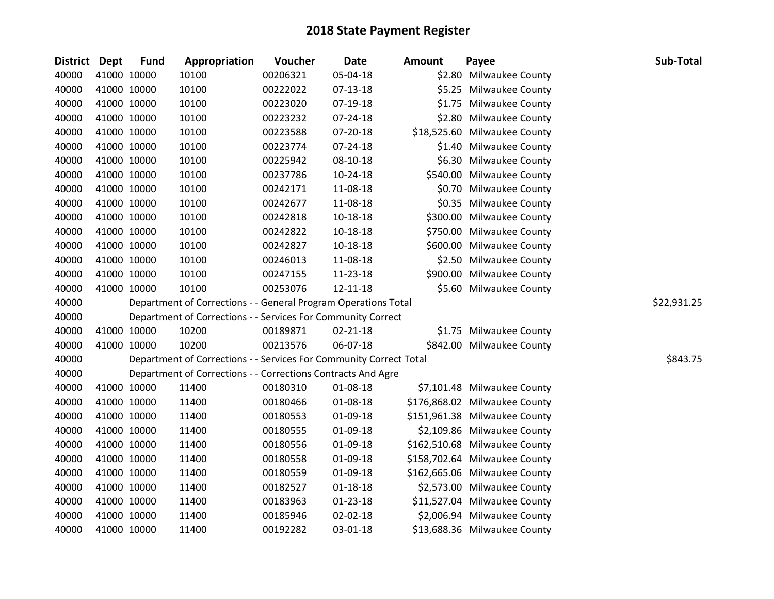| District Dept | <b>Fund</b> | Appropriation                                                      | Voucher  | <b>Date</b>    | <b>Amount</b> | Payee                         | Sub-Total   |
|---------------|-------------|--------------------------------------------------------------------|----------|----------------|---------------|-------------------------------|-------------|
| 40000         | 41000 10000 | 10100                                                              | 00206321 | 05-04-18       |               | \$2.80 Milwaukee County       |             |
| 40000         | 41000 10000 | 10100                                                              | 00222022 | 07-13-18       |               | \$5.25 Milwaukee County       |             |
| 40000         | 41000 10000 | 10100                                                              | 00223020 | 07-19-18       |               | \$1.75 Milwaukee County       |             |
| 40000         | 41000 10000 | 10100                                                              | 00223232 | 07-24-18       |               | \$2.80 Milwaukee County       |             |
| 40000         | 41000 10000 | 10100                                                              | 00223588 | 07-20-18       |               | \$18,525.60 Milwaukee County  |             |
| 40000         | 41000 10000 | 10100                                                              | 00223774 | 07-24-18       |               | \$1.40 Milwaukee County       |             |
| 40000         | 41000 10000 | 10100                                                              | 00225942 | 08-10-18       |               | \$6.30 Milwaukee County       |             |
| 40000         | 41000 10000 | 10100                                                              | 00237786 | 10-24-18       |               | \$540.00 Milwaukee County     |             |
| 40000         | 41000 10000 | 10100                                                              | 00242171 | 11-08-18       |               | \$0.70 Milwaukee County       |             |
| 40000         | 41000 10000 | 10100                                                              | 00242677 | 11-08-18       |               | \$0.35 Milwaukee County       |             |
| 40000         | 41000 10000 | 10100                                                              | 00242818 | 10-18-18       |               | \$300.00 Milwaukee County     |             |
| 40000         | 41000 10000 | 10100                                                              | 00242822 | 10-18-18       |               | \$750.00 Milwaukee County     |             |
| 40000         | 41000 10000 | 10100                                                              | 00242827 | 10-18-18       |               | \$600.00 Milwaukee County     |             |
| 40000         | 41000 10000 | 10100                                                              | 00246013 | 11-08-18       |               | \$2.50 Milwaukee County       |             |
| 40000         | 41000 10000 | 10100                                                              | 00247155 | 11-23-18       |               | \$900.00 Milwaukee County     |             |
| 40000         | 41000 10000 | 10100                                                              | 00253076 | 12-11-18       |               | \$5.60 Milwaukee County       |             |
| 40000         |             | Department of Corrections - - General Program Operations Total     |          |                |               |                               | \$22,931.25 |
| 40000         |             | Department of Corrections - - Services For Community Correct       |          |                |               |                               |             |
| 40000         | 41000 10000 | 10200                                                              | 00189871 | $02 - 21 - 18$ |               | \$1.75 Milwaukee County       |             |
| 40000         | 41000 10000 | 10200                                                              | 00213576 | 06-07-18       |               | \$842.00 Milwaukee County     |             |
| 40000         |             | Department of Corrections - - Services For Community Correct Total |          |                |               |                               | \$843.75    |
| 40000         |             | Department of Corrections - - Corrections Contracts And Agre       |          |                |               |                               |             |
| 40000         | 41000 10000 | 11400                                                              | 00180310 | 01-08-18       |               | \$7,101.48 Milwaukee County   |             |
| 40000         | 41000 10000 | 11400                                                              | 00180466 | 01-08-18       |               | \$176,868.02 Milwaukee County |             |
| 40000         | 41000 10000 | 11400                                                              | 00180553 | 01-09-18       |               | \$151,961.38 Milwaukee County |             |
| 40000         | 41000 10000 | 11400                                                              | 00180555 | 01-09-18       |               | \$2,109.86 Milwaukee County   |             |
| 40000         | 41000 10000 | 11400                                                              | 00180556 | 01-09-18       |               | \$162,510.68 Milwaukee County |             |
| 40000         | 41000 10000 | 11400                                                              | 00180558 | 01-09-18       |               | \$158,702.64 Milwaukee County |             |
| 40000         | 41000 10000 | 11400                                                              | 00180559 | 01-09-18       |               | \$162,665.06 Milwaukee County |             |
| 40000         | 41000 10000 | 11400                                                              | 00182527 | $01 - 18 - 18$ |               | \$2,573.00 Milwaukee County   |             |
| 40000         | 41000 10000 | 11400                                                              | 00183963 | $01 - 23 - 18$ |               | \$11,527.04 Milwaukee County  |             |
| 40000         | 41000 10000 | 11400                                                              | 00185946 | 02-02-18       |               | \$2,006.94 Milwaukee County   |             |
| 40000         | 41000 10000 | 11400                                                              | 00192282 | 03-01-18       |               | \$13,688.36 Milwaukee County  |             |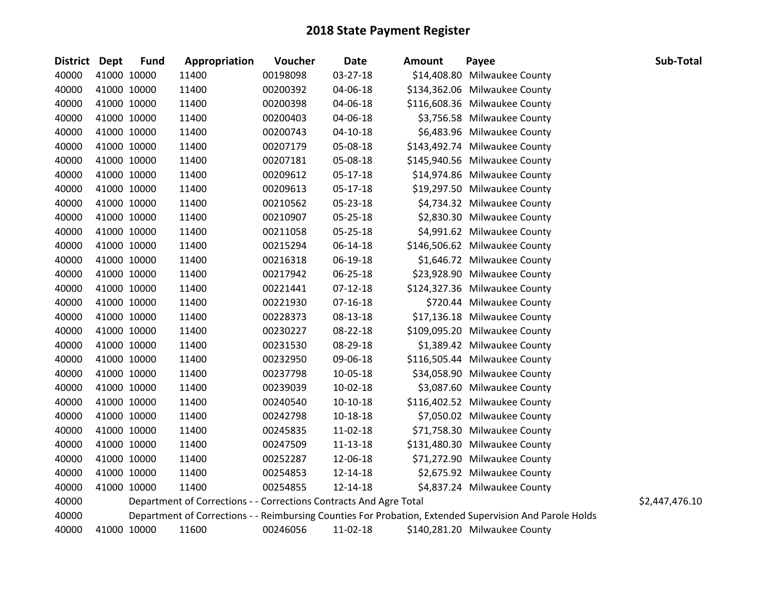| <b>District</b> | <b>Dept</b> | <b>Fund</b> | Appropriation                                                      | Voucher  | <b>Date</b>    | <b>Amount</b> | Payee                                                                                                   | Sub-Total      |
|-----------------|-------------|-------------|--------------------------------------------------------------------|----------|----------------|---------------|---------------------------------------------------------------------------------------------------------|----------------|
| 40000           |             | 41000 10000 | 11400                                                              | 00198098 | 03-27-18       |               | \$14,408.80 Milwaukee County                                                                            |                |
| 40000           |             | 41000 10000 | 11400                                                              | 00200392 | 04-06-18       |               | \$134,362.06 Milwaukee County                                                                           |                |
| 40000           |             | 41000 10000 | 11400                                                              | 00200398 | 04-06-18       |               | \$116,608.36 Milwaukee County                                                                           |                |
| 40000           |             | 41000 10000 | 11400                                                              | 00200403 | 04-06-18       |               | \$3,756.58 Milwaukee County                                                                             |                |
| 40000           |             | 41000 10000 | 11400                                                              | 00200743 | $04 - 10 - 18$ |               | \$6,483.96 Milwaukee County                                                                             |                |
| 40000           |             | 41000 10000 | 11400                                                              | 00207179 | 05-08-18       |               | \$143,492.74 Milwaukee County                                                                           |                |
| 40000           |             | 41000 10000 | 11400                                                              | 00207181 | 05-08-18       |               | \$145,940.56 Milwaukee County                                                                           |                |
| 40000           |             | 41000 10000 | 11400                                                              | 00209612 | 05-17-18       |               | \$14,974.86 Milwaukee County                                                                            |                |
| 40000           |             | 41000 10000 | 11400                                                              | 00209613 | 05-17-18       |               | \$19,297.50 Milwaukee County                                                                            |                |
| 40000           |             | 41000 10000 | 11400                                                              | 00210562 | 05-23-18       |               | \$4,734.32 Milwaukee County                                                                             |                |
| 40000           |             | 41000 10000 | 11400                                                              | 00210907 | 05-25-18       |               | \$2,830.30 Milwaukee County                                                                             |                |
| 40000           |             | 41000 10000 | 11400                                                              | 00211058 | 05-25-18       |               | \$4,991.62 Milwaukee County                                                                             |                |
| 40000           |             | 41000 10000 | 11400                                                              | 00215294 | 06-14-18       |               | \$146,506.62 Milwaukee County                                                                           |                |
| 40000           |             | 41000 10000 | 11400                                                              | 00216318 | 06-19-18       |               | \$1,646.72 Milwaukee County                                                                             |                |
| 40000           |             | 41000 10000 | 11400                                                              | 00217942 | 06-25-18       |               | \$23,928.90 Milwaukee County                                                                            |                |
| 40000           |             | 41000 10000 | 11400                                                              | 00221441 | $07 - 12 - 18$ |               | \$124,327.36 Milwaukee County                                                                           |                |
| 40000           |             | 41000 10000 | 11400                                                              | 00221930 | $07 - 16 - 18$ |               | \$720.44 Milwaukee County                                                                               |                |
| 40000           |             | 41000 10000 | 11400                                                              | 00228373 | 08-13-18       |               | \$17,136.18 Milwaukee County                                                                            |                |
| 40000           |             | 41000 10000 | 11400                                                              | 00230227 | 08-22-18       |               | \$109,095.20 Milwaukee County                                                                           |                |
| 40000           |             | 41000 10000 | 11400                                                              | 00231530 | 08-29-18       |               | \$1,389.42 Milwaukee County                                                                             |                |
| 40000           |             | 41000 10000 | 11400                                                              | 00232950 | 09-06-18       |               | \$116,505.44 Milwaukee County                                                                           |                |
| 40000           |             | 41000 10000 | 11400                                                              | 00237798 | 10-05-18       |               | \$34,058.90 Milwaukee County                                                                            |                |
| 40000           |             | 41000 10000 | 11400                                                              | 00239039 | 10-02-18       |               | \$3,087.60 Milwaukee County                                                                             |                |
| 40000           |             | 41000 10000 | 11400                                                              | 00240540 | $10-10-18$     |               | \$116,402.52 Milwaukee County                                                                           |                |
| 40000           |             | 41000 10000 | 11400                                                              | 00242798 | 10-18-18       |               | \$7,050.02 Milwaukee County                                                                             |                |
| 40000           |             | 41000 10000 | 11400                                                              | 00245835 | 11-02-18       |               | \$71,758.30 Milwaukee County                                                                            |                |
| 40000           |             | 41000 10000 | 11400                                                              | 00247509 | $11 - 13 - 18$ |               | \$131,480.30 Milwaukee County                                                                           |                |
| 40000           |             | 41000 10000 | 11400                                                              | 00252287 | 12-06-18       |               | \$71,272.90 Milwaukee County                                                                            |                |
| 40000           |             | 41000 10000 | 11400                                                              | 00254853 | 12-14-18       |               | \$2,675.92 Milwaukee County                                                                             |                |
| 40000           |             | 41000 10000 | 11400                                                              | 00254855 | 12-14-18       |               | \$4,837.24 Milwaukee County                                                                             |                |
| 40000           |             |             | Department of Corrections - - Corrections Contracts And Agre Total |          |                |               |                                                                                                         | \$2,447,476.10 |
| 40000           |             |             |                                                                    |          |                |               | Department of Corrections - - Reimbursing Counties For Probation, Extended Supervision And Parole Holds |                |
| 40000           |             | 41000 10000 | 11600                                                              | 00246056 | 11-02-18       |               | \$140,281.20 Milwaukee County                                                                           |                |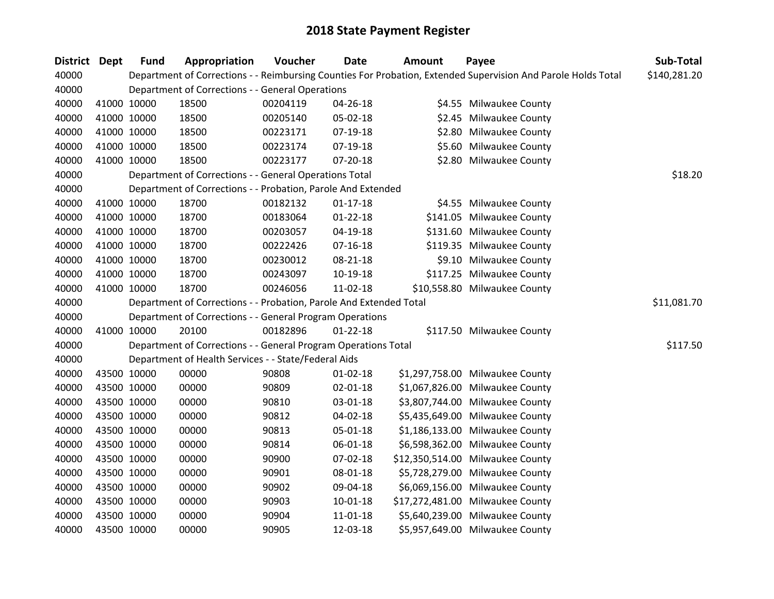| District Dept | <b>Fund</b> | Appropriation                                                      | Voucher  | Date           | <b>Amount</b> | Payee                                                                                                         | Sub-Total    |
|---------------|-------------|--------------------------------------------------------------------|----------|----------------|---------------|---------------------------------------------------------------------------------------------------------------|--------------|
| 40000         |             |                                                                    |          |                |               | Department of Corrections - - Reimbursing Counties For Probation, Extended Supervision And Parole Holds Total | \$140,281.20 |
| 40000         |             | Department of Corrections - - General Operations                   |          |                |               |                                                                                                               |              |
| 40000         | 41000 10000 | 18500                                                              | 00204119 | 04-26-18       |               | \$4.55 Milwaukee County                                                                                       |              |
| 40000         | 41000 10000 | 18500                                                              | 00205140 | 05-02-18       |               | \$2.45 Milwaukee County                                                                                       |              |
| 40000         | 41000 10000 | 18500                                                              | 00223171 | 07-19-18       |               | \$2.80 Milwaukee County                                                                                       |              |
| 40000         | 41000 10000 | 18500                                                              | 00223174 | 07-19-18       |               | \$5.60 Milwaukee County                                                                                       |              |
| 40000         | 41000 10000 | 18500                                                              | 00223177 | $07 - 20 - 18$ |               | \$2.80 Milwaukee County                                                                                       |              |
| 40000         |             | Department of Corrections - - General Operations Total             |          |                |               |                                                                                                               | \$18.20      |
| 40000         |             | Department of Corrections - - Probation, Parole And Extended       |          |                |               |                                                                                                               |              |
| 40000         | 41000 10000 | 18700                                                              | 00182132 | $01 - 17 - 18$ |               | \$4.55 Milwaukee County                                                                                       |              |
| 40000         | 41000 10000 | 18700                                                              | 00183064 | $01 - 22 - 18$ |               | \$141.05 Milwaukee County                                                                                     |              |
| 40000         | 41000 10000 | 18700                                                              | 00203057 | 04-19-18       |               | \$131.60 Milwaukee County                                                                                     |              |
| 40000         | 41000 10000 | 18700                                                              | 00222426 | $07-16-18$     |               | \$119.35 Milwaukee County                                                                                     |              |
| 40000         | 41000 10000 | 18700                                                              | 00230012 | 08-21-18       |               | \$9.10 Milwaukee County                                                                                       |              |
| 40000         | 41000 10000 | 18700                                                              | 00243097 | $10-19-18$     |               | \$117.25 Milwaukee County                                                                                     |              |
| 40000         | 41000 10000 | 18700                                                              | 00246056 | 11-02-18       |               | \$10,558.80 Milwaukee County                                                                                  |              |
| 40000         |             | Department of Corrections - - Probation, Parole And Extended Total |          |                |               |                                                                                                               | \$11,081.70  |
| 40000         |             | Department of Corrections - - General Program Operations           |          |                |               |                                                                                                               |              |
| 40000         | 41000 10000 | 20100                                                              | 00182896 | $01 - 22 - 18$ |               | \$117.50 Milwaukee County                                                                                     |              |
| 40000         |             | Department of Corrections - - General Program Operations Total     |          |                |               |                                                                                                               | \$117.50     |
| 40000         |             | Department of Health Services - - State/Federal Aids               |          |                |               |                                                                                                               |              |
| 40000         | 43500 10000 | 00000                                                              | 90808    | $01 - 02 - 18$ |               | \$1,297,758.00 Milwaukee County                                                                               |              |
| 40000         | 43500 10000 | 00000                                                              | 90809    | $02 - 01 - 18$ |               | \$1,067,826.00 Milwaukee County                                                                               |              |
| 40000         | 43500 10000 | 00000                                                              | 90810    | 03-01-18       |               | \$3,807,744.00 Milwaukee County                                                                               |              |
| 40000         | 43500 10000 | 00000                                                              | 90812    | 04-02-18       |               | \$5,435,649.00 Milwaukee County                                                                               |              |
| 40000         | 43500 10000 | 00000                                                              | 90813    | 05-01-18       |               | \$1,186,133.00 Milwaukee County                                                                               |              |
| 40000         | 43500 10000 | 00000                                                              | 90814    | 06-01-18       |               | \$6,598,362.00 Milwaukee County                                                                               |              |
| 40000         | 43500 10000 | 00000                                                              | 90900    | 07-02-18       |               | \$12,350,514.00 Milwaukee County                                                                              |              |
| 40000         | 43500 10000 | 00000                                                              | 90901    | 08-01-18       |               | \$5,728,279.00 Milwaukee County                                                                               |              |
| 40000         | 43500 10000 | 00000                                                              | 90902    | 09-04-18       |               | \$6,069,156.00 Milwaukee County                                                                               |              |
| 40000         | 43500 10000 | 00000                                                              | 90903    | $10 - 01 - 18$ |               | \$17,272,481.00 Milwaukee County                                                                              |              |
| 40000         | 43500 10000 | 00000                                                              | 90904    | 11-01-18       |               | \$5,640,239.00 Milwaukee County                                                                               |              |
| 40000         | 43500 10000 | 00000                                                              | 90905    | 12-03-18       |               | \$5,957,649.00 Milwaukee County                                                                               |              |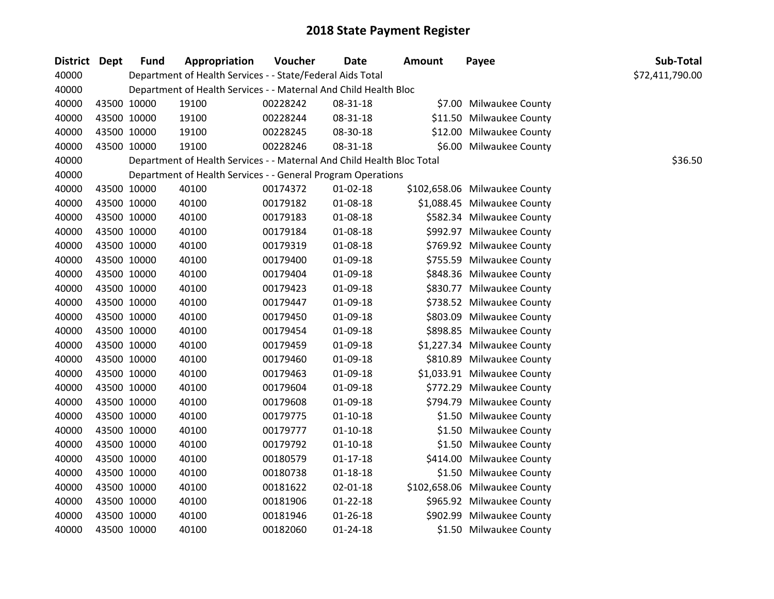| <b>District Dept</b> | <b>Fund</b> | Appropriation                                                          | Voucher  | <b>Date</b>    | Amount | Payee                         | Sub-Total       |
|----------------------|-------------|------------------------------------------------------------------------|----------|----------------|--------|-------------------------------|-----------------|
| 40000                |             | Department of Health Services - - State/Federal Aids Total             |          |                |        |                               | \$72,411,790.00 |
| 40000                |             | Department of Health Services - - Maternal And Child Health Bloc       |          |                |        |                               |                 |
| 40000                | 43500 10000 | 19100                                                                  | 00228242 | 08-31-18       |        | \$7.00 Milwaukee County       |                 |
| 40000                | 43500 10000 | 19100                                                                  | 00228244 | 08-31-18       |        | \$11.50 Milwaukee County      |                 |
| 40000                | 43500 10000 | 19100                                                                  | 00228245 | 08-30-18       |        | \$12.00 Milwaukee County      |                 |
| 40000                | 43500 10000 | 19100                                                                  | 00228246 | 08-31-18       |        | \$6.00 Milwaukee County       |                 |
| 40000                |             | Department of Health Services - - Maternal And Child Health Bloc Total |          |                |        |                               | \$36.50         |
| 40000                |             | Department of Health Services - - General Program Operations           |          |                |        |                               |                 |
| 40000                | 43500 10000 | 40100                                                                  | 00174372 | $01 - 02 - 18$ |        | \$102,658.06 Milwaukee County |                 |
| 40000                | 43500 10000 | 40100                                                                  | 00179182 | 01-08-18       |        | \$1,088.45 Milwaukee County   |                 |
| 40000                | 43500 10000 | 40100                                                                  | 00179183 | 01-08-18       |        | \$582.34 Milwaukee County     |                 |
| 40000                | 43500 10000 | 40100                                                                  | 00179184 | 01-08-18       |        | \$992.97 Milwaukee County     |                 |
| 40000                | 43500 10000 | 40100                                                                  | 00179319 | 01-08-18       |        | \$769.92 Milwaukee County     |                 |
| 40000                | 43500 10000 | 40100                                                                  | 00179400 | 01-09-18       |        | \$755.59 Milwaukee County     |                 |
| 40000                | 43500 10000 | 40100                                                                  | 00179404 | 01-09-18       |        | \$848.36 Milwaukee County     |                 |
| 40000                | 43500 10000 | 40100                                                                  | 00179423 | 01-09-18       |        | \$830.77 Milwaukee County     |                 |
| 40000                | 43500 10000 | 40100                                                                  | 00179447 | $01-09-18$     |        | \$738.52 Milwaukee County     |                 |
| 40000                | 43500 10000 | 40100                                                                  | 00179450 | 01-09-18       |        | \$803.09 Milwaukee County     |                 |
| 40000                | 43500 10000 | 40100                                                                  | 00179454 | 01-09-18       |        | \$898.85 Milwaukee County     |                 |
| 40000                | 43500 10000 | 40100                                                                  | 00179459 | 01-09-18       |        | \$1,227.34 Milwaukee County   |                 |
| 40000                | 43500 10000 | 40100                                                                  | 00179460 | 01-09-18       |        | \$810.89 Milwaukee County     |                 |
| 40000                | 43500 10000 | 40100                                                                  | 00179463 | 01-09-18       |        | \$1,033.91 Milwaukee County   |                 |
| 40000                | 43500 10000 | 40100                                                                  | 00179604 | 01-09-18       |        | \$772.29 Milwaukee County     |                 |
| 40000                | 43500 10000 | 40100                                                                  | 00179608 | 01-09-18       |        | \$794.79 Milwaukee County     |                 |
| 40000                | 43500 10000 | 40100                                                                  | 00179775 | $01 - 10 - 18$ |        | \$1.50 Milwaukee County       |                 |
| 40000                | 43500 10000 | 40100                                                                  | 00179777 | $01 - 10 - 18$ |        | \$1.50 Milwaukee County       |                 |
| 40000                | 43500 10000 | 40100                                                                  | 00179792 | $01-10-18$     |        | \$1.50 Milwaukee County       |                 |
| 40000                | 43500 10000 | 40100                                                                  | 00180579 | $01-17-18$     |        | \$414.00 Milwaukee County     |                 |
| 40000                | 43500 10000 | 40100                                                                  | 00180738 | $01 - 18 - 18$ |        | \$1.50 Milwaukee County       |                 |
| 40000                | 43500 10000 | 40100                                                                  | 00181622 | 02-01-18       |        | \$102,658.06 Milwaukee County |                 |
| 40000                | 43500 10000 | 40100                                                                  | 00181906 | $01 - 22 - 18$ |        | \$965.92 Milwaukee County     |                 |
| 40000                | 43500 10000 | 40100                                                                  | 00181946 | $01 - 26 - 18$ |        | \$902.99 Milwaukee County     |                 |
| 40000                | 43500 10000 | 40100                                                                  | 00182060 | 01-24-18       |        | \$1.50 Milwaukee County       |                 |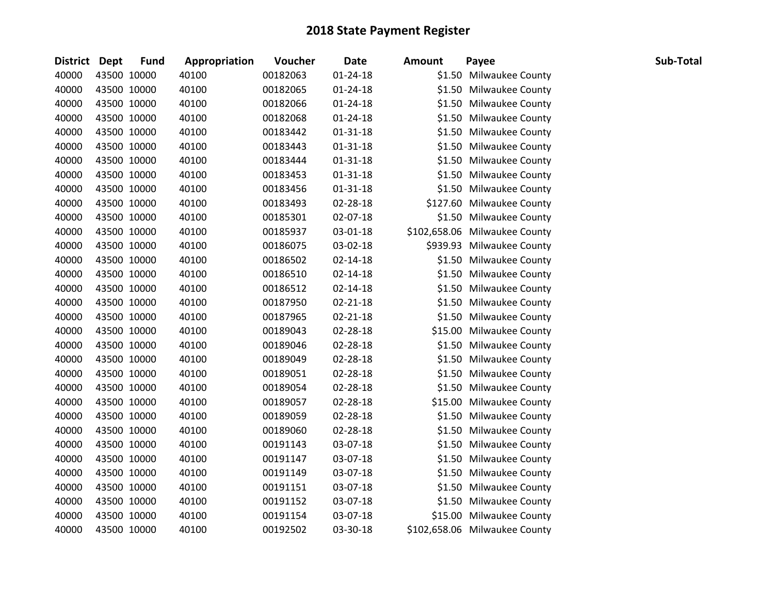| <b>District Dept</b> |             | <b>Fund</b> | Appropriation | Voucher  | <b>Date</b>    | <b>Amount</b> | Payee                         | Sub-Total |
|----------------------|-------------|-------------|---------------|----------|----------------|---------------|-------------------------------|-----------|
| 40000                |             | 43500 10000 | 40100         | 00182063 | $01 - 24 - 18$ |               | \$1.50 Milwaukee County       |           |
| 40000                |             | 43500 10000 | 40100         | 00182065 | $01 - 24 - 18$ |               | \$1.50 Milwaukee County       |           |
| 40000                |             | 43500 10000 | 40100         | 00182066 | $01 - 24 - 18$ |               | \$1.50 Milwaukee County       |           |
| 40000                |             | 43500 10000 | 40100         | 00182068 | 01-24-18       |               | \$1.50 Milwaukee County       |           |
| 40000                |             | 43500 10000 | 40100         | 00183442 | $01 - 31 - 18$ |               | \$1.50 Milwaukee County       |           |
| 40000                |             | 43500 10000 | 40100         | 00183443 | $01 - 31 - 18$ |               | \$1.50 Milwaukee County       |           |
| 40000                |             | 43500 10000 | 40100         | 00183444 | $01 - 31 - 18$ |               | \$1.50 Milwaukee County       |           |
| 40000                |             | 43500 10000 | 40100         | 00183453 | $01 - 31 - 18$ |               | \$1.50 Milwaukee County       |           |
| 40000                |             | 43500 10000 | 40100         | 00183456 | $01 - 31 - 18$ |               | \$1.50 Milwaukee County       |           |
| 40000                |             | 43500 10000 | 40100         | 00183493 | 02-28-18       |               | \$127.60 Milwaukee County     |           |
| 40000                |             | 43500 10000 | 40100         | 00185301 | 02-07-18       |               | \$1.50 Milwaukee County       |           |
| 40000                |             | 43500 10000 | 40100         | 00185937 | 03-01-18       |               | \$102,658.06 Milwaukee County |           |
| 40000                |             | 43500 10000 | 40100         | 00186075 | 03-02-18       |               | \$939.93 Milwaukee County     |           |
| 40000                |             | 43500 10000 | 40100         | 00186502 | $02 - 14 - 18$ |               | \$1.50 Milwaukee County       |           |
| 40000                |             | 43500 10000 | 40100         | 00186510 | 02-14-18       |               | \$1.50 Milwaukee County       |           |
| 40000                |             | 43500 10000 | 40100         | 00186512 | $02 - 14 - 18$ |               | \$1.50 Milwaukee County       |           |
| 40000                |             | 43500 10000 | 40100         | 00187950 | $02 - 21 - 18$ |               | \$1.50 Milwaukee County       |           |
| 40000                |             | 43500 10000 | 40100         | 00187965 | $02 - 21 - 18$ |               | \$1.50 Milwaukee County       |           |
| 40000                |             | 43500 10000 | 40100         | 00189043 | 02-28-18       |               | \$15.00 Milwaukee County      |           |
| 40000                |             | 43500 10000 | 40100         | 00189046 | 02-28-18       |               | \$1.50 Milwaukee County       |           |
| 40000                |             | 43500 10000 | 40100         | 00189049 | 02-28-18       |               | \$1.50 Milwaukee County       |           |
| 40000                |             | 43500 10000 | 40100         | 00189051 | 02-28-18       |               | \$1.50 Milwaukee County       |           |
| 40000                |             | 43500 10000 | 40100         | 00189054 | 02-28-18       |               | \$1.50 Milwaukee County       |           |
| 40000                |             | 43500 10000 | 40100         | 00189057 | 02-28-18       |               | \$15.00 Milwaukee County      |           |
| 40000                |             | 43500 10000 | 40100         | 00189059 | 02-28-18       |               | \$1.50 Milwaukee County       |           |
| 40000                |             | 43500 10000 | 40100         | 00189060 | 02-28-18       |               | \$1.50 Milwaukee County       |           |
| 40000                |             | 43500 10000 | 40100         | 00191143 | 03-07-18       |               | \$1.50 Milwaukee County       |           |
| 40000                |             | 43500 10000 | 40100         | 00191147 | 03-07-18       |               | \$1.50 Milwaukee County       |           |
| 40000                |             | 43500 10000 | 40100         | 00191149 | 03-07-18       | \$1.50        | Milwaukee County              |           |
| 40000                |             | 43500 10000 | 40100         | 00191151 | 03-07-18       |               | \$1.50 Milwaukee County       |           |
| 40000                |             | 43500 10000 | 40100         | 00191152 | 03-07-18       |               | \$1.50 Milwaukee County       |           |
| 40000                |             | 43500 10000 | 40100         | 00191154 | 03-07-18       |               | \$15.00 Milwaukee County      |           |
| 40000                | 43500 10000 |             | 40100         | 00192502 | 03-30-18       |               | \$102,658.06 Milwaukee County |           |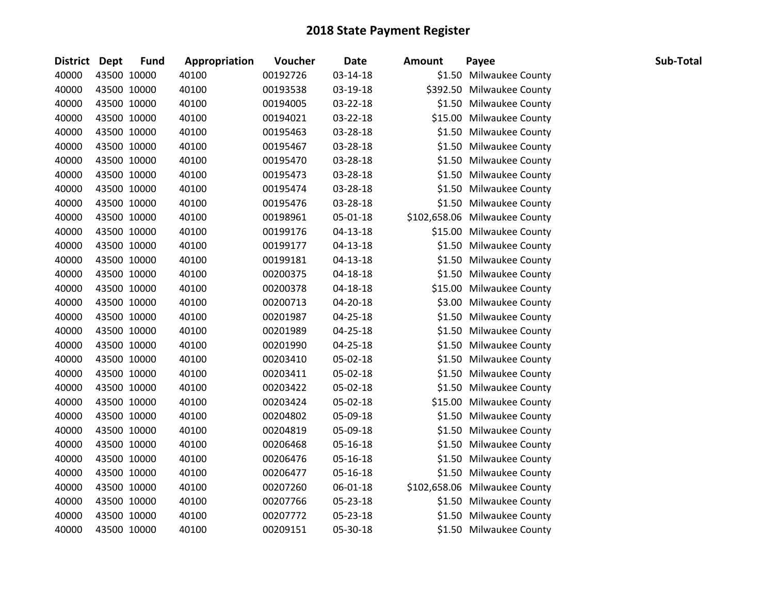| <b>District</b> | Dept        | <b>Fund</b> | Appropriation | Voucher  | <b>Date</b>    | <b>Amount</b> | Payee                         | Sub-Total |
|-----------------|-------------|-------------|---------------|----------|----------------|---------------|-------------------------------|-----------|
| 40000           |             | 43500 10000 | 40100         | 00192726 | 03-14-18       |               | \$1.50 Milwaukee County       |           |
| 40000           |             | 43500 10000 | 40100         | 00193538 | 03-19-18       |               | \$392.50 Milwaukee County     |           |
| 40000           |             | 43500 10000 | 40100         | 00194005 | 03-22-18       |               | \$1.50 Milwaukee County       |           |
| 40000           |             | 43500 10000 | 40100         | 00194021 | 03-22-18       |               | \$15.00 Milwaukee County      |           |
| 40000           |             | 43500 10000 | 40100         | 00195463 | 03-28-18       |               | \$1.50 Milwaukee County       |           |
| 40000           |             | 43500 10000 | 40100         | 00195467 | 03-28-18       |               | \$1.50 Milwaukee County       |           |
| 40000           |             | 43500 10000 | 40100         | 00195470 | 03-28-18       |               | \$1.50 Milwaukee County       |           |
| 40000           |             | 43500 10000 | 40100         | 00195473 | 03-28-18       |               | \$1.50 Milwaukee County       |           |
| 40000           |             | 43500 10000 | 40100         | 00195474 | 03-28-18       |               | \$1.50 Milwaukee County       |           |
| 40000           |             | 43500 10000 | 40100         | 00195476 | 03-28-18       |               | \$1.50 Milwaukee County       |           |
| 40000           |             | 43500 10000 | 40100         | 00198961 | 05-01-18       |               | \$102,658.06 Milwaukee County |           |
| 40000           |             | 43500 10000 | 40100         | 00199176 | 04-13-18       |               | \$15.00 Milwaukee County      |           |
| 40000           |             | 43500 10000 | 40100         | 00199177 | $04 - 13 - 18$ |               | \$1.50 Milwaukee County       |           |
| 40000           |             | 43500 10000 | 40100         | 00199181 | 04-13-18       |               | \$1.50 Milwaukee County       |           |
| 40000           |             | 43500 10000 | 40100         | 00200375 | 04-18-18       |               | \$1.50 Milwaukee County       |           |
| 40000           |             | 43500 10000 | 40100         | 00200378 | 04-18-18       |               | \$15.00 Milwaukee County      |           |
| 40000           |             | 43500 10000 | 40100         | 00200713 | 04-20-18       |               | \$3.00 Milwaukee County       |           |
| 40000           |             | 43500 10000 | 40100         | 00201987 | 04-25-18       |               | \$1.50 Milwaukee County       |           |
| 40000           |             | 43500 10000 | 40100         | 00201989 | 04-25-18       |               | \$1.50 Milwaukee County       |           |
| 40000           |             | 43500 10000 | 40100         | 00201990 | 04-25-18       |               | \$1.50 Milwaukee County       |           |
| 40000           |             | 43500 10000 | 40100         | 00203410 | 05-02-18       |               | \$1.50 Milwaukee County       |           |
| 40000           |             | 43500 10000 | 40100         | 00203411 | 05-02-18       |               | \$1.50 Milwaukee County       |           |
| 40000           |             | 43500 10000 | 40100         | 00203422 | 05-02-18       |               | \$1.50 Milwaukee County       |           |
| 40000           |             | 43500 10000 | 40100         | 00203424 | 05-02-18       |               | \$15.00 Milwaukee County      |           |
| 40000           |             | 43500 10000 | 40100         | 00204802 | 05-09-18       |               | \$1.50 Milwaukee County       |           |
| 40000           |             | 43500 10000 | 40100         | 00204819 | 05-09-18       |               | \$1.50 Milwaukee County       |           |
| 40000           |             | 43500 10000 | 40100         | 00206468 | 05-16-18       |               | \$1.50 Milwaukee County       |           |
| 40000           |             | 43500 10000 | 40100         | 00206476 | 05-16-18       |               | \$1.50 Milwaukee County       |           |
| 40000           |             | 43500 10000 | 40100         | 00206477 | 05-16-18       |               | \$1.50 Milwaukee County       |           |
| 40000           |             | 43500 10000 | 40100         | 00207260 | 06-01-18       |               | \$102,658.06 Milwaukee County |           |
| 40000           |             | 43500 10000 | 40100         | 00207766 | 05-23-18       |               | \$1.50 Milwaukee County       |           |
| 40000           |             | 43500 10000 | 40100         | 00207772 | 05-23-18       |               | \$1.50 Milwaukee County       |           |
| 40000           | 43500 10000 |             | 40100         | 00209151 | 05-30-18       |               | \$1.50 Milwaukee County       |           |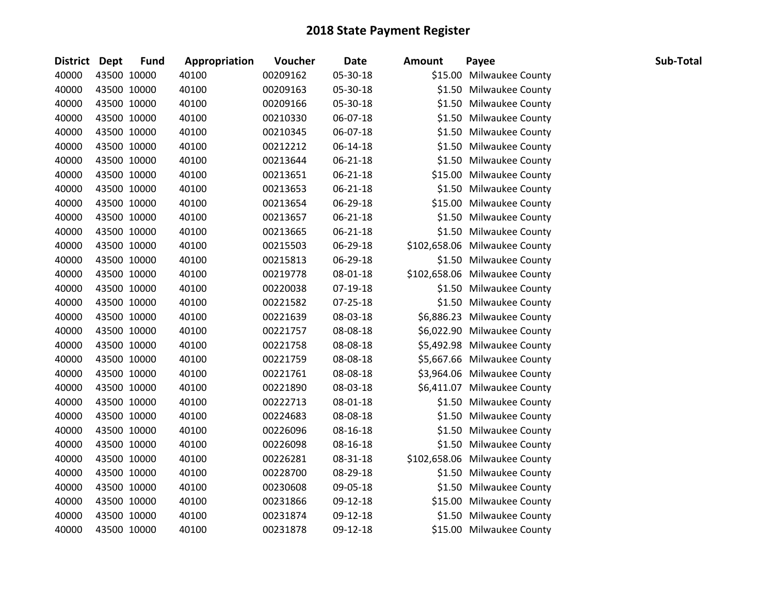| District Dept |             | <b>Fund</b> | Appropriation | Voucher  | <b>Date</b> | <b>Amount</b> | Payee                         | Sub-Total |
|---------------|-------------|-------------|---------------|----------|-------------|---------------|-------------------------------|-----------|
| 40000         | 43500 10000 |             | 40100         | 00209162 | 05-30-18    |               | \$15.00 Milwaukee County      |           |
| 40000         | 43500 10000 |             | 40100         | 00209163 | 05-30-18    |               | \$1.50 Milwaukee County       |           |
| 40000         | 43500 10000 |             | 40100         | 00209166 | 05-30-18    |               | \$1.50 Milwaukee County       |           |
| 40000         | 43500 10000 |             | 40100         | 00210330 | 06-07-18    |               | \$1.50 Milwaukee County       |           |
| 40000         | 43500 10000 |             | 40100         | 00210345 | 06-07-18    |               | \$1.50 Milwaukee County       |           |
| 40000         | 43500 10000 |             | 40100         | 00212212 | 06-14-18    |               | \$1.50 Milwaukee County       |           |
| 40000         | 43500 10000 |             | 40100         | 00213644 | 06-21-18    |               | \$1.50 Milwaukee County       |           |
| 40000         | 43500 10000 |             | 40100         | 00213651 | 06-21-18    |               | \$15.00 Milwaukee County      |           |
| 40000         | 43500 10000 |             | 40100         | 00213653 | 06-21-18    |               | \$1.50 Milwaukee County       |           |
| 40000         | 43500 10000 |             | 40100         | 00213654 | 06-29-18    |               | \$15.00 Milwaukee County      |           |
| 40000         | 43500 10000 |             | 40100         | 00213657 | 06-21-18    |               | \$1.50 Milwaukee County       |           |
| 40000         | 43500 10000 |             | 40100         | 00213665 | 06-21-18    |               | \$1.50 Milwaukee County       |           |
| 40000         | 43500 10000 |             | 40100         | 00215503 | 06-29-18    |               | \$102,658.06 Milwaukee County |           |
| 40000         | 43500 10000 |             | 40100         | 00215813 | 06-29-18    |               | \$1.50 Milwaukee County       |           |
| 40000         | 43500 10000 |             | 40100         | 00219778 | 08-01-18    |               | \$102,658.06 Milwaukee County |           |
| 40000         | 43500 10000 |             | 40100         | 00220038 | 07-19-18    |               | \$1.50 Milwaukee County       |           |
| 40000         | 43500 10000 |             | 40100         | 00221582 | 07-25-18    |               | \$1.50 Milwaukee County       |           |
| 40000         | 43500 10000 |             | 40100         | 00221639 | 08-03-18    |               | \$6,886.23 Milwaukee County   |           |
| 40000         | 43500 10000 |             | 40100         | 00221757 | 08-08-18    |               | \$6,022.90 Milwaukee County   |           |
| 40000         | 43500 10000 |             | 40100         | 00221758 | 08-08-18    |               | \$5,492.98 Milwaukee County   |           |
| 40000         | 43500 10000 |             | 40100         | 00221759 | 08-08-18    |               | \$5,667.66 Milwaukee County   |           |
| 40000         | 43500 10000 |             | 40100         | 00221761 | 08-08-18    |               | \$3,964.06 Milwaukee County   |           |
| 40000         | 43500 10000 |             | 40100         | 00221890 | 08-03-18    |               | \$6,411.07 Milwaukee County   |           |
| 40000         | 43500 10000 |             | 40100         | 00222713 | 08-01-18    |               | \$1.50 Milwaukee County       |           |
| 40000         | 43500 10000 |             | 40100         | 00224683 | 08-08-18    |               | \$1.50 Milwaukee County       |           |
| 40000         | 43500 10000 |             | 40100         | 00226096 | 08-16-18    |               | \$1.50 Milwaukee County       |           |
| 40000         | 43500 10000 |             | 40100         | 00226098 | 08-16-18    |               | \$1.50 Milwaukee County       |           |
| 40000         | 43500 10000 |             | 40100         | 00226281 | 08-31-18    |               | \$102,658.06 Milwaukee County |           |
| 40000         | 43500 10000 |             | 40100         | 00228700 | 08-29-18    |               | \$1.50 Milwaukee County       |           |
| 40000         | 43500 10000 |             | 40100         | 00230608 | 09-05-18    |               | \$1.50 Milwaukee County       |           |
| 40000         | 43500 10000 |             | 40100         | 00231866 | 09-12-18    |               | \$15.00 Milwaukee County      |           |
| 40000         | 43500 10000 |             | 40100         | 00231874 | 09-12-18    |               | \$1.50 Milwaukee County       |           |
| 40000         | 43500 10000 |             | 40100         | 00231878 | 09-12-18    |               | \$15.00 Milwaukee County      |           |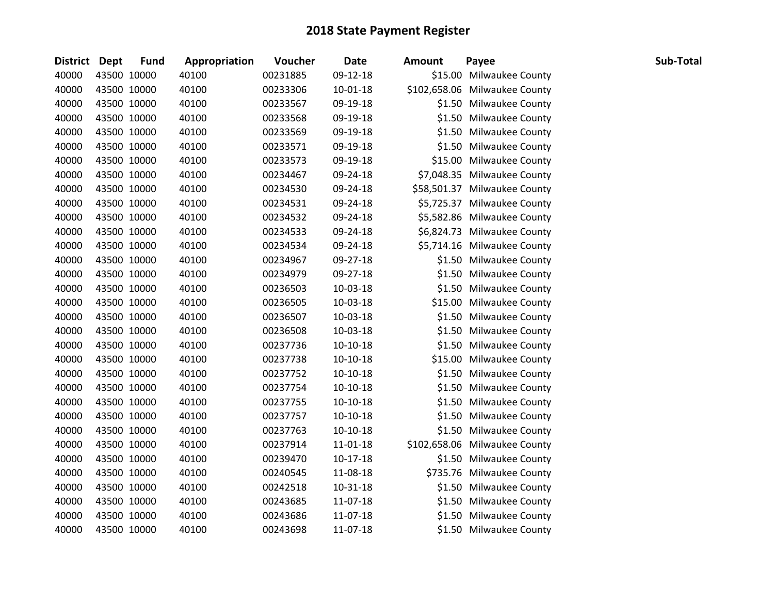| District Dept | <b>Fund</b> | Appropriation | Voucher  | <b>Date</b>    | <b>Amount</b> | Payee                         | Sub-Total |
|---------------|-------------|---------------|----------|----------------|---------------|-------------------------------|-----------|
| 40000         | 43500 10000 | 40100         | 00231885 | 09-12-18       |               | \$15.00 Milwaukee County      |           |
| 40000         | 43500 10000 | 40100         | 00233306 | $10 - 01 - 18$ |               | \$102,658.06 Milwaukee County |           |
| 40000         | 43500 10000 | 40100         | 00233567 | 09-19-18       |               | \$1.50 Milwaukee County       |           |
| 40000         | 43500 10000 | 40100         | 00233568 | 09-19-18       |               | \$1.50 Milwaukee County       |           |
| 40000         | 43500 10000 | 40100         | 00233569 | 09-19-18       |               | \$1.50 Milwaukee County       |           |
| 40000         | 43500 10000 | 40100         | 00233571 | 09-19-18       |               | \$1.50 Milwaukee County       |           |
| 40000         | 43500 10000 | 40100         | 00233573 | 09-19-18       |               | \$15.00 Milwaukee County      |           |
| 40000         | 43500 10000 | 40100         | 00234467 | 09-24-18       |               | \$7,048.35 Milwaukee County   |           |
| 40000         | 43500 10000 | 40100         | 00234530 | 09-24-18       |               | \$58,501.37 Milwaukee County  |           |
| 40000         | 43500 10000 | 40100         | 00234531 | 09-24-18       |               | \$5,725.37 Milwaukee County   |           |
| 40000         | 43500 10000 | 40100         | 00234532 | 09-24-18       |               | \$5,582.86 Milwaukee County   |           |
| 40000         | 43500 10000 | 40100         | 00234533 | 09-24-18       |               | \$6,824.73 Milwaukee County   |           |
| 40000         | 43500 10000 | 40100         | 00234534 | 09-24-18       |               | \$5,714.16 Milwaukee County   |           |
| 40000         | 43500 10000 | 40100         | 00234967 | 09-27-18       |               | \$1.50 Milwaukee County       |           |
| 40000         | 43500 10000 | 40100         | 00234979 | 09-27-18       |               | \$1.50 Milwaukee County       |           |
| 40000         | 43500 10000 | 40100         | 00236503 | 10-03-18       |               | \$1.50 Milwaukee County       |           |
| 40000         | 43500 10000 | 40100         | 00236505 | 10-03-18       |               | \$15.00 Milwaukee County      |           |
| 40000         | 43500 10000 | 40100         | 00236507 | 10-03-18       |               | \$1.50 Milwaukee County       |           |
| 40000         | 43500 10000 | 40100         | 00236508 | 10-03-18       |               | \$1.50 Milwaukee County       |           |
| 40000         | 43500 10000 | 40100         | 00237736 | $10-10-18$     |               | \$1.50 Milwaukee County       |           |
| 40000         | 43500 10000 | 40100         | 00237738 | $10-10-18$     |               | \$15.00 Milwaukee County      |           |
| 40000         | 43500 10000 | 40100         | 00237752 | $10-10-18$     |               | \$1.50 Milwaukee County       |           |
| 40000         | 43500 10000 | 40100         | 00237754 | $10-10-18$     |               | \$1.50 Milwaukee County       |           |
| 40000         | 43500 10000 | 40100         | 00237755 | $10-10-18$     |               | \$1.50 Milwaukee County       |           |
| 40000         | 43500 10000 | 40100         | 00237757 | $10-10-18$     |               | \$1.50 Milwaukee County       |           |
| 40000         | 43500 10000 | 40100         | 00237763 | $10-10-18$     |               | \$1.50 Milwaukee County       |           |
| 40000         | 43500 10000 | 40100         | 00237914 | 11-01-18       |               | \$102,658.06 Milwaukee County |           |
| 40000         | 43500 10000 | 40100         | 00239470 | $10-17-18$     |               | \$1.50 Milwaukee County       |           |
| 40000         | 43500 10000 | 40100         | 00240545 | 11-08-18       |               | \$735.76 Milwaukee County     |           |
| 40000         | 43500 10000 | 40100         | 00242518 | $10 - 31 - 18$ |               | \$1.50 Milwaukee County       |           |
| 40000         | 43500 10000 | 40100         | 00243685 | 11-07-18       |               | \$1.50 Milwaukee County       |           |
| 40000         | 43500 10000 | 40100         | 00243686 | 11-07-18       |               | \$1.50 Milwaukee County       |           |
| 40000         | 43500 10000 | 40100         | 00243698 | 11-07-18       |               | \$1.50 Milwaukee County       |           |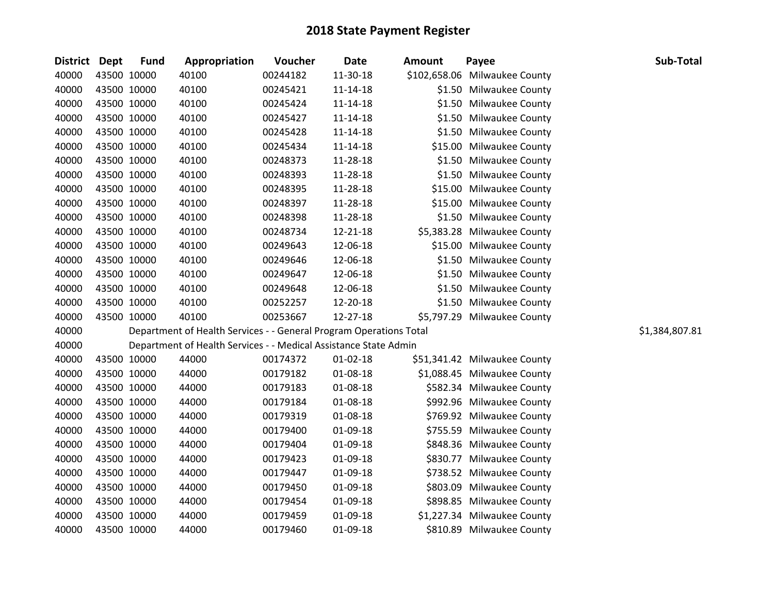| District Dept |             | <b>Fund</b> | Appropriation                                                      | Voucher  | <b>Date</b>    | <b>Amount</b> | Payee                         | Sub-Total      |
|---------------|-------------|-------------|--------------------------------------------------------------------|----------|----------------|---------------|-------------------------------|----------------|
| 40000         | 43500 10000 |             | 40100                                                              | 00244182 | 11-30-18       |               | \$102,658.06 Milwaukee County |                |
| 40000         | 43500 10000 |             | 40100                                                              | 00245421 | 11-14-18       |               | \$1.50 Milwaukee County       |                |
| 40000         | 43500 10000 |             | 40100                                                              | 00245424 | $11 - 14 - 18$ |               | \$1.50 Milwaukee County       |                |
| 40000         | 43500 10000 |             | 40100                                                              | 00245427 | $11 - 14 - 18$ |               | \$1.50 Milwaukee County       |                |
| 40000         | 43500 10000 |             | 40100                                                              | 00245428 | 11-14-18       |               | \$1.50 Milwaukee County       |                |
| 40000         | 43500 10000 |             | 40100                                                              | 00245434 | $11 - 14 - 18$ |               | \$15.00 Milwaukee County      |                |
| 40000         |             | 43500 10000 | 40100                                                              | 00248373 | 11-28-18       |               | \$1.50 Milwaukee County       |                |
| 40000         | 43500 10000 |             | 40100                                                              | 00248393 | 11-28-18       |               | \$1.50 Milwaukee County       |                |
| 40000         | 43500 10000 |             | 40100                                                              | 00248395 | 11-28-18       |               | \$15.00 Milwaukee County      |                |
| 40000         | 43500 10000 |             | 40100                                                              | 00248397 | 11-28-18       |               | \$15.00 Milwaukee County      |                |
| 40000         | 43500 10000 |             | 40100                                                              | 00248398 | 11-28-18       |               | \$1.50 Milwaukee County       |                |
| 40000         | 43500 10000 |             | 40100                                                              | 00248734 | 12-21-18       |               | \$5,383.28 Milwaukee County   |                |
| 40000         | 43500 10000 |             | 40100                                                              | 00249643 | 12-06-18       |               | \$15.00 Milwaukee County      |                |
| 40000         | 43500 10000 |             | 40100                                                              | 00249646 | 12-06-18       |               | \$1.50 Milwaukee County       |                |
| 40000         | 43500 10000 |             | 40100                                                              | 00249647 | 12-06-18       |               | \$1.50 Milwaukee County       |                |
| 40000         | 43500 10000 |             | 40100                                                              | 00249648 | 12-06-18       |               | \$1.50 Milwaukee County       |                |
| 40000         | 43500 10000 |             | 40100                                                              | 00252257 | 12-20-18       |               | \$1.50 Milwaukee County       |                |
| 40000         | 43500 10000 |             | 40100                                                              | 00253667 | 12-27-18       |               | \$5,797.29 Milwaukee County   |                |
| 40000         |             |             | Department of Health Services - - General Program Operations Total |          |                |               |                               | \$1,384,807.81 |
| 40000         |             |             | Department of Health Services - - Medical Assistance State Admin   |          |                |               |                               |                |
| 40000         |             | 43500 10000 | 44000                                                              | 00174372 | $01 - 02 - 18$ |               | \$51,341.42 Milwaukee County  |                |
| 40000         | 43500 10000 |             | 44000                                                              | 00179182 | 01-08-18       |               | \$1,088.45 Milwaukee County   |                |
| 40000         | 43500 10000 |             | 44000                                                              | 00179183 | 01-08-18       |               | \$582.34 Milwaukee County     |                |
| 40000         | 43500 10000 |             | 44000                                                              | 00179184 | 01-08-18       |               | \$992.96 Milwaukee County     |                |
| 40000         | 43500 10000 |             | 44000                                                              | 00179319 | 01-08-18       |               | \$769.92 Milwaukee County     |                |
| 40000         | 43500 10000 |             | 44000                                                              | 00179400 | 01-09-18       |               | \$755.59 Milwaukee County     |                |
| 40000         | 43500 10000 |             | 44000                                                              | 00179404 | 01-09-18       |               | \$848.36 Milwaukee County     |                |
| 40000         | 43500 10000 |             | 44000                                                              | 00179423 | 01-09-18       |               | \$830.77 Milwaukee County     |                |
| 40000         | 43500 10000 |             | 44000                                                              | 00179447 | 01-09-18       |               | \$738.52 Milwaukee County     |                |
| 40000         | 43500 10000 |             | 44000                                                              | 00179450 | 01-09-18       |               | \$803.09 Milwaukee County     |                |
| 40000         | 43500 10000 |             | 44000                                                              | 00179454 | 01-09-18       |               | \$898.85 Milwaukee County     |                |
| 40000         | 43500 10000 |             | 44000                                                              | 00179459 | 01-09-18       |               | \$1,227.34 Milwaukee County   |                |
| 40000         | 43500 10000 |             | 44000                                                              | 00179460 | 01-09-18       |               | \$810.89 Milwaukee County     |                |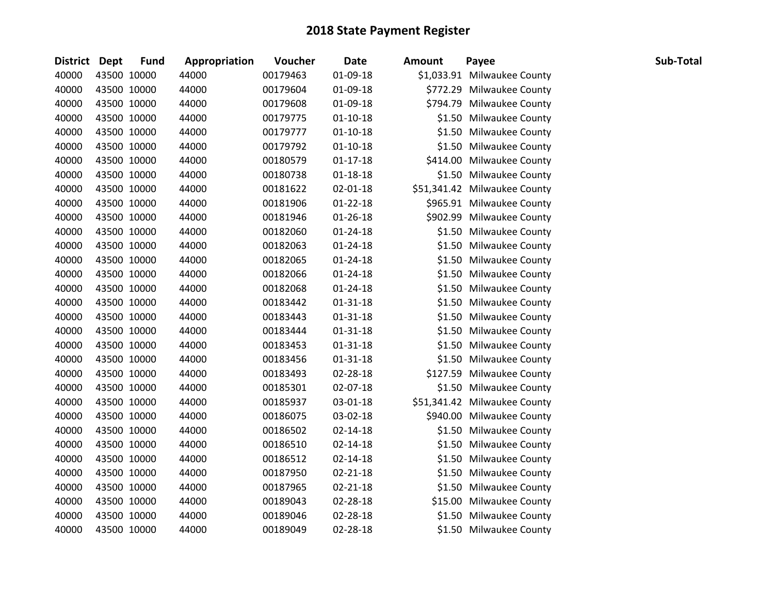| <b>District</b> | <b>Dept</b> | <b>Fund</b> | Appropriation | Voucher  | <b>Date</b>    | <b>Amount</b> | Payee                        | Sub-Total |
|-----------------|-------------|-------------|---------------|----------|----------------|---------------|------------------------------|-----------|
| 40000           |             | 43500 10000 | 44000         | 00179463 | 01-09-18       |               | \$1,033.91 Milwaukee County  |           |
| 40000           |             | 43500 10000 | 44000         | 00179604 | 01-09-18       |               | \$772.29 Milwaukee County    |           |
| 40000           |             | 43500 10000 | 44000         | 00179608 | 01-09-18       |               | \$794.79 Milwaukee County    |           |
| 40000           |             | 43500 10000 | 44000         | 00179775 | $01-10-18$     |               | \$1.50 Milwaukee County      |           |
| 40000           |             | 43500 10000 | 44000         | 00179777 | $01-10-18$     |               | \$1.50 Milwaukee County      |           |
| 40000           |             | 43500 10000 | 44000         | 00179792 | $01 - 10 - 18$ |               | \$1.50 Milwaukee County      |           |
| 40000           |             | 43500 10000 | 44000         | 00180579 | $01 - 17 - 18$ |               | \$414.00 Milwaukee County    |           |
| 40000           |             | 43500 10000 | 44000         | 00180738 | $01 - 18 - 18$ |               | \$1.50 Milwaukee County      |           |
| 40000           |             | 43500 10000 | 44000         | 00181622 | 02-01-18       |               | \$51,341.42 Milwaukee County |           |
| 40000           |             | 43500 10000 | 44000         | 00181906 | $01 - 22 - 18$ |               | \$965.91 Milwaukee County    |           |
| 40000           |             | 43500 10000 | 44000         | 00181946 | $01 - 26 - 18$ |               | \$902.99 Milwaukee County    |           |
| 40000           |             | 43500 10000 | 44000         | 00182060 | $01 - 24 - 18$ |               | \$1.50 Milwaukee County      |           |
| 40000           |             | 43500 10000 | 44000         | 00182063 | $01 - 24 - 18$ |               | \$1.50 Milwaukee County      |           |
| 40000           |             | 43500 10000 | 44000         | 00182065 | $01 - 24 - 18$ |               | \$1.50 Milwaukee County      |           |
| 40000           |             | 43500 10000 | 44000         | 00182066 | $01 - 24 - 18$ |               | \$1.50 Milwaukee County      |           |
| 40000           |             | 43500 10000 | 44000         | 00182068 | $01 - 24 - 18$ |               | \$1.50 Milwaukee County      |           |
| 40000           |             | 43500 10000 | 44000         | 00183442 | $01 - 31 - 18$ |               | \$1.50 Milwaukee County      |           |
| 40000           |             | 43500 10000 | 44000         | 00183443 | $01 - 31 - 18$ |               | \$1.50 Milwaukee County      |           |
| 40000           |             | 43500 10000 | 44000         | 00183444 | $01 - 31 - 18$ |               | \$1.50 Milwaukee County      |           |
| 40000           |             | 43500 10000 | 44000         | 00183453 | $01 - 31 - 18$ |               | \$1.50 Milwaukee County      |           |
| 40000           |             | 43500 10000 | 44000         | 00183456 | $01 - 31 - 18$ |               | \$1.50 Milwaukee County      |           |
| 40000           |             | 43500 10000 | 44000         | 00183493 | 02-28-18       |               | \$127.59 Milwaukee County    |           |
| 40000           |             | 43500 10000 | 44000         | 00185301 | 02-07-18       |               | \$1.50 Milwaukee County      |           |
| 40000           |             | 43500 10000 | 44000         | 00185937 | 03-01-18       |               | \$51,341.42 Milwaukee County |           |
| 40000           |             | 43500 10000 | 44000         | 00186075 | 03-02-18       |               | \$940.00 Milwaukee County    |           |
| 40000           |             | 43500 10000 | 44000         | 00186502 | $02 - 14 - 18$ |               | \$1.50 Milwaukee County      |           |
| 40000           |             | 43500 10000 | 44000         | 00186510 | $02 - 14 - 18$ |               | \$1.50 Milwaukee County      |           |
| 40000           |             | 43500 10000 | 44000         | 00186512 | $02 - 14 - 18$ |               | \$1.50 Milwaukee County      |           |
| 40000           |             | 43500 10000 | 44000         | 00187950 | $02 - 21 - 18$ |               | \$1.50 Milwaukee County      |           |
| 40000           |             | 43500 10000 | 44000         | 00187965 | $02 - 21 - 18$ |               | \$1.50 Milwaukee County      |           |
| 40000           |             | 43500 10000 | 44000         | 00189043 | 02-28-18       |               | \$15.00 Milwaukee County     |           |
| 40000           |             | 43500 10000 | 44000         | 00189046 | 02-28-18       |               | \$1.50 Milwaukee County      |           |
| 40000           |             | 43500 10000 | 44000         | 00189049 | 02-28-18       |               | \$1.50 Milwaukee County      |           |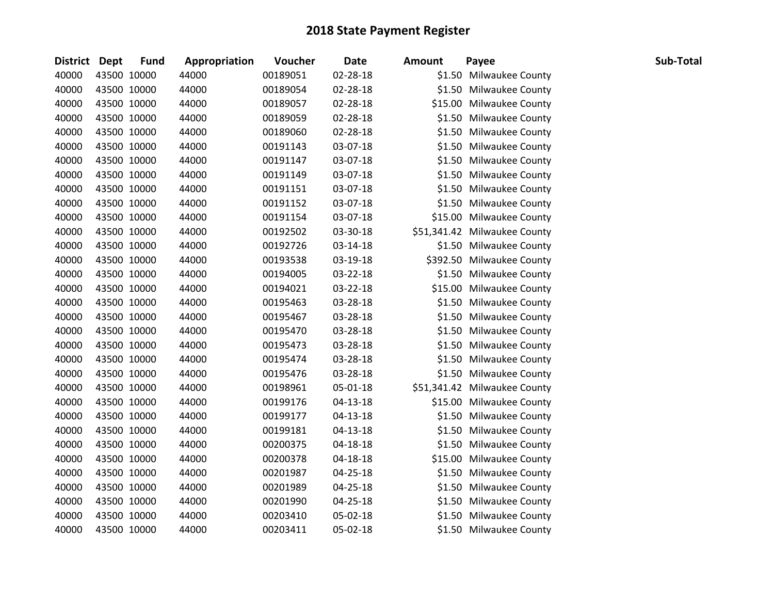| District Dept | <b>Fund</b> | Appropriation | Voucher  | <b>Date</b>    | <b>Amount</b> | Payee                        | Sub-Total |
|---------------|-------------|---------------|----------|----------------|---------------|------------------------------|-----------|
| 40000         | 43500 10000 | 44000         | 00189051 | 02-28-18       |               | \$1.50 Milwaukee County      |           |
| 40000         | 43500 10000 | 44000         | 00189054 | 02-28-18       |               | \$1.50 Milwaukee County      |           |
| 40000         | 43500 10000 | 44000         | 00189057 | 02-28-18       |               | \$15.00 Milwaukee County     |           |
| 40000         | 43500 10000 | 44000         | 00189059 | 02-28-18       |               | \$1.50 Milwaukee County      |           |
| 40000         | 43500 10000 | 44000         | 00189060 | 02-28-18       |               | \$1.50 Milwaukee County      |           |
| 40000         | 43500 10000 | 44000         | 00191143 | 03-07-18       |               | \$1.50 Milwaukee County      |           |
| 40000         | 43500 10000 | 44000         | 00191147 | 03-07-18       |               | \$1.50 Milwaukee County      |           |
| 40000         | 43500 10000 | 44000         | 00191149 | 03-07-18       |               | \$1.50 Milwaukee County      |           |
| 40000         | 43500 10000 | 44000         | 00191151 | 03-07-18       |               | \$1.50 Milwaukee County      |           |
| 40000         | 43500 10000 | 44000         | 00191152 | 03-07-18       |               | \$1.50 Milwaukee County      |           |
| 40000         | 43500 10000 | 44000         | 00191154 | 03-07-18       |               | \$15.00 Milwaukee County     |           |
| 40000         | 43500 10000 | 44000         | 00192502 | 03-30-18       |               | \$51,341.42 Milwaukee County |           |
| 40000         | 43500 10000 | 44000         | 00192726 | 03-14-18       |               | \$1.50 Milwaukee County      |           |
| 40000         | 43500 10000 | 44000         | 00193538 | 03-19-18       |               | \$392.50 Milwaukee County    |           |
| 40000         | 43500 10000 | 44000         | 00194005 | 03-22-18       |               | \$1.50 Milwaukee County      |           |
| 40000         | 43500 10000 | 44000         | 00194021 | 03-22-18       |               | \$15.00 Milwaukee County     |           |
| 40000         | 43500 10000 | 44000         | 00195463 | 03-28-18       |               | \$1.50 Milwaukee County      |           |
| 40000         | 43500 10000 | 44000         | 00195467 | 03-28-18       |               | \$1.50 Milwaukee County      |           |
| 40000         | 43500 10000 | 44000         | 00195470 | 03-28-18       |               | \$1.50 Milwaukee County      |           |
| 40000         | 43500 10000 | 44000         | 00195473 | 03-28-18       |               | \$1.50 Milwaukee County      |           |
| 40000         | 43500 10000 | 44000         | 00195474 | 03-28-18       |               | \$1.50 Milwaukee County      |           |
| 40000         | 43500 10000 | 44000         | 00195476 | 03-28-18       |               | \$1.50 Milwaukee County      |           |
| 40000         | 43500 10000 | 44000         | 00198961 | 05-01-18       |               | \$51,341.42 Milwaukee County |           |
| 40000         | 43500 10000 | 44000         | 00199176 | 04-13-18       |               | \$15.00 Milwaukee County     |           |
| 40000         | 43500 10000 | 44000         | 00199177 | $04 - 13 - 18$ |               | \$1.50 Milwaukee County      |           |
| 40000         | 43500 10000 | 44000         | 00199181 | 04-13-18       |               | \$1.50 Milwaukee County      |           |
| 40000         | 43500 10000 | 44000         | 00200375 | 04-18-18       |               | \$1.50 Milwaukee County      |           |
| 40000         | 43500 10000 | 44000         | 00200378 | 04-18-18       |               | \$15.00 Milwaukee County     |           |
| 40000         | 43500 10000 | 44000         | 00201987 | 04-25-18       |               | \$1.50 Milwaukee County      |           |
| 40000         | 43500 10000 | 44000         | 00201989 | 04-25-18       |               | \$1.50 Milwaukee County      |           |
| 40000         | 43500 10000 | 44000         | 00201990 | 04-25-18       |               | \$1.50 Milwaukee County      |           |
| 40000         | 43500 10000 | 44000         | 00203410 | 05-02-18       |               | \$1.50 Milwaukee County      |           |
| 40000         | 43500 10000 | 44000         | 00203411 | 05-02-18       |               | \$1.50 Milwaukee County      |           |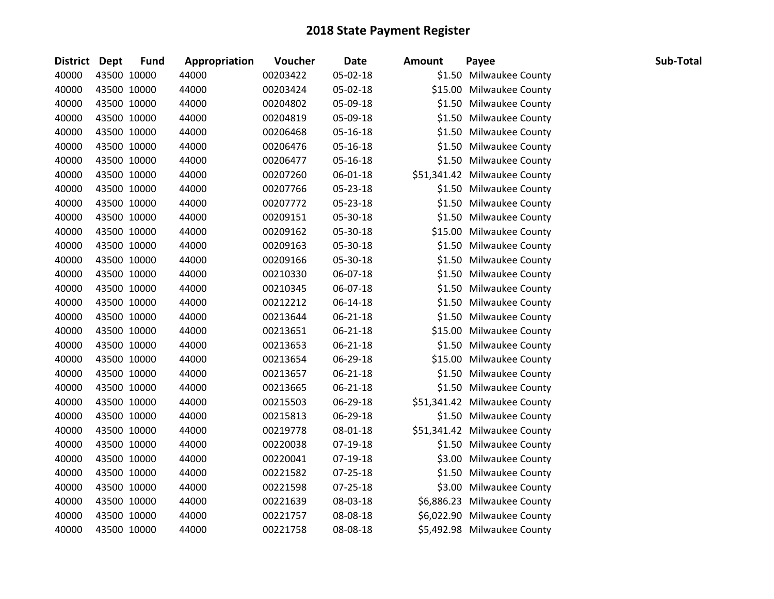| <b>District</b> | <b>Dept</b> | <b>Fund</b> | Appropriation | Voucher  | <b>Date</b> | <b>Amount</b> | Payee                        | Sub-Total |
|-----------------|-------------|-------------|---------------|----------|-------------|---------------|------------------------------|-----------|
| 40000           |             | 43500 10000 | 44000         | 00203422 | 05-02-18    |               | \$1.50 Milwaukee County      |           |
| 40000           |             | 43500 10000 | 44000         | 00203424 | 05-02-18    |               | \$15.00 Milwaukee County     |           |
| 40000           |             | 43500 10000 | 44000         | 00204802 | 05-09-18    |               | \$1.50 Milwaukee County      |           |
| 40000           |             | 43500 10000 | 44000         | 00204819 | 05-09-18    |               | \$1.50 Milwaukee County      |           |
| 40000           |             | 43500 10000 | 44000         | 00206468 | 05-16-18    | \$1.50        | <b>Milwaukee County</b>      |           |
| 40000           |             | 43500 10000 | 44000         | 00206476 | 05-16-18    |               | \$1.50 Milwaukee County      |           |
| 40000           |             | 43500 10000 | 44000         | 00206477 | 05-16-18    |               | \$1.50 Milwaukee County      |           |
| 40000           |             | 43500 10000 | 44000         | 00207260 | 06-01-18    |               | \$51,341.42 Milwaukee County |           |
| 40000           |             | 43500 10000 | 44000         | 00207766 | 05-23-18    |               | \$1.50 Milwaukee County      |           |
| 40000           |             | 43500 10000 | 44000         | 00207772 | 05-23-18    |               | \$1.50 Milwaukee County      |           |
| 40000           |             | 43500 10000 | 44000         | 00209151 | 05-30-18    |               | \$1.50 Milwaukee County      |           |
| 40000           |             | 43500 10000 | 44000         | 00209162 | 05-30-18    |               | \$15.00 Milwaukee County     |           |
| 40000           |             | 43500 10000 | 44000         | 00209163 | 05-30-18    |               | \$1.50 Milwaukee County      |           |
| 40000           |             | 43500 10000 | 44000         | 00209166 | 05-30-18    |               | \$1.50 Milwaukee County      |           |
| 40000           |             | 43500 10000 | 44000         | 00210330 | 06-07-18    |               | \$1.50 Milwaukee County      |           |
| 40000           |             | 43500 10000 | 44000         | 00210345 | 06-07-18    | \$1.50        | <b>Milwaukee County</b>      |           |
| 40000           |             | 43500 10000 | 44000         | 00212212 | 06-14-18    |               | \$1.50 Milwaukee County      |           |
| 40000           |             | 43500 10000 | 44000         | 00213644 | 06-21-18    | \$1.50        | Milwaukee County             |           |
| 40000           |             | 43500 10000 | 44000         | 00213651 | 06-21-18    | \$15.00       | <b>Milwaukee County</b>      |           |
| 40000           |             | 43500 10000 | 44000         | 00213653 | 06-21-18    | \$1.50        | <b>Milwaukee County</b>      |           |
| 40000           |             | 43500 10000 | 44000         | 00213654 | 06-29-18    |               | \$15.00 Milwaukee County     |           |
| 40000           |             | 43500 10000 | 44000         | 00213657 | 06-21-18    |               | \$1.50 Milwaukee County      |           |
| 40000           |             | 43500 10000 | 44000         | 00213665 | 06-21-18    |               | \$1.50 Milwaukee County      |           |
| 40000           |             | 43500 10000 | 44000         | 00215503 | 06-29-18    |               | \$51,341.42 Milwaukee County |           |
| 40000           |             | 43500 10000 | 44000         | 00215813 | 06-29-18    |               | \$1.50 Milwaukee County      |           |
| 40000           |             | 43500 10000 | 44000         | 00219778 | 08-01-18    |               | \$51,341.42 Milwaukee County |           |
| 40000           |             | 43500 10000 | 44000         | 00220038 | 07-19-18    |               | \$1.50 Milwaukee County      |           |
| 40000           |             | 43500 10000 | 44000         | 00220041 | 07-19-18    | \$3.00        | <b>Milwaukee County</b>      |           |
| 40000           |             | 43500 10000 | 44000         | 00221582 | 07-25-18    | \$1.50        | <b>Milwaukee County</b>      |           |
| 40000           |             | 43500 10000 | 44000         | 00221598 | 07-25-18    |               | \$3.00 Milwaukee County      |           |
| 40000           |             | 43500 10000 | 44000         | 00221639 | 08-03-18    |               | \$6,886.23 Milwaukee County  |           |
| 40000           |             | 43500 10000 | 44000         | 00221757 | 08-08-18    |               | \$6,022.90 Milwaukee County  |           |
| 40000           |             | 43500 10000 | 44000         | 00221758 | 08-08-18    |               | \$5,492.98 Milwaukee County  |           |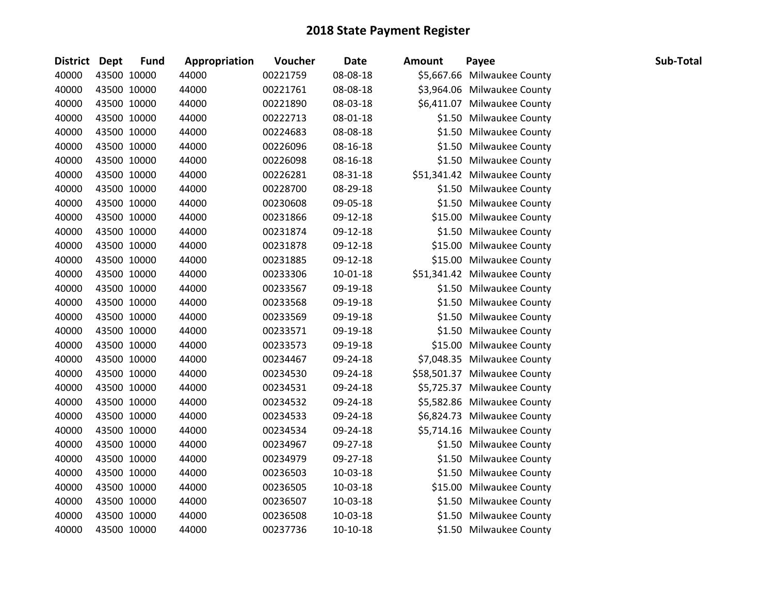| <b>District</b> | <b>Dept</b> | <b>Fund</b> | Appropriation | Voucher  | <b>Date</b>    | <b>Amount</b> | Payee                        | Sub-Total |
|-----------------|-------------|-------------|---------------|----------|----------------|---------------|------------------------------|-----------|
| 40000           |             | 43500 10000 | 44000         | 00221759 | 08-08-18       |               | \$5,667.66 Milwaukee County  |           |
| 40000           |             | 43500 10000 | 44000         | 00221761 | 08-08-18       |               | \$3,964.06 Milwaukee County  |           |
| 40000           |             | 43500 10000 | 44000         | 00221890 | 08-03-18       |               | \$6,411.07 Milwaukee County  |           |
| 40000           |             | 43500 10000 | 44000         | 00222713 | 08-01-18       |               | \$1.50 Milwaukee County      |           |
| 40000           |             | 43500 10000 | 44000         | 00224683 | 08-08-18       |               | \$1.50 Milwaukee County      |           |
| 40000           |             | 43500 10000 | 44000         | 00226096 | 08-16-18       |               | \$1.50 Milwaukee County      |           |
| 40000           |             | 43500 10000 | 44000         | 00226098 | 08-16-18       |               | \$1.50 Milwaukee County      |           |
| 40000           |             | 43500 10000 | 44000         | 00226281 | 08-31-18       |               | \$51,341.42 Milwaukee County |           |
| 40000           |             | 43500 10000 | 44000         | 00228700 | 08-29-18       |               | \$1.50 Milwaukee County      |           |
| 40000           |             | 43500 10000 | 44000         | 00230608 | 09-05-18       |               | \$1.50 Milwaukee County      |           |
| 40000           |             | 43500 10000 | 44000         | 00231866 | 09-12-18       |               | \$15.00 Milwaukee County     |           |
| 40000           |             | 43500 10000 | 44000         | 00231874 | 09-12-18       |               | \$1.50 Milwaukee County      |           |
| 40000           |             | 43500 10000 | 44000         | 00231878 | 09-12-18       |               | \$15.00 Milwaukee County     |           |
| 40000           |             | 43500 10000 | 44000         | 00231885 | 09-12-18       |               | \$15.00 Milwaukee County     |           |
| 40000           |             | 43500 10000 | 44000         | 00233306 | $10 - 01 - 18$ |               | \$51,341.42 Milwaukee County |           |
| 40000           |             | 43500 10000 | 44000         | 00233567 | 09-19-18       |               | \$1.50 Milwaukee County      |           |
| 40000           |             | 43500 10000 | 44000         | 00233568 | 09-19-18       |               | \$1.50 Milwaukee County      |           |
| 40000           |             | 43500 10000 | 44000         | 00233569 | 09-19-18       |               | \$1.50 Milwaukee County      |           |
| 40000           |             | 43500 10000 | 44000         | 00233571 | 09-19-18       |               | \$1.50 Milwaukee County      |           |
| 40000           |             | 43500 10000 | 44000         | 00233573 | 09-19-18       |               | \$15.00 Milwaukee County     |           |
| 40000           |             | 43500 10000 | 44000         | 00234467 | 09-24-18       |               | \$7,048.35 Milwaukee County  |           |
| 40000           |             | 43500 10000 | 44000         | 00234530 | 09-24-18       |               | \$58,501.37 Milwaukee County |           |
| 40000           |             | 43500 10000 | 44000         | 00234531 | 09-24-18       |               | \$5,725.37 Milwaukee County  |           |
| 40000           |             | 43500 10000 | 44000         | 00234532 | 09-24-18       |               | \$5,582.86 Milwaukee County  |           |
| 40000           |             | 43500 10000 | 44000         | 00234533 | 09-24-18       |               | \$6,824.73 Milwaukee County  |           |
| 40000           |             | 43500 10000 | 44000         | 00234534 | 09-24-18       |               | \$5,714.16 Milwaukee County  |           |
| 40000           |             | 43500 10000 | 44000         | 00234967 | 09-27-18       |               | \$1.50 Milwaukee County      |           |
| 40000           | 43500 10000 |             | 44000         | 00234979 | 09-27-18       |               | \$1.50 Milwaukee County      |           |
| 40000           |             | 43500 10000 | 44000         | 00236503 | 10-03-18       |               | \$1.50 Milwaukee County      |           |
| 40000           |             | 43500 10000 | 44000         | 00236505 | $10-03-18$     |               | \$15.00 Milwaukee County     |           |
| 40000           |             | 43500 10000 | 44000         | 00236507 | 10-03-18       |               | \$1.50 Milwaukee County      |           |
| 40000           |             | 43500 10000 | 44000         | 00236508 | $10-03-18$     |               | \$1.50 Milwaukee County      |           |
| 40000           | 43500 10000 |             | 44000         | 00237736 | $10-10-18$     |               | \$1.50 Milwaukee County      |           |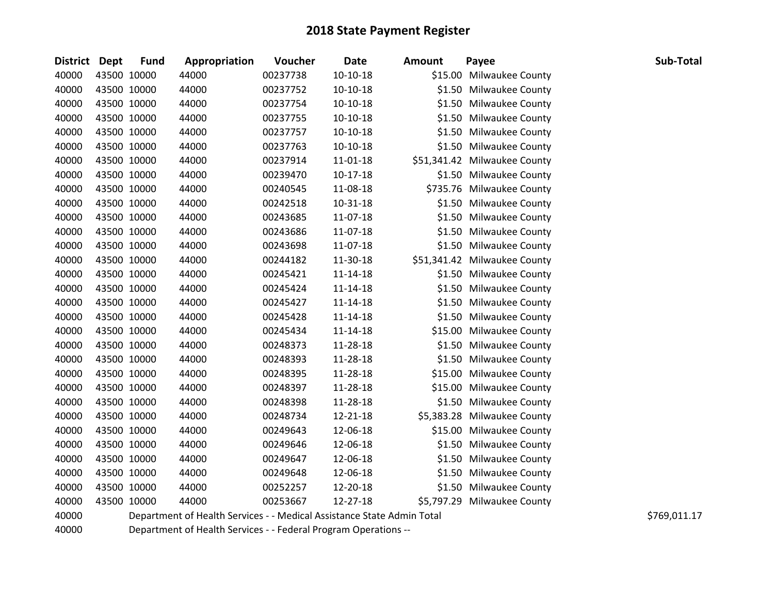| <b>District</b> | <b>Dept</b> | <b>Fund</b> | Appropriation | Voucher  | <b>Date</b>    | <b>Amount</b> | Payee                        | Sub-Total |
|-----------------|-------------|-------------|---------------|----------|----------------|---------------|------------------------------|-----------|
| 40000           | 43500 10000 |             | 44000         | 00237738 | $10-10-18$     |               | \$15.00 Milwaukee County     |           |
| 40000           | 43500 10000 |             | 44000         | 00237752 | $10-10-18$     |               | \$1.50 Milwaukee County      |           |
| 40000           | 43500 10000 |             | 44000         | 00237754 | 10-10-18       |               | \$1.50 Milwaukee County      |           |
| 40000           | 43500 10000 |             | 44000         | 00237755 | $10-10-18$     | \$1.50        | <b>Milwaukee County</b>      |           |
| 40000           | 43500 10000 |             | 44000         | 00237757 | $10-10-18$     |               | \$1.50 Milwaukee County      |           |
| 40000           | 43500 10000 |             | 44000         | 00237763 | $10-10-18$     | \$1.50        | <b>Milwaukee County</b>      |           |
| 40000           | 43500 10000 |             | 44000         | 00237914 | $11 - 01 - 18$ |               | \$51,341.42 Milwaukee County |           |
| 40000           | 43500 10000 |             | 44000         | 00239470 | $10-17-18$     |               | \$1.50 Milwaukee County      |           |
| 40000           | 43500 10000 |             | 44000         | 00240545 | 11-08-18       |               | \$735.76 Milwaukee County    |           |
| 40000           | 43500 10000 |             | 44000         | 00242518 | $10 - 31 - 18$ |               | \$1.50 Milwaukee County      |           |
| 40000           | 43500 10000 |             | 44000         | 00243685 | 11-07-18       | \$1.50        | Milwaukee County             |           |
| 40000           | 43500 10000 |             | 44000         | 00243686 | 11-07-18       |               | \$1.50 Milwaukee County      |           |
| 40000           | 43500 10000 |             | 44000         | 00243698 | 11-07-18       |               | \$1.50 Milwaukee County      |           |
| 40000           | 43500 10000 |             | 44000         | 00244182 | 11-30-18       |               | \$51,341.42 Milwaukee County |           |
| 40000           | 43500 10000 |             | 44000         | 00245421 | 11-14-18       |               | \$1.50 Milwaukee County      |           |
| 40000           | 43500 10000 |             | 44000         | 00245424 | $11 - 14 - 18$ |               | \$1.50 Milwaukee County      |           |
| 40000           | 43500 10000 |             | 44000         | 00245427 | 11-14-18       |               | \$1.50 Milwaukee County      |           |
| 40000           | 43500 10000 |             | 44000         | 00245428 | $11 - 14 - 18$ |               | \$1.50 Milwaukee County      |           |
| 40000           | 43500 10000 |             | 44000         | 00245434 | 11-14-18       |               | \$15.00 Milwaukee County     |           |
| 40000           | 43500 10000 |             | 44000         | 00248373 | 11-28-18       |               | \$1.50 Milwaukee County      |           |
| 40000           | 43500 10000 |             | 44000         | 00248393 | 11-28-18       |               | \$1.50 Milwaukee County      |           |
| 40000           | 43500 10000 |             | 44000         | 00248395 | 11-28-18       |               | \$15.00 Milwaukee County     |           |
| 40000           | 43500 10000 |             | 44000         | 00248397 | 11-28-18       | \$15.00       | <b>Milwaukee County</b>      |           |
| 40000           | 43500 10000 |             | 44000         | 00248398 | 11-28-18       |               | \$1.50 Milwaukee County      |           |
| 40000           | 43500 10000 |             | 44000         | 00248734 | 12-21-18       |               | \$5,383.28 Milwaukee County  |           |
| 40000           | 43500 10000 |             | 44000         | 00249643 | 12-06-18       |               | \$15.00 Milwaukee County     |           |
| 40000           | 43500 10000 |             | 44000         | 00249646 | 12-06-18       |               | \$1.50 Milwaukee County      |           |
| 40000           | 43500 10000 |             | 44000         | 00249647 | 12-06-18       | \$1.50        | <b>Milwaukee County</b>      |           |
| 40000           | 43500 10000 |             | 44000         | 00249648 | 12-06-18       |               | \$1.50 Milwaukee County      |           |
| 40000           | 43500 10000 |             | 44000         | 00252257 | 12-20-18       |               | \$1.50 Milwaukee County      |           |
| 40000           | 43500 10000 |             | 44000         | 00253667 | 12-27-18       |               | \$5,797.29 Milwaukee County  |           |
|                 |             |             |               |          |                |               |                              |           |

40000 Department of Health Services - - Medical Assistance State Admin Total \$769,011.17

Department of Health Services - - Federal Program Operations --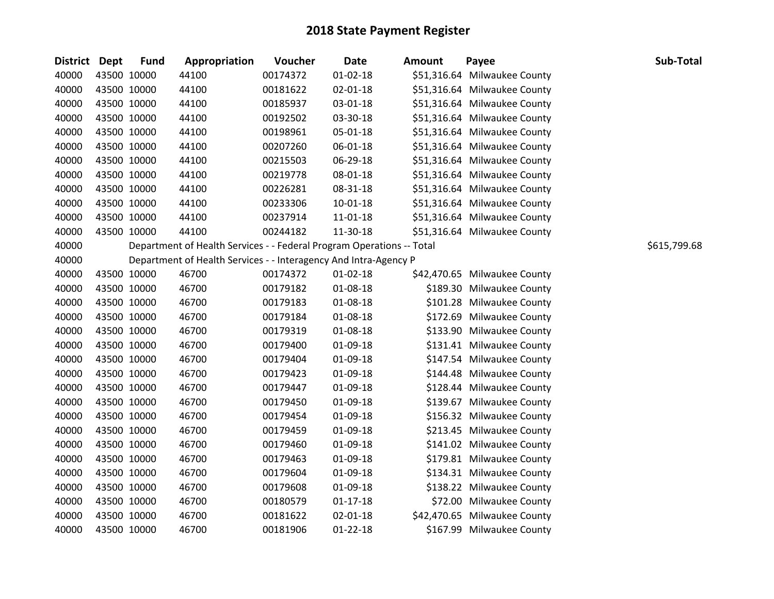| District Dept |             | <b>Fund</b> | Appropriation                                                         | Voucher  | <b>Date</b>    | <b>Amount</b> | Payee                        | Sub-Total    |
|---------------|-------------|-------------|-----------------------------------------------------------------------|----------|----------------|---------------|------------------------------|--------------|
| 40000         |             | 43500 10000 | 44100                                                                 | 00174372 | $01 - 02 - 18$ |               | \$51,316.64 Milwaukee County |              |
| 40000         |             | 43500 10000 | 44100                                                                 | 00181622 | $02 - 01 - 18$ |               | \$51,316.64 Milwaukee County |              |
| 40000         |             | 43500 10000 | 44100                                                                 | 00185937 | 03-01-18       |               | \$51,316.64 Milwaukee County |              |
| 40000         |             | 43500 10000 | 44100                                                                 | 00192502 | 03-30-18       |               | \$51,316.64 Milwaukee County |              |
| 40000         |             | 43500 10000 | 44100                                                                 | 00198961 | 05-01-18       |               | \$51,316.64 Milwaukee County |              |
| 40000         |             | 43500 10000 | 44100                                                                 | 00207260 | 06-01-18       |               | \$51,316.64 Milwaukee County |              |
| 40000         |             | 43500 10000 | 44100                                                                 | 00215503 | 06-29-18       |               | \$51,316.64 Milwaukee County |              |
| 40000         |             | 43500 10000 | 44100                                                                 | 00219778 | 08-01-18       |               | \$51,316.64 Milwaukee County |              |
| 40000         |             | 43500 10000 | 44100                                                                 | 00226281 | 08-31-18       |               | \$51,316.64 Milwaukee County |              |
| 40000         |             | 43500 10000 | 44100                                                                 | 00233306 | $10 - 01 - 18$ |               | \$51,316.64 Milwaukee County |              |
| 40000         |             | 43500 10000 | 44100                                                                 | 00237914 | 11-01-18       |               | \$51,316.64 Milwaukee County |              |
| 40000         |             | 43500 10000 | 44100                                                                 | 00244182 | 11-30-18       |               | \$51,316.64 Milwaukee County |              |
| 40000         |             |             | Department of Health Services - - Federal Program Operations -- Total |          |                |               |                              | \$615,799.68 |
| 40000         |             |             | Department of Health Services - - Interagency And Intra-Agency P      |          |                |               |                              |              |
| 40000         |             | 43500 10000 | 46700                                                                 | 00174372 | $01 - 02 - 18$ |               | \$42,470.65 Milwaukee County |              |
| 40000         |             | 43500 10000 | 46700                                                                 | 00179182 | 01-08-18       |               | \$189.30 Milwaukee County    |              |
| 40000         |             | 43500 10000 | 46700                                                                 | 00179183 | 01-08-18       |               | \$101.28 Milwaukee County    |              |
| 40000         |             | 43500 10000 | 46700                                                                 | 00179184 | 01-08-18       |               | \$172.69 Milwaukee County    |              |
| 40000         |             | 43500 10000 | 46700                                                                 | 00179319 | 01-08-18       |               | \$133.90 Milwaukee County    |              |
| 40000         |             | 43500 10000 | 46700                                                                 | 00179400 | 01-09-18       |               | \$131.41 Milwaukee County    |              |
| 40000         |             | 43500 10000 | 46700                                                                 | 00179404 | 01-09-18       |               | \$147.54 Milwaukee County    |              |
| 40000         |             | 43500 10000 | 46700                                                                 | 00179423 | 01-09-18       |               | \$144.48 Milwaukee County    |              |
| 40000         |             | 43500 10000 | 46700                                                                 | 00179447 | 01-09-18       |               | \$128.44 Milwaukee County    |              |
| 40000         |             | 43500 10000 | 46700                                                                 | 00179450 | 01-09-18       |               | \$139.67 Milwaukee County    |              |
| 40000         |             | 43500 10000 | 46700                                                                 | 00179454 | 01-09-18       |               | \$156.32 Milwaukee County    |              |
| 40000         |             | 43500 10000 | 46700                                                                 | 00179459 | 01-09-18       |               | \$213.45 Milwaukee County    |              |
| 40000         |             | 43500 10000 | 46700                                                                 | 00179460 | 01-09-18       |               | \$141.02 Milwaukee County    |              |
| 40000         |             | 43500 10000 | 46700                                                                 | 00179463 | 01-09-18       |               | \$179.81 Milwaukee County    |              |
| 40000         |             | 43500 10000 | 46700                                                                 | 00179604 | 01-09-18       |               | \$134.31 Milwaukee County    |              |
| 40000         |             | 43500 10000 | 46700                                                                 | 00179608 | 01-09-18       |               | \$138.22 Milwaukee County    |              |
| 40000         |             | 43500 10000 | 46700                                                                 | 00180579 | $01 - 17 - 18$ |               | \$72.00 Milwaukee County     |              |
| 40000         |             | 43500 10000 | 46700                                                                 | 00181622 | 02-01-18       |               | \$42,470.65 Milwaukee County |              |
| 40000         | 43500 10000 |             | 46700                                                                 | 00181906 | $01 - 22 - 18$ |               | \$167.99 Milwaukee County    |              |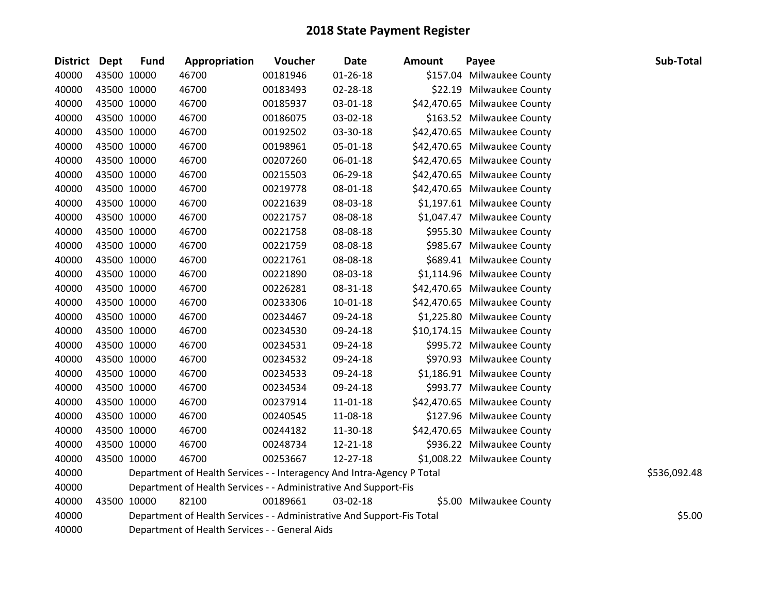| <b>District Dept</b> |             | <b>Fund</b> | Appropriation                                                          | Voucher  | <b>Date</b>    | <b>Amount</b> | Payee                        | Sub-Total    |
|----------------------|-------------|-------------|------------------------------------------------------------------------|----------|----------------|---------------|------------------------------|--------------|
| 40000                | 43500 10000 |             | 46700                                                                  | 00181946 | $01 - 26 - 18$ |               | \$157.04 Milwaukee County    |              |
| 40000                | 43500 10000 |             | 46700                                                                  | 00183493 | 02-28-18       |               | \$22.19 Milwaukee County     |              |
| 40000                | 43500 10000 |             | 46700                                                                  | 00185937 | 03-01-18       |               | \$42,470.65 Milwaukee County |              |
| 40000                | 43500 10000 |             | 46700                                                                  | 00186075 | 03-02-18       |               | \$163.52 Milwaukee County    |              |
| 40000                | 43500 10000 |             | 46700                                                                  | 00192502 | 03-30-18       |               | \$42,470.65 Milwaukee County |              |
| 40000                | 43500 10000 |             | 46700                                                                  | 00198961 | 05-01-18       |               | \$42,470.65 Milwaukee County |              |
| 40000                | 43500 10000 |             | 46700                                                                  | 00207260 | 06-01-18       |               | \$42,470.65 Milwaukee County |              |
| 40000                | 43500 10000 |             | 46700                                                                  | 00215503 | 06-29-18       |               | \$42,470.65 Milwaukee County |              |
| 40000                | 43500 10000 |             | 46700                                                                  | 00219778 | 08-01-18       |               | \$42,470.65 Milwaukee County |              |
| 40000                | 43500 10000 |             | 46700                                                                  | 00221639 | 08-03-18       |               | \$1,197.61 Milwaukee County  |              |
| 40000                | 43500 10000 |             | 46700                                                                  | 00221757 | 08-08-18       |               | \$1,047.47 Milwaukee County  |              |
| 40000                | 43500 10000 |             | 46700                                                                  | 00221758 | 08-08-18       |               | \$955.30 Milwaukee County    |              |
| 40000                | 43500 10000 |             | 46700                                                                  | 00221759 | 08-08-18       |               | \$985.67 Milwaukee County    |              |
| 40000                | 43500 10000 |             | 46700                                                                  | 00221761 | 08-08-18       |               | \$689.41 Milwaukee County    |              |
| 40000                | 43500 10000 |             | 46700                                                                  | 00221890 | 08-03-18       |               | \$1,114.96 Milwaukee County  |              |
| 40000                | 43500 10000 |             | 46700                                                                  | 00226281 | 08-31-18       |               | \$42,470.65 Milwaukee County |              |
| 40000                | 43500 10000 |             | 46700                                                                  | 00233306 | $10 - 01 - 18$ |               | \$42,470.65 Milwaukee County |              |
| 40000                | 43500 10000 |             | 46700                                                                  | 00234467 | 09-24-18       |               | \$1,225.80 Milwaukee County  |              |
| 40000                | 43500 10000 |             | 46700                                                                  | 00234530 | 09-24-18       |               | \$10,174.15 Milwaukee County |              |
| 40000                | 43500 10000 |             | 46700                                                                  | 00234531 | 09-24-18       |               | \$995.72 Milwaukee County    |              |
| 40000                | 43500 10000 |             | 46700                                                                  | 00234532 | 09-24-18       |               | \$970.93 Milwaukee County    |              |
| 40000                | 43500 10000 |             | 46700                                                                  | 00234533 | 09-24-18       |               | \$1,186.91 Milwaukee County  |              |
| 40000                | 43500 10000 |             | 46700                                                                  | 00234534 | 09-24-18       |               | \$993.77 Milwaukee County    |              |
| 40000                | 43500 10000 |             | 46700                                                                  | 00237914 | 11-01-18       |               | \$42,470.65 Milwaukee County |              |
| 40000                | 43500 10000 |             | 46700                                                                  | 00240545 | 11-08-18       |               | \$127.96 Milwaukee County    |              |
| 40000                | 43500 10000 |             | 46700                                                                  | 00244182 | 11-30-18       |               | \$42,470.65 Milwaukee County |              |
| 40000                | 43500 10000 |             | 46700                                                                  | 00248734 | 12-21-18       |               | \$936.22 Milwaukee County    |              |
| 40000                | 43500 10000 |             | 46700                                                                  | 00253667 | 12-27-18       |               | \$1,008.22 Milwaukee County  |              |
| 40000                |             |             | Department of Health Services - - Interagency And Intra-Agency P Total |          |                |               |                              | \$536,092.48 |
| 40000                |             |             | Department of Health Services - - Administrative And Support-Fis       |          |                |               |                              |              |
| 40000                | 43500 10000 |             | 82100                                                                  | 00189661 | 03-02-18       |               | \$5.00 Milwaukee County      |              |
| 40000                |             |             | Department of Health Services - - Administrative And Support-Fis Total |          |                |               |                              | \$5.00       |
| 40000                |             |             | Department of Health Services - - General Aids                         |          |                |               |                              |              |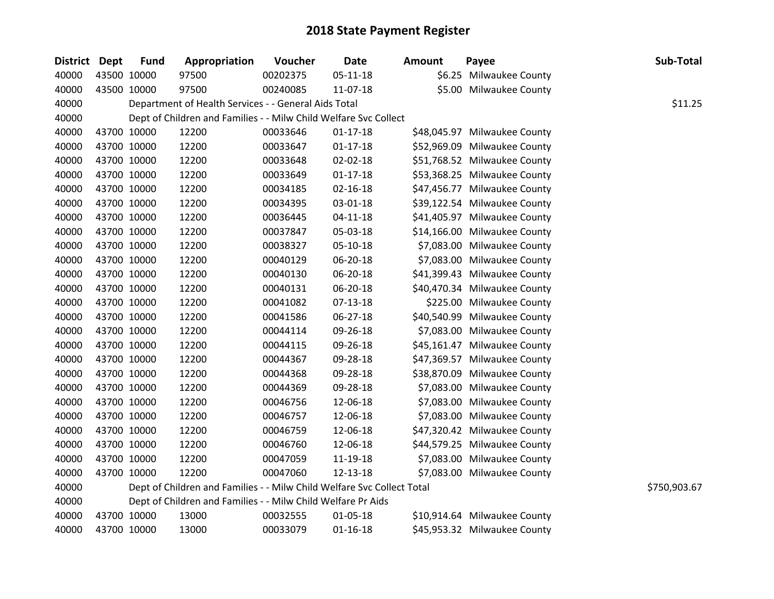| District Dept |             | <b>Fund</b> | Appropriation                                                          | Voucher  | <b>Date</b>    | <b>Amount</b> | Payee                        | Sub-Total    |
|---------------|-------------|-------------|------------------------------------------------------------------------|----------|----------------|---------------|------------------------------|--------------|
| 40000         |             | 43500 10000 | 97500                                                                  | 00202375 | $05 - 11 - 18$ |               | \$6.25 Milwaukee County      |              |
| 40000         |             | 43500 10000 | 97500                                                                  | 00240085 | 11-07-18       |               | \$5.00 Milwaukee County      |              |
| 40000         |             |             | Department of Health Services - - General Aids Total                   |          |                |               |                              | \$11.25      |
| 40000         |             |             | Dept of Children and Families - - Milw Child Welfare Svc Collect       |          |                |               |                              |              |
| 40000         |             | 43700 10000 | 12200                                                                  | 00033646 | $01 - 17 - 18$ |               | \$48,045.97 Milwaukee County |              |
| 40000         |             | 43700 10000 | 12200                                                                  | 00033647 | $01 - 17 - 18$ |               | \$52,969.09 Milwaukee County |              |
| 40000         |             | 43700 10000 | 12200                                                                  | 00033648 | 02-02-18       |               | \$51,768.52 Milwaukee County |              |
| 40000         | 43700 10000 |             | 12200                                                                  | 00033649 | $01 - 17 - 18$ |               | \$53,368.25 Milwaukee County |              |
| 40000         | 43700 10000 |             | 12200                                                                  | 00034185 | $02 - 16 - 18$ |               | \$47,456.77 Milwaukee County |              |
| 40000         |             | 43700 10000 | 12200                                                                  | 00034395 | 03-01-18       |               | \$39,122.54 Milwaukee County |              |
| 40000         |             | 43700 10000 | 12200                                                                  | 00036445 | $04 - 11 - 18$ |               | \$41,405.97 Milwaukee County |              |
| 40000         |             | 43700 10000 | 12200                                                                  | 00037847 | 05-03-18       |               | \$14,166.00 Milwaukee County |              |
| 40000         | 43700 10000 |             | 12200                                                                  | 00038327 | $05-10-18$     |               | \$7,083.00 Milwaukee County  |              |
| 40000         |             | 43700 10000 | 12200                                                                  | 00040129 | 06-20-18       |               | \$7,083.00 Milwaukee County  |              |
| 40000         | 43700 10000 |             | 12200                                                                  | 00040130 | 06-20-18       |               | \$41,399.43 Milwaukee County |              |
| 40000         |             | 43700 10000 | 12200                                                                  | 00040131 | 06-20-18       |               | \$40,470.34 Milwaukee County |              |
| 40000         |             | 43700 10000 | 12200                                                                  | 00041082 | $07 - 13 - 18$ |               | \$225.00 Milwaukee County    |              |
| 40000         | 43700 10000 |             | 12200                                                                  | 00041586 | 06-27-18       |               | \$40,540.99 Milwaukee County |              |
| 40000         | 43700 10000 |             | 12200                                                                  | 00044114 | 09-26-18       |               | \$7,083.00 Milwaukee County  |              |
| 40000         |             | 43700 10000 | 12200                                                                  | 00044115 | 09-26-18       |               | \$45,161.47 Milwaukee County |              |
| 40000         |             | 43700 10000 | 12200                                                                  | 00044367 | 09-28-18       |               | \$47,369.57 Milwaukee County |              |
| 40000         |             | 43700 10000 | 12200                                                                  | 00044368 | 09-28-18       |               | \$38,870.09 Milwaukee County |              |
| 40000         |             | 43700 10000 | 12200                                                                  | 00044369 | 09-28-18       |               | \$7,083.00 Milwaukee County  |              |
| 40000         |             | 43700 10000 | 12200                                                                  | 00046756 | 12-06-18       |               | \$7,083.00 Milwaukee County  |              |
| 40000         |             | 43700 10000 | 12200                                                                  | 00046757 | 12-06-18       |               | \$7,083.00 Milwaukee County  |              |
| 40000         |             | 43700 10000 | 12200                                                                  | 00046759 | 12-06-18       |               | \$47,320.42 Milwaukee County |              |
| 40000         | 43700 10000 |             | 12200                                                                  | 00046760 | 12-06-18       |               | \$44,579.25 Milwaukee County |              |
| 40000         |             | 43700 10000 | 12200                                                                  | 00047059 | 11-19-18       |               | \$7,083.00 Milwaukee County  |              |
| 40000         |             | 43700 10000 | 12200                                                                  | 00047060 | 12-13-18       |               | \$7,083.00 Milwaukee County  |              |
| 40000         |             |             | Dept of Children and Families - - Milw Child Welfare Svc Collect Total |          |                |               |                              | \$750,903.67 |
| 40000         |             |             | Dept of Children and Families - - Milw Child Welfare Pr Aids           |          |                |               |                              |              |
| 40000         |             | 43700 10000 | 13000                                                                  | 00032555 | 01-05-18       |               | \$10,914.64 Milwaukee County |              |
| 40000         |             | 43700 10000 | 13000                                                                  | 00033079 | $01 - 16 - 18$ |               | \$45,953.32 Milwaukee County |              |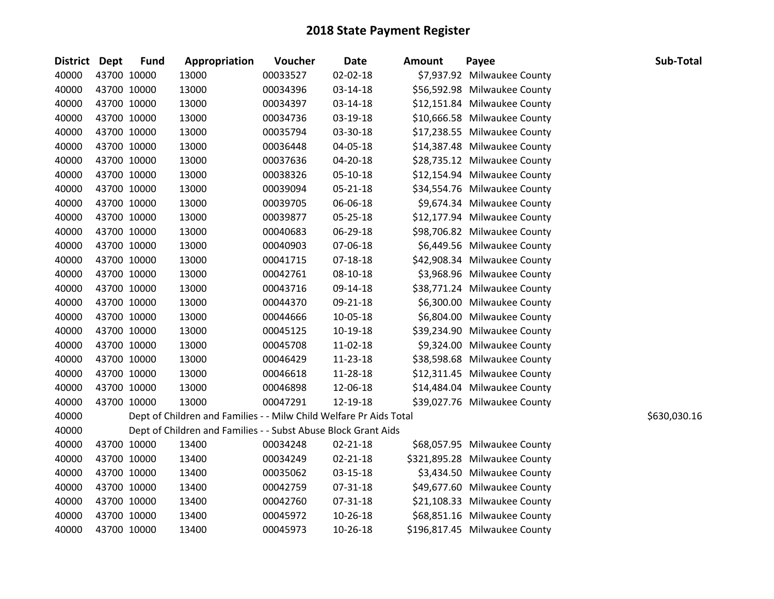| District Dept |             | <b>Fund</b> | Appropriation                                                      | Voucher  | Date           | Amount | Payee                         | Sub-Total    |
|---------------|-------------|-------------|--------------------------------------------------------------------|----------|----------------|--------|-------------------------------|--------------|
| 40000         |             | 43700 10000 | 13000                                                              | 00033527 | 02-02-18       |        | \$7,937.92 Milwaukee County   |              |
| 40000         |             | 43700 10000 | 13000                                                              | 00034396 | 03-14-18       |        | \$56,592.98 Milwaukee County  |              |
| 40000         |             | 43700 10000 | 13000                                                              | 00034397 | 03-14-18       |        | \$12,151.84 Milwaukee County  |              |
| 40000         |             | 43700 10000 | 13000                                                              | 00034736 | 03-19-18       |        | \$10,666.58 Milwaukee County  |              |
| 40000         |             | 43700 10000 | 13000                                                              | 00035794 | 03-30-18       |        | \$17,238.55 Milwaukee County  |              |
| 40000         |             | 43700 10000 | 13000                                                              | 00036448 | 04-05-18       |        | \$14,387.48 Milwaukee County  |              |
| 40000         |             | 43700 10000 | 13000                                                              | 00037636 | 04-20-18       |        | \$28,735.12 Milwaukee County  |              |
| 40000         |             | 43700 10000 | 13000                                                              | 00038326 | 05-10-18       |        | \$12,154.94 Milwaukee County  |              |
| 40000         |             | 43700 10000 | 13000                                                              | 00039094 | $05 - 21 - 18$ |        | \$34,554.76 Milwaukee County  |              |
| 40000         |             | 43700 10000 | 13000                                                              | 00039705 | 06-06-18       |        | \$9,674.34 Milwaukee County   |              |
| 40000         |             | 43700 10000 | 13000                                                              | 00039877 | 05-25-18       |        | \$12,177.94 Milwaukee County  |              |
| 40000         |             | 43700 10000 | 13000                                                              | 00040683 | 06-29-18       |        | \$98,706.82 Milwaukee County  |              |
| 40000         |             | 43700 10000 | 13000                                                              | 00040903 | 07-06-18       |        | \$6,449.56 Milwaukee County   |              |
| 40000         |             | 43700 10000 | 13000                                                              | 00041715 | $07 - 18 - 18$ |        | \$42,908.34 Milwaukee County  |              |
| 40000         | 43700 10000 |             | 13000                                                              | 00042761 | 08-10-18       |        | \$3,968.96 Milwaukee County   |              |
| 40000         |             | 43700 10000 | 13000                                                              | 00043716 | 09-14-18       |        | \$38,771.24 Milwaukee County  |              |
| 40000         |             | 43700 10000 | 13000                                                              | 00044370 | 09-21-18       |        | \$6,300.00 Milwaukee County   |              |
| 40000         |             | 43700 10000 | 13000                                                              | 00044666 | 10-05-18       |        | \$6,804.00 Milwaukee County   |              |
| 40000         |             | 43700 10000 | 13000                                                              | 00045125 | 10-19-18       |        | \$39,234.90 Milwaukee County  |              |
| 40000         |             | 43700 10000 | 13000                                                              | 00045708 | 11-02-18       |        | \$9,324.00 Milwaukee County   |              |
| 40000         |             | 43700 10000 | 13000                                                              | 00046429 | 11-23-18       |        | \$38,598.68 Milwaukee County  |              |
| 40000         |             | 43700 10000 | 13000                                                              | 00046618 | 11-28-18       |        | \$12,311.45 Milwaukee County  |              |
| 40000         |             | 43700 10000 | 13000                                                              | 00046898 | 12-06-18       |        | \$14,484.04 Milwaukee County  |              |
| 40000         | 43700 10000 |             | 13000                                                              | 00047291 | 12-19-18       |        | \$39,027.76 Milwaukee County  |              |
| 40000         |             |             | Dept of Children and Families - - Milw Child Welfare Pr Aids Total |          |                |        |                               | \$630,030.16 |
| 40000         |             |             | Dept of Children and Families - - Subst Abuse Block Grant Aids     |          |                |        |                               |              |
| 40000         |             | 43700 10000 | 13400                                                              | 00034248 | $02 - 21 - 18$ |        | \$68,057.95 Milwaukee County  |              |
| 40000         |             | 43700 10000 | 13400                                                              | 00034249 | $02 - 21 - 18$ |        | \$321,895.28 Milwaukee County |              |
| 40000         |             | 43700 10000 | 13400                                                              | 00035062 | 03-15-18       |        | \$3,434.50 Milwaukee County   |              |
| 40000         |             | 43700 10000 | 13400                                                              | 00042759 | 07-31-18       |        | \$49,677.60 Milwaukee County  |              |
| 40000         |             | 43700 10000 | 13400                                                              | 00042760 | 07-31-18       |        | \$21,108.33 Milwaukee County  |              |
| 40000         |             | 43700 10000 | 13400                                                              | 00045972 | 10-26-18       |        | \$68,851.16 Milwaukee County  |              |
| 40000         | 43700 10000 |             | 13400                                                              | 00045973 | 10-26-18       |        | \$196,817.45 Milwaukee County |              |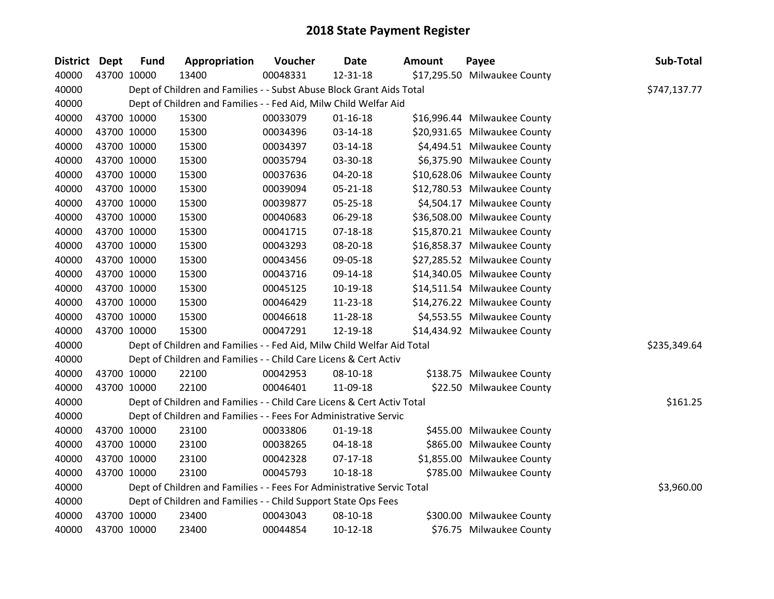| <b>District Dept</b> | <b>Fund</b> | Appropriation                                                          | Voucher  | <b>Date</b>    | <b>Amount</b> | Payee                        | Sub-Total    |
|----------------------|-------------|------------------------------------------------------------------------|----------|----------------|---------------|------------------------------|--------------|
| 40000                | 43700 10000 | 13400                                                                  | 00048331 | 12-31-18       |               | \$17,295.50 Milwaukee County |              |
| 40000                |             | Dept of Children and Families - - Subst Abuse Block Grant Aids Total   |          |                |               |                              | \$747,137.77 |
| 40000                |             | Dept of Children and Families - - Fed Aid, Milw Child Welfar Aid       |          |                |               |                              |              |
| 40000                | 43700 10000 | 15300                                                                  | 00033079 | $01 - 16 - 18$ |               | \$16,996.44 Milwaukee County |              |
| 40000                | 43700 10000 | 15300                                                                  | 00034396 | 03-14-18       |               | \$20,931.65 Milwaukee County |              |
| 40000                | 43700 10000 | 15300                                                                  | 00034397 | 03-14-18       |               | \$4,494.51 Milwaukee County  |              |
| 40000                | 43700 10000 | 15300                                                                  | 00035794 | 03-30-18       |               | \$6,375.90 Milwaukee County  |              |
| 40000                | 43700 10000 | 15300                                                                  | 00037636 | 04-20-18       |               | \$10,628.06 Milwaukee County |              |
| 40000                | 43700 10000 | 15300                                                                  | 00039094 | $05 - 21 - 18$ |               | \$12,780.53 Milwaukee County |              |
| 40000                | 43700 10000 | 15300                                                                  | 00039877 | 05-25-18       |               | \$4,504.17 Milwaukee County  |              |
| 40000                | 43700 10000 | 15300                                                                  | 00040683 | 06-29-18       |               | \$36,508.00 Milwaukee County |              |
| 40000                | 43700 10000 | 15300                                                                  | 00041715 | $07-18-18$     |               | \$15,870.21 Milwaukee County |              |
| 40000                | 43700 10000 | 15300                                                                  | 00043293 | 08-20-18       |               | \$16,858.37 Milwaukee County |              |
| 40000                | 43700 10000 | 15300                                                                  | 00043456 | 09-05-18       |               | \$27,285.52 Milwaukee County |              |
| 40000                | 43700 10000 | 15300                                                                  | 00043716 | 09-14-18       |               | \$14,340.05 Milwaukee County |              |
| 40000                | 43700 10000 | 15300                                                                  | 00045125 | 10-19-18       |               | \$14,511.54 Milwaukee County |              |
| 40000                | 43700 10000 | 15300                                                                  | 00046429 | 11-23-18       |               | \$14,276.22 Milwaukee County |              |
| 40000                | 43700 10000 | 15300                                                                  | 00046618 | 11-28-18       |               | \$4,553.55 Milwaukee County  |              |
| 40000                | 43700 10000 | 15300                                                                  | 00047291 | 12-19-18       |               | \$14,434.92 Milwaukee County |              |
| 40000                |             | Dept of Children and Families - - Fed Aid, Milw Child Welfar Aid Total |          |                |               |                              | \$235,349.64 |
| 40000                |             | Dept of Children and Families - - Child Care Licens & Cert Activ       |          |                |               |                              |              |
| 40000                | 43700 10000 | 22100                                                                  | 00042953 | 08-10-18       |               | \$138.75 Milwaukee County    |              |
| 40000                | 43700 10000 | 22100                                                                  | 00046401 | 11-09-18       |               | \$22.50 Milwaukee County     |              |
| 40000                |             | Dept of Children and Families - - Child Care Licens & Cert Activ Total |          |                |               |                              | \$161.25     |
| 40000                |             | Dept of Children and Families - - Fees For Administrative Servic       |          |                |               |                              |              |
| 40000                | 43700 10000 | 23100                                                                  | 00033806 | $01 - 19 - 18$ |               | \$455.00 Milwaukee County    |              |
| 40000                | 43700 10000 | 23100                                                                  | 00038265 | 04-18-18       |               | \$865.00 Milwaukee County    |              |
| 40000                | 43700 10000 | 23100                                                                  | 00042328 | $07-17-18$     |               | \$1,855.00 Milwaukee County  |              |
| 40000                | 43700 10000 | 23100                                                                  | 00045793 | 10-18-18       |               | \$785.00 Milwaukee County    |              |
| 40000                |             | Dept of Children and Families - - Fees For Administrative Servic Total |          |                |               |                              | \$3,960.00   |
| 40000                |             | Dept of Children and Families - - Child Support State Ops Fees         |          |                |               |                              |              |
| 40000                | 43700 10000 | 23400                                                                  | 00043043 | 08-10-18       |               | \$300.00 Milwaukee County    |              |
| 40000                | 43700 10000 | 23400                                                                  | 00044854 | $10-12-18$     |               | \$76.75 Milwaukee County     |              |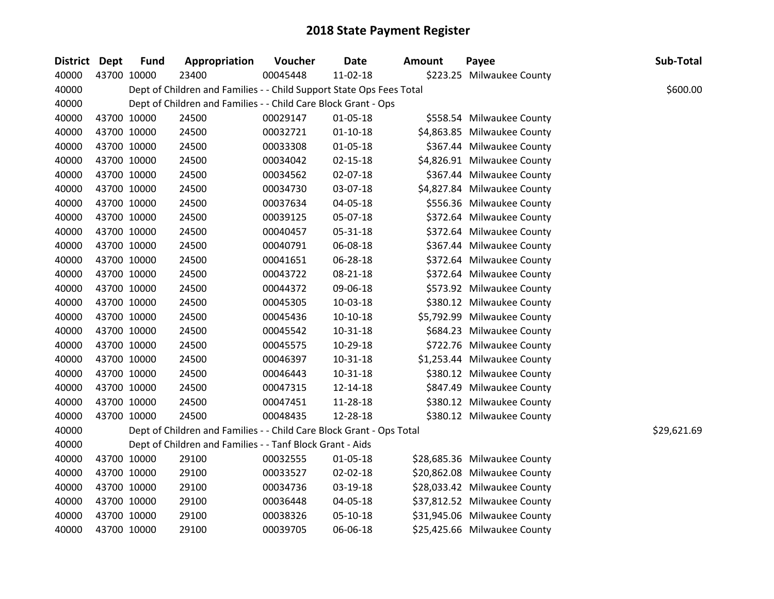| <b>District Dept</b> |             | <b>Fund</b> | Appropriation                                                        | Voucher  | <b>Date</b>    | <b>Amount</b> | Payee                        | Sub-Total   |
|----------------------|-------------|-------------|----------------------------------------------------------------------|----------|----------------|---------------|------------------------------|-------------|
| 40000                | 43700 10000 |             | 23400                                                                | 00045448 | 11-02-18       |               | \$223.25 Milwaukee County    |             |
| 40000                |             |             | Dept of Children and Families - - Child Support State Ops Fees Total |          |                |               |                              | \$600.00    |
| 40000                |             |             | Dept of Children and Families - - Child Care Block Grant - Ops       |          |                |               |                              |             |
| 40000                | 43700 10000 |             | 24500                                                                | 00029147 | $01 - 05 - 18$ |               | \$558.54 Milwaukee County    |             |
| 40000                | 43700 10000 |             | 24500                                                                | 00032721 | $01 - 10 - 18$ |               | \$4,863.85 Milwaukee County  |             |
| 40000                | 43700 10000 |             | 24500                                                                | 00033308 | $01 - 05 - 18$ |               | \$367.44 Milwaukee County    |             |
| 40000                |             | 43700 10000 | 24500                                                                | 00034042 | $02 - 15 - 18$ |               | \$4,826.91 Milwaukee County  |             |
| 40000                | 43700 10000 |             | 24500                                                                | 00034562 | 02-07-18       |               | \$367.44 Milwaukee County    |             |
| 40000                | 43700 10000 |             | 24500                                                                | 00034730 | 03-07-18       |               | \$4,827.84 Milwaukee County  |             |
| 40000                | 43700 10000 |             | 24500                                                                | 00037634 | 04-05-18       |               | \$556.36 Milwaukee County    |             |
| 40000                | 43700 10000 |             | 24500                                                                | 00039125 | 05-07-18       |               | \$372.64 Milwaukee County    |             |
| 40000                | 43700 10000 |             | 24500                                                                | 00040457 | 05-31-18       |               | \$372.64 Milwaukee County    |             |
| 40000                | 43700 10000 |             | 24500                                                                | 00040791 | 06-08-18       |               | \$367.44 Milwaukee County    |             |
| 40000                | 43700 10000 |             | 24500                                                                | 00041651 | 06-28-18       |               | \$372.64 Milwaukee County    |             |
| 40000                | 43700 10000 |             | 24500                                                                | 00043722 | 08-21-18       |               | \$372.64 Milwaukee County    |             |
| 40000                | 43700 10000 |             | 24500                                                                | 00044372 | 09-06-18       |               | \$573.92 Milwaukee County    |             |
| 40000                | 43700 10000 |             | 24500                                                                | 00045305 | 10-03-18       |               | \$380.12 Milwaukee County    |             |
| 40000                |             | 43700 10000 | 24500                                                                | 00045436 | $10-10-18$     |               | \$5,792.99 Milwaukee County  |             |
| 40000                | 43700 10000 |             | 24500                                                                | 00045542 | $10 - 31 - 18$ |               | \$684.23 Milwaukee County    |             |
| 40000                | 43700 10000 |             | 24500                                                                | 00045575 | 10-29-18       |               | \$722.76 Milwaukee County    |             |
| 40000                | 43700 10000 |             | 24500                                                                | 00046397 | 10-31-18       |               | \$1,253.44 Milwaukee County  |             |
| 40000                | 43700 10000 |             | 24500                                                                | 00046443 | 10-31-18       |               | \$380.12 Milwaukee County    |             |
| 40000                |             | 43700 10000 | 24500                                                                | 00047315 | 12-14-18       |               | \$847.49 Milwaukee County    |             |
| 40000                | 43700 10000 |             | 24500                                                                | 00047451 | 11-28-18       |               | \$380.12 Milwaukee County    |             |
| 40000                | 43700 10000 |             | 24500                                                                | 00048435 | 12-28-18       |               | \$380.12 Milwaukee County    |             |
| 40000                |             |             | Dept of Children and Families - - Child Care Block Grant - Ops Total |          |                |               |                              | \$29,621.69 |
| 40000                |             |             | Dept of Children and Families - - Tanf Block Grant - Aids            |          |                |               |                              |             |
| 40000                |             | 43700 10000 | 29100                                                                | 00032555 | $01 - 05 - 18$ |               | \$28,685.36 Milwaukee County |             |
| 40000                |             | 43700 10000 | 29100                                                                | 00033527 | $02 - 02 - 18$ |               | \$20,862.08 Milwaukee County |             |
| 40000                | 43700 10000 |             | 29100                                                                | 00034736 | 03-19-18       |               | \$28,033.42 Milwaukee County |             |
| 40000                | 43700 10000 |             | 29100                                                                | 00036448 | 04-05-18       |               | \$37,812.52 Milwaukee County |             |
| 40000                | 43700 10000 |             | 29100                                                                | 00038326 | 05-10-18       |               | \$31,945.06 Milwaukee County |             |
| 40000                | 43700 10000 |             | 29100                                                                | 00039705 | 06-06-18       |               | \$25,425.66 Milwaukee County |             |
|                      |             |             |                                                                      |          |                |               |                              |             |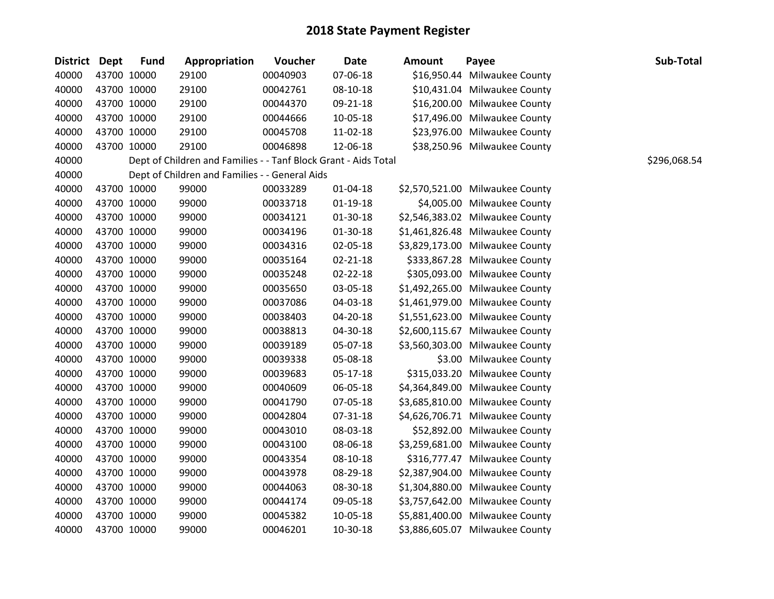| <b>District Dept</b> |             | <b>Fund</b> | Appropriation                                                   | Voucher  | <b>Date</b>    | <b>Amount</b> | Payee                           | Sub-Total    |
|----------------------|-------------|-------------|-----------------------------------------------------------------|----------|----------------|---------------|---------------------------------|--------------|
| 40000                |             | 43700 10000 | 29100                                                           | 00040903 | 07-06-18       |               | \$16,950.44 Milwaukee County    |              |
| 40000                |             | 43700 10000 | 29100                                                           | 00042761 | 08-10-18       |               | \$10,431.04 Milwaukee County    |              |
| 40000                |             | 43700 10000 | 29100                                                           | 00044370 | 09-21-18       |               | \$16,200.00 Milwaukee County    |              |
| 40000                |             | 43700 10000 | 29100                                                           | 00044666 | 10-05-18       |               | \$17,496.00 Milwaukee County    |              |
| 40000                |             | 43700 10000 | 29100                                                           | 00045708 | 11-02-18       |               | \$23,976.00 Milwaukee County    |              |
| 40000                |             | 43700 10000 | 29100                                                           | 00046898 | 12-06-18       |               | \$38,250.96 Milwaukee County    |              |
| 40000                |             |             | Dept of Children and Families - - Tanf Block Grant - Aids Total |          |                |               |                                 | \$296,068.54 |
| 40000                |             |             | Dept of Children and Families - - General Aids                  |          |                |               |                                 |              |
| 40000                |             | 43700 10000 | 99000                                                           | 00033289 | $01 - 04 - 18$ |               | \$2,570,521.00 Milwaukee County |              |
| 40000                |             | 43700 10000 | 99000                                                           | 00033718 | $01 - 19 - 18$ |               | \$4,005.00 Milwaukee County     |              |
| 40000                |             | 43700 10000 | 99000                                                           | 00034121 | 01-30-18       |               | \$2,546,383.02 Milwaukee County |              |
| 40000                |             | 43700 10000 | 99000                                                           | 00034196 | 01-30-18       |               | \$1,461,826.48 Milwaukee County |              |
| 40000                | 43700 10000 |             | 99000                                                           | 00034316 | 02-05-18       |               | \$3,829,173.00 Milwaukee County |              |
| 40000                |             | 43700 10000 | 99000                                                           | 00035164 | $02 - 21 - 18$ |               | \$333,867.28 Milwaukee County   |              |
| 40000                |             | 43700 10000 | 99000                                                           | 00035248 | 02-22-18       |               | \$305,093.00 Milwaukee County   |              |
| 40000                |             | 43700 10000 | 99000                                                           | 00035650 | 03-05-18       |               | \$1,492,265.00 Milwaukee County |              |
| 40000                |             | 43700 10000 | 99000                                                           | 00037086 | 04-03-18       |               | \$1,461,979.00 Milwaukee County |              |
| 40000                | 43700 10000 |             | 99000                                                           | 00038403 | 04-20-18       |               | \$1,551,623.00 Milwaukee County |              |
| 40000                |             | 43700 10000 | 99000                                                           | 00038813 | 04-30-18       |               | \$2,600,115.67 Milwaukee County |              |
| 40000                |             | 43700 10000 | 99000                                                           | 00039189 | 05-07-18       |               | \$3,560,303.00 Milwaukee County |              |
| 40000                |             | 43700 10000 | 99000                                                           | 00039338 | 05-08-18       |               | \$3.00 Milwaukee County         |              |
| 40000                |             | 43700 10000 | 99000                                                           | 00039683 | $05-17-18$     |               | \$315,033.20 Milwaukee County   |              |
| 40000                | 43700 10000 |             | 99000                                                           | 00040609 | 06-05-18       |               | \$4,364,849.00 Milwaukee County |              |
| 40000                |             | 43700 10000 | 99000                                                           | 00041790 | 07-05-18       |               | \$3,685,810.00 Milwaukee County |              |
| 40000                |             | 43700 10000 | 99000                                                           | 00042804 | 07-31-18       |               | \$4,626,706.71 Milwaukee County |              |
| 40000                |             | 43700 10000 | 99000                                                           | 00043010 | 08-03-18       |               | \$52,892.00 Milwaukee County    |              |
| 40000                |             | 43700 10000 | 99000                                                           | 00043100 | 08-06-18       |               | \$3,259,681.00 Milwaukee County |              |
| 40000                |             | 43700 10000 | 99000                                                           | 00043354 | 08-10-18       |               | \$316,777.47 Milwaukee County   |              |
| 40000                |             | 43700 10000 | 99000                                                           | 00043978 | 08-29-18       |               | \$2,387,904.00 Milwaukee County |              |
| 40000                |             | 43700 10000 | 99000                                                           | 00044063 | 08-30-18       |               | \$1,304,880.00 Milwaukee County |              |
| 40000                |             | 43700 10000 | 99000                                                           | 00044174 | 09-05-18       |               | \$3,757,642.00 Milwaukee County |              |
| 40000                |             | 43700 10000 | 99000                                                           | 00045382 | 10-05-18       |               | \$5,881,400.00 Milwaukee County |              |
| 40000                | 43700 10000 |             | 99000                                                           | 00046201 | 10-30-18       |               | \$3,886,605.07 Milwaukee County |              |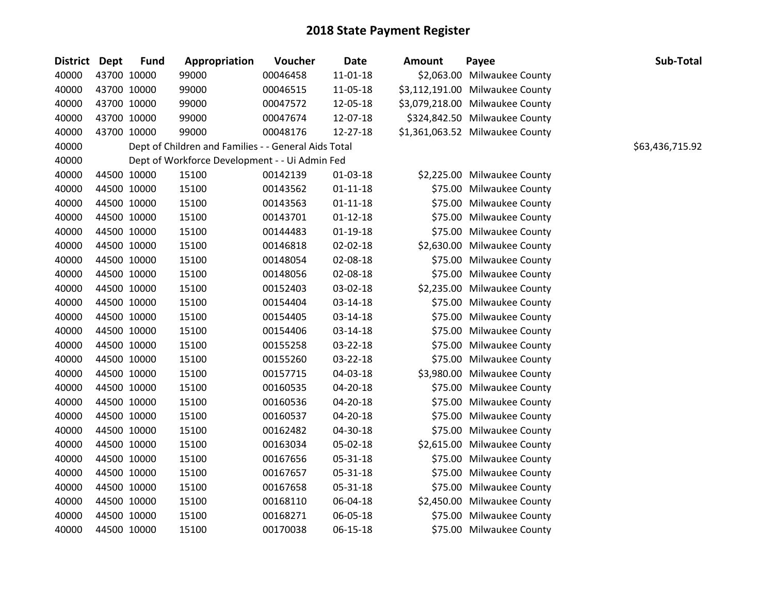| District Dept |             | <b>Fund</b> | Appropriation                                        | Voucher  | <b>Date</b>    | <b>Amount</b> | Payee                           | Sub-Total       |
|---------------|-------------|-------------|------------------------------------------------------|----------|----------------|---------------|---------------------------------|-----------------|
| 40000         |             | 43700 10000 | 99000                                                | 00046458 | 11-01-18       |               | \$2,063.00 Milwaukee County     |                 |
| 40000         |             | 43700 10000 | 99000                                                | 00046515 | 11-05-18       |               | \$3,112,191.00 Milwaukee County |                 |
| 40000         |             | 43700 10000 | 99000                                                | 00047572 | 12-05-18       |               | \$3,079,218.00 Milwaukee County |                 |
| 40000         |             | 43700 10000 | 99000                                                | 00047674 | 12-07-18       |               | \$324,842.50 Milwaukee County   |                 |
| 40000         |             | 43700 10000 | 99000                                                | 00048176 | 12-27-18       |               | \$1,361,063.52 Milwaukee County |                 |
| 40000         |             |             | Dept of Children and Families - - General Aids Total |          |                |               |                                 | \$63,436,715.92 |
| 40000         |             |             | Dept of Workforce Development - - Ui Admin Fed       |          |                |               |                                 |                 |
| 40000         |             | 44500 10000 | 15100                                                | 00142139 | 01-03-18       |               | \$2,225.00 Milwaukee County     |                 |
| 40000         | 44500 10000 |             | 15100                                                | 00143562 | $01 - 11 - 18$ |               | \$75.00 Milwaukee County        |                 |
| 40000         |             | 44500 10000 | 15100                                                | 00143563 | $01 - 11 - 18$ |               | \$75.00 Milwaukee County        |                 |
| 40000         |             | 44500 10000 | 15100                                                | 00143701 | $01 - 12 - 18$ |               | \$75.00 Milwaukee County        |                 |
| 40000         |             | 44500 10000 | 15100                                                | 00144483 | $01-19-18$     |               | \$75.00 Milwaukee County        |                 |
| 40000         |             | 44500 10000 | 15100                                                | 00146818 | 02-02-18       |               | \$2,630.00 Milwaukee County     |                 |
| 40000         | 44500 10000 |             | 15100                                                | 00148054 | 02-08-18       |               | \$75.00 Milwaukee County        |                 |
| 40000         |             | 44500 10000 | 15100                                                | 00148056 | 02-08-18       |               | \$75.00 Milwaukee County        |                 |
| 40000         |             | 44500 10000 | 15100                                                | 00152403 | 03-02-18       |               | \$2,235.00 Milwaukee County     |                 |
| 40000         |             | 44500 10000 | 15100                                                | 00154404 | 03-14-18       |               | \$75.00 Milwaukee County        |                 |
| 40000         |             | 44500 10000 | 15100                                                | 00154405 | 03-14-18       |               | \$75.00 Milwaukee County        |                 |
| 40000         |             | 44500 10000 | 15100                                                | 00154406 | 03-14-18       |               | \$75.00 Milwaukee County        |                 |
| 40000         |             | 44500 10000 | 15100                                                | 00155258 | 03-22-18       |               | \$75.00 Milwaukee County        |                 |
| 40000         |             | 44500 10000 | 15100                                                | 00155260 | 03-22-18       |               | \$75.00 Milwaukee County        |                 |
| 40000         |             | 44500 10000 | 15100                                                | 00157715 | 04-03-18       |               | \$3,980.00 Milwaukee County     |                 |
| 40000         | 44500 10000 |             | 15100                                                | 00160535 | 04-20-18       |               | \$75.00 Milwaukee County        |                 |
| 40000         |             | 44500 10000 | 15100                                                | 00160536 | 04-20-18       |               | \$75.00 Milwaukee County        |                 |
| 40000         |             | 44500 10000 | 15100                                                | 00160537 | 04-20-18       |               | \$75.00 Milwaukee County        |                 |
| 40000         |             | 44500 10000 | 15100                                                | 00162482 | 04-30-18       |               | \$75.00 Milwaukee County        |                 |
| 40000         |             | 44500 10000 | 15100                                                | 00163034 | 05-02-18       |               | \$2,615.00 Milwaukee County     |                 |
| 40000         |             | 44500 10000 | 15100                                                | 00167656 | 05-31-18       |               | \$75.00 Milwaukee County        |                 |
| 40000         |             | 44500 10000 | 15100                                                | 00167657 | 05-31-18       |               | \$75.00 Milwaukee County        |                 |
| 40000         |             | 44500 10000 | 15100                                                | 00167658 | 05-31-18       |               | \$75.00 Milwaukee County        |                 |
| 40000         |             | 44500 10000 | 15100                                                | 00168110 | 06-04-18       |               | \$2,450.00 Milwaukee County     |                 |
| 40000         |             | 44500 10000 | 15100                                                | 00168271 | 06-05-18       |               | \$75.00 Milwaukee County        |                 |
| 40000         |             | 44500 10000 | 15100                                                | 00170038 | 06-15-18       |               | \$75.00 Milwaukee County        |                 |

#### Dept of Children and Families - - General Aids Total \$63,436,715.92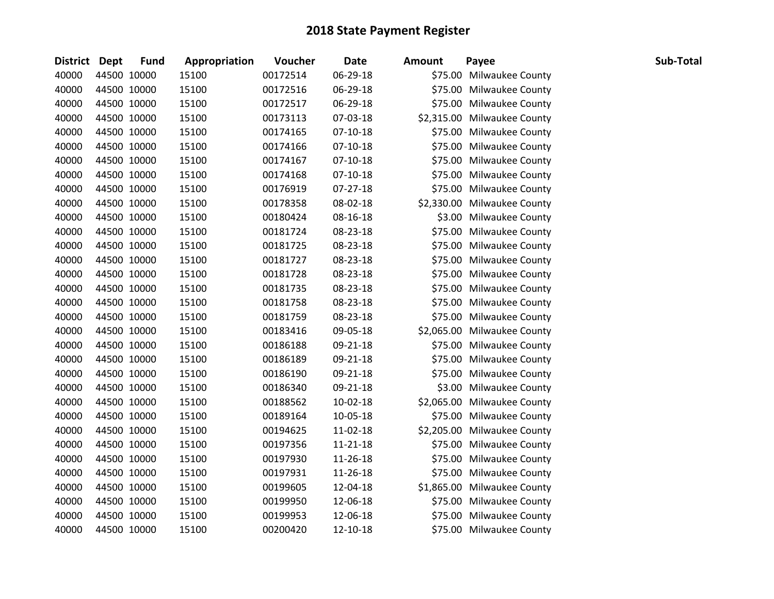| <b>District Dept</b> |             | <b>Fund</b> | Appropriation | Voucher  | <b>Date</b> | <b>Amount</b> | Payee                       | Sub-Total |
|----------------------|-------------|-------------|---------------|----------|-------------|---------------|-----------------------------|-----------|
| 40000                |             | 44500 10000 | 15100         | 00172514 | 06-29-18    |               | \$75.00 Milwaukee County    |           |
| 40000                |             | 44500 10000 | 15100         | 00172516 | 06-29-18    |               | \$75.00 Milwaukee County    |           |
| 40000                |             | 44500 10000 | 15100         | 00172517 | 06-29-18    |               | \$75.00 Milwaukee County    |           |
| 40000                |             | 44500 10000 | 15100         | 00173113 | 07-03-18    |               | \$2,315.00 Milwaukee County |           |
| 40000                | 44500 10000 |             | 15100         | 00174165 | 07-10-18    |               | \$75.00 Milwaukee County    |           |
| 40000                |             | 44500 10000 | 15100         | 00174166 | $07-10-18$  |               | \$75.00 Milwaukee County    |           |
| 40000                |             | 44500 10000 | 15100         | 00174167 | $07-10-18$  |               | \$75.00 Milwaukee County    |           |
| 40000                |             | 44500 10000 | 15100         | 00174168 | $07-10-18$  |               | \$75.00 Milwaukee County    |           |
| 40000                |             | 44500 10000 | 15100         | 00176919 | 07-27-18    |               | \$75.00 Milwaukee County    |           |
| 40000                |             | 44500 10000 | 15100         | 00178358 | 08-02-18    |               | \$2,330.00 Milwaukee County |           |
| 40000                |             | 44500 10000 | 15100         | 00180424 | 08-16-18    |               | \$3.00 Milwaukee County     |           |
| 40000                |             | 44500 10000 | 15100         | 00181724 | 08-23-18    |               | \$75.00 Milwaukee County    |           |
| 40000                | 44500 10000 |             | 15100         | 00181725 | 08-23-18    |               | \$75.00 Milwaukee County    |           |
| 40000                |             | 44500 10000 | 15100         | 00181727 | 08-23-18    |               | \$75.00 Milwaukee County    |           |
| 40000                |             | 44500 10000 | 15100         | 00181728 | 08-23-18    |               | \$75.00 Milwaukee County    |           |
| 40000                |             | 44500 10000 | 15100         | 00181735 | 08-23-18    |               | \$75.00 Milwaukee County    |           |
| 40000                |             | 44500 10000 | 15100         | 00181758 | 08-23-18    |               | \$75.00 Milwaukee County    |           |
| 40000                |             | 44500 10000 | 15100         | 00181759 | 08-23-18    |               | \$75.00 Milwaukee County    |           |
| 40000                |             | 44500 10000 | 15100         | 00183416 | 09-05-18    |               | \$2,065.00 Milwaukee County |           |
| 40000                |             | 44500 10000 | 15100         | 00186188 | 09-21-18    |               | \$75.00 Milwaukee County    |           |
| 40000                |             | 44500 10000 | 15100         | 00186189 | 09-21-18    |               | \$75.00 Milwaukee County    |           |
| 40000                |             | 44500 10000 | 15100         | 00186190 | 09-21-18    |               | \$75.00 Milwaukee County    |           |
| 40000                | 44500 10000 |             | 15100         | 00186340 | 09-21-18    |               | \$3.00 Milwaukee County     |           |
| 40000                | 44500 10000 |             | 15100         | 00188562 | 10-02-18    |               | \$2,065.00 Milwaukee County |           |
| 40000                | 44500 10000 |             | 15100         | 00189164 | 10-05-18    |               | \$75.00 Milwaukee County    |           |
| 40000                |             | 44500 10000 | 15100         | 00194625 | 11-02-18    |               | \$2,205.00 Milwaukee County |           |
| 40000                |             | 44500 10000 | 15100         | 00197356 | 11-21-18    |               | \$75.00 Milwaukee County    |           |
| 40000                |             | 44500 10000 | 15100         | 00197930 | 11-26-18    |               | \$75.00 Milwaukee County    |           |
| 40000                |             | 44500 10000 | 15100         | 00197931 | 11-26-18    |               | \$75.00 Milwaukee County    |           |
| 40000                |             | 44500 10000 | 15100         | 00199605 | 12-04-18    |               | \$1,865.00 Milwaukee County |           |
| 40000                |             | 44500 10000 | 15100         | 00199950 | 12-06-18    |               | \$75.00 Milwaukee County    |           |
| 40000                |             | 44500 10000 | 15100         | 00199953 | 12-06-18    |               | \$75.00 Milwaukee County    |           |
| 40000                | 44500 10000 |             | 15100         | 00200420 | 12-10-18    |               | \$75.00 Milwaukee County    |           |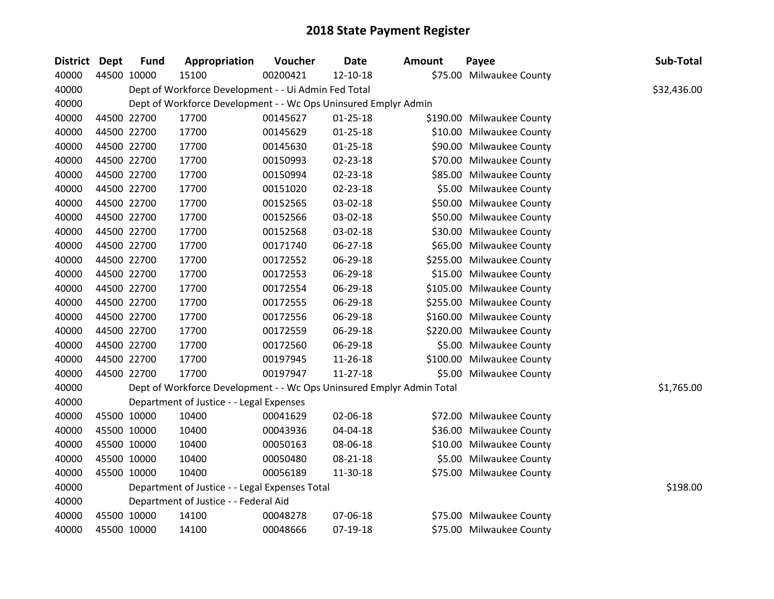| <b>District</b> | <b>Dept</b> | <b>Fund</b> | Appropriation                                                         | Voucher  | <b>Date</b>    | <b>Amount</b> | Payee                     | Sub-Total   |
|-----------------|-------------|-------------|-----------------------------------------------------------------------|----------|----------------|---------------|---------------------------|-------------|
| 40000           |             | 44500 10000 | 15100                                                                 | 00200421 | 12-10-18       |               | \$75.00 Milwaukee County  |             |
| 40000           |             |             | Dept of Workforce Development - - Ui Admin Fed Total                  |          |                |               |                           | \$32,436.00 |
| 40000           |             |             | Dept of Workforce Development - - Wc Ops Uninsured Emplyr Admin       |          |                |               |                           |             |
| 40000           |             | 44500 22700 | 17700                                                                 | 00145627 | $01 - 25 - 18$ |               | \$190.00 Milwaukee County |             |
| 40000           |             | 44500 22700 | 17700                                                                 | 00145629 | $01 - 25 - 18$ |               | \$10.00 Milwaukee County  |             |
| 40000           |             | 44500 22700 | 17700                                                                 | 00145630 | $01 - 25 - 18$ |               | \$90.00 Milwaukee County  |             |
| 40000           |             | 44500 22700 | 17700                                                                 | 00150993 | 02-23-18       |               | \$70.00 Milwaukee County  |             |
| 40000           |             | 44500 22700 | 17700                                                                 | 00150994 | $02 - 23 - 18$ |               | \$85.00 Milwaukee County  |             |
| 40000           |             | 44500 22700 | 17700                                                                 | 00151020 | 02-23-18       |               | \$5.00 Milwaukee County   |             |
| 40000           |             | 44500 22700 | 17700                                                                 | 00152565 | 03-02-18       |               | \$50.00 Milwaukee County  |             |
| 40000           |             | 44500 22700 | 17700                                                                 | 00152566 | 03-02-18       |               | \$50.00 Milwaukee County  |             |
| 40000           |             | 44500 22700 | 17700                                                                 | 00152568 | 03-02-18       |               | \$30.00 Milwaukee County  |             |
| 40000           |             | 44500 22700 | 17700                                                                 | 00171740 | 06-27-18       |               | \$65.00 Milwaukee County  |             |
| 40000           |             | 44500 22700 | 17700                                                                 | 00172552 | 06-29-18       |               | \$255.00 Milwaukee County |             |
| 40000           |             | 44500 22700 | 17700                                                                 | 00172553 | 06-29-18       |               | \$15.00 Milwaukee County  |             |
| 40000           |             | 44500 22700 | 17700                                                                 | 00172554 | 06-29-18       |               | \$105.00 Milwaukee County |             |
| 40000           |             | 44500 22700 | 17700                                                                 | 00172555 | 06-29-18       |               | \$255.00 Milwaukee County |             |
| 40000           |             | 44500 22700 | 17700                                                                 | 00172556 | 06-29-18       |               | \$160.00 Milwaukee County |             |
| 40000           |             | 44500 22700 | 17700                                                                 | 00172559 | 06-29-18       |               | \$220.00 Milwaukee County |             |
| 40000           |             | 44500 22700 | 17700                                                                 | 00172560 | 06-29-18       |               | \$5.00 Milwaukee County   |             |
| 40000           |             | 44500 22700 | 17700                                                                 | 00197945 | 11-26-18       |               | \$100.00 Milwaukee County |             |
| 40000           |             | 44500 22700 | 17700                                                                 | 00197947 | $11 - 27 - 18$ |               | \$5.00 Milwaukee County   |             |
| 40000           |             |             | Dept of Workforce Development - - Wc Ops Uninsured Emplyr Admin Total |          |                |               |                           | \$1,765.00  |
| 40000           |             |             | Department of Justice - - Legal Expenses                              |          |                |               |                           |             |
| 40000           |             | 45500 10000 | 10400                                                                 | 00041629 | 02-06-18       |               | \$72.00 Milwaukee County  |             |
| 40000           |             | 45500 10000 | 10400                                                                 | 00043936 | 04-04-18       |               | \$36.00 Milwaukee County  |             |
| 40000           |             | 45500 10000 | 10400                                                                 | 00050163 | 08-06-18       |               | \$10.00 Milwaukee County  |             |
| 40000           |             | 45500 10000 | 10400                                                                 | 00050480 | 08-21-18       |               | \$5.00 Milwaukee County   |             |
| 40000           |             | 45500 10000 | 10400                                                                 | 00056189 | 11-30-18       |               | \$75.00 Milwaukee County  |             |
| 40000           |             |             | Department of Justice - - Legal Expenses Total                        |          |                |               |                           | \$198.00    |
| 40000           |             |             | Department of Justice - - Federal Aid                                 |          |                |               |                           |             |
| 40000           |             | 45500 10000 | 14100                                                                 | 00048278 | 07-06-18       |               | \$75.00 Milwaukee County  |             |
| 40000           |             | 45500 10000 | 14100                                                                 | 00048666 | 07-19-18       |               | \$75.00 Milwaukee County  |             |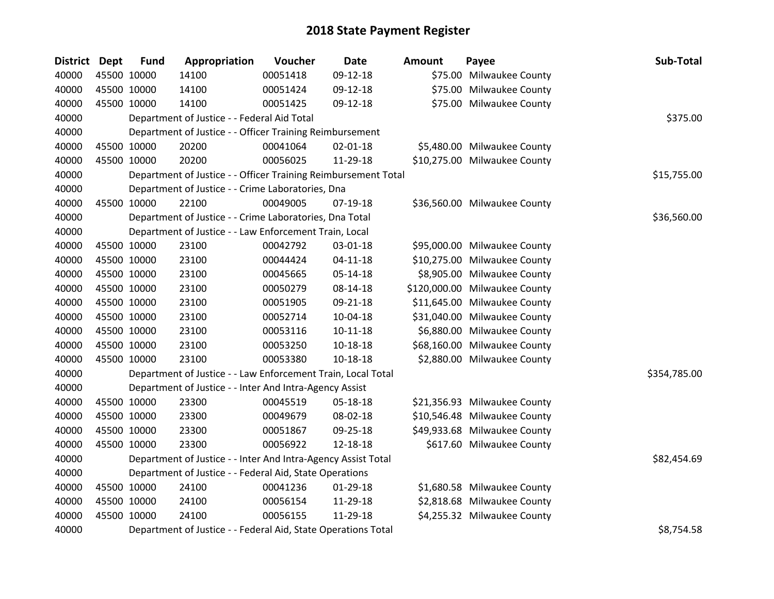| <b>District Dept</b> | <b>Fund</b> | Appropriation                                                  | Voucher  | <b>Date</b>    | <b>Amount</b> | Payee                         | Sub-Total    |
|----------------------|-------------|----------------------------------------------------------------|----------|----------------|---------------|-------------------------------|--------------|
| 40000                | 45500 10000 | 14100                                                          | 00051418 | 09-12-18       |               | \$75.00 Milwaukee County      |              |
| 40000                | 45500 10000 | 14100                                                          | 00051424 | 09-12-18       |               | \$75.00 Milwaukee County      |              |
| 40000                | 45500 10000 | 14100                                                          | 00051425 | 09-12-18       |               | \$75.00 Milwaukee County      |              |
| 40000                |             | Department of Justice - - Federal Aid Total                    |          |                |               |                               | \$375.00     |
| 40000                |             | Department of Justice - - Officer Training Reimbursement       |          |                |               |                               |              |
| 40000                | 45500 10000 | 20200                                                          | 00041064 | $02 - 01 - 18$ |               | \$5,480.00 Milwaukee County   |              |
| 40000                | 45500 10000 | 20200                                                          | 00056025 | 11-29-18       |               | \$10,275.00 Milwaukee County  |              |
| 40000                |             | Department of Justice - - Officer Training Reimbursement Total |          | \$15,755.00    |               |                               |              |
| 40000                |             | Department of Justice - - Crime Laboratories, Dna              |          |                |               |                               |              |
| 40000                | 45500 10000 | 22100                                                          | 00049005 | 07-19-18       |               | \$36,560.00 Milwaukee County  |              |
| 40000                |             | Department of Justice - - Crime Laboratories, Dna Total        |          |                |               |                               | \$36,560.00  |
| 40000                |             | Department of Justice - - Law Enforcement Train, Local         |          |                |               |                               |              |
| 40000                | 45500 10000 | 23100                                                          | 00042792 | 03-01-18       |               | \$95,000.00 Milwaukee County  |              |
| 40000                | 45500 10000 | 23100                                                          | 00044424 | $04-11-18$     |               | \$10,275.00 Milwaukee County  |              |
| 40000                | 45500 10000 | 23100                                                          | 00045665 | 05-14-18       |               | \$8,905.00 Milwaukee County   |              |
| 40000                | 45500 10000 | 23100                                                          | 00050279 | 08-14-18       |               | \$120,000.00 Milwaukee County |              |
| 40000                | 45500 10000 | 23100                                                          | 00051905 | 09-21-18       |               | \$11,645.00 Milwaukee County  |              |
| 40000                | 45500 10000 | 23100                                                          | 00052714 | 10-04-18       |               | \$31,040.00 Milwaukee County  |              |
| 40000                | 45500 10000 | 23100                                                          | 00053116 | $10-11-18$     |               | \$6,880.00 Milwaukee County   |              |
| 40000                | 45500 10000 | 23100                                                          | 00053250 | $10 - 18 - 18$ |               | \$68,160.00 Milwaukee County  |              |
| 40000                | 45500 10000 | 23100                                                          | 00053380 | 10-18-18       |               | \$2,880.00 Milwaukee County   |              |
| 40000                |             | Department of Justice - - Law Enforcement Train, Local Total   |          |                |               |                               | \$354,785.00 |
| 40000                |             | Department of Justice - - Inter And Intra-Agency Assist        |          |                |               |                               |              |
| 40000                | 45500 10000 | 23300                                                          | 00045519 | 05-18-18       |               | \$21,356.93 Milwaukee County  |              |
| 40000                | 45500 10000 | 23300                                                          | 00049679 | 08-02-18       |               | \$10,546.48 Milwaukee County  |              |
| 40000                | 45500 10000 | 23300                                                          | 00051867 | 09-25-18       |               | \$49,933.68 Milwaukee County  |              |
| 40000                | 45500 10000 | 23300                                                          | 00056922 | 12-18-18       |               | \$617.60 Milwaukee County     |              |
| 40000                |             | Department of Justice - - Inter And Intra-Agency Assist Total  |          |                |               |                               | \$82,454.69  |
| 40000                |             | Department of Justice - - Federal Aid, State Operations        |          |                |               |                               |              |
| 40000                | 45500 10000 | 24100                                                          | 00041236 | 01-29-18       |               | \$1,680.58 Milwaukee County   |              |
| 40000                | 45500 10000 | 24100                                                          | 00056154 | 11-29-18       |               | \$2,818.68 Milwaukee County   |              |
| 40000                | 45500 10000 | 24100                                                          | 00056155 | 11-29-18       |               | \$4,255.32 Milwaukee County   |              |
| 40000                |             | Department of Justice - - Federal Aid, State Operations Total  |          |                |               |                               | \$8,754.58   |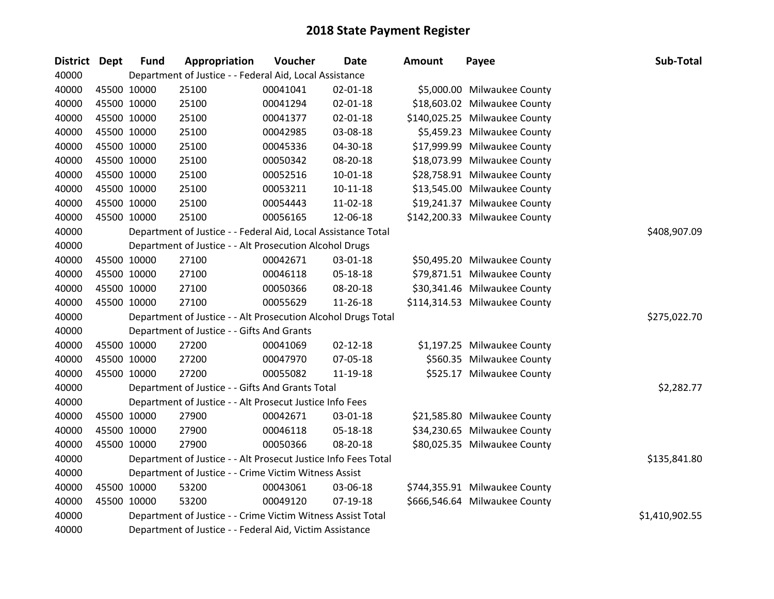| <b>District</b> | <b>Dept</b> | <b>Fund</b> | Appropriation                                                  | Voucher  | <b>Date</b>    | <b>Amount</b> | Payee                         | Sub-Total      |
|-----------------|-------------|-------------|----------------------------------------------------------------|----------|----------------|---------------|-------------------------------|----------------|
| 40000           |             |             | Department of Justice - - Federal Aid, Local Assistance        |          |                |               |                               |                |
| 40000           |             | 45500 10000 | 25100                                                          | 00041041 | 02-01-18       |               | \$5,000.00 Milwaukee County   |                |
| 40000           |             | 45500 10000 | 25100                                                          | 00041294 | 02-01-18       |               | \$18,603.02 Milwaukee County  |                |
| 40000           |             | 45500 10000 | 25100                                                          | 00041377 | 02-01-18       |               | \$140,025.25 Milwaukee County |                |
| 40000           |             | 45500 10000 | 25100                                                          | 00042985 | 03-08-18       |               | \$5,459.23 Milwaukee County   |                |
| 40000           |             | 45500 10000 | 25100                                                          | 00045336 | 04-30-18       |               | \$17,999.99 Milwaukee County  |                |
| 40000           |             | 45500 10000 | 25100                                                          | 00050342 | 08-20-18       |               | \$18,073.99 Milwaukee County  |                |
| 40000           |             | 45500 10000 | 25100                                                          | 00052516 | 10-01-18       |               | \$28,758.91 Milwaukee County  |                |
| 40000           |             | 45500 10000 | 25100                                                          | 00053211 | $10 - 11 - 18$ |               | \$13,545.00 Milwaukee County  |                |
| 40000           |             | 45500 10000 | 25100                                                          | 00054443 | 11-02-18       |               | \$19,241.37 Milwaukee County  |                |
| 40000           |             | 45500 10000 | 25100                                                          | 00056165 | 12-06-18       |               | \$142,200.33 Milwaukee County |                |
| 40000           |             |             | Department of Justice - - Federal Aid, Local Assistance Total  |          |                |               |                               | \$408,907.09   |
| 40000           |             |             | Department of Justice - - Alt Prosecution Alcohol Drugs        |          |                |               |                               |                |
| 40000           |             | 45500 10000 | 27100                                                          | 00042671 | 03-01-18       |               | \$50,495.20 Milwaukee County  |                |
| 40000           |             | 45500 10000 | 27100                                                          | 00046118 | 05-18-18       |               | \$79,871.51 Milwaukee County  |                |
| 40000           |             | 45500 10000 | 27100                                                          | 00050366 | 08-20-18       |               | \$30,341.46 Milwaukee County  |                |
| 40000           |             | 45500 10000 | 27100                                                          | 00055629 | 11-26-18       |               | \$114,314.53 Milwaukee County |                |
| 40000           |             |             | Department of Justice - - Alt Prosecution Alcohol Drugs Total  |          |                |               |                               | \$275,022.70   |
| 40000           |             |             | Department of Justice - - Gifts And Grants                     |          |                |               |                               |                |
| 40000           |             | 45500 10000 | 27200                                                          | 00041069 | $02 - 12 - 18$ |               | \$1,197.25 Milwaukee County   |                |
| 40000           |             | 45500 10000 | 27200                                                          | 00047970 | 07-05-18       |               | \$560.35 Milwaukee County     |                |
| 40000           |             | 45500 10000 | 27200                                                          | 00055082 | 11-19-18       |               | \$525.17 Milwaukee County     |                |
| 40000           |             |             | Department of Justice - - Gifts And Grants Total               |          |                |               |                               | \$2,282.77     |
| 40000           |             |             | Department of Justice - - Alt Prosecut Justice Info Fees       |          |                |               |                               |                |
| 40000           |             | 45500 10000 | 27900                                                          | 00042671 | 03-01-18       |               | \$21,585.80 Milwaukee County  |                |
| 40000           |             | 45500 10000 | 27900                                                          | 00046118 | 05-18-18       |               | \$34,230.65 Milwaukee County  |                |
| 40000           |             | 45500 10000 | 27900                                                          | 00050366 | 08-20-18       |               | \$80,025.35 Milwaukee County  |                |
| 40000           |             |             | Department of Justice - - Alt Prosecut Justice Info Fees Total |          |                |               |                               | \$135,841.80   |
| 40000           |             |             | Department of Justice - - Crime Victim Witness Assist          |          |                |               |                               |                |
| 40000           |             | 45500 10000 | 53200                                                          | 00043061 | 03-06-18       |               | \$744,355.91 Milwaukee County |                |
| 40000           |             | 45500 10000 | 53200                                                          | 00049120 | 07-19-18       |               | \$666,546.64 Milwaukee County |                |
| 40000           |             |             | Department of Justice - - Crime Victim Witness Assist Total    |          |                |               |                               | \$1,410,902.55 |
| 40000           |             |             | Department of Justice - - Federal Aid, Victim Assistance       |          |                |               |                               |                |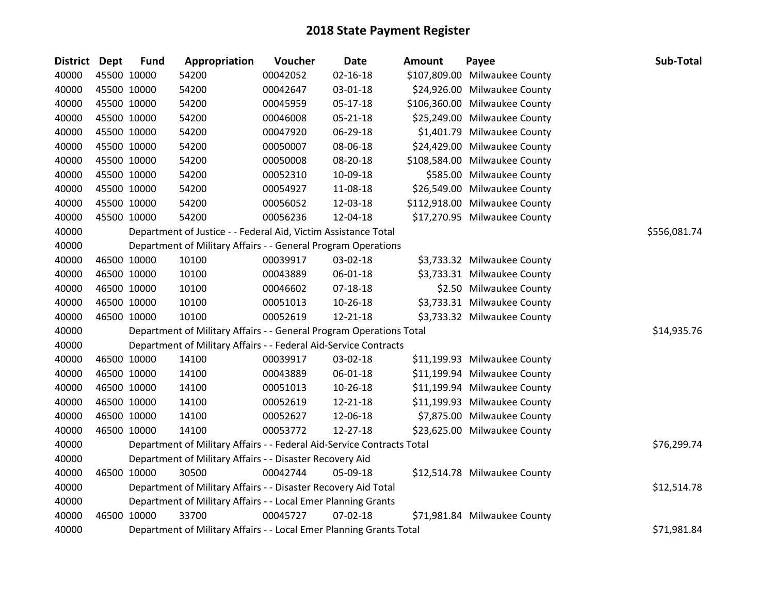| District Dept | <b>Fund</b> | Appropriation                                                          | Voucher  | <b>Date</b>    | <b>Amount</b> | Payee                         | Sub-Total    |
|---------------|-------------|------------------------------------------------------------------------|----------|----------------|---------------|-------------------------------|--------------|
| 40000         | 45500 10000 | 54200                                                                  | 00042052 | $02 - 16 - 18$ |               | \$107,809.00 Milwaukee County |              |
| 40000         | 45500 10000 | 54200                                                                  | 00042647 | 03-01-18       |               | \$24,926.00 Milwaukee County  |              |
| 40000         | 45500 10000 | 54200                                                                  | 00045959 | 05-17-18       |               | \$106,360.00 Milwaukee County |              |
| 40000         | 45500 10000 | 54200                                                                  | 00046008 | 05-21-18       |               | \$25,249.00 Milwaukee County  |              |
| 40000         | 45500 10000 | 54200                                                                  | 00047920 | 06-29-18       |               | \$1,401.79 Milwaukee County   |              |
| 40000         | 45500 10000 | 54200                                                                  | 00050007 | 08-06-18       |               | \$24,429.00 Milwaukee County  |              |
| 40000         | 45500 10000 | 54200                                                                  | 00050008 | 08-20-18       |               | \$108,584.00 Milwaukee County |              |
| 40000         | 45500 10000 | 54200                                                                  | 00052310 | 10-09-18       |               | \$585.00 Milwaukee County     |              |
| 40000         | 45500 10000 | 54200                                                                  | 00054927 | 11-08-18       |               | \$26,549.00 Milwaukee County  |              |
| 40000         | 45500 10000 | 54200                                                                  | 00056052 | 12-03-18       |               | \$112,918.00 Milwaukee County |              |
| 40000         | 45500 10000 | 54200                                                                  | 00056236 | 12-04-18       |               | \$17,270.95 Milwaukee County  |              |
| 40000         |             | Department of Justice - - Federal Aid, Victim Assistance Total         |          |                |               |                               | \$556,081.74 |
| 40000         |             | Department of Military Affairs - - General Program Operations          |          |                |               |                               |              |
| 40000         | 46500 10000 | 10100                                                                  | 00039917 | 03-02-18       |               | \$3,733.32 Milwaukee County   |              |
| 40000         | 46500 10000 | 10100                                                                  | 00043889 | 06-01-18       |               | \$3,733.31 Milwaukee County   |              |
| 40000         | 46500 10000 | 10100                                                                  | 00046602 | 07-18-18       |               | \$2.50 Milwaukee County       |              |
| 40000         | 46500 10000 | 10100                                                                  | 00051013 | 10-26-18       |               | \$3,733.31 Milwaukee County   |              |
| 40000         | 46500 10000 | 10100                                                                  | 00052619 | 12-21-18       |               | \$3,733.32 Milwaukee County   |              |
| 40000         |             | Department of Military Affairs - - General Program Operations Total    |          |                |               |                               | \$14,935.76  |
| 40000         |             | Department of Military Affairs - - Federal Aid-Service Contracts       |          |                |               |                               |              |
| 40000         | 46500 10000 | 14100                                                                  | 00039917 | 03-02-18       |               | \$11,199.93 Milwaukee County  |              |
| 40000         | 46500 10000 | 14100                                                                  | 00043889 | 06-01-18       |               | \$11,199.94 Milwaukee County  |              |
| 40000         | 46500 10000 | 14100                                                                  | 00051013 | 10-26-18       |               | \$11,199.94 Milwaukee County  |              |
| 40000         | 46500 10000 | 14100                                                                  | 00052619 | 12-21-18       |               | \$11,199.93 Milwaukee County  |              |
| 40000         | 46500 10000 | 14100                                                                  | 00052627 | 12-06-18       |               | \$7,875.00 Milwaukee County   |              |
| 40000         | 46500 10000 | 14100                                                                  | 00053772 | 12-27-18       |               | \$23,625.00 Milwaukee County  |              |
| 40000         |             | Department of Military Affairs - - Federal Aid-Service Contracts Total |          |                |               |                               | \$76,299.74  |
| 40000         |             | Department of Military Affairs - - Disaster Recovery Aid               |          |                |               |                               |              |
| 40000         | 46500 10000 | 30500                                                                  | 00042744 | 05-09-18       |               | \$12,514.78 Milwaukee County  |              |
| 40000         |             | Department of Military Affairs - - Disaster Recovery Aid Total         |          |                |               |                               | \$12,514.78  |
| 40000         |             | Department of Military Affairs - - Local Emer Planning Grants          |          |                |               |                               |              |
| 40000         | 46500 10000 | 33700                                                                  | 00045727 | $07 - 02 - 18$ |               | \$71,981.84 Milwaukee County  |              |
| 40000         |             | Department of Military Affairs - - Local Emer Planning Grants Total    |          |                |               |                               | \$71,981.84  |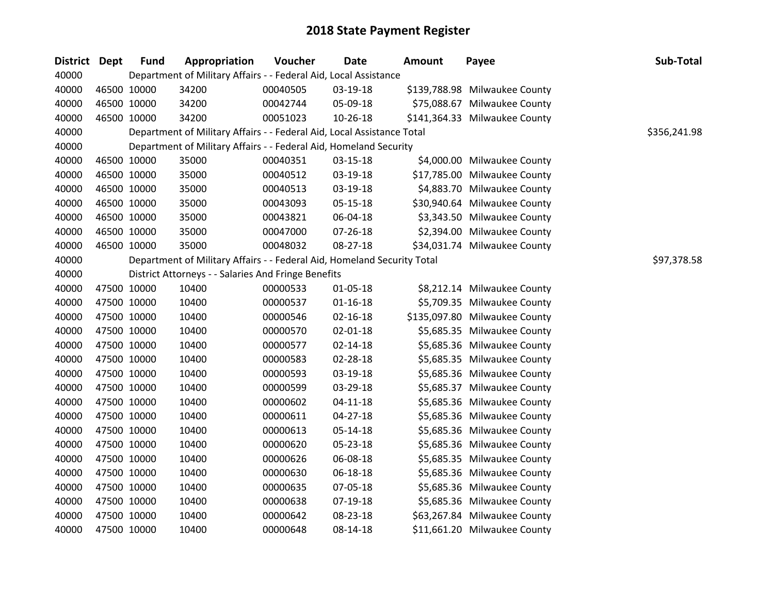| District Dept |             | <b>Fund</b> | Appropriation                                                           | Voucher  | <b>Date</b>    | Amount | Payee                         | Sub-Total    |
|---------------|-------------|-------------|-------------------------------------------------------------------------|----------|----------------|--------|-------------------------------|--------------|
| 40000         |             |             | Department of Military Affairs - - Federal Aid, Local Assistance        |          |                |        |                               |              |
| 40000         |             | 46500 10000 | 34200                                                                   | 00040505 | 03-19-18       |        | \$139,788.98 Milwaukee County |              |
| 40000         | 46500 10000 |             | 34200                                                                   | 00042744 | 05-09-18       |        | \$75,088.67 Milwaukee County  |              |
| 40000         |             | 46500 10000 | 34200                                                                   | 00051023 | 10-26-18       |        | \$141,364.33 Milwaukee County |              |
| 40000         |             |             | Department of Military Affairs - - Federal Aid, Local Assistance Total  |          |                |        |                               | \$356,241.98 |
| 40000         |             |             | Department of Military Affairs - - Federal Aid, Homeland Security       |          |                |        |                               |              |
| 40000         |             | 46500 10000 | 35000                                                                   | 00040351 | 03-15-18       |        | \$4,000.00 Milwaukee County   |              |
| 40000         | 46500 10000 |             | 35000                                                                   | 00040512 | 03-19-18       |        | \$17,785.00 Milwaukee County  |              |
| 40000         |             | 46500 10000 | 35000                                                                   | 00040513 | 03-19-18       |        | \$4,883.70 Milwaukee County   |              |
| 40000         |             | 46500 10000 | 35000                                                                   | 00043093 | $05 - 15 - 18$ |        | \$30,940.64 Milwaukee County  |              |
| 40000         |             | 46500 10000 | 35000                                                                   | 00043821 | 06-04-18       |        | \$3,343.50 Milwaukee County   |              |
| 40000         |             | 46500 10000 | 35000                                                                   | 00047000 | 07-26-18       |        | \$2,394.00 Milwaukee County   |              |
| 40000         |             | 46500 10000 | 35000                                                                   | 00048032 | 08-27-18       |        | \$34,031.74 Milwaukee County  |              |
| 40000         |             |             | Department of Military Affairs - - Federal Aid, Homeland Security Total |          |                |        |                               | \$97,378.58  |
| 40000         |             |             | District Attorneys - - Salaries And Fringe Benefits                     |          |                |        |                               |              |
| 40000         |             | 47500 10000 | 10400                                                                   | 00000533 | $01 - 05 - 18$ |        | \$8,212.14 Milwaukee County   |              |
| 40000         | 47500 10000 |             | 10400                                                                   | 00000537 | $01 - 16 - 18$ |        | \$5,709.35 Milwaukee County   |              |
| 40000         | 47500 10000 |             | 10400                                                                   | 00000546 | $02 - 16 - 18$ |        | \$135,097.80 Milwaukee County |              |
| 40000         | 47500 10000 |             | 10400                                                                   | 00000570 | 02-01-18       |        | \$5,685.35 Milwaukee County   |              |
| 40000         |             | 47500 10000 | 10400                                                                   | 00000577 | $02 - 14 - 18$ |        | \$5,685.36 Milwaukee County   |              |
| 40000         |             | 47500 10000 | 10400                                                                   | 00000583 | 02-28-18       |        | \$5,685.35 Milwaukee County   |              |
| 40000         | 47500 10000 |             | 10400                                                                   | 00000593 | 03-19-18       |        | \$5,685.36 Milwaukee County   |              |
| 40000         |             | 47500 10000 | 10400                                                                   | 00000599 | 03-29-18       |        | \$5,685.37 Milwaukee County   |              |
| 40000         |             | 47500 10000 | 10400                                                                   | 00000602 | $04 - 11 - 18$ |        | \$5,685.36 Milwaukee County   |              |
| 40000         |             | 47500 10000 | 10400                                                                   | 00000611 | $04 - 27 - 18$ |        | \$5,685.36 Milwaukee County   |              |
| 40000         |             | 47500 10000 | 10400                                                                   | 00000613 | $05 - 14 - 18$ |        | \$5,685.36 Milwaukee County   |              |
| 40000         | 47500 10000 |             | 10400                                                                   | 00000620 | 05-23-18       |        | \$5,685.36 Milwaukee County   |              |
| 40000         |             | 47500 10000 | 10400                                                                   | 00000626 | 06-08-18       |        | \$5,685.35 Milwaukee County   |              |
| 40000         |             | 47500 10000 | 10400                                                                   | 00000630 | 06-18-18       |        | \$5,685.36 Milwaukee County   |              |
| 40000         |             | 47500 10000 | 10400                                                                   | 00000635 | 07-05-18       |        | \$5,685.36 Milwaukee County   |              |
| 40000         |             | 47500 10000 | 10400                                                                   | 00000638 | 07-19-18       |        | \$5,685.36 Milwaukee County   |              |
| 40000         | 47500 10000 |             | 10400                                                                   | 00000642 | 08-23-18       |        | \$63,267.84 Milwaukee County  |              |
| 40000         |             | 47500 10000 | 10400                                                                   | 00000648 | 08-14-18       |        | \$11,661.20 Milwaukee County  |              |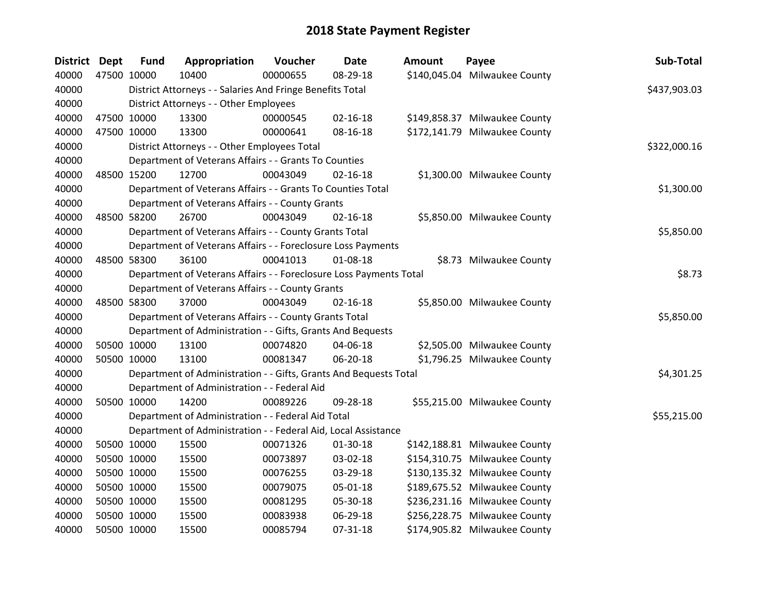| <b>District</b> | <b>Dept</b> | <b>Fund</b> | Appropriation                                                      | Voucher  | <b>Date</b>    | <b>Amount</b> | Payee                         | Sub-Total    |
|-----------------|-------------|-------------|--------------------------------------------------------------------|----------|----------------|---------------|-------------------------------|--------------|
| 40000           |             | 47500 10000 | 10400                                                              | 00000655 | 08-29-18       |               | \$140,045.04 Milwaukee County |              |
| 40000           |             |             | District Attorneys - - Salaries And Fringe Benefits Total          |          |                |               |                               | \$437,903.03 |
| 40000           |             |             | District Attorneys - - Other Employees                             |          |                |               |                               |              |
| 40000           |             | 47500 10000 | 13300                                                              | 00000545 | 02-16-18       |               | \$149,858.37 Milwaukee County |              |
| 40000           |             | 47500 10000 | 13300                                                              | 00000641 | 08-16-18       |               | \$172,141.79 Milwaukee County |              |
| 40000           |             |             | District Attorneys - - Other Employees Total                       |          |                |               |                               | \$322,000.16 |
| 40000           |             |             | Department of Veterans Affairs - - Grants To Counties              |          |                |               |                               |              |
| 40000           |             | 48500 15200 | 12700                                                              | 00043049 | $02 - 16 - 18$ |               | \$1,300.00 Milwaukee County   |              |
| 40000           |             |             | Department of Veterans Affairs - - Grants To Counties Total        |          |                |               |                               | \$1,300.00   |
| 40000           |             |             | Department of Veterans Affairs - - County Grants                   |          |                |               |                               |              |
| 40000           |             | 48500 58200 | 26700                                                              | 00043049 | $02 - 16 - 18$ |               | \$5,850.00 Milwaukee County   |              |
| 40000           |             |             | Department of Veterans Affairs - - County Grants Total             |          |                |               |                               | \$5,850.00   |
| 40000           |             |             | Department of Veterans Affairs - - Foreclosure Loss Payments       |          |                |               |                               |              |
| 40000           |             | 48500 58300 | 36100                                                              | 00041013 | 01-08-18       |               | \$8.73 Milwaukee County       |              |
| 40000           |             |             | Department of Veterans Affairs - - Foreclosure Loss Payments Total |          |                |               |                               | \$8.73       |
| 40000           |             |             | Department of Veterans Affairs - - County Grants                   |          |                |               |                               |              |
| 40000           |             | 48500 58300 | 37000                                                              | 00043049 | $02 - 16 - 18$ |               | \$5,850.00 Milwaukee County   |              |
| 40000           |             |             | Department of Veterans Affairs - - County Grants Total             |          |                |               |                               | \$5,850.00   |
| 40000           |             |             | Department of Administration - - Gifts, Grants And Bequests        |          |                |               |                               |              |
| 40000           |             | 50500 10000 | 13100                                                              | 00074820 | 04-06-18       |               | \$2,505.00 Milwaukee County   |              |
| 40000           |             | 50500 10000 | 13100                                                              | 00081347 | 06-20-18       |               | \$1,796.25 Milwaukee County   |              |
| 40000           |             |             | Department of Administration - - Gifts, Grants And Bequests Total  |          |                |               |                               | \$4,301.25   |
| 40000           |             |             | Department of Administration - - Federal Aid                       |          |                |               |                               |              |
| 40000           |             | 50500 10000 | 14200                                                              | 00089226 | 09-28-18       |               | \$55,215.00 Milwaukee County  |              |
| 40000           |             |             | Department of Administration - - Federal Aid Total                 |          |                |               |                               | \$55,215.00  |
| 40000           |             |             | Department of Administration - - Federal Aid, Local Assistance     |          |                |               |                               |              |
| 40000           |             | 50500 10000 | 15500                                                              | 00071326 | 01-30-18       |               | \$142,188.81 Milwaukee County |              |
| 40000           |             | 50500 10000 | 15500                                                              | 00073897 | 03-02-18       |               | \$154,310.75 Milwaukee County |              |
| 40000           |             | 50500 10000 | 15500                                                              | 00076255 | 03-29-18       |               | \$130,135.32 Milwaukee County |              |
| 40000           |             | 50500 10000 | 15500                                                              | 00079075 | 05-01-18       |               | \$189,675.52 Milwaukee County |              |
| 40000           |             | 50500 10000 | 15500                                                              | 00081295 | 05-30-18       |               | \$236,231.16 Milwaukee County |              |
| 40000           |             | 50500 10000 | 15500                                                              | 00083938 | 06-29-18       |               | \$256,228.75 Milwaukee County |              |
| 40000           |             | 50500 10000 | 15500                                                              | 00085794 | 07-31-18       |               | \$174,905.82 Milwaukee County |              |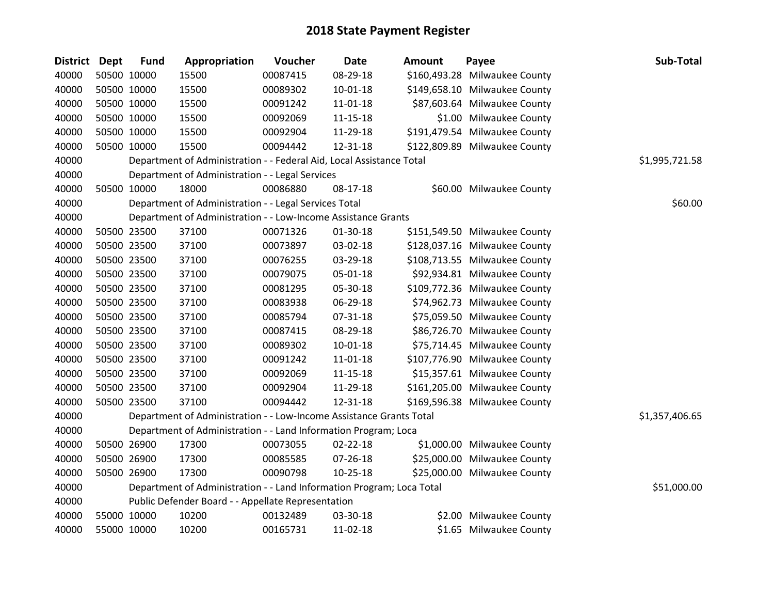| District Dept |             | <b>Fund</b> | Appropriation                                                         | Voucher  | <b>Date</b>    | <b>Amount</b> | Payee                         | Sub-Total      |
|---------------|-------------|-------------|-----------------------------------------------------------------------|----------|----------------|---------------|-------------------------------|----------------|
| 40000         | 50500 10000 |             | 15500                                                                 | 00087415 | 08-29-18       |               | \$160,493.28 Milwaukee County |                |
| 40000         | 50500 10000 |             | 15500                                                                 | 00089302 | $10 - 01 - 18$ |               | \$149,658.10 Milwaukee County |                |
| 40000         | 50500 10000 |             | 15500                                                                 | 00091242 | 11-01-18       |               | \$87,603.64 Milwaukee County  |                |
| 40000         | 50500 10000 |             | 15500                                                                 | 00092069 | $11 - 15 - 18$ |               | \$1.00 Milwaukee County       |                |
| 40000         | 50500 10000 |             | 15500                                                                 | 00092904 | 11-29-18       |               | \$191,479.54 Milwaukee County |                |
| 40000         | 50500 10000 |             | 15500                                                                 | 00094442 | 12-31-18       |               | \$122,809.89 Milwaukee County |                |
| 40000         |             |             | Department of Administration - - Federal Aid, Local Assistance Total  |          |                |               |                               | \$1,995,721.58 |
| 40000         |             |             | Department of Administration - - Legal Services                       |          |                |               |                               |                |
| 40000         | 50500 10000 |             | 18000                                                                 | 00086880 | 08-17-18       |               | \$60.00 Milwaukee County      |                |
| 40000         |             |             | Department of Administration - - Legal Services Total                 |          |                |               |                               | \$60.00        |
| 40000         |             |             | Department of Administration - - Low-Income Assistance Grants         |          |                |               |                               |                |
| 40000         | 50500 23500 |             | 37100                                                                 | 00071326 | 01-30-18       |               | \$151,549.50 Milwaukee County |                |
| 40000         | 50500 23500 |             | 37100                                                                 | 00073897 | 03-02-18       |               | \$128,037.16 Milwaukee County |                |
| 40000         | 50500 23500 |             | 37100                                                                 | 00076255 | 03-29-18       |               | \$108,713.55 Milwaukee County |                |
| 40000         | 50500 23500 |             | 37100                                                                 | 00079075 | 05-01-18       |               | \$92,934.81 Milwaukee County  |                |
| 40000         | 50500 23500 |             | 37100                                                                 | 00081295 | 05-30-18       |               | \$109,772.36 Milwaukee County |                |
| 40000         | 50500 23500 |             | 37100                                                                 | 00083938 | 06-29-18       |               | \$74,962.73 Milwaukee County  |                |
| 40000         | 50500 23500 |             | 37100                                                                 | 00085794 | 07-31-18       |               | \$75,059.50 Milwaukee County  |                |
| 40000         | 50500 23500 |             | 37100                                                                 | 00087415 | 08-29-18       |               | \$86,726.70 Milwaukee County  |                |
| 40000         | 50500 23500 |             | 37100                                                                 | 00089302 | $10 - 01 - 18$ |               | \$75,714.45 Milwaukee County  |                |
| 40000         | 50500 23500 |             | 37100                                                                 | 00091242 | 11-01-18       |               | \$107,776.90 Milwaukee County |                |
| 40000         | 50500 23500 |             | 37100                                                                 | 00092069 | $11 - 15 - 18$ |               | \$15,357.61 Milwaukee County  |                |
| 40000         | 50500 23500 |             | 37100                                                                 | 00092904 | 11-29-18       |               | \$161,205.00 Milwaukee County |                |
| 40000         | 50500 23500 |             | 37100                                                                 | 00094442 | 12-31-18       |               | \$169,596.38 Milwaukee County |                |
| 40000         |             |             | Department of Administration - - Low-Income Assistance Grants Total   |          |                |               |                               | \$1,357,406.65 |
| 40000         |             |             | Department of Administration - - Land Information Program; Loca       |          |                |               |                               |                |
| 40000         | 50500 26900 |             | 17300                                                                 | 00073055 | $02 - 22 - 18$ |               | \$1,000.00 Milwaukee County   |                |
| 40000         | 50500 26900 |             | 17300                                                                 | 00085585 | $07 - 26 - 18$ |               | \$25,000.00 Milwaukee County  |                |
| 40000         | 50500 26900 |             | 17300                                                                 | 00090798 | 10-25-18       |               | \$25,000.00 Milwaukee County  |                |
| 40000         |             |             | Department of Administration - - Land Information Program; Loca Total |          |                |               |                               | \$51,000.00    |
| 40000         |             |             | Public Defender Board - - Appellate Representation                    |          |                |               |                               |                |
| 40000         | 55000 10000 |             | 10200                                                                 | 00132489 | 03-30-18       |               | \$2.00 Milwaukee County       |                |
| 40000         | 55000 10000 |             | 10200                                                                 | 00165731 | 11-02-18       |               | \$1.65 Milwaukee County       |                |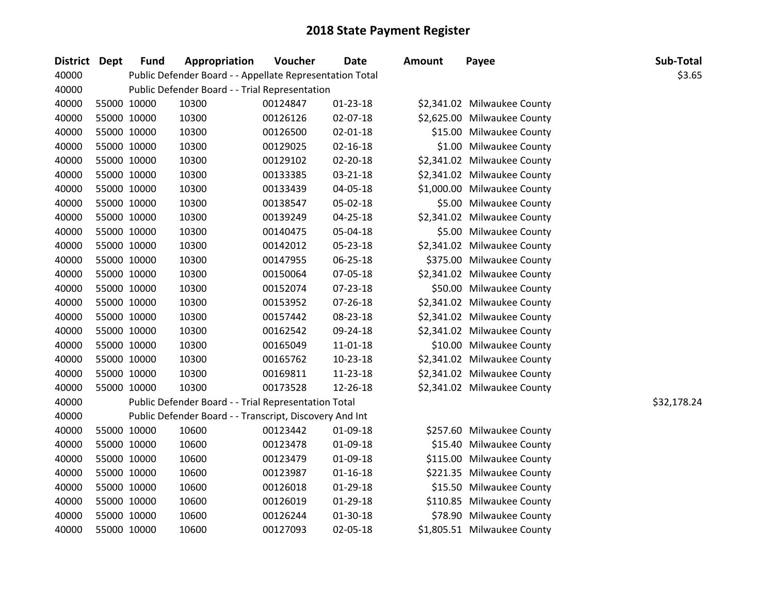| <b>District</b> | Dept        | <b>Fund</b> | Appropriation                                            | Voucher  | <b>Date</b>    | <b>Amount</b> | Payee                       | Sub-Total   |
|-----------------|-------------|-------------|----------------------------------------------------------|----------|----------------|---------------|-----------------------------|-------------|
| 40000           |             |             | Public Defender Board - - Appellate Representation Total |          |                |               |                             | \$3.65      |
| 40000           |             |             | Public Defender Board - - Trial Representation           |          |                |               |                             |             |
| 40000           | 55000 10000 |             | 10300                                                    | 00124847 | $01 - 23 - 18$ |               | \$2,341.02 Milwaukee County |             |
| 40000           | 55000 10000 |             | 10300                                                    | 00126126 | 02-07-18       |               | \$2,625.00 Milwaukee County |             |
| 40000           | 55000 10000 |             | 10300                                                    | 00126500 | 02-01-18       |               | \$15.00 Milwaukee County    |             |
| 40000           | 55000 10000 |             | 10300                                                    | 00129025 | $02 - 16 - 18$ |               | \$1.00 Milwaukee County     |             |
| 40000           | 55000 10000 |             | 10300                                                    | 00129102 | 02-20-18       |               | \$2,341.02 Milwaukee County |             |
| 40000           | 55000 10000 |             | 10300                                                    | 00133385 | 03-21-18       |               | \$2,341.02 Milwaukee County |             |
| 40000           | 55000 10000 |             | 10300                                                    | 00133439 | 04-05-18       |               | \$1,000.00 Milwaukee County |             |
| 40000           | 55000 10000 |             | 10300                                                    | 00138547 | 05-02-18       |               | \$5.00 Milwaukee County     |             |
| 40000           | 55000 10000 |             | 10300                                                    | 00139249 | 04-25-18       |               | \$2,341.02 Milwaukee County |             |
| 40000           | 55000 10000 |             | 10300                                                    | 00140475 | 05-04-18       |               | \$5.00 Milwaukee County     |             |
| 40000           | 55000 10000 |             | 10300                                                    | 00142012 | 05-23-18       |               | \$2,341.02 Milwaukee County |             |
| 40000           | 55000 10000 |             | 10300                                                    | 00147955 | 06-25-18       |               | \$375.00 Milwaukee County   |             |
| 40000           | 55000 10000 |             | 10300                                                    | 00150064 | 07-05-18       |               | \$2,341.02 Milwaukee County |             |
| 40000           | 55000 10000 |             | 10300                                                    | 00152074 | 07-23-18       |               | \$50.00 Milwaukee County    |             |
| 40000           | 55000 10000 |             | 10300                                                    | 00153952 | 07-26-18       |               | \$2,341.02 Milwaukee County |             |
| 40000           | 55000 10000 |             | 10300                                                    | 00157442 | 08-23-18       |               | \$2,341.02 Milwaukee County |             |
| 40000           | 55000 10000 |             | 10300                                                    | 00162542 | 09-24-18       |               | \$2,341.02 Milwaukee County |             |
| 40000           | 55000 10000 |             | 10300                                                    | 00165049 | $11 - 01 - 18$ |               | \$10.00 Milwaukee County    |             |
| 40000           | 55000 10000 |             | 10300                                                    | 00165762 | $10 - 23 - 18$ |               | \$2,341.02 Milwaukee County |             |
| 40000           | 55000 10000 |             | 10300                                                    | 00169811 | 11-23-18       |               | \$2,341.02 Milwaukee County |             |
| 40000           | 55000 10000 |             | 10300                                                    | 00173528 | 12-26-18       |               | \$2,341.02 Milwaukee County |             |
| 40000           |             |             | Public Defender Board - - Trial Representation Total     |          |                |               |                             | \$32,178.24 |
| 40000           |             |             | Public Defender Board - - Transcript, Discovery And Int  |          |                |               |                             |             |
| 40000           | 55000 10000 |             | 10600                                                    | 00123442 | 01-09-18       |               | \$257.60 Milwaukee County   |             |
| 40000           | 55000 10000 |             | 10600                                                    | 00123478 | 01-09-18       |               | \$15.40 Milwaukee County    |             |
| 40000           | 55000 10000 |             | 10600                                                    | 00123479 | 01-09-18       |               | \$115.00 Milwaukee County   |             |
| 40000           | 55000 10000 |             | 10600                                                    | 00123987 | $01 - 16 - 18$ |               | \$221.35 Milwaukee County   |             |
| 40000           | 55000 10000 |             | 10600                                                    | 00126018 | 01-29-18       |               | \$15.50 Milwaukee County    |             |
| 40000           | 55000 10000 |             | 10600                                                    | 00126019 | $01-29-18$     |               | \$110.85 Milwaukee County   |             |
| 40000           | 55000 10000 |             | 10600                                                    | 00126244 | 01-30-18       |               | \$78.90 Milwaukee County    |             |
| 40000           | 55000 10000 |             | 10600                                                    | 00127093 | 02-05-18       |               | \$1,805.51 Milwaukee County |             |
|                 |             |             |                                                          |          |                |               |                             |             |

| \$2,341.02 | Milwaukee County |
|------------|------------------|
| \$2,625.00 | Milwaukee County |
| \$15.00    | Milwaukee County |
| \$1.00     | Milwaukee County |
| \$2,341.02 | Milwaukee County |
| \$2,341.02 | Milwaukee County |
| \$1,000.00 | Milwaukee County |
| \$5.00     | Milwaukee County |
| \$2,341.02 | Milwaukee County |
| \$5.00     | Milwaukee County |
| \$2,341.02 | Milwaukee County |
| \$375.00   | Milwaukee County |
| \$2,341.02 | Milwaukee County |
| \$50.00    | Milwaukee County |
| \$2,341.02 | Milwaukee County |
| \$2,341.02 | Milwaukee County |
| \$2,341.02 | Milwaukee County |
| \$10.00    | Milwaukee County |
| \$2,341.02 | Milwaukee County |
| \$2,341.02 | Milwaukee County |
| \$2,341.02 | Milwaukee County |
|            |                  |

| 5257.60  | Milwaukee County |
|----------|------------------|
| \$15.40  | Milwaukee County |
| \$115.00 | Milwaukee County |
| \$221.35 | Milwaukee County |
| \$15.50  | Milwaukee County |
| \$110.85 | Milwaukee County |
| \$78.90  | Milwaukee County |
| 1,805.51 | Milwaukee County |
|          |                  |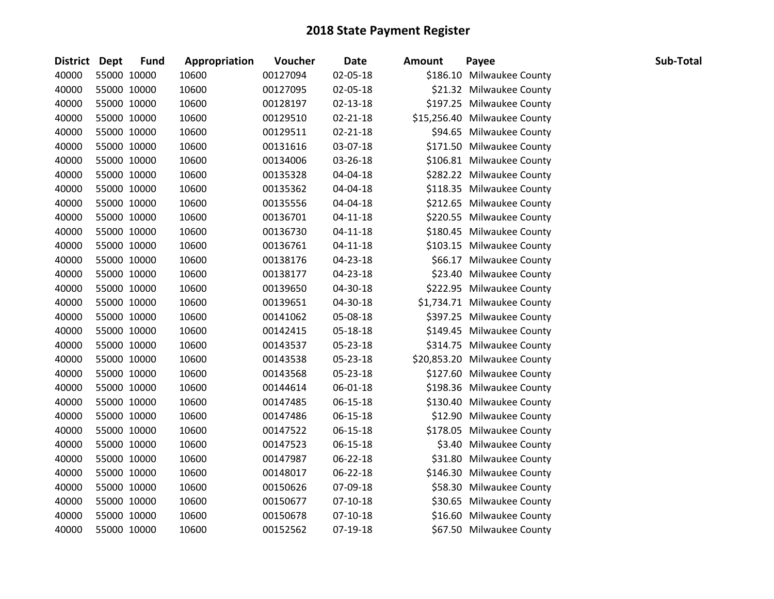| District Dept | <b>Fund</b> | Appropriation | Voucher  | <b>Date</b>    | <b>Amount</b> | Payee                        | Sub-Total |
|---------------|-------------|---------------|----------|----------------|---------------|------------------------------|-----------|
| 40000         | 55000 10000 | 10600         | 00127094 | 02-05-18       |               | \$186.10 Milwaukee County    |           |
| 40000         | 55000 10000 | 10600         | 00127095 | 02-05-18       |               | \$21.32 Milwaukee County     |           |
| 40000         | 55000 10000 | 10600         | 00128197 | 02-13-18       |               | \$197.25 Milwaukee County    |           |
| 40000         | 55000 10000 | 10600         | 00129510 | $02 - 21 - 18$ |               | \$15,256.40 Milwaukee County |           |
| 40000         | 55000 10000 | 10600         | 00129511 | 02-21-18       |               | \$94.65 Milwaukee County     |           |
| 40000         | 55000 10000 | 10600         | 00131616 | 03-07-18       |               | \$171.50 Milwaukee County    |           |
| 40000         | 55000 10000 | 10600         | 00134006 | 03-26-18       |               | \$106.81 Milwaukee County    |           |
| 40000         | 55000 10000 | 10600         | 00135328 | 04-04-18       |               | \$282.22 Milwaukee County    |           |
| 40000         | 55000 10000 | 10600         | 00135362 | 04-04-18       |               | \$118.35 Milwaukee County    |           |
| 40000         | 55000 10000 | 10600         | 00135556 | 04-04-18       |               | \$212.65 Milwaukee County    |           |
| 40000         | 55000 10000 | 10600         | 00136701 | $04 - 11 - 18$ |               | \$220.55 Milwaukee County    |           |
| 40000         | 55000 10000 | 10600         | 00136730 | 04-11-18       |               | \$180.45 Milwaukee County    |           |
| 40000         | 55000 10000 | 10600         | 00136761 | $04 - 11 - 18$ |               | \$103.15 Milwaukee County    |           |
| 40000         | 55000 10000 | 10600         | 00138176 | 04-23-18       |               | \$66.17 Milwaukee County     |           |
| 40000         | 55000 10000 | 10600         | 00138177 | 04-23-18       |               | \$23.40 Milwaukee County     |           |
| 40000         | 55000 10000 | 10600         | 00139650 | 04-30-18       |               | \$222.95 Milwaukee County    |           |
| 40000         | 55000 10000 | 10600         | 00139651 | 04-30-18       |               | \$1,734.71 Milwaukee County  |           |
| 40000         | 55000 10000 | 10600         | 00141062 | 05-08-18       |               | \$397.25 Milwaukee County    |           |
| 40000         | 55000 10000 | 10600         | 00142415 | 05-18-18       |               | \$149.45 Milwaukee County    |           |
| 40000         | 55000 10000 | 10600         | 00143537 | 05-23-18       |               | \$314.75 Milwaukee County    |           |
| 40000         | 55000 10000 | 10600         | 00143538 | 05-23-18       |               | \$20,853.20 Milwaukee County |           |
| 40000         | 55000 10000 | 10600         | 00143568 | 05-23-18       |               | \$127.60 Milwaukee County    |           |
| 40000         | 55000 10000 | 10600         | 00144614 | 06-01-18       |               | \$198.36 Milwaukee County    |           |
| 40000         | 55000 10000 | 10600         | 00147485 | 06-15-18       |               | \$130.40 Milwaukee County    |           |
| 40000         | 55000 10000 | 10600         | 00147486 | 06-15-18       |               | \$12.90 Milwaukee County     |           |
| 40000         | 55000 10000 | 10600         | 00147522 | 06-15-18       |               | \$178.05 Milwaukee County    |           |
| 40000         | 55000 10000 | 10600         | 00147523 | 06-15-18       |               | \$3.40 Milwaukee County      |           |
| 40000         | 55000 10000 | 10600         | 00147987 | 06-22-18       |               | \$31.80 Milwaukee County     |           |
| 40000         | 55000 10000 | 10600         | 00148017 | 06-22-18       |               | \$146.30 Milwaukee County    |           |
| 40000         | 55000 10000 | 10600         | 00150626 | 07-09-18       |               | \$58.30 Milwaukee County     |           |
| 40000         | 55000 10000 | 10600         | 00150677 | $07 - 10 - 18$ |               | \$30.65 Milwaukee County     |           |
| 40000         | 55000 10000 | 10600         | 00150678 | $07 - 10 - 18$ |               | \$16.60 Milwaukee County     |           |
| 40000         | 55000 10000 | 10600         | 00152562 | 07-19-18       |               | \$67.50 Milwaukee County     |           |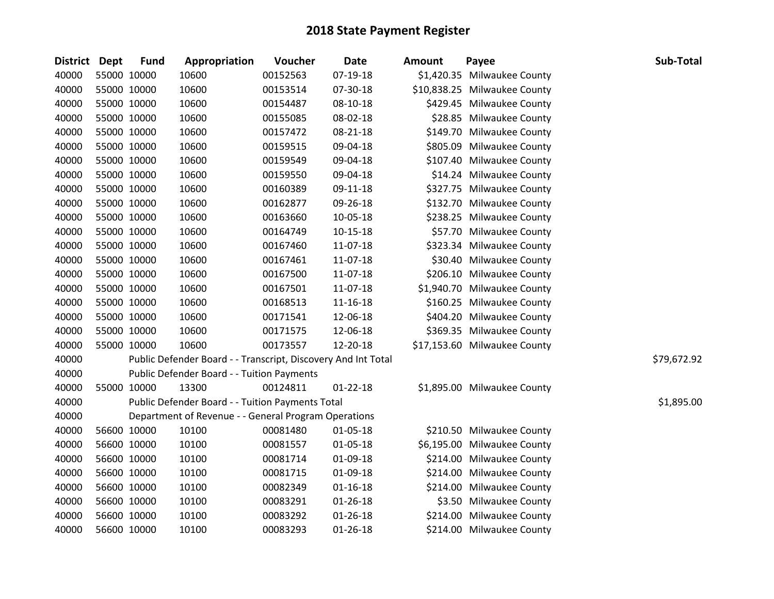| District Dept |             | <b>Fund</b> | Appropriation                                                 | Voucher  | <b>Date</b>    | <b>Amount</b> | Payee                        | Sub-Total   |
|---------------|-------------|-------------|---------------------------------------------------------------|----------|----------------|---------------|------------------------------|-------------|
| 40000         | 55000 10000 |             | 10600                                                         | 00152563 | 07-19-18       |               | \$1,420.35 Milwaukee County  |             |
| 40000         | 55000 10000 |             | 10600                                                         | 00153514 | 07-30-18       |               | \$10,838.25 Milwaukee County |             |
| 40000         | 55000 10000 |             | 10600                                                         | 00154487 | 08-10-18       |               | \$429.45 Milwaukee County    |             |
| 40000         | 55000 10000 |             | 10600                                                         | 00155085 | 08-02-18       |               | \$28.85 Milwaukee County     |             |
| 40000         | 55000 10000 |             | 10600                                                         | 00157472 | 08-21-18       |               | \$149.70 Milwaukee County    |             |
| 40000         | 55000 10000 |             | 10600                                                         | 00159515 | 09-04-18       |               | \$805.09 Milwaukee County    |             |
| 40000         | 55000 10000 |             | 10600                                                         | 00159549 | 09-04-18       |               | \$107.40 Milwaukee County    |             |
| 40000         | 55000 10000 |             | 10600                                                         | 00159550 | 09-04-18       |               | \$14.24 Milwaukee County     |             |
| 40000         | 55000 10000 |             | 10600                                                         | 00160389 | 09-11-18       |               | \$327.75 Milwaukee County    |             |
| 40000         | 55000 10000 |             | 10600                                                         | 00162877 | 09-26-18       |               | \$132.70 Milwaukee County    |             |
| 40000         | 55000 10000 |             | 10600                                                         | 00163660 | 10-05-18       |               | \$238.25 Milwaukee County    |             |
| 40000         | 55000 10000 |             | 10600                                                         | 00164749 | 10-15-18       |               | \$57.70 Milwaukee County     |             |
| 40000         | 55000 10000 |             | 10600                                                         | 00167460 | 11-07-18       |               | \$323.34 Milwaukee County    |             |
| 40000         | 55000 10000 |             | 10600                                                         | 00167461 | 11-07-18       |               | \$30.40 Milwaukee County     |             |
| 40000         | 55000 10000 |             | 10600                                                         | 00167500 | 11-07-18       |               | \$206.10 Milwaukee County    |             |
| 40000         | 55000 10000 |             | 10600                                                         | 00167501 | 11-07-18       |               | \$1,940.70 Milwaukee County  |             |
| 40000         | 55000 10000 |             | 10600                                                         | 00168513 | 11-16-18       |               | \$160.25 Milwaukee County    |             |
| 40000         | 55000 10000 |             | 10600                                                         | 00171541 | 12-06-18       |               | \$404.20 Milwaukee County    |             |
| 40000         | 55000 10000 |             | 10600                                                         | 00171575 | 12-06-18       |               | \$369.35 Milwaukee County    |             |
| 40000         | 55000 10000 |             | 10600                                                         | 00173557 | 12-20-18       |               | \$17,153.60 Milwaukee County |             |
| 40000         |             |             | Public Defender Board - - Transcript, Discovery And Int Total |          |                |               |                              | \$79,672.92 |
| 40000         |             |             | Public Defender Board - - Tuition Payments                    |          |                |               |                              |             |
| 40000         | 55000 10000 |             | 13300                                                         | 00124811 | $01 - 22 - 18$ |               | \$1,895.00 Milwaukee County  |             |
| 40000         |             |             | Public Defender Board - - Tuition Payments Total              |          |                |               |                              | \$1,895.00  |
| 40000         |             |             | Department of Revenue - - General Program Operations          |          |                |               |                              |             |
| 40000         | 56600 10000 |             | 10100                                                         | 00081480 | 01-05-18       |               | \$210.50 Milwaukee County    |             |
| 40000         | 56600 10000 |             | 10100                                                         | 00081557 | 01-05-18       |               | \$6,195.00 Milwaukee County  |             |
| 40000         | 56600 10000 |             | 10100                                                         | 00081714 | 01-09-18       |               | \$214.00 Milwaukee County    |             |
| 40000         | 56600 10000 |             | 10100                                                         | 00081715 | 01-09-18       |               | \$214.00 Milwaukee County    |             |
| 40000         | 56600 10000 |             | 10100                                                         | 00082349 | $01 - 16 - 18$ |               | \$214.00 Milwaukee County    |             |
| 40000         | 56600 10000 |             | 10100                                                         | 00083291 | $01 - 26 - 18$ |               | \$3.50 Milwaukee County      |             |
| 40000         | 56600 10000 |             | 10100                                                         | 00083292 | $01 - 26 - 18$ |               | \$214.00 Milwaukee County    |             |
| 40000         | 56600 10000 |             | 10100                                                         | 00083293 | $01 - 26 - 18$ |               | \$214.00 Milwaukee County    |             |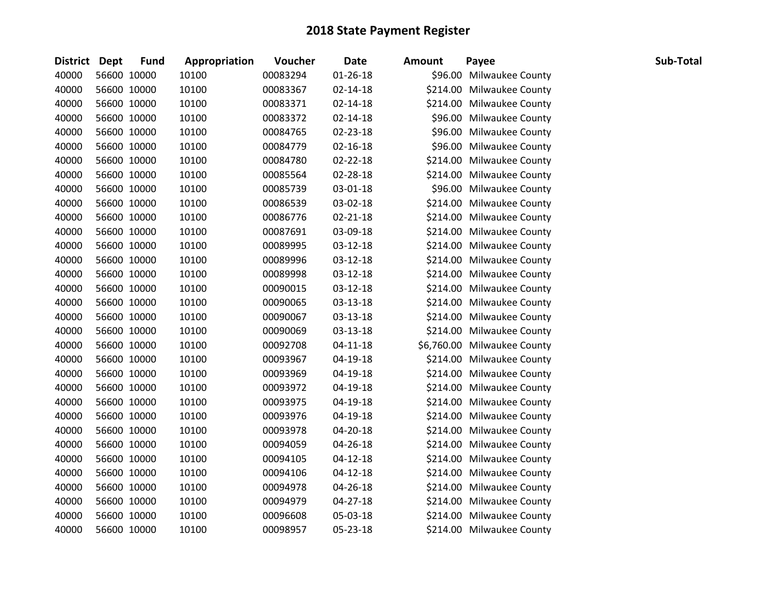| District Dept |             | <b>Fund</b> | Appropriation | Voucher  | <b>Date</b>    | <b>Amount</b> | Payee                       | Sub-Total |
|---------------|-------------|-------------|---------------|----------|----------------|---------------|-----------------------------|-----------|
| 40000         |             | 56600 10000 | 10100         | 00083294 | $01 - 26 - 18$ |               | \$96.00 Milwaukee County    |           |
| 40000         |             | 56600 10000 | 10100         | 00083367 | $02 - 14 - 18$ |               | \$214.00 Milwaukee County   |           |
| 40000         |             | 56600 10000 | 10100         | 00083371 | $02 - 14 - 18$ |               | \$214.00 Milwaukee County   |           |
| 40000         |             | 56600 10000 | 10100         | 00083372 | $02 - 14 - 18$ |               | \$96.00 Milwaukee County    |           |
| 40000         |             | 56600 10000 | 10100         | 00084765 | 02-23-18       |               | \$96.00 Milwaukee County    |           |
| 40000         |             | 56600 10000 | 10100         | 00084779 | $02 - 16 - 18$ |               | \$96.00 Milwaukee County    |           |
| 40000         |             | 56600 10000 | 10100         | 00084780 | 02-22-18       |               | \$214.00 Milwaukee County   |           |
| 40000         |             | 56600 10000 | 10100         | 00085564 | 02-28-18       |               | \$214.00 Milwaukee County   |           |
| 40000         |             | 56600 10000 | 10100         | 00085739 | 03-01-18       |               | \$96.00 Milwaukee County    |           |
| 40000         |             | 56600 10000 | 10100         | 00086539 | 03-02-18       |               | \$214.00 Milwaukee County   |           |
| 40000         |             | 56600 10000 | 10100         | 00086776 | 02-21-18       |               | \$214.00 Milwaukee County   |           |
| 40000         |             | 56600 10000 | 10100         | 00087691 | 03-09-18       |               | \$214.00 Milwaukee County   |           |
| 40000         |             | 56600 10000 | 10100         | 00089995 | 03-12-18       |               | \$214.00 Milwaukee County   |           |
| 40000         | 56600 10000 |             | 10100         | 00089996 | $03 - 12 - 18$ |               | \$214.00 Milwaukee County   |           |
| 40000         |             | 56600 10000 | 10100         | 00089998 | 03-12-18       |               | \$214.00 Milwaukee County   |           |
| 40000         |             | 56600 10000 | 10100         | 00090015 | 03-12-18       |               | \$214.00 Milwaukee County   |           |
| 40000         |             | 56600 10000 | 10100         | 00090065 | 03-13-18       |               | \$214.00 Milwaukee County   |           |
| 40000         |             | 56600 10000 | 10100         | 00090067 | 03-13-18       |               | \$214.00 Milwaukee County   |           |
| 40000         | 56600 10000 |             | 10100         | 00090069 | 03-13-18       |               | \$214.00 Milwaukee County   |           |
| 40000         |             | 56600 10000 | 10100         | 00092708 | $04 - 11 - 18$ |               | \$6,760.00 Milwaukee County |           |
| 40000         |             | 56600 10000 | 10100         | 00093967 | 04-19-18       |               | \$214.00 Milwaukee County   |           |
| 40000         |             | 56600 10000 | 10100         | 00093969 | 04-19-18       |               | \$214.00 Milwaukee County   |           |
| 40000         |             | 56600 10000 | 10100         | 00093972 | $04 - 19 - 18$ |               | \$214.00 Milwaukee County   |           |
| 40000         |             | 56600 10000 | 10100         | 00093975 | 04-19-18       |               | \$214.00 Milwaukee County   |           |
| 40000         |             | 56600 10000 | 10100         | 00093976 | 04-19-18       |               | \$214.00 Milwaukee County   |           |
| 40000         |             | 56600 10000 | 10100         | 00093978 | 04-20-18       |               | \$214.00 Milwaukee County   |           |
| 40000         |             | 56600 10000 | 10100         | 00094059 | 04-26-18       |               | \$214.00 Milwaukee County   |           |
| 40000         |             | 56600 10000 | 10100         | 00094105 | $04 - 12 - 18$ |               | \$214.00 Milwaukee County   |           |
| 40000         |             | 56600 10000 | 10100         | 00094106 | $04 - 12 - 18$ |               | \$214.00 Milwaukee County   |           |
| 40000         |             | 56600 10000 | 10100         | 00094978 | 04-26-18       |               | \$214.00 Milwaukee County   |           |
| 40000         |             | 56600 10000 | 10100         | 00094979 | 04-27-18       |               | \$214.00 Milwaukee County   |           |
| 40000         |             | 56600 10000 | 10100         | 00096608 | 05-03-18       |               | \$214.00 Milwaukee County   |           |
| 40000         |             | 56600 10000 | 10100         | 00098957 | 05-23-18       |               | \$214.00 Milwaukee County   |           |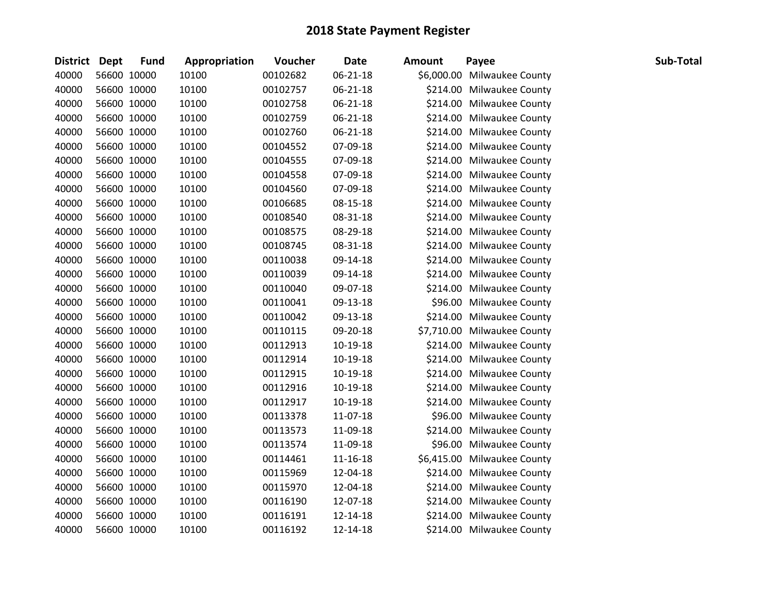| District Dept |             | <b>Fund</b> | Appropriation | Voucher  | <b>Date</b>    | <b>Amount</b> | Payee                       | Sub-Total |
|---------------|-------------|-------------|---------------|----------|----------------|---------------|-----------------------------|-----------|
| 40000         |             | 56600 10000 | 10100         | 00102682 | 06-21-18       |               | \$6,000.00 Milwaukee County |           |
| 40000         |             | 56600 10000 | 10100         | 00102757 | $06 - 21 - 18$ |               | \$214.00 Milwaukee County   |           |
| 40000         | 56600 10000 |             | 10100         | 00102758 | 06-21-18       |               | \$214.00 Milwaukee County   |           |
| 40000         | 56600 10000 |             | 10100         | 00102759 | 06-21-18       |               | \$214.00 Milwaukee County   |           |
| 40000         |             | 56600 10000 | 10100         | 00102760 | 06-21-18       |               | \$214.00 Milwaukee County   |           |
| 40000         |             | 56600 10000 | 10100         | 00104552 | 07-09-18       |               | \$214.00 Milwaukee County   |           |
| 40000         |             | 56600 10000 | 10100         | 00104555 | 07-09-18       |               | \$214.00 Milwaukee County   |           |
| 40000         |             | 56600 10000 | 10100         | 00104558 | 07-09-18       |               | \$214.00 Milwaukee County   |           |
| 40000         | 56600 10000 |             | 10100         | 00104560 | 07-09-18       |               | \$214.00 Milwaukee County   |           |
| 40000         |             | 56600 10000 | 10100         | 00106685 | 08-15-18       |               | \$214.00 Milwaukee County   |           |
| 40000         |             | 56600 10000 | 10100         | 00108540 | 08-31-18       |               | \$214.00 Milwaukee County   |           |
| 40000         |             | 56600 10000 | 10100         | 00108575 | 08-29-18       |               | \$214.00 Milwaukee County   |           |
| 40000         |             | 56600 10000 | 10100         | 00108745 | 08-31-18       |               | \$214.00 Milwaukee County   |           |
| 40000         |             | 56600 10000 | 10100         | 00110038 | 09-14-18       |               | \$214.00 Milwaukee County   |           |
| 40000         |             | 56600 10000 | 10100         | 00110039 | 09-14-18       |               | \$214.00 Milwaukee County   |           |
| 40000         |             | 56600 10000 | 10100         | 00110040 | 09-07-18       |               | \$214.00 Milwaukee County   |           |
| 40000         |             | 56600 10000 | 10100         | 00110041 | 09-13-18       |               | \$96.00 Milwaukee County    |           |
| 40000         |             | 56600 10000 | 10100         | 00110042 | 09-13-18       |               | \$214.00 Milwaukee County   |           |
| 40000         | 56600 10000 |             | 10100         | 00110115 | 09-20-18       |               | \$7,710.00 Milwaukee County |           |
| 40000         |             | 56600 10000 | 10100         | 00112913 | 10-19-18       |               | \$214.00 Milwaukee County   |           |
| 40000         |             | 56600 10000 | 10100         | 00112914 | 10-19-18       |               | \$214.00 Milwaukee County   |           |
| 40000         |             | 56600 10000 | 10100         | 00112915 | 10-19-18       |               | \$214.00 Milwaukee County   |           |
| 40000         | 56600 10000 |             | 10100         | 00112916 | 10-19-18       |               | \$214.00 Milwaukee County   |           |
| 40000         |             | 56600 10000 | 10100         | 00112917 | 10-19-18       |               | \$214.00 Milwaukee County   |           |
| 40000         |             | 56600 10000 | 10100         | 00113378 | 11-07-18       |               | \$96.00 Milwaukee County    |           |
| 40000         |             | 56600 10000 | 10100         | 00113573 | 11-09-18       |               | \$214.00 Milwaukee County   |           |
| 40000         |             | 56600 10000 | 10100         | 00113574 | 11-09-18       |               | \$96.00 Milwaukee County    |           |
| 40000         | 56600 10000 |             | 10100         | 00114461 | $11 - 16 - 18$ |               | \$6,415.00 Milwaukee County |           |
| 40000         |             | 56600 10000 | 10100         | 00115969 | 12-04-18       |               | \$214.00 Milwaukee County   |           |
| 40000         |             | 56600 10000 | 10100         | 00115970 | 12-04-18       |               | \$214.00 Milwaukee County   |           |
| 40000         |             | 56600 10000 | 10100         | 00116190 | 12-07-18       |               | \$214.00 Milwaukee County   |           |
| 40000         |             | 56600 10000 | 10100         | 00116191 | 12-14-18       |               | \$214.00 Milwaukee County   |           |
| 40000         | 56600 10000 |             | 10100         | 00116192 | 12-14-18       |               | \$214.00 Milwaukee County   |           |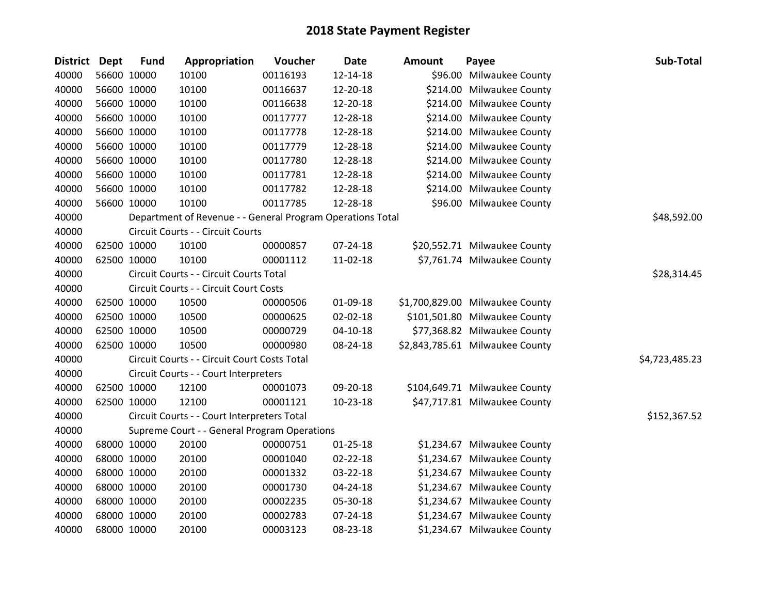| District Dept |             | <b>Fund</b> | Appropriation                                              | Voucher  | <b>Date</b>    | <b>Amount</b> | Payee                           | Sub-Total      |
|---------------|-------------|-------------|------------------------------------------------------------|----------|----------------|---------------|---------------------------------|----------------|
| 40000         |             | 56600 10000 | 10100                                                      | 00116193 | 12-14-18       |               | \$96.00 Milwaukee County        |                |
| 40000         | 56600 10000 |             | 10100                                                      | 00116637 | 12-20-18       |               | \$214.00 Milwaukee County       |                |
| 40000         | 56600 10000 |             | 10100                                                      | 00116638 | 12-20-18       |               | \$214.00 Milwaukee County       |                |
| 40000         | 56600 10000 |             | 10100                                                      | 00117777 | 12-28-18       |               | \$214.00 Milwaukee County       |                |
| 40000         | 56600 10000 |             | 10100                                                      | 00117778 | 12-28-18       |               | \$214.00 Milwaukee County       |                |
| 40000         |             | 56600 10000 | 10100                                                      | 00117779 | 12-28-18       |               | \$214.00 Milwaukee County       |                |
| 40000         | 56600 10000 |             | 10100                                                      | 00117780 | 12-28-18       |               | \$214.00 Milwaukee County       |                |
| 40000         | 56600 10000 |             | 10100                                                      | 00117781 | 12-28-18       |               | \$214.00 Milwaukee County       |                |
| 40000         | 56600 10000 |             | 10100                                                      | 00117782 | 12-28-18       |               | \$214.00 Milwaukee County       |                |
| 40000         | 56600 10000 |             | 10100                                                      | 00117785 | 12-28-18       |               | \$96.00 Milwaukee County        |                |
| 40000         |             |             | Department of Revenue - - General Program Operations Total |          |                |               |                                 | \$48,592.00    |
| 40000         |             |             | Circuit Courts - - Circuit Courts                          |          |                |               |                                 |                |
| 40000         | 62500 10000 |             | 10100                                                      | 00000857 | 07-24-18       |               | \$20,552.71 Milwaukee County    |                |
| 40000         | 62500 10000 |             | 10100                                                      | 00001112 | 11-02-18       |               | \$7,761.74 Milwaukee County     |                |
| 40000         |             |             | Circuit Courts - - Circuit Courts Total                    |          |                |               |                                 | \$28,314.45    |
| 40000         |             |             | Circuit Courts - - Circuit Court Costs                     |          |                |               |                                 |                |
| 40000         | 62500 10000 |             | 10500                                                      | 00000506 | 01-09-18       |               | \$1,700,829.00 Milwaukee County |                |
| 40000         | 62500 10000 |             | 10500                                                      | 00000625 | 02-02-18       |               | \$101,501.80 Milwaukee County   |                |
| 40000         | 62500 10000 |             | 10500                                                      | 00000729 | $04 - 10 - 18$ |               | \$77,368.82 Milwaukee County    |                |
| 40000         | 62500 10000 |             | 10500                                                      | 00000980 | 08-24-18       |               | \$2,843,785.61 Milwaukee County |                |
| 40000         |             |             | Circuit Courts - - Circuit Court Costs Total               |          |                |               |                                 | \$4,723,485.23 |
| 40000         |             |             | Circuit Courts - - Court Interpreters                      |          |                |               |                                 |                |
| 40000         | 62500 10000 |             | 12100                                                      | 00001073 | 09-20-18       |               | \$104,649.71 Milwaukee County   |                |
| 40000         | 62500 10000 |             | 12100                                                      | 00001121 | 10-23-18       |               | \$47,717.81 Milwaukee County    |                |
| 40000         |             |             | Circuit Courts - - Court Interpreters Total                |          |                |               |                                 | \$152,367.52   |
| 40000         |             |             | Supreme Court - - General Program Operations               |          |                |               |                                 |                |
| 40000         | 68000 10000 |             | 20100                                                      | 00000751 | $01 - 25 - 18$ |               | \$1,234.67 Milwaukee County     |                |
| 40000         | 68000 10000 |             | 20100                                                      | 00001040 | 02-22-18       |               | \$1,234.67 Milwaukee County     |                |
| 40000         | 68000 10000 |             | 20100                                                      | 00001332 | 03-22-18       |               | \$1,234.67 Milwaukee County     |                |
| 40000         | 68000 10000 |             | 20100                                                      | 00001730 | 04-24-18       |               | \$1,234.67 Milwaukee County     |                |
| 40000         | 68000 10000 |             | 20100                                                      | 00002235 | 05-30-18       |               | \$1,234.67 Milwaukee County     |                |
| 40000         |             | 68000 10000 | 20100                                                      | 00002783 | 07-24-18       |               | \$1,234.67 Milwaukee County     |                |
| 40000         | 68000 10000 |             | 20100                                                      | 00003123 | 08-23-18       |               | \$1,234.67 Milwaukee County     |                |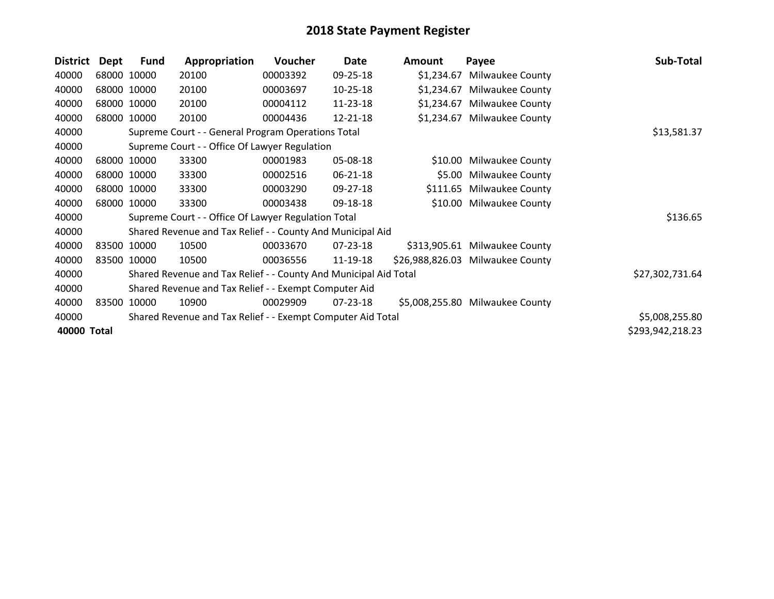| <b>District</b> | Dept                                                  | <b>Fund</b> | Appropriation                                                    | <b>Voucher</b> | Date           | Amount     | Payee                            | Sub-Total        |
|-----------------|-------------------------------------------------------|-------------|------------------------------------------------------------------|----------------|----------------|------------|----------------------------------|------------------|
| 40000           |                                                       | 68000 10000 | 20100                                                            | 00003392       | 09-25-18       | \$1,234.67 | <b>Milwaukee County</b>          |                  |
| 40000           |                                                       | 68000 10000 | 20100                                                            | 00003697       | $10 - 25 - 18$ | \$1,234.67 | <b>Milwaukee County</b>          |                  |
| 40000           | 68000 10000                                           |             | 20100                                                            | 00004112       | 11-23-18       | \$1,234.67 | <b>Milwaukee County</b>          |                  |
| 40000           |                                                       | 68000 10000 | 20100                                                            | 00004436       | 12-21-18       | \$1,234.67 | <b>Milwaukee County</b>          |                  |
| 40000           |                                                       |             | Supreme Court - - General Program Operations Total               |                |                |            |                                  | \$13,581.37      |
| 40000           |                                                       |             | Supreme Court - - Office Of Lawyer Regulation                    |                |                |            |                                  |                  |
| 40000           |                                                       | 68000 10000 | 33300                                                            | 00001983       | 05-08-18       | \$10.00    | <b>Milwaukee County</b>          |                  |
| 40000           |                                                       | 68000 10000 | 33300                                                            | 00002516       | $06 - 21 - 18$ | \$5.00     | <b>Milwaukee County</b>          |                  |
| 40000           |                                                       | 68000 10000 | 33300                                                            | 00003290       | 09-27-18       |            | \$111.65 Milwaukee County        |                  |
| 40000           | 68000 10000                                           |             | 33300                                                            | 00003438       | 09-18-18       |            | \$10.00 Milwaukee County         |                  |
| 40000           |                                                       |             | Supreme Court - - Office Of Lawyer Regulation Total              |                |                |            |                                  | \$136.65         |
| 40000           |                                                       |             | Shared Revenue and Tax Relief - - County And Municipal Aid       |                |                |            |                                  |                  |
| 40000           |                                                       | 83500 10000 | 10500                                                            | 00033670       | 07-23-18       |            | \$313,905.61 Milwaukee County    |                  |
| 40000           | 83500 10000                                           |             | 10500                                                            | 00036556       | 11-19-18       |            | \$26,988,826.03 Milwaukee County |                  |
| 40000           |                                                       |             | Shared Revenue and Tax Relief - - County And Municipal Aid Total |                |                |            |                                  | \$27,302,731.64  |
| 40000           | Shared Revenue and Tax Relief - - Exempt Computer Aid |             |                                                                  |                |                |            |                                  |                  |
| 40000           | 83500                                                 | 10000       | 10900                                                            | 00029909       | 07-23-18       |            | \$5,008,255.80 Milwaukee County  |                  |
| 40000           |                                                       |             | Shared Revenue and Tax Relief - - Exempt Computer Aid Total      |                |                |            |                                  | \$5,008,255.80   |
| 40000 Total     |                                                       |             |                                                                  |                |                |            |                                  | \$293,942,218.23 |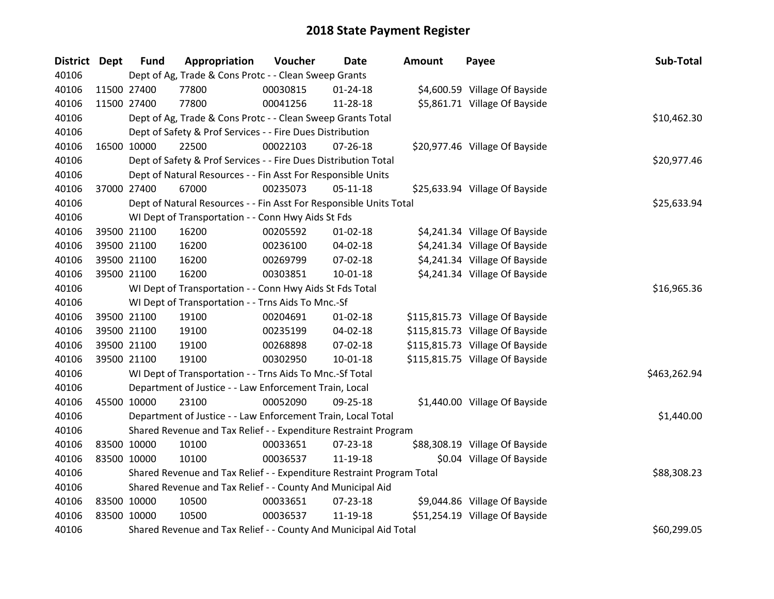| District Dept | <b>Fund</b>                                                 | Appropriation                                                         | Voucher  | <b>Date</b>    | <b>Amount</b> | Payee                           | Sub-Total    |
|---------------|-------------------------------------------------------------|-----------------------------------------------------------------------|----------|----------------|---------------|---------------------------------|--------------|
| 40106         |                                                             | Dept of Ag, Trade & Cons Protc - - Clean Sweep Grants                 |          |                |               |                                 |              |
| 40106         | 11500 27400                                                 | 77800                                                                 | 00030815 | $01 - 24 - 18$ |               | \$4,600.59 Village Of Bayside   |              |
| 40106         | 11500 27400                                                 | 77800                                                                 | 00041256 | 11-28-18       |               | \$5,861.71 Village Of Bayside   |              |
| 40106         | Dept of Ag, Trade & Cons Protc - - Clean Sweep Grants Total | \$10,462.30                                                           |          |                |               |                                 |              |
| 40106         |                                                             | Dept of Safety & Prof Services - - Fire Dues Distribution             |          |                |               |                                 |              |
| 40106         | 16500 10000                                                 | 22500                                                                 | 00022103 | $07 - 26 - 18$ |               | \$20,977.46 Village Of Bayside  |              |
| 40106         |                                                             | Dept of Safety & Prof Services - - Fire Dues Distribution Total       |          |                |               |                                 | \$20,977.46  |
| 40106         |                                                             | Dept of Natural Resources - - Fin Asst For Responsible Units          |          |                |               |                                 |              |
| 40106         | 37000 27400                                                 | 67000                                                                 | 00235073 | $05-11-18$     |               | \$25,633.94 Village Of Bayside  |              |
| 40106         |                                                             | Dept of Natural Resources - - Fin Asst For Responsible Units Total    |          |                |               |                                 | \$25,633.94  |
| 40106         |                                                             | WI Dept of Transportation - - Conn Hwy Aids St Fds                    |          |                |               |                                 |              |
| 40106         | 39500 21100                                                 | 16200                                                                 | 00205592 | 01-02-18       |               | \$4,241.34 Village Of Bayside   |              |
| 40106         | 39500 21100                                                 | 16200                                                                 | 00236100 | 04-02-18       |               | \$4,241.34 Village Of Bayside   |              |
| 40106         | 39500 21100                                                 | 16200                                                                 | 00269799 | 07-02-18       |               | \$4,241.34 Village Of Bayside   |              |
| 40106         | 39500 21100                                                 | 16200                                                                 | 00303851 | $10 - 01 - 18$ |               | \$4,241.34 Village Of Bayside   |              |
| 40106         |                                                             | WI Dept of Transportation - - Conn Hwy Aids St Fds Total              |          |                |               |                                 | \$16,965.36  |
| 40106         |                                                             | WI Dept of Transportation - - Trns Aids To Mnc.-Sf                    |          |                |               |                                 |              |
| 40106         | 39500 21100                                                 | 19100                                                                 | 00204691 | $01 - 02 - 18$ |               | \$115,815.73 Village Of Bayside |              |
| 40106         | 39500 21100                                                 | 19100                                                                 | 00235199 | 04-02-18       |               | \$115,815.73 Village Of Bayside |              |
| 40106         | 39500 21100                                                 | 19100                                                                 | 00268898 | 07-02-18       |               | \$115,815.73 Village Of Bayside |              |
| 40106         | 39500 21100                                                 | 19100                                                                 | 00302950 | 10-01-18       |               | \$115,815.75 Village Of Bayside |              |
| 40106         |                                                             | WI Dept of Transportation - - Trns Aids To Mnc.-Sf Total              |          |                |               |                                 | \$463,262.94 |
| 40106         |                                                             | Department of Justice - - Law Enforcement Train, Local                |          |                |               |                                 |              |
| 40106         | 45500 10000                                                 | 23100                                                                 | 00052090 | 09-25-18       |               | \$1,440.00 Village Of Bayside   |              |
| 40106         |                                                             | Department of Justice - - Law Enforcement Train, Local Total          |          |                |               |                                 | \$1,440.00   |
| 40106         |                                                             | Shared Revenue and Tax Relief - - Expenditure Restraint Program       |          |                |               |                                 |              |
| 40106         | 83500 10000                                                 | 10100                                                                 | 00033651 | 07-23-18       |               | \$88,308.19 Village Of Bayside  |              |
| 40106         | 83500 10000                                                 | 10100                                                                 | 00036537 | 11-19-18       |               | \$0.04 Village Of Bayside       |              |
| 40106         |                                                             | Shared Revenue and Tax Relief - - Expenditure Restraint Program Total |          |                |               |                                 | \$88,308.23  |
| 40106         |                                                             | Shared Revenue and Tax Relief - - County And Municipal Aid            |          |                |               |                                 |              |
| 40106         | 83500 10000                                                 | 10500                                                                 | 00033651 | 07-23-18       |               | \$9,044.86 Village Of Bayside   |              |
| 40106         | 83500 10000                                                 | 10500                                                                 | 00036537 | 11-19-18       |               | \$51,254.19 Village Of Bayside  |              |
| 40106         |                                                             | Shared Revenue and Tax Relief - - County And Municipal Aid Total      |          |                |               |                                 | \$60,299.05  |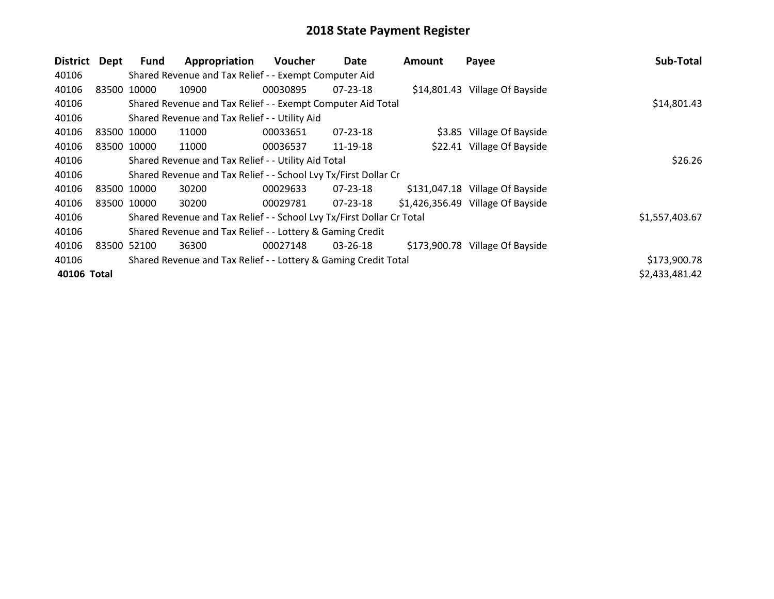| <b>District</b> | Dept        | Fund | Appropriation                                                         | <b>Voucher</b> | Date           | <b>Amount</b> | Payee                              | Sub-Total      |
|-----------------|-------------|------|-----------------------------------------------------------------------|----------------|----------------|---------------|------------------------------------|----------------|
| 40106           |             |      | Shared Revenue and Tax Relief - - Exempt Computer Aid                 |                |                |               |                                    |                |
| 40106           | 83500 10000 |      | 10900                                                                 | 00030895       | $07 - 23 - 18$ |               | \$14,801.43 Village Of Bayside     |                |
| 40106           |             |      | Shared Revenue and Tax Relief - - Exempt Computer Aid Total           |                |                |               |                                    | \$14,801.43    |
| 40106           |             |      | Shared Revenue and Tax Relief - - Utility Aid                         |                |                |               |                                    |                |
| 40106           | 83500 10000 |      | 11000                                                                 | 00033651       | $07 - 23 - 18$ |               | \$3.85 Village Of Bayside          |                |
| 40106           | 83500 10000 |      | 11000                                                                 | 00036537       | 11-19-18       |               | \$22.41 Village Of Bayside         |                |
| 40106           |             |      | Shared Revenue and Tax Relief - - Utility Aid Total                   |                |                |               |                                    | \$26.26        |
| 40106           |             |      | Shared Revenue and Tax Relief - - School Lvy Tx/First Dollar Cr       |                |                |               |                                    |                |
| 40106           | 83500 10000 |      | 30200                                                                 | 00029633       | $07 - 23 - 18$ |               | \$131,047.18 Village Of Bayside    |                |
| 40106           | 83500 10000 |      | 30200                                                                 | 00029781       | 07-23-18       |               | $$1,426,356.49$ Village Of Bayside |                |
| 40106           |             |      | Shared Revenue and Tax Relief - - School Lvy Tx/First Dollar Cr Total |                |                |               |                                    | \$1,557,403.67 |
| 40106           |             |      | Shared Revenue and Tax Relief - - Lottery & Gaming Credit             |                |                |               |                                    |                |
| 40106           | 83500 52100 |      | 36300                                                                 | 00027148       | 03-26-18       |               | \$173,900.78 Village Of Bayside    |                |
| 40106           |             |      | Shared Revenue and Tax Relief - - Lottery & Gaming Credit Total       |                |                |               |                                    | \$173,900.78   |
| 40106 Total     |             |      |                                                                       |                |                |               |                                    | \$2,433,481.42 |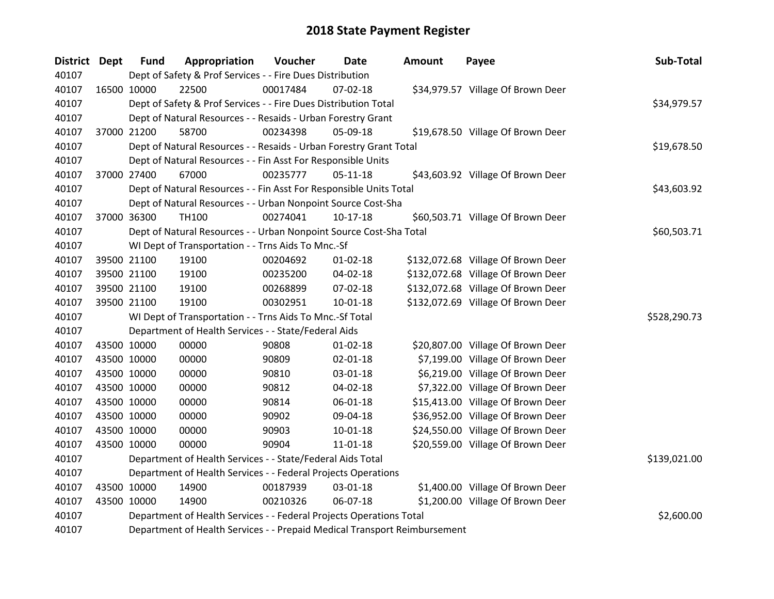| District Dept | <b>Fund</b>                                                                    | Appropriation                                                             | Voucher  | Date           | Amount | Payee                              | Sub-Total    |  |  |  |
|---------------|--------------------------------------------------------------------------------|---------------------------------------------------------------------------|----------|----------------|--------|------------------------------------|--------------|--|--|--|
| 40107         |                                                                                | Dept of Safety & Prof Services - - Fire Dues Distribution                 |          |                |        |                                    |              |  |  |  |
| 40107         | 16500 10000                                                                    | 22500                                                                     | 00017484 | 07-02-18       |        | \$34,979.57 Village Of Brown Deer  |              |  |  |  |
| 40107         | Dept of Safety & Prof Services - - Fire Dues Distribution Total<br>\$34,979.57 |                                                                           |          |                |        |                                    |              |  |  |  |
| 40107         |                                                                                | Dept of Natural Resources - - Resaids - Urban Forestry Grant              |          |                |        |                                    |              |  |  |  |
| 40107         | 37000 21200                                                                    | 58700                                                                     | 00234398 | 05-09-18       |        | \$19,678.50 Village Of Brown Deer  |              |  |  |  |
| 40107         |                                                                                | Dept of Natural Resources - - Resaids - Urban Forestry Grant Total        |          |                |        |                                    | \$19,678.50  |  |  |  |
| 40107         |                                                                                | Dept of Natural Resources - - Fin Asst For Responsible Units              |          |                |        |                                    |              |  |  |  |
| 40107         | 37000 27400                                                                    | 67000                                                                     | 00235777 | $05 - 11 - 18$ |        | \$43,603.92 Village Of Brown Deer  |              |  |  |  |
| 40107         |                                                                                | Dept of Natural Resources - - Fin Asst For Responsible Units Total        |          |                |        |                                    | \$43,603.92  |  |  |  |
| 40107         |                                                                                | Dept of Natural Resources - - Urban Nonpoint Source Cost-Sha              |          |                |        |                                    |              |  |  |  |
| 40107         | 37000 36300                                                                    | <b>TH100</b>                                                              | 00274041 | $10-17-18$     |        | \$60,503.71 Village Of Brown Deer  |              |  |  |  |
| 40107         |                                                                                | Dept of Natural Resources - - Urban Nonpoint Source Cost-Sha Total        |          |                |        |                                    | \$60,503.71  |  |  |  |
| 40107         |                                                                                | WI Dept of Transportation - - Trns Aids To Mnc.-Sf                        |          |                |        |                                    |              |  |  |  |
| 40107         | 39500 21100                                                                    | 19100                                                                     | 00204692 | $01 - 02 - 18$ |        | \$132,072.68 Village Of Brown Deer |              |  |  |  |
| 40107         | 39500 21100                                                                    | 19100                                                                     | 00235200 | 04-02-18       |        | \$132,072.68 Village Of Brown Deer |              |  |  |  |
| 40107         | 39500 21100                                                                    | 19100                                                                     | 00268899 | 07-02-18       |        | \$132,072.68 Village Of Brown Deer |              |  |  |  |
| 40107         | 39500 21100                                                                    | 19100                                                                     | 00302951 | $10 - 01 - 18$ |        | \$132,072.69 Village Of Brown Deer |              |  |  |  |
| 40107         |                                                                                | WI Dept of Transportation - - Trns Aids To Mnc.-Sf Total                  |          |                |        |                                    | \$528,290.73 |  |  |  |
| 40107         |                                                                                | Department of Health Services - - State/Federal Aids                      |          |                |        |                                    |              |  |  |  |
| 40107         | 43500 10000                                                                    | 00000                                                                     | 90808    | $01 - 02 - 18$ |        | \$20,807.00 Village Of Brown Deer  |              |  |  |  |
| 40107         | 43500 10000                                                                    | 00000                                                                     | 90809    | $02 - 01 - 18$ |        | \$7,199.00 Village Of Brown Deer   |              |  |  |  |
| 40107         | 43500 10000                                                                    | 00000                                                                     | 90810    | 03-01-18       |        | \$6,219.00 Village Of Brown Deer   |              |  |  |  |
| 40107         | 43500 10000                                                                    | 00000                                                                     | 90812    | 04-02-18       |        | \$7,322.00 Village Of Brown Deer   |              |  |  |  |
| 40107         | 43500 10000                                                                    | 00000                                                                     | 90814    | 06-01-18       |        | \$15,413.00 Village Of Brown Deer  |              |  |  |  |
| 40107         | 43500 10000                                                                    | 00000                                                                     | 90902    | 09-04-18       |        | \$36,952.00 Village Of Brown Deer  |              |  |  |  |
| 40107         | 43500 10000                                                                    | 00000                                                                     | 90903    | 10-01-18       |        | \$24,550.00 Village Of Brown Deer  |              |  |  |  |
| 40107         | 43500 10000                                                                    | 00000                                                                     | 90904    | 11-01-18       |        | \$20,559.00 Village Of Brown Deer  |              |  |  |  |
| 40107         |                                                                                | Department of Health Services - - State/Federal Aids Total                |          |                |        |                                    | \$139,021.00 |  |  |  |
| 40107         |                                                                                | Department of Health Services - - Federal Projects Operations             |          |                |        |                                    |              |  |  |  |
| 40107         | 43500 10000                                                                    | 14900                                                                     | 00187939 | 03-01-18       |        | \$1,400.00 Village Of Brown Deer   |              |  |  |  |
| 40107         | 43500 10000                                                                    | 14900                                                                     | 00210326 | 06-07-18       |        | \$1,200.00 Village Of Brown Deer   |              |  |  |  |
| 40107         |                                                                                | Department of Health Services - - Federal Projects Operations Total       |          |                |        |                                    | \$2,600.00   |  |  |  |
| 40107         |                                                                                | Department of Health Services - - Prepaid Medical Transport Reimbursement |          |                |        |                                    |              |  |  |  |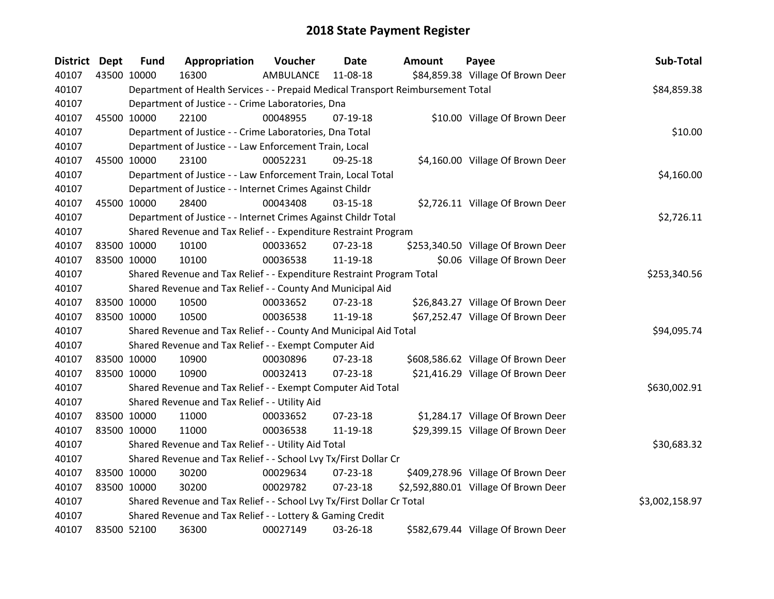| District Dept | <b>Fund</b>                                                                                    | Appropriation                                                         | Voucher   | <b>Date</b>    | Amount | Payee                                | Sub-Total      |  |  |  |
|---------------|------------------------------------------------------------------------------------------------|-----------------------------------------------------------------------|-----------|----------------|--------|--------------------------------------|----------------|--|--|--|
| 40107         | 43500 10000                                                                                    | 16300                                                                 | AMBULANCE | 11-08-18       |        | \$84,859.38 Village Of Brown Deer    |                |  |  |  |
| 40107         | Department of Health Services - - Prepaid Medical Transport Reimbursement Total<br>\$84,859.38 |                                                                       |           |                |        |                                      |                |  |  |  |
| 40107         | Department of Justice - - Crime Laboratories, Dna                                              |                                                                       |           |                |        |                                      |                |  |  |  |
| 40107         | 45500 10000                                                                                    | 22100                                                                 | 00048955  | 07-19-18       |        | \$10.00 Village Of Brown Deer        |                |  |  |  |
| 40107         |                                                                                                | Department of Justice - - Crime Laboratories, Dna Total               |           |                |        |                                      | \$10.00        |  |  |  |
| 40107         |                                                                                                | Department of Justice - - Law Enforcement Train, Local                |           |                |        |                                      |                |  |  |  |
| 40107         | 45500 10000                                                                                    | 23100                                                                 | 00052231  | 09-25-18       |        | \$4,160.00 Village Of Brown Deer     |                |  |  |  |
| 40107         |                                                                                                | Department of Justice - - Law Enforcement Train, Local Total          |           |                |        |                                      | \$4,160.00     |  |  |  |
| 40107         |                                                                                                | Department of Justice - - Internet Crimes Against Childr              |           |                |        |                                      |                |  |  |  |
| 40107         | 45500 10000                                                                                    | 28400                                                                 | 00043408  | $03-15-18$     |        | \$2,726.11 Village Of Brown Deer     |                |  |  |  |
| 40107         |                                                                                                | Department of Justice - - Internet Crimes Against Childr Total        |           |                |        |                                      | \$2,726.11     |  |  |  |
| 40107         |                                                                                                | Shared Revenue and Tax Relief - - Expenditure Restraint Program       |           |                |        |                                      |                |  |  |  |
| 40107         | 83500 10000                                                                                    | 10100                                                                 | 00033652  | 07-23-18       |        | \$253,340.50 Village Of Brown Deer   |                |  |  |  |
| 40107         | 83500 10000                                                                                    | 10100                                                                 | 00036538  | 11-19-18       |        | \$0.06 Village Of Brown Deer         |                |  |  |  |
| 40107         |                                                                                                | Shared Revenue and Tax Relief - - Expenditure Restraint Program Total |           |                |        |                                      | \$253,340.56   |  |  |  |
| 40107         |                                                                                                | Shared Revenue and Tax Relief - - County And Municipal Aid            |           |                |        |                                      |                |  |  |  |
| 40107         | 83500 10000                                                                                    | 10500                                                                 | 00033652  | $07 - 23 - 18$ |        | \$26,843.27 Village Of Brown Deer    |                |  |  |  |
| 40107         | 83500 10000                                                                                    | 10500                                                                 | 00036538  | 11-19-18       |        | \$67,252.47 Village Of Brown Deer    |                |  |  |  |
| 40107         |                                                                                                | Shared Revenue and Tax Relief - - County And Municipal Aid Total      |           |                |        |                                      | \$94,095.74    |  |  |  |
| 40107         |                                                                                                | Shared Revenue and Tax Relief - - Exempt Computer Aid                 |           |                |        |                                      |                |  |  |  |
| 40107         | 83500 10000                                                                                    | 10900                                                                 | 00030896  | $07 - 23 - 18$ |        | \$608,586.62 Village Of Brown Deer   |                |  |  |  |
| 40107         | 83500 10000                                                                                    | 10900                                                                 | 00032413  | 07-23-18       |        | \$21,416.29 Village Of Brown Deer    |                |  |  |  |
| 40107         |                                                                                                | Shared Revenue and Tax Relief - - Exempt Computer Aid Total           |           |                |        |                                      | \$630,002.91   |  |  |  |
| 40107         |                                                                                                | Shared Revenue and Tax Relief - - Utility Aid                         |           |                |        |                                      |                |  |  |  |
| 40107         | 83500 10000                                                                                    | 11000                                                                 | 00033652  | $07 - 23 - 18$ |        | \$1,284.17 Village Of Brown Deer     |                |  |  |  |
| 40107         | 83500 10000                                                                                    | 11000                                                                 | 00036538  | 11-19-18       |        | \$29,399.15 Village Of Brown Deer    |                |  |  |  |
| 40107         |                                                                                                | Shared Revenue and Tax Relief - - Utility Aid Total                   |           |                |        |                                      | \$30,683.32    |  |  |  |
| 40107         |                                                                                                | Shared Revenue and Tax Relief - - School Lvy Tx/First Dollar Cr       |           |                |        |                                      |                |  |  |  |
| 40107         | 83500 10000                                                                                    | 30200                                                                 | 00029634  | 07-23-18       |        | \$409,278.96 Village Of Brown Deer   |                |  |  |  |
| 40107         | 83500 10000                                                                                    | 30200                                                                 | 00029782  | $07 - 23 - 18$ |        | \$2,592,880.01 Village Of Brown Deer |                |  |  |  |
| 40107         |                                                                                                | Shared Revenue and Tax Relief - - School Lvy Tx/First Dollar Cr Total |           |                |        |                                      | \$3,002,158.97 |  |  |  |
| 40107         |                                                                                                | Shared Revenue and Tax Relief - - Lottery & Gaming Credit             |           |                |        |                                      |                |  |  |  |
| 40107         | 83500 52100                                                                                    | 36300                                                                 | 00027149  | 03-26-18       |        | \$582,679.44 Village Of Brown Deer   |                |  |  |  |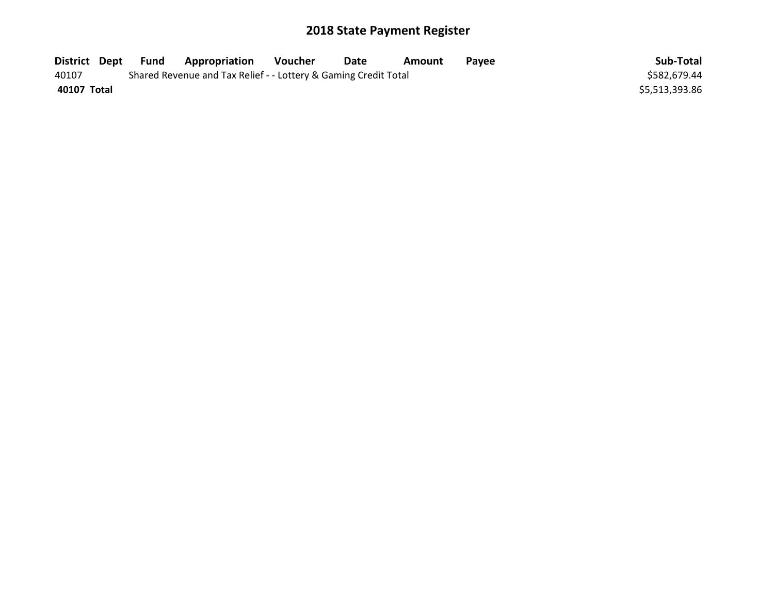|             | District Dept Fund | <b>Appropriation</b>                                            | Voucher | Date | Amount | <b>Pavee</b> | Sub-Total      |
|-------------|--------------------|-----------------------------------------------------------------|---------|------|--------|--------------|----------------|
| 40107       |                    | Shared Revenue and Tax Relief - - Lottery & Gaming Credit Total |         |      |        |              | \$582.679.44   |
| 40107 Total |                    |                                                                 |         |      |        |              | \$5,513,393.86 |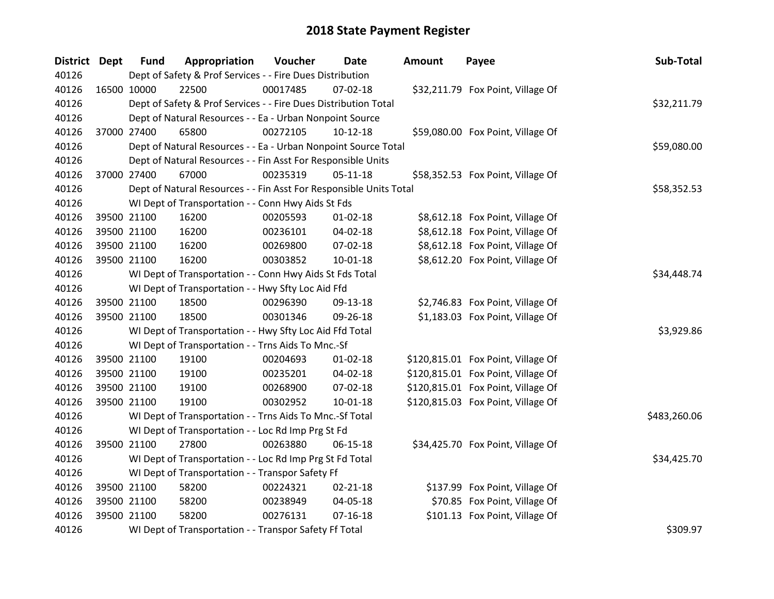| District Dept | <b>Fund</b>                                                                    | Appropriation                                                      | Voucher  | <b>Date</b>    | <b>Amount</b> | Payee                              | Sub-Total    |  |  |  |
|---------------|--------------------------------------------------------------------------------|--------------------------------------------------------------------|----------|----------------|---------------|------------------------------------|--------------|--|--|--|
| 40126         |                                                                                | Dept of Safety & Prof Services - - Fire Dues Distribution          |          |                |               |                                    |              |  |  |  |
| 40126         | 16500 10000                                                                    | 22500                                                              | 00017485 | 07-02-18       |               | \$32,211.79 Fox Point, Village Of  |              |  |  |  |
| 40126         | Dept of Safety & Prof Services - - Fire Dues Distribution Total<br>\$32,211.79 |                                                                    |          |                |               |                                    |              |  |  |  |
| 40126         |                                                                                | Dept of Natural Resources - - Ea - Urban Nonpoint Source           |          |                |               |                                    |              |  |  |  |
| 40126         | 37000 27400                                                                    | 65800                                                              | 00272105 | $10-12-18$     |               | \$59,080.00 Fox Point, Village Of  |              |  |  |  |
| 40126         |                                                                                | Dept of Natural Resources - - Ea - Urban Nonpoint Source Total     |          |                |               |                                    | \$59,080.00  |  |  |  |
| 40126         |                                                                                | Dept of Natural Resources - - Fin Asst For Responsible Units       |          |                |               |                                    |              |  |  |  |
| 40126         | 37000 27400                                                                    | 67000                                                              | 00235319 | $05 - 11 - 18$ |               | \$58,352.53 Fox Point, Village Of  |              |  |  |  |
| 40126         |                                                                                | Dept of Natural Resources - - Fin Asst For Responsible Units Total |          |                |               |                                    | \$58,352.53  |  |  |  |
| 40126         |                                                                                | WI Dept of Transportation - - Conn Hwy Aids St Fds                 |          |                |               |                                    |              |  |  |  |
| 40126         | 39500 21100                                                                    | 16200                                                              | 00205593 | $01 - 02 - 18$ |               | \$8,612.18 Fox Point, Village Of   |              |  |  |  |
| 40126         | 39500 21100                                                                    | 16200                                                              | 00236101 | 04-02-18       |               | \$8,612.18 Fox Point, Village Of   |              |  |  |  |
| 40126         | 39500 21100                                                                    | 16200                                                              | 00269800 | 07-02-18       |               | \$8,612.18 Fox Point, Village Of   |              |  |  |  |
| 40126         | 39500 21100                                                                    | 16200                                                              | 00303852 | 10-01-18       |               | \$8,612.20 Fox Point, Village Of   |              |  |  |  |
| 40126         |                                                                                | WI Dept of Transportation - - Conn Hwy Aids St Fds Total           |          |                |               |                                    | \$34,448.74  |  |  |  |
| 40126         |                                                                                | WI Dept of Transportation - - Hwy Sfty Loc Aid Ffd                 |          |                |               |                                    |              |  |  |  |
| 40126         | 39500 21100                                                                    | 18500                                                              | 00296390 | 09-13-18       |               | \$2,746.83 Fox Point, Village Of   |              |  |  |  |
| 40126         | 39500 21100                                                                    | 18500                                                              | 00301346 | 09-26-18       |               | \$1,183.03 Fox Point, Village Of   |              |  |  |  |
| 40126         |                                                                                | WI Dept of Transportation - - Hwy Sfty Loc Aid Ffd Total           |          |                |               |                                    | \$3,929.86   |  |  |  |
| 40126         |                                                                                | WI Dept of Transportation - - Trns Aids To Mnc.-Sf                 |          |                |               |                                    |              |  |  |  |
| 40126         | 39500 21100                                                                    | 19100                                                              | 00204693 | $01 - 02 - 18$ |               | \$120,815.01 Fox Point, Village Of |              |  |  |  |
| 40126         | 39500 21100                                                                    | 19100                                                              | 00235201 | 04-02-18       |               | \$120,815.01 Fox Point, Village Of |              |  |  |  |
| 40126         | 39500 21100                                                                    | 19100                                                              | 00268900 | 07-02-18       |               | \$120,815.01 Fox Point, Village Of |              |  |  |  |
| 40126         | 39500 21100                                                                    | 19100                                                              | 00302952 | $10 - 01 - 18$ |               | \$120,815.03 Fox Point, Village Of |              |  |  |  |
| 40126         |                                                                                | WI Dept of Transportation - - Trns Aids To Mnc.-Sf Total           |          |                |               |                                    | \$483,260.06 |  |  |  |
| 40126         |                                                                                | WI Dept of Transportation - - Loc Rd Imp Prg St Fd                 |          |                |               |                                    |              |  |  |  |
| 40126         | 39500 21100                                                                    | 27800                                                              | 00263880 | 06-15-18       |               | \$34,425.70 Fox Point, Village Of  |              |  |  |  |
| 40126         |                                                                                | WI Dept of Transportation - - Loc Rd Imp Prg St Fd Total           |          |                |               |                                    | \$34,425.70  |  |  |  |
| 40126         |                                                                                | WI Dept of Transportation - - Transpor Safety Ff                   |          |                |               |                                    |              |  |  |  |
| 40126         | 39500 21100                                                                    | 58200                                                              | 00224321 | $02 - 21 - 18$ |               | \$137.99 Fox Point, Village Of     |              |  |  |  |
| 40126         | 39500 21100                                                                    | 58200                                                              | 00238949 | 04-05-18       |               | \$70.85 Fox Point, Village Of      |              |  |  |  |
| 40126         | 39500 21100                                                                    | 58200                                                              | 00276131 | $07 - 16 - 18$ |               | \$101.13 Fox Point, Village Of     |              |  |  |  |
| 40126         |                                                                                | WI Dept of Transportation - - Transpor Safety Ff Total             |          |                |               |                                    | \$309.97     |  |  |  |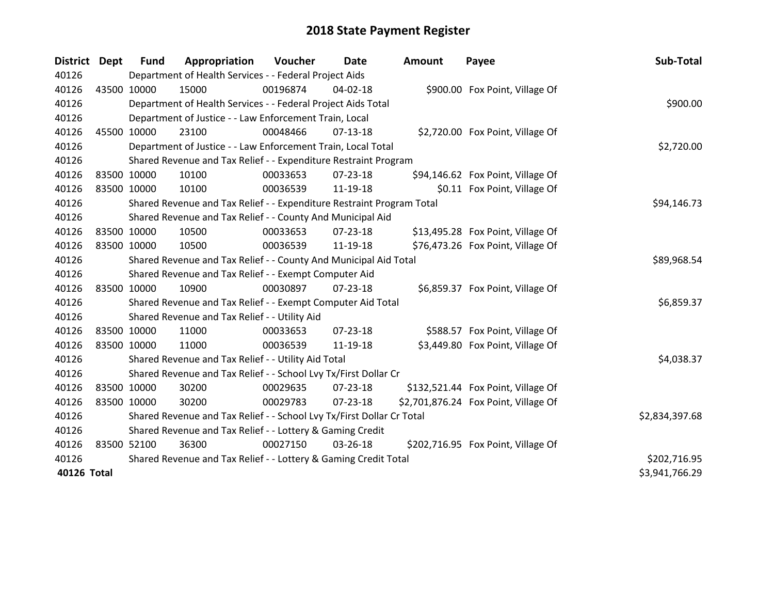| <b>District</b> | Dept        | <b>Fund</b>                                                  | Appropriation                                                         | Voucher  | Date           | <b>Amount</b> | Payee                                | Sub-Total      |
|-----------------|-------------|--------------------------------------------------------------|-----------------------------------------------------------------------|----------|----------------|---------------|--------------------------------------|----------------|
| 40126           |             |                                                              | Department of Health Services - - Federal Project Aids                |          |                |               |                                      |                |
| 40126           | 43500 10000 |                                                              | 15000                                                                 | 00196874 | 04-02-18       |               | \$900.00 Fox Point, Village Of       |                |
| 40126           |             | Department of Health Services - - Federal Project Aids Total | \$900.00                                                              |          |                |               |                                      |                |
| 40126           |             |                                                              | Department of Justice - - Law Enforcement Train, Local                |          |                |               |                                      |                |
| 40126           |             | 45500 10000                                                  | 23100                                                                 | 00048466 | $07-13-18$     |               | \$2,720.00 Fox Point, Village Of     |                |
| 40126           |             |                                                              | Department of Justice - - Law Enforcement Train, Local Total          |          |                |               |                                      | \$2,720.00     |
| 40126           |             |                                                              | Shared Revenue and Tax Relief - - Expenditure Restraint Program       |          |                |               |                                      |                |
| 40126           | 83500 10000 |                                                              | 10100                                                                 | 00033653 | $07 - 23 - 18$ |               | \$94,146.62 Fox Point, Village Of    |                |
| 40126           | 83500 10000 |                                                              | 10100                                                                 | 00036539 | 11-19-18       |               | \$0.11 Fox Point, Village Of         |                |
| 40126           |             |                                                              | Shared Revenue and Tax Relief - - Expenditure Restraint Program Total |          |                |               |                                      | \$94,146.73    |
| 40126           |             |                                                              | Shared Revenue and Tax Relief - - County And Municipal Aid            |          |                |               |                                      |                |
| 40126           | 83500 10000 |                                                              | 10500                                                                 | 00033653 | 07-23-18       |               | \$13,495.28 Fox Point, Village Of    |                |
| 40126           | 83500 10000 |                                                              | 10500                                                                 | 00036539 | 11-19-18       |               | \$76,473.26 Fox Point, Village Of    |                |
| 40126           |             |                                                              | Shared Revenue and Tax Relief - - County And Municipal Aid Total      |          |                |               |                                      | \$89,968.54    |
| 40126           |             |                                                              | Shared Revenue and Tax Relief - - Exempt Computer Aid                 |          |                |               |                                      |                |
| 40126           | 83500 10000 |                                                              | 10900                                                                 | 00030897 | $07 - 23 - 18$ |               | \$6,859.37 Fox Point, Village Of     |                |
| 40126           |             |                                                              | Shared Revenue and Tax Relief - - Exempt Computer Aid Total           |          |                |               |                                      | \$6,859.37     |
| 40126           |             |                                                              | Shared Revenue and Tax Relief - - Utility Aid                         |          |                |               |                                      |                |
| 40126           | 83500 10000 |                                                              | 11000                                                                 | 00033653 | $07 - 23 - 18$ |               | \$588.57 Fox Point, Village Of       |                |
| 40126           | 83500 10000 |                                                              | 11000                                                                 | 00036539 | 11-19-18       |               | \$3,449.80 Fox Point, Village Of     |                |
| 40126           |             |                                                              | Shared Revenue and Tax Relief - - Utility Aid Total                   |          |                |               |                                      | \$4,038.37     |
| 40126           |             |                                                              | Shared Revenue and Tax Relief - - School Lvy Tx/First Dollar Cr       |          |                |               |                                      |                |
| 40126           | 83500 10000 |                                                              | 30200                                                                 | 00029635 | $07 - 23 - 18$ |               | \$132,521.44 Fox Point, Village Of   |                |
| 40126           | 83500 10000 |                                                              | 30200                                                                 | 00029783 | $07 - 23 - 18$ |               | \$2,701,876.24 Fox Point, Village Of |                |
| 40126           |             |                                                              | Shared Revenue and Tax Relief - - School Lvy Tx/First Dollar Cr Total |          |                |               |                                      | \$2,834,397.68 |
| 40126           |             |                                                              | Shared Revenue and Tax Relief - - Lottery & Gaming Credit             |          |                |               |                                      |                |
| 40126           | 83500 52100 |                                                              | 36300                                                                 | 00027150 | 03-26-18       |               | \$202,716.95 Fox Point, Village Of   |                |
| 40126           |             |                                                              | Shared Revenue and Tax Relief - - Lottery & Gaming Credit Total       |          |                |               |                                      | \$202,716.95   |
| 40126 Total     |             |                                                              |                                                                       |          |                |               |                                      | \$3,941,766.29 |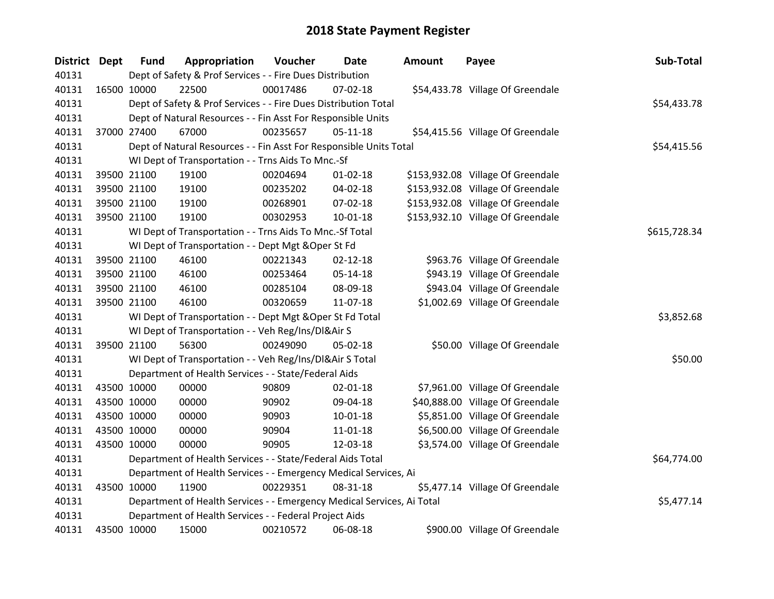| District Dept | <b>Fund</b> | Appropriation                                                          | Voucher  | <b>Date</b>    | Amount | Payee                             | Sub-Total    |
|---------------|-------------|------------------------------------------------------------------------|----------|----------------|--------|-----------------------------------|--------------|
| 40131         |             | Dept of Safety & Prof Services - - Fire Dues Distribution              |          |                |        |                                   |              |
| 40131         | 16500 10000 | 22500                                                                  | 00017486 | 07-02-18       |        | \$54,433.78 Village Of Greendale  |              |
| 40131         |             | Dept of Safety & Prof Services - - Fire Dues Distribution Total        |          |                |        |                                   | \$54,433.78  |
| 40131         |             | Dept of Natural Resources - - Fin Asst For Responsible Units           |          |                |        |                                   |              |
| 40131         | 37000 27400 | 67000                                                                  | 00235657 | 05-11-18       |        | \$54,415.56 Village Of Greendale  |              |
| 40131         |             | Dept of Natural Resources - - Fin Asst For Responsible Units Total     |          |                |        |                                   | \$54,415.56  |
| 40131         |             | WI Dept of Transportation - - Trns Aids To Mnc.-Sf                     |          |                |        |                                   |              |
| 40131         | 39500 21100 | 19100                                                                  | 00204694 | $01 - 02 - 18$ |        | \$153,932.08 Village Of Greendale |              |
| 40131         | 39500 21100 | 19100                                                                  | 00235202 | 04-02-18       |        | \$153,932.08 Village Of Greendale |              |
| 40131         | 39500 21100 | 19100                                                                  | 00268901 | 07-02-18       |        | \$153,932.08 Village Of Greendale |              |
| 40131         | 39500 21100 | 19100                                                                  | 00302953 | $10 - 01 - 18$ |        | \$153,932.10 Village Of Greendale |              |
| 40131         |             | WI Dept of Transportation - - Trns Aids To Mnc.-Sf Total               |          |                |        |                                   | \$615,728.34 |
| 40131         |             | WI Dept of Transportation - - Dept Mgt & Oper St Fd                    |          |                |        |                                   |              |
| 40131         | 39500 21100 | 46100                                                                  | 00221343 | $02 - 12 - 18$ |        | \$963.76 Village Of Greendale     |              |
| 40131         | 39500 21100 | 46100                                                                  | 00253464 | 05-14-18       |        | \$943.19 Village Of Greendale     |              |
| 40131         | 39500 21100 | 46100                                                                  | 00285104 | 08-09-18       |        | \$943.04 Village Of Greendale     |              |
| 40131         | 39500 21100 | 46100                                                                  | 00320659 | $11-07-18$     |        | \$1,002.69 Village Of Greendale   |              |
| 40131         |             | WI Dept of Transportation - - Dept Mgt & Oper St Fd Total              |          |                |        |                                   | \$3,852.68   |
| 40131         |             | WI Dept of Transportation - - Veh Reg/Ins/DI&Air S                     |          |                |        |                                   |              |
| 40131         | 39500 21100 | 56300                                                                  | 00249090 | 05-02-18       |        | \$50.00 Village Of Greendale      |              |
| 40131         |             | WI Dept of Transportation - - Veh Reg/Ins/DI&Air S Total               |          |                |        |                                   | \$50.00      |
| 40131         |             | Department of Health Services - - State/Federal Aids                   |          |                |        |                                   |              |
| 40131         | 43500 10000 | 00000                                                                  | 90809    | $02 - 01 - 18$ |        | \$7,961.00 Village Of Greendale   |              |
| 40131         | 43500 10000 | 00000                                                                  | 90902    | 09-04-18       |        | \$40,888.00 Village Of Greendale  |              |
| 40131         | 43500 10000 | 00000                                                                  | 90903    | $10 - 01 - 18$ |        | \$5,851.00 Village Of Greendale   |              |
| 40131         | 43500 10000 | 00000                                                                  | 90904    | 11-01-18       |        | \$6,500.00 Village Of Greendale   |              |
| 40131         | 43500 10000 | 00000                                                                  | 90905    | 12-03-18       |        | \$3,574.00 Village Of Greendale   |              |
| 40131         |             | Department of Health Services - - State/Federal Aids Total             |          |                |        |                                   | \$64,774.00  |
| 40131         |             | Department of Health Services - - Emergency Medical Services, Ai       |          |                |        |                                   |              |
| 40131         | 43500 10000 | 11900                                                                  | 00229351 | 08-31-18       |        | \$5,477.14 Village Of Greendale   |              |
| 40131         |             | Department of Health Services - - Emergency Medical Services, Ai Total |          |                |        |                                   | \$5,477.14   |
| 40131         |             | Department of Health Services - - Federal Project Aids                 |          |                |        |                                   |              |
| 40131         | 43500 10000 | 15000                                                                  | 00210572 | 06-08-18       |        | \$900.00 Village Of Greendale     |              |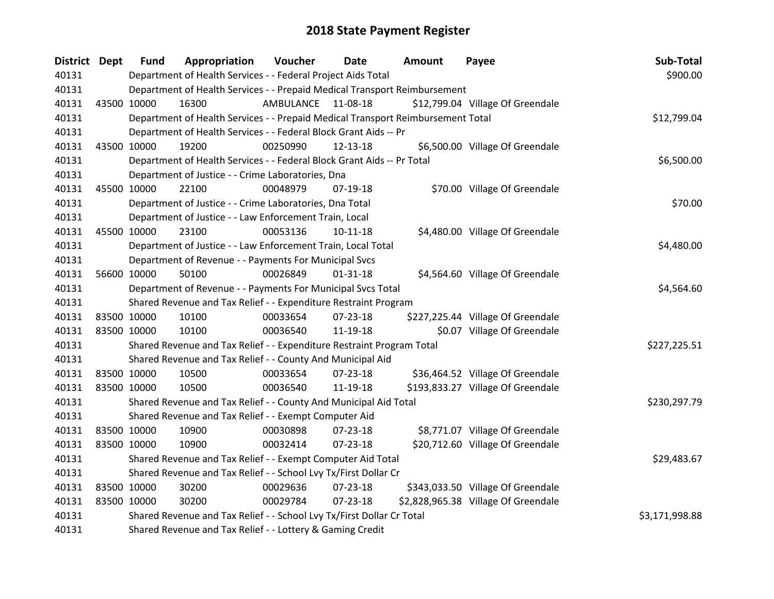| District Dept | <b>Fund</b> | Appropriation                                                                   | Voucher   | Date           | Amount | Payee                               | Sub-Total      |
|---------------|-------------|---------------------------------------------------------------------------------|-----------|----------------|--------|-------------------------------------|----------------|
| 40131         |             | Department of Health Services - - Federal Project Aids Total                    |           |                |        |                                     | \$900.00       |
| 40131         |             | Department of Health Services - - Prepaid Medical Transport Reimbursement       |           |                |        |                                     |                |
| 40131         | 43500 10000 | 16300                                                                           | AMBULANCE | 11-08-18       |        | \$12,799.04 Village Of Greendale    |                |
| 40131         |             | Department of Health Services - - Prepaid Medical Transport Reimbursement Total |           |                |        |                                     | \$12,799.04    |
| 40131         |             | Department of Health Services - - Federal Block Grant Aids -- Pr                |           |                |        |                                     |                |
| 40131         | 43500 10000 | 19200                                                                           | 00250990  | 12-13-18       |        | \$6,500.00 Village Of Greendale     |                |
| 40131         |             | Department of Health Services - - Federal Block Grant Aids -- Pr Total          |           |                |        |                                     | \$6,500.00     |
| 40131         |             | Department of Justice - - Crime Laboratories, Dna                               |           |                |        |                                     |                |
| 40131         | 45500 10000 | 22100                                                                           | 00048979  | $07-19-18$     |        | \$70.00 Village Of Greendale        |                |
| 40131         |             | Department of Justice - - Crime Laboratories, Dna Total                         |           |                |        |                                     | \$70.00        |
| 40131         |             | Department of Justice - - Law Enforcement Train, Local                          |           |                |        |                                     |                |
| 40131         | 45500 10000 | 23100                                                                           | 00053136  | 10-11-18       |        | \$4,480.00 Village Of Greendale     |                |
| 40131         |             | Department of Justice - - Law Enforcement Train, Local Total                    |           |                |        |                                     | \$4,480.00     |
| 40131         |             | Department of Revenue - - Payments For Municipal Svcs                           |           |                |        |                                     |                |
| 40131         | 56600 10000 | 50100                                                                           | 00026849  | $01 - 31 - 18$ |        | \$4,564.60 Village Of Greendale     |                |
| 40131         |             | Department of Revenue - - Payments For Municipal Svcs Total                     |           |                |        |                                     | \$4,564.60     |
| 40131         |             | Shared Revenue and Tax Relief - - Expenditure Restraint Program                 |           |                |        |                                     |                |
| 40131         | 83500 10000 | 10100                                                                           | 00033654  | 07-23-18       |        | \$227,225.44 Village Of Greendale   |                |
| 40131         | 83500 10000 | 10100                                                                           | 00036540  | 11-19-18       |        | \$0.07 Village Of Greendale         |                |
| 40131         |             | Shared Revenue and Tax Relief - - Expenditure Restraint Program Total           |           |                |        |                                     | \$227,225.51   |
| 40131         |             | Shared Revenue and Tax Relief - - County And Municipal Aid                      |           |                |        |                                     |                |
| 40131         | 83500 10000 | 10500                                                                           | 00033654  | $07 - 23 - 18$ |        | \$36,464.52 Village Of Greendale    |                |
| 40131         | 83500 10000 | 10500                                                                           | 00036540  | 11-19-18       |        | \$193,833.27 Village Of Greendale   |                |
| 40131         |             | Shared Revenue and Tax Relief - - County And Municipal Aid Total                |           |                |        |                                     | \$230,297.79   |
| 40131         |             | Shared Revenue and Tax Relief - - Exempt Computer Aid                           |           |                |        |                                     |                |
| 40131         | 83500 10000 | 10900                                                                           | 00030898  | 07-23-18       |        | \$8,771.07 Village Of Greendale     |                |
| 40131         | 83500 10000 | 10900                                                                           | 00032414  | 07-23-18       |        | \$20,712.60 Village Of Greendale    |                |
| 40131         |             | Shared Revenue and Tax Relief - - Exempt Computer Aid Total                     |           |                |        |                                     | \$29,483.67    |
| 40131         |             | Shared Revenue and Tax Relief - - School Lvy Tx/First Dollar Cr                 |           |                |        |                                     |                |
| 40131         | 83500 10000 | 30200                                                                           | 00029636  | $07 - 23 - 18$ |        | \$343,033.50 Village Of Greendale   |                |
| 40131         | 83500 10000 | 30200                                                                           | 00029784  | 07-23-18       |        | \$2,828,965.38 Village Of Greendale |                |
| 40131         |             | Shared Revenue and Tax Relief - - School Lvy Tx/First Dollar Cr Total           |           |                |        |                                     | \$3,171,998.88 |
| 40131         |             | Shared Revenue and Tax Relief - - Lottery & Gaming Credit                       |           |                |        |                                     |                |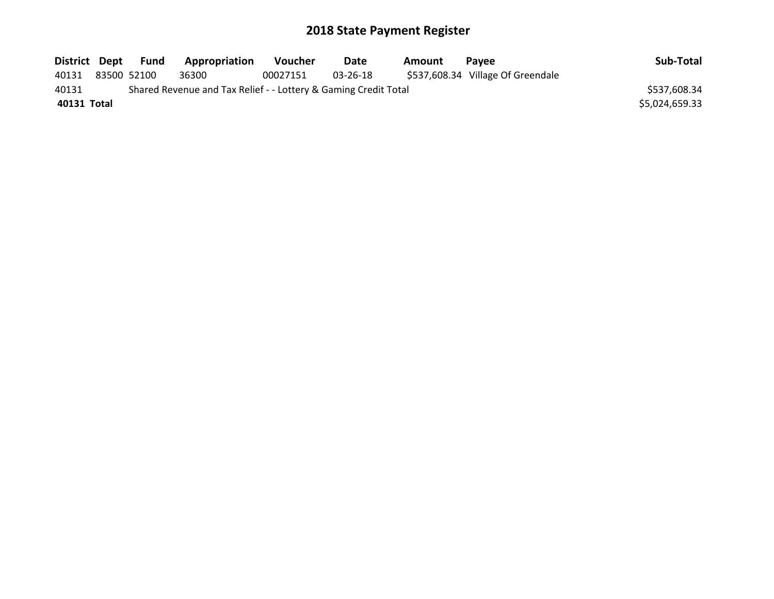| District Dept | Fund        | Appropriation                                                   | <b>Voucher</b> | Date     | Amount | <b>Pavee</b>                      | Sub-Total      |
|---------------|-------------|-----------------------------------------------------------------|----------------|----------|--------|-----------------------------------|----------------|
| 40131         | 83500 52100 | 36300                                                           | 00027151       | 03-26-18 |        | \$537,608.34 Village Of Greendale |                |
| 40131         |             | Shared Revenue and Tax Relief - - Lottery & Gaming Credit Total |                |          |        |                                   | \$537,608.34   |
| 40131 Total   |             |                                                                 |                |          |        |                                   | \$5,024,659.33 |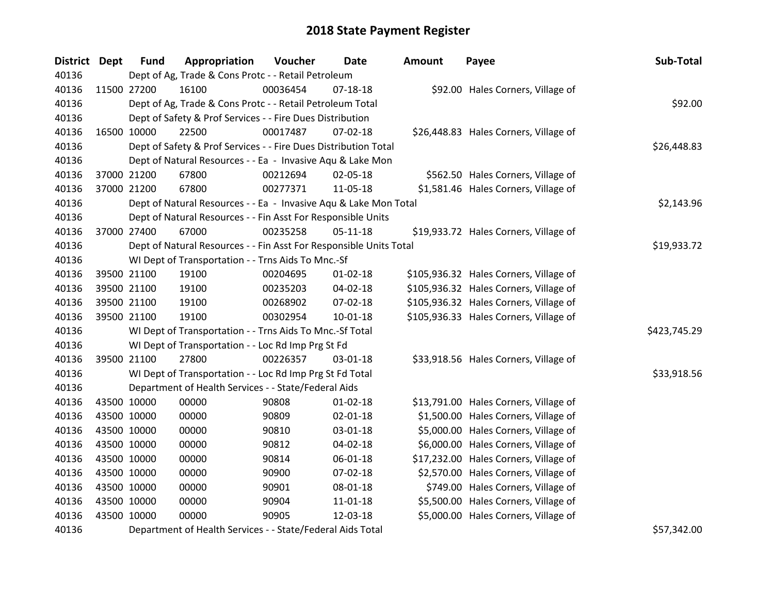| District Dept |             | <b>Fund</b> | Appropriation                                                      | Voucher  | <b>Date</b>    | Amount | Payee                                  | Sub-Total    |
|---------------|-------------|-------------|--------------------------------------------------------------------|----------|----------------|--------|----------------------------------------|--------------|
| 40136         |             |             | Dept of Ag, Trade & Cons Protc - - Retail Petroleum                |          |                |        |                                        |              |
| 40136         |             | 11500 27200 | 16100                                                              | 00036454 | $07-18-18$     |        | \$92.00 Hales Corners, Village of      |              |
| 40136         |             |             | Dept of Ag, Trade & Cons Protc - - Retail Petroleum Total          |          |                |        |                                        | \$92.00      |
| 40136         |             |             | Dept of Safety & Prof Services - - Fire Dues Distribution          |          |                |        |                                        |              |
| 40136         |             | 16500 10000 | 22500                                                              | 00017487 | 07-02-18       |        | \$26,448.83 Hales Corners, Village of  |              |
| 40136         |             |             | Dept of Safety & Prof Services - - Fire Dues Distribution Total    |          |                |        |                                        | \$26,448.83  |
| 40136         |             |             | Dept of Natural Resources - - Ea - Invasive Aqu & Lake Mon         |          |                |        |                                        |              |
| 40136         |             | 37000 21200 | 67800                                                              | 00212694 | 02-05-18       |        | \$562.50 Hales Corners, Village of     |              |
| 40136         |             | 37000 21200 | 67800                                                              | 00277371 | 11-05-18       |        | \$1,581.46 Hales Corners, Village of   |              |
| 40136         |             |             | Dept of Natural Resources - - Ea - Invasive Aqu & Lake Mon Total   |          |                |        |                                        | \$2,143.96   |
| 40136         |             |             | Dept of Natural Resources - - Fin Asst For Responsible Units       |          |                |        |                                        |              |
| 40136         |             | 37000 27400 | 67000                                                              | 00235258 | $05-11-18$     |        | \$19,933.72 Hales Corners, Village of  |              |
| 40136         |             |             | Dept of Natural Resources - - Fin Asst For Responsible Units Total |          |                |        |                                        | \$19,933.72  |
| 40136         |             |             | WI Dept of Transportation - - Trns Aids To Mnc.-Sf                 |          |                |        |                                        |              |
| 40136         |             | 39500 21100 | 19100                                                              | 00204695 | $01 - 02 - 18$ |        | \$105,936.32 Hales Corners, Village of |              |
| 40136         |             | 39500 21100 | 19100                                                              | 00235203 | 04-02-18       |        | \$105,936.32 Hales Corners, Village of |              |
| 40136         |             | 39500 21100 | 19100                                                              | 00268902 | 07-02-18       |        | \$105,936.32 Hales Corners, Village of |              |
| 40136         |             | 39500 21100 | 19100                                                              | 00302954 | 10-01-18       |        | \$105,936.33 Hales Corners, Village of |              |
| 40136         |             |             | WI Dept of Transportation - - Trns Aids To Mnc.-Sf Total           |          |                |        |                                        | \$423,745.29 |
| 40136         |             |             | WI Dept of Transportation - - Loc Rd Imp Prg St Fd                 |          |                |        |                                        |              |
| 40136         |             | 39500 21100 | 27800                                                              | 00226357 | $03 - 01 - 18$ |        | \$33,918.56 Hales Corners, Village of  |              |
| 40136         |             |             | WI Dept of Transportation - - Loc Rd Imp Prg St Fd Total           |          |                |        |                                        | \$33,918.56  |
| 40136         |             |             | Department of Health Services - - State/Federal Aids               |          |                |        |                                        |              |
| 40136         |             | 43500 10000 | 00000                                                              | 90808    | $01 - 02 - 18$ |        | \$13,791.00 Hales Corners, Village of  |              |
| 40136         |             | 43500 10000 | 00000                                                              | 90809    | 02-01-18       |        | \$1,500.00 Hales Corners, Village of   |              |
| 40136         |             | 43500 10000 | 00000                                                              | 90810    | 03-01-18       |        | \$5,000.00 Hales Corners, Village of   |              |
| 40136         | 43500 10000 |             | 00000                                                              | 90812    | 04-02-18       |        | \$6,000.00 Hales Corners, Village of   |              |
| 40136         | 43500 10000 |             | 00000                                                              | 90814    | 06-01-18       |        | \$17,232.00 Hales Corners, Village of  |              |
| 40136         |             | 43500 10000 | 00000                                                              | 90900    | 07-02-18       |        | \$2,570.00 Hales Corners, Village of   |              |
| 40136         |             | 43500 10000 | 00000                                                              | 90901    | 08-01-18       |        | \$749.00 Hales Corners, Village of     |              |
| 40136         |             | 43500 10000 | 00000                                                              | 90904    | 11-01-18       |        | \$5,500.00 Hales Corners, Village of   |              |
| 40136         | 43500 10000 |             | 00000                                                              | 90905    | 12-03-18       |        | \$5,000.00 Hales Corners, Village of   |              |
| 40136         |             |             | Department of Health Services - - State/Federal Aids Total         |          |                |        |                                        | \$57,342.00  |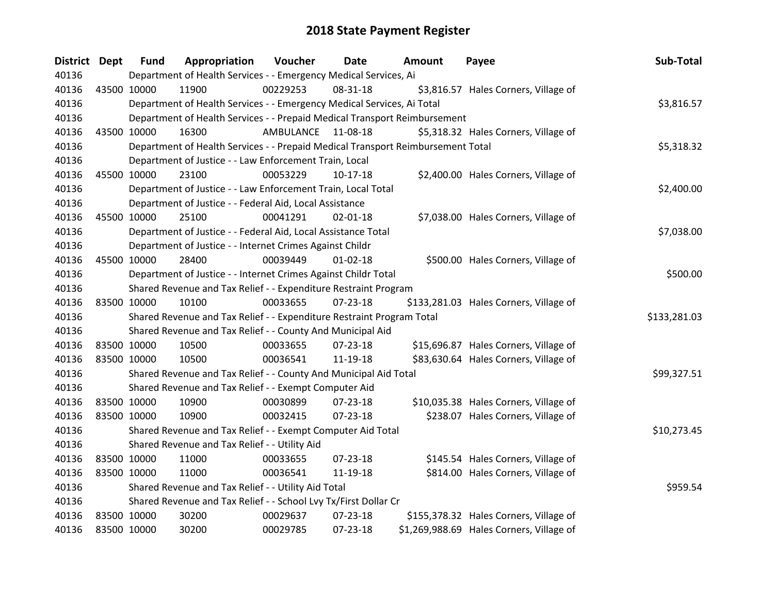| District Dept |             | <b>Fund</b> | Appropriation                                                                   | <b>Voucher</b> | <b>Date</b>    | <b>Amount</b> | Payee                                    | Sub-Total    |
|---------------|-------------|-------------|---------------------------------------------------------------------------------|----------------|----------------|---------------|------------------------------------------|--------------|
| 40136         |             |             | Department of Health Services - - Emergency Medical Services, Ai                |                |                |               |                                          |              |
| 40136         | 43500 10000 |             | 11900                                                                           | 00229253       | 08-31-18       |               | \$3,816.57 Hales Corners, Village of     |              |
| 40136         |             |             | Department of Health Services - - Emergency Medical Services, Ai Total          |                |                |               |                                          | \$3,816.57   |
| 40136         |             |             | Department of Health Services - - Prepaid Medical Transport Reimbursement       |                |                |               |                                          |              |
| 40136         |             | 43500 10000 | 16300                                                                           | AMBULANCE      | 11-08-18       |               | \$5,318.32 Hales Corners, Village of     |              |
| 40136         |             |             | Department of Health Services - - Prepaid Medical Transport Reimbursement Total |                |                |               |                                          | \$5,318.32   |
| 40136         |             |             | Department of Justice - - Law Enforcement Train, Local                          |                |                |               |                                          |              |
| 40136         | 45500 10000 |             | 23100                                                                           | 00053229       | $10-17-18$     |               | \$2,400.00 Hales Corners, Village of     |              |
| 40136         |             |             | Department of Justice - - Law Enforcement Train, Local Total                    |                |                |               |                                          | \$2,400.00   |
| 40136         |             |             | Department of Justice - - Federal Aid, Local Assistance                         |                |                |               |                                          |              |
| 40136         |             | 45500 10000 | 25100                                                                           | 00041291       | $02 - 01 - 18$ |               | \$7,038.00 Hales Corners, Village of     |              |
| 40136         |             |             | Department of Justice - - Federal Aid, Local Assistance Total                   |                |                |               |                                          | \$7,038.00   |
| 40136         |             |             | Department of Justice - - Internet Crimes Against Childr                        |                |                |               |                                          |              |
| 40136         |             | 45500 10000 | 28400                                                                           | 00039449       | $01 - 02 - 18$ |               | \$500.00 Hales Corners, Village of       |              |
| 40136         |             |             | Department of Justice - - Internet Crimes Against Childr Total                  |                |                |               |                                          | \$500.00     |
| 40136         |             |             | Shared Revenue and Tax Relief - - Expenditure Restraint Program                 |                |                |               |                                          |              |
| 40136         | 83500 10000 |             | 10100                                                                           | 00033655       | 07-23-18       |               | \$133,281.03 Hales Corners, Village of   |              |
| 40136         |             |             | Shared Revenue and Tax Relief - - Expenditure Restraint Program Total           |                |                |               |                                          | \$133,281.03 |
| 40136         |             |             | Shared Revenue and Tax Relief - - County And Municipal Aid                      |                |                |               |                                          |              |
| 40136         | 83500 10000 |             | 10500                                                                           | 00033655       | 07-23-18       |               | \$15,696.87 Hales Corners, Village of    |              |
| 40136         | 83500 10000 |             | 10500                                                                           | 00036541       | 11-19-18       |               | \$83,630.64 Hales Corners, Village of    |              |
| 40136         |             |             | Shared Revenue and Tax Relief - - County And Municipal Aid Total                |                |                |               |                                          | \$99,327.51  |
| 40136         |             |             | Shared Revenue and Tax Relief - - Exempt Computer Aid                           |                |                |               |                                          |              |
| 40136         | 83500 10000 |             | 10900                                                                           | 00030899       | 07-23-18       |               | \$10,035.38 Hales Corners, Village of    |              |
| 40136         |             | 83500 10000 | 10900                                                                           | 00032415       | 07-23-18       |               | \$238.07 Hales Corners, Village of       |              |
| 40136         |             |             | Shared Revenue and Tax Relief - - Exempt Computer Aid Total                     |                |                |               |                                          | \$10,273.45  |
| 40136         |             |             | Shared Revenue and Tax Relief - - Utility Aid                                   |                |                |               |                                          |              |
| 40136         | 83500 10000 |             | 11000                                                                           | 00033655       | $07 - 23 - 18$ |               | \$145.54 Hales Corners, Village of       |              |
| 40136         | 83500 10000 |             | 11000                                                                           | 00036541       | 11-19-18       |               | \$814.00 Hales Corners, Village of       |              |
| 40136         |             |             | Shared Revenue and Tax Relief - - Utility Aid Total                             |                |                |               |                                          | \$959.54     |
| 40136         |             |             | Shared Revenue and Tax Relief - - School Lvy Tx/First Dollar Cr                 |                |                |               |                                          |              |
| 40136         | 83500 10000 |             | 30200                                                                           | 00029637       | $07 - 23 - 18$ |               | \$155,378.32 Hales Corners, Village of   |              |
| 40136         | 83500 10000 |             | 30200                                                                           | 00029785       | 07-23-18       |               | \$1,269,988.69 Hales Corners, Village of |              |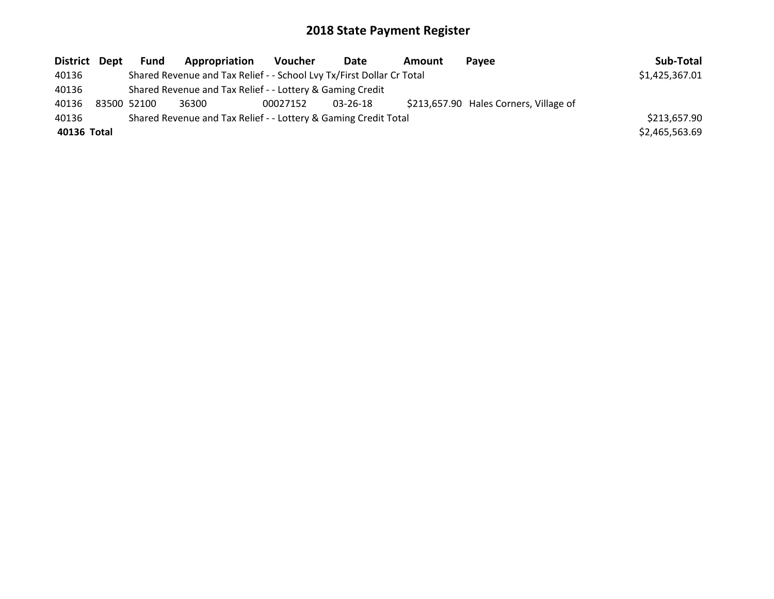| District Dept | <b>Fund</b> | Appropriation                                                         | <b>Voucher</b> | Date     | Amount | <b>Pavee</b>                           | Sub-Total      |
|---------------|-------------|-----------------------------------------------------------------------|----------------|----------|--------|----------------------------------------|----------------|
| 40136         |             | Shared Revenue and Tax Relief - - School Lvy Tx/First Dollar Cr Total |                |          |        |                                        | \$1,425,367.01 |
| 40136         |             | Shared Revenue and Tax Relief - - Lottery & Gaming Credit             |                |          |        |                                        |                |
| 40136         | 83500 52100 | 36300                                                                 | 00027152       | 03-26-18 |        | \$213,657.90 Hales Corners, Village of |                |
| 40136         |             | Shared Revenue and Tax Relief - - Lottery & Gaming Credit Total       |                |          |        |                                        | \$213,657.90   |
| 40136 Total   |             |                                                                       |                |          |        |                                        | \$2,465,563.69 |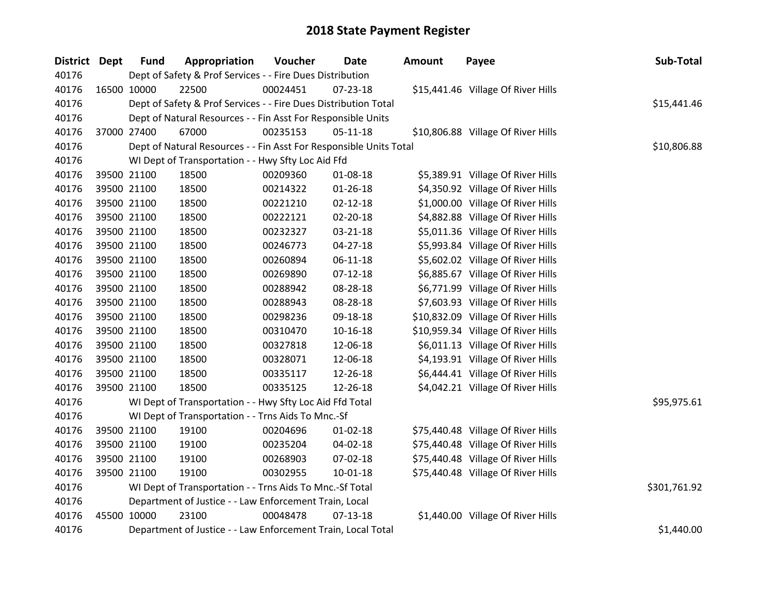| District Dept | <b>Fund</b> | Appropriation                                                      | Voucher  | Date           | <b>Amount</b> | Payee                              | Sub-Total    |
|---------------|-------------|--------------------------------------------------------------------|----------|----------------|---------------|------------------------------------|--------------|
| 40176         |             | Dept of Safety & Prof Services - - Fire Dues Distribution          |          |                |               |                                    |              |
| 40176         | 16500 10000 | 22500                                                              | 00024451 | $07 - 23 - 18$ |               | \$15,441.46 Village Of River Hills |              |
| 40176         |             | Dept of Safety & Prof Services - - Fire Dues Distribution Total    |          |                |               |                                    | \$15,441.46  |
| 40176         |             | Dept of Natural Resources - - Fin Asst For Responsible Units       |          |                |               |                                    |              |
| 40176         | 37000 27400 | 67000                                                              | 00235153 | $05 - 11 - 18$ |               | \$10,806.88 Village Of River Hills |              |
| 40176         |             | Dept of Natural Resources - - Fin Asst For Responsible Units Total |          | \$10,806.88    |               |                                    |              |
| 40176         |             | WI Dept of Transportation - - Hwy Sfty Loc Aid Ffd                 |          |                |               |                                    |              |
| 40176         | 39500 21100 | 18500                                                              | 00209360 | 01-08-18       |               | \$5,389.91 Village Of River Hills  |              |
| 40176         | 39500 21100 | 18500                                                              | 00214322 | 01-26-18       |               | \$4,350.92 Village Of River Hills  |              |
| 40176         | 39500 21100 | 18500                                                              | 00221210 | $02 - 12 - 18$ |               | \$1,000.00 Village Of River Hills  |              |
| 40176         | 39500 21100 | 18500                                                              | 00222121 | 02-20-18       |               | \$4,882.88 Village Of River Hills  |              |
| 40176         | 39500 21100 | 18500                                                              | 00232327 | 03-21-18       |               | \$5,011.36 Village Of River Hills  |              |
| 40176         | 39500 21100 | 18500                                                              | 00246773 | 04-27-18       |               | \$5,993.84 Village Of River Hills  |              |
| 40176         | 39500 21100 | 18500                                                              | 00260894 | $06-11-18$     |               | \$5,602.02 Village Of River Hills  |              |
| 40176         | 39500 21100 | 18500                                                              | 00269890 | $07 - 12 - 18$ |               | \$6,885.67 Village Of River Hills  |              |
| 40176         | 39500 21100 | 18500                                                              | 00288942 | 08-28-18       |               | \$6,771.99 Village Of River Hills  |              |
| 40176         | 39500 21100 | 18500                                                              | 00288943 | 08-28-18       |               | \$7,603.93 Village Of River Hills  |              |
| 40176         | 39500 21100 | 18500                                                              | 00298236 | 09-18-18       |               | \$10,832.09 Village Of River Hills |              |
| 40176         | 39500 21100 | 18500                                                              | 00310470 | $10 - 16 - 18$ |               | \$10,959.34 Village Of River Hills |              |
| 40176         | 39500 21100 | 18500                                                              | 00327818 | 12-06-18       |               | \$6,011.13 Village Of River Hills  |              |
| 40176         | 39500 21100 | 18500                                                              | 00328071 | 12-06-18       |               | \$4,193.91 Village Of River Hills  |              |
| 40176         | 39500 21100 | 18500                                                              | 00335117 | 12-26-18       |               | \$6,444.41 Village Of River Hills  |              |
| 40176         | 39500 21100 | 18500                                                              | 00335125 | 12-26-18       |               | \$4,042.21 Village Of River Hills  |              |
| 40176         |             | WI Dept of Transportation - - Hwy Sfty Loc Aid Ffd Total           |          |                |               |                                    | \$95,975.61  |
| 40176         |             | WI Dept of Transportation - - Trns Aids To Mnc.-Sf                 |          |                |               |                                    |              |
| 40176         | 39500 21100 | 19100                                                              | 00204696 | $01 - 02 - 18$ |               | \$75,440.48 Village Of River Hills |              |
| 40176         | 39500 21100 | 19100                                                              | 00235204 | 04-02-18       |               | \$75,440.48 Village Of River Hills |              |
| 40176         | 39500 21100 | 19100                                                              | 00268903 | 07-02-18       |               | \$75,440.48 Village Of River Hills |              |
| 40176         | 39500 21100 | 19100                                                              | 00302955 | $10 - 01 - 18$ |               | \$75,440.48 Village Of River Hills |              |
| 40176         |             | WI Dept of Transportation - - Trns Aids To Mnc.-Sf Total           |          |                |               |                                    | \$301,761.92 |
| 40176         |             | Department of Justice - - Law Enforcement Train, Local             |          |                |               |                                    |              |
| 40176         | 45500 10000 | 23100                                                              | 00048478 | $07-13-18$     |               | \$1,440.00 Village Of River Hills  |              |
| 40176         |             | Department of Justice - - Law Enforcement Train, Local Total       |          |                |               |                                    | \$1,440.00   |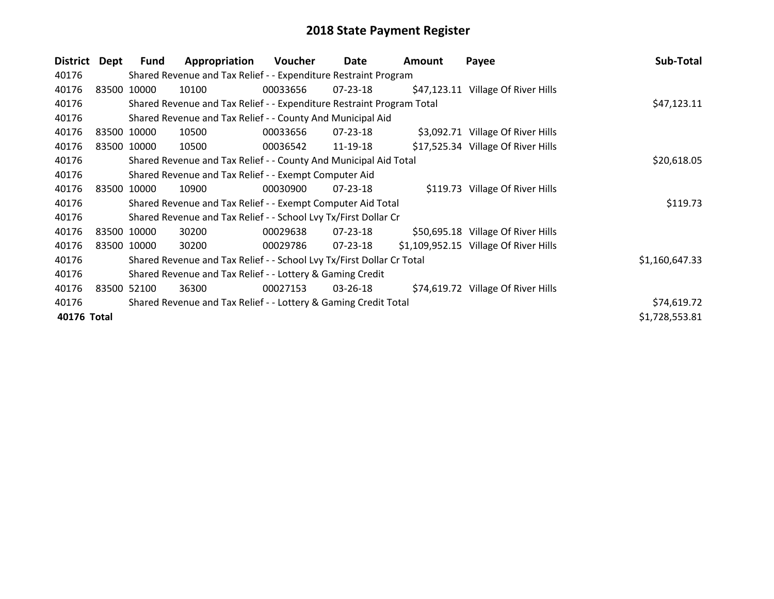| <b>District</b> | Dept        | <b>Fund</b> | Appropriation                                                         | Voucher  | Date           | Amount | Payee                                 | Sub-Total      |
|-----------------|-------------|-------------|-----------------------------------------------------------------------|----------|----------------|--------|---------------------------------------|----------------|
| 40176           |             |             | Shared Revenue and Tax Relief - - Expenditure Restraint Program       |          |                |        |                                       |                |
| 40176           |             | 83500 10000 | 10100                                                                 | 00033656 | $07 - 23 - 18$ |        | \$47,123.11 Village Of River Hills    |                |
| 40176           |             |             | Shared Revenue and Tax Relief - - Expenditure Restraint Program Total |          | \$47,123.11    |        |                                       |                |
| 40176           |             |             | Shared Revenue and Tax Relief - - County And Municipal Aid            |          |                |        |                                       |                |
| 40176           |             | 83500 10000 | 10500                                                                 | 00033656 | $07 - 23 - 18$ |        | \$3,092.71 Village Of River Hills     |                |
| 40176           | 83500 10000 |             | 10500                                                                 | 00036542 | 11-19-18       |        | \$17,525.34 Village Of River Hills    |                |
| 40176           |             |             | Shared Revenue and Tax Relief - - County And Municipal Aid Total      |          |                |        |                                       | \$20,618.05    |
| 40176           |             |             | Shared Revenue and Tax Relief - - Exempt Computer Aid                 |          |                |        |                                       |                |
| 40176           |             | 83500 10000 | 10900                                                                 | 00030900 | $07 - 23 - 18$ |        | \$119.73 Village Of River Hills       |                |
| 40176           |             |             | Shared Revenue and Tax Relief - - Exempt Computer Aid Total           |          |                |        |                                       | \$119.73       |
| 40176           |             |             | Shared Revenue and Tax Relief - - School Lvy Tx/First Dollar Cr       |          |                |        |                                       |                |
| 40176           | 83500 10000 |             | 30200                                                                 | 00029638 | $07 - 23 - 18$ |        | \$50,695.18 Village Of River Hills    |                |
| 40176           |             | 83500 10000 | 30200                                                                 | 00029786 | $07 - 23 - 18$ |        | \$1,109,952.15 Village Of River Hills |                |
| 40176           |             |             | Shared Revenue and Tax Relief - - School Lvy Tx/First Dollar Cr Total |          |                |        |                                       | \$1,160,647.33 |
| 40176           |             |             | Shared Revenue and Tax Relief - - Lottery & Gaming Credit             |          |                |        |                                       |                |
| 40176           |             | 83500 52100 | 36300                                                                 | 00027153 | 03-26-18       |        | \$74,619.72 Village Of River Hills    |                |
| 40176           |             |             | Shared Revenue and Tax Relief - - Lottery & Gaming Credit Total       |          |                |        |                                       | \$74,619.72    |
| 40176 Total     |             |             |                                                                       |          |                |        |                                       | \$1,728,553.81 |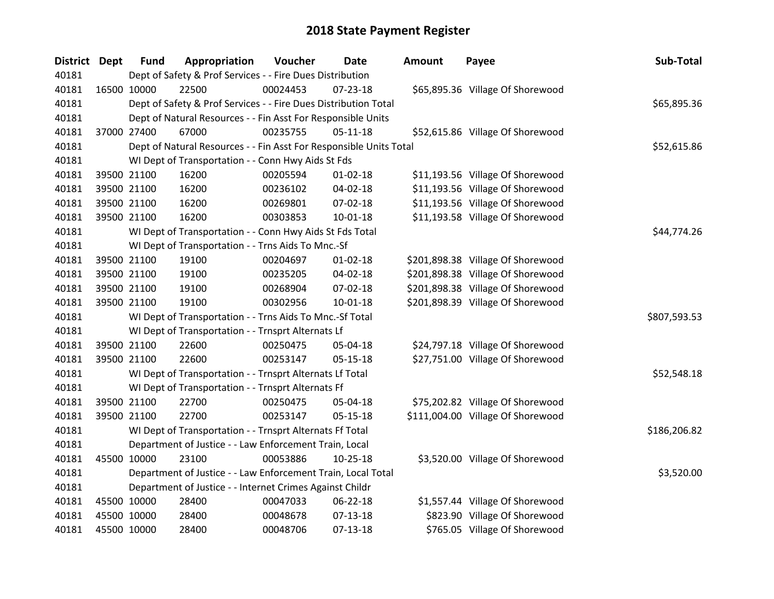| <b>District</b> | Dept | <b>Fund</b> | Appropriation                                                      | Voucher  | <b>Date</b>    | <b>Amount</b> | Payee                             | Sub-Total    |
|-----------------|------|-------------|--------------------------------------------------------------------|----------|----------------|---------------|-----------------------------------|--------------|
| 40181           |      |             | Dept of Safety & Prof Services - - Fire Dues Distribution          |          |                |               |                                   |              |
| 40181           |      | 16500 10000 | 22500                                                              | 00024453 | $07 - 23 - 18$ |               | \$65,895.36 Village Of Shorewood  |              |
| 40181           |      |             | Dept of Safety & Prof Services - - Fire Dues Distribution Total    |          |                |               |                                   | \$65,895.36  |
| 40181           |      |             | Dept of Natural Resources - - Fin Asst For Responsible Units       |          |                |               |                                   |              |
| 40181           |      | 37000 27400 | 67000                                                              | 00235755 | $05-11-18$     |               | \$52,615.86 Village Of Shorewood  |              |
| 40181           |      |             | Dept of Natural Resources - - Fin Asst For Responsible Units Total |          |                |               |                                   | \$52,615.86  |
| 40181           |      |             | WI Dept of Transportation - - Conn Hwy Aids St Fds                 |          |                |               |                                   |              |
| 40181           |      | 39500 21100 | 16200                                                              | 00205594 | $01 - 02 - 18$ |               | \$11,193.56 Village Of Shorewood  |              |
| 40181           |      | 39500 21100 | 16200                                                              | 00236102 | 04-02-18       |               | \$11,193.56 Village Of Shorewood  |              |
| 40181           |      | 39500 21100 | 16200                                                              | 00269801 | 07-02-18       |               | \$11,193.56 Village Of Shorewood  |              |
| 40181           |      | 39500 21100 | 16200                                                              | 00303853 | 10-01-18       |               | \$11,193.58 Village Of Shorewood  |              |
| 40181           |      |             | WI Dept of Transportation - - Conn Hwy Aids St Fds Total           |          |                |               |                                   | \$44,774.26  |
| 40181           |      |             | WI Dept of Transportation - - Trns Aids To Mnc.-Sf                 |          |                |               |                                   |              |
| 40181           |      | 39500 21100 | 19100                                                              | 00204697 | $01 - 02 - 18$ |               | \$201,898.38 Village Of Shorewood |              |
| 40181           |      | 39500 21100 | 19100                                                              | 00235205 | 04-02-18       |               | \$201,898.38 Village Of Shorewood |              |
| 40181           |      | 39500 21100 | 19100                                                              | 00268904 | 07-02-18       |               | \$201,898.38 Village Of Shorewood |              |
| 40181           |      | 39500 21100 | 19100                                                              | 00302956 | 10-01-18       |               | \$201,898.39 Village Of Shorewood |              |
| 40181           |      |             | WI Dept of Transportation - - Trns Aids To Mnc.-Sf Total           |          |                |               |                                   | \$807,593.53 |
| 40181           |      |             | WI Dept of Transportation - - Trnsprt Alternats Lf                 |          |                |               |                                   |              |
| 40181           |      | 39500 21100 | 22600                                                              | 00250475 | 05-04-18       |               | \$24,797.18 Village Of Shorewood  |              |
| 40181           |      | 39500 21100 | 22600                                                              | 00253147 | $05-15-18$     |               | \$27,751.00 Village Of Shorewood  |              |
| 40181           |      |             | WI Dept of Transportation - - Trnsprt Alternats Lf Total           |          |                |               |                                   | \$52,548.18  |
| 40181           |      |             | WI Dept of Transportation - - Trnsprt Alternats Ff                 |          |                |               |                                   |              |
| 40181           |      | 39500 21100 | 22700                                                              | 00250475 | 05-04-18       |               | \$75,202.82 Village Of Shorewood  |              |
| 40181           |      | 39500 21100 | 22700                                                              | 00253147 | $05-15-18$     |               | \$111,004.00 Village Of Shorewood |              |
| 40181           |      |             | WI Dept of Transportation - - Trnsprt Alternats Ff Total           |          |                |               |                                   | \$186,206.82 |
| 40181           |      |             | Department of Justice - - Law Enforcement Train, Local             |          |                |               |                                   |              |
| 40181           |      | 45500 10000 | 23100                                                              | 00053886 | $10 - 25 - 18$ |               | \$3,520.00 Village Of Shorewood   |              |
| 40181           |      |             | Department of Justice - - Law Enforcement Train, Local Total       |          |                |               |                                   | \$3,520.00   |
| 40181           |      |             | Department of Justice - - Internet Crimes Against Childr           |          |                |               |                                   |              |
| 40181           |      | 45500 10000 | 28400                                                              | 00047033 | 06-22-18       |               | \$1,557.44 Village Of Shorewood   |              |
| 40181           |      | 45500 10000 | 28400                                                              | 00048678 | $07 - 13 - 18$ |               | \$823.90 Village Of Shorewood     |              |
| 40181           |      | 45500 10000 | 28400                                                              | 00048706 | 07-13-18       |               | \$765.05 Village Of Shorewood     |              |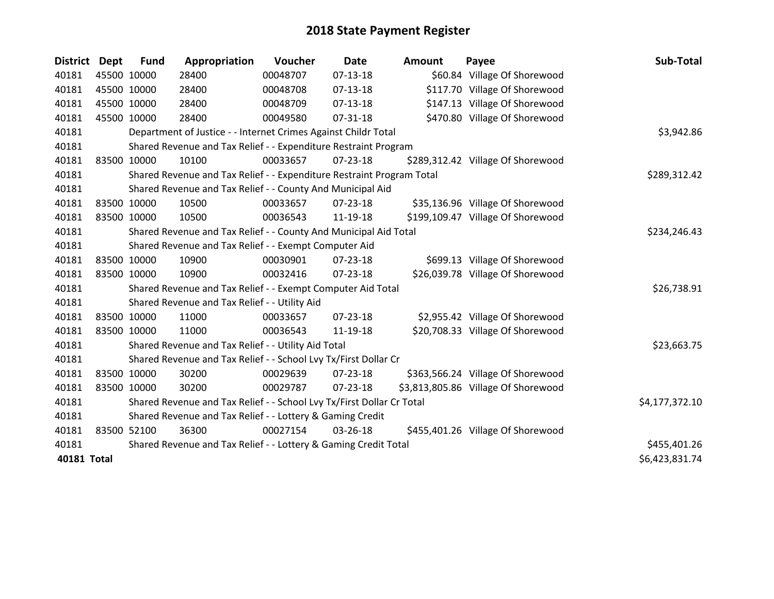| District Dept      | <b>Fund</b> | Appropriation                                                         | Voucher  | <b>Date</b>    | Amount | Payee                               | Sub-Total      |
|--------------------|-------------|-----------------------------------------------------------------------|----------|----------------|--------|-------------------------------------|----------------|
| 40181              | 45500 10000 | 28400                                                                 | 00048707 | $07-13-18$     |        | \$60.84 Village Of Shorewood        |                |
| 40181              | 45500 10000 | 28400                                                                 | 00048708 | $07-13-18$     |        | \$117.70 Village Of Shorewood       |                |
| 40181              | 45500 10000 | 28400                                                                 | 00048709 | $07-13-18$     |        | \$147.13 Village Of Shorewood       |                |
| 40181              | 45500 10000 | 28400                                                                 | 00049580 | $07 - 31 - 18$ |        | \$470.80 Village Of Shorewood       |                |
| 40181              |             | Department of Justice - - Internet Crimes Against Childr Total        |          |                |        |                                     | \$3,942.86     |
| 40181              |             | Shared Revenue and Tax Relief - - Expenditure Restraint Program       |          |                |        |                                     |                |
| 40181              | 83500 10000 | 10100                                                                 | 00033657 | 07-23-18       |        | \$289,312.42 Village Of Shorewood   |                |
| 40181              |             | Shared Revenue and Tax Relief - - Expenditure Restraint Program Total |          | \$289,312.42   |        |                                     |                |
| 40181              |             | Shared Revenue and Tax Relief - - County And Municipal Aid            |          |                |        |                                     |                |
| 40181              | 83500 10000 | 10500                                                                 | 00033657 | $07 - 23 - 18$ |        | \$35,136.96 Village Of Shorewood    |                |
| 40181              | 83500 10000 | 10500                                                                 | 00036543 | 11-19-18       |        | \$199,109.47 Village Of Shorewood   |                |
| 40181              |             | Shared Revenue and Tax Relief - - County And Municipal Aid Total      |          |                |        |                                     | \$234,246.43   |
| 40181              |             | Shared Revenue and Tax Relief - - Exempt Computer Aid                 |          |                |        |                                     |                |
| 40181              | 83500 10000 | 10900                                                                 | 00030901 | 07-23-18       |        | \$699.13 Village Of Shorewood       |                |
| 40181              | 83500 10000 | 10900                                                                 | 00032416 | 07-23-18       |        | \$26,039.78 Village Of Shorewood    |                |
| 40181              |             | Shared Revenue and Tax Relief - - Exempt Computer Aid Total           |          |                |        |                                     | \$26,738.91    |
| 40181              |             | Shared Revenue and Tax Relief - - Utility Aid                         |          |                |        |                                     |                |
| 40181              | 83500 10000 | 11000                                                                 | 00033657 | $07 - 23 - 18$ |        | \$2,955.42 Village Of Shorewood     |                |
| 40181              | 83500 10000 | 11000                                                                 | 00036543 | 11-19-18       |        | \$20,708.33 Village Of Shorewood    |                |
| 40181              |             | Shared Revenue and Tax Relief - - Utility Aid Total                   |          |                |        |                                     | \$23,663.75    |
| 40181              |             | Shared Revenue and Tax Relief - - School Lvy Tx/First Dollar Cr       |          |                |        |                                     |                |
| 40181              | 83500 10000 | 30200                                                                 | 00029639 | 07-23-18       |        | \$363,566.24 Village Of Shorewood   |                |
| 40181              | 83500 10000 | 30200                                                                 | 00029787 | $07 - 23 - 18$ |        | \$3,813,805.86 Village Of Shorewood |                |
| 40181              |             | Shared Revenue and Tax Relief - - School Lvy Tx/First Dollar Cr Total |          |                |        |                                     | \$4,177,372.10 |
| 40181              |             | Shared Revenue and Tax Relief - - Lottery & Gaming Credit             |          |                |        |                                     |                |
| 40181              | 83500 52100 | 36300                                                                 | 00027154 | 03-26-18       |        | \$455,401.26 Village Of Shorewood   |                |
| 40181              |             | Shared Revenue and Tax Relief - - Lottery & Gaming Credit Total       |          |                |        |                                     | \$455,401.26   |
| <b>40181 Total</b> |             |                                                                       |          |                |        |                                     | \$6,423,831.74 |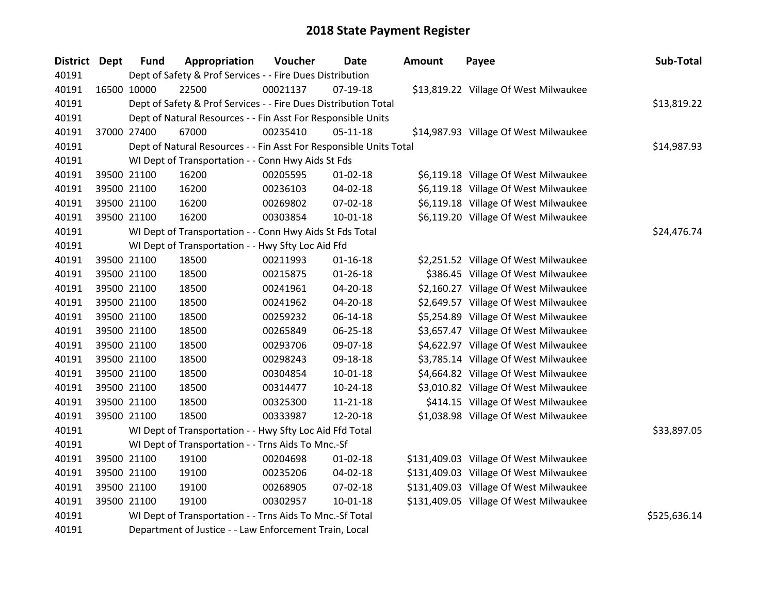| District Dept | <b>Fund</b>                                              | Appropriation                                                      | Voucher  | <b>Date</b>    | <b>Amount</b> | Payee                                  | Sub-Total   |
|---------------|----------------------------------------------------------|--------------------------------------------------------------------|----------|----------------|---------------|----------------------------------------|-------------|
| 40191         |                                                          | Dept of Safety & Prof Services - - Fire Dues Distribution          |          |                |               |                                        |             |
| 40191         | 16500 10000                                              | 22500                                                              | 00021137 | 07-19-18       |               | \$13,819.22 Village Of West Milwaukee  |             |
| 40191         |                                                          | Dept of Safety & Prof Services - - Fire Dues Distribution Total    |          |                |               |                                        | \$13,819.22 |
| 40191         |                                                          | Dept of Natural Resources - - Fin Asst For Responsible Units       |          |                |               |                                        |             |
| 40191         | 37000 27400                                              | 67000                                                              | 00235410 | $05-11-18$     |               | \$14,987.93 Village Of West Milwaukee  |             |
| 40191         |                                                          | Dept of Natural Resources - - Fin Asst For Responsible Units Total |          |                |               |                                        | \$14,987.93 |
| 40191         |                                                          | WI Dept of Transportation - - Conn Hwy Aids St Fds                 |          |                |               |                                        |             |
| 40191         | 39500 21100                                              | 16200                                                              | 00205595 | $01 - 02 - 18$ |               | \$6,119.18 Village Of West Milwaukee   |             |
| 40191         | 39500 21100                                              | 16200                                                              | 00236103 | 04-02-18       |               | \$6,119.18 Village Of West Milwaukee   |             |
| 40191         | 39500 21100                                              | 16200                                                              | 00269802 | 07-02-18       |               | \$6,119.18 Village Of West Milwaukee   |             |
| 40191         | 39500 21100                                              | 16200                                                              | 00303854 | $10 - 01 - 18$ |               | \$6,119.20 Village Of West Milwaukee   |             |
| 40191         |                                                          | WI Dept of Transportation - - Conn Hwy Aids St Fds Total           |          |                |               |                                        | \$24,476.74 |
| 40191         |                                                          | WI Dept of Transportation - - Hwy Sfty Loc Aid Ffd                 |          |                |               |                                        |             |
| 40191         | 39500 21100                                              | 18500                                                              | 00211993 | $01 - 16 - 18$ |               | \$2,251.52 Village Of West Milwaukee   |             |
| 40191         | 39500 21100                                              | 18500                                                              | 00215875 | $01 - 26 - 18$ |               | \$386.45 Village Of West Milwaukee     |             |
| 40191         | 39500 21100                                              | 18500                                                              | 00241961 | 04-20-18       |               | \$2,160.27 Village Of West Milwaukee   |             |
| 40191         | 39500 21100                                              | 18500                                                              | 00241962 | $04 - 20 - 18$ |               | \$2,649.57 Village Of West Milwaukee   |             |
| 40191         | 39500 21100                                              | 18500                                                              | 00259232 | 06-14-18       |               | \$5,254.89 Village Of West Milwaukee   |             |
| 40191         | 39500 21100                                              | 18500                                                              | 00265849 | 06-25-18       |               | \$3,657.47 Village Of West Milwaukee   |             |
| 40191         | 39500 21100                                              | 18500                                                              | 00293706 | 09-07-18       |               | \$4,622.97 Village Of West Milwaukee   |             |
| 40191         | 39500 21100                                              | 18500                                                              | 00298243 | 09-18-18       |               | \$3,785.14 Village Of West Milwaukee   |             |
| 40191         | 39500 21100                                              | 18500                                                              | 00304854 | $10 - 01 - 18$ |               | \$4,664.82 Village Of West Milwaukee   |             |
| 40191         | 39500 21100                                              | 18500                                                              | 00314477 | $10-24-18$     |               | \$3,010.82 Village Of West Milwaukee   |             |
| 40191         | 39500 21100                                              | 18500                                                              | 00325300 | $11 - 21 - 18$ |               | \$414.15 Village Of West Milwaukee     |             |
| 40191         | 39500 21100                                              | 18500                                                              | 00333987 | 12-20-18       |               | \$1,038.98 Village Of West Milwaukee   |             |
| 40191         |                                                          | WI Dept of Transportation - - Hwy Sfty Loc Aid Ffd Total           |          |                |               |                                        | \$33,897.05 |
| 40191         |                                                          | WI Dept of Transportation - - Trns Aids To Mnc.-Sf                 |          |                |               |                                        |             |
| 40191         | 39500 21100                                              | 19100                                                              | 00204698 | $01 - 02 - 18$ |               | \$131,409.03 Village Of West Milwaukee |             |
| 40191         | 39500 21100                                              | 19100                                                              | 00235206 | 04-02-18       |               | \$131,409.03 Village Of West Milwaukee |             |
| 40191         | 39500 21100                                              | 19100                                                              | 00268905 | 07-02-18       |               | \$131,409.03 Village Of West Milwaukee |             |
| 40191         | 39500 21100                                              | 19100                                                              | 00302957 | 10-01-18       |               | \$131,409.05 Village Of West Milwaukee |             |
| 40191         | WI Dept of Transportation - - Trns Aids To Mnc.-Sf Total | \$525,636.14                                                       |          |                |               |                                        |             |
| 40191         |                                                          | Department of Justice - - Law Enforcement Train, Local             |          |                |               |                                        |             |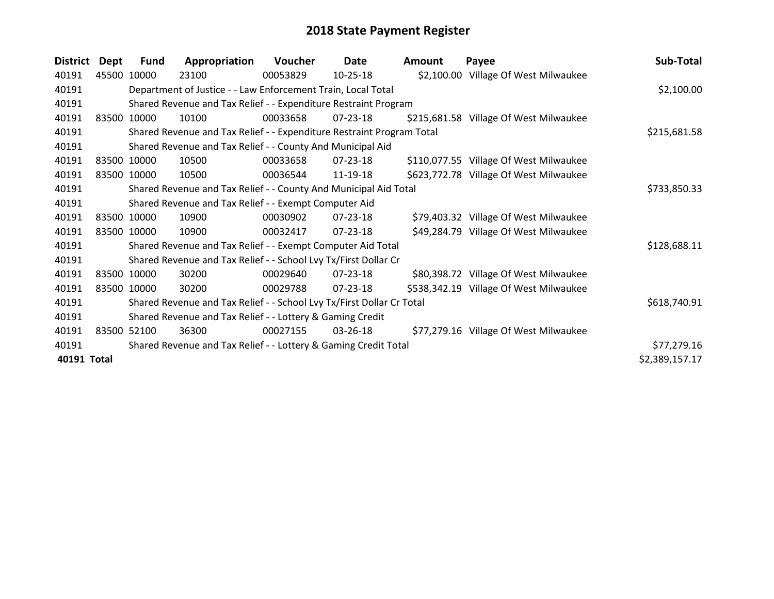| <b>District</b> | Dept | <b>Fund</b> | Appropriation                                                         | <b>Voucher</b> | Date           | Amount | Payee                                  | Sub-Total      |
|-----------------|------|-------------|-----------------------------------------------------------------------|----------------|----------------|--------|----------------------------------------|----------------|
| 40191           |      | 45500 10000 | 23100                                                                 | 00053829       | $10 - 25 - 18$ |        | \$2,100.00 Village Of West Milwaukee   |                |
| 40191           |      |             | Department of Justice - - Law Enforcement Train, Local Total          |                |                |        |                                        | \$2,100.00     |
| 40191           |      |             | Shared Revenue and Tax Relief - - Expenditure Restraint Program       |                |                |        |                                        |                |
| 40191           |      | 83500 10000 | 10100                                                                 | 00033658       | $07 - 23 - 18$ |        | \$215,681.58 Village Of West Milwaukee |                |
| 40191           |      |             | Shared Revenue and Tax Relief - - Expenditure Restraint Program Total |                |                |        |                                        | \$215,681.58   |
| 40191           |      |             | Shared Revenue and Tax Relief - - County And Municipal Aid            |                |                |        |                                        |                |
| 40191           |      | 83500 10000 | 10500                                                                 | 00033658       | 07-23-18       |        | \$110,077.55 Village Of West Milwaukee |                |
| 40191           |      | 83500 10000 | 10500                                                                 | 00036544       | 11-19-18       |        | \$623,772.78 Village Of West Milwaukee |                |
| 40191           |      |             | Shared Revenue and Tax Relief - - County And Municipal Aid Total      |                |                |        |                                        | \$733,850.33   |
| 40191           |      |             | Shared Revenue and Tax Relief - - Exempt Computer Aid                 |                |                |        |                                        |                |
| 40191           |      | 83500 10000 | 10900                                                                 | 00030902       | $07 - 23 - 18$ |        | \$79,403.32 Village Of West Milwaukee  |                |
| 40191           |      | 83500 10000 | 10900                                                                 | 00032417       | 07-23-18       |        | \$49,284.79 Village Of West Milwaukee  |                |
| 40191           |      |             | Shared Revenue and Tax Relief - - Exempt Computer Aid Total           |                |                |        |                                        | \$128,688.11   |
| 40191           |      |             | Shared Revenue and Tax Relief - - School Lvy Tx/First Dollar Cr       |                |                |        |                                        |                |
| 40191           |      | 83500 10000 | 30200                                                                 | 00029640       | $07 - 23 - 18$ |        | \$80,398.72 Village Of West Milwaukee  |                |
| 40191           |      | 83500 10000 | 30200                                                                 | 00029788       | 07-23-18       |        | \$538,342.19 Village Of West Milwaukee |                |
| 40191           |      |             | Shared Revenue and Tax Relief - - School Lvy Tx/First Dollar Cr Total |                |                |        |                                        | \$618,740.91   |
| 40191           |      |             | Shared Revenue and Tax Relief - - Lottery & Gaming Credit             |                |                |        |                                        |                |
| 40191           |      | 83500 52100 | 36300                                                                 | 00027155       | $03 - 26 - 18$ |        | \$77,279.16 Village Of West Milwaukee  |                |
| 40191           |      |             | Shared Revenue and Tax Relief - - Lottery & Gaming Credit Total       |                |                |        |                                        | \$77,279.16    |
| 40191 Total     |      |             |                                                                       |                |                |        |                                        | \$2,389,157.17 |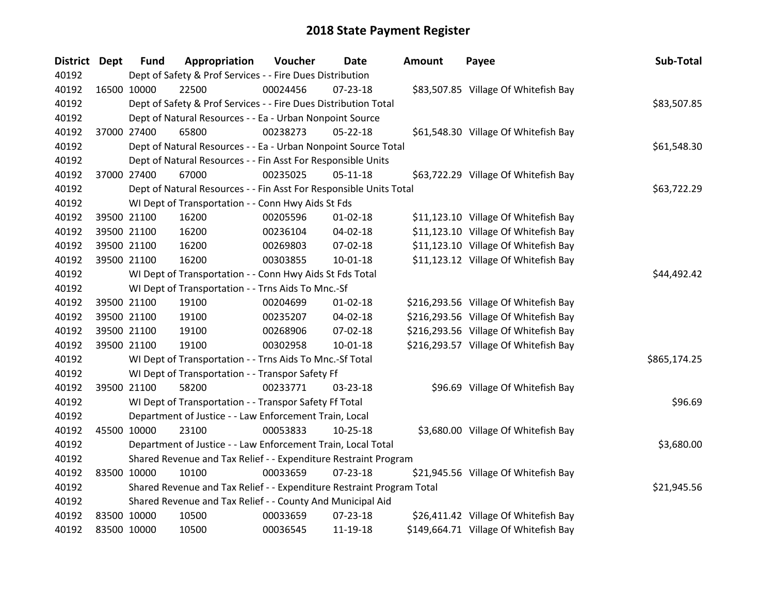| <b>District Dept</b> |             | <b>Fund</b>                                                           | Appropriation                                                | Voucher  | Date           | <b>Amount</b> | Payee                                 | Sub-Total |  |
|----------------------|-------------|-----------------------------------------------------------------------|--------------------------------------------------------------|----------|----------------|---------------|---------------------------------------|-----------|--|
| 40192                |             | Dept of Safety & Prof Services - - Fire Dues Distribution             |                                                              |          |                |               |                                       |           |  |
| 40192                |             | 16500 10000                                                           | 22500                                                        | 00024456 | 07-23-18       |               | \$83,507.85 Village Of Whitefish Bay  |           |  |
| 40192                |             | Dept of Safety & Prof Services - - Fire Dues Distribution Total       | \$83,507.85                                                  |          |                |               |                                       |           |  |
| 40192                |             | Dept of Natural Resources - - Ea - Urban Nonpoint Source              |                                                              |          |                |               |                                       |           |  |
| 40192                |             | 37000 27400                                                           | 65800                                                        | 00238273 | $05 - 22 - 18$ |               | \$61,548.30 Village Of Whitefish Bay  |           |  |
| 40192                |             | Dept of Natural Resources - - Ea - Urban Nonpoint Source Total        | \$61,548.30                                                  |          |                |               |                                       |           |  |
| 40192                |             | Dept of Natural Resources - - Fin Asst For Responsible Units          |                                                              |          |                |               |                                       |           |  |
| 40192                |             | 37000 27400                                                           | 67000                                                        | 00235025 | $05 - 11 - 18$ |               | \$63,722.29 Village Of Whitefish Bay  |           |  |
| 40192                |             | Dept of Natural Resources - - Fin Asst For Responsible Units Total    | \$63,722.29                                                  |          |                |               |                                       |           |  |
| 40192                |             |                                                                       | WI Dept of Transportation - - Conn Hwy Aids St Fds           |          |                |               |                                       |           |  |
| 40192                |             | 39500 21100                                                           | 16200                                                        | 00205596 | $01 - 02 - 18$ |               | \$11,123.10 Village Of Whitefish Bay  |           |  |
| 40192                |             | 39500 21100                                                           | 16200                                                        | 00236104 | 04-02-18       |               | \$11,123.10 Village Of Whitefish Bay  |           |  |
| 40192                |             | 39500 21100                                                           | 16200                                                        | 00269803 | 07-02-18       |               | \$11,123.10 Village Of Whitefish Bay  |           |  |
| 40192                |             | 39500 21100                                                           | 16200                                                        | 00303855 | $10 - 01 - 18$ |               | \$11,123.12 Village Of Whitefish Bay  |           |  |
| 40192                |             | WI Dept of Transportation - - Conn Hwy Aids St Fds Total              | \$44,492.42                                                  |          |                |               |                                       |           |  |
| 40192                |             | WI Dept of Transportation - - Trns Aids To Mnc.-Sf                    |                                                              |          |                |               |                                       |           |  |
| 40192                |             | 39500 21100                                                           | 19100                                                        | 00204699 | $01 - 02 - 18$ |               | \$216,293.56 Village Of Whitefish Bay |           |  |
| 40192                |             | 39500 21100                                                           | 19100                                                        | 00235207 | 04-02-18       |               | \$216,293.56 Village Of Whitefish Bay |           |  |
| 40192                |             | 39500 21100                                                           | 19100                                                        | 00268906 | 07-02-18       |               | \$216,293.56 Village Of Whitefish Bay |           |  |
| 40192                |             | 39500 21100                                                           | 19100                                                        | 00302958 | $10-01-18$     |               | \$216,293.57 Village Of Whitefish Bay |           |  |
| 40192                |             | WI Dept of Transportation - - Trns Aids To Mnc.-Sf Total              | \$865,174.25                                                 |          |                |               |                                       |           |  |
| 40192                |             | WI Dept of Transportation - - Transpor Safety Ff                      |                                                              |          |                |               |                                       |           |  |
| 40192                |             | 39500 21100                                                           | 58200                                                        | 00233771 | 03-23-18       |               | \$96.69 Village Of Whitefish Bay      |           |  |
| 40192                |             | WI Dept of Transportation - - Transpor Safety Ff Total                | \$96.69                                                      |          |                |               |                                       |           |  |
| 40192                |             | Department of Justice - - Law Enforcement Train, Local                |                                                              |          |                |               |                                       |           |  |
| 40192                |             | 45500 10000                                                           | 23100                                                        | 00053833 | $10 - 25 - 18$ |               | \$3,680.00 Village Of Whitefish Bay   |           |  |
| 40192                |             |                                                                       | Department of Justice - - Law Enforcement Train, Local Total |          |                |               |                                       |           |  |
| 40192                |             | Shared Revenue and Tax Relief - - Expenditure Restraint Program       |                                                              |          |                |               |                                       |           |  |
| 40192                |             | 83500 10000                                                           | 10100                                                        | 00033659 | 07-23-18       |               | \$21,945.56 Village Of Whitefish Bay  |           |  |
| 40192                |             | Shared Revenue and Tax Relief - - Expenditure Restraint Program Total | \$21,945.56                                                  |          |                |               |                                       |           |  |
| 40192                |             | Shared Revenue and Tax Relief - - County And Municipal Aid            |                                                              |          |                |               |                                       |           |  |
| 40192                |             | 83500 10000                                                           | 10500                                                        | 00033659 | $07 - 23 - 18$ |               | \$26,411.42 Village Of Whitefish Bay  |           |  |
| 40192                | 83500 10000 |                                                                       | 10500                                                        | 00036545 | 11-19-18       |               | \$149,664.71 Village Of Whitefish Bay |           |  |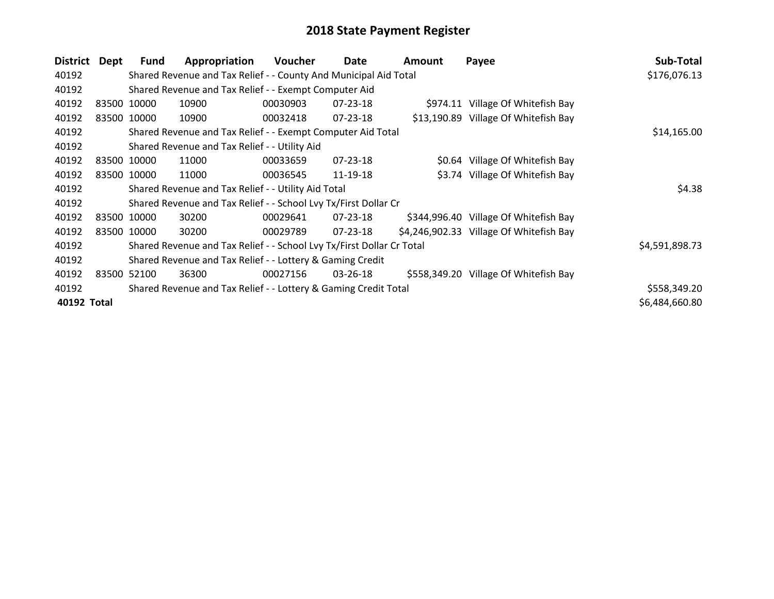| District    | Dept | Fund                                                                  | Appropriation                                                   | Voucher  | Date           | Amount | Payee                                   | Sub-Total      |  |  |
|-------------|------|-----------------------------------------------------------------------|-----------------------------------------------------------------|----------|----------------|--------|-----------------------------------------|----------------|--|--|
| 40192       |      | Shared Revenue and Tax Relief - - County And Municipal Aid Total      | \$176,076.13                                                    |          |                |        |                                         |                |  |  |
| 40192       |      | Shared Revenue and Tax Relief - - Exempt Computer Aid                 |                                                                 |          |                |        |                                         |                |  |  |
| 40192       |      | 83500 10000                                                           | 10900                                                           | 00030903 | $07 - 23 - 18$ |        | \$974.11 Village Of Whitefish Bay       |                |  |  |
| 40192       |      | 83500 10000                                                           | 10900                                                           | 00032418 | 07-23-18       |        | \$13,190.89 Village Of Whitefish Bay    |                |  |  |
| 40192       |      |                                                                       | Shared Revenue and Tax Relief - - Exempt Computer Aid Total     |          |                |        |                                         |                |  |  |
| 40192       |      | Shared Revenue and Tax Relief - - Utility Aid                         |                                                                 |          |                |        |                                         |                |  |  |
| 40192       |      | 83500 10000                                                           | 11000                                                           | 00033659 | $07 - 23 - 18$ |        | \$0.64 Village Of Whitefish Bay         |                |  |  |
| 40192       |      | 83500 10000                                                           | 11000                                                           | 00036545 | 11-19-18       |        | \$3.74 Village Of Whitefish Bay         |                |  |  |
| 40192       |      | Shared Revenue and Tax Relief - - Utility Aid Total                   | \$4.38                                                          |          |                |        |                                         |                |  |  |
| 40192       |      | Shared Revenue and Tax Relief - - School Lvy Tx/First Dollar Cr       |                                                                 |          |                |        |                                         |                |  |  |
| 40192       |      | 83500 10000                                                           | 30200                                                           | 00029641 | 07-23-18       |        | \$344,996.40 Village Of Whitefish Bay   |                |  |  |
| 40192       |      | 83500 10000                                                           | 30200                                                           | 00029789 | $07 - 23 - 18$ |        | \$4,246,902.33 Village Of Whitefish Bay |                |  |  |
| 40192       |      | Shared Revenue and Tax Relief - - School Lvy Tx/First Dollar Cr Total | \$4,591,898.73                                                  |          |                |        |                                         |                |  |  |
| 40192       |      | Shared Revenue and Tax Relief - - Lottery & Gaming Credit             |                                                                 |          |                |        |                                         |                |  |  |
| 40192       |      | 83500 52100                                                           | 36300                                                           | 00027156 | 03-26-18       |        | \$558,349.20 Village Of Whitefish Bay   |                |  |  |
| 40192       |      |                                                                       | Shared Revenue and Tax Relief - - Lottery & Gaming Credit Total |          |                |        |                                         | \$558,349.20   |  |  |
| 40192 Total |      |                                                                       |                                                                 |          |                |        |                                         | \$6,484,660.80 |  |  |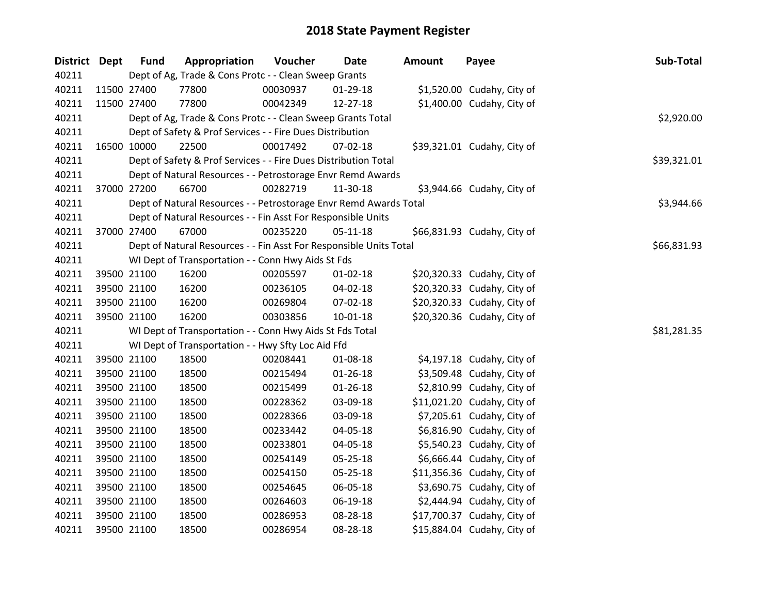| District Dept | <b>Fund</b> | Appropriation                                                      | Voucher  | <b>Date</b>    | <b>Amount</b> | Payee                       | Sub-Total   |
|---------------|-------------|--------------------------------------------------------------------|----------|----------------|---------------|-----------------------------|-------------|
| 40211         |             | Dept of Ag, Trade & Cons Protc - - Clean Sweep Grants              |          |                |               |                             |             |
| 40211         | 11500 27400 | 77800                                                              | 00030937 | 01-29-18       |               | \$1,520.00 Cudahy, City of  |             |
| 40211         | 11500 27400 | 77800                                                              | 00042349 | 12-27-18       |               | \$1,400.00 Cudahy, City of  |             |
| 40211         |             | Dept of Ag, Trade & Cons Protc - - Clean Sweep Grants Total        |          |                |               |                             | \$2,920.00  |
| 40211         |             | Dept of Safety & Prof Services - - Fire Dues Distribution          |          |                |               |                             |             |
| 40211         | 16500 10000 | 22500                                                              | 00017492 | $07 - 02 - 18$ |               | \$39,321.01 Cudahy, City of |             |
| 40211         |             | Dept of Safety & Prof Services - - Fire Dues Distribution Total    |          |                |               |                             | \$39,321.01 |
| 40211         |             | Dept of Natural Resources - - Petrostorage Envr Remd Awards        |          |                |               |                             |             |
| 40211         | 37000 27200 | 66700                                                              | 00282719 | 11-30-18       |               | \$3,944.66 Cudahy, City of  |             |
| 40211         |             | Dept of Natural Resources - - Petrostorage Envr Remd Awards Total  |          |                |               |                             | \$3,944.66  |
| 40211         |             | Dept of Natural Resources - - Fin Asst For Responsible Units       |          |                |               |                             |             |
| 40211         | 37000 27400 | 67000                                                              | 00235220 | $05 - 11 - 18$ |               | \$66,831.93 Cudahy, City of |             |
| 40211         |             | Dept of Natural Resources - - Fin Asst For Responsible Units Total |          |                |               |                             | \$66,831.93 |
| 40211         |             | WI Dept of Transportation - - Conn Hwy Aids St Fds                 |          |                |               |                             |             |
| 40211         | 39500 21100 | 16200                                                              | 00205597 | 01-02-18       |               | \$20,320.33 Cudahy, City of |             |
| 40211         | 39500 21100 | 16200                                                              | 00236105 | 04-02-18       |               | \$20,320.33 Cudahy, City of |             |
| 40211         | 39500 21100 | 16200                                                              | 00269804 | 07-02-18       |               | \$20,320.33 Cudahy, City of |             |
| 40211         | 39500 21100 | 16200                                                              | 00303856 | $10-01-18$     |               | \$20,320.36 Cudahy, City of |             |
| 40211         |             | WI Dept of Transportation - - Conn Hwy Aids St Fds Total           |          |                |               |                             | \$81,281.35 |
| 40211         |             | WI Dept of Transportation - - Hwy Sfty Loc Aid Ffd                 |          |                |               |                             |             |
| 40211         | 39500 21100 | 18500                                                              | 00208441 | 01-08-18       |               | \$4,197.18 Cudahy, City of  |             |
| 40211         | 39500 21100 | 18500                                                              | 00215494 | $01 - 26 - 18$ |               | \$3,509.48 Cudahy, City of  |             |
| 40211         | 39500 21100 | 18500                                                              | 00215499 | $01 - 26 - 18$ |               | \$2,810.99 Cudahy, City of  |             |
| 40211         | 39500 21100 | 18500                                                              | 00228362 | 03-09-18       |               | \$11,021.20 Cudahy, City of |             |
| 40211         | 39500 21100 | 18500                                                              | 00228366 | 03-09-18       |               | \$7,205.61 Cudahy, City of  |             |
| 40211         | 39500 21100 | 18500                                                              | 00233442 | 04-05-18       |               | \$6,816.90 Cudahy, City of  |             |
| 40211         | 39500 21100 | 18500                                                              | 00233801 | 04-05-18       |               | \$5,540.23 Cudahy, City of  |             |
| 40211         | 39500 21100 | 18500                                                              | 00254149 | 05-25-18       |               | \$6,666.44 Cudahy, City of  |             |
| 40211         | 39500 21100 | 18500                                                              | 00254150 | 05-25-18       |               | \$11,356.36 Cudahy, City of |             |
| 40211         | 39500 21100 | 18500                                                              | 00254645 | 06-05-18       |               | \$3,690.75 Cudahy, City of  |             |
| 40211         | 39500 21100 | 18500                                                              | 00264603 | 06-19-18       |               | \$2,444.94 Cudahy, City of  |             |
| 40211         | 39500 21100 | 18500                                                              | 00286953 | 08-28-18       |               | \$17,700.37 Cudahy, City of |             |
| 40211         | 39500 21100 | 18500                                                              | 00286954 | 08-28-18       |               | \$15,884.04 Cudahy, City of |             |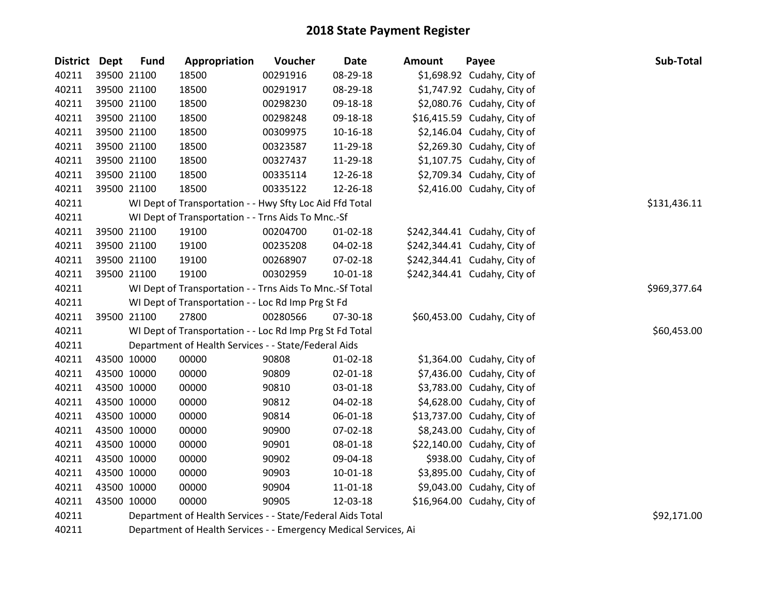| District Dept | <b>Fund</b> | Appropriation                                              | Voucher  | <b>Date</b>    | <b>Amount</b> | Payee                        | Sub-Total    |
|---------------|-------------|------------------------------------------------------------|----------|----------------|---------------|------------------------------|--------------|
| 40211         | 39500 21100 | 18500                                                      | 00291916 | 08-29-18       |               | \$1,698.92 Cudahy, City of   |              |
| 40211         | 39500 21100 | 18500                                                      | 00291917 | 08-29-18       |               | \$1,747.92 Cudahy, City of   |              |
| 40211         | 39500 21100 | 18500                                                      | 00298230 | 09-18-18       |               | \$2,080.76 Cudahy, City of   |              |
| 40211         | 39500 21100 | 18500                                                      | 00298248 | 09-18-18       |               | \$16,415.59 Cudahy, City of  |              |
| 40211         | 39500 21100 | 18500                                                      | 00309975 | $10 - 16 - 18$ |               | \$2,146.04 Cudahy, City of   |              |
| 40211         | 39500 21100 | 18500                                                      | 00323587 | 11-29-18       |               | \$2,269.30 Cudahy, City of   |              |
| 40211         | 39500 21100 | 18500                                                      | 00327437 | 11-29-18       |               | \$1,107.75 Cudahy, City of   |              |
| 40211         | 39500 21100 | 18500                                                      | 00335114 | 12-26-18       |               | \$2,709.34 Cudahy, City of   |              |
| 40211         | 39500 21100 | 18500                                                      | 00335122 | 12-26-18       |               | \$2,416.00 Cudahy, City of   |              |
| 40211         |             | WI Dept of Transportation - - Hwy Sfty Loc Aid Ffd Total   |          |                |               |                              | \$131,436.11 |
| 40211         |             | WI Dept of Transportation - - Trns Aids To Mnc.-Sf         |          |                |               |                              |              |
| 40211         | 39500 21100 | 19100                                                      | 00204700 | $01 - 02 - 18$ |               | \$242,344.41 Cudahy, City of |              |
| 40211         | 39500 21100 | 19100                                                      | 00235208 | 04-02-18       |               | \$242,344.41 Cudahy, City of |              |
| 40211         | 39500 21100 | 19100                                                      | 00268907 | 07-02-18       |               | \$242,344.41 Cudahy, City of |              |
| 40211         | 39500 21100 | 19100                                                      | 00302959 | $10-01-18$     |               | \$242,344.41 Cudahy, City of |              |
| 40211         |             | WI Dept of Transportation - - Trns Aids To Mnc.-Sf Total   |          |                |               |                              | \$969,377.64 |
| 40211         |             | WI Dept of Transportation - - Loc Rd Imp Prg St Fd         |          |                |               |                              |              |
| 40211         | 39500 21100 | 27800                                                      | 00280566 | 07-30-18       |               | \$60,453.00 Cudahy, City of  |              |
| 40211         |             | WI Dept of Transportation - - Loc Rd Imp Prg St Fd Total   |          |                |               |                              | \$60,453.00  |
| 40211         |             | Department of Health Services - - State/Federal Aids       |          |                |               |                              |              |
| 40211         | 43500 10000 | 00000                                                      | 90808    | $01 - 02 - 18$ |               | \$1,364.00 Cudahy, City of   |              |
| 40211         | 43500 10000 | 00000                                                      | 90809    | 02-01-18       |               | \$7,436.00 Cudahy, City of   |              |
| 40211         | 43500 10000 | 00000                                                      | 90810    | 03-01-18       |               | \$3,783.00 Cudahy, City of   |              |
| 40211         | 43500 10000 | 00000                                                      | 90812    | 04-02-18       |               | \$4,628.00 Cudahy, City of   |              |
| 40211         | 43500 10000 | 00000                                                      | 90814    | 06-01-18       |               | \$13,737.00 Cudahy, City of  |              |
| 40211         | 43500 10000 | 00000                                                      | 90900    | 07-02-18       |               | \$8,243.00 Cudahy, City of   |              |
| 40211         | 43500 10000 | 00000                                                      | 90901    | 08-01-18       |               | \$22,140.00 Cudahy, City of  |              |
| 40211         | 43500 10000 | 00000                                                      | 90902    | 09-04-18       |               | \$938.00 Cudahy, City of     |              |
| 40211         | 43500 10000 | 00000                                                      | 90903    | $10 - 01 - 18$ |               | \$3,895.00 Cudahy, City of   |              |
| 40211         | 43500 10000 | 00000                                                      | 90904    | 11-01-18       |               | \$9,043.00 Cudahy, City of   |              |
| 40211         | 43500 10000 | 00000                                                      | 90905    | 12-03-18       |               | \$16,964.00 Cudahy, City of  |              |
| 40211         |             | Department of Health Services - - State/Federal Aids Total |          |                |               |                              | \$92,171.00  |

Department of Health Services - - Emergency Medical Services, Ai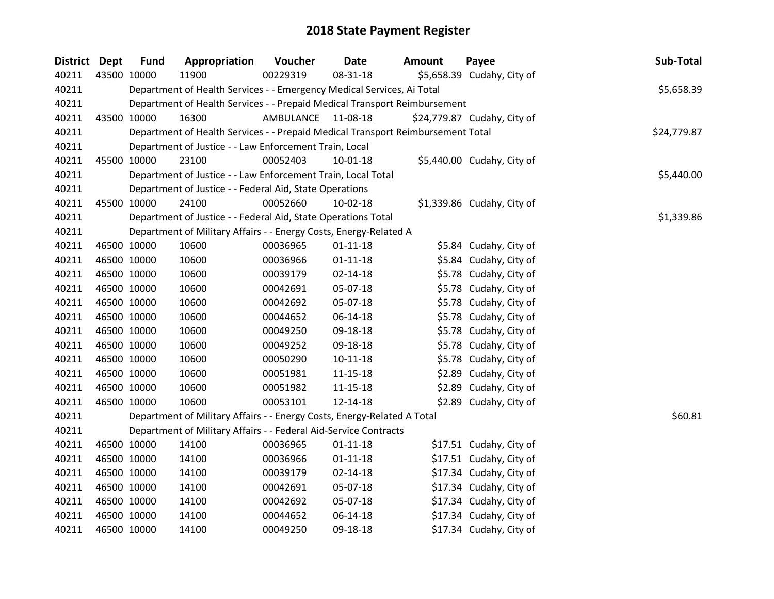| District Dept | <b>Fund</b> | Appropriation                                                                   | Voucher   | Date           | <b>Amount</b> | Payee                       | Sub-Total   |
|---------------|-------------|---------------------------------------------------------------------------------|-----------|----------------|---------------|-----------------------------|-------------|
| 40211         | 43500 10000 | 11900                                                                           | 00229319  | 08-31-18       |               | \$5,658.39 Cudahy, City of  |             |
| 40211         |             | Department of Health Services - - Emergency Medical Services, Ai Total          |           |                |               |                             | \$5,658.39  |
| 40211         |             | Department of Health Services - - Prepaid Medical Transport Reimbursement       |           |                |               |                             |             |
| 40211         | 43500 10000 | 16300                                                                           | AMBULANCE | 11-08-18       |               | \$24,779.87 Cudahy, City of |             |
| 40211         |             | Department of Health Services - - Prepaid Medical Transport Reimbursement Total |           |                |               |                             | \$24,779.87 |
| 40211         |             | Department of Justice - - Law Enforcement Train, Local                          |           |                |               |                             |             |
| 40211         | 45500 10000 | 23100                                                                           | 00052403  | 10-01-18       |               | \$5,440.00 Cudahy, City of  |             |
| 40211         |             | Department of Justice - - Law Enforcement Train, Local Total                    |           |                |               |                             | \$5,440.00  |
| 40211         |             | Department of Justice - - Federal Aid, State Operations                         |           |                |               |                             |             |
| 40211         | 45500 10000 | 24100                                                                           | 00052660  | 10-02-18       |               | $$1,339.86$ Cudahy, City of |             |
| 40211         |             | Department of Justice - - Federal Aid, State Operations Total                   |           |                |               |                             | \$1,339.86  |
| 40211         |             | Department of Military Affairs - - Energy Costs, Energy-Related A               |           |                |               |                             |             |
| 40211         | 46500 10000 | 10600                                                                           | 00036965  | $01 - 11 - 18$ |               | \$5.84 Cudahy, City of      |             |
| 40211         | 46500 10000 | 10600                                                                           | 00036966  | $01 - 11 - 18$ |               | \$5.84 Cudahy, City of      |             |
| 40211         | 46500 10000 | 10600                                                                           | 00039179  | 02-14-18       |               | \$5.78 Cudahy, City of      |             |
| 40211         | 46500 10000 | 10600                                                                           | 00042691  | 05-07-18       |               | \$5.78 Cudahy, City of      |             |
| 40211         | 46500 10000 | 10600                                                                           | 00042692  | 05-07-18       |               | \$5.78 Cudahy, City of      |             |
| 40211         | 46500 10000 | 10600                                                                           | 00044652  | 06-14-18       |               | \$5.78 Cudahy, City of      |             |
| 40211         | 46500 10000 | 10600                                                                           | 00049250  | 09-18-18       |               | \$5.78 Cudahy, City of      |             |
| 40211         | 46500 10000 | 10600                                                                           | 00049252  | 09-18-18       |               | \$5.78 Cudahy, City of      |             |
| 40211         | 46500 10000 | 10600                                                                           | 00050290  | $10 - 11 - 18$ |               | \$5.78 Cudahy, City of      |             |
| 40211         | 46500 10000 | 10600                                                                           | 00051981  | $11 - 15 - 18$ |               | \$2.89 Cudahy, City of      |             |
| 40211         | 46500 10000 | 10600                                                                           | 00051982  | $11 - 15 - 18$ |               | \$2.89 Cudahy, City of      |             |
| 40211         | 46500 10000 | 10600                                                                           | 00053101  | 12-14-18       |               | \$2.89 Cudahy, City of      |             |
| 40211         |             | Department of Military Affairs - - Energy Costs, Energy-Related A Total         |           |                |               |                             | \$60.81     |
| 40211         |             | Department of Military Affairs - - Federal Aid-Service Contracts                |           |                |               |                             |             |
| 40211         | 46500 10000 | 14100                                                                           | 00036965  | $01 - 11 - 18$ |               | \$17.51 Cudahy, City of     |             |
| 40211         | 46500 10000 | 14100                                                                           | 00036966  | $01 - 11 - 18$ |               | \$17.51 Cudahy, City of     |             |
| 40211         | 46500 10000 | 14100                                                                           | 00039179  | $02 - 14 - 18$ |               | \$17.34 Cudahy, City of     |             |
| 40211         | 46500 10000 | 14100                                                                           | 00042691  | 05-07-18       |               | \$17.34 Cudahy, City of     |             |
| 40211         | 46500 10000 | 14100                                                                           | 00042692  | 05-07-18       |               | \$17.34 Cudahy, City of     |             |
| 40211         | 46500 10000 | 14100                                                                           | 00044652  | 06-14-18       |               | \$17.34 Cudahy, City of     |             |
| 40211         | 46500 10000 | 14100                                                                           | 00049250  | 09-18-18       |               | \$17.34 Cudahy, City of     |             |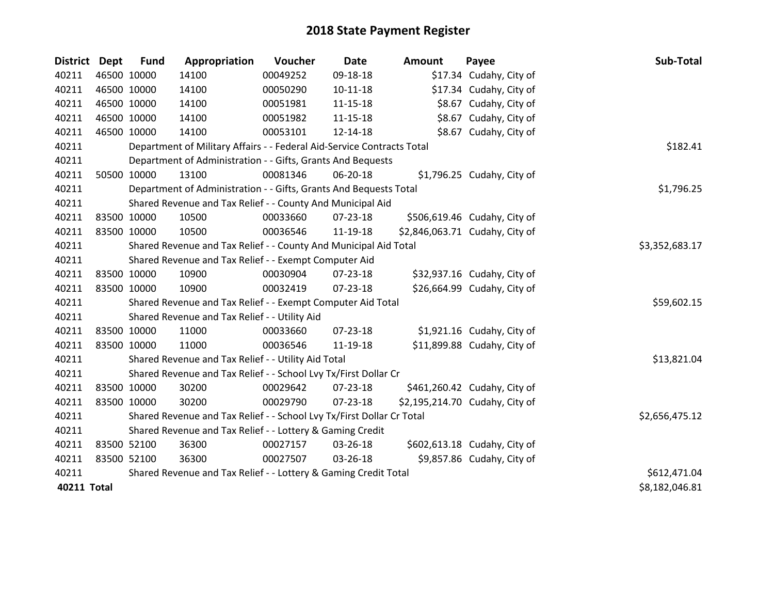| <b>District</b> | Dept | <b>Fund</b> | Appropriation                                                          | Voucher  | Date           | <b>Amount</b> | Payee                          | Sub-Total      |
|-----------------|------|-------------|------------------------------------------------------------------------|----------|----------------|---------------|--------------------------------|----------------|
| 40211           |      | 46500 10000 | 14100                                                                  | 00049252 | 09-18-18       |               | \$17.34 Cudahy, City of        |                |
| 40211           |      | 46500 10000 | 14100                                                                  | 00050290 | $10 - 11 - 18$ |               | \$17.34 Cudahy, City of        |                |
| 40211           |      | 46500 10000 | 14100                                                                  | 00051981 | $11 - 15 - 18$ |               | \$8.67 Cudahy, City of         |                |
| 40211           |      | 46500 10000 | 14100                                                                  | 00051982 | $11 - 15 - 18$ |               | \$8.67 Cudahy, City of         |                |
| 40211           |      | 46500 10000 | 14100                                                                  | 00053101 | 12-14-18       |               | \$8.67 Cudahy, City of         |                |
| 40211           |      |             | Department of Military Affairs - - Federal Aid-Service Contracts Total |          |                |               |                                | \$182.41       |
| 40211           |      |             | Department of Administration - - Gifts, Grants And Bequests            |          |                |               |                                |                |
| 40211           |      | 50500 10000 | 13100                                                                  | 00081346 | 06-20-18       |               | \$1,796.25 Cudahy, City of     |                |
| 40211           |      |             | Department of Administration - - Gifts, Grants And Bequests Total      |          |                |               |                                | \$1,796.25     |
| 40211           |      |             | Shared Revenue and Tax Relief - - County And Municipal Aid             |          |                |               |                                |                |
| 40211           |      | 83500 10000 | 10500                                                                  | 00033660 | 07-23-18       |               | \$506,619.46 Cudahy, City of   |                |
| 40211           |      | 83500 10000 | 10500                                                                  | 00036546 | 11-19-18       |               | \$2,846,063.71 Cudahy, City of |                |
| 40211           |      |             | Shared Revenue and Tax Relief - - County And Municipal Aid Total       |          | \$3,352,683.17 |               |                                |                |
| 40211           |      |             | Shared Revenue and Tax Relief - - Exempt Computer Aid                  |          |                |               |                                |                |
| 40211           |      | 83500 10000 | 10900                                                                  | 00030904 | 07-23-18       |               | \$32,937.16 Cudahy, City of    |                |
| 40211           |      | 83500 10000 | 10900                                                                  | 00032419 | 07-23-18       |               | \$26,664.99 Cudahy, City of    |                |
| 40211           |      |             | Shared Revenue and Tax Relief - - Exempt Computer Aid Total            |          |                |               |                                | \$59,602.15    |
| 40211           |      |             | Shared Revenue and Tax Relief - - Utility Aid                          |          |                |               |                                |                |
| 40211           |      | 83500 10000 | 11000                                                                  | 00033660 | $07 - 23 - 18$ |               | \$1,921.16 Cudahy, City of     |                |
| 40211           |      | 83500 10000 | 11000                                                                  | 00036546 | 11-19-18       |               | \$11,899.88 Cudahy, City of    |                |
| 40211           |      |             | Shared Revenue and Tax Relief - - Utility Aid Total                    |          |                |               |                                | \$13,821.04    |
| 40211           |      |             | Shared Revenue and Tax Relief - - School Lvy Tx/First Dollar Cr        |          |                |               |                                |                |
| 40211           |      | 83500 10000 | 30200                                                                  | 00029642 | 07-23-18       |               | \$461,260.42 Cudahy, City of   |                |
| 40211           |      | 83500 10000 | 30200                                                                  | 00029790 | $07 - 23 - 18$ |               | \$2,195,214.70 Cudahy, City of |                |
| 40211           |      |             | Shared Revenue and Tax Relief - - School Lvy Tx/First Dollar Cr Total  |          |                |               |                                | \$2,656,475.12 |
| 40211           |      |             | Shared Revenue and Tax Relief - - Lottery & Gaming Credit              |          |                |               |                                |                |
| 40211           |      | 83500 52100 | 36300                                                                  | 00027157 | 03-26-18       |               | \$602,613.18 Cudahy, City of   |                |
| 40211           |      | 83500 52100 | 36300                                                                  | 00027507 | 03-26-18       |               | \$9,857.86 Cudahy, City of     |                |
| 40211           |      |             | Shared Revenue and Tax Relief - - Lottery & Gaming Credit Total        |          |                |               |                                | \$612,471.04   |
| 40211 Total     |      |             |                                                                        |          |                |               |                                | \$8,182,046.81 |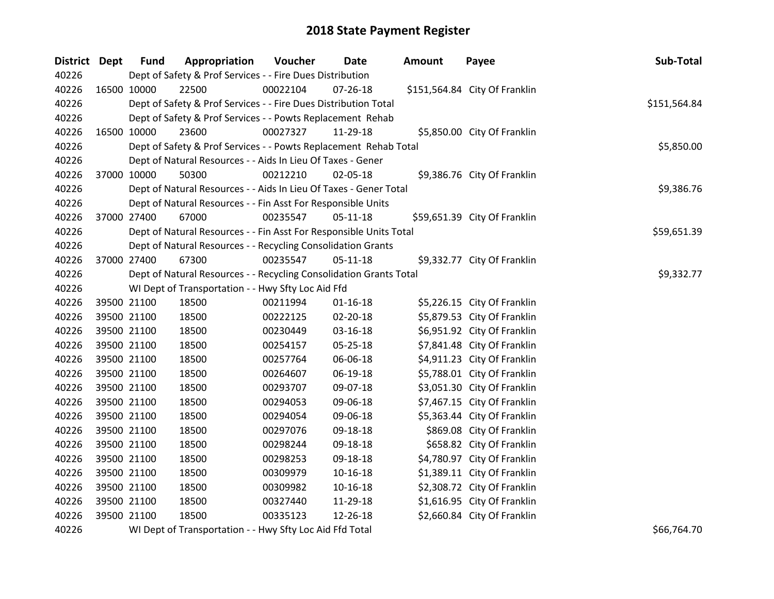| District Dept |             | <b>Fund</b>                                                  | Appropriation                                                      | Voucher    | Date           | Amount | Payee                         | Sub-Total    |  |  |
|---------------|-------------|--------------------------------------------------------------|--------------------------------------------------------------------|------------|----------------|--------|-------------------------------|--------------|--|--|
| 40226         |             |                                                              | Dept of Safety & Prof Services - - Fire Dues Distribution          |            |                |        |                               |              |  |  |
| 40226         | 16500 10000 |                                                              | 22500                                                              | 00022104   | $07 - 26 - 18$ |        | \$151,564.84 City Of Franklin |              |  |  |
| 40226         |             |                                                              | Dept of Safety & Prof Services - - Fire Dues Distribution Total    |            |                |        |                               | \$151,564.84 |  |  |
| 40226         |             |                                                              | Dept of Safety & Prof Services - - Powts Replacement Rehab         |            |                |        |                               |              |  |  |
| 40226         |             | 16500 10000                                                  | 23600                                                              | 00027327   | 11-29-18       |        | \$5,850.00 City Of Franklin   |              |  |  |
| 40226         |             |                                                              | Dept of Safety & Prof Services - - Powts Replacement Rehab Total   |            |                |        |                               | \$5,850.00   |  |  |
| 40226         |             |                                                              | Dept of Natural Resources - - Aids In Lieu Of Taxes - Gener        |            |                |        |                               |              |  |  |
| 40226         |             | 37000 10000                                                  | 50300                                                              | 00212210   | 02-05-18       |        | \$9,386.76 City Of Franklin   |              |  |  |
| 40226         |             |                                                              | Dept of Natural Resources - - Aids In Lieu Of Taxes - Gener Total  |            |                |        |                               | \$9,386.76   |  |  |
| 40226         |             | Dept of Natural Resources - - Fin Asst For Responsible Units |                                                                    |            |                |        |                               |              |  |  |
| 40226         |             | 37000 27400                                                  | 67000                                                              | 00235547   | 05-11-18       |        | \$59,651.39 City Of Franklin  |              |  |  |
| 40226         |             |                                                              | Dept of Natural Resources - - Fin Asst For Responsible Units Total |            |                |        |                               | \$59,651.39  |  |  |
| 40226         |             |                                                              | Dept of Natural Resources - - Recycling Consolidation Grants       |            |                |        |                               |              |  |  |
| 40226         |             | 37000 27400                                                  | 67300                                                              | 00235547   | 05-11-18       |        | \$9,332.77 City Of Franklin   |              |  |  |
| 40226         |             |                                                              | Dept of Natural Resources - - Recycling Consolidation Grants Total | \$9,332.77 |                |        |                               |              |  |  |
| 40226         |             |                                                              | WI Dept of Transportation - - Hwy Sfty Loc Aid Ffd                 |            |                |        |                               |              |  |  |
| 40226         |             | 39500 21100                                                  | 18500                                                              | 00211994   | $01 - 16 - 18$ |        | \$5,226.15 City Of Franklin   |              |  |  |
| 40226         |             | 39500 21100                                                  | 18500                                                              | 00222125   | 02-20-18       |        | \$5,879.53 City Of Franklin   |              |  |  |
| 40226         |             | 39500 21100                                                  | 18500                                                              | 00230449   | 03-16-18       |        | \$6,951.92 City Of Franklin   |              |  |  |
| 40226         |             | 39500 21100                                                  | 18500                                                              | 00254157   | 05-25-18       |        | \$7,841.48 City Of Franklin   |              |  |  |
| 40226         |             | 39500 21100                                                  | 18500                                                              | 00257764   | 06-06-18       |        | \$4,911.23 City Of Franklin   |              |  |  |
| 40226         |             | 39500 21100                                                  | 18500                                                              | 00264607   | 06-19-18       |        | \$5,788.01 City Of Franklin   |              |  |  |
| 40226         |             | 39500 21100                                                  | 18500                                                              | 00293707   | 09-07-18       |        | \$3,051.30 City Of Franklin   |              |  |  |
| 40226         |             | 39500 21100                                                  | 18500                                                              | 00294053   | 09-06-18       |        | \$7,467.15 City Of Franklin   |              |  |  |
| 40226         |             | 39500 21100                                                  | 18500                                                              | 00294054   | 09-06-18       |        | \$5,363.44 City Of Franklin   |              |  |  |
| 40226         |             | 39500 21100                                                  | 18500                                                              | 00297076   | 09-18-18       |        | \$869.08 City Of Franklin     |              |  |  |
| 40226         |             | 39500 21100                                                  | 18500                                                              | 00298244   | 09-18-18       |        | \$658.82 City Of Franklin     |              |  |  |
| 40226         |             | 39500 21100                                                  | 18500                                                              | 00298253   | 09-18-18       |        | \$4,780.97 City Of Franklin   |              |  |  |
| 40226         |             | 39500 21100                                                  | 18500                                                              | 00309979   | $10 - 16 - 18$ |        | \$1,389.11 City Of Franklin   |              |  |  |
| 40226         |             | 39500 21100                                                  | 18500                                                              | 00309982   | $10 - 16 - 18$ |        | \$2,308.72 City Of Franklin   |              |  |  |
| 40226         |             | 39500 21100                                                  | 18500                                                              | 00327440   | 11-29-18       |        | \$1,616.95 City Of Franklin   |              |  |  |
| 40226         |             | 39500 21100                                                  | 18500                                                              | 00335123   | 12-26-18       |        | \$2,660.84 City Of Franklin   |              |  |  |
| 40226         |             |                                                              | WI Dept of Transportation - - Hwy Sfty Loc Aid Ffd Total           |            |                |        |                               | \$66,764.70  |  |  |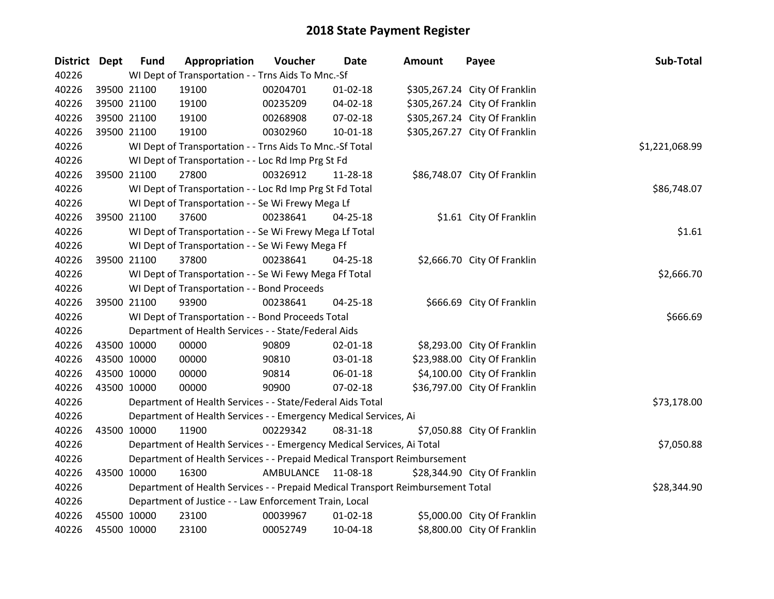| District Dept | <b>Fund</b> | Appropriation                                                                   | Voucher    | <b>Date</b>    | <b>Amount</b> | Payee                         | Sub-Total      |  |  |  |
|---------------|-------------|---------------------------------------------------------------------------------|------------|----------------|---------------|-------------------------------|----------------|--|--|--|
| 40226         |             | WI Dept of Transportation - - Trns Aids To Mnc.-Sf                              |            |                |               |                               |                |  |  |  |
| 40226         | 39500 21100 | 19100                                                                           | 00204701   | $01 - 02 - 18$ |               | \$305,267.24 City Of Franklin |                |  |  |  |
| 40226         | 39500 21100 | 19100                                                                           | 00235209   | 04-02-18       |               | \$305,267.24 City Of Franklin |                |  |  |  |
| 40226         | 39500 21100 | 19100                                                                           | 00268908   | 07-02-18       |               | \$305,267.24 City Of Franklin |                |  |  |  |
| 40226         | 39500 21100 | 19100                                                                           | 00302960   | 10-01-18       |               | \$305,267.27 City Of Franklin |                |  |  |  |
| 40226         |             | WI Dept of Transportation - - Trns Aids To Mnc.-Sf Total                        |            |                |               |                               | \$1,221,068.99 |  |  |  |
| 40226         |             | WI Dept of Transportation - - Loc Rd Imp Prg St Fd                              |            |                |               |                               |                |  |  |  |
| 40226         | 39500 21100 | 27800                                                                           | 00326912   | 11-28-18       |               | \$86,748.07 City Of Franklin  |                |  |  |  |
| 40226         |             | WI Dept of Transportation - - Loc Rd Imp Prg St Fd Total                        |            |                |               |                               | \$86,748.07    |  |  |  |
| 40226         |             | WI Dept of Transportation - - Se Wi Frewy Mega Lf                               |            |                |               |                               |                |  |  |  |
| 40226         | 39500 21100 | 37600                                                                           | 00238641   | $04 - 25 - 18$ |               | \$1.61 City Of Franklin       |                |  |  |  |
| 40226         |             | WI Dept of Transportation - - Se Wi Frewy Mega Lf Total                         |            |                |               |                               | \$1.61         |  |  |  |
| 40226         |             | WI Dept of Transportation - - Se Wi Fewy Mega Ff                                |            |                |               |                               |                |  |  |  |
| 40226         | 39500 21100 | 37800                                                                           | 00238641   | 04-25-18       |               | \$2,666.70 City Of Franklin   |                |  |  |  |
| 40226         |             | WI Dept of Transportation - - Se Wi Fewy Mega Ff Total                          | \$2,666.70 |                |               |                               |                |  |  |  |
| 40226         |             | WI Dept of Transportation - - Bond Proceeds                                     |            |                |               |                               |                |  |  |  |
| 40226         | 39500 21100 | 93900                                                                           | 00238641   | 04-25-18       |               | \$666.69 City Of Franklin     |                |  |  |  |
| 40226         |             | WI Dept of Transportation - - Bond Proceeds Total                               |            |                |               |                               | \$666.69       |  |  |  |
| 40226         |             | Department of Health Services - - State/Federal Aids                            |            |                |               |                               |                |  |  |  |
| 40226         | 43500 10000 | 00000                                                                           | 90809      | 02-01-18       |               | \$8,293.00 City Of Franklin   |                |  |  |  |
| 40226         | 43500 10000 | 00000                                                                           | 90810      | 03-01-18       |               | \$23,988.00 City Of Franklin  |                |  |  |  |
| 40226         | 43500 10000 | 00000                                                                           | 90814      | 06-01-18       |               | \$4,100.00 City Of Franklin   |                |  |  |  |
| 40226         | 43500 10000 | 00000                                                                           | 90900      | 07-02-18       |               | \$36,797.00 City Of Franklin  |                |  |  |  |
| 40226         |             | Department of Health Services - - State/Federal Aids Total                      |            |                |               |                               | \$73,178.00    |  |  |  |
| 40226         |             | Department of Health Services - - Emergency Medical Services, Ai                |            |                |               |                               |                |  |  |  |
| 40226         | 43500 10000 | 11900                                                                           | 00229342   | 08-31-18       |               | \$7,050.88 City Of Franklin   |                |  |  |  |
| 40226         |             | Department of Health Services - - Emergency Medical Services, Ai Total          |            |                |               |                               | \$7,050.88     |  |  |  |
| 40226         |             | Department of Health Services - - Prepaid Medical Transport Reimbursement       |            |                |               |                               |                |  |  |  |
| 40226         | 43500 10000 | 16300                                                                           | AMBULANCE  | 11-08-18       |               | \$28,344.90 City Of Franklin  |                |  |  |  |
| 40226         |             | Department of Health Services - - Prepaid Medical Transport Reimbursement Total |            |                |               |                               | \$28,344.90    |  |  |  |
| 40226         |             | Department of Justice - - Law Enforcement Train, Local                          |            |                |               |                               |                |  |  |  |
| 40226         | 45500 10000 | 23100                                                                           | 00039967   | $01 - 02 - 18$ |               | \$5,000.00 City Of Franklin   |                |  |  |  |
| 40226         | 45500 10000 | 23100                                                                           | 00052749   | 10-04-18       |               | \$8,800.00 City Of Franklin   |                |  |  |  |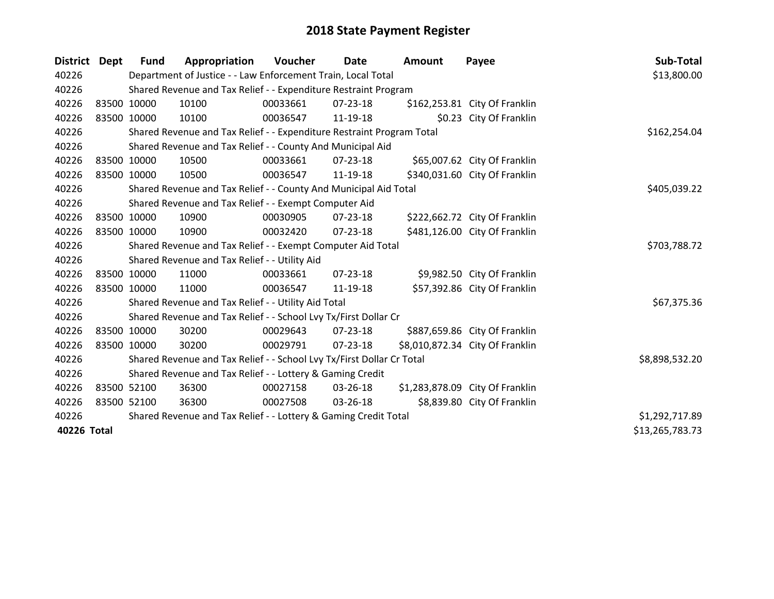| District Dept |             | <b>Fund</b> | Appropriation                                                         | Voucher      | Date           | Amount | Payee                           | Sub-Total       |
|---------------|-------------|-------------|-----------------------------------------------------------------------|--------------|----------------|--------|---------------------------------|-----------------|
| 40226         |             |             | Department of Justice - - Law Enforcement Train, Local Total          |              |                |        |                                 | \$13,800.00     |
| 40226         |             |             | Shared Revenue and Tax Relief - - Expenditure Restraint Program       |              |                |        |                                 |                 |
| 40226         | 83500 10000 |             | 10100                                                                 | 00033661     | $07 - 23 - 18$ |        | \$162,253.81 City Of Franklin   |                 |
| 40226         | 83500 10000 |             | 10100                                                                 | 00036547     | 11-19-18       |        | \$0.23 City Of Franklin         |                 |
| 40226         |             |             | Shared Revenue and Tax Relief - - Expenditure Restraint Program Total |              |                |        |                                 | \$162,254.04    |
| 40226         |             |             | Shared Revenue and Tax Relief - - County And Municipal Aid            |              |                |        |                                 |                 |
| 40226         | 83500 10000 |             | 10500                                                                 | 00033661     | 07-23-18       |        | \$65,007.62 City Of Franklin    |                 |
| 40226         | 83500 10000 |             | 10500                                                                 | 00036547     | 11-19-18       |        | \$340,031.60 City Of Franklin   |                 |
| 40226         |             |             | Shared Revenue and Tax Relief - - County And Municipal Aid Total      |              | \$405,039.22   |        |                                 |                 |
| 40226         |             |             | Shared Revenue and Tax Relief - - Exempt Computer Aid                 |              |                |        |                                 |                 |
| 40226         |             | 83500 10000 | 10900                                                                 | 00030905     | 07-23-18       |        | \$222,662.72 City Of Franklin   |                 |
| 40226         | 83500 10000 |             | 10900                                                                 | 00032420     | $07 - 23 - 18$ |        | \$481,126.00 City Of Franklin   |                 |
| 40226         |             |             | Shared Revenue and Tax Relief - - Exempt Computer Aid Total           | \$703,788.72 |                |        |                                 |                 |
| 40226         |             |             | Shared Revenue and Tax Relief - - Utility Aid                         |              |                |        |                                 |                 |
| 40226         |             | 83500 10000 | 11000                                                                 | 00033661     | $07 - 23 - 18$ |        | \$9,982.50 City Of Franklin     |                 |
| 40226         |             | 83500 10000 | 11000                                                                 | 00036547     | 11-19-18       |        | \$57,392.86 City Of Franklin    |                 |
| 40226         |             |             | Shared Revenue and Tax Relief - - Utility Aid Total                   |              |                |        |                                 | \$67,375.36     |
| 40226         |             |             | Shared Revenue and Tax Relief - - School Lvy Tx/First Dollar Cr       |              |                |        |                                 |                 |
| 40226         |             | 83500 10000 | 30200                                                                 | 00029643     | 07-23-18       |        | \$887,659.86 City Of Franklin   |                 |
| 40226         | 83500 10000 |             | 30200                                                                 | 00029791     | 07-23-18       |        | \$8,010,872.34 City Of Franklin |                 |
| 40226         |             |             | Shared Revenue and Tax Relief - - School Lvy Tx/First Dollar Cr Total |              |                |        |                                 | \$8,898,532.20  |
| 40226         |             |             | Shared Revenue and Tax Relief - - Lottery & Gaming Credit             |              |                |        |                                 |                 |
| 40226         |             | 83500 52100 | 36300                                                                 | 00027158     | 03-26-18       |        | \$1,283,878.09 City Of Franklin |                 |
| 40226         |             | 83500 52100 | 36300                                                                 | 00027508     | 03-26-18       |        | \$8,839.80 City Of Franklin     |                 |
| 40226         |             |             | Shared Revenue and Tax Relief - - Lottery & Gaming Credit Total       |              |                |        |                                 | \$1,292,717.89  |
| 40226 Total   |             |             |                                                                       |              |                |        |                                 | \$13,265,783.73 |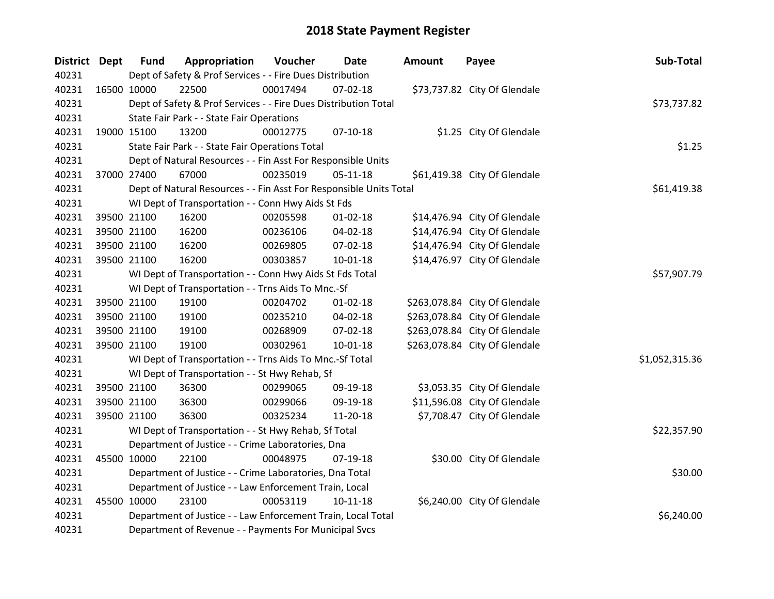| <b>District Dept</b> | <b>Fund</b> | Appropriation                                                      | Voucher     | Date           | Amount | Payee                         | Sub-Total      |
|----------------------|-------------|--------------------------------------------------------------------|-------------|----------------|--------|-------------------------------|----------------|
| 40231                |             | Dept of Safety & Prof Services - - Fire Dues Distribution          |             |                |        |                               |                |
| 40231                | 16500 10000 | 22500                                                              | 00017494    | 07-02-18       |        | \$73,737.82 City Of Glendale  |                |
| 40231                |             | Dept of Safety & Prof Services - - Fire Dues Distribution Total    |             |                |        |                               | \$73,737.82    |
| 40231                |             | State Fair Park - - State Fair Operations                          |             |                |        |                               |                |
| 40231                | 19000 15100 | 13200                                                              | 00012775    | $07-10-18$     |        | \$1.25 City Of Glendale       |                |
| 40231                |             | State Fair Park - - State Fair Operations Total                    |             |                |        |                               | \$1.25         |
| 40231                |             | Dept of Natural Resources - - Fin Asst For Responsible Units       |             |                |        |                               |                |
| 40231                | 37000 27400 | 67000                                                              | 00235019    | $05 - 11 - 18$ |        | \$61,419.38 City Of Glendale  |                |
| 40231                |             | Dept of Natural Resources - - Fin Asst For Responsible Units Total |             |                |        |                               | \$61,419.38    |
| 40231                |             | WI Dept of Transportation - - Conn Hwy Aids St Fds                 |             |                |        |                               |                |
| 40231                | 39500 21100 | 16200                                                              | 00205598    | $01 - 02 - 18$ |        | \$14,476.94 City Of Glendale  |                |
| 40231                | 39500 21100 | 16200                                                              | 00236106    | 04-02-18       |        | \$14,476.94 City Of Glendale  |                |
| 40231                | 39500 21100 | 16200                                                              | 00269805    | 07-02-18       |        | \$14,476.94 City Of Glendale  |                |
| 40231                | 39500 21100 | 16200                                                              | 00303857    | $10-01-18$     |        | \$14,476.97 City Of Glendale  |                |
| 40231                |             | WI Dept of Transportation - - Conn Hwy Aids St Fds Total           | \$57,907.79 |                |        |                               |                |
| 40231                |             | WI Dept of Transportation - - Trns Aids To Mnc.-Sf                 |             |                |        |                               |                |
| 40231                | 39500 21100 | 19100                                                              | 00204702    | $01 - 02 - 18$ |        | \$263,078.84 City Of Glendale |                |
| 40231                | 39500 21100 | 19100                                                              | 00235210    | 04-02-18       |        | \$263,078.84 City Of Glendale |                |
| 40231                | 39500 21100 | 19100                                                              | 00268909    | 07-02-18       |        | \$263,078.84 City Of Glendale |                |
| 40231                | 39500 21100 | 19100                                                              | 00302961    | $10 - 01 - 18$ |        | \$263,078.84 City Of Glendale |                |
| 40231                |             | WI Dept of Transportation - - Trns Aids To Mnc.-Sf Total           |             |                |        |                               | \$1,052,315.36 |
| 40231                |             | WI Dept of Transportation - - St Hwy Rehab, Sf                     |             |                |        |                               |                |
| 40231                | 39500 21100 | 36300                                                              | 00299065    | 09-19-18       |        | \$3,053.35 City Of Glendale   |                |
| 40231                | 39500 21100 | 36300                                                              | 00299066    | 09-19-18       |        | \$11,596.08 City Of Glendale  |                |
| 40231                | 39500 21100 | 36300                                                              | 00325234    | 11-20-18       |        | \$7,708.47 City Of Glendale   |                |
| 40231                |             | WI Dept of Transportation - - St Hwy Rehab, Sf Total               |             |                |        |                               | \$22,357.90    |
| 40231                |             | Department of Justice - - Crime Laboratories, Dna                  |             |                |        |                               |                |
| 40231                | 45500 10000 | 22100                                                              | 00048975    | $07-19-18$     |        | \$30.00 City Of Glendale      |                |
| 40231                |             | Department of Justice - - Crime Laboratories, Dna Total            |             |                |        |                               | \$30.00        |
| 40231                |             | Department of Justice - - Law Enforcement Train, Local             |             |                |        |                               |                |
| 40231                | 45500 10000 | 23100                                                              | 00053119    | $10-11-18$     |        | \$6,240.00 City Of Glendale   |                |
| 40231                |             | Department of Justice - - Law Enforcement Train, Local Total       |             |                |        |                               | \$6,240.00     |
| 40231                |             | Department of Revenue - - Payments For Municipal Svcs              |             |                |        |                               |                |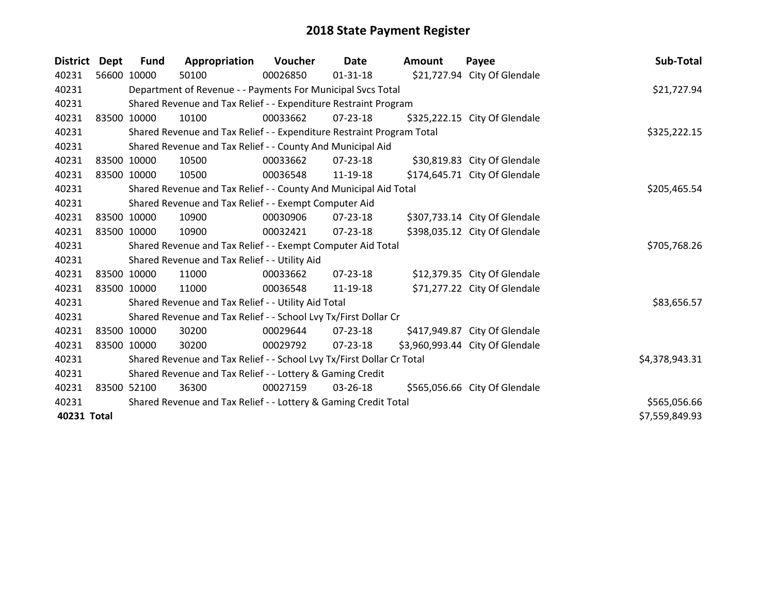| <b>District</b> | <b>Dept</b> | <b>Fund</b> | Appropriation                                                         | Voucher  | Date           | <b>Amount</b> | Payee                           | Sub-Total      |
|-----------------|-------------|-------------|-----------------------------------------------------------------------|----------|----------------|---------------|---------------------------------|----------------|
| 40231           |             | 56600 10000 | 50100                                                                 | 00026850 | $01 - 31 - 18$ |               | \$21,727.94 City Of Glendale    |                |
| 40231           |             |             | Department of Revenue - - Payments For Municipal Svcs Total           |          |                |               |                                 | \$21,727.94    |
| 40231           |             |             | Shared Revenue and Tax Relief - - Expenditure Restraint Program       |          |                |               |                                 |                |
| 40231           |             | 83500 10000 | 10100                                                                 | 00033662 | $07 - 23 - 18$ |               | \$325,222.15 City Of Glendale   |                |
| 40231           |             |             | Shared Revenue and Tax Relief - - Expenditure Restraint Program Total |          |                |               |                                 | \$325,222.15   |
| 40231           |             |             | Shared Revenue and Tax Relief - - County And Municipal Aid            |          |                |               |                                 |                |
| 40231           |             | 83500 10000 | 10500                                                                 | 00033662 | 07-23-18       |               | \$30,819.83 City Of Glendale    |                |
| 40231           |             | 83500 10000 | 10500                                                                 | 00036548 | 11-19-18       |               | \$174,645.71 City Of Glendale   |                |
| 40231           |             |             | Shared Revenue and Tax Relief - - County And Municipal Aid Total      |          | \$205,465.54   |               |                                 |                |
| 40231           |             |             | Shared Revenue and Tax Relief - - Exempt Computer Aid                 |          |                |               |                                 |                |
| 40231           |             | 83500 10000 | 10900                                                                 | 00030906 | $07 - 23 - 18$ |               | \$307,733.14 City Of Glendale   |                |
| 40231           |             | 83500 10000 | 10900                                                                 | 00032421 | $07 - 23 - 18$ |               | \$398,035.12 City Of Glendale   |                |
| 40231           |             |             | Shared Revenue and Tax Relief - - Exempt Computer Aid Total           |          |                |               |                                 | \$705,768.26   |
| 40231           |             |             | Shared Revenue and Tax Relief - - Utility Aid                         |          |                |               |                                 |                |
| 40231           |             | 83500 10000 | 11000                                                                 | 00033662 | 07-23-18       |               | \$12,379.35 City Of Glendale    |                |
| 40231           |             | 83500 10000 | 11000                                                                 | 00036548 | 11-19-18       |               | \$71,277.22 City Of Glendale    |                |
| 40231           |             |             | Shared Revenue and Tax Relief - - Utility Aid Total                   |          |                |               |                                 | \$83,656.57    |
| 40231           |             |             | Shared Revenue and Tax Relief - - School Lvy Tx/First Dollar Cr       |          |                |               |                                 |                |
| 40231           |             | 83500 10000 | 30200                                                                 | 00029644 | $07 - 23 - 18$ |               | \$417,949.87 City Of Glendale   |                |
| 40231           |             | 83500 10000 | 30200                                                                 | 00029792 | $07 - 23 - 18$ |               | \$3,960,993.44 City Of Glendale |                |
| 40231           |             |             | Shared Revenue and Tax Relief - - School Lvy Tx/First Dollar Cr Total |          |                |               |                                 | \$4,378,943.31 |
| 40231           |             |             | Shared Revenue and Tax Relief - - Lottery & Gaming Credit             |          |                |               |                                 |                |
| 40231           |             | 83500 52100 | 36300                                                                 | 00027159 | 03-26-18       |               | \$565,056.66 City Of Glendale   |                |
| 40231           |             |             | Shared Revenue and Tax Relief - - Lottery & Gaming Credit Total       |          |                |               |                                 | \$565,056.66   |
| 40231 Total     |             |             |                                                                       |          |                |               |                                 | \$7,559,849.93 |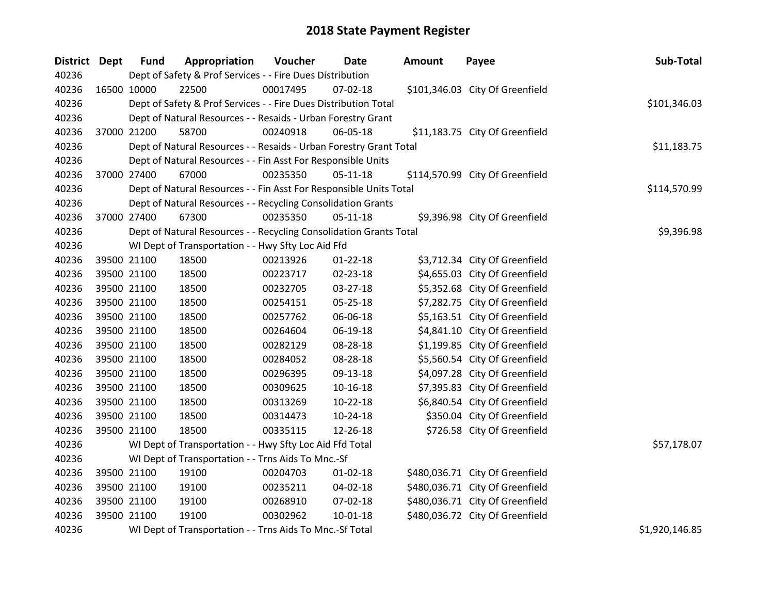| <b>District Dept</b> | <b>Fund</b> | Appropriation                                                      | Voucher  | Date           | <b>Amount</b> | Payee                           | Sub-Total      |
|----------------------|-------------|--------------------------------------------------------------------|----------|----------------|---------------|---------------------------------|----------------|
| 40236                |             | Dept of Safety & Prof Services - - Fire Dues Distribution          |          |                |               |                                 |                |
| 40236                | 16500 10000 | 22500                                                              | 00017495 | $07 - 02 - 18$ |               | \$101,346.03 City Of Greenfield |                |
| 40236                |             | Dept of Safety & Prof Services - - Fire Dues Distribution Total    |          |                |               |                                 | \$101,346.03   |
| 40236                |             | Dept of Natural Resources - - Resaids - Urban Forestry Grant       |          |                |               |                                 |                |
| 40236                | 37000 21200 | 58700                                                              | 00240918 | 06-05-18       |               | \$11,183.75 City Of Greenfield  |                |
| 40236                |             | Dept of Natural Resources - - Resaids - Urban Forestry Grant Total |          |                |               |                                 | \$11,183.75    |
| 40236                |             | Dept of Natural Resources - - Fin Asst For Responsible Units       |          |                |               |                                 |                |
| 40236                | 37000 27400 | 67000                                                              | 00235350 | $05 - 11 - 18$ |               | \$114,570.99 City Of Greenfield |                |
| 40236                |             | Dept of Natural Resources - - Fin Asst For Responsible Units Total |          |                |               |                                 | \$114,570.99   |
| 40236                |             | Dept of Natural Resources - - Recycling Consolidation Grants       |          |                |               |                                 |                |
| 40236                | 37000 27400 | 67300                                                              | 00235350 | $05-11-18$     |               | \$9,396.98 City Of Greenfield   |                |
| 40236                |             | Dept of Natural Resources - - Recycling Consolidation Grants Total |          |                |               |                                 | \$9,396.98     |
| 40236                |             | WI Dept of Transportation - - Hwy Sfty Loc Aid Ffd                 |          |                |               |                                 |                |
| 40236                | 39500 21100 | 18500                                                              | 00213926 | $01 - 22 - 18$ |               | \$3,712.34 City Of Greenfield   |                |
| 40236                | 39500 21100 | 18500                                                              | 00223717 | 02-23-18       |               | \$4,655.03 City Of Greenfield   |                |
| 40236                | 39500 21100 | 18500                                                              | 00232705 | 03-27-18       |               | \$5,352.68 City Of Greenfield   |                |
| 40236                | 39500 21100 | 18500                                                              | 00254151 | 05-25-18       |               | \$7,282.75 City Of Greenfield   |                |
| 40236                | 39500 21100 | 18500                                                              | 00257762 | 06-06-18       |               | \$5,163.51 City Of Greenfield   |                |
| 40236                | 39500 21100 | 18500                                                              | 00264604 | 06-19-18       |               | \$4,841.10 City Of Greenfield   |                |
| 40236                | 39500 21100 | 18500                                                              | 00282129 | 08-28-18       |               | \$1,199.85 City Of Greenfield   |                |
| 40236                | 39500 21100 | 18500                                                              | 00284052 | 08-28-18       |               | \$5,560.54 City Of Greenfield   |                |
| 40236                | 39500 21100 | 18500                                                              | 00296395 | 09-13-18       |               | \$4,097.28 City Of Greenfield   |                |
| 40236                | 39500 21100 | 18500                                                              | 00309625 | $10 - 16 - 18$ |               | \$7,395.83 City Of Greenfield   |                |
| 40236                | 39500 21100 | 18500                                                              | 00313269 | 10-22-18       |               | \$6,840.54 City Of Greenfield   |                |
| 40236                | 39500 21100 | 18500                                                              | 00314473 | $10-24-18$     |               | \$350.04 City Of Greenfield     |                |
| 40236                | 39500 21100 | 18500                                                              | 00335115 | 12-26-18       |               | \$726.58 City Of Greenfield     |                |
| 40236                |             | WI Dept of Transportation - - Hwy Sfty Loc Aid Ffd Total           |          |                |               |                                 | \$57,178.07    |
| 40236                |             | WI Dept of Transportation - - Trns Aids To Mnc.-Sf                 |          |                |               |                                 |                |
| 40236                | 39500 21100 | 19100                                                              | 00204703 | 01-02-18       |               | \$480,036.71 City Of Greenfield |                |
| 40236                | 39500 21100 | 19100                                                              | 00235211 | 04-02-18       |               | \$480,036.71 City Of Greenfield |                |
| 40236                | 39500 21100 | 19100                                                              | 00268910 | 07-02-18       |               | \$480,036.71 City Of Greenfield |                |
| 40236                | 39500 21100 | 19100                                                              | 00302962 | $10 - 01 - 18$ |               | \$480,036.72 City Of Greenfield |                |
| 40236                |             | WI Dept of Transportation - - Trns Aids To Mnc.-Sf Total           |          |                |               |                                 | \$1,920,146.85 |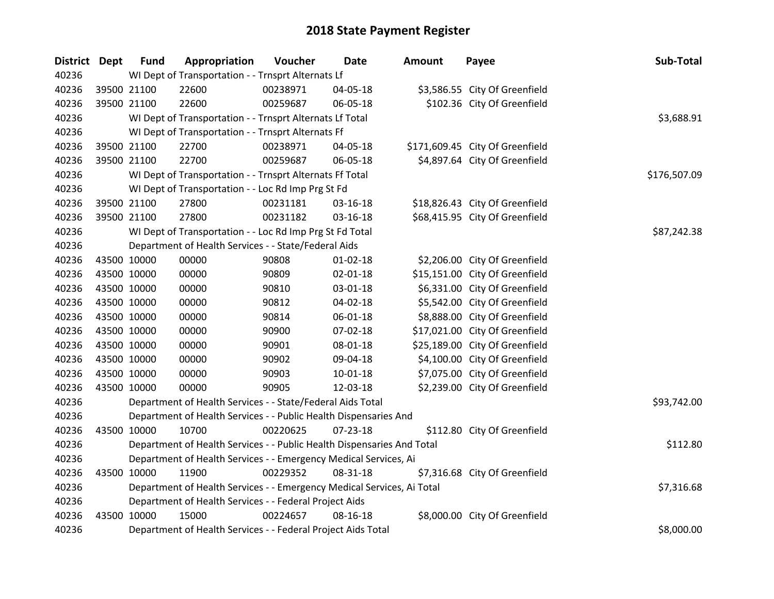| District Dept | <b>Fund</b> | Appropriation                                                          | Voucher  | <b>Date</b>    | Amount | Payee                           | Sub-Total    |  |  |
|---------------|-------------|------------------------------------------------------------------------|----------|----------------|--------|---------------------------------|--------------|--|--|
| 40236         |             | WI Dept of Transportation - - Trnsprt Alternats Lf                     |          |                |        |                                 |              |  |  |
| 40236         | 39500 21100 | 22600                                                                  | 00238971 | 04-05-18       |        | \$3,586.55 City Of Greenfield   |              |  |  |
| 40236         | 39500 21100 | 22600                                                                  | 00259687 | 06-05-18       |        | \$102.36 City Of Greenfield     |              |  |  |
| 40236         |             | WI Dept of Transportation - - Trnsprt Alternats Lf Total               |          |                |        |                                 | \$3,688.91   |  |  |
| 40236         |             | WI Dept of Transportation - - Trnsprt Alternats Ff                     |          |                |        |                                 |              |  |  |
| 40236         | 39500 21100 | 22700                                                                  | 00238971 | 04-05-18       |        | \$171,609.45 City Of Greenfield |              |  |  |
| 40236         | 39500 21100 | 22700                                                                  | 00259687 | 06-05-18       |        | \$4,897.64 City Of Greenfield   |              |  |  |
| 40236         |             | WI Dept of Transportation - - Trnsprt Alternats Ff Total               |          |                |        |                                 | \$176,507.09 |  |  |
| 40236         |             | WI Dept of Transportation - - Loc Rd Imp Prg St Fd                     |          |                |        |                                 |              |  |  |
| 40236         | 39500 21100 | 27800                                                                  | 00231181 | 03-16-18       |        | \$18,826.43 City Of Greenfield  |              |  |  |
| 40236         | 39500 21100 | 27800                                                                  | 00231182 | 03-16-18       |        | \$68,415.95 City Of Greenfield  |              |  |  |
| 40236         |             | WI Dept of Transportation - - Loc Rd Imp Prg St Fd Total               |          |                |        |                                 | \$87,242.38  |  |  |
| 40236         |             | Department of Health Services - - State/Federal Aids                   |          |                |        |                                 |              |  |  |
| 40236         | 43500 10000 | 00000                                                                  | 90808    | 01-02-18       |        | \$2,206.00 City Of Greenfield   |              |  |  |
| 40236         | 43500 10000 | 00000                                                                  | 90809    | $02 - 01 - 18$ |        | \$15,151.00 City Of Greenfield  |              |  |  |
| 40236         | 43500 10000 | 00000                                                                  | 90810    | 03-01-18       |        | \$6,331.00 City Of Greenfield   |              |  |  |
| 40236         | 43500 10000 | 00000                                                                  | 90812    | 04-02-18       |        | \$5,542.00 City Of Greenfield   |              |  |  |
| 40236         | 43500 10000 | 00000                                                                  | 90814    | 06-01-18       |        | \$8,888.00 City Of Greenfield   |              |  |  |
| 40236         | 43500 10000 | 00000                                                                  | 90900    | 07-02-18       |        | \$17,021.00 City Of Greenfield  |              |  |  |
| 40236         | 43500 10000 | 00000                                                                  | 90901    | 08-01-18       |        | \$25,189.00 City Of Greenfield  |              |  |  |
| 40236         | 43500 10000 | 00000                                                                  | 90902    | 09-04-18       |        | \$4,100.00 City Of Greenfield   |              |  |  |
| 40236         | 43500 10000 | 00000                                                                  | 90903    | 10-01-18       |        | \$7,075.00 City Of Greenfield   |              |  |  |
| 40236         | 43500 10000 | 00000                                                                  | 90905    | 12-03-18       |        | \$2,239.00 City Of Greenfield   |              |  |  |
| 40236         |             | Department of Health Services - - State/Federal Aids Total             |          |                |        |                                 | \$93,742.00  |  |  |
| 40236         |             | Department of Health Services - - Public Health Dispensaries And       |          |                |        |                                 |              |  |  |
| 40236         | 43500 10000 | 10700                                                                  | 00220625 | 07-23-18       |        | \$112.80 City Of Greenfield     |              |  |  |
| 40236         |             | Department of Health Services - - Public Health Dispensaries And Total |          |                |        |                                 | \$112.80     |  |  |
| 40236         |             | Department of Health Services - - Emergency Medical Services, Ai       |          |                |        |                                 |              |  |  |
| 40236         | 43500 10000 | 11900                                                                  | 00229352 | 08-31-18       |        | \$7,316.68 City Of Greenfield   |              |  |  |
| 40236         |             | Department of Health Services - - Emergency Medical Services, Ai Total |          |                |        |                                 | \$7,316.68   |  |  |
| 40236         |             | Department of Health Services - - Federal Project Aids                 |          |                |        |                                 |              |  |  |
| 40236         | 43500 10000 | 15000                                                                  | 00224657 | 08-16-18       |        | \$8,000.00 City Of Greenfield   |              |  |  |
| 40236         |             | Department of Health Services - - Federal Project Aids Total           |          |                |        |                                 | \$8,000.00   |  |  |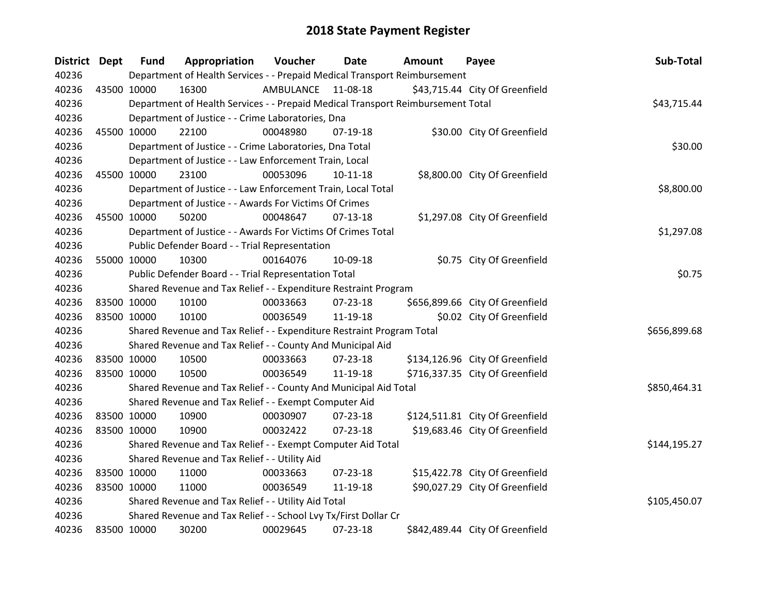| District Dept |             | <b>Fund</b>                                                     | Appropriation                                                                   | Voucher   | Date           | <b>Amount</b> | Payee                           | Sub-Total    |  |  |
|---------------|-------------|-----------------------------------------------------------------|---------------------------------------------------------------------------------|-----------|----------------|---------------|---------------------------------|--------------|--|--|
| 40236         |             |                                                                 | Department of Health Services - - Prepaid Medical Transport Reimbursement       |           |                |               |                                 |              |  |  |
| 40236         | 43500 10000 |                                                                 | 16300                                                                           | AMBULANCE | 11-08-18       |               | \$43,715.44 City Of Greenfield  |              |  |  |
| 40236         |             |                                                                 | Department of Health Services - - Prepaid Medical Transport Reimbursement Total |           |                |               |                                 | \$43,715.44  |  |  |
| 40236         |             |                                                                 | Department of Justice - - Crime Laboratories, Dna                               |           |                |               |                                 |              |  |  |
| 40236         |             | 45500 10000                                                     | 22100                                                                           | 00048980  | 07-19-18       |               | \$30.00 City Of Greenfield      |              |  |  |
| 40236         |             |                                                                 | Department of Justice - - Crime Laboratories, Dna Total                         |           |                |               |                                 | \$30.00      |  |  |
| 40236         |             |                                                                 | Department of Justice - - Law Enforcement Train, Local                          |           |                |               |                                 |              |  |  |
| 40236         |             | 45500 10000                                                     | 23100                                                                           | 00053096  | $10-11-18$     |               | \$8,800.00 City Of Greenfield   |              |  |  |
| 40236         |             |                                                                 | Department of Justice - - Law Enforcement Train, Local Total                    |           |                |               |                                 | \$8,800.00   |  |  |
| 40236         |             |                                                                 | Department of Justice - - Awards For Victims Of Crimes                          |           |                |               |                                 |              |  |  |
| 40236         |             | 45500 10000                                                     | 50200                                                                           | 00048647  | $07-13-18$     |               | \$1,297.08 City Of Greenfield   |              |  |  |
| 40236         |             |                                                                 | Department of Justice - - Awards For Victims Of Crimes Total                    |           |                |               |                                 | \$1,297.08   |  |  |
| 40236         |             |                                                                 | Public Defender Board - - Trial Representation                                  |           |                |               |                                 |              |  |  |
| 40236         |             | 55000 10000                                                     | 10300                                                                           | 00164076  | 10-09-18       |               | \$0.75 City Of Greenfield       |              |  |  |
| 40236         |             |                                                                 | Public Defender Board - - Trial Representation Total                            |           |                |               |                                 | \$0.75       |  |  |
| 40236         |             |                                                                 | Shared Revenue and Tax Relief - - Expenditure Restraint Program                 |           |                |               |                                 |              |  |  |
| 40236         | 83500 10000 |                                                                 | 10100                                                                           | 00033663  | 07-23-18       |               | \$656,899.66 City Of Greenfield |              |  |  |
| 40236         |             | 83500 10000                                                     | 10100                                                                           | 00036549  | 11-19-18       |               | \$0.02 City Of Greenfield       |              |  |  |
| 40236         |             |                                                                 | Shared Revenue and Tax Relief - - Expenditure Restraint Program Total           |           |                |               |                                 | \$656,899.68 |  |  |
| 40236         |             |                                                                 | Shared Revenue and Tax Relief - - County And Municipal Aid                      |           |                |               |                                 |              |  |  |
| 40236         | 83500 10000 |                                                                 | 10500                                                                           | 00033663  | $07 - 23 - 18$ |               | \$134,126.96 City Of Greenfield |              |  |  |
| 40236         | 83500 10000 |                                                                 | 10500                                                                           | 00036549  | 11-19-18       |               | \$716,337.35 City Of Greenfield |              |  |  |
| 40236         |             |                                                                 | Shared Revenue and Tax Relief - - County And Municipal Aid Total                |           |                |               |                                 | \$850,464.31 |  |  |
| 40236         |             |                                                                 | Shared Revenue and Tax Relief - - Exempt Computer Aid                           |           |                |               |                                 |              |  |  |
| 40236         |             | 83500 10000                                                     | 10900                                                                           | 00030907  | $07 - 23 - 18$ |               | \$124,511.81 City Of Greenfield |              |  |  |
| 40236         |             | 83500 10000                                                     | 10900                                                                           | 00032422  | $07 - 23 - 18$ |               | \$19,683.46 City Of Greenfield  |              |  |  |
| 40236         |             |                                                                 | Shared Revenue and Tax Relief - - Exempt Computer Aid Total                     |           |                |               |                                 | \$144,195.27 |  |  |
| 40236         |             |                                                                 | Shared Revenue and Tax Relief - - Utility Aid                                   |           |                |               |                                 |              |  |  |
| 40236         | 83500 10000 |                                                                 | 11000                                                                           | 00033663  | 07-23-18       |               | \$15,422.78 City Of Greenfield  |              |  |  |
| 40236         | 83500 10000 |                                                                 | 11000                                                                           | 00036549  | 11-19-18       |               | \$90,027.29 City Of Greenfield  |              |  |  |
| 40236         |             |                                                                 | Shared Revenue and Tax Relief - - Utility Aid Total                             |           |                |               |                                 | \$105,450.07 |  |  |
| 40236         |             | Shared Revenue and Tax Relief - - School Lvy Tx/First Dollar Cr |                                                                                 |           |                |               |                                 |              |  |  |
| 40236         | 83500 10000 |                                                                 | 30200                                                                           | 00029645  | 07-23-18       |               | \$842,489.44 City Of Greenfield |              |  |  |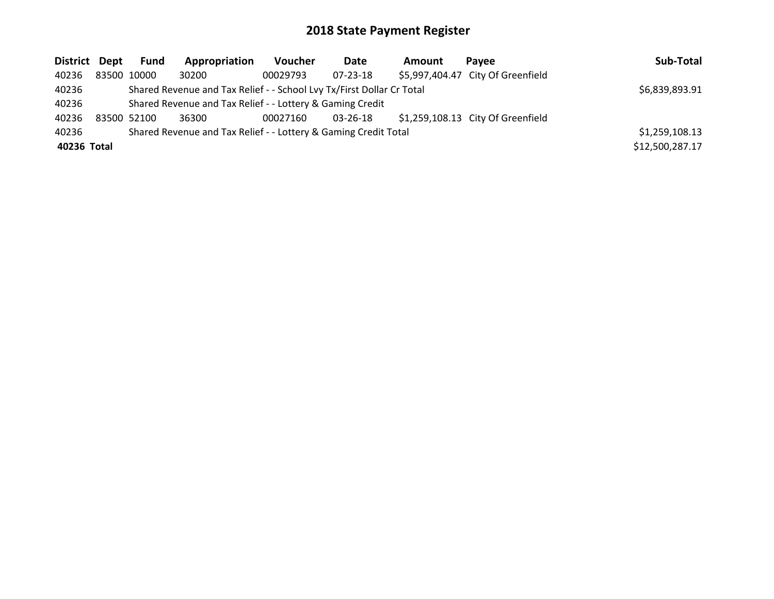| District Dept | Fund                                                      | Appropriation                                                         | <b>Voucher</b> | Date           | <b>Amount</b> | <b>Pavee</b>                      | Sub-Total       |
|---------------|-----------------------------------------------------------|-----------------------------------------------------------------------|----------------|----------------|---------------|-----------------------------------|-----------------|
| 40236         | 83500 10000                                               | 30200                                                                 | 00029793       | $07 - 23 - 18$ |               | \$5,997,404.47 City Of Greenfield |                 |
| 40236         |                                                           | Shared Revenue and Tax Relief - - School Lvy Tx/First Dollar Cr Total |                |                |               |                                   | \$6,839,893.91  |
| 40236         | Shared Revenue and Tax Relief - - Lottery & Gaming Credit |                                                                       |                |                |               |                                   |                 |
| 40236         | 83500 52100                                               | 36300                                                                 | 00027160       | 03-26-18       |               | \$1,259,108.13 City Of Greenfield |                 |
| 40236         |                                                           | Shared Revenue and Tax Relief - - Lottery & Gaming Credit Total       |                |                |               |                                   | \$1,259,108.13  |
| 40236 Total   |                                                           |                                                                       |                |                |               |                                   | \$12,500,287.17 |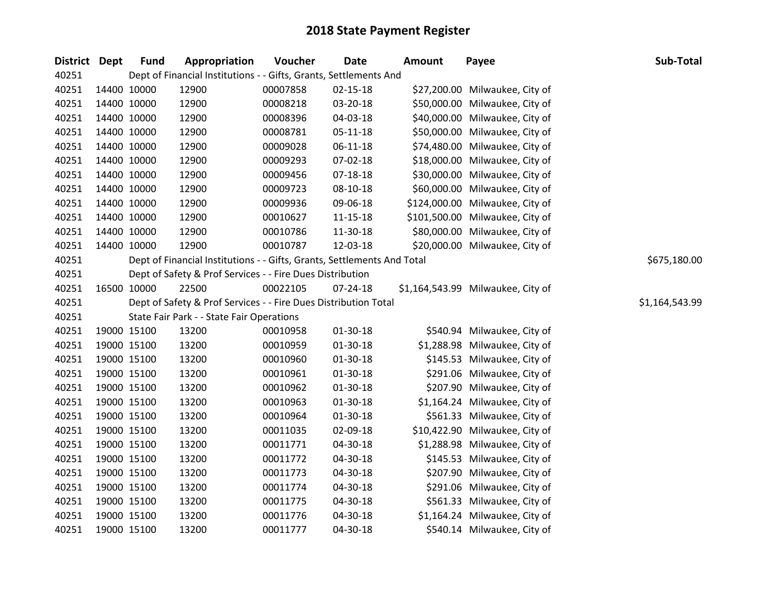| District Dept | <b>Fund</b> | Appropriation                                                           | Voucher  | <b>Date</b>    | <b>Amount</b> | Payee                             | Sub-Total      |
|---------------|-------------|-------------------------------------------------------------------------|----------|----------------|---------------|-----------------------------------|----------------|
| 40251         |             | Dept of Financial Institutions - - Gifts, Grants, Settlements And       |          |                |               |                                   |                |
| 40251         | 14400 10000 | 12900                                                                   | 00007858 | $02 - 15 - 18$ |               | \$27,200.00 Milwaukee, City of    |                |
| 40251         | 14400 10000 | 12900                                                                   | 00008218 | 03-20-18       |               | \$50,000.00 Milwaukee, City of    |                |
| 40251         | 14400 10000 | 12900                                                                   | 00008396 | 04-03-18       |               | \$40,000.00 Milwaukee, City of    |                |
| 40251         | 14400 10000 | 12900                                                                   | 00008781 | 05-11-18       |               | \$50,000.00 Milwaukee, City of    |                |
| 40251         | 14400 10000 | 12900                                                                   | 00009028 | 06-11-18       |               | \$74,480.00 Milwaukee, City of    |                |
| 40251         | 14400 10000 | 12900                                                                   | 00009293 | 07-02-18       |               | \$18,000.00 Milwaukee, City of    |                |
| 40251         | 14400 10000 | 12900                                                                   | 00009456 | $07 - 18 - 18$ |               | \$30,000.00 Milwaukee, City of    |                |
| 40251         | 14400 10000 | 12900                                                                   | 00009723 | 08-10-18       |               | \$60,000.00 Milwaukee, City of    |                |
| 40251         | 14400 10000 | 12900                                                                   | 00009936 | 09-06-18       |               | \$124,000.00 Milwaukee, City of   |                |
| 40251         | 14400 10000 | 12900                                                                   | 00010627 | 11-15-18       |               | \$101,500.00 Milwaukee, City of   |                |
| 40251         | 14400 10000 | 12900                                                                   | 00010786 | 11-30-18       |               | \$80,000.00 Milwaukee, City of    |                |
| 40251         | 14400 10000 | 12900                                                                   | 00010787 | 12-03-18       |               | \$20,000.00 Milwaukee, City of    |                |
| 40251         |             | Dept of Financial Institutions - - Gifts, Grants, Settlements And Total |          |                |               |                                   | \$675,180.00   |
| 40251         |             | Dept of Safety & Prof Services - - Fire Dues Distribution               |          |                |               |                                   |                |
| 40251         | 16500 10000 | 22500                                                                   | 00022105 | 07-24-18       |               | \$1,164,543.99 Milwaukee, City of |                |
| 40251         |             | Dept of Safety & Prof Services - - Fire Dues Distribution Total         |          |                |               |                                   | \$1,164,543.99 |
| 40251         |             | State Fair Park - - State Fair Operations                               |          |                |               |                                   |                |
| 40251         | 19000 15100 | 13200                                                                   | 00010958 | 01-30-18       |               | \$540.94 Milwaukee, City of       |                |
| 40251         | 19000 15100 | 13200                                                                   | 00010959 | $01-30-18$     |               | \$1,288.98 Milwaukee, City of     |                |
| 40251         | 19000 15100 | 13200                                                                   | 00010960 | $01-30-18$     |               | \$145.53 Milwaukee, City of       |                |
| 40251         | 19000 15100 | 13200                                                                   | 00010961 | 01-30-18       |               | \$291.06 Milwaukee, City of       |                |
| 40251         | 19000 15100 | 13200                                                                   | 00010962 | 01-30-18       |               | \$207.90 Milwaukee, City of       |                |
| 40251         | 19000 15100 | 13200                                                                   | 00010963 | 01-30-18       |               | \$1,164.24 Milwaukee, City of     |                |
| 40251         | 19000 15100 | 13200                                                                   | 00010964 | 01-30-18       |               | \$561.33 Milwaukee, City of       |                |
| 40251         | 19000 15100 | 13200                                                                   | 00011035 | 02-09-18       |               | \$10,422.90 Milwaukee, City of    |                |
| 40251         | 19000 15100 | 13200                                                                   | 00011771 | 04-30-18       |               | \$1,288.98 Milwaukee, City of     |                |
| 40251         | 19000 15100 | 13200                                                                   | 00011772 | 04-30-18       |               | \$145.53 Milwaukee, City of       |                |
| 40251         | 19000 15100 | 13200                                                                   | 00011773 | 04-30-18       |               | \$207.90 Milwaukee, City of       |                |
| 40251         | 19000 15100 | 13200                                                                   | 00011774 | 04-30-18       |               | \$291.06 Milwaukee, City of       |                |
| 40251         | 19000 15100 | 13200                                                                   | 00011775 | 04-30-18       |               | \$561.33 Milwaukee, City of       |                |
| 40251         | 19000 15100 | 13200                                                                   | 00011776 | 04-30-18       |               | \$1,164.24 Milwaukee, City of     |                |
| 40251         | 19000 15100 | 13200                                                                   | 00011777 | 04-30-18       |               | \$540.14 Milwaukee, City of       |                |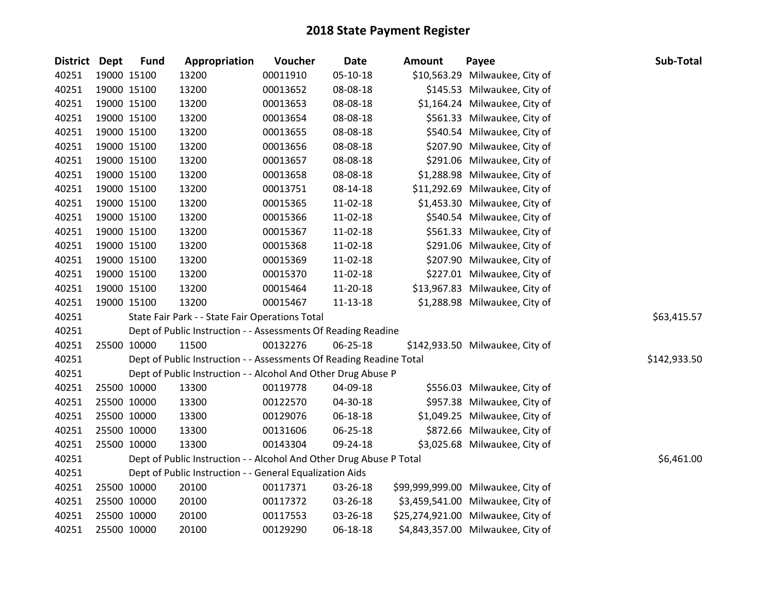| <b>District Dept</b> | <b>Fund</b> | Appropriation                                                       | Voucher  | <b>Date</b> | Amount | Payee                              | Sub-Total    |
|----------------------|-------------|---------------------------------------------------------------------|----------|-------------|--------|------------------------------------|--------------|
| 40251                | 19000 15100 | 13200                                                               | 00011910 | 05-10-18    |        | \$10,563.29 Milwaukee, City of     |              |
| 40251                | 19000 15100 | 13200                                                               | 00013652 | 08-08-18    |        | \$145.53 Milwaukee, City of        |              |
| 40251                | 19000 15100 | 13200                                                               | 00013653 | 08-08-18    |        | \$1,164.24 Milwaukee, City of      |              |
| 40251                | 19000 15100 | 13200                                                               | 00013654 | 08-08-18    |        | \$561.33 Milwaukee, City of        |              |
| 40251                | 19000 15100 | 13200                                                               | 00013655 | 08-08-18    |        | \$540.54 Milwaukee, City of        |              |
| 40251                | 19000 15100 | 13200                                                               | 00013656 | 08-08-18    |        | \$207.90 Milwaukee, City of        |              |
| 40251                | 19000 15100 | 13200                                                               | 00013657 | 08-08-18    |        | \$291.06 Milwaukee, City of        |              |
| 40251                | 19000 15100 | 13200                                                               | 00013658 | 08-08-18    |        | \$1,288.98 Milwaukee, City of      |              |
| 40251                | 19000 15100 | 13200                                                               | 00013751 | 08-14-18    |        | \$11,292.69 Milwaukee, City of     |              |
| 40251                | 19000 15100 | 13200                                                               | 00015365 | 11-02-18    |        | \$1,453.30 Milwaukee, City of      |              |
| 40251                | 19000 15100 | 13200                                                               | 00015366 | 11-02-18    |        | \$540.54 Milwaukee, City of        |              |
| 40251                | 19000 15100 | 13200                                                               | 00015367 | 11-02-18    |        | \$561.33 Milwaukee, City of        |              |
| 40251                | 19000 15100 | 13200                                                               | 00015368 | 11-02-18    |        | \$291.06 Milwaukee, City of        |              |
| 40251                | 19000 15100 | 13200                                                               | 00015369 | $11-02-18$  |        | \$207.90 Milwaukee, City of        |              |
| 40251                | 19000 15100 | 13200                                                               | 00015370 | 11-02-18    |        | \$227.01 Milwaukee, City of        |              |
| 40251                | 19000 15100 | 13200                                                               | 00015464 | 11-20-18    |        | \$13,967.83 Milwaukee, City of     |              |
| 40251                | 19000 15100 | 13200                                                               | 00015467 | 11-13-18    |        | \$1,288.98 Milwaukee, City of      |              |
| 40251                |             | State Fair Park - - State Fair Operations Total                     |          |             |        |                                    | \$63,415.57  |
| 40251                |             | Dept of Public Instruction - - Assessments Of Reading Readine       |          |             |        |                                    |              |
| 40251                | 25500 10000 | 11500                                                               | 00132276 | 06-25-18    |        | \$142,933.50 Milwaukee, City of    |              |
| 40251                |             | Dept of Public Instruction - - Assessments Of Reading Readine Total |          |             |        |                                    | \$142,933.50 |
| 40251                |             | Dept of Public Instruction - - Alcohol And Other Drug Abuse P       |          |             |        |                                    |              |
| 40251                | 25500 10000 | 13300                                                               | 00119778 | 04-09-18    |        | \$556.03 Milwaukee, City of        |              |
| 40251                | 25500 10000 | 13300                                                               | 00122570 | 04-30-18    |        | \$957.38 Milwaukee, City of        |              |
| 40251                | 25500 10000 | 13300                                                               | 00129076 | 06-18-18    |        | \$1,049.25 Milwaukee, City of      |              |
| 40251                | 25500 10000 | 13300                                                               | 00131606 | 06-25-18    |        | \$872.66 Milwaukee, City of        |              |
| 40251                | 25500 10000 | 13300                                                               | 00143304 | 09-24-18    |        | \$3,025.68 Milwaukee, City of      |              |
| 40251                |             | Dept of Public Instruction - - Alcohol And Other Drug Abuse P Total |          |             |        |                                    | \$6,461.00   |
| 40251                |             | Dept of Public Instruction - - General Equalization Aids            |          |             |        |                                    |              |
| 40251                | 25500 10000 | 20100                                                               | 00117371 | 03-26-18    |        | \$99,999,999.00 Milwaukee, City of |              |
| 40251                | 25500 10000 | 20100                                                               | 00117372 | 03-26-18    |        | \$3,459,541.00 Milwaukee, City of  |              |
| 40251                | 25500 10000 | 20100                                                               | 00117553 | 03-26-18    |        | \$25,274,921.00 Milwaukee, City of |              |
| 40251                | 25500 10000 | 20100                                                               | 00129290 | 06-18-18    |        | \$4,843,357.00 Milwaukee, City of  |              |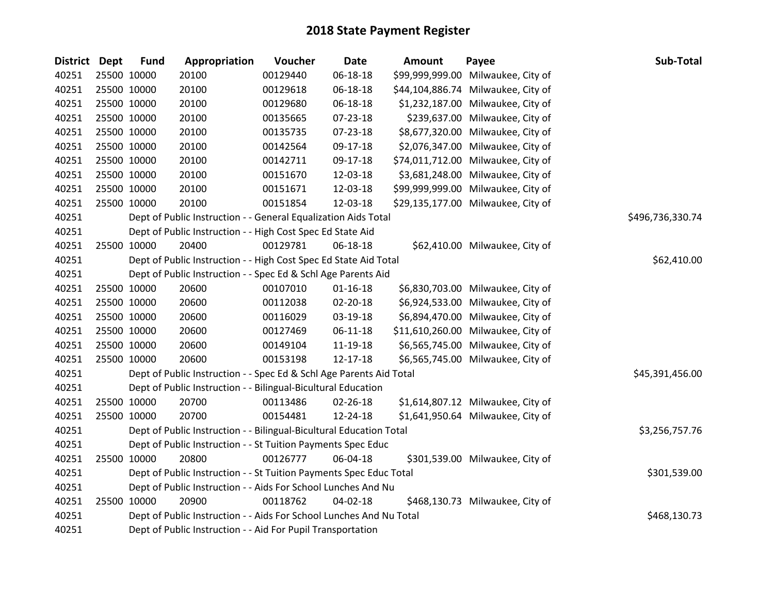| District Dept |             | <b>Fund</b> | Appropriation                                                       | Voucher  | <b>Date</b>    | <b>Amount</b> | Payee                              | Sub-Total        |
|---------------|-------------|-------------|---------------------------------------------------------------------|----------|----------------|---------------|------------------------------------|------------------|
| 40251         |             | 25500 10000 | 20100                                                               | 00129440 | 06-18-18       |               | \$99,999,999.00 Milwaukee, City of |                  |
| 40251         |             | 25500 10000 | 20100                                                               | 00129618 | 06-18-18       |               | \$44,104,886.74 Milwaukee, City of |                  |
| 40251         |             | 25500 10000 | 20100                                                               | 00129680 | 06-18-18       |               | \$1,232,187.00 Milwaukee, City of  |                  |
| 40251         |             | 25500 10000 | 20100                                                               | 00135665 | 07-23-18       |               | \$239,637.00 Milwaukee, City of    |                  |
| 40251         |             | 25500 10000 | 20100                                                               | 00135735 | 07-23-18       |               | \$8,677,320.00 Milwaukee, City of  |                  |
| 40251         |             | 25500 10000 | 20100                                                               | 00142564 | 09-17-18       |               | \$2,076,347.00 Milwaukee, City of  |                  |
| 40251         |             | 25500 10000 | 20100                                                               | 00142711 | 09-17-18       |               | \$74,011,712.00 Milwaukee, City of |                  |
| 40251         |             | 25500 10000 | 20100                                                               | 00151670 | 12-03-18       |               | \$3,681,248.00 Milwaukee, City of  |                  |
| 40251         |             | 25500 10000 | 20100                                                               | 00151671 | 12-03-18       |               | \$99,999,999.00 Milwaukee, City of |                  |
| 40251         | 25500 10000 |             | 20100                                                               | 00151854 | 12-03-18       |               | \$29,135,177.00 Milwaukee, City of |                  |
| 40251         |             |             | Dept of Public Instruction - - General Equalization Aids Total      |          |                |               |                                    | \$496,736,330.74 |
| 40251         |             |             | Dept of Public Instruction - - High Cost Spec Ed State Aid          |          |                |               |                                    |                  |
| 40251         |             | 25500 10000 | 20400                                                               | 00129781 | 06-18-18       |               | \$62,410.00 Milwaukee, City of     |                  |
| 40251         |             |             | Dept of Public Instruction - - High Cost Spec Ed State Aid Total    |          |                |               |                                    | \$62,410.00      |
| 40251         |             |             | Dept of Public Instruction - - Spec Ed & Schl Age Parents Aid       |          |                |               |                                    |                  |
| 40251         |             | 25500 10000 | 20600                                                               | 00107010 | $01 - 16 - 18$ |               | \$6,830,703.00 Milwaukee, City of  |                  |
| 40251         |             | 25500 10000 | 20600                                                               | 00112038 | $02 - 20 - 18$ |               | \$6,924,533.00 Milwaukee, City of  |                  |
| 40251         |             | 25500 10000 | 20600                                                               | 00116029 | 03-19-18       |               | \$6,894,470.00 Milwaukee, City of  |                  |
| 40251         |             | 25500 10000 | 20600                                                               | 00127469 | 06-11-18       |               | \$11,610,260.00 Milwaukee, City of |                  |
| 40251         |             | 25500 10000 | 20600                                                               | 00149104 | 11-19-18       |               | \$6,565,745.00 Milwaukee, City of  |                  |
| 40251         |             | 25500 10000 | 20600                                                               | 00153198 | 12-17-18       |               | \$6,565,745.00 Milwaukee, City of  |                  |
| 40251         |             |             | Dept of Public Instruction - - Spec Ed & Schl Age Parents Aid Total |          |                |               |                                    | \$45,391,456.00  |
| 40251         |             |             | Dept of Public Instruction - - Bilingual-Bicultural Education       |          |                |               |                                    |                  |
| 40251         |             | 25500 10000 | 20700                                                               | 00113486 | 02-26-18       |               | \$1,614,807.12 Milwaukee, City of  |                  |
| 40251         |             | 25500 10000 | 20700                                                               | 00154481 | 12-24-18       |               | \$1,641,950.64 Milwaukee, City of  |                  |
| 40251         |             |             | Dept of Public Instruction - - Bilingual-Bicultural Education Total |          |                |               |                                    | \$3,256,757.76   |
| 40251         |             |             | Dept of Public Instruction - - St Tuition Payments Spec Educ        |          |                |               |                                    |                  |
| 40251         |             | 25500 10000 | 20800                                                               | 00126777 | 06-04-18       |               | \$301,539.00 Milwaukee, City of    |                  |
| 40251         |             |             | Dept of Public Instruction - - St Tuition Payments Spec Educ Total  |          |                |               |                                    | \$301,539.00     |
| 40251         |             |             | Dept of Public Instruction - - Aids For School Lunches And Nu       |          |                |               |                                    |                  |
| 40251         |             | 25500 10000 | 20900                                                               | 00118762 | $04 - 02 - 18$ |               | \$468,130.73 Milwaukee, City of    |                  |
| 40251         |             |             | Dept of Public Instruction - - Aids For School Lunches And Nu Total |          |                |               |                                    | \$468,130.73     |
| 40251         |             |             | Dept of Public Instruction - - Aid For Pupil Transportation         |          |                |               |                                    |                  |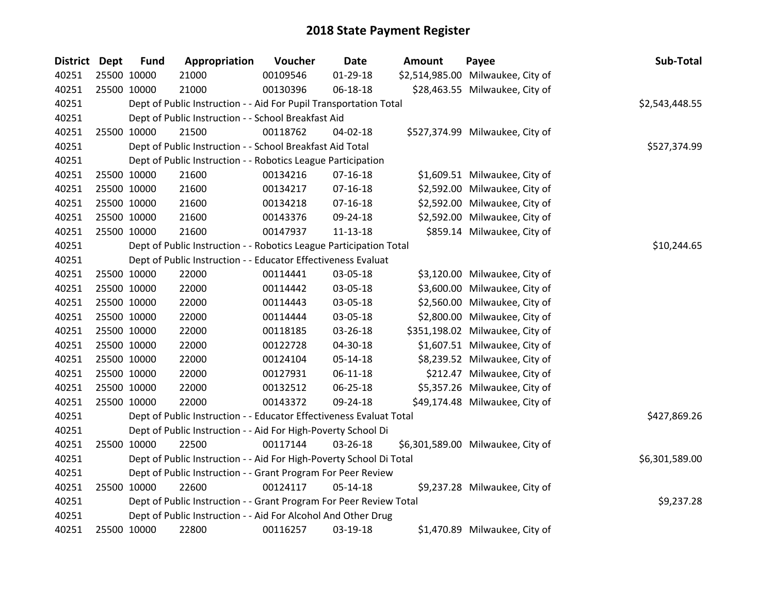| <b>District</b> | Dept | <b>Fund</b> | Appropriation                                                       | Voucher  | <b>Date</b>    | <b>Amount</b> | Payee                             | Sub-Total      |
|-----------------|------|-------------|---------------------------------------------------------------------|----------|----------------|---------------|-----------------------------------|----------------|
| 40251           |      | 25500 10000 | 21000                                                               | 00109546 | $01-29-18$     |               | \$2,514,985.00 Milwaukee, City of |                |
| 40251           |      | 25500 10000 | 21000                                                               | 00130396 | 06-18-18       |               | \$28,463.55 Milwaukee, City of    |                |
| 40251           |      |             | Dept of Public Instruction - - Aid For Pupil Transportation Total   |          |                |               |                                   | \$2,543,448.55 |
| 40251           |      |             | Dept of Public Instruction - - School Breakfast Aid                 |          |                |               |                                   |                |
| 40251           |      | 25500 10000 | 21500                                                               | 00118762 | 04-02-18       |               | \$527,374.99 Milwaukee, City of   |                |
| 40251           |      |             | Dept of Public Instruction - - School Breakfast Aid Total           |          |                |               |                                   | \$527,374.99   |
| 40251           |      |             | Dept of Public Instruction - - Robotics League Participation        |          |                |               |                                   |                |
| 40251           |      | 25500 10000 | 21600                                                               | 00134216 | $07-16-18$     |               | \$1,609.51 Milwaukee, City of     |                |
| 40251           |      | 25500 10000 | 21600                                                               | 00134217 | $07-16-18$     |               | \$2,592.00 Milwaukee, City of     |                |
| 40251           |      | 25500 10000 | 21600                                                               | 00134218 | $07-16-18$     |               | \$2,592.00 Milwaukee, City of     |                |
| 40251           |      | 25500 10000 | 21600                                                               | 00143376 | 09-24-18       |               | \$2,592.00 Milwaukee, City of     |                |
| 40251           |      | 25500 10000 | 21600                                                               | 00147937 | $11 - 13 - 18$ |               | \$859.14 Milwaukee, City of       |                |
| 40251           |      |             | Dept of Public Instruction - - Robotics League Participation Total  |          |                |               |                                   | \$10,244.65    |
| 40251           |      |             | Dept of Public Instruction - - Educator Effectiveness Evaluat       |          |                |               |                                   |                |
| 40251           |      | 25500 10000 | 22000                                                               | 00114441 | 03-05-18       |               | \$3,120.00 Milwaukee, City of     |                |
| 40251           |      | 25500 10000 | 22000                                                               | 00114442 | 03-05-18       |               | \$3,600.00 Milwaukee, City of     |                |
| 40251           |      | 25500 10000 | 22000                                                               | 00114443 | 03-05-18       |               | \$2,560.00 Milwaukee, City of     |                |
| 40251           |      | 25500 10000 | 22000                                                               | 00114444 | 03-05-18       |               | \$2,800.00 Milwaukee, City of     |                |
| 40251           |      | 25500 10000 | 22000                                                               | 00118185 | 03-26-18       |               | \$351,198.02 Milwaukee, City of   |                |
| 40251           |      | 25500 10000 | 22000                                                               | 00122728 | 04-30-18       |               | \$1,607.51 Milwaukee, City of     |                |
| 40251           |      | 25500 10000 | 22000                                                               | 00124104 | 05-14-18       |               | \$8,239.52 Milwaukee, City of     |                |
| 40251           |      | 25500 10000 | 22000                                                               | 00127931 | $06-11-18$     |               | \$212.47 Milwaukee, City of       |                |
| 40251           |      | 25500 10000 | 22000                                                               | 00132512 | 06-25-18       |               | \$5,357.26 Milwaukee, City of     |                |
| 40251           |      | 25500 10000 | 22000                                                               | 00143372 | 09-24-18       |               | \$49,174.48 Milwaukee, City of    |                |
| 40251           |      |             | Dept of Public Instruction - - Educator Effectiveness Evaluat Total |          |                |               |                                   | \$427,869.26   |
| 40251           |      |             | Dept of Public Instruction - - Aid For High-Poverty School Di       |          |                |               |                                   |                |
| 40251           |      | 25500 10000 | 22500                                                               | 00117144 | 03-26-18       |               | \$6,301,589.00 Milwaukee, City of |                |
| 40251           |      |             | Dept of Public Instruction - - Aid For High-Poverty School Di Total |          |                |               |                                   | \$6,301,589.00 |
| 40251           |      |             | Dept of Public Instruction - - Grant Program For Peer Review        |          |                |               |                                   |                |
| 40251           |      | 25500 10000 | 22600                                                               | 00124117 | $05-14-18$     |               | \$9,237.28 Milwaukee, City of     |                |
| 40251           |      |             | Dept of Public Instruction - - Grant Program For Peer Review Total  |          |                |               |                                   | \$9,237.28     |
| 40251           |      |             | Dept of Public Instruction - - Aid For Alcohol And Other Drug       |          |                |               |                                   |                |
| 40251           |      | 25500 10000 | 22800                                                               | 00116257 | 03-19-18       |               | \$1,470.89 Milwaukee, City of     |                |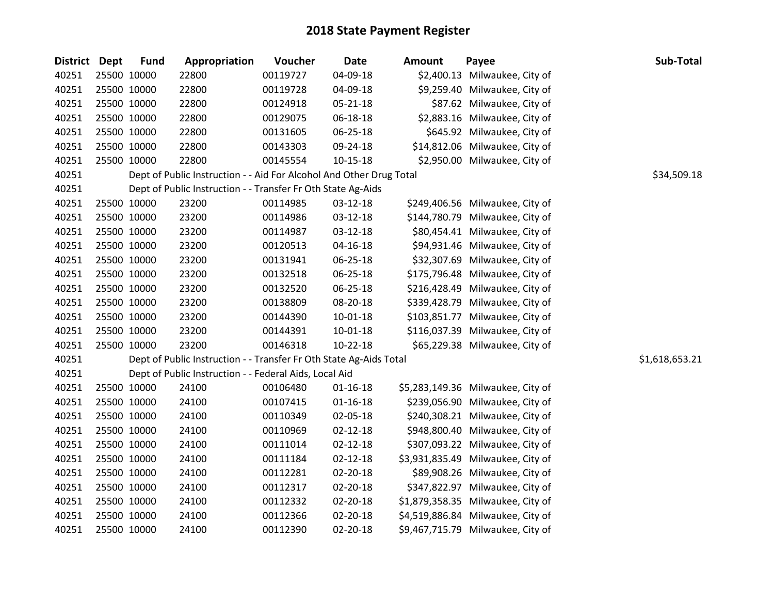| <b>District Dept</b> | <b>Fund</b> | Appropriation                                                       | Voucher  | <b>Date</b>    | <b>Amount</b> | Payee                             | Sub-Total      |
|----------------------|-------------|---------------------------------------------------------------------|----------|----------------|---------------|-----------------------------------|----------------|
| 40251                | 25500 10000 | 22800                                                               | 00119727 | 04-09-18       |               | \$2,400.13 Milwaukee, City of     |                |
| 40251                | 25500 10000 | 22800                                                               | 00119728 | 04-09-18       |               | \$9,259.40 Milwaukee, City of     |                |
| 40251                | 25500 10000 | 22800                                                               | 00124918 | $05 - 21 - 18$ |               | \$87.62 Milwaukee, City of        |                |
| 40251                | 25500 10000 | 22800                                                               | 00129075 | 06-18-18       |               | \$2,883.16 Milwaukee, City of     |                |
| 40251                | 25500 10000 | 22800                                                               | 00131605 | 06-25-18       |               | \$645.92 Milwaukee, City of       |                |
| 40251                | 25500 10000 | 22800                                                               | 00143303 | 09-24-18       |               | \$14,812.06 Milwaukee, City of    |                |
| 40251                | 25500 10000 | 22800                                                               | 00145554 | $10 - 15 - 18$ |               | \$2,950.00 Milwaukee, City of     |                |
| 40251                |             | Dept of Public Instruction - - Aid For Alcohol And Other Drug Total |          |                |               |                                   | \$34,509.18    |
| 40251                |             | Dept of Public Instruction - - Transfer Fr Oth State Ag-Aids        |          |                |               |                                   |                |
| 40251                | 25500 10000 | 23200                                                               | 00114985 | 03-12-18       |               | \$249,406.56 Milwaukee, City of   |                |
| 40251                | 25500 10000 | 23200                                                               | 00114986 | 03-12-18       |               | \$144,780.79 Milwaukee, City of   |                |
| 40251                | 25500 10000 | 23200                                                               | 00114987 | 03-12-18       |               | \$80,454.41 Milwaukee, City of    |                |
| 40251                | 25500 10000 | 23200                                                               | 00120513 | $04 - 16 - 18$ |               | \$94,931.46 Milwaukee, City of    |                |
| 40251                | 25500 10000 | 23200                                                               | 00131941 | 06-25-18       |               | \$32,307.69 Milwaukee, City of    |                |
| 40251                | 25500 10000 | 23200                                                               | 00132518 | 06-25-18       |               | \$175,796.48 Milwaukee, City of   |                |
| 40251                | 25500 10000 | 23200                                                               | 00132520 | 06-25-18       |               | \$216,428.49 Milwaukee, City of   |                |
| 40251                | 25500 10000 | 23200                                                               | 00138809 | 08-20-18       |               | \$339,428.79 Milwaukee, City of   |                |
| 40251                | 25500 10000 | 23200                                                               | 00144390 | 10-01-18       |               | \$103,851.77 Milwaukee, City of   |                |
| 40251                | 25500 10000 | 23200                                                               | 00144391 | 10-01-18       |               | \$116,037.39 Milwaukee, City of   |                |
| 40251                | 25500 10000 | 23200                                                               | 00146318 | $10-22-18$     |               | \$65,229.38 Milwaukee, City of    |                |
| 40251                |             | Dept of Public Instruction - - Transfer Fr Oth State Ag-Aids Total  |          |                |               |                                   | \$1,618,653.21 |
| 40251                |             | Dept of Public Instruction - - Federal Aids, Local Aid              |          |                |               |                                   |                |
| 40251                | 25500 10000 | 24100                                                               | 00106480 | $01 - 16 - 18$ |               | \$5,283,149.36 Milwaukee, City of |                |
| 40251                | 25500 10000 | 24100                                                               | 00107415 | $01 - 16 - 18$ |               | \$239,056.90 Milwaukee, City of   |                |
| 40251                | 25500 10000 | 24100                                                               | 00110349 | 02-05-18       |               | \$240,308.21 Milwaukee, City of   |                |
| 40251                | 25500 10000 | 24100                                                               | 00110969 | $02 - 12 - 18$ |               | \$948,800.40 Milwaukee, City of   |                |
| 40251                | 25500 10000 | 24100                                                               | 00111014 | $02 - 12 - 18$ |               | \$307,093.22 Milwaukee, City of   |                |
| 40251                | 25500 10000 | 24100                                                               | 00111184 | $02 - 12 - 18$ |               | \$3,931,835.49 Milwaukee, City of |                |
| 40251                | 25500 10000 | 24100                                                               | 00112281 | 02-20-18       |               | \$89,908.26 Milwaukee, City of    |                |
| 40251                | 25500 10000 | 24100                                                               | 00112317 | 02-20-18       |               | \$347,822.97 Milwaukee, City of   |                |
| 40251                | 25500 10000 | 24100                                                               | 00112332 | 02-20-18       |               | \$1,879,358.35 Milwaukee, City of |                |
| 40251                | 25500 10000 | 24100                                                               | 00112366 | 02-20-18       |               | \$4,519,886.84 Milwaukee, City of |                |
| 40251                | 25500 10000 | 24100                                                               | 00112390 | 02-20-18       |               | \$9,467,715.79 Milwaukee, City of |                |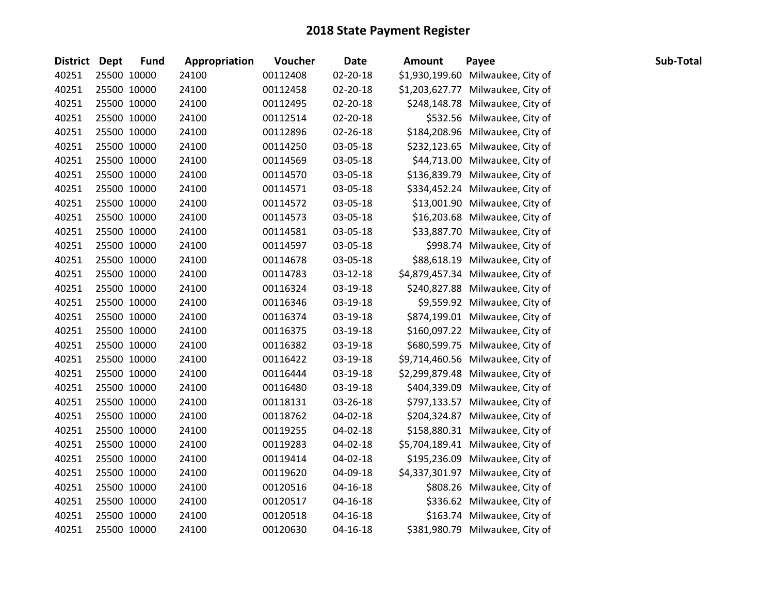| <b>District Dept</b> |             | <b>Fund</b> | Appropriation | Voucher  | <b>Date</b>    | <b>Amount</b>  | Payee                             | Sub-Total |
|----------------------|-------------|-------------|---------------|----------|----------------|----------------|-----------------------------------|-----------|
| 40251                |             | 25500 10000 | 24100         | 00112408 | 02-20-18       | \$1,930,199.60 | Milwaukee, City of                |           |
| 40251                |             | 25500 10000 | 24100         | 00112458 | 02-20-18       |                | \$1,203,627.77 Milwaukee, City of |           |
| 40251                |             | 25500 10000 | 24100         | 00112495 | 02-20-18       |                | \$248,148.78 Milwaukee, City of   |           |
| 40251                |             | 25500 10000 | 24100         | 00112514 | 02-20-18       |                | \$532.56 Milwaukee, City of       |           |
| 40251                | 25500 10000 |             | 24100         | 00112896 | 02-26-18       |                | \$184,208.96 Milwaukee, City of   |           |
| 40251                |             | 25500 10000 | 24100         | 00114250 | 03-05-18       |                | \$232,123.65 Milwaukee, City of   |           |
| 40251                |             | 25500 10000 | 24100         | 00114569 | 03-05-18       |                | \$44,713.00 Milwaukee, City of    |           |
| 40251                |             | 25500 10000 | 24100         | 00114570 | 03-05-18       |                | \$136,839.79 Milwaukee, City of   |           |
| 40251                |             | 25500 10000 | 24100         | 00114571 | 03-05-18       |                | \$334,452.24 Milwaukee, City of   |           |
| 40251                | 25500 10000 |             | 24100         | 00114572 | 03-05-18       |                | \$13,001.90 Milwaukee, City of    |           |
| 40251                |             | 25500 10000 | 24100         | 00114573 | 03-05-18       |                | \$16,203.68 Milwaukee, City of    |           |
| 40251                |             | 25500 10000 | 24100         | 00114581 | 03-05-18       |                | \$33,887.70 Milwaukee, City of    |           |
| 40251                |             | 25500 10000 | 24100         | 00114597 | 03-05-18       |                | \$998.74 Milwaukee, City of       |           |
| 40251                |             | 25500 10000 | 24100         | 00114678 | 03-05-18       |                | \$88,618.19 Milwaukee, City of    |           |
| 40251                | 25500 10000 |             | 24100         | 00114783 | 03-12-18       |                | \$4,879,457.34 Milwaukee, City of |           |
| 40251                |             | 25500 10000 | 24100         | 00116324 | 03-19-18       |                | \$240,827.88 Milwaukee, City of   |           |
| 40251                |             | 25500 10000 | 24100         | 00116346 | 03-19-18       |                | \$9,559.92 Milwaukee, City of     |           |
| 40251                |             | 25500 10000 | 24100         | 00116374 | 03-19-18       |                | \$874,199.01 Milwaukee, City of   |           |
| 40251                |             | 25500 10000 | 24100         | 00116375 | 03-19-18       |                | \$160,097.22 Milwaukee, City of   |           |
| 40251                |             | 25500 10000 | 24100         | 00116382 | 03-19-18       |                | \$680,599.75 Milwaukee, City of   |           |
| 40251                |             | 25500 10000 | 24100         | 00116422 | 03-19-18       |                | \$9,714,460.56 Milwaukee, City of |           |
| 40251                |             | 25500 10000 | 24100         | 00116444 | 03-19-18       |                | \$2,299,879.48 Milwaukee, City of |           |
| 40251                |             | 25500 10000 | 24100         | 00116480 | 03-19-18       |                | \$404,339.09 Milwaukee, City of   |           |
| 40251                | 25500 10000 |             | 24100         | 00118131 | 03-26-18       |                | \$797,133.57 Milwaukee, City of   |           |
| 40251                | 25500 10000 |             | 24100         | 00118762 | 04-02-18       |                | \$204,324.87 Milwaukee, City of   |           |
| 40251                |             | 25500 10000 | 24100         | 00119255 | 04-02-18       |                | \$158,880.31 Milwaukee, City of   |           |
| 40251                |             | 25500 10000 | 24100         | 00119283 | 04-02-18       |                | \$5,704,189.41 Milwaukee, City of |           |
| 40251                |             | 25500 10000 | 24100         | 00119414 | 04-02-18       |                | \$195,236.09 Milwaukee, City of   |           |
| 40251                |             | 25500 10000 | 24100         | 00119620 | 04-09-18       |                | \$4,337,301.97 Milwaukee, City of |           |
| 40251                |             | 25500 10000 | 24100         | 00120516 | 04-16-18       |                | \$808.26 Milwaukee, City of       |           |
| 40251                |             | 25500 10000 | 24100         | 00120517 | $04 - 16 - 18$ |                | \$336.62 Milwaukee, City of       |           |
| 40251                |             | 25500 10000 | 24100         | 00120518 | $04 - 16 - 18$ |                | \$163.74 Milwaukee, City of       |           |
| 40251                |             | 25500 10000 | 24100         | 00120630 | $04 - 16 - 18$ |                | \$381,980.79 Milwaukee, City of   |           |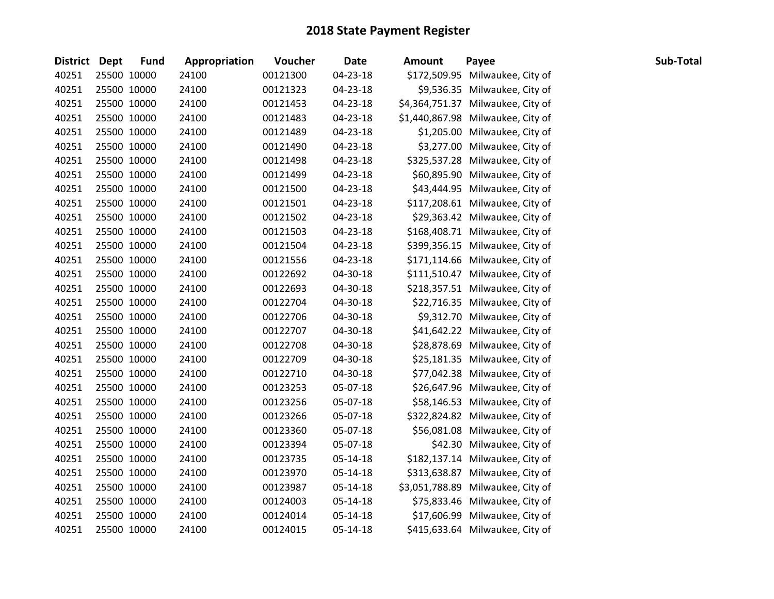| District Dept | <b>Fund</b> | Appropriation | Voucher  | <b>Date</b> | <b>Amount</b> | Payee                             | Sub-Total |
|---------------|-------------|---------------|----------|-------------|---------------|-----------------------------------|-----------|
| 40251         | 25500 10000 | 24100         | 00121300 | 04-23-18    |               | \$172,509.95 Milwaukee, City of   |           |
| 40251         | 25500 10000 | 24100         | 00121323 | 04-23-18    |               | \$9,536.35 Milwaukee, City of     |           |
| 40251         | 25500 10000 | 24100         | 00121453 | 04-23-18    |               | \$4,364,751.37 Milwaukee, City of |           |
| 40251         | 25500 10000 | 24100         | 00121483 | 04-23-18    |               | \$1,440,867.98 Milwaukee, City of |           |
| 40251         | 25500 10000 | 24100         | 00121489 | 04-23-18    |               | \$1,205.00 Milwaukee, City of     |           |
| 40251         | 25500 10000 | 24100         | 00121490 | 04-23-18    |               | \$3,277.00 Milwaukee, City of     |           |
| 40251         | 25500 10000 | 24100         | 00121498 | 04-23-18    |               | \$325,537.28 Milwaukee, City of   |           |
| 40251         | 25500 10000 | 24100         | 00121499 | 04-23-18    |               | \$60,895.90 Milwaukee, City of    |           |
| 40251         | 25500 10000 | 24100         | 00121500 | 04-23-18    |               | \$43,444.95 Milwaukee, City of    |           |
| 40251         | 25500 10000 | 24100         | 00121501 | 04-23-18    |               | \$117,208.61 Milwaukee, City of   |           |
| 40251         | 25500 10000 | 24100         | 00121502 | 04-23-18    |               | \$29,363.42 Milwaukee, City of    |           |
| 40251         | 25500 10000 | 24100         | 00121503 | 04-23-18    |               | \$168,408.71 Milwaukee, City of   |           |
| 40251         | 25500 10000 | 24100         | 00121504 | 04-23-18    |               | \$399,356.15 Milwaukee, City of   |           |
| 40251         | 25500 10000 | 24100         | 00121556 | 04-23-18    |               | \$171,114.66 Milwaukee, City of   |           |
| 40251         | 25500 10000 | 24100         | 00122692 | 04-30-18    |               | \$111,510.47 Milwaukee, City of   |           |
| 40251         | 25500 10000 | 24100         | 00122693 | 04-30-18    |               | \$218,357.51 Milwaukee, City of   |           |
| 40251         | 25500 10000 | 24100         | 00122704 | 04-30-18    |               | \$22,716.35 Milwaukee, City of    |           |
| 40251         | 25500 10000 | 24100         | 00122706 | 04-30-18    |               | \$9,312.70 Milwaukee, City of     |           |
| 40251         | 25500 10000 | 24100         | 00122707 | 04-30-18    |               | \$41,642.22 Milwaukee, City of    |           |
| 40251         | 25500 10000 | 24100         | 00122708 | 04-30-18    |               | \$28,878.69 Milwaukee, City of    |           |
| 40251         | 25500 10000 | 24100         | 00122709 | 04-30-18    |               | \$25,181.35 Milwaukee, City of    |           |
| 40251         | 25500 10000 | 24100         | 00122710 | 04-30-18    |               | \$77,042.38 Milwaukee, City of    |           |
| 40251         | 25500 10000 | 24100         | 00123253 | 05-07-18    |               | \$26,647.96 Milwaukee, City of    |           |
| 40251         | 25500 10000 | 24100         | 00123256 | 05-07-18    |               | \$58,146.53 Milwaukee, City of    |           |
| 40251         | 25500 10000 | 24100         | 00123266 | 05-07-18    |               | \$322,824.82 Milwaukee, City of   |           |
| 40251         | 25500 10000 | 24100         | 00123360 | 05-07-18    |               | \$56,081.08 Milwaukee, City of    |           |
| 40251         | 25500 10000 | 24100         | 00123394 | 05-07-18    |               | \$42.30 Milwaukee, City of        |           |
| 40251         | 25500 10000 | 24100         | 00123735 | 05-14-18    |               | \$182,137.14 Milwaukee, City of   |           |
| 40251         | 25500 10000 | 24100         | 00123970 | 05-14-18    |               | \$313,638.87 Milwaukee, City of   |           |
| 40251         | 25500 10000 | 24100         | 00123987 | 05-14-18    |               | \$3,051,788.89 Milwaukee, City of |           |
| 40251         | 25500 10000 | 24100         | 00124003 | 05-14-18    |               | \$75,833.46 Milwaukee, City of    |           |
| 40251         | 25500 10000 | 24100         | 00124014 | 05-14-18    |               | \$17,606.99 Milwaukee, City of    |           |
| 40251         | 25500 10000 | 24100         | 00124015 | 05-14-18    |               | \$415,633.64 Milwaukee, City of   |           |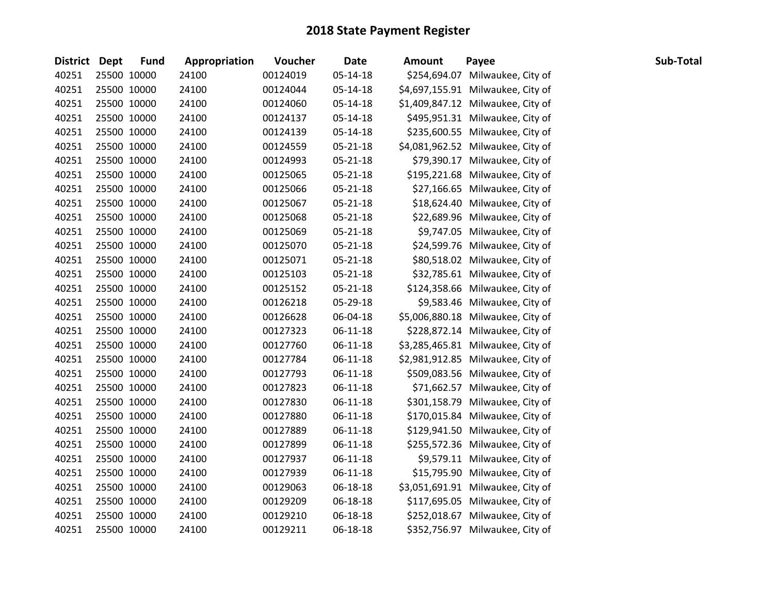| <b>District Dept</b> | <b>Fund</b> | Appropriation | Voucher  | <b>Date</b>    | <b>Amount</b> | Payee                             | Sub-Total |
|----------------------|-------------|---------------|----------|----------------|---------------|-----------------------------------|-----------|
| 40251                | 25500 10000 | 24100         | 00124019 | 05-14-18       |               | \$254,694.07 Milwaukee, City of   |           |
| 40251                | 25500 10000 | 24100         | 00124044 | 05-14-18       |               | \$4,697,155.91 Milwaukee, City of |           |
| 40251                | 25500 10000 | 24100         | 00124060 | 05-14-18       |               | \$1,409,847.12 Milwaukee, City of |           |
| 40251                | 25500 10000 | 24100         | 00124137 | 05-14-18       |               | \$495,951.31 Milwaukee, City of   |           |
| 40251                | 25500 10000 | 24100         | 00124139 | 05-14-18       |               | \$235,600.55 Milwaukee, City of   |           |
| 40251                | 25500 10000 | 24100         | 00124559 | $05 - 21 - 18$ |               | \$4,081,962.52 Milwaukee, City of |           |
| 40251                | 25500 10000 | 24100         | 00124993 | $05 - 21 - 18$ |               | \$79,390.17 Milwaukee, City of    |           |
| 40251                | 25500 10000 | 24100         | 00125065 | $05 - 21 - 18$ |               | \$195,221.68 Milwaukee, City of   |           |
| 40251                | 25500 10000 | 24100         | 00125066 | $05 - 21 - 18$ |               | \$27,166.65 Milwaukee, City of    |           |
| 40251                | 25500 10000 | 24100         | 00125067 | 05-21-18       |               | \$18,624.40 Milwaukee, City of    |           |
| 40251                | 25500 10000 | 24100         | 00125068 | 05-21-18       |               | \$22,689.96 Milwaukee, City of    |           |
| 40251                | 25500 10000 | 24100         | 00125069 | 05-21-18       |               | \$9,747.05 Milwaukee, City of     |           |
| 40251                | 25500 10000 | 24100         | 00125070 | 05-21-18       |               | \$24,599.76 Milwaukee, City of    |           |
| 40251                | 25500 10000 | 24100         | 00125071 | $05 - 21 - 18$ |               | \$80,518.02 Milwaukee, City of    |           |
| 40251                | 25500 10000 | 24100         | 00125103 | 05-21-18       |               | \$32,785.61 Milwaukee, City of    |           |
| 40251                | 25500 10000 | 24100         | 00125152 | $05 - 21 - 18$ |               | \$124,358.66 Milwaukee, City of   |           |
| 40251                | 25500 10000 | 24100         | 00126218 | 05-29-18       |               | \$9,583.46 Milwaukee, City of     |           |
| 40251                | 25500 10000 | 24100         | 00126628 | 06-04-18       |               | \$5,006,880.18 Milwaukee, City of |           |
| 40251                | 25500 10000 | 24100         | 00127323 | 06-11-18       |               | \$228,872.14 Milwaukee, City of   |           |
| 40251                | 25500 10000 | 24100         | 00127760 | 06-11-18       |               | \$3,285,465.81 Milwaukee, City of |           |
| 40251                | 25500 10000 | 24100         | 00127784 | 06-11-18       |               | \$2,981,912.85 Milwaukee, City of |           |
| 40251                | 25500 10000 | 24100         | 00127793 | 06-11-18       |               | \$509,083.56 Milwaukee, City of   |           |
| 40251                | 25500 10000 | 24100         | 00127823 | $06-11-18$     |               | \$71,662.57 Milwaukee, City of    |           |
| 40251                | 25500 10000 | 24100         | 00127830 | 06-11-18       |               | \$301,158.79 Milwaukee, City of   |           |
| 40251                | 25500 10000 | 24100         | 00127880 | $06-11-18$     |               | \$170,015.84 Milwaukee, City of   |           |
| 40251                | 25500 10000 | 24100         | 00127889 | 06-11-18       |               | \$129,941.50 Milwaukee, City of   |           |
| 40251                | 25500 10000 | 24100         | 00127899 | $06-11-18$     |               | \$255,572.36 Milwaukee, City of   |           |
| 40251                | 25500 10000 | 24100         | 00127937 | $06-11-18$     |               | \$9,579.11 Milwaukee, City of     |           |
| 40251                | 25500 10000 | 24100         | 00127939 | $06-11-18$     |               | \$15,795.90 Milwaukee, City of    |           |
| 40251                | 25500 10000 | 24100         | 00129063 | 06-18-18       |               | \$3,051,691.91 Milwaukee, City of |           |
| 40251                | 25500 10000 | 24100         | 00129209 | 06-18-18       |               | \$117,695.05 Milwaukee, City of   |           |
| 40251                | 25500 10000 | 24100         | 00129210 | 06-18-18       |               | \$252,018.67 Milwaukee, City of   |           |
| 40251                | 25500 10000 | 24100         | 00129211 | 06-18-18       |               | \$352,756.97 Milwaukee, City of   |           |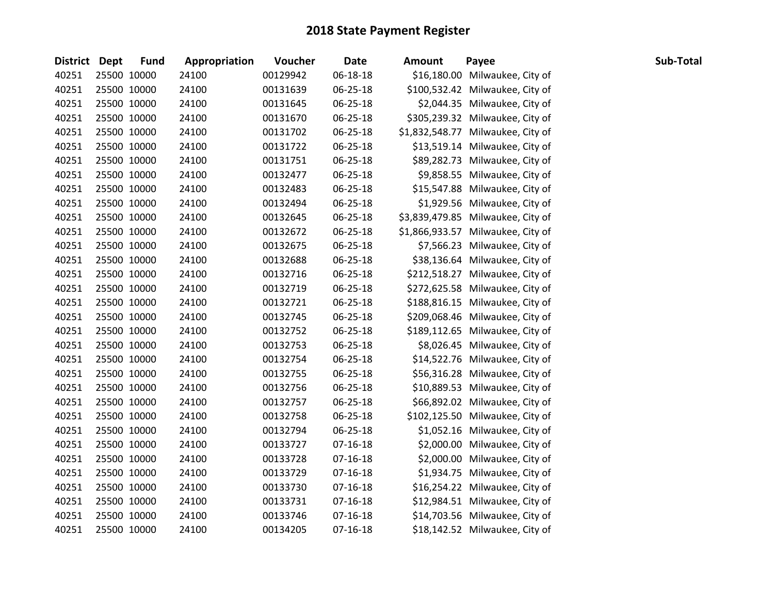| District Dept | <b>Fund</b> | Appropriation | Voucher  | <b>Date</b>    | <b>Amount</b> | Payee                             | Sub-Total |
|---------------|-------------|---------------|----------|----------------|---------------|-----------------------------------|-----------|
| 40251         | 25500 10000 | 24100         | 00129942 | 06-18-18       |               | \$16,180.00 Milwaukee, City of    |           |
| 40251         | 25500 10000 | 24100         | 00131639 | 06-25-18       |               | \$100,532.42 Milwaukee, City of   |           |
| 40251         | 25500 10000 | 24100         | 00131645 | 06-25-18       |               | \$2,044.35 Milwaukee, City of     |           |
| 40251         | 25500 10000 | 24100         | 00131670 | 06-25-18       |               | \$305,239.32 Milwaukee, City of   |           |
| 40251         | 25500 10000 | 24100         | 00131702 | 06-25-18       |               | \$1,832,548.77 Milwaukee, City of |           |
| 40251         | 25500 10000 | 24100         | 00131722 | 06-25-18       |               | \$13,519.14 Milwaukee, City of    |           |
| 40251         | 25500 10000 | 24100         | 00131751 | 06-25-18       |               | \$89,282.73 Milwaukee, City of    |           |
| 40251         | 25500 10000 | 24100         | 00132477 | 06-25-18       |               | \$9,858.55 Milwaukee, City of     |           |
| 40251         | 25500 10000 | 24100         | 00132483 | 06-25-18       |               | \$15,547.88 Milwaukee, City of    |           |
| 40251         | 25500 10000 | 24100         | 00132494 | 06-25-18       |               | \$1,929.56 Milwaukee, City of     |           |
| 40251         | 25500 10000 | 24100         | 00132645 | 06-25-18       |               | \$3,839,479.85 Milwaukee, City of |           |
| 40251         | 25500 10000 | 24100         | 00132672 | 06-25-18       |               | \$1,866,933.57 Milwaukee, City of |           |
| 40251         | 25500 10000 | 24100         | 00132675 | 06-25-18       |               | \$7,566.23 Milwaukee, City of     |           |
| 40251         | 25500 10000 | 24100         | 00132688 | 06-25-18       |               | \$38,136.64 Milwaukee, City of    |           |
| 40251         | 25500 10000 | 24100         | 00132716 | 06-25-18       |               | \$212,518.27 Milwaukee, City of   |           |
| 40251         | 25500 10000 | 24100         | 00132719 | 06-25-18       |               | \$272,625.58 Milwaukee, City of   |           |
| 40251         | 25500 10000 | 24100         | 00132721 | 06-25-18       |               | \$188,816.15 Milwaukee, City of   |           |
| 40251         | 25500 10000 | 24100         | 00132745 | 06-25-18       |               | \$209,068.46 Milwaukee, City of   |           |
| 40251         | 25500 10000 | 24100         | 00132752 | 06-25-18       |               | \$189,112.65 Milwaukee, City of   |           |
| 40251         | 25500 10000 | 24100         | 00132753 | 06-25-18       |               | \$8,026.45 Milwaukee, City of     |           |
| 40251         | 25500 10000 | 24100         | 00132754 | 06-25-18       |               | \$14,522.76 Milwaukee, City of    |           |
| 40251         | 25500 10000 | 24100         | 00132755 | 06-25-18       |               | \$56,316.28 Milwaukee, City of    |           |
| 40251         | 25500 10000 | 24100         | 00132756 | 06-25-18       |               | \$10,889.53 Milwaukee, City of    |           |
| 40251         | 25500 10000 | 24100         | 00132757 | 06-25-18       |               | \$66,892.02 Milwaukee, City of    |           |
| 40251         | 25500 10000 | 24100         | 00132758 | 06-25-18       |               | \$102,125.50 Milwaukee, City of   |           |
| 40251         | 25500 10000 | 24100         | 00132794 | 06-25-18       |               | \$1,052.16 Milwaukee, City of     |           |
| 40251         | 25500 10000 | 24100         | 00133727 | $07-16-18$     |               | \$2,000.00 Milwaukee, City of     |           |
| 40251         | 25500 10000 | 24100         | 00133728 | $07 - 16 - 18$ |               | \$2,000.00 Milwaukee, City of     |           |
| 40251         | 25500 10000 | 24100         | 00133729 | 07-16-18       |               | \$1,934.75 Milwaukee, City of     |           |
| 40251         | 25500 10000 | 24100         | 00133730 | $07-16-18$     |               | \$16,254.22 Milwaukee, City of    |           |
| 40251         | 25500 10000 | 24100         | 00133731 | $07-16-18$     |               | \$12,984.51 Milwaukee, City of    |           |
| 40251         | 25500 10000 | 24100         | 00133746 | $07-16-18$     |               | \$14,703.56 Milwaukee, City of    |           |
| 40251         | 25500 10000 | 24100         | 00134205 | 07-16-18       |               | \$18,142.52 Milwaukee, City of    |           |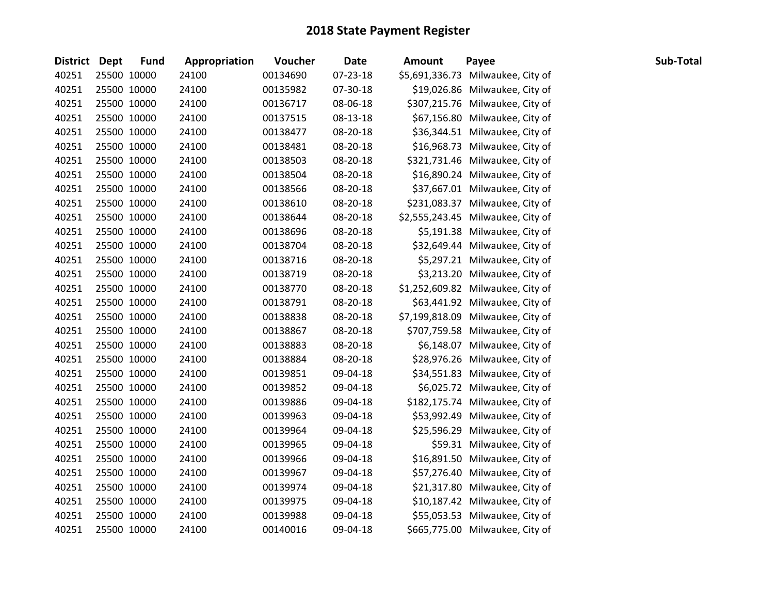| District Dept | <b>Fund</b> | Appropriation | Voucher  | <b>Date</b> | <b>Amount</b> | Payee                             | Sub-Total |
|---------------|-------------|---------------|----------|-------------|---------------|-----------------------------------|-----------|
| 40251         | 25500 10000 | 24100         | 00134690 | 07-23-18    |               | \$5,691,336.73 Milwaukee, City of |           |
| 40251         | 25500 10000 | 24100         | 00135982 | 07-30-18    |               | \$19,026.86 Milwaukee, City of    |           |
| 40251         | 25500 10000 | 24100         | 00136717 | 08-06-18    |               | \$307,215.76 Milwaukee, City of   |           |
| 40251         | 25500 10000 | 24100         | 00137515 | 08-13-18    |               | \$67,156.80 Milwaukee, City of    |           |
| 40251         | 25500 10000 | 24100         | 00138477 | 08-20-18    |               | \$36,344.51 Milwaukee, City of    |           |
| 40251         | 25500 10000 | 24100         | 00138481 | 08-20-18    |               | \$16,968.73 Milwaukee, City of    |           |
| 40251         | 25500 10000 | 24100         | 00138503 | 08-20-18    |               | \$321,731.46 Milwaukee, City of   |           |
| 40251         | 25500 10000 | 24100         | 00138504 | 08-20-18    |               | \$16,890.24 Milwaukee, City of    |           |
| 40251         | 25500 10000 | 24100         | 00138566 | 08-20-18    |               | \$37,667.01 Milwaukee, City of    |           |
| 40251         | 25500 10000 | 24100         | 00138610 | 08-20-18    |               | \$231,083.37 Milwaukee, City of   |           |
| 40251         | 25500 10000 | 24100         | 00138644 | 08-20-18    |               | \$2,555,243.45 Milwaukee, City of |           |
| 40251         | 25500 10000 | 24100         | 00138696 | 08-20-18    |               | \$5,191.38 Milwaukee, City of     |           |
| 40251         | 25500 10000 | 24100         | 00138704 | 08-20-18    |               | \$32,649.44 Milwaukee, City of    |           |
| 40251         | 25500 10000 | 24100         | 00138716 | 08-20-18    |               | \$5,297.21 Milwaukee, City of     |           |
| 40251         | 25500 10000 | 24100         | 00138719 | 08-20-18    |               | \$3,213.20 Milwaukee, City of     |           |
| 40251         | 25500 10000 | 24100         | 00138770 | 08-20-18    |               | \$1,252,609.82 Milwaukee, City of |           |
| 40251         | 25500 10000 | 24100         | 00138791 | 08-20-18    |               | \$63,441.92 Milwaukee, City of    |           |
| 40251         | 25500 10000 | 24100         | 00138838 | 08-20-18    |               | \$7,199,818.09 Milwaukee, City of |           |
| 40251         | 25500 10000 | 24100         | 00138867 | 08-20-18    |               | \$707,759.58 Milwaukee, City of   |           |
| 40251         | 25500 10000 | 24100         | 00138883 | 08-20-18    |               | \$6,148.07 Milwaukee, City of     |           |
| 40251         | 25500 10000 | 24100         | 00138884 | 08-20-18    |               | \$28,976.26 Milwaukee, City of    |           |
| 40251         | 25500 10000 | 24100         | 00139851 | 09-04-18    |               | \$34,551.83 Milwaukee, City of    |           |
| 40251         | 25500 10000 | 24100         | 00139852 | 09-04-18    |               | \$6,025.72 Milwaukee, City of     |           |
| 40251         | 25500 10000 | 24100         | 00139886 | 09-04-18    |               | \$182,175.74 Milwaukee, City of   |           |
| 40251         | 25500 10000 | 24100         | 00139963 | 09-04-18    |               | \$53,992.49 Milwaukee, City of    |           |
| 40251         | 25500 10000 | 24100         | 00139964 | 09-04-18    |               | \$25,596.29 Milwaukee, City of    |           |
| 40251         | 25500 10000 | 24100         | 00139965 | 09-04-18    |               | \$59.31 Milwaukee, City of        |           |
| 40251         | 25500 10000 | 24100         | 00139966 | 09-04-18    |               | \$16,891.50 Milwaukee, City of    |           |
| 40251         | 25500 10000 | 24100         | 00139967 | 09-04-18    |               | \$57,276.40 Milwaukee, City of    |           |
| 40251         | 25500 10000 | 24100         | 00139974 | 09-04-18    |               | \$21,317.80 Milwaukee, City of    |           |
| 40251         | 25500 10000 | 24100         | 00139975 | 09-04-18    |               | \$10,187.42 Milwaukee, City of    |           |
| 40251         | 25500 10000 | 24100         | 00139988 | 09-04-18    |               | \$55,053.53 Milwaukee, City of    |           |
| 40251         | 25500 10000 | 24100         | 00140016 | 09-04-18    |               | \$665,775.00 Milwaukee, City of   |           |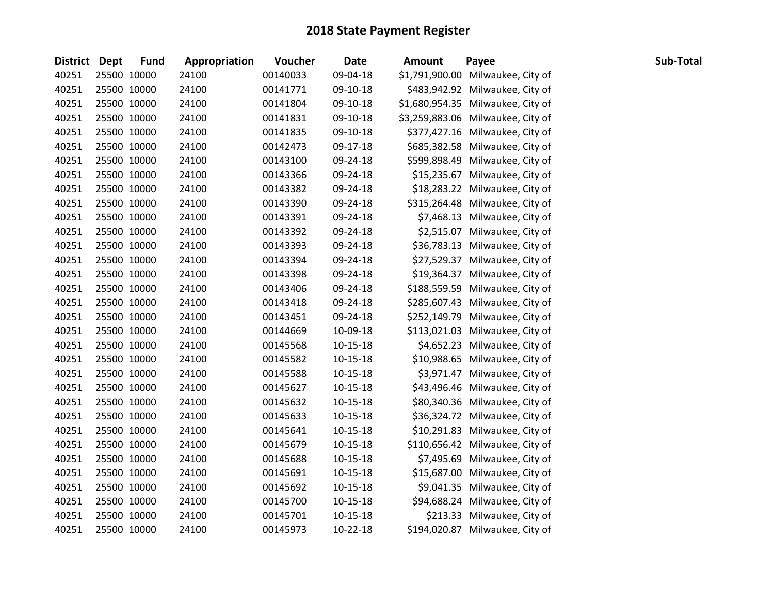| <b>District Dept</b> |             | <b>Fund</b> | Appropriation | Voucher  | <b>Date</b>    | <b>Amount</b> | Payee                             | Sub-Total |
|----------------------|-------------|-------------|---------------|----------|----------------|---------------|-----------------------------------|-----------|
| 40251                |             | 25500 10000 | 24100         | 00140033 | 09-04-18       |               | \$1,791,900.00 Milwaukee, City of |           |
| 40251                |             | 25500 10000 | 24100         | 00141771 | 09-10-18       |               | \$483,942.92 Milwaukee, City of   |           |
| 40251                |             | 25500 10000 | 24100         | 00141804 | 09-10-18       |               | \$1,680,954.35 Milwaukee, City of |           |
| 40251                | 25500 10000 |             | 24100         | 00141831 | 09-10-18       |               | \$3,259,883.06 Milwaukee, City of |           |
| 40251                |             | 25500 10000 | 24100         | 00141835 | 09-10-18       |               | \$377,427.16 Milwaukee, City of   |           |
| 40251                |             | 25500 10000 | 24100         | 00142473 | 09-17-18       |               | \$685,382.58 Milwaukee, City of   |           |
| 40251                |             | 25500 10000 | 24100         | 00143100 | 09-24-18       |               | \$599,898.49 Milwaukee, City of   |           |
| 40251                |             | 25500 10000 | 24100         | 00143366 | 09-24-18       |               | \$15,235.67 Milwaukee, City of    |           |
| 40251                |             | 25500 10000 | 24100         | 00143382 | 09-24-18       |               | \$18,283.22 Milwaukee, City of    |           |
| 40251                |             | 25500 10000 | 24100         | 00143390 | 09-24-18       |               | \$315,264.48 Milwaukee, City of   |           |
| 40251                |             | 25500 10000 | 24100         | 00143391 | 09-24-18       |               | \$7,468.13 Milwaukee, City of     |           |
| 40251                |             | 25500 10000 | 24100         | 00143392 | 09-24-18       |               | \$2,515.07 Milwaukee, City of     |           |
| 40251                |             | 25500 10000 | 24100         | 00143393 | 09-24-18       |               | \$36,783.13 Milwaukee, City of    |           |
| 40251                |             | 25500 10000 | 24100         | 00143394 | 09-24-18       |               | \$27,529.37 Milwaukee, City of    |           |
| 40251                |             | 25500 10000 | 24100         | 00143398 | 09-24-18       |               | \$19,364.37 Milwaukee, City of    |           |
| 40251                |             | 25500 10000 | 24100         | 00143406 | 09-24-18       |               | \$188,559.59 Milwaukee, City of   |           |
| 40251                |             | 25500 10000 | 24100         | 00143418 | 09-24-18       |               | \$285,607.43 Milwaukee, City of   |           |
| 40251                |             | 25500 10000 | 24100         | 00143451 | 09-24-18       |               | \$252,149.79 Milwaukee, City of   |           |
| 40251                |             | 25500 10000 | 24100         | 00144669 | 10-09-18       |               | \$113,021.03 Milwaukee, City of   |           |
| 40251                |             | 25500 10000 | 24100         | 00145568 | 10-15-18       |               | \$4,652.23 Milwaukee, City of     |           |
| 40251                |             | 25500 10000 | 24100         | 00145582 | $10-15-18$     |               | \$10,988.65 Milwaukee, City of    |           |
| 40251                |             | 25500 10000 | 24100         | 00145588 | 10-15-18       |               | \$3,971.47 Milwaukee, City of     |           |
| 40251                |             | 25500 10000 | 24100         | 00145627 | $10-15-18$     |               | \$43,496.46 Milwaukee, City of    |           |
| 40251                |             | 25500 10000 | 24100         | 00145632 | 10-15-18       |               | \$80,340.36 Milwaukee, City of    |           |
| 40251                |             | 25500 10000 | 24100         | 00145633 | $10-15-18$     |               | \$36,324.72 Milwaukee, City of    |           |
| 40251                |             | 25500 10000 | 24100         | 00145641 | 10-15-18       |               | \$10,291.83 Milwaukee, City of    |           |
| 40251                |             | 25500 10000 | 24100         | 00145679 | $10-15-18$     |               | \$110,656.42 Milwaukee, City of   |           |
| 40251                |             | 25500 10000 | 24100         | 00145688 | $10 - 15 - 18$ |               | \$7,495.69 Milwaukee, City of     |           |
| 40251                |             | 25500 10000 | 24100         | 00145691 | 10-15-18       |               | \$15,687.00 Milwaukee, City of    |           |
| 40251                |             | 25500 10000 | 24100         | 00145692 | $10-15-18$     |               | \$9,041.35 Milwaukee, City of     |           |
| 40251                |             | 25500 10000 | 24100         | 00145700 | $10-15-18$     |               | \$94,688.24 Milwaukee, City of    |           |
| 40251                |             | 25500 10000 | 24100         | 00145701 | 10-15-18       |               | \$213.33 Milwaukee, City of       |           |
| 40251                |             | 25500 10000 | 24100         | 00145973 | $10-22-18$     |               | \$194,020.87 Milwaukee, City of   |           |
|                      |             |             |               |          |                |               |                                   |           |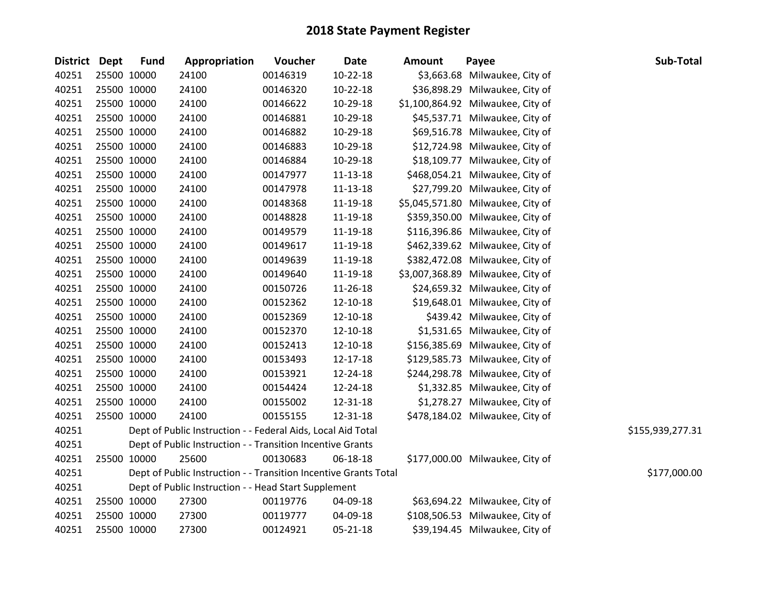| District Dept |             | <b>Fund</b> | Appropriation                                                    | Voucher  | <b>Date</b>    | <b>Amount</b> | Payee                             | Sub-Total        |
|---------------|-------------|-------------|------------------------------------------------------------------|----------|----------------|---------------|-----------------------------------|------------------|
| 40251         | 25500 10000 |             | 24100                                                            | 00146319 | 10-22-18       |               | \$3,663.68 Milwaukee, City of     |                  |
| 40251         | 25500 10000 |             | 24100                                                            | 00146320 | $10-22-18$     |               | \$36,898.29 Milwaukee, City of    |                  |
| 40251         | 25500 10000 |             | 24100                                                            | 00146622 | 10-29-18       |               | \$1,100,864.92 Milwaukee, City of |                  |
| 40251         | 25500 10000 |             | 24100                                                            | 00146881 | 10-29-18       |               | \$45,537.71 Milwaukee, City of    |                  |
| 40251         | 25500 10000 |             | 24100                                                            | 00146882 | 10-29-18       |               | \$69,516.78 Milwaukee, City of    |                  |
| 40251         | 25500 10000 |             | 24100                                                            | 00146883 | 10-29-18       |               | \$12,724.98 Milwaukee, City of    |                  |
| 40251         | 25500 10000 |             | 24100                                                            | 00146884 | 10-29-18       |               | \$18,109.77 Milwaukee, City of    |                  |
| 40251         | 25500 10000 |             | 24100                                                            | 00147977 | 11-13-18       |               | \$468,054.21 Milwaukee, City of   |                  |
| 40251         | 25500 10000 |             | 24100                                                            | 00147978 | $11 - 13 - 18$ |               | \$27,799.20 Milwaukee, City of    |                  |
| 40251         | 25500 10000 |             | 24100                                                            | 00148368 | 11-19-18       |               | \$5,045,571.80 Milwaukee, City of |                  |
| 40251         | 25500 10000 |             | 24100                                                            | 00148828 | 11-19-18       |               | \$359,350.00 Milwaukee, City of   |                  |
| 40251         | 25500 10000 |             | 24100                                                            | 00149579 | 11-19-18       |               | \$116,396.86 Milwaukee, City of   |                  |
| 40251         | 25500 10000 |             | 24100                                                            | 00149617 | 11-19-18       |               | \$462,339.62 Milwaukee, City of   |                  |
| 40251         | 25500 10000 |             | 24100                                                            | 00149639 | 11-19-18       |               | \$382,472.08 Milwaukee, City of   |                  |
| 40251         | 25500 10000 |             | 24100                                                            | 00149640 | 11-19-18       |               | \$3,007,368.89 Milwaukee, City of |                  |
| 40251         | 25500 10000 |             | 24100                                                            | 00150726 | 11-26-18       |               | \$24,659.32 Milwaukee, City of    |                  |
| 40251         | 25500 10000 |             | 24100                                                            | 00152362 | 12-10-18       |               | \$19,648.01 Milwaukee, City of    |                  |
| 40251         | 25500 10000 |             | 24100                                                            | 00152369 | 12-10-18       |               | \$439.42 Milwaukee, City of       |                  |
| 40251         | 25500 10000 |             | 24100                                                            | 00152370 | 12-10-18       |               | \$1,531.65 Milwaukee, City of     |                  |
| 40251         | 25500 10000 |             | 24100                                                            | 00152413 | 12-10-18       |               | \$156,385.69 Milwaukee, City of   |                  |
| 40251         | 25500 10000 |             | 24100                                                            | 00153493 | 12-17-18       |               | \$129,585.73 Milwaukee, City of   |                  |
| 40251         | 25500 10000 |             | 24100                                                            | 00153921 | 12-24-18       |               | \$244,298.78 Milwaukee, City of   |                  |
| 40251         | 25500 10000 |             | 24100                                                            | 00154424 | 12-24-18       |               | \$1,332.85 Milwaukee, City of     |                  |
| 40251         | 25500 10000 |             | 24100                                                            | 00155002 | 12-31-18       |               | \$1,278.27 Milwaukee, City of     |                  |
| 40251         | 25500 10000 |             | 24100                                                            | 00155155 | 12-31-18       |               | \$478,184.02 Milwaukee, City of   |                  |
| 40251         |             |             | Dept of Public Instruction - - Federal Aids, Local Aid Total     |          |                |               |                                   | \$155,939,277.31 |
| 40251         |             |             | Dept of Public Instruction - - Transition Incentive Grants       |          |                |               |                                   |                  |
| 40251         | 25500 10000 |             | 25600                                                            | 00130683 | 06-18-18       |               | \$177,000.00 Milwaukee, City of   |                  |
| 40251         |             |             | Dept of Public Instruction - - Transition Incentive Grants Total |          |                |               |                                   | \$177,000.00     |
| 40251         |             |             | Dept of Public Instruction - - Head Start Supplement             |          |                |               |                                   |                  |
| 40251         | 25500 10000 |             | 27300                                                            | 00119776 | 04-09-18       |               | \$63,694.22 Milwaukee, City of    |                  |
| 40251         | 25500 10000 |             | 27300                                                            | 00119777 | 04-09-18       |               | \$108,506.53 Milwaukee, City of   |                  |
| 40251         | 25500 10000 |             | 27300                                                            | 00124921 | $05 - 21 - 18$ |               | \$39,194.45 Milwaukee, City of    |                  |
|               |             |             |                                                                  |          |                |               |                                   |                  |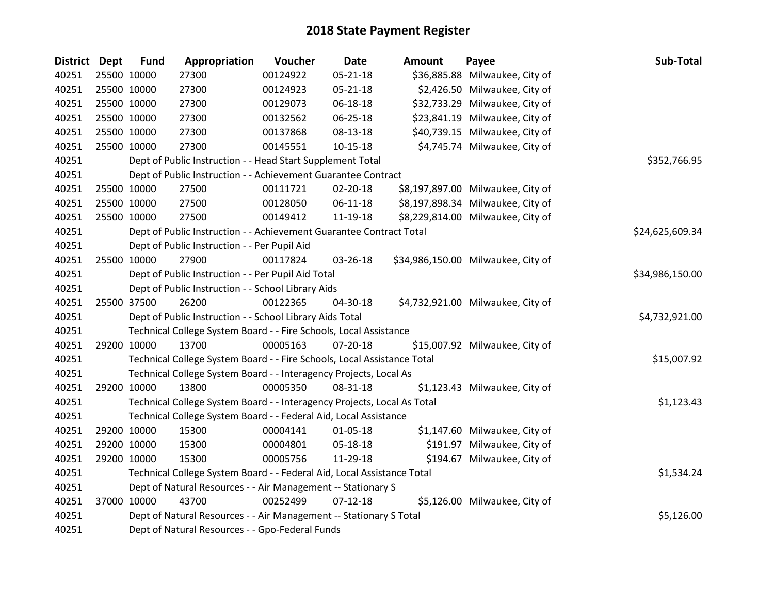| <b>District Dept</b> | <b>Fund</b> | Appropriation                                                           | Voucher  | <b>Date</b>    | <b>Amount</b> | Payee                              | Sub-Total       |
|----------------------|-------------|-------------------------------------------------------------------------|----------|----------------|---------------|------------------------------------|-----------------|
| 40251                | 25500 10000 | 27300                                                                   | 00124922 | 05-21-18       |               | \$36,885.88 Milwaukee, City of     |                 |
| 40251                | 25500 10000 | 27300                                                                   | 00124923 | $05 - 21 - 18$ |               | \$2,426.50 Milwaukee, City of      |                 |
| 40251                | 25500 10000 | 27300                                                                   | 00129073 | 06-18-18       |               | \$32,733.29 Milwaukee, City of     |                 |
| 40251                | 25500 10000 | 27300                                                                   | 00132562 | 06-25-18       |               | \$23,841.19 Milwaukee, City of     |                 |
| 40251                | 25500 10000 | 27300                                                                   | 00137868 | 08-13-18       |               | \$40,739.15 Milwaukee, City of     |                 |
| 40251                | 25500 10000 | 27300                                                                   | 00145551 | $10 - 15 - 18$ |               | \$4,745.74 Milwaukee, City of      |                 |
| 40251                |             | Dept of Public Instruction - - Head Start Supplement Total              |          |                |               |                                    | \$352,766.95    |
| 40251                |             | Dept of Public Instruction - - Achievement Guarantee Contract           |          |                |               |                                    |                 |
| 40251                | 25500 10000 | 27500                                                                   | 00111721 | 02-20-18       |               | \$8,197,897.00 Milwaukee, City of  |                 |
| 40251                | 25500 10000 | 27500                                                                   | 00128050 | $06-11-18$     |               | \$8,197,898.34 Milwaukee, City of  |                 |
| 40251                | 25500 10000 | 27500                                                                   | 00149412 | 11-19-18       |               | \$8,229,814.00 Milwaukee, City of  |                 |
| 40251                |             | Dept of Public Instruction - - Achievement Guarantee Contract Total     |          |                |               |                                    | \$24,625,609.34 |
| 40251                |             | Dept of Public Instruction - - Per Pupil Aid                            |          |                |               |                                    |                 |
| 40251                | 25500 10000 | 27900                                                                   | 00117824 | 03-26-18       |               | \$34,986,150.00 Milwaukee, City of |                 |
| 40251                |             | Dept of Public Instruction - - Per Pupil Aid Total                      |          |                |               |                                    | \$34,986,150.00 |
| 40251                |             | Dept of Public Instruction - - School Library Aids                      |          |                |               |                                    |                 |
| 40251                | 25500 37500 | 26200                                                                   | 00122365 | 04-30-18       |               | \$4,732,921.00 Milwaukee, City of  |                 |
| 40251                |             | Dept of Public Instruction - - School Library Aids Total                |          |                |               |                                    | \$4,732,921.00  |
| 40251                |             | Technical College System Board - - Fire Schools, Local Assistance       |          |                |               |                                    |                 |
| 40251                | 29200 10000 | 13700                                                                   | 00005163 | 07-20-18       |               | \$15,007.92 Milwaukee, City of     |                 |
| 40251                |             | Technical College System Board - - Fire Schools, Local Assistance Total |          |                |               |                                    | \$15,007.92     |
| 40251                |             | Technical College System Board - - Interagency Projects, Local As       |          |                |               |                                    |                 |
| 40251                | 29200 10000 | 13800                                                                   | 00005350 | 08-31-18       |               | \$1,123.43 Milwaukee, City of      |                 |
| 40251                |             | Technical College System Board - - Interagency Projects, Local As Total |          |                |               |                                    | \$1,123.43      |
| 40251                |             | Technical College System Board - - Federal Aid, Local Assistance        |          |                |               |                                    |                 |
| 40251                | 29200 10000 | 15300                                                                   | 00004141 | $01 - 05 - 18$ |               | \$1,147.60 Milwaukee, City of      |                 |
| 40251                | 29200 10000 | 15300                                                                   | 00004801 | 05-18-18       |               | \$191.97 Milwaukee, City of        |                 |
| 40251                | 29200 10000 | 15300                                                                   | 00005756 | 11-29-18       |               | \$194.67 Milwaukee, City of        |                 |
| 40251                |             | Technical College System Board - - Federal Aid, Local Assistance Total  |          |                |               |                                    | \$1,534.24      |
| 40251                |             | Dept of Natural Resources - - Air Management -- Stationary S            |          |                |               |                                    |                 |
| 40251                | 37000 10000 | 43700                                                                   | 00252499 | $07 - 12 - 18$ |               | \$5,126.00 Milwaukee, City of      |                 |
| 40251                |             | Dept of Natural Resources - - Air Management -- Stationary S Total      |          |                |               |                                    | \$5,126.00      |
| 40251                |             | Dept of Natural Resources - - Gpo-Federal Funds                         |          |                |               |                                    |                 |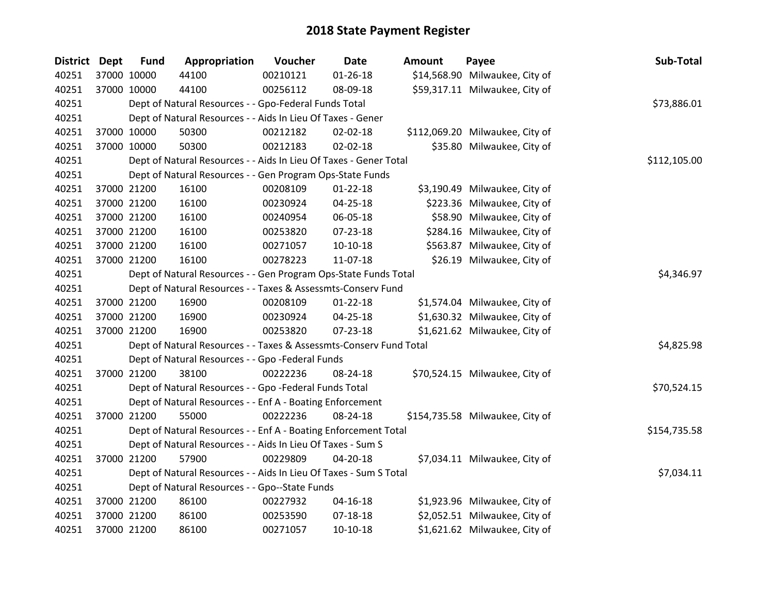| District Dept |             | <b>Fund</b> | Appropriation                                                      | Voucher  | <b>Date</b>    | <b>Amount</b> | Payee                           | Sub-Total    |
|---------------|-------------|-------------|--------------------------------------------------------------------|----------|----------------|---------------|---------------------------------|--------------|
| 40251         | 37000 10000 |             | 44100                                                              | 00210121 | $01 - 26 - 18$ |               | \$14,568.90 Milwaukee, City of  |              |
| 40251         |             | 37000 10000 | 44100                                                              | 00256112 | 08-09-18       |               | \$59,317.11 Milwaukee, City of  |              |
| 40251         |             |             | Dept of Natural Resources - - Gpo-Federal Funds Total              |          |                |               |                                 | \$73,886.01  |
| 40251         |             |             | Dept of Natural Resources - - Aids In Lieu Of Taxes - Gener        |          |                |               |                                 |              |
| 40251         |             | 37000 10000 | 50300                                                              | 00212182 | 02-02-18       |               | \$112,069.20 Milwaukee, City of |              |
| 40251         |             | 37000 10000 | 50300                                                              | 00212183 | $02 - 02 - 18$ |               | \$35.80 Milwaukee, City of      |              |
| 40251         |             |             | Dept of Natural Resources - - Aids In Lieu Of Taxes - Gener Total  |          |                |               |                                 | \$112,105.00 |
| 40251         |             |             | Dept of Natural Resources - - Gen Program Ops-State Funds          |          |                |               |                                 |              |
| 40251         |             | 37000 21200 | 16100                                                              | 00208109 | $01 - 22 - 18$ |               | \$3,190.49 Milwaukee, City of   |              |
| 40251         |             | 37000 21200 | 16100                                                              | 00230924 | 04-25-18       |               | \$223.36 Milwaukee, City of     |              |
| 40251         |             | 37000 21200 | 16100                                                              | 00240954 | 06-05-18       |               | \$58.90 Milwaukee, City of      |              |
| 40251         |             | 37000 21200 | 16100                                                              | 00253820 | 07-23-18       |               | \$284.16 Milwaukee, City of     |              |
| 40251         |             | 37000 21200 | 16100                                                              | 00271057 | $10-10-18$     |               | \$563.87 Milwaukee, City of     |              |
| 40251         |             | 37000 21200 | 16100                                                              | 00278223 | 11-07-18       |               | \$26.19 Milwaukee, City of      |              |
| 40251         |             |             | Dept of Natural Resources - - Gen Program Ops-State Funds Total    |          |                |               |                                 | \$4,346.97   |
| 40251         |             |             | Dept of Natural Resources - - Taxes & Assessmts-Conserv Fund       |          |                |               |                                 |              |
| 40251         |             | 37000 21200 | 16900                                                              | 00208109 | $01 - 22 - 18$ |               | \$1,574.04 Milwaukee, City of   |              |
| 40251         |             | 37000 21200 | 16900                                                              | 00230924 | 04-25-18       |               | \$1,630.32 Milwaukee, City of   |              |
| 40251         |             | 37000 21200 | 16900                                                              | 00253820 | 07-23-18       |               | \$1,621.62 Milwaukee, City of   |              |
| 40251         |             |             | Dept of Natural Resources - - Taxes & Assessmts-Conserv Fund Total |          |                |               |                                 | \$4,825.98   |
| 40251         |             |             | Dept of Natural Resources - - Gpo -Federal Funds                   |          |                |               |                                 |              |
| 40251         |             | 37000 21200 | 38100                                                              | 00222236 | 08-24-18       |               | \$70,524.15 Milwaukee, City of  |              |
| 40251         |             |             | Dept of Natural Resources - - Gpo -Federal Funds Total             |          |                |               |                                 | \$70,524.15  |
| 40251         |             |             | Dept of Natural Resources - - Enf A - Boating Enforcement          |          |                |               |                                 |              |
| 40251         |             | 37000 21200 | 55000                                                              | 00222236 | 08-24-18       |               | \$154,735.58 Milwaukee, City of |              |
| 40251         |             |             | Dept of Natural Resources - - Enf A - Boating Enforcement Total    |          |                |               |                                 | \$154,735.58 |
| 40251         |             |             | Dept of Natural Resources - - Aids In Lieu Of Taxes - Sum S        |          |                |               |                                 |              |
| 40251         |             | 37000 21200 | 57900                                                              | 00229809 | 04-20-18       |               | \$7,034.11 Milwaukee, City of   |              |
| 40251         |             |             | Dept of Natural Resources - - Aids In Lieu Of Taxes - Sum S Total  |          |                |               |                                 | \$7,034.11   |
| 40251         |             |             | Dept of Natural Resources - - Gpo--State Funds                     |          |                |               |                                 |              |
| 40251         |             | 37000 21200 | 86100                                                              | 00227932 | $04 - 16 - 18$ |               | \$1,923.96 Milwaukee, City of   |              |
| 40251         |             | 37000 21200 | 86100                                                              | 00253590 | 07-18-18       |               | \$2,052.51 Milwaukee, City of   |              |
| 40251         | 37000 21200 |             | 86100                                                              | 00271057 | $10-10-18$     |               | \$1,621.62 Milwaukee, City of   |              |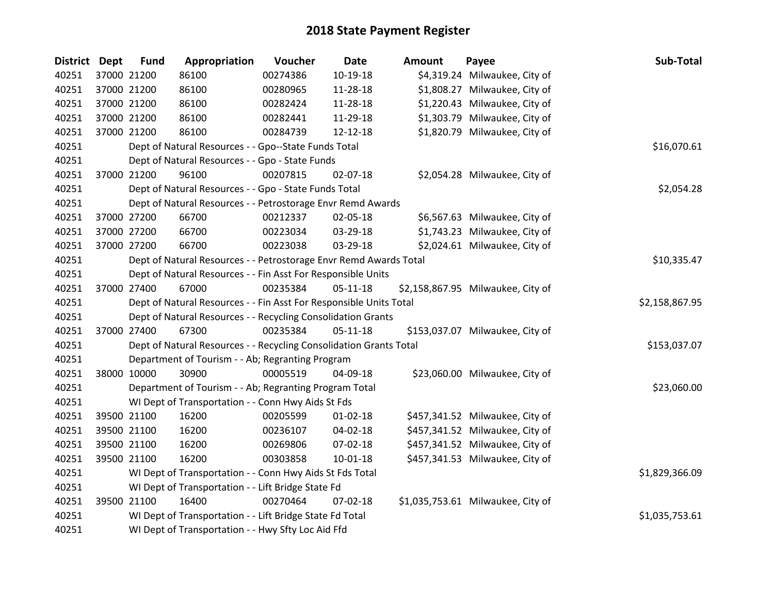| District Dept | <b>Fund</b> | Appropriation                                                      | Voucher  | <b>Date</b>    | <b>Amount</b> | Payee                             | Sub-Total      |
|---------------|-------------|--------------------------------------------------------------------|----------|----------------|---------------|-----------------------------------|----------------|
| 40251         | 37000 21200 | 86100                                                              | 00274386 | 10-19-18       |               | \$4,319.24 Milwaukee, City of     |                |
| 40251         | 37000 21200 | 86100                                                              | 00280965 | 11-28-18       |               | \$1,808.27 Milwaukee, City of     |                |
| 40251         | 37000 21200 | 86100                                                              | 00282424 | 11-28-18       |               | \$1,220.43 Milwaukee, City of     |                |
| 40251         | 37000 21200 | 86100                                                              | 00282441 | 11-29-18       |               | \$1,303.79 Milwaukee, City of     |                |
| 40251         | 37000 21200 | 86100                                                              | 00284739 | 12-12-18       |               | \$1,820.79 Milwaukee, City of     |                |
| 40251         |             | Dept of Natural Resources - - Gpo--State Funds Total               |          |                |               |                                   | \$16,070.61    |
| 40251         |             | Dept of Natural Resources - - Gpo - State Funds                    |          |                |               |                                   |                |
| 40251         | 37000 21200 | 96100                                                              | 00207815 | 02-07-18       |               | \$2,054.28 Milwaukee, City of     |                |
| 40251         |             | Dept of Natural Resources - - Gpo - State Funds Total              |          |                |               |                                   | \$2,054.28     |
| 40251         |             | Dept of Natural Resources - - Petrostorage Envr Remd Awards        |          |                |               |                                   |                |
| 40251         | 37000 27200 | 66700                                                              | 00212337 | 02-05-18       |               | \$6,567.63 Milwaukee, City of     |                |
| 40251         | 37000 27200 | 66700                                                              | 00223034 | 03-29-18       |               | \$1,743.23 Milwaukee, City of     |                |
| 40251         | 37000 27200 | 66700                                                              | 00223038 | 03-29-18       |               | \$2,024.61 Milwaukee, City of     |                |
| 40251         |             | Dept of Natural Resources - - Petrostorage Envr Remd Awards Total  |          |                |               |                                   | \$10,335.47    |
| 40251         |             | Dept of Natural Resources - - Fin Asst For Responsible Units       |          |                |               |                                   |                |
| 40251         | 37000 27400 | 67000                                                              | 00235384 | $05 - 11 - 18$ |               | \$2,158,867.95 Milwaukee, City of |                |
| 40251         |             | Dept of Natural Resources - - Fin Asst For Responsible Units Total |          |                |               |                                   | \$2,158,867.95 |
| 40251         |             | Dept of Natural Resources - - Recycling Consolidation Grants       |          |                |               |                                   |                |
| 40251         | 37000 27400 | 67300                                                              | 00235384 | $05-11-18$     |               | \$153,037.07 Milwaukee, City of   |                |
| 40251         |             | Dept of Natural Resources - - Recycling Consolidation Grants Total |          |                |               |                                   | \$153,037.07   |
| 40251         |             | Department of Tourism - - Ab; Regranting Program                   |          |                |               |                                   |                |
| 40251         | 38000 10000 | 30900                                                              | 00005519 | 04-09-18       |               | \$23,060.00 Milwaukee, City of    |                |
| 40251         |             | Department of Tourism - - Ab; Regranting Program Total             |          |                |               |                                   | \$23,060.00    |
| 40251         |             | WI Dept of Transportation - - Conn Hwy Aids St Fds                 |          |                |               |                                   |                |
| 40251         | 39500 21100 | 16200                                                              | 00205599 | $01 - 02 - 18$ |               | \$457,341.52 Milwaukee, City of   |                |
| 40251         | 39500 21100 | 16200                                                              | 00236107 | 04-02-18       |               | \$457,341.52 Milwaukee, City of   |                |
| 40251         | 39500 21100 | 16200                                                              | 00269806 | 07-02-18       |               | \$457,341.52 Milwaukee, City of   |                |
| 40251         | 39500 21100 | 16200                                                              | 00303858 | $10-01-18$     |               | \$457,341.53 Milwaukee, City of   |                |
| 40251         |             | WI Dept of Transportation - - Conn Hwy Aids St Fds Total           |          |                |               |                                   | \$1,829,366.09 |
| 40251         |             | WI Dept of Transportation - - Lift Bridge State Fd                 |          |                |               |                                   |                |
| 40251         | 39500 21100 | 16400                                                              | 00270464 | $07 - 02 - 18$ |               | \$1,035,753.61 Milwaukee, City of |                |
| 40251         |             | WI Dept of Transportation - - Lift Bridge State Fd Total           |          |                |               |                                   | \$1,035,753.61 |
| 40251         |             | WI Dept of Transportation - - Hwy Sfty Loc Aid Ffd                 |          |                |               |                                   |                |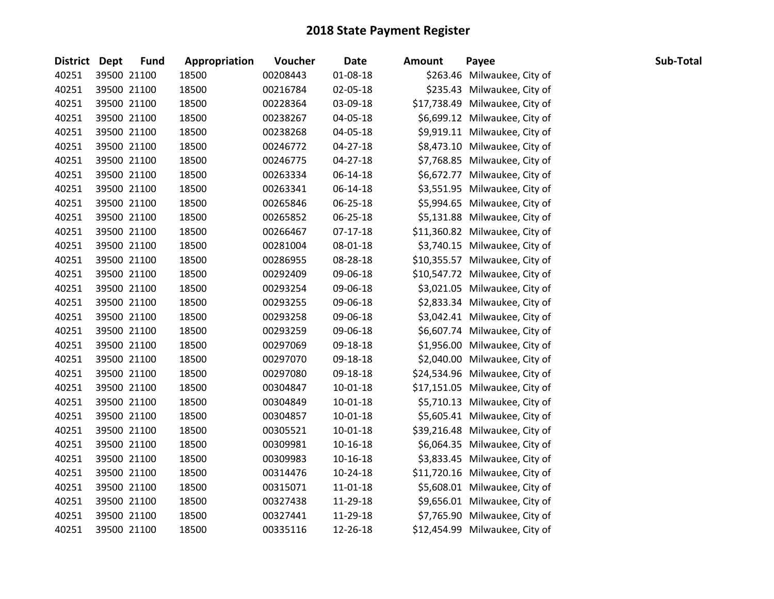| District Dept | <b>Fund</b> | Appropriation | Voucher  | <b>Date</b>    | <b>Amount</b> | Payee                          | Sub-Total |
|---------------|-------------|---------------|----------|----------------|---------------|--------------------------------|-----------|
| 40251         | 39500 21100 | 18500         | 00208443 | 01-08-18       |               | \$263.46 Milwaukee, City of    |           |
| 40251         | 39500 21100 | 18500         | 00216784 | 02-05-18       |               | \$235.43 Milwaukee, City of    |           |
| 40251         | 39500 21100 | 18500         | 00228364 | 03-09-18       |               | \$17,738.49 Milwaukee, City of |           |
| 40251         | 39500 21100 | 18500         | 00238267 | 04-05-18       |               | \$6,699.12 Milwaukee, City of  |           |
| 40251         | 39500 21100 | 18500         | 00238268 | 04-05-18       |               | \$9,919.11 Milwaukee, City of  |           |
| 40251         | 39500 21100 | 18500         | 00246772 | 04-27-18       |               | \$8,473.10 Milwaukee, City of  |           |
| 40251         | 39500 21100 | 18500         | 00246775 | 04-27-18       |               | \$7,768.85 Milwaukee, City of  |           |
| 40251         | 39500 21100 | 18500         | 00263334 | 06-14-18       |               | \$6,672.77 Milwaukee, City of  |           |
| 40251         | 39500 21100 | 18500         | 00263341 | 06-14-18       |               | \$3,551.95 Milwaukee, City of  |           |
| 40251         | 39500 21100 | 18500         | 00265846 | 06-25-18       |               | \$5,994.65 Milwaukee, City of  |           |
| 40251         | 39500 21100 | 18500         | 00265852 | 06-25-18       |               | \$5,131.88 Milwaukee, City of  |           |
| 40251         | 39500 21100 | 18500         | 00266467 | $07-17-18$     |               | \$11,360.82 Milwaukee, City of |           |
| 40251         | 39500 21100 | 18500         | 00281004 | 08-01-18       |               | \$3,740.15 Milwaukee, City of  |           |
| 40251         | 39500 21100 | 18500         | 00286955 | 08-28-18       |               | \$10,355.57 Milwaukee, City of |           |
| 40251         | 39500 21100 | 18500         | 00292409 | 09-06-18       |               | \$10,547.72 Milwaukee, City of |           |
| 40251         | 39500 21100 | 18500         | 00293254 | 09-06-18       |               | \$3,021.05 Milwaukee, City of  |           |
| 40251         | 39500 21100 | 18500         | 00293255 | 09-06-18       |               | \$2,833.34 Milwaukee, City of  |           |
| 40251         | 39500 21100 | 18500         | 00293258 | 09-06-18       |               | \$3,042.41 Milwaukee, City of  |           |
| 40251         | 39500 21100 | 18500         | 00293259 | 09-06-18       |               | \$6,607.74 Milwaukee, City of  |           |
| 40251         | 39500 21100 | 18500         | 00297069 | 09-18-18       |               | \$1,956.00 Milwaukee, City of  |           |
| 40251         | 39500 21100 | 18500         | 00297070 | 09-18-18       |               | \$2,040.00 Milwaukee, City of  |           |
| 40251         | 39500 21100 | 18500         | 00297080 | 09-18-18       |               | \$24,534.96 Milwaukee, City of |           |
| 40251         | 39500 21100 | 18500         | 00304847 | $10 - 01 - 18$ |               | \$17,151.05 Milwaukee, City of |           |
| 40251         | 39500 21100 | 18500         | 00304849 | $10 - 01 - 18$ |               | \$5,710.13 Milwaukee, City of  |           |
| 40251         | 39500 21100 | 18500         | 00304857 | 10-01-18       |               | \$5,605.41 Milwaukee, City of  |           |
| 40251         | 39500 21100 | 18500         | 00305521 | 10-01-18       |               | \$39,216.48 Milwaukee, City of |           |
| 40251         | 39500 21100 | 18500         | 00309981 | 10-16-18       |               | \$6,064.35 Milwaukee, City of  |           |
| 40251         | 39500 21100 | 18500         | 00309983 | 10-16-18       |               | \$3,833.45 Milwaukee, City of  |           |
| 40251         | 39500 21100 | 18500         | 00314476 | 10-24-18       |               | \$11,720.16 Milwaukee, City of |           |
| 40251         | 39500 21100 | 18500         | 00315071 | 11-01-18       |               | \$5,608.01 Milwaukee, City of  |           |
| 40251         | 39500 21100 | 18500         | 00327438 | 11-29-18       |               | \$9,656.01 Milwaukee, City of  |           |
| 40251         | 39500 21100 | 18500         | 00327441 | 11-29-18       |               | \$7,765.90 Milwaukee, City of  |           |
| 40251         | 39500 21100 | 18500         | 00335116 | 12-26-18       |               | \$12,454.99 Milwaukee, City of |           |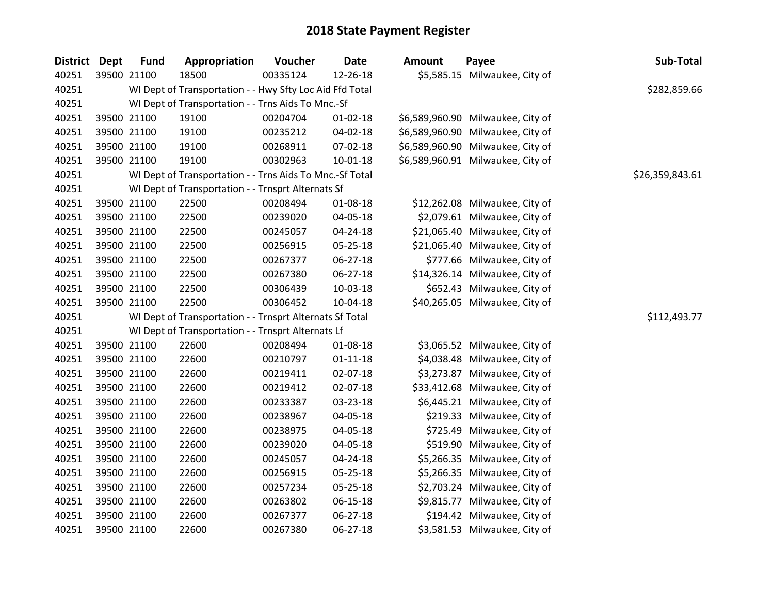| <b>District Dept</b> | <b>Fund</b> | Appropriation                                            | Voucher  | <b>Date</b>    | <b>Amount</b> | Payee                             | Sub-Total       |
|----------------------|-------------|----------------------------------------------------------|----------|----------------|---------------|-----------------------------------|-----------------|
| 40251                | 39500 21100 | 18500                                                    | 00335124 | 12-26-18       |               | \$5,585.15 Milwaukee, City of     |                 |
| 40251                |             | WI Dept of Transportation - - Hwy Sfty Loc Aid Ffd Total |          |                |               |                                   | \$282,859.66    |
| 40251                |             | WI Dept of Transportation - - Trns Aids To Mnc.-Sf       |          |                |               |                                   |                 |
| 40251                | 39500 21100 | 19100                                                    | 00204704 | $01 - 02 - 18$ |               | \$6,589,960.90 Milwaukee, City of |                 |
| 40251                | 39500 21100 | 19100                                                    | 00235212 | 04-02-18       |               | \$6,589,960.90 Milwaukee, City of |                 |
| 40251                | 39500 21100 | 19100                                                    | 00268911 | 07-02-18       |               | \$6,589,960.90 Milwaukee, City of |                 |
| 40251                | 39500 21100 | 19100                                                    | 00302963 | 10-01-18       |               | \$6,589,960.91 Milwaukee, City of |                 |
| 40251                |             | WI Dept of Transportation - - Trns Aids To Mnc.-Sf Total |          |                |               |                                   | \$26,359,843.61 |
| 40251                |             | WI Dept of Transportation - - Trnsprt Alternats Sf       |          |                |               |                                   |                 |
| 40251                | 39500 21100 | 22500                                                    | 00208494 | 01-08-18       |               | \$12,262.08 Milwaukee, City of    |                 |
| 40251                | 39500 21100 | 22500                                                    | 00239020 | 04-05-18       |               | \$2,079.61 Milwaukee, City of     |                 |
| 40251                | 39500 21100 | 22500                                                    | 00245057 | 04-24-18       |               | \$21,065.40 Milwaukee, City of    |                 |
| 40251                | 39500 21100 | 22500                                                    | 00256915 | 05-25-18       |               | \$21,065.40 Milwaukee, City of    |                 |
| 40251                | 39500 21100 | 22500                                                    | 00267377 | 06-27-18       |               | \$777.66 Milwaukee, City of       |                 |
| 40251                | 39500 21100 | 22500                                                    | 00267380 | 06-27-18       |               | \$14,326.14 Milwaukee, City of    |                 |
| 40251                | 39500 21100 | 22500                                                    | 00306439 | 10-03-18       |               | \$652.43 Milwaukee, City of       |                 |
| 40251                | 39500 21100 | 22500                                                    | 00306452 | 10-04-18       |               | \$40,265.05 Milwaukee, City of    |                 |
| 40251                |             | WI Dept of Transportation - - Trnsprt Alternats Sf Total |          |                |               |                                   | \$112,493.77    |
| 40251                |             | WI Dept of Transportation - - Trnsprt Alternats Lf       |          |                |               |                                   |                 |
| 40251                | 39500 21100 | 22600                                                    | 00208494 | 01-08-18       |               | \$3,065.52 Milwaukee, City of     |                 |
| 40251                | 39500 21100 | 22600                                                    | 00210797 | $01 - 11 - 18$ |               | \$4,038.48 Milwaukee, City of     |                 |
| 40251                | 39500 21100 | 22600                                                    | 00219411 | 02-07-18       |               | \$3,273.87 Milwaukee, City of     |                 |
| 40251                | 39500 21100 | 22600                                                    | 00219412 | 02-07-18       |               | \$33,412.68 Milwaukee, City of    |                 |
| 40251                | 39500 21100 | 22600                                                    | 00233387 | 03-23-18       |               | \$6,445.21 Milwaukee, City of     |                 |
| 40251                | 39500 21100 | 22600                                                    | 00238967 | 04-05-18       |               | \$219.33 Milwaukee, City of       |                 |
| 40251                | 39500 21100 | 22600                                                    | 00238975 | 04-05-18       |               | \$725.49 Milwaukee, City of       |                 |
| 40251                | 39500 21100 | 22600                                                    | 00239020 | 04-05-18       |               | \$519.90 Milwaukee, City of       |                 |
| 40251                | 39500 21100 | 22600                                                    | 00245057 | 04-24-18       |               | \$5,266.35 Milwaukee, City of     |                 |
| 40251                | 39500 21100 | 22600                                                    | 00256915 | 05-25-18       |               | \$5,266.35 Milwaukee, City of     |                 |
| 40251                | 39500 21100 | 22600                                                    | 00257234 | 05-25-18       |               | \$2,703.24 Milwaukee, City of     |                 |
| 40251                | 39500 21100 | 22600                                                    | 00263802 | 06-15-18       |               | \$9,815.77 Milwaukee, City of     |                 |
| 40251                | 39500 21100 | 22600                                                    | 00267377 | $06 - 27 - 18$ |               | \$194.42 Milwaukee, City of       |                 |
| 40251                | 39500 21100 | 22600                                                    | 00267380 | 06-27-18       |               | \$3,581.53 Milwaukee, City of     |                 |
|                      |             |                                                          |          |                |               |                                   |                 |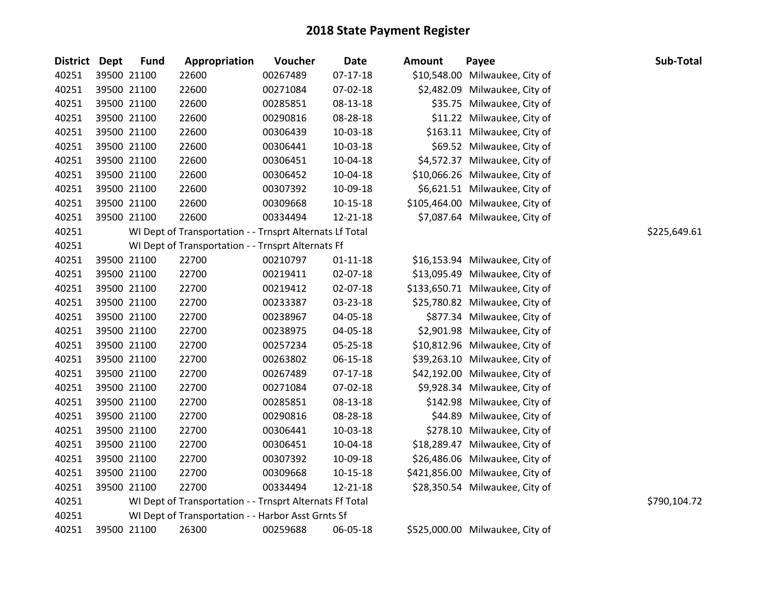| District Dept | <b>Fund</b> | Appropriation                                            | Voucher  | <b>Date</b>    | Amount      | Payee                           | Sub-Total    |
|---------------|-------------|----------------------------------------------------------|----------|----------------|-------------|---------------------------------|--------------|
| 40251         | 39500 21100 | 22600                                                    | 00267489 | $07-17-18$     | \$10,548.00 | Milwaukee, City of              |              |
| 40251         | 39500 21100 | 22600                                                    | 00271084 | 07-02-18       |             | \$2,482.09 Milwaukee, City of   |              |
| 40251         | 39500 21100 | 22600                                                    | 00285851 | 08-13-18       |             | \$35.75 Milwaukee, City of      |              |
| 40251         | 39500 21100 | 22600                                                    | 00290816 | 08-28-18       |             | \$11.22 Milwaukee, City of      |              |
| 40251         | 39500 21100 | 22600                                                    | 00306439 | 10-03-18       |             | \$163.11 Milwaukee, City of     |              |
| 40251         | 39500 21100 | 22600                                                    | 00306441 | 10-03-18       |             | \$69.52 Milwaukee, City of      |              |
| 40251         | 39500 21100 | 22600                                                    | 00306451 | 10-04-18       |             | \$4,572.37 Milwaukee, City of   |              |
| 40251         | 39500 21100 | 22600                                                    | 00306452 | 10-04-18       |             | \$10,066.26 Milwaukee, City of  |              |
| 40251         | 39500 21100 | 22600                                                    | 00307392 | 10-09-18       |             | \$6,621.51 Milwaukee, City of   |              |
| 40251         | 39500 21100 | 22600                                                    | 00309668 | $10 - 15 - 18$ |             | \$105,464.00 Milwaukee, City of |              |
| 40251         | 39500 21100 | 22600                                                    | 00334494 | 12-21-18       |             | \$7,087.64 Milwaukee, City of   |              |
| 40251         |             | WI Dept of Transportation - - Trnsprt Alternats Lf Total |          |                |             |                                 | \$225,649.61 |
| 40251         |             | WI Dept of Transportation - - Trnsprt Alternats Ff       |          |                |             |                                 |              |
| 40251         | 39500 21100 | 22700                                                    | 00210797 | $01 - 11 - 18$ |             | \$16,153.94 Milwaukee, City of  |              |
| 40251         | 39500 21100 | 22700                                                    | 00219411 | 02-07-18       |             | \$13,095.49 Milwaukee, City of  |              |
| 40251         | 39500 21100 | 22700                                                    | 00219412 | 02-07-18       |             | \$133,650.71 Milwaukee, City of |              |
| 40251         | 39500 21100 | 22700                                                    | 00233387 | 03-23-18       |             | \$25,780.82 Milwaukee, City of  |              |
| 40251         | 39500 21100 | 22700                                                    | 00238967 | 04-05-18       |             | \$877.34 Milwaukee, City of     |              |
| 40251         | 39500 21100 | 22700                                                    | 00238975 | 04-05-18       |             | \$2,901.98 Milwaukee, City of   |              |
| 40251         | 39500 21100 | 22700                                                    | 00257234 | 05-25-18       |             | \$10,812.96 Milwaukee, City of  |              |
| 40251         | 39500 21100 | 22700                                                    | 00263802 | 06-15-18       |             | \$39,263.10 Milwaukee, City of  |              |
| 40251         | 39500 21100 | 22700                                                    | 00267489 | $07-17-18$     |             | \$42,192.00 Milwaukee, City of  |              |
| 40251         | 39500 21100 | 22700                                                    | 00271084 | 07-02-18       |             | \$9,928.34 Milwaukee, City of   |              |
| 40251         | 39500 21100 | 22700                                                    | 00285851 | 08-13-18       |             | \$142.98 Milwaukee, City of     |              |
| 40251         | 39500 21100 | 22700                                                    | 00290816 | 08-28-18       |             | \$44.89 Milwaukee, City of      |              |
| 40251         | 39500 21100 | 22700                                                    | 00306441 | 10-03-18       |             | \$278.10 Milwaukee, City of     |              |
| 40251         | 39500 21100 | 22700                                                    | 00306451 | 10-04-18       |             | \$18,289.47 Milwaukee, City of  |              |
| 40251         | 39500 21100 | 22700                                                    | 00307392 | 10-09-18       |             | \$26,486.06 Milwaukee, City of  |              |
| 40251         | 39500 21100 | 22700                                                    | 00309668 | 10-15-18       |             | \$421,856.00 Milwaukee, City of |              |
| 40251         | 39500 21100 | 22700                                                    | 00334494 | 12-21-18       |             | \$28,350.54 Milwaukee, City of  |              |
| 40251         |             | WI Dept of Transportation - - Trnsprt Alternats Ff Total |          |                |             |                                 | \$790,104.72 |
| 40251         |             | WI Dept of Transportation - - Harbor Asst Grnts Sf       |          |                |             |                                 |              |
| 40251         | 39500 21100 | 26300                                                    | 00259688 | 06-05-18       |             | \$525,000.00 Milwaukee, City of |              |

| mount        | Payee              |
|--------------|--------------------|
| \$10,548.00  | Milwaukee, City of |
| \$2,482.09   | Milwaukee, City of |
| \$35.75      | Milwaukee, City of |
| \$11.22      | Milwaukee, City of |
| \$163.11     | Milwaukee, City of |
| \$69.52      | Milwaukee, City of |
| \$4,572.37   | Milwaukee, City of |
| \$10,066.26  | Milwaukee, City of |
| \$6,621.51   | Milwaukee, City of |
| \$105,464.00 | Milwaukee, City of |
| \$7,087.64   | Milwaukee, City of |
|              |                    |

| \$16,153.94 | Milwaukee, City of |
|-------------|--------------------|
| \$13,095.49 | Milwaukee, City of |
| 133,650.71  | Milwaukee, City of |
| \$25,780.82 | Milwaukee, City of |
| \$877.34    | Milwaukee, City of |
| \$2,901.98  | Milwaukee, City of |
| \$10,812.96 | Milwaukee, City of |
| \$39,263.10 | Milwaukee, City of |
| \$42,192.00 | Milwaukee, City of |
| \$9,928.34  | Milwaukee, City of |
| \$142.98    | Milwaukee, City of |
| \$44.89     | Milwaukee, City of |
| \$278.10    | Milwaukee, City of |
| \$18,289.47 | Milwaukee, City of |
| \$26,486.06 | Milwaukee, City of |
| 421,856.00  | Milwaukee, City of |
| \$28,350.54 | Milwaukee, City of |
|             |                    |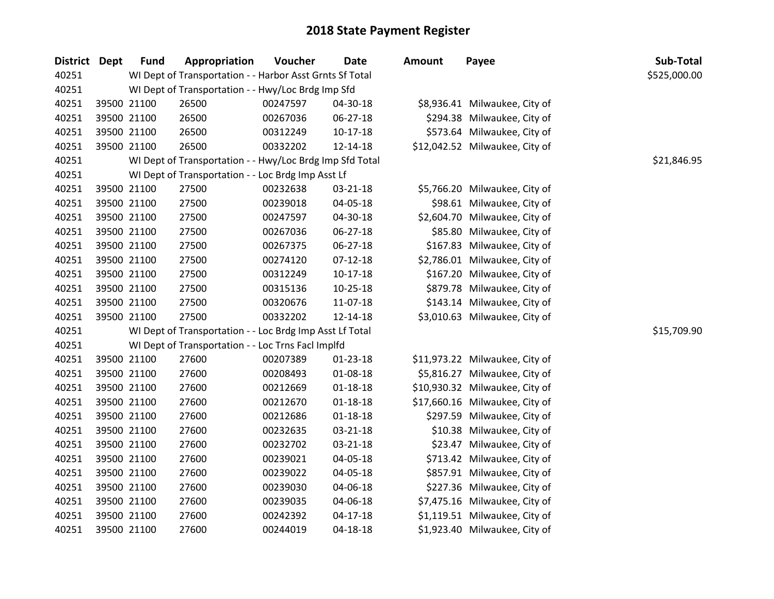|       | <b>District Dept</b> | <b>Fund</b> | Appropriation                                            | Voucher  | <b>Date</b>    | <b>Amount</b> | Payee                          | Sub-Total    |
|-------|----------------------|-------------|----------------------------------------------------------|----------|----------------|---------------|--------------------------------|--------------|
| 40251 |                      |             | WI Dept of Transportation - - Harbor Asst Grnts Sf Total |          |                |               |                                | \$525,000.00 |
| 40251 |                      |             | WI Dept of Transportation - - Hwy/Loc Brdg Imp Sfd       |          |                |               |                                |              |
| 40251 |                      | 39500 21100 | 26500                                                    | 00247597 | 04-30-18       |               | \$8,936.41 Milwaukee, City of  |              |
| 40251 |                      | 39500 21100 | 26500                                                    | 00267036 | 06-27-18       |               | \$294.38 Milwaukee, City of    |              |
| 40251 |                      | 39500 21100 | 26500                                                    | 00312249 | $10-17-18$     |               | \$573.64 Milwaukee, City of    |              |
| 40251 |                      | 39500 21100 | 26500                                                    | 00332202 | 12-14-18       |               | \$12,042.52 Milwaukee, City of |              |
| 40251 |                      |             | WI Dept of Transportation - - Hwy/Loc Brdg Imp Sfd Total |          |                |               |                                | \$21,846.95  |
| 40251 |                      |             | WI Dept of Transportation - - Loc Brdg Imp Asst Lf       |          |                |               |                                |              |
| 40251 |                      | 39500 21100 | 27500                                                    | 00232638 | 03-21-18       |               | \$5,766.20 Milwaukee, City of  |              |
| 40251 |                      | 39500 21100 | 27500                                                    | 00239018 | 04-05-18       |               | \$98.61 Milwaukee, City of     |              |
| 40251 |                      | 39500 21100 | 27500                                                    | 00247597 | 04-30-18       |               | \$2,604.70 Milwaukee, City of  |              |
| 40251 |                      | 39500 21100 | 27500                                                    | 00267036 | 06-27-18       |               | \$85.80 Milwaukee, City of     |              |
| 40251 |                      | 39500 21100 | 27500                                                    | 00267375 | 06-27-18       |               | \$167.83 Milwaukee, City of    |              |
| 40251 |                      | 39500 21100 | 27500                                                    | 00274120 | $07-12-18$     |               | \$2,786.01 Milwaukee, City of  |              |
| 40251 |                      | 39500 21100 | 27500                                                    | 00312249 | 10-17-18       |               | \$167.20 Milwaukee, City of    |              |
| 40251 |                      | 39500 21100 | 27500                                                    | 00315136 | $10-25-18$     |               | \$879.78 Milwaukee, City of    |              |
| 40251 |                      | 39500 21100 | 27500                                                    | 00320676 | 11-07-18       |               | \$143.14 Milwaukee, City of    |              |
| 40251 |                      | 39500 21100 | 27500                                                    | 00332202 | 12-14-18       |               | \$3,010.63 Milwaukee, City of  |              |
| 40251 |                      |             | WI Dept of Transportation - - Loc Brdg Imp Asst Lf Total |          |                |               |                                | \$15,709.90  |
| 40251 |                      |             | WI Dept of Transportation - - Loc Trns Facl Implfd       |          |                |               |                                |              |
| 40251 |                      | 39500 21100 | 27600                                                    | 00207389 | $01 - 23 - 18$ |               | \$11,973.22 Milwaukee, City of |              |
| 40251 |                      | 39500 21100 | 27600                                                    | 00208493 | 01-08-18       |               | \$5,816.27 Milwaukee, City of  |              |
| 40251 |                      | 39500 21100 | 27600                                                    | 00212669 | $01 - 18 - 18$ |               | \$10,930.32 Milwaukee, City of |              |
| 40251 |                      | 39500 21100 | 27600                                                    | 00212670 | $01 - 18 - 18$ |               | \$17,660.16 Milwaukee, City of |              |
| 40251 |                      | 39500 21100 | 27600                                                    | 00212686 | $01 - 18 - 18$ |               | \$297.59 Milwaukee, City of    |              |
| 40251 |                      | 39500 21100 | 27600                                                    | 00232635 | 03-21-18       |               | \$10.38 Milwaukee, City of     |              |
| 40251 |                      | 39500 21100 | 27600                                                    | 00232702 | $03 - 21 - 18$ |               | \$23.47 Milwaukee, City of     |              |
| 40251 |                      | 39500 21100 | 27600                                                    | 00239021 | 04-05-18       |               | \$713.42 Milwaukee, City of    |              |
| 40251 |                      | 39500 21100 | 27600                                                    | 00239022 | 04-05-18       |               | \$857.91 Milwaukee, City of    |              |
| 40251 |                      | 39500 21100 | 27600                                                    | 00239030 | 04-06-18       |               | \$227.36 Milwaukee, City of    |              |
| 40251 |                      | 39500 21100 | 27600                                                    | 00239035 | 04-06-18       |               | \$7,475.16 Milwaukee, City of  |              |
| 40251 |                      | 39500 21100 | 27600                                                    | 00242392 | $04 - 17 - 18$ |               | \$1,119.51 Milwaukee, City of  |              |
| 40251 |                      | 39500 21100 | 27600                                                    | 00244019 | 04-18-18       |               | \$1,923.40 Milwaukee, City of  |              |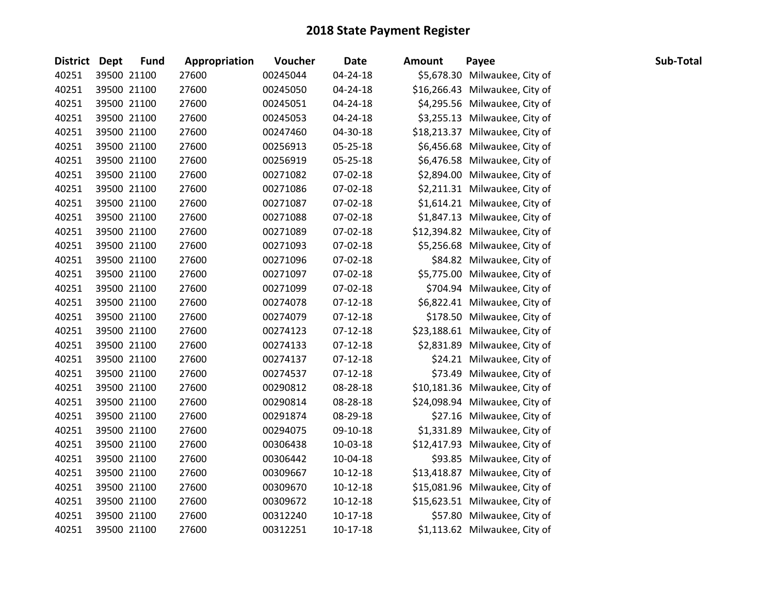| <b>District Dept</b> | <b>Fund</b> | Appropriation | Voucher  | <b>Date</b>    | Amount | Payee                          | Sub-Total |
|----------------------|-------------|---------------|----------|----------------|--------|--------------------------------|-----------|
| 40251                | 39500 21100 | 27600         | 00245044 | 04-24-18       |        | \$5,678.30 Milwaukee, City of  |           |
| 40251                | 39500 21100 | 27600         | 00245050 | 04-24-18       |        | \$16,266.43 Milwaukee, City of |           |
| 40251                | 39500 21100 | 27600         | 00245051 | 04-24-18       |        | \$4,295.56 Milwaukee, City of  |           |
| 40251                | 39500 21100 | 27600         | 00245053 | 04-24-18       |        | \$3,255.13 Milwaukee, City of  |           |
| 40251                | 39500 21100 | 27600         | 00247460 | 04-30-18       |        | \$18,213.37 Milwaukee, City of |           |
| 40251                | 39500 21100 | 27600         | 00256913 | 05-25-18       |        | \$6,456.68 Milwaukee, City of  |           |
| 40251                | 39500 21100 | 27600         | 00256919 | 05-25-18       |        | \$6,476.58 Milwaukee, City of  |           |
| 40251                | 39500 21100 | 27600         | 00271082 | 07-02-18       |        | \$2,894.00 Milwaukee, City of  |           |
| 40251                | 39500 21100 | 27600         | 00271086 | 07-02-18       |        | \$2,211.31 Milwaukee, City of  |           |
| 40251                | 39500 21100 | 27600         | 00271087 | 07-02-18       |        | \$1,614.21 Milwaukee, City of  |           |
| 40251                | 39500 21100 | 27600         | 00271088 | 07-02-18       |        | \$1,847.13 Milwaukee, City of  |           |
| 40251                | 39500 21100 | 27600         | 00271089 | $07 - 02 - 18$ |        | \$12,394.82 Milwaukee, City of |           |
| 40251                | 39500 21100 | 27600         | 00271093 | 07-02-18       |        | \$5,256.68 Milwaukee, City of  |           |
| 40251                | 39500 21100 | 27600         | 00271096 | $07 - 02 - 18$ |        | \$84.82 Milwaukee, City of     |           |
| 40251                | 39500 21100 | 27600         | 00271097 | 07-02-18       |        | \$5,775.00 Milwaukee, City of  |           |
| 40251                | 39500 21100 | 27600         | 00271099 | 07-02-18       |        | \$704.94 Milwaukee, City of    |           |
| 40251                | 39500 21100 | 27600         | 00274078 | $07-12-18$     |        | \$6,822.41 Milwaukee, City of  |           |
| 40251                | 39500 21100 | 27600         | 00274079 | $07-12-18$     |        | \$178.50 Milwaukee, City of    |           |
| 40251                | 39500 21100 | 27600         | 00274123 | 07-12-18       |        | \$23,188.61 Milwaukee, City of |           |
| 40251                | 39500 21100 | 27600         | 00274133 | $07-12-18$     |        | \$2,831.89 Milwaukee, City of  |           |
| 40251                | 39500 21100 | 27600         | 00274137 | $07-12-18$     |        | \$24.21 Milwaukee, City of     |           |
| 40251                | 39500 21100 | 27600         | 00274537 | $07-12-18$     |        | \$73.49 Milwaukee, City of     |           |
| 40251                | 39500 21100 | 27600         | 00290812 | 08-28-18       |        | \$10,181.36 Milwaukee, City of |           |
| 40251                | 39500 21100 | 27600         | 00290814 | 08-28-18       |        | \$24,098.94 Milwaukee, City of |           |
| 40251                | 39500 21100 | 27600         | 00291874 | 08-29-18       |        | \$27.16 Milwaukee, City of     |           |
| 40251                | 39500 21100 | 27600         | 00294075 | 09-10-18       |        | \$1,331.89 Milwaukee, City of  |           |
| 40251                | 39500 21100 | 27600         | 00306438 | 10-03-18       |        | \$12,417.93 Milwaukee, City of |           |
| 40251                | 39500 21100 | 27600         | 00306442 | 10-04-18       |        | \$93.85 Milwaukee, City of     |           |
| 40251                | 39500 21100 | 27600         | 00309667 | $10-12-18$     |        | \$13,418.87 Milwaukee, City of |           |
| 40251                | 39500 21100 | 27600         | 00309670 | $10-12-18$     |        | \$15,081.96 Milwaukee, City of |           |
| 40251                | 39500 21100 | 27600         | 00309672 | $10-12-18$     |        | \$15,623.51 Milwaukee, City of |           |
| 40251                | 39500 21100 | 27600         | 00312240 | $10-17-18$     |        | \$57.80 Milwaukee, City of     |           |
| 40251                | 39500 21100 | 27600         | 00312251 | $10-17-18$     |        | \$1,113.62 Milwaukee, City of  |           |
|                      |             |               |          |                |        |                                |           |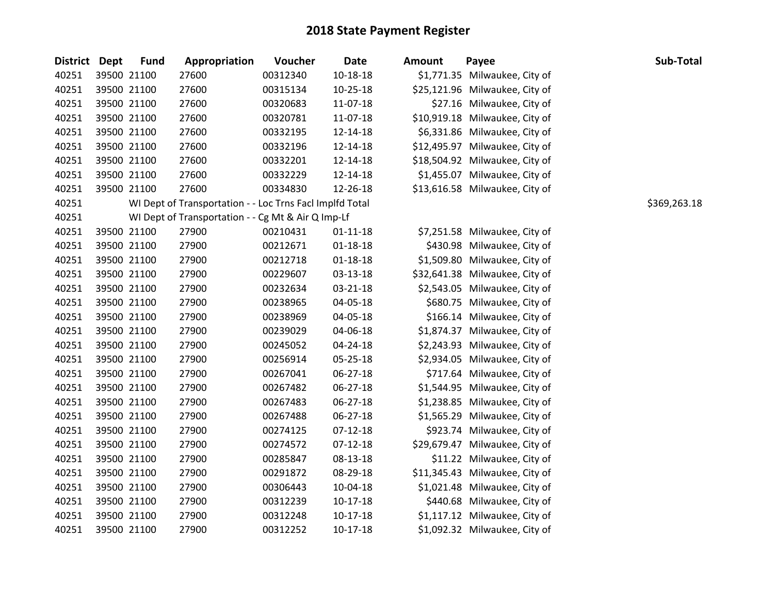| <b>District</b> | Dept | <b>Fund</b> | Appropriation                                            | Voucher  | <b>Date</b>    | <b>Amount</b> | Payee                          | Sub-Total    |
|-----------------|------|-------------|----------------------------------------------------------|----------|----------------|---------------|--------------------------------|--------------|
| 40251           |      | 39500 21100 | 27600                                                    | 00312340 | $10 - 18 - 18$ |               | \$1,771.35 Milwaukee, City of  |              |
| 40251           |      | 39500 21100 | 27600                                                    | 00315134 | $10 - 25 - 18$ |               | \$25,121.96 Milwaukee, City of |              |
| 40251           |      | 39500 21100 | 27600                                                    | 00320683 | 11-07-18       |               | \$27.16 Milwaukee, City of     |              |
| 40251           |      | 39500 21100 | 27600                                                    | 00320781 | 11-07-18       |               | \$10,919.18 Milwaukee, City of |              |
| 40251           |      | 39500 21100 | 27600                                                    | 00332195 | 12-14-18       |               | \$6,331.86 Milwaukee, City of  |              |
| 40251           |      | 39500 21100 | 27600                                                    | 00332196 | 12-14-18       |               | \$12,495.97 Milwaukee, City of |              |
| 40251           |      | 39500 21100 | 27600                                                    | 00332201 | 12-14-18       |               | \$18,504.92 Milwaukee, City of |              |
| 40251           |      | 39500 21100 | 27600                                                    | 00332229 | 12-14-18       |               | \$1,455.07 Milwaukee, City of  |              |
| 40251           |      | 39500 21100 | 27600                                                    | 00334830 | 12-26-18       |               | \$13,616.58 Milwaukee, City of |              |
| 40251           |      |             | WI Dept of Transportation - - Loc Trns FacI Implfd Total |          |                |               |                                | \$369,263.18 |
| 40251           |      |             | WI Dept of Transportation - - Cg Mt & Air Q Imp-Lf       |          |                |               |                                |              |
| 40251           |      | 39500 21100 | 27900                                                    | 00210431 | $01 - 11 - 18$ |               | \$7,251.58 Milwaukee, City of  |              |
| 40251           |      | 39500 21100 | 27900                                                    | 00212671 | $01 - 18 - 18$ |               | \$430.98 Milwaukee, City of    |              |
| 40251           |      | 39500 21100 | 27900                                                    | 00212718 | $01 - 18 - 18$ |               | \$1,509.80 Milwaukee, City of  |              |
| 40251           |      | 39500 21100 | 27900                                                    | 00229607 | 03-13-18       |               | \$32,641.38 Milwaukee, City of |              |
| 40251           |      | 39500 21100 | 27900                                                    | 00232634 | 03-21-18       |               | \$2,543.05 Milwaukee, City of  |              |
| 40251           |      | 39500 21100 | 27900                                                    | 00238965 | 04-05-18       |               | \$680.75 Milwaukee, City of    |              |
| 40251           |      | 39500 21100 | 27900                                                    | 00238969 | 04-05-18       |               | \$166.14 Milwaukee, City of    |              |
| 40251           |      | 39500 21100 | 27900                                                    | 00239029 | 04-06-18       |               | \$1,874.37 Milwaukee, City of  |              |
| 40251           |      | 39500 21100 | 27900                                                    | 00245052 | 04-24-18       |               | \$2,243.93 Milwaukee, City of  |              |
| 40251           |      | 39500 21100 | 27900                                                    | 00256914 | 05-25-18       |               | \$2,934.05 Milwaukee, City of  |              |
| 40251           |      | 39500 21100 | 27900                                                    | 00267041 | 06-27-18       |               | \$717.64 Milwaukee, City of    |              |
| 40251           |      | 39500 21100 | 27900                                                    | 00267482 | 06-27-18       |               | \$1,544.95 Milwaukee, City of  |              |
| 40251           |      | 39500 21100 | 27900                                                    | 00267483 | $06 - 27 - 18$ |               | \$1,238.85 Milwaukee, City of  |              |
| 40251           |      | 39500 21100 | 27900                                                    | 00267488 | 06-27-18       |               | \$1,565.29 Milwaukee, City of  |              |
| 40251           |      | 39500 21100 | 27900                                                    | 00274125 | $07-12-18$     |               | \$923.74 Milwaukee, City of    |              |
| 40251           |      | 39500 21100 | 27900                                                    | 00274572 | $07-12-18$     |               | \$29,679.47 Milwaukee, City of |              |
| 40251           |      | 39500 21100 | 27900                                                    | 00285847 | 08-13-18       |               | \$11.22 Milwaukee, City of     |              |
| 40251           |      | 39500 21100 | 27900                                                    | 00291872 | 08-29-18       |               | \$11,345.43 Milwaukee, City of |              |
| 40251           |      | 39500 21100 | 27900                                                    | 00306443 | 10-04-18       |               | \$1,021.48 Milwaukee, City of  |              |
| 40251           |      | 39500 21100 | 27900                                                    | 00312239 | $10-17-18$     |               | \$440.68 Milwaukee, City of    |              |
| 40251           |      | 39500 21100 | 27900                                                    | 00312248 | $10-17-18$     |               | \$1,117.12 Milwaukee, City of  |              |
| 40251           |      | 39500 21100 | 27900                                                    | 00312252 | 10-17-18       |               | \$1,092.32 Milwaukee, City of  |              |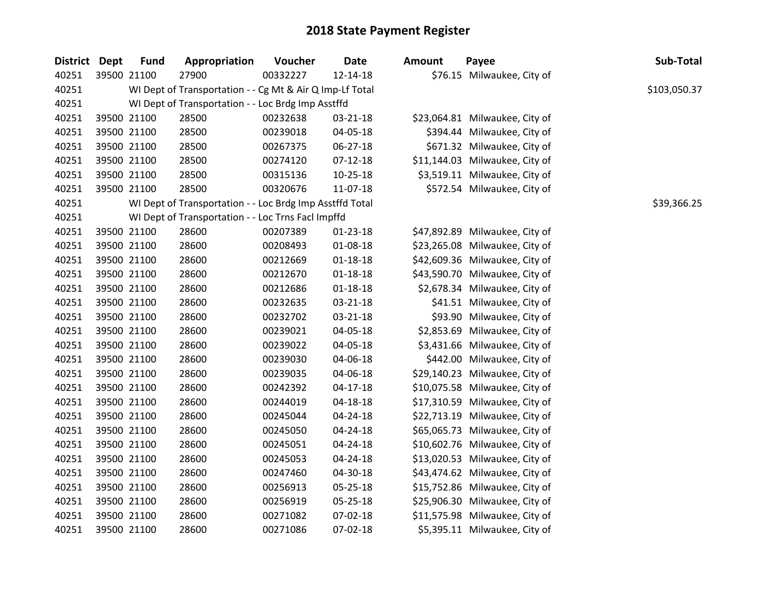| 40251<br>40251<br>40251 | 39500 21100 |                                                    | 27900                                                    | 00332227 | $12 - 14 - 18$ |  |                                |             |  |  |  |
|-------------------------|-------------|----------------------------------------------------|----------------------------------------------------------|----------|----------------|--|--------------------------------|-------------|--|--|--|
|                         |             |                                                    |                                                          |          |                |  | \$76.15 Milwaukee, City of     |             |  |  |  |
|                         |             |                                                    | WI Dept of Transportation - - Cg Mt & Air Q Imp-Lf Total |          |                |  |                                |             |  |  |  |
|                         |             | WI Dept of Transportation - - Loc Brdg Imp Asstffd |                                                          |          |                |  |                                |             |  |  |  |
| 40251                   |             | 39500 21100                                        | 28500                                                    | 00232638 | 03-21-18       |  | \$23,064.81 Milwaukee, City of |             |  |  |  |
| 40251                   |             | 39500 21100                                        | 28500                                                    | 00239018 | 04-05-18       |  | \$394.44 Milwaukee, City of    |             |  |  |  |
| 40251                   |             | 39500 21100                                        | 28500                                                    | 00267375 | 06-27-18       |  | \$671.32 Milwaukee, City of    |             |  |  |  |
| 40251                   |             | 39500 21100                                        | 28500                                                    | 00274120 | $07 - 12 - 18$ |  | \$11,144.03 Milwaukee, City of |             |  |  |  |
| 40251                   |             | 39500 21100                                        | 28500                                                    | 00315136 | $10-25-18$     |  | \$3,519.11 Milwaukee, City of  |             |  |  |  |
| 40251                   |             | 39500 21100                                        | 28500                                                    | 00320676 | 11-07-18       |  | \$572.54 Milwaukee, City of    |             |  |  |  |
| 40251                   |             |                                                    | WI Dept of Transportation - - Loc Brdg Imp Asstffd Total |          |                |  |                                | \$39,366.25 |  |  |  |
| 40251                   |             |                                                    | WI Dept of Transportation - - Loc Trns FacI Impffd       |          |                |  |                                |             |  |  |  |
| 40251                   |             | 39500 21100                                        | 28600                                                    | 00207389 | $01 - 23 - 18$ |  | \$47,892.89 Milwaukee, City of |             |  |  |  |
| 40251                   |             | 39500 21100                                        | 28600                                                    | 00208493 | 01-08-18       |  | \$23,265.08 Milwaukee, City of |             |  |  |  |
| 40251                   |             | 39500 21100                                        | 28600                                                    | 00212669 | $01 - 18 - 18$ |  | \$42,609.36 Milwaukee, City of |             |  |  |  |
| 40251                   |             | 39500 21100                                        | 28600                                                    | 00212670 | $01 - 18 - 18$ |  | \$43,590.70 Milwaukee, City of |             |  |  |  |
| 40251                   |             | 39500 21100                                        | 28600                                                    | 00212686 | $01 - 18 - 18$ |  | \$2,678.34 Milwaukee, City of  |             |  |  |  |
| 40251                   |             | 39500 21100                                        | 28600                                                    | 00232635 | $03 - 21 - 18$ |  | \$41.51 Milwaukee, City of     |             |  |  |  |
| 40251                   |             | 39500 21100                                        | 28600                                                    | 00232702 | 03-21-18       |  | \$93.90 Milwaukee, City of     |             |  |  |  |
| 40251                   |             | 39500 21100                                        | 28600                                                    | 00239021 | 04-05-18       |  | \$2,853.69 Milwaukee, City of  |             |  |  |  |
| 40251                   |             | 39500 21100                                        | 28600                                                    | 00239022 | 04-05-18       |  | \$3,431.66 Milwaukee, City of  |             |  |  |  |
| 40251                   |             | 39500 21100                                        | 28600                                                    | 00239030 | 04-06-18       |  | \$442.00 Milwaukee, City of    |             |  |  |  |
| 40251                   |             | 39500 21100                                        | 28600                                                    | 00239035 | 04-06-18       |  | \$29,140.23 Milwaukee, City of |             |  |  |  |
| 40251                   |             | 39500 21100                                        | 28600                                                    | 00242392 | $04 - 17 - 18$ |  | \$10,075.58 Milwaukee, City of |             |  |  |  |
| 40251                   |             | 39500 21100                                        | 28600                                                    | 00244019 | $04 - 18 - 18$ |  | \$17,310.59 Milwaukee, City of |             |  |  |  |
| 40251                   |             | 39500 21100                                        | 28600                                                    | 00245044 | $04 - 24 - 18$ |  | \$22,713.19 Milwaukee, City of |             |  |  |  |
| 40251                   |             | 39500 21100                                        | 28600                                                    | 00245050 | 04-24-18       |  | \$65,065.73 Milwaukee, City of |             |  |  |  |
| 40251                   |             | 39500 21100                                        | 28600                                                    | 00245051 | 04-24-18       |  | \$10,602.76 Milwaukee, City of |             |  |  |  |
| 40251                   |             | 39500 21100                                        | 28600                                                    | 00245053 | 04-24-18       |  | \$13,020.53 Milwaukee, City of |             |  |  |  |
| 40251                   |             | 39500 21100                                        | 28600                                                    | 00247460 | 04-30-18       |  | \$43,474.62 Milwaukee, City of |             |  |  |  |
| 40251                   |             | 39500 21100                                        | 28600                                                    | 00256913 | 05-25-18       |  | \$15,752.86 Milwaukee, City of |             |  |  |  |
| 40251                   |             | 39500 21100                                        | 28600                                                    | 00256919 | 05-25-18       |  | \$25,906.30 Milwaukee, City of |             |  |  |  |
| 40251                   |             | 39500 21100                                        | 28600                                                    | 00271082 | 07-02-18       |  | \$11,575.98 Milwaukee, City of |             |  |  |  |
| 40251                   |             | 39500 21100                                        | 28600                                                    | 00271086 | 07-02-18       |  | \$5,395.11 Milwaukee, City of  |             |  |  |  |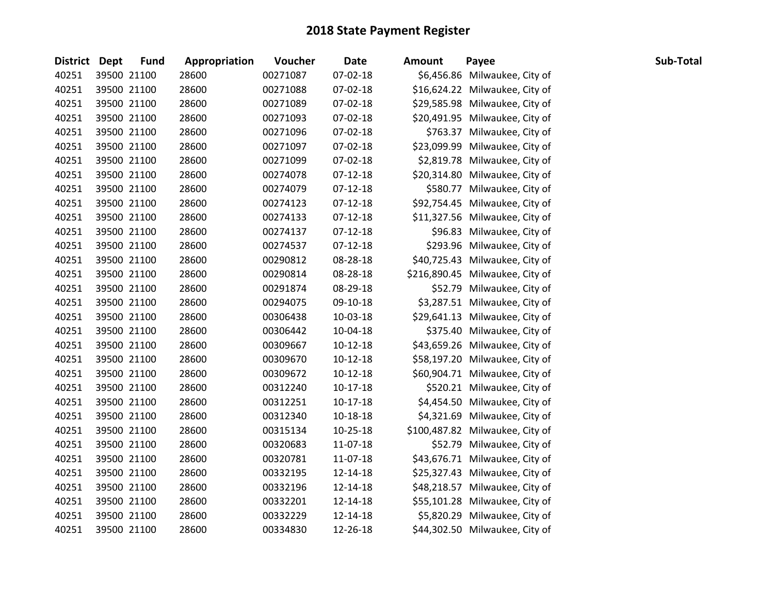| District Dept | <b>Fund</b> | Appropriation | Voucher  | <b>Date</b>    | Amount | Payee                           | Sub-Total |
|---------------|-------------|---------------|----------|----------------|--------|---------------------------------|-----------|
| 40251         | 39500 21100 | 28600         | 00271087 | 07-02-18       |        | \$6,456.86 Milwaukee, City of   |           |
| 40251         | 39500 21100 | 28600         | 00271088 | 07-02-18       |        | \$16,624.22 Milwaukee, City of  |           |
| 40251         | 39500 21100 | 28600         | 00271089 | 07-02-18       |        | \$29,585.98 Milwaukee, City of  |           |
| 40251         | 39500 21100 | 28600         | 00271093 | 07-02-18       |        | \$20,491.95 Milwaukee, City of  |           |
| 40251         | 39500 21100 | 28600         | 00271096 | 07-02-18       |        | \$763.37 Milwaukee, City of     |           |
| 40251         | 39500 21100 | 28600         | 00271097 | 07-02-18       |        | \$23,099.99 Milwaukee, City of  |           |
| 40251         | 39500 21100 | 28600         | 00271099 | 07-02-18       |        | \$2,819.78 Milwaukee, City of   |           |
| 40251         | 39500 21100 | 28600         | 00274078 | $07-12-18$     |        | \$20,314.80 Milwaukee, City of  |           |
| 40251         | 39500 21100 | 28600         | 00274079 | $07-12-18$     |        | \$580.77 Milwaukee, City of     |           |
| 40251         | 39500 21100 | 28600         | 00274123 | $07-12-18$     |        | \$92,754.45 Milwaukee, City of  |           |
| 40251         | 39500 21100 | 28600         | 00274133 | $07-12-18$     |        | \$11,327.56 Milwaukee, City of  |           |
| 40251         | 39500 21100 | 28600         | 00274137 | $07-12-18$     |        | \$96.83 Milwaukee, City of      |           |
| 40251         | 39500 21100 | 28600         | 00274537 | $07 - 12 - 18$ |        | \$293.96 Milwaukee, City of     |           |
| 40251         | 39500 21100 | 28600         | 00290812 | 08-28-18       |        | \$40,725.43 Milwaukee, City of  |           |
| 40251         | 39500 21100 | 28600         | 00290814 | 08-28-18       |        | \$216,890.45 Milwaukee, City of |           |
| 40251         | 39500 21100 | 28600         | 00291874 | 08-29-18       |        | \$52.79 Milwaukee, City of      |           |
| 40251         | 39500 21100 | 28600         | 00294075 | 09-10-18       |        | \$3,287.51 Milwaukee, City of   |           |
| 40251         | 39500 21100 | 28600         | 00306438 | 10-03-18       |        | \$29,641.13 Milwaukee, City of  |           |
| 40251         | 39500 21100 | 28600         | 00306442 | 10-04-18       |        | \$375.40 Milwaukee, City of     |           |
| 40251         | 39500 21100 | 28600         | 00309667 | $10-12-18$     |        | \$43,659.26 Milwaukee, City of  |           |
| 40251         | 39500 21100 | 28600         | 00309670 | $10-12-18$     |        | \$58,197.20 Milwaukee, City of  |           |
| 40251         | 39500 21100 | 28600         | 00309672 | $10-12-18$     |        | \$60,904.71 Milwaukee, City of  |           |
| 40251         | 39500 21100 | 28600         | 00312240 | 10-17-18       |        | \$520.21 Milwaukee, City of     |           |
| 40251         | 39500 21100 | 28600         | 00312251 | $10-17-18$     |        | \$4,454.50 Milwaukee, City of   |           |
| 40251         | 39500 21100 | 28600         | 00312340 | 10-18-18       |        | \$4,321.69 Milwaukee, City of   |           |
| 40251         | 39500 21100 | 28600         | 00315134 | 10-25-18       |        | \$100,487.82 Milwaukee, City of |           |
| 40251         | 39500 21100 | 28600         | 00320683 | 11-07-18       |        | \$52.79 Milwaukee, City of      |           |
| 40251         | 39500 21100 | 28600         | 00320781 | 11-07-18       |        | \$43,676.71 Milwaukee, City of  |           |
| 40251         | 39500 21100 | 28600         | 00332195 | 12-14-18       |        | \$25,327.43 Milwaukee, City of  |           |
| 40251         | 39500 21100 | 28600         | 00332196 | 12-14-18       |        | \$48,218.57 Milwaukee, City of  |           |
| 40251         | 39500 21100 | 28600         | 00332201 | 12-14-18       |        | \$55,101.28 Milwaukee, City of  |           |
| 40251         | 39500 21100 | 28600         | 00332229 | 12-14-18       |        | \$5,820.29 Milwaukee, City of   |           |
| 40251         | 39500 21100 | 28600         | 00334830 | 12-26-18       |        | \$44,302.50 Milwaukee, City of  |           |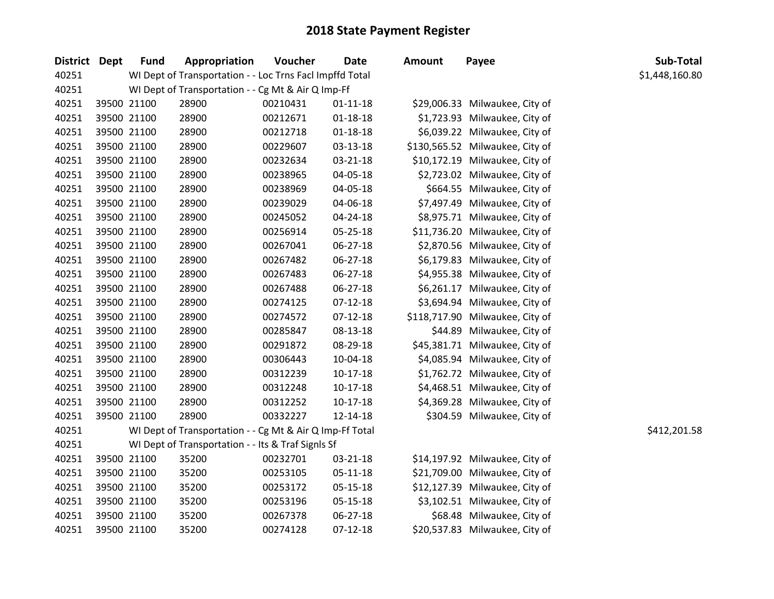| District Dept |             | <b>Fund</b> | Appropriation                                            | Voucher  | <b>Date</b>    | <b>Amount</b> | Payee                           | Sub-Total      |
|---------------|-------------|-------------|----------------------------------------------------------|----------|----------------|---------------|---------------------------------|----------------|
| 40251         |             |             | WI Dept of Transportation - - Loc Trns Facl Impffd Total |          |                |               |                                 | \$1,448,160.80 |
| 40251         |             |             | WI Dept of Transportation - - Cg Mt & Air Q Imp-Ff       |          |                |               |                                 |                |
| 40251         | 39500 21100 |             | 28900                                                    | 00210431 | $01-11-18$     |               | \$29,006.33 Milwaukee, City of  |                |
| 40251         |             | 39500 21100 | 28900                                                    | 00212671 | $01 - 18 - 18$ |               | \$1,723.93 Milwaukee, City of   |                |
| 40251         |             | 39500 21100 | 28900                                                    | 00212718 | $01 - 18 - 18$ |               | \$6,039.22 Milwaukee, City of   |                |
| 40251         |             | 39500 21100 | 28900                                                    | 00229607 | 03-13-18       |               | \$130,565.52 Milwaukee, City of |                |
| 40251         |             | 39500 21100 | 28900                                                    | 00232634 | 03-21-18       |               | \$10,172.19 Milwaukee, City of  |                |
| 40251         |             | 39500 21100 | 28900                                                    | 00238965 | 04-05-18       |               | \$2,723.02 Milwaukee, City of   |                |
| 40251         |             | 39500 21100 | 28900                                                    | 00238969 | 04-05-18       |               | \$664.55 Milwaukee, City of     |                |
| 40251         |             | 39500 21100 | 28900                                                    | 00239029 | 04-06-18       |               | \$7,497.49 Milwaukee, City of   |                |
| 40251         |             | 39500 21100 | 28900                                                    | 00245052 | 04-24-18       |               | \$8,975.71 Milwaukee, City of   |                |
| 40251         |             | 39500 21100 | 28900                                                    | 00256914 | 05-25-18       |               | \$11,736.20 Milwaukee, City of  |                |
| 40251         |             | 39500 21100 | 28900                                                    | 00267041 | 06-27-18       |               | \$2,870.56 Milwaukee, City of   |                |
| 40251         |             | 39500 21100 | 28900                                                    | 00267482 | 06-27-18       |               | \$6,179.83 Milwaukee, City of   |                |
| 40251         |             | 39500 21100 | 28900                                                    | 00267483 | 06-27-18       |               | \$4,955.38 Milwaukee, City of   |                |
| 40251         |             | 39500 21100 | 28900                                                    | 00267488 | 06-27-18       |               | \$6,261.17 Milwaukee, City of   |                |
| 40251         |             | 39500 21100 | 28900                                                    | 00274125 | $07-12-18$     |               | \$3,694.94 Milwaukee, City of   |                |
| 40251         |             | 39500 21100 | 28900                                                    | 00274572 | $07-12-18$     |               | \$118,717.90 Milwaukee, City of |                |
| 40251         |             | 39500 21100 | 28900                                                    | 00285847 | 08-13-18       |               | \$44.89 Milwaukee, City of      |                |
| 40251         |             | 39500 21100 | 28900                                                    | 00291872 | 08-29-18       |               | \$45,381.71 Milwaukee, City of  |                |
| 40251         |             | 39500 21100 | 28900                                                    | 00306443 | 10-04-18       |               | \$4,085.94 Milwaukee, City of   |                |
| 40251         |             | 39500 21100 | 28900                                                    | 00312239 | $10-17-18$     |               | \$1,762.72 Milwaukee, City of   |                |
| 40251         |             | 39500 21100 | 28900                                                    | 00312248 | $10-17-18$     |               | \$4,468.51 Milwaukee, City of   |                |
| 40251         |             | 39500 21100 | 28900                                                    | 00312252 | $10-17-18$     |               | \$4,369.28 Milwaukee, City of   |                |
| 40251         |             | 39500 21100 | 28900                                                    | 00332227 | 12-14-18       |               | \$304.59 Milwaukee, City of     |                |
| 40251         |             |             | WI Dept of Transportation - - Cg Mt & Air Q Imp-Ff Total |          |                |               |                                 | \$412,201.58   |
| 40251         |             |             | WI Dept of Transportation - - Its & Traf SignIs Sf       |          |                |               |                                 |                |
| 40251         |             | 39500 21100 | 35200                                                    | 00232701 | 03-21-18       |               | \$14,197.92 Milwaukee, City of  |                |
| 40251         |             | 39500 21100 | 35200                                                    | 00253105 | 05-11-18       |               | \$21,709.00 Milwaukee, City of  |                |
| 40251         |             | 39500 21100 | 35200                                                    | 00253172 | 05-15-18       |               | \$12,127.39 Milwaukee, City of  |                |
| 40251         |             | 39500 21100 | 35200                                                    | 00253196 | 05-15-18       |               | \$3,102.51 Milwaukee, City of   |                |
| 40251         |             | 39500 21100 | 35200                                                    | 00267378 | 06-27-18       |               | \$68.48 Milwaukee, City of      |                |
| 40251         |             | 39500 21100 | 35200                                                    | 00274128 | $07 - 12 - 18$ |               | \$20,537.83 Milwaukee, City of  |                |

# \$1,448,160.80

| \$29,006.33  | Milwaukee, City of |
|--------------|--------------------|
| \$1,723.93   | Milwaukee, City of |
| \$6,039.22   | Milwaukee, City of |
| \$130,565.52 | Milwaukee, City of |
| \$10,172.19  | Milwaukee, City of |
| \$2,723.02   | Milwaukee, City of |
| \$664.55     | Milwaukee, City of |
| \$7,497.49   | Milwaukee, City of |
| \$8,975.71   | Milwaukee, City of |
| \$11,736.20  | Milwaukee, City of |
| \$2,870.56   | Milwaukee, City of |
| \$6,179.83   | Milwaukee, City of |
| \$4,955.38   | Milwaukee, City of |
| \$6,261.17   | Milwaukee, City of |
| \$3,694.94   | Milwaukee, City of |
| \$118,717.90 | Milwaukee, City of |
| \$44.89      | Milwaukee, City of |
| \$45,381.71  | Milwaukee, City of |
| \$4,085.94   | Milwaukee, City of |
| \$1,762.72   | Milwaukee, City of |
| \$4,468.51   | Milwaukee, City of |
| \$4,369.28   | Milwaukee, City of |
| \$304.59     | Milwaukee, City of |

| \$14,197.92 Milwaukee, City of |
|--------------------------------|
| \$21,709.00 Milwaukee, City of |
| \$12,127.39 Milwaukee, City of |
| \$3,102.51 Milwaukee, City of  |
| \$68.48 Milwaukee, City of     |
| \$20,537.83 Milwaukee, City of |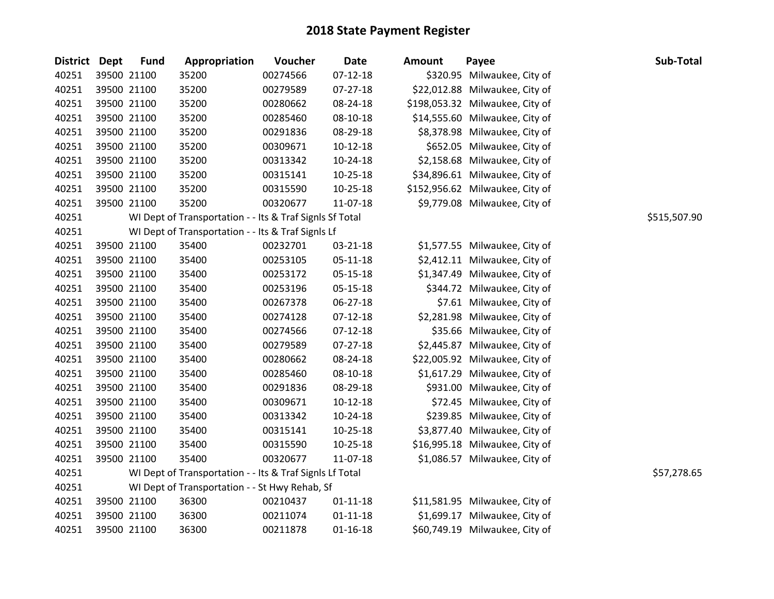| District Dept |             | <b>Fund</b> | Appropriation                                            | Voucher  | <b>Date</b>    | <b>Amount</b> | Payee                           | Sub-Total    |
|---------------|-------------|-------------|----------------------------------------------------------|----------|----------------|---------------|---------------------------------|--------------|
| 40251         | 39500 21100 |             | 35200                                                    | 00274566 | $07-12-18$     |               | \$320.95 Milwaukee, City of     |              |
| 40251         | 39500 21100 |             | 35200                                                    | 00279589 | 07-27-18       |               | \$22,012.88 Milwaukee, City of  |              |
| 40251         | 39500 21100 |             | 35200                                                    | 00280662 | 08-24-18       |               | \$198,053.32 Milwaukee, City of |              |
| 40251         | 39500 21100 |             | 35200                                                    | 00285460 | 08-10-18       |               | \$14,555.60 Milwaukee, City of  |              |
| 40251         | 39500 21100 |             | 35200                                                    | 00291836 | 08-29-18       |               | \$8,378.98 Milwaukee, City of   |              |
| 40251         | 39500 21100 |             | 35200                                                    | 00309671 | $10-12-18$     |               | \$652.05 Milwaukee, City of     |              |
| 40251         | 39500 21100 |             | 35200                                                    | 00313342 | 10-24-18       |               | \$2,158.68 Milwaukee, City of   |              |
| 40251         | 39500 21100 |             | 35200                                                    | 00315141 | $10-25-18$     |               | \$34,896.61 Milwaukee, City of  |              |
| 40251         | 39500 21100 |             | 35200                                                    | 00315590 | $10-25-18$     |               | \$152,956.62 Milwaukee, City of |              |
| 40251         | 39500 21100 |             | 35200                                                    | 00320677 | 11-07-18       |               | \$9,779.08 Milwaukee, City of   |              |
| 40251         |             |             | WI Dept of Transportation - - Its & Traf SignIs Sf Total |          |                |               |                                 | \$515,507.90 |
| 40251         |             |             | WI Dept of Transportation - - Its & Traf SignIs Lf       |          |                |               |                                 |              |
| 40251         | 39500 21100 |             | 35400                                                    | 00232701 | 03-21-18       |               | \$1,577.55 Milwaukee, City of   |              |
| 40251         | 39500 21100 |             | 35400                                                    | 00253105 | 05-11-18       |               | \$2,412.11 Milwaukee, City of   |              |
| 40251         | 39500 21100 |             | 35400                                                    | 00253172 | 05-15-18       |               | \$1,347.49 Milwaukee, City of   |              |
| 40251         | 39500 21100 |             | 35400                                                    | 00253196 | 05-15-18       |               | \$344.72 Milwaukee, City of     |              |
| 40251         | 39500 21100 |             | 35400                                                    | 00267378 | 06-27-18       |               | \$7.61 Milwaukee, City of       |              |
| 40251         | 39500 21100 |             | 35400                                                    | 00274128 | $07-12-18$     |               | \$2,281.98 Milwaukee, City of   |              |
| 40251         | 39500 21100 |             | 35400                                                    | 00274566 | $07-12-18$     |               | \$35.66 Milwaukee, City of      |              |
| 40251         | 39500 21100 |             | 35400                                                    | 00279589 | $07-27-18$     |               | \$2,445.87 Milwaukee, City of   |              |
| 40251         | 39500 21100 |             | 35400                                                    | 00280662 | 08-24-18       |               | \$22,005.92 Milwaukee, City of  |              |
| 40251         | 39500 21100 |             | 35400                                                    | 00285460 | 08-10-18       |               | \$1,617.29 Milwaukee, City of   |              |
| 40251         | 39500 21100 |             | 35400                                                    | 00291836 | 08-29-18       |               | \$931.00 Milwaukee, City of     |              |
| 40251         | 39500 21100 |             | 35400                                                    | 00309671 | $10-12-18$     |               | \$72.45 Milwaukee, City of      |              |
| 40251         | 39500 21100 |             | 35400                                                    | 00313342 | $10-24-18$     |               | \$239.85 Milwaukee, City of     |              |
| 40251         | 39500 21100 |             | 35400                                                    | 00315141 | 10-25-18       |               | \$3,877.40 Milwaukee, City of   |              |
| 40251         | 39500 21100 |             | 35400                                                    | 00315590 | 10-25-18       |               | \$16,995.18 Milwaukee, City of  |              |
| 40251         | 39500 21100 |             | 35400                                                    | 00320677 | 11-07-18       |               | \$1,086.57 Milwaukee, City of   |              |
| 40251         |             |             | WI Dept of Transportation - - Its & Traf SignIs Lf Total |          |                |               |                                 | \$57,278.65  |
| 40251         |             |             | WI Dept of Transportation - - St Hwy Rehab, Sf           |          |                |               |                                 |              |
| 40251         | 39500 21100 |             | 36300                                                    | 00210437 | $01 - 11 - 18$ |               | \$11,581.95 Milwaukee, City of  |              |
| 40251         | 39500 21100 |             | 36300                                                    | 00211074 | $01 - 11 - 18$ |               | \$1,699.17 Milwaukee, City of   |              |
| 40251         | 39500 21100 |             | 36300                                                    | 00211878 | $01 - 16 - 18$ |               | \$60,749.19 Milwaukee, City of  |              |
|               |             |             |                                                          |          |                |               |                                 |              |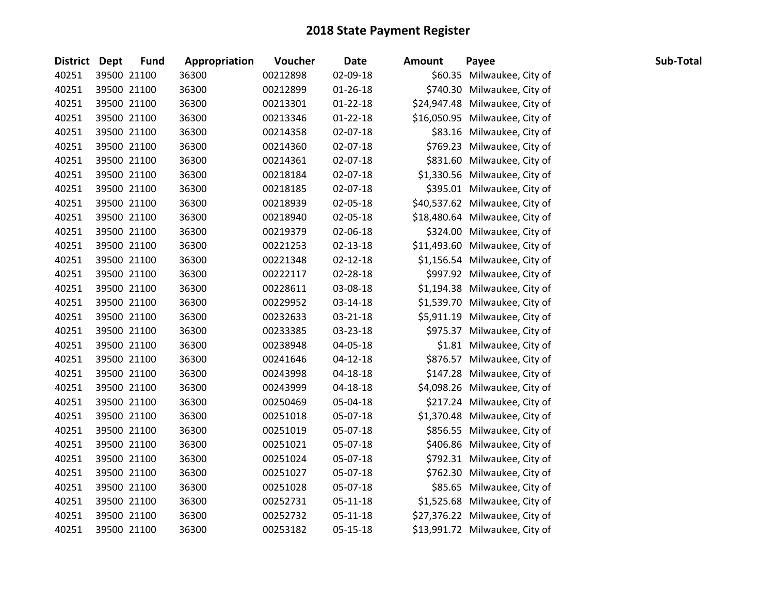| <b>District Dept</b> | <b>Fund</b> | Appropriation | Voucher  | <b>Date</b>    | <b>Amount</b> | Payee                          | Sub-Total |
|----------------------|-------------|---------------|----------|----------------|---------------|--------------------------------|-----------|
| 40251                | 39500 21100 | 36300         | 00212898 | 02-09-18       |               | \$60.35 Milwaukee, City of     |           |
| 40251                | 39500 21100 | 36300         | 00212899 | $01 - 26 - 18$ |               | \$740.30 Milwaukee, City of    |           |
| 40251                | 39500 21100 | 36300         | 00213301 | $01 - 22 - 18$ |               | \$24,947.48 Milwaukee, City of |           |
| 40251                | 39500 21100 | 36300         | 00213346 | $01 - 22 - 18$ |               | \$16,050.95 Milwaukee, City of |           |
| 40251                | 39500 21100 | 36300         | 00214358 | 02-07-18       |               | \$83.16 Milwaukee, City of     |           |
| 40251                | 39500 21100 | 36300         | 00214360 | 02-07-18       |               | \$769.23 Milwaukee, City of    |           |
| 40251                | 39500 21100 | 36300         | 00214361 | 02-07-18       |               | \$831.60 Milwaukee, City of    |           |
| 40251                | 39500 21100 | 36300         | 00218184 | 02-07-18       |               | \$1,330.56 Milwaukee, City of  |           |
| 40251                | 39500 21100 | 36300         | 00218185 | 02-07-18       |               | \$395.01 Milwaukee, City of    |           |
| 40251                | 39500 21100 | 36300         | 00218939 | 02-05-18       |               | \$40,537.62 Milwaukee, City of |           |
| 40251                | 39500 21100 | 36300         | 00218940 | 02-05-18       |               | \$18,480.64 Milwaukee, City of |           |
| 40251                | 39500 21100 | 36300         | 00219379 | 02-06-18       |               | \$324.00 Milwaukee, City of    |           |
| 40251                | 39500 21100 | 36300         | 00221253 | 02-13-18       |               | \$11,493.60 Milwaukee, City of |           |
| 40251                | 39500 21100 | 36300         | 00221348 | $02 - 12 - 18$ |               | \$1,156.54 Milwaukee, City of  |           |
| 40251                | 39500 21100 | 36300         | 00222117 | 02-28-18       |               | \$997.92 Milwaukee, City of    |           |
| 40251                | 39500 21100 | 36300         | 00228611 | 03-08-18       |               | \$1,194.38 Milwaukee, City of  |           |
| 40251                | 39500 21100 | 36300         | 00229952 | 03-14-18       |               | \$1,539.70 Milwaukee, City of  |           |
| 40251                | 39500 21100 | 36300         | 00232633 | 03-21-18       |               | \$5,911.19 Milwaukee, City of  |           |
| 40251                | 39500 21100 | 36300         | 00233385 | 03-23-18       |               | \$975.37 Milwaukee, City of    |           |
| 40251                | 39500 21100 | 36300         | 00238948 | 04-05-18       |               | \$1.81 Milwaukee, City of      |           |
| 40251                | 39500 21100 | 36300         | 00241646 | 04-12-18       |               | \$876.57 Milwaukee, City of    |           |
| 40251                | 39500 21100 | 36300         | 00243998 | 04-18-18       |               | \$147.28 Milwaukee, City of    |           |
| 40251                | 39500 21100 | 36300         | 00243999 | 04-18-18       |               | \$4,098.26 Milwaukee, City of  |           |
| 40251                | 39500 21100 | 36300         | 00250469 | 05-04-18       |               | \$217.24 Milwaukee, City of    |           |
| 40251                | 39500 21100 | 36300         | 00251018 | 05-07-18       |               | \$1,370.48 Milwaukee, City of  |           |
| 40251                | 39500 21100 | 36300         | 00251019 | 05-07-18       |               | \$856.55 Milwaukee, City of    |           |
| 40251                | 39500 21100 | 36300         | 00251021 | 05-07-18       |               | \$406.86 Milwaukee, City of    |           |
| 40251                | 39500 21100 | 36300         | 00251024 | 05-07-18       |               | \$792.31 Milwaukee, City of    |           |
| 40251                | 39500 21100 | 36300         | 00251027 | 05-07-18       |               | \$762.30 Milwaukee, City of    |           |
| 40251                | 39500 21100 | 36300         | 00251028 | 05-07-18       |               | \$85.65 Milwaukee, City of     |           |
| 40251                | 39500 21100 | 36300         | 00252731 | 05-11-18       |               | \$1,525.68 Milwaukee, City of  |           |
| 40251                | 39500 21100 | 36300         | 00252732 | $05 - 11 - 18$ |               | \$27,376.22 Milwaukee, City of |           |
| 40251                | 39500 21100 | 36300         | 00253182 | 05-15-18       |               | \$13,991.72 Milwaukee, City of |           |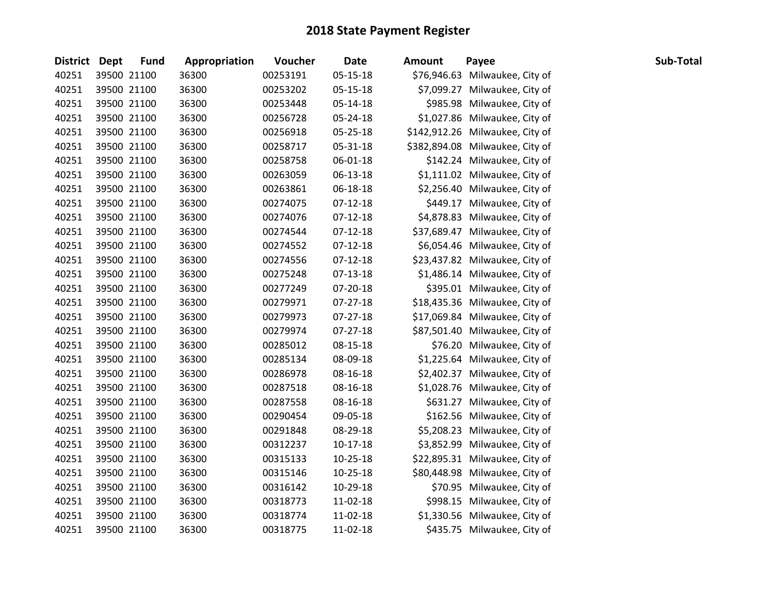| <b>District Dept</b> | <b>Fund</b> | Appropriation | Voucher  | <b>Date</b> | Amount | Payee                           | Sub-Total |
|----------------------|-------------|---------------|----------|-------------|--------|---------------------------------|-----------|
| 40251                | 39500 21100 | 36300         | 00253191 | 05-15-18    |        | \$76,946.63 Milwaukee, City of  |           |
| 40251                | 39500 21100 | 36300         | 00253202 | 05-15-18    |        | \$7,099.27 Milwaukee, City of   |           |
| 40251                | 39500 21100 | 36300         | 00253448 | 05-14-18    |        | \$985.98 Milwaukee, City of     |           |
| 40251                | 39500 21100 | 36300         | 00256728 | 05-24-18    |        | \$1,027.86 Milwaukee, City of   |           |
| 40251                | 39500 21100 | 36300         | 00256918 | 05-25-18    |        | \$142,912.26 Milwaukee, City of |           |
| 40251                | 39500 21100 | 36300         | 00258717 | 05-31-18    |        | \$382,894.08 Milwaukee, City of |           |
| 40251                | 39500 21100 | 36300         | 00258758 | 06-01-18    |        | \$142.24 Milwaukee, City of     |           |
| 40251                | 39500 21100 | 36300         | 00263059 | 06-13-18    |        | \$1,111.02 Milwaukee, City of   |           |
| 40251                | 39500 21100 | 36300         | 00263861 | 06-18-18    |        | \$2,256.40 Milwaukee, City of   |           |
| 40251                | 39500 21100 | 36300         | 00274075 | 07-12-18    |        | \$449.17 Milwaukee, City of     |           |
| 40251                | 39500 21100 | 36300         | 00274076 | $07-12-18$  |        | \$4,878.83 Milwaukee, City of   |           |
| 40251                | 39500 21100 | 36300         | 00274544 | 07-12-18    |        | \$37,689.47 Milwaukee, City of  |           |
| 40251                | 39500 21100 | 36300         | 00274552 | $07-12-18$  |        | \$6,054.46 Milwaukee, City of   |           |
| 40251                | 39500 21100 | 36300         | 00274556 | $07-12-18$  |        | \$23,437.82 Milwaukee, City of  |           |
| 40251                | 39500 21100 | 36300         | 00275248 | 07-13-18    |        | \$1,486.14 Milwaukee, City of   |           |
| 40251                | 39500 21100 | 36300         | 00277249 | 07-20-18    |        | \$395.01 Milwaukee, City of     |           |
| 40251                | 39500 21100 | 36300         | 00279971 | $07-27-18$  |        | \$18,435.36 Milwaukee, City of  |           |
| 40251                | 39500 21100 | 36300         | 00279973 | 07-27-18    |        | \$17,069.84 Milwaukee, City of  |           |
| 40251                | 39500 21100 | 36300         | 00279974 | $07-27-18$  |        | \$87,501.40 Milwaukee, City of  |           |
| 40251                | 39500 21100 | 36300         | 00285012 | 08-15-18    |        | \$76.20 Milwaukee, City of      |           |
| 40251                | 39500 21100 | 36300         | 00285134 | 08-09-18    |        | \$1,225.64 Milwaukee, City of   |           |
| 40251                | 39500 21100 | 36300         | 00286978 | 08-16-18    |        | \$2,402.37 Milwaukee, City of   |           |
| 40251                | 39500 21100 | 36300         | 00287518 | 08-16-18    |        | \$1,028.76 Milwaukee, City of   |           |
| 40251                | 39500 21100 | 36300         | 00287558 | 08-16-18    |        | \$631.27 Milwaukee, City of     |           |
| 40251                | 39500 21100 | 36300         | 00290454 | 09-05-18    |        | \$162.56 Milwaukee, City of     |           |
| 40251                | 39500 21100 | 36300         | 00291848 | 08-29-18    |        | \$5,208.23 Milwaukee, City of   |           |
| 40251                | 39500 21100 | 36300         | 00312237 | $10-17-18$  |        | \$3,852.99 Milwaukee, City of   |           |
| 40251                | 39500 21100 | 36300         | 00315133 | 10-25-18    |        | \$22,895.31 Milwaukee, City of  |           |
| 40251                | 39500 21100 | 36300         | 00315146 | 10-25-18    |        | \$80,448.98 Milwaukee, City of  |           |
| 40251                | 39500 21100 | 36300         | 00316142 | 10-29-18    |        | \$70.95 Milwaukee, City of      |           |
| 40251                | 39500 21100 | 36300         | 00318773 | 11-02-18    |        | \$998.15 Milwaukee, City of     |           |
| 40251                | 39500 21100 | 36300         | 00318774 | 11-02-18    |        | \$1,330.56 Milwaukee, City of   |           |
| 40251                | 39500 21100 | 36300         | 00318775 | 11-02-18    |        | \$435.75 Milwaukee, City of     |           |
|                      |             |               |          |             |        |                                 |           |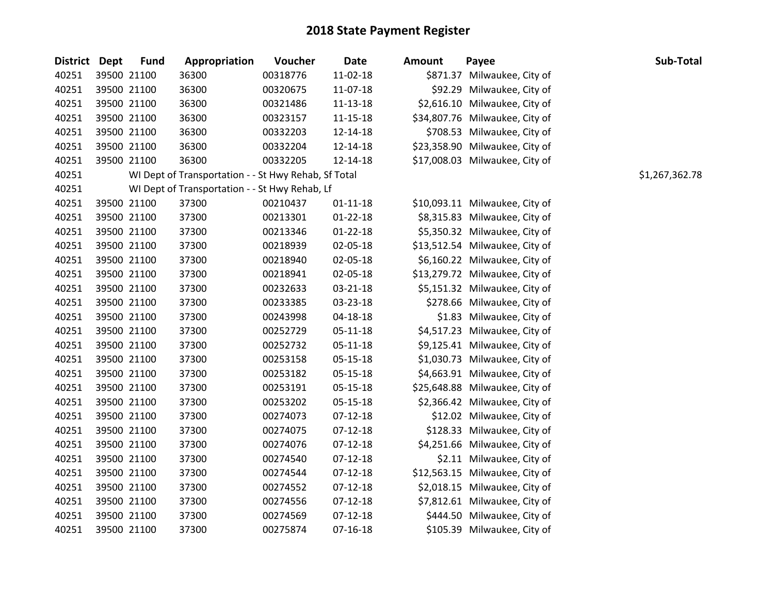| District Dept | <b>Fund</b> | Appropriation                                        | Voucher  | <b>Date</b>    | <b>Amount</b> | Payee                          | Sub-Total      |
|---------------|-------------|------------------------------------------------------|----------|----------------|---------------|--------------------------------|----------------|
| 40251         | 39500 21100 | 36300                                                | 00318776 | 11-02-18       |               | \$871.37 Milwaukee, City of    |                |
| 40251         | 39500 21100 | 36300                                                | 00320675 | 11-07-18       |               | \$92.29 Milwaukee, City of     |                |
| 40251         | 39500 21100 | 36300                                                | 00321486 | 11-13-18       |               | \$2,616.10 Milwaukee, City of  |                |
| 40251         | 39500 21100 | 36300                                                | 00323157 | 11-15-18       |               | \$34,807.76 Milwaukee, City of |                |
| 40251         | 39500 21100 | 36300                                                | 00332203 | 12-14-18       |               | \$708.53 Milwaukee, City of    |                |
| 40251         | 39500 21100 | 36300                                                | 00332204 | 12-14-18       |               | \$23,358.90 Milwaukee, City of |                |
| 40251         | 39500 21100 | 36300                                                | 00332205 | 12-14-18       |               | \$17,008.03 Milwaukee, City of |                |
| 40251         |             | WI Dept of Transportation - - St Hwy Rehab, Sf Total |          |                |               |                                | \$1,267,362.78 |
| 40251         |             | WI Dept of Transportation - - St Hwy Rehab, Lf       |          |                |               |                                |                |
| 40251         | 39500 21100 | 37300                                                | 00210437 | $01 - 11 - 18$ |               | \$10,093.11 Milwaukee, City of |                |
| 40251         | 39500 21100 | 37300                                                | 00213301 | $01 - 22 - 18$ |               | \$8,315.83 Milwaukee, City of  |                |
| 40251         | 39500 21100 | 37300                                                | 00213346 | $01 - 22 - 18$ |               | \$5,350.32 Milwaukee, City of  |                |
| 40251         | 39500 21100 | 37300                                                | 00218939 | 02-05-18       |               | \$13,512.54 Milwaukee, City of |                |
| 40251         | 39500 21100 | 37300                                                | 00218940 | 02-05-18       |               | \$6,160.22 Milwaukee, City of  |                |
| 40251         | 39500 21100 | 37300                                                | 00218941 | 02-05-18       |               | \$13,279.72 Milwaukee, City of |                |
| 40251         | 39500 21100 | 37300                                                | 00232633 | 03-21-18       |               | \$5,151.32 Milwaukee, City of  |                |
| 40251         | 39500 21100 | 37300                                                | 00233385 | 03-23-18       |               | \$278.66 Milwaukee, City of    |                |
| 40251         | 39500 21100 | 37300                                                | 00243998 | 04-18-18       |               | \$1.83 Milwaukee, City of      |                |
| 40251         | 39500 21100 | 37300                                                | 00252729 | 05-11-18       |               | \$4,517.23 Milwaukee, City of  |                |
| 40251         | 39500 21100 | 37300                                                | 00252732 | 05-11-18       |               | \$9,125.41 Milwaukee, City of  |                |
| 40251         | 39500 21100 | 37300                                                | 00253158 | 05-15-18       |               | \$1,030.73 Milwaukee, City of  |                |
| 40251         | 39500 21100 | 37300                                                | 00253182 | 05-15-18       |               | \$4,663.91 Milwaukee, City of  |                |
| 40251         | 39500 21100 | 37300                                                | 00253191 | 05-15-18       |               | \$25,648.88 Milwaukee, City of |                |
| 40251         | 39500 21100 | 37300                                                | 00253202 | 05-15-18       |               | \$2,366.42 Milwaukee, City of  |                |
| 40251         | 39500 21100 | 37300                                                | 00274073 | $07-12-18$     |               | \$12.02 Milwaukee, City of     |                |
| 40251         | 39500 21100 | 37300                                                | 00274075 | $07-12-18$     |               | \$128.33 Milwaukee, City of    |                |
| 40251         | 39500 21100 | 37300                                                | 00274076 | $07-12-18$     |               | \$4,251.66 Milwaukee, City of  |                |
| 40251         | 39500 21100 | 37300                                                | 00274540 | $07-12-18$     |               | \$2.11 Milwaukee, City of      |                |
| 40251         | 39500 21100 | 37300                                                | 00274544 | 07-12-18       |               | \$12,563.15 Milwaukee, City of |                |
| 40251         | 39500 21100 | 37300                                                | 00274552 | $07-12-18$     |               | \$2,018.15 Milwaukee, City of  |                |
| 40251         | 39500 21100 | 37300                                                | 00274556 | $07-12-18$     |               | \$7,812.61 Milwaukee, City of  |                |
| 40251         | 39500 21100 | 37300                                                | 00274569 | $07-12-18$     |               | \$444.50 Milwaukee, City of    |                |
| 40251         | 39500 21100 | 37300                                                | 00275874 | $07-16-18$     |               | \$105.39 Milwaukee, City of    |                |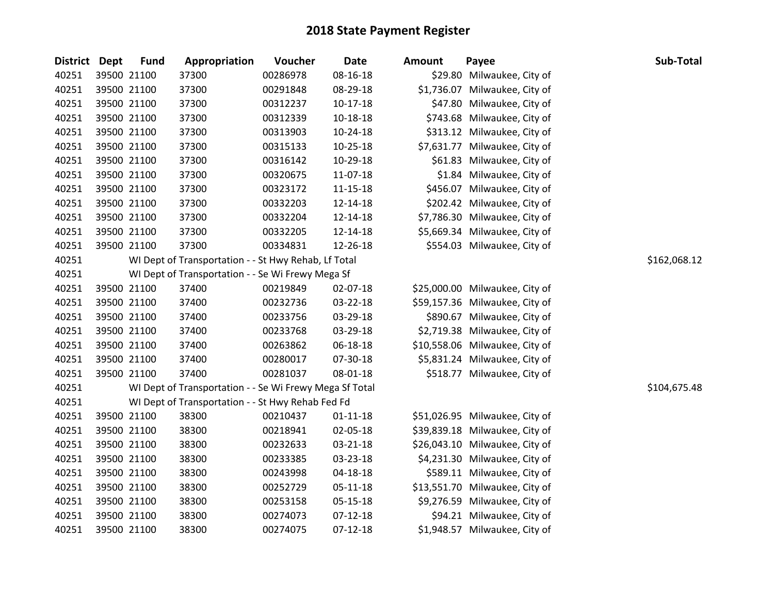| District Dept | <b>Fund</b> | Appropriation                                           | Voucher  | <b>Date</b>    | Amount | Payee                          | Sub-Total    |
|---------------|-------------|---------------------------------------------------------|----------|----------------|--------|--------------------------------|--------------|
| 40251         | 39500 21100 | 37300                                                   | 00286978 | 08-16-18       |        | \$29.80 Milwaukee, City of     |              |
| 40251         | 39500 21100 | 37300                                                   | 00291848 | 08-29-18       |        | \$1,736.07 Milwaukee, City of  |              |
| 40251         | 39500 21100 | 37300                                                   | 00312237 | 10-17-18       |        | \$47.80 Milwaukee, City of     |              |
| 40251         | 39500 21100 | 37300                                                   | 00312339 | 10-18-18       |        | \$743.68 Milwaukee, City of    |              |
| 40251         | 39500 21100 | 37300                                                   | 00313903 | 10-24-18       |        | \$313.12 Milwaukee, City of    |              |
| 40251         | 39500 21100 | 37300                                                   | 00315133 | $10-25-18$     |        | \$7,631.77 Milwaukee, City of  |              |
| 40251         | 39500 21100 | 37300                                                   | 00316142 | 10-29-18       |        | \$61.83 Milwaukee, City of     |              |
| 40251         | 39500 21100 | 37300                                                   | 00320675 | 11-07-18       |        | \$1.84 Milwaukee, City of      |              |
| 40251         | 39500 21100 | 37300                                                   | 00323172 | 11-15-18       |        | \$456.07 Milwaukee, City of    |              |
| 40251         | 39500 21100 | 37300                                                   | 00332203 | 12-14-18       |        | \$202.42 Milwaukee, City of    |              |
| 40251         | 39500 21100 | 37300                                                   | 00332204 | 12-14-18       |        | \$7,786.30 Milwaukee, City of  |              |
| 40251         | 39500 21100 | 37300                                                   | 00332205 | 12-14-18       |        | \$5,669.34 Milwaukee, City of  |              |
| 40251         | 39500 21100 | 37300                                                   | 00334831 | 12-26-18       |        | \$554.03 Milwaukee, City of    |              |
| 40251         |             | WI Dept of Transportation - - St Hwy Rehab, Lf Total    |          |                |        |                                | \$162,068.12 |
| 40251         |             | WI Dept of Transportation - - Se Wi Frewy Mega Sf       |          |                |        |                                |              |
| 40251         | 39500 21100 | 37400                                                   | 00219849 | 02-07-18       |        | \$25,000.00 Milwaukee, City of |              |
| 40251         | 39500 21100 | 37400                                                   | 00232736 | 03-22-18       |        | \$59,157.36 Milwaukee, City of |              |
| 40251         | 39500 21100 | 37400                                                   | 00233756 | 03-29-18       |        | \$890.67 Milwaukee, City of    |              |
| 40251         | 39500 21100 | 37400                                                   | 00233768 | 03-29-18       |        | \$2,719.38 Milwaukee, City of  |              |
| 40251         | 39500 21100 | 37400                                                   | 00263862 | 06-18-18       |        | \$10,558.06 Milwaukee, City of |              |
| 40251         | 39500 21100 | 37400                                                   | 00280017 | 07-30-18       |        | \$5,831.24 Milwaukee, City of  |              |
| 40251         | 39500 21100 | 37400                                                   | 00281037 | 08-01-18       |        | \$518.77 Milwaukee, City of    |              |
| 40251         |             | WI Dept of Transportation - - Se Wi Frewy Mega Sf Total |          |                |        |                                | \$104,675.48 |
| 40251         |             | WI Dept of Transportation - - St Hwy Rehab Fed Fd       |          |                |        |                                |              |
| 40251         | 39500 21100 | 38300                                                   | 00210437 | $01 - 11 - 18$ |        | \$51,026.95 Milwaukee, City of |              |
| 40251         | 39500 21100 | 38300                                                   | 00218941 | 02-05-18       |        | \$39,839.18 Milwaukee, City of |              |
| 40251         | 39500 21100 | 38300                                                   | 00232633 | 03-21-18       |        | \$26,043.10 Milwaukee, City of |              |
| 40251         | 39500 21100 | 38300                                                   | 00233385 | 03-23-18       |        | \$4,231.30 Milwaukee, City of  |              |
| 40251         | 39500 21100 | 38300                                                   | 00243998 | 04-18-18       |        | \$589.11 Milwaukee, City of    |              |
| 40251         | 39500 21100 | 38300                                                   | 00252729 | 05-11-18       |        | \$13,551.70 Milwaukee, City of |              |
| 40251         | 39500 21100 | 38300                                                   | 00253158 | 05-15-18       |        | \$9,276.59 Milwaukee, City of  |              |
| 40251         | 39500 21100 | 38300                                                   | 00274073 | $07-12-18$     |        | \$94.21 Milwaukee, City of     |              |
| 40251         | 39500 21100 | 38300                                                   | 00274075 | $07-12-18$     |        | \$1,948.57 Milwaukee, City of  |              |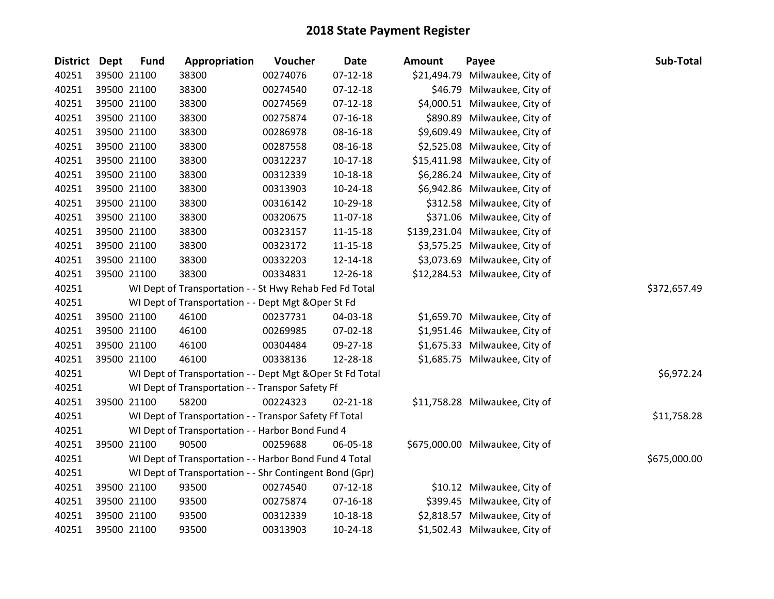| <b>District Dept</b> | <b>Fund</b> | Appropriation                                             | Voucher  | <b>Date</b>    | <b>Amount</b> | Payee                           | Sub-Total    |
|----------------------|-------------|-----------------------------------------------------------|----------|----------------|---------------|---------------------------------|--------------|
| 40251                | 39500 21100 | 38300                                                     | 00274076 | $07 - 12 - 18$ |               | \$21,494.79 Milwaukee, City of  |              |
| 40251                | 39500 21100 | 38300                                                     | 00274540 | $07-12-18$     |               | \$46.79 Milwaukee, City of      |              |
| 40251                | 39500 21100 | 38300                                                     | 00274569 | $07 - 12 - 18$ |               | \$4,000.51 Milwaukee, City of   |              |
| 40251                | 39500 21100 | 38300                                                     | 00275874 | 07-16-18       |               | \$890.89 Milwaukee, City of     |              |
| 40251                | 39500 21100 | 38300                                                     | 00286978 | 08-16-18       |               | \$9,609.49 Milwaukee, City of   |              |
| 40251                | 39500 21100 | 38300                                                     | 00287558 | 08-16-18       |               | \$2,525.08 Milwaukee, City of   |              |
| 40251                | 39500 21100 | 38300                                                     | 00312237 | $10-17-18$     |               | \$15,411.98 Milwaukee, City of  |              |
| 40251                | 39500 21100 | 38300                                                     | 00312339 | $10-18-18$     |               | \$6,286.24 Milwaukee, City of   |              |
| 40251                | 39500 21100 | 38300                                                     | 00313903 | $10-24-18$     |               | \$6,942.86 Milwaukee, City of   |              |
| 40251                | 39500 21100 | 38300                                                     | 00316142 | 10-29-18       |               | \$312.58 Milwaukee, City of     |              |
| 40251                | 39500 21100 | 38300                                                     | 00320675 | 11-07-18       |               | \$371.06 Milwaukee, City of     |              |
| 40251                | 39500 21100 | 38300                                                     | 00323157 | 11-15-18       |               | \$139,231.04 Milwaukee, City of |              |
| 40251                | 39500 21100 | 38300                                                     | 00323172 | 11-15-18       |               | \$3,575.25 Milwaukee, City of   |              |
| 40251                | 39500 21100 | 38300                                                     | 00332203 | 12-14-18       |               | \$3,073.69 Milwaukee, City of   |              |
| 40251                | 39500 21100 | 38300                                                     | 00334831 | 12-26-18       |               | \$12,284.53 Milwaukee, City of  |              |
| 40251                |             | WI Dept of Transportation - - St Hwy Rehab Fed Fd Total   |          |                |               |                                 | \$372,657.49 |
| 40251                |             | WI Dept of Transportation - - Dept Mgt & Oper St Fd       |          |                |               |                                 |              |
| 40251                | 39500 21100 | 46100                                                     | 00237731 | 04-03-18       |               | \$1,659.70 Milwaukee, City of   |              |
| 40251                | 39500 21100 | 46100                                                     | 00269985 | 07-02-18       |               | \$1,951.46 Milwaukee, City of   |              |
| 40251                | 39500 21100 | 46100                                                     | 00304484 | 09-27-18       |               | \$1,675.33 Milwaukee, City of   |              |
| 40251                | 39500 21100 | 46100                                                     | 00338136 | 12-28-18       |               | \$1,685.75 Milwaukee, City of   |              |
| 40251                |             | WI Dept of Transportation - - Dept Mgt & Oper St Fd Total |          |                |               |                                 | \$6,972.24   |
| 40251                |             | WI Dept of Transportation - - Transpor Safety Ff          |          |                |               |                                 |              |
| 40251                | 39500 21100 | 58200                                                     | 00224323 | $02 - 21 - 18$ |               | \$11,758.28 Milwaukee, City of  |              |
| 40251                |             | WI Dept of Transportation - - Transpor Safety Ff Total    |          |                |               |                                 | \$11,758.28  |
| 40251                |             | WI Dept of Transportation - - Harbor Bond Fund 4          |          |                |               |                                 |              |
| 40251                | 39500 21100 | 90500                                                     | 00259688 | 06-05-18       |               | \$675,000.00 Milwaukee, City of |              |
| 40251                |             | WI Dept of Transportation - - Harbor Bond Fund 4 Total    |          |                |               |                                 | \$675,000.00 |
| 40251                |             | WI Dept of Transportation - - Shr Contingent Bond (Gpr)   |          |                |               |                                 |              |
| 40251                | 39500 21100 | 93500                                                     | 00274540 | $07 - 12 - 18$ |               | \$10.12 Milwaukee, City of      |              |
| 40251                | 39500 21100 | 93500                                                     | 00275874 | 07-16-18       |               | \$399.45 Milwaukee, City of     |              |
| 40251                | 39500 21100 | 93500                                                     | 00312339 | 10-18-18       |               | \$2,818.57 Milwaukee, City of   |              |
| 40251                | 39500 21100 | 93500                                                     | 00313903 | 10-24-18       |               | \$1,502.43 Milwaukee, City of   |              |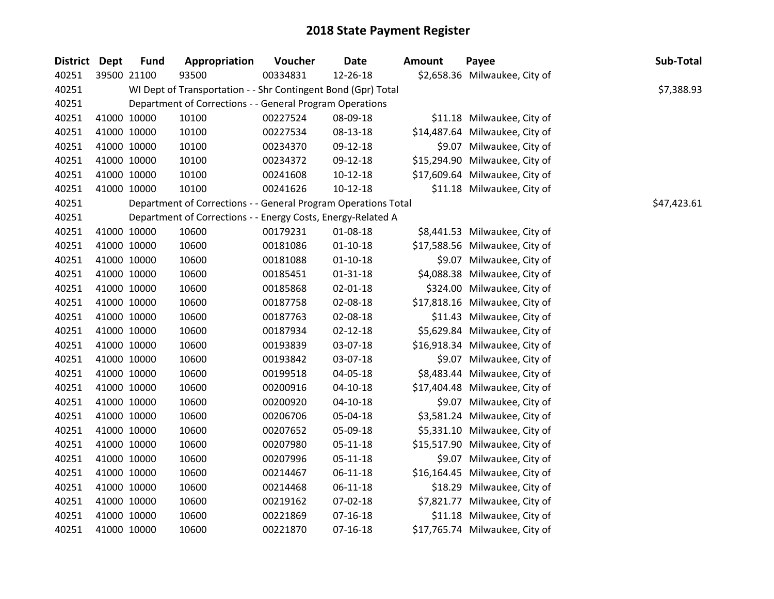| <b>District Dept</b> | <b>Fund</b> | Appropriation                                                  | Voucher  | <b>Date</b>    | <b>Amount</b> | Payee                          | Sub-Total   |
|----------------------|-------------|----------------------------------------------------------------|----------|----------------|---------------|--------------------------------|-------------|
| 40251                | 39500 21100 | 93500                                                          | 00334831 | 12-26-18       |               | \$2,658.36 Milwaukee, City of  |             |
| 40251                |             | WI Dept of Transportation - - Shr Contingent Bond (Gpr) Total  |          |                |               |                                | \$7,388.93  |
| 40251                |             | Department of Corrections - - General Program Operations       |          |                |               |                                |             |
| 40251                | 41000 10000 | 10100                                                          | 00227524 | 08-09-18       |               | \$11.18 Milwaukee, City of     |             |
| 40251                | 41000 10000 | 10100                                                          | 00227534 | 08-13-18       |               | \$14,487.64 Milwaukee, City of |             |
| 40251                | 41000 10000 | 10100                                                          | 00234370 | 09-12-18       |               | \$9.07 Milwaukee, City of      |             |
| 40251                | 41000 10000 | 10100                                                          | 00234372 | 09-12-18       |               | \$15,294.90 Milwaukee, City of |             |
| 40251                | 41000 10000 | 10100                                                          | 00241608 | $10-12-18$     |               | \$17,609.64 Milwaukee, City of |             |
| 40251                | 41000 10000 | 10100                                                          | 00241626 | $10-12-18$     |               | \$11.18 Milwaukee, City of     |             |
| 40251                |             | Department of Corrections - - General Program Operations Total |          |                |               |                                | \$47,423.61 |
| 40251                |             | Department of Corrections - - Energy Costs, Energy-Related A   |          |                |               |                                |             |
| 40251                | 41000 10000 | 10600                                                          | 00179231 | 01-08-18       |               | \$8,441.53 Milwaukee, City of  |             |
| 40251                | 41000 10000 | 10600                                                          | 00181086 | $01-10-18$     |               | \$17,588.56 Milwaukee, City of |             |
| 40251                | 41000 10000 | 10600                                                          | 00181088 | $01-10-18$     |               | \$9.07 Milwaukee, City of      |             |
| 40251                | 41000 10000 | 10600                                                          | 00185451 | 01-31-18       |               | \$4,088.38 Milwaukee, City of  |             |
| 40251                | 41000 10000 | 10600                                                          | 00185868 | 02-01-18       |               | \$324.00 Milwaukee, City of    |             |
| 40251                | 41000 10000 | 10600                                                          | 00187758 | 02-08-18       |               | \$17,818.16 Milwaukee, City of |             |
| 40251                | 41000 10000 | 10600                                                          | 00187763 | 02-08-18       |               | \$11.43 Milwaukee, City of     |             |
| 40251                | 41000 10000 | 10600                                                          | 00187934 | $02 - 12 - 18$ |               | \$5,629.84 Milwaukee, City of  |             |
| 40251                | 41000 10000 | 10600                                                          | 00193839 | 03-07-18       |               | \$16,918.34 Milwaukee, City of |             |
| 40251                | 41000 10000 | 10600                                                          | 00193842 | 03-07-18       |               | \$9.07 Milwaukee, City of      |             |
| 40251                | 41000 10000 | 10600                                                          | 00199518 | 04-05-18       |               | \$8,483.44 Milwaukee, City of  |             |
| 40251                | 41000 10000 | 10600                                                          | 00200916 | $04 - 10 - 18$ |               | \$17,404.48 Milwaukee, City of |             |
| 40251                | 41000 10000 | 10600                                                          | 00200920 | $04-10-18$     |               | \$9.07 Milwaukee, City of      |             |
| 40251                | 41000 10000 | 10600                                                          | 00206706 | 05-04-18       |               | \$3,581.24 Milwaukee, City of  |             |
| 40251                | 41000 10000 | 10600                                                          | 00207652 | 05-09-18       |               | \$5,331.10 Milwaukee, City of  |             |
| 40251                | 41000 10000 | 10600                                                          | 00207980 | 05-11-18       |               | \$15,517.90 Milwaukee, City of |             |
| 40251                | 41000 10000 | 10600                                                          | 00207996 | 05-11-18       |               | \$9.07 Milwaukee, City of      |             |
| 40251                | 41000 10000 | 10600                                                          | 00214467 | 06-11-18       |               | \$16,164.45 Milwaukee, City of |             |
| 40251                | 41000 10000 | 10600                                                          | 00214468 | 06-11-18       |               | \$18.29 Milwaukee, City of     |             |
| 40251                | 41000 10000 | 10600                                                          | 00219162 | 07-02-18       |               | \$7,821.77 Milwaukee, City of  |             |
| 40251                | 41000 10000 | 10600                                                          | 00221869 | $07 - 16 - 18$ |               | \$11.18 Milwaukee, City of     |             |
| 40251                | 41000 10000 | 10600                                                          | 00221870 | $07-16-18$     |               | \$17,765.74 Milwaukee, City of |             |
|                      |             |                                                                |          |                |               |                                |             |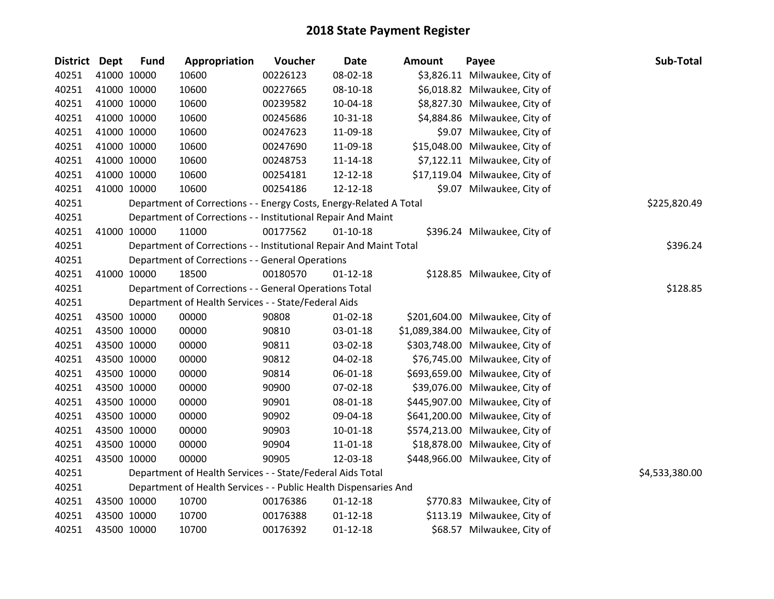| District Dept | <b>Fund</b> | Appropriation                                                      | Voucher  | <b>Date</b>    | <b>Amount</b> | Payee                             | Sub-Total      |
|---------------|-------------|--------------------------------------------------------------------|----------|----------------|---------------|-----------------------------------|----------------|
| 40251         | 41000 10000 | 10600                                                              | 00226123 | 08-02-18       |               | \$3,826.11 Milwaukee, City of     |                |
| 40251         | 41000 10000 | 10600                                                              | 00227665 | 08-10-18       |               | \$6,018.82 Milwaukee, City of     |                |
| 40251         | 41000 10000 | 10600                                                              | 00239582 | 10-04-18       |               | \$8,827.30 Milwaukee, City of     |                |
| 40251         | 41000 10000 | 10600                                                              | 00245686 | $10-31-18$     |               | \$4,884.86 Milwaukee, City of     |                |
| 40251         | 41000 10000 | 10600                                                              | 00247623 | 11-09-18       |               | \$9.07 Milwaukee, City of         |                |
| 40251         | 41000 10000 | 10600                                                              | 00247690 | 11-09-18       |               | \$15,048.00 Milwaukee, City of    |                |
| 40251         | 41000 10000 | 10600                                                              | 00248753 | $11 - 14 - 18$ |               | \$7,122.11 Milwaukee, City of     |                |
| 40251         | 41000 10000 | 10600                                                              | 00254181 | 12-12-18       |               | \$17,119.04 Milwaukee, City of    |                |
| 40251         | 41000 10000 | 10600                                                              | 00254186 | 12-12-18       |               | \$9.07 Milwaukee, City of         |                |
| 40251         |             | Department of Corrections - - Energy Costs, Energy-Related A Total |          |                |               |                                   | \$225,820.49   |
| 40251         |             | Department of Corrections - - Institutional Repair And Maint       |          |                |               |                                   |                |
| 40251         | 41000 10000 | 11000                                                              | 00177562 | $01 - 10 - 18$ |               | \$396.24 Milwaukee, City of       |                |
| 40251         |             | Department of Corrections - - Institutional Repair And Maint Total |          |                |               |                                   | \$396.24       |
| 40251         |             | Department of Corrections - - General Operations                   |          |                |               |                                   |                |
| 40251         | 41000 10000 | 18500                                                              | 00180570 | $01 - 12 - 18$ |               | \$128.85 Milwaukee, City of       |                |
| 40251         |             | Department of Corrections - - General Operations Total             |          |                |               |                                   | \$128.85       |
| 40251         |             | Department of Health Services - - State/Federal Aids               |          |                |               |                                   |                |
| 40251         | 43500 10000 | 00000                                                              | 90808    | $01 - 02 - 18$ |               | \$201,604.00 Milwaukee, City of   |                |
| 40251         | 43500 10000 | 00000                                                              | 90810    | 03-01-18       |               | \$1,089,384.00 Milwaukee, City of |                |
| 40251         | 43500 10000 | 00000                                                              | 90811    | 03-02-18       |               | \$303,748.00 Milwaukee, City of   |                |
| 40251         | 43500 10000 | 00000                                                              | 90812    | 04-02-18       |               | \$76,745.00 Milwaukee, City of    |                |
| 40251         | 43500 10000 | 00000                                                              | 90814    | 06-01-18       |               | \$693,659.00 Milwaukee, City of   |                |
| 40251         | 43500 10000 | 00000                                                              | 90900    | 07-02-18       |               | \$39,076.00 Milwaukee, City of    |                |
| 40251         | 43500 10000 | 00000                                                              | 90901    | 08-01-18       |               | \$445,907.00 Milwaukee, City of   |                |
| 40251         | 43500 10000 | 00000                                                              | 90902    | 09-04-18       |               | \$641,200.00 Milwaukee, City of   |                |
| 40251         | 43500 10000 | 00000                                                              | 90903    | $10 - 01 - 18$ |               | \$574,213.00 Milwaukee, City of   |                |
| 40251         | 43500 10000 | 00000                                                              | 90904    | 11-01-18       |               | \$18,878.00 Milwaukee, City of    |                |
| 40251         | 43500 10000 | 00000                                                              | 90905    | 12-03-18       |               | \$448,966.00 Milwaukee, City of   |                |
| 40251         |             | Department of Health Services - - State/Federal Aids Total         |          |                |               |                                   | \$4,533,380.00 |
| 40251         |             | Department of Health Services - - Public Health Dispensaries And   |          |                |               |                                   |                |
| 40251         | 43500 10000 | 10700                                                              | 00176386 | $01 - 12 - 18$ |               | \$770.83 Milwaukee, City of       |                |
| 40251         | 43500 10000 | 10700                                                              | 00176388 | $01 - 12 - 18$ |               | \$113.19 Milwaukee, City of       |                |
| 40251         | 43500 10000 | 10700                                                              | 00176392 | $01 - 12 - 18$ |               | \$68.57 Milwaukee, City of        |                |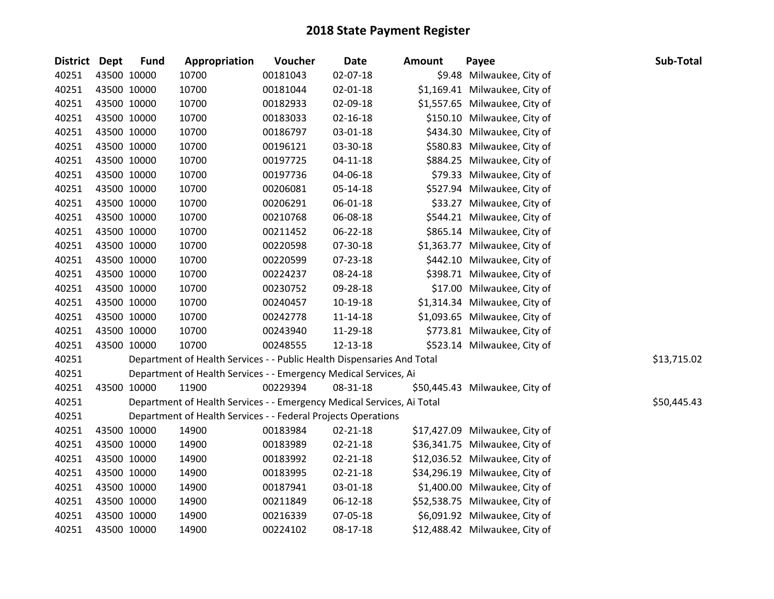| District Dept |             | <b>Fund</b> | Appropriation                                                          | Voucher  | <b>Date</b>    | <b>Amount</b> | Payee                          | Sub-Total   |
|---------------|-------------|-------------|------------------------------------------------------------------------|----------|----------------|---------------|--------------------------------|-------------|
| 40251         | 43500 10000 |             | 10700                                                                  | 00181043 | 02-07-18       |               | \$9.48 Milwaukee, City of      |             |
| 40251         | 43500 10000 |             | 10700                                                                  | 00181044 | 02-01-18       |               | \$1,169.41 Milwaukee, City of  |             |
| 40251         | 43500 10000 |             | 10700                                                                  | 00182933 | 02-09-18       |               | \$1,557.65 Milwaukee, City of  |             |
| 40251         | 43500 10000 |             | 10700                                                                  | 00183033 | $02 - 16 - 18$ |               | \$150.10 Milwaukee, City of    |             |
| 40251         | 43500 10000 |             | 10700                                                                  | 00186797 | 03-01-18       |               | \$434.30 Milwaukee, City of    |             |
| 40251         | 43500 10000 |             | 10700                                                                  | 00196121 | 03-30-18       |               | \$580.83 Milwaukee, City of    |             |
| 40251         | 43500 10000 |             | 10700                                                                  | 00197725 | $04 - 11 - 18$ |               | \$884.25 Milwaukee, City of    |             |
| 40251         |             | 43500 10000 | 10700                                                                  | 00197736 | 04-06-18       |               | \$79.33 Milwaukee, City of     |             |
| 40251         | 43500 10000 |             | 10700                                                                  | 00206081 | $05 - 14 - 18$ |               | \$527.94 Milwaukee, City of    |             |
| 40251         | 43500 10000 |             | 10700                                                                  | 00206291 | 06-01-18       |               | \$33.27 Milwaukee, City of     |             |
| 40251         | 43500 10000 |             | 10700                                                                  | 00210768 | 06-08-18       |               | \$544.21 Milwaukee, City of    |             |
| 40251         |             | 43500 10000 | 10700                                                                  | 00211452 | 06-22-18       |               | \$865.14 Milwaukee, City of    |             |
| 40251         | 43500 10000 |             | 10700                                                                  | 00220598 | 07-30-18       |               | \$1,363.77 Milwaukee, City of  |             |
| 40251         | 43500 10000 |             | 10700                                                                  | 00220599 | 07-23-18       |               | \$442.10 Milwaukee, City of    |             |
| 40251         | 43500 10000 |             | 10700                                                                  | 00224237 | 08-24-18       |               | \$398.71 Milwaukee, City of    |             |
| 40251         | 43500 10000 |             | 10700                                                                  | 00230752 | 09-28-18       |               | \$17.00 Milwaukee, City of     |             |
| 40251         |             | 43500 10000 | 10700                                                                  | 00240457 | 10-19-18       |               | \$1,314.34 Milwaukee, City of  |             |
| 40251         | 43500 10000 |             | 10700                                                                  | 00242778 | $11 - 14 - 18$ |               | \$1,093.65 Milwaukee, City of  |             |
| 40251         | 43500 10000 |             | 10700                                                                  | 00243940 | 11-29-18       |               | \$773.81 Milwaukee, City of    |             |
| 40251         | 43500 10000 |             | 10700                                                                  | 00248555 | 12-13-18       |               | \$523.14 Milwaukee, City of    |             |
| 40251         |             |             | Department of Health Services - - Public Health Dispensaries And Total |          |                |               |                                | \$13,715.02 |
| 40251         |             |             | Department of Health Services - - Emergency Medical Services, Ai       |          |                |               |                                |             |
| 40251         | 43500 10000 |             | 11900                                                                  | 00229394 | 08-31-18       |               | \$50,445.43 Milwaukee, City of |             |
| 40251         |             |             | Department of Health Services - - Emergency Medical Services, Ai Total |          |                |               |                                | \$50,445.43 |
| 40251         |             |             | Department of Health Services - - Federal Projects Operations          |          |                |               |                                |             |
| 40251         | 43500 10000 |             | 14900                                                                  | 00183984 | $02 - 21 - 18$ |               | \$17,427.09 Milwaukee, City of |             |
| 40251         |             | 43500 10000 | 14900                                                                  | 00183989 | $02 - 21 - 18$ |               | \$36,341.75 Milwaukee, City of |             |
| 40251         | 43500 10000 |             | 14900                                                                  | 00183992 | $02 - 21 - 18$ |               | \$12,036.52 Milwaukee, City of |             |
| 40251         | 43500 10000 |             | 14900                                                                  | 00183995 | $02 - 21 - 18$ |               | \$34,296.19 Milwaukee, City of |             |
| 40251         | 43500 10000 |             | 14900                                                                  | 00187941 | 03-01-18       |               | \$1,400.00 Milwaukee, City of  |             |
| 40251         |             | 43500 10000 | 14900                                                                  | 00211849 | $06 - 12 - 18$ |               | \$52,538.75 Milwaukee, City of |             |
| 40251         |             | 43500 10000 | 14900                                                                  | 00216339 | 07-05-18       |               | \$6,091.92 Milwaukee, City of  |             |
| 40251         | 43500 10000 |             | 14900                                                                  | 00224102 | 08-17-18       |               | \$12,488.42 Milwaukee, City of |             |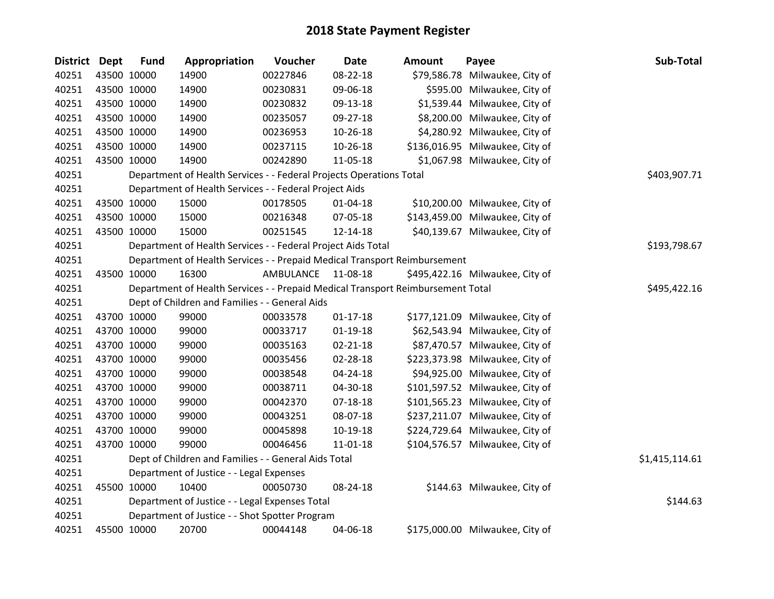| <b>District Dept</b> | <b>Fund</b> | Appropriation                                                                   | Voucher   | <b>Date</b>    | <b>Amount</b> | Payee                           | Sub-Total      |
|----------------------|-------------|---------------------------------------------------------------------------------|-----------|----------------|---------------|---------------------------------|----------------|
| 40251                | 43500 10000 | 14900                                                                           | 00227846  | 08-22-18       |               | \$79,586.78 Milwaukee, City of  |                |
| 40251                | 43500 10000 | 14900                                                                           | 00230831  | 09-06-18       |               | \$595.00 Milwaukee, City of     |                |
| 40251                | 43500 10000 | 14900                                                                           | 00230832  | 09-13-18       |               | \$1,539.44 Milwaukee, City of   |                |
| 40251                | 43500 10000 | 14900                                                                           | 00235057  | 09-27-18       |               | \$8,200.00 Milwaukee, City of   |                |
| 40251                | 43500 10000 | 14900                                                                           | 00236953  | 10-26-18       |               | \$4,280.92 Milwaukee, City of   |                |
| 40251                | 43500 10000 | 14900                                                                           | 00237115  | 10-26-18       |               | \$136,016.95 Milwaukee, City of |                |
| 40251                | 43500 10000 | 14900                                                                           | 00242890  | 11-05-18       |               | \$1,067.98 Milwaukee, City of   |                |
| 40251                |             | Department of Health Services - - Federal Projects Operations Total             |           |                |               |                                 | \$403,907.71   |
| 40251                |             | Department of Health Services - - Federal Project Aids                          |           |                |               |                                 |                |
| 40251                | 43500 10000 | 15000                                                                           | 00178505  | $01 - 04 - 18$ |               | \$10,200.00 Milwaukee, City of  |                |
| 40251                | 43500 10000 | 15000                                                                           | 00216348  | 07-05-18       |               | \$143,459.00 Milwaukee, City of |                |
| 40251                | 43500 10000 | 15000                                                                           | 00251545  | 12-14-18       |               | \$40,139.67 Milwaukee, City of  |                |
| 40251                |             | Department of Health Services - - Federal Project Aids Total                    |           |                |               |                                 | \$193,798.67   |
| 40251                |             | Department of Health Services - - Prepaid Medical Transport Reimbursement       |           |                |               |                                 |                |
| 40251                | 43500 10000 | 16300                                                                           | AMBULANCE | 11-08-18       |               | \$495,422.16 Milwaukee, City of |                |
| 40251                |             | Department of Health Services - - Prepaid Medical Transport Reimbursement Total |           |                |               |                                 | \$495,422.16   |
| 40251                |             | Dept of Children and Families - - General Aids                                  |           |                |               |                                 |                |
| 40251                | 43700 10000 | 99000                                                                           | 00033578  | $01 - 17 - 18$ |               | \$177,121.09 Milwaukee, City of |                |
| 40251                | 43700 10000 | 99000                                                                           | 00033717  | $01-19-18$     |               | \$62,543.94 Milwaukee, City of  |                |
| 40251                | 43700 10000 | 99000                                                                           | 00035163  | $02 - 21 - 18$ |               | \$87,470.57 Milwaukee, City of  |                |
| 40251                | 43700 10000 | 99000                                                                           | 00035456  | 02-28-18       |               | \$223,373.98 Milwaukee, City of |                |
| 40251                | 43700 10000 | 99000                                                                           | 00038548  | 04-24-18       |               | \$94,925.00 Milwaukee, City of  |                |
| 40251                | 43700 10000 | 99000                                                                           | 00038711  | 04-30-18       |               | \$101,597.52 Milwaukee, City of |                |
| 40251                | 43700 10000 | 99000                                                                           | 00042370  | $07 - 18 - 18$ |               | \$101,565.23 Milwaukee, City of |                |
| 40251                | 43700 10000 | 99000                                                                           | 00043251  | 08-07-18       |               | \$237,211.07 Milwaukee, City of |                |
| 40251                | 43700 10000 | 99000                                                                           | 00045898  | 10-19-18       |               | \$224,729.64 Milwaukee, City of |                |
| 40251                | 43700 10000 | 99000                                                                           | 00046456  | $11 - 01 - 18$ |               | \$104,576.57 Milwaukee, City of |                |
| 40251                |             | Dept of Children and Families - - General Aids Total                            |           |                |               |                                 | \$1,415,114.61 |
| 40251                |             | Department of Justice - - Legal Expenses                                        |           |                |               |                                 |                |
| 40251                | 45500 10000 | 10400                                                                           | 00050730  | 08-24-18       |               | \$144.63 Milwaukee, City of     |                |
| 40251                |             | Department of Justice - - Legal Expenses Total                                  |           |                |               |                                 | \$144.63       |
| 40251                |             | Department of Justice - - Shot Spotter Program                                  |           |                |               |                                 |                |
| 40251                | 45500 10000 | 20700                                                                           | 00044148  | 04-06-18       |               | \$175,000.00 Milwaukee, City of |                |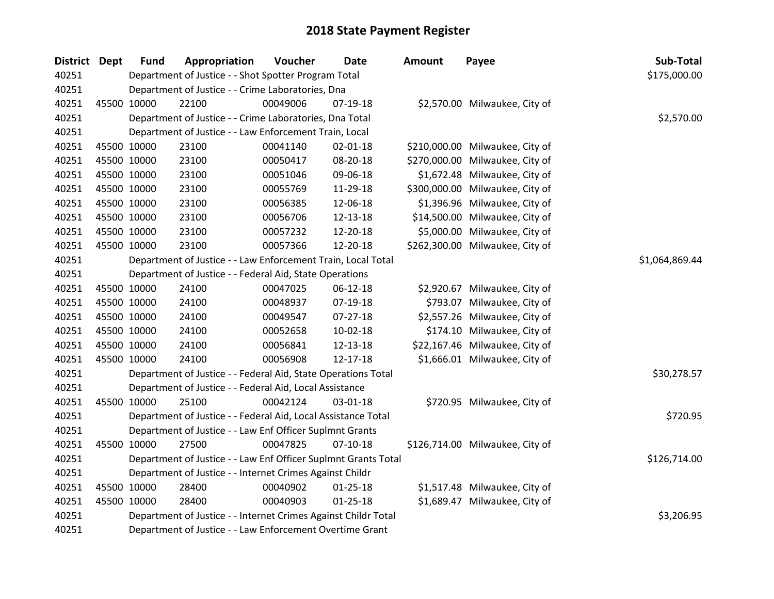| District Dept | <b>Fund</b> | Appropriation                                                  | Voucher  | <b>Date</b>    | <b>Amount</b> | Payee                           | Sub-Total      |
|---------------|-------------|----------------------------------------------------------------|----------|----------------|---------------|---------------------------------|----------------|
| 40251         |             | Department of Justice - - Shot Spotter Program Total           |          |                |               |                                 | \$175,000.00   |
| 40251         |             | Department of Justice - - Crime Laboratories, Dna              |          |                |               |                                 |                |
| 40251         | 45500 10000 | 22100                                                          | 00049006 | 07-19-18       |               | \$2,570.00 Milwaukee, City of   |                |
| 40251         |             | Department of Justice - - Crime Laboratories, Dna Total        |          |                |               |                                 | \$2,570.00     |
| 40251         |             | Department of Justice - - Law Enforcement Train, Local         |          |                |               |                                 |                |
| 40251         | 45500 10000 | 23100                                                          | 00041140 | 02-01-18       |               | \$210,000.00 Milwaukee, City of |                |
| 40251         | 45500 10000 | 23100                                                          | 00050417 | 08-20-18       |               | \$270,000.00 Milwaukee, City of |                |
| 40251         | 45500 10000 | 23100                                                          | 00051046 | 09-06-18       |               | \$1,672.48 Milwaukee, City of   |                |
| 40251         | 45500 10000 | 23100                                                          | 00055769 | 11-29-18       |               | \$300,000.00 Milwaukee, City of |                |
| 40251         | 45500 10000 | 23100                                                          | 00056385 | 12-06-18       |               | \$1,396.96 Milwaukee, City of   |                |
| 40251         | 45500 10000 | 23100                                                          | 00056706 | 12-13-18       |               | \$14,500.00 Milwaukee, City of  |                |
| 40251         | 45500 10000 | 23100                                                          | 00057232 | 12-20-18       |               | \$5,000.00 Milwaukee, City of   |                |
| 40251         | 45500 10000 | 23100                                                          | 00057366 | 12-20-18       |               | \$262,300.00 Milwaukee, City of |                |
| 40251         |             | Department of Justice - - Law Enforcement Train, Local Total   |          |                |               |                                 | \$1,064,869.44 |
| 40251         |             | Department of Justice - - Federal Aid, State Operations        |          |                |               |                                 |                |
| 40251         | 45500 10000 | 24100                                                          | 00047025 | 06-12-18       |               | \$2,920.67 Milwaukee, City of   |                |
| 40251         | 45500 10000 | 24100                                                          | 00048937 | $07-19-18$     |               | \$793.07 Milwaukee, City of     |                |
| 40251         | 45500 10000 | 24100                                                          | 00049547 | $07-27-18$     |               | \$2,557.26 Milwaukee, City of   |                |
| 40251         | 45500 10000 | 24100                                                          | 00052658 | $10-02-18$     |               | \$174.10 Milwaukee, City of     |                |
| 40251         | 45500 10000 | 24100                                                          | 00056841 | 12-13-18       |               | \$22,167.46 Milwaukee, City of  |                |
| 40251         | 45500 10000 | 24100                                                          | 00056908 | $12 - 17 - 18$ |               | \$1,666.01 Milwaukee, City of   |                |
| 40251         |             | Department of Justice - - Federal Aid, State Operations Total  |          |                |               |                                 | \$30,278.57    |
| 40251         |             | Department of Justice - - Federal Aid, Local Assistance        |          |                |               |                                 |                |
| 40251         | 45500 10000 | 25100                                                          | 00042124 | 03-01-18       |               | \$720.95 Milwaukee, City of     |                |
| 40251         |             | Department of Justice - - Federal Aid, Local Assistance Total  |          |                |               |                                 | \$720.95       |
| 40251         |             | Department of Justice - - Law Enf Officer Suplmnt Grants       |          |                |               |                                 |                |
| 40251         | 45500 10000 | 27500                                                          | 00047825 | $07-10-18$     |               | \$126,714.00 Milwaukee, City of |                |
| 40251         |             | Department of Justice - - Law Enf Officer Suplmnt Grants Total |          |                |               |                                 | \$126,714.00   |
| 40251         |             | Department of Justice - - Internet Crimes Against Childr       |          |                |               |                                 |                |
| 40251         | 45500 10000 | 28400                                                          | 00040902 | $01 - 25 - 18$ |               | \$1,517.48 Milwaukee, City of   |                |
| 40251         | 45500 10000 | 28400                                                          | 00040903 | $01 - 25 - 18$ |               | \$1,689.47 Milwaukee, City of   |                |
| 40251         |             | Department of Justice - - Internet Crimes Against Childr Total |          |                |               |                                 | \$3,206.95     |
| 40251         |             | Department of Justice - - Law Enforcement Overtime Grant       |          |                |               |                                 |                |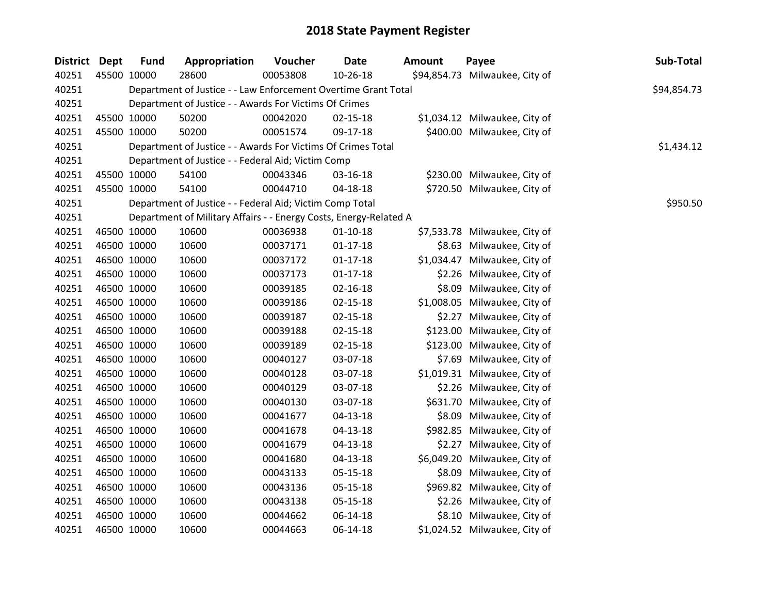| District Dept |             | <b>Fund</b> | Appropriation                                                     | Voucher  | <b>Date</b>    | <b>Amount</b> | Payee                          | Sub-Total   |
|---------------|-------------|-------------|-------------------------------------------------------------------|----------|----------------|---------------|--------------------------------|-------------|
| 40251         |             | 45500 10000 | 28600                                                             | 00053808 | 10-26-18       |               | \$94,854.73 Milwaukee, City of |             |
| 40251         |             |             | Department of Justice - - Law Enforcement Overtime Grant Total    |          |                |               |                                | \$94,854.73 |
| 40251         |             |             | Department of Justice - - Awards For Victims Of Crimes            |          |                |               |                                |             |
| 40251         |             | 45500 10000 | 50200                                                             | 00042020 | $02 - 15 - 18$ |               | \$1,034.12 Milwaukee, City of  |             |
| 40251         |             | 45500 10000 | 50200                                                             | 00051574 | 09-17-18       |               | \$400.00 Milwaukee, City of    |             |
| 40251         |             |             | Department of Justice - - Awards For Victims Of Crimes Total      |          |                |               |                                | \$1,434.12  |
| 40251         |             |             | Department of Justice - - Federal Aid; Victim Comp                |          |                |               |                                |             |
| 40251         |             | 45500 10000 | 54100                                                             | 00043346 | 03-16-18       |               | \$230.00 Milwaukee, City of    |             |
| 40251         |             | 45500 10000 | 54100                                                             | 00044710 | 04-18-18       |               | \$720.50 Milwaukee, City of    |             |
| 40251         |             |             | Department of Justice - - Federal Aid; Victim Comp Total          |          |                |               |                                | \$950.50    |
| 40251         |             |             | Department of Military Affairs - - Energy Costs, Energy-Related A |          |                |               |                                |             |
| 40251         |             | 46500 10000 | 10600                                                             | 00036938 | $01 - 10 - 18$ |               | \$7,533.78 Milwaukee, City of  |             |
| 40251         |             | 46500 10000 | 10600                                                             | 00037171 | $01-17-18$     |               | \$8.63 Milwaukee, City of      |             |
| 40251         |             | 46500 10000 | 10600                                                             | 00037172 | $01 - 17 - 18$ |               | \$1,034.47 Milwaukee, City of  |             |
| 40251         |             | 46500 10000 | 10600                                                             | 00037173 | $01 - 17 - 18$ |               | \$2.26 Milwaukee, City of      |             |
| 40251         |             | 46500 10000 | 10600                                                             | 00039185 | $02 - 16 - 18$ |               | \$8.09 Milwaukee, City of      |             |
| 40251         |             | 46500 10000 | 10600                                                             | 00039186 | $02 - 15 - 18$ |               | \$1,008.05 Milwaukee, City of  |             |
| 40251         |             | 46500 10000 | 10600                                                             | 00039187 | $02 - 15 - 18$ |               | \$2.27 Milwaukee, City of      |             |
| 40251         |             | 46500 10000 | 10600                                                             | 00039188 | $02 - 15 - 18$ |               | \$123.00 Milwaukee, City of    |             |
| 40251         |             | 46500 10000 | 10600                                                             | 00039189 | $02 - 15 - 18$ |               | \$123.00 Milwaukee, City of    |             |
| 40251         |             | 46500 10000 | 10600                                                             | 00040127 | 03-07-18       |               | \$7.69 Milwaukee, City of      |             |
| 40251         |             | 46500 10000 | 10600                                                             | 00040128 | 03-07-18       |               | \$1,019.31 Milwaukee, City of  |             |
| 40251         |             | 46500 10000 | 10600                                                             | 00040129 | 03-07-18       |               | \$2.26 Milwaukee, City of      |             |
| 40251         |             | 46500 10000 | 10600                                                             | 00040130 | 03-07-18       |               | \$631.70 Milwaukee, City of    |             |
| 40251         |             | 46500 10000 | 10600                                                             | 00041677 | $04 - 13 - 18$ |               | \$8.09 Milwaukee, City of      |             |
| 40251         |             | 46500 10000 | 10600                                                             | 00041678 | $04 - 13 - 18$ |               | \$982.85 Milwaukee, City of    |             |
| 40251         |             | 46500 10000 | 10600                                                             | 00041679 | $04 - 13 - 18$ |               | \$2.27 Milwaukee, City of      |             |
| 40251         |             | 46500 10000 | 10600                                                             | 00041680 | $04 - 13 - 18$ |               | \$6,049.20 Milwaukee, City of  |             |
| 40251         |             | 46500 10000 | 10600                                                             | 00043133 | 05-15-18       |               | \$8.09 Milwaukee, City of      |             |
| 40251         |             | 46500 10000 | 10600                                                             | 00043136 | $05 - 15 - 18$ |               | \$969.82 Milwaukee, City of    |             |
| 40251         |             | 46500 10000 | 10600                                                             | 00043138 | 05-15-18       |               | \$2.26 Milwaukee, City of      |             |
| 40251         | 46500 10000 |             | 10600                                                             | 00044662 | 06-14-18       |               | \$8.10 Milwaukee, City of      |             |
| 40251         |             | 46500 10000 | 10600                                                             | 00044663 | 06-14-18       |               | \$1,024.52 Milwaukee, City of  |             |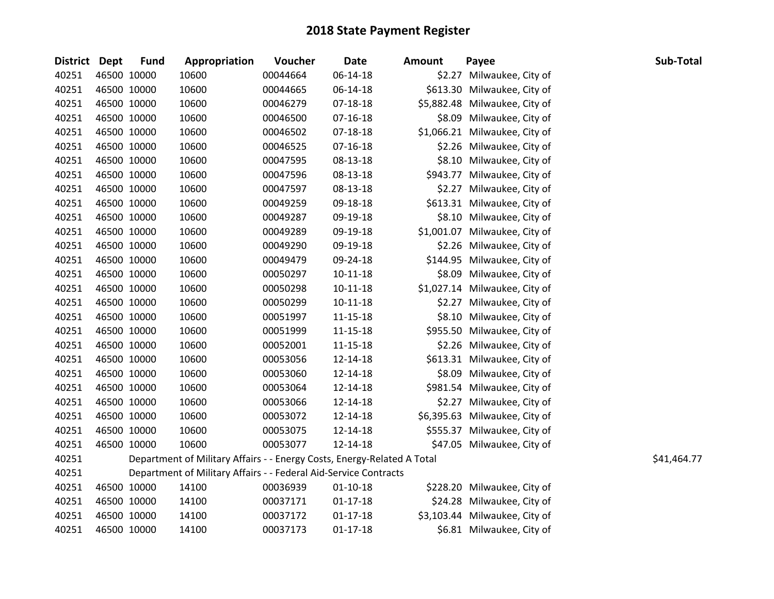| District Dept |             | <b>Fund</b> | Appropriation                                                           | Voucher  | <b>Date</b>    | <b>Amount</b> | Payee                         | Sub-Total   |
|---------------|-------------|-------------|-------------------------------------------------------------------------|----------|----------------|---------------|-------------------------------|-------------|
| 40251         |             | 46500 10000 | 10600                                                                   | 00044664 | 06-14-18       |               | \$2.27 Milwaukee, City of     |             |
| 40251         |             | 46500 10000 | 10600                                                                   | 00044665 | $06 - 14 - 18$ |               | \$613.30 Milwaukee, City of   |             |
| 40251         | 46500 10000 |             | 10600                                                                   | 00046279 | 07-18-18       |               | \$5,882.48 Milwaukee, City of |             |
| 40251         | 46500 10000 |             | 10600                                                                   | 00046500 | 07-16-18       |               | \$8.09 Milwaukee, City of     |             |
| 40251         |             | 46500 10000 | 10600                                                                   | 00046502 | 07-18-18       |               | \$1,066.21 Milwaukee, City of |             |
| 40251         |             | 46500 10000 | 10600                                                                   | 00046525 | $07-16-18$     |               | \$2.26 Milwaukee, City of     |             |
| 40251         |             | 46500 10000 | 10600                                                                   | 00047595 | 08-13-18       |               | \$8.10 Milwaukee, City of     |             |
| 40251         |             | 46500 10000 | 10600                                                                   | 00047596 | 08-13-18       |               | \$943.77 Milwaukee, City of   |             |
| 40251         | 46500 10000 |             | 10600                                                                   | 00047597 | 08-13-18       |               | \$2.27 Milwaukee, City of     |             |
| 40251         |             | 46500 10000 | 10600                                                                   | 00049259 | 09-18-18       |               | \$613.31 Milwaukee, City of   |             |
| 40251         | 46500 10000 |             | 10600                                                                   | 00049287 | 09-19-18       |               | \$8.10 Milwaukee, City of     |             |
| 40251         | 46500 10000 |             | 10600                                                                   | 00049289 | 09-19-18       |               | \$1,001.07 Milwaukee, City of |             |
| 40251         | 46500 10000 |             | 10600                                                                   | 00049290 | 09-19-18       |               | \$2.26 Milwaukee, City of     |             |
| 40251         | 46500 10000 |             | 10600                                                                   | 00049479 | 09-24-18       |               | \$144.95 Milwaukee, City of   |             |
| 40251         | 46500 10000 |             | 10600                                                                   | 00050297 | 10-11-18       |               | \$8.09 Milwaukee, City of     |             |
| 40251         |             | 46500 10000 | 10600                                                                   | 00050298 | $10-11-18$     |               | \$1,027.14 Milwaukee, City of |             |
| 40251         |             | 46500 10000 | 10600                                                                   | 00050299 | $10-11-18$     |               | \$2.27 Milwaukee, City of     |             |
| 40251         |             | 46500 10000 | 10600                                                                   | 00051997 | $11 - 15 - 18$ |               | \$8.10 Milwaukee, City of     |             |
| 40251         | 46500 10000 |             | 10600                                                                   | 00051999 | 11-15-18       |               | \$955.50 Milwaukee, City of   |             |
| 40251         |             | 46500 10000 | 10600                                                                   | 00052001 | 11-15-18       |               | \$2.26 Milwaukee, City of     |             |
| 40251         |             | 46500 10000 | 10600                                                                   | 00053056 | 12-14-18       |               | \$613.31 Milwaukee, City of   |             |
| 40251         |             | 46500 10000 | 10600                                                                   | 00053060 | 12-14-18       |               | \$8.09 Milwaukee, City of     |             |
| 40251         |             | 46500 10000 | 10600                                                                   | 00053064 | 12-14-18       |               | \$981.54 Milwaukee, City of   |             |
| 40251         | 46500 10000 |             | 10600                                                                   | 00053066 | 12-14-18       |               | \$2.27 Milwaukee, City of     |             |
| 40251         |             | 46500 10000 | 10600                                                                   | 00053072 | 12-14-18       |               | \$6,395.63 Milwaukee, City of |             |
| 40251         |             | 46500 10000 | 10600                                                                   | 00053075 | 12-14-18       |               | \$555.37 Milwaukee, City of   |             |
| 40251         | 46500 10000 |             | 10600                                                                   | 00053077 | 12-14-18       |               | \$47.05 Milwaukee, City of    |             |
| 40251         |             |             | Department of Military Affairs - - Energy Costs, Energy-Related A Total |          |                |               |                               | \$41,464.77 |
| 40251         |             |             | Department of Military Affairs - - Federal Aid-Service Contracts        |          |                |               |                               |             |
| 40251         |             | 46500 10000 | 14100                                                                   | 00036939 | $01 - 10 - 18$ |               | \$228.20 Milwaukee, City of   |             |
| 40251         | 46500 10000 |             | 14100                                                                   | 00037171 | $01 - 17 - 18$ |               | \$24.28 Milwaukee, City of    |             |
| 40251         | 46500 10000 |             | 14100                                                                   | 00037172 | $01 - 17 - 18$ |               | \$3,103.44 Milwaukee, City of |             |
| 40251         | 46500 10000 |             | 14100                                                                   | 00037173 | $01 - 17 - 18$ |               | \$6.81 Milwaukee, City of     |             |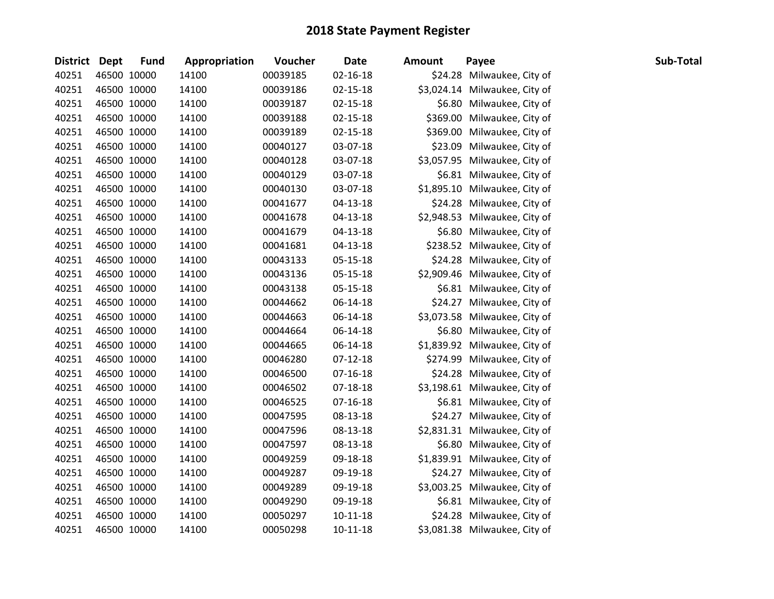| District Dept |             | <b>Fund</b> | Appropriation | Voucher  | <b>Date</b>    | <b>Amount</b> | Payee                         | Sub-Total |
|---------------|-------------|-------------|---------------|----------|----------------|---------------|-------------------------------|-----------|
| 40251         |             | 46500 10000 | 14100         | 00039185 | $02 - 16 - 18$ |               | \$24.28 Milwaukee, City of    |           |
| 40251         |             | 46500 10000 | 14100         | 00039186 | $02 - 15 - 18$ |               | \$3,024.14 Milwaukee, City of |           |
| 40251         |             | 46500 10000 | 14100         | 00039187 | $02 - 15 - 18$ |               | \$6.80 Milwaukee, City of     |           |
| 40251         |             | 46500 10000 | 14100         | 00039188 | $02 - 15 - 18$ |               | \$369.00 Milwaukee, City of   |           |
| 40251         |             | 46500 10000 | 14100         | 00039189 | 02-15-18       |               | \$369.00 Milwaukee, City of   |           |
| 40251         |             | 46500 10000 | 14100         | 00040127 | 03-07-18       |               | \$23.09 Milwaukee, City of    |           |
| 40251         |             | 46500 10000 | 14100         | 00040128 | 03-07-18       |               | \$3,057.95 Milwaukee, City of |           |
| 40251         |             | 46500 10000 | 14100         | 00040129 | 03-07-18       |               | \$6.81 Milwaukee, City of     |           |
| 40251         |             | 46500 10000 | 14100         | 00040130 | 03-07-18       |               | \$1,895.10 Milwaukee, City of |           |
| 40251         |             | 46500 10000 | 14100         | 00041677 | 04-13-18       |               | \$24.28 Milwaukee, City of    |           |
| 40251         |             | 46500 10000 | 14100         | 00041678 | 04-13-18       |               | \$2,948.53 Milwaukee, City of |           |
| 40251         |             | 46500 10000 | 14100         | 00041679 | 04-13-18       |               | \$6.80 Milwaukee, City of     |           |
| 40251         |             | 46500 10000 | 14100         | 00041681 | $04 - 13 - 18$ |               | \$238.52 Milwaukee, City of   |           |
| 40251         |             | 46500 10000 | 14100         | 00043133 | 05-15-18       |               | \$24.28 Milwaukee, City of    |           |
| 40251         |             | 46500 10000 | 14100         | 00043136 | 05-15-18       |               | \$2,909.46 Milwaukee, City of |           |
| 40251         |             | 46500 10000 | 14100         | 00043138 | 05-15-18       |               | \$6.81 Milwaukee, City of     |           |
| 40251         |             | 46500 10000 | 14100         | 00044662 | 06-14-18       |               | \$24.27 Milwaukee, City of    |           |
| 40251         |             | 46500 10000 | 14100         | 00044663 | 06-14-18       |               | \$3,073.58 Milwaukee, City of |           |
| 40251         |             | 46500 10000 | 14100         | 00044664 | 06-14-18       |               | \$6.80 Milwaukee, City of     |           |
| 40251         |             | 46500 10000 | 14100         | 00044665 | 06-14-18       |               | \$1,839.92 Milwaukee, City of |           |
| 40251         |             | 46500 10000 | 14100         | 00046280 | $07-12-18$     |               | \$274.99 Milwaukee, City of   |           |
| 40251         |             | 46500 10000 | 14100         | 00046500 | 07-16-18       |               | \$24.28 Milwaukee, City of    |           |
| 40251         |             | 46500 10000 | 14100         | 00046502 | 07-18-18       |               | \$3,198.61 Milwaukee, City of |           |
| 40251         |             | 46500 10000 | 14100         | 00046525 | $07-16-18$     |               | \$6.81 Milwaukee, City of     |           |
| 40251         |             | 46500 10000 | 14100         | 00047595 | 08-13-18       |               | \$24.27 Milwaukee, City of    |           |
| 40251         |             | 46500 10000 | 14100         | 00047596 | 08-13-18       |               | \$2,831.31 Milwaukee, City of |           |
| 40251         |             | 46500 10000 | 14100         | 00047597 | 08-13-18       |               | \$6.80 Milwaukee, City of     |           |
| 40251         |             | 46500 10000 | 14100         | 00049259 | 09-18-18       |               | \$1,839.91 Milwaukee, City of |           |
| 40251         |             | 46500 10000 | 14100         | 00049287 | 09-19-18       |               | \$24.27 Milwaukee, City of    |           |
| 40251         |             | 46500 10000 | 14100         | 00049289 | 09-19-18       |               | \$3,003.25 Milwaukee, City of |           |
| 40251         |             | 46500 10000 | 14100         | 00049290 | 09-19-18       |               | \$6.81 Milwaukee, City of     |           |
| 40251         |             | 46500 10000 | 14100         | 00050297 | $10-11-18$     |               | \$24.28 Milwaukee, City of    |           |
| 40251         | 46500 10000 |             | 14100         | 00050298 | 10-11-18       |               | \$3,081.38 Milwaukee, City of |           |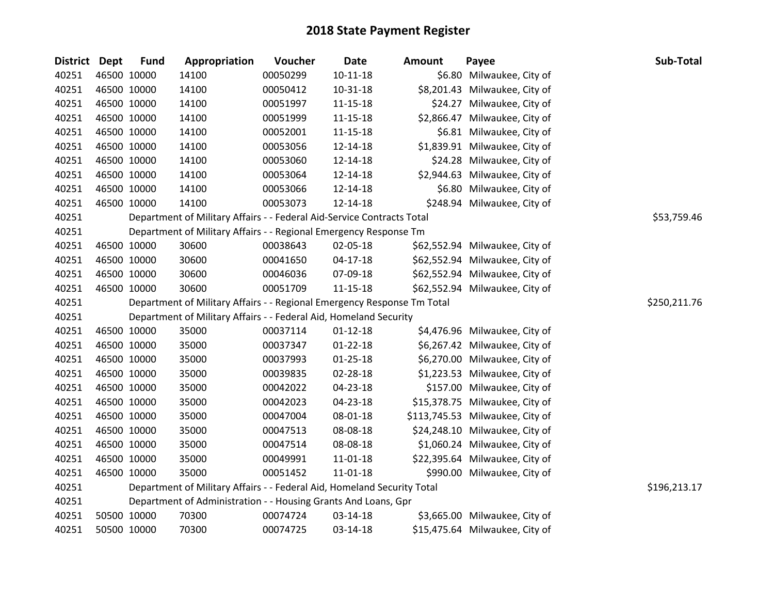| District Dept | <b>Fund</b> | Appropriation                                                           | Voucher  | <b>Date</b>    | <b>Amount</b> | Payee                           | Sub-Total    |
|---------------|-------------|-------------------------------------------------------------------------|----------|----------------|---------------|---------------------------------|--------------|
| 40251         | 46500 10000 | 14100                                                                   | 00050299 | $10 - 11 - 18$ |               | \$6.80 Milwaukee, City of       |              |
| 40251         | 46500 10000 | 14100                                                                   | 00050412 | $10 - 31 - 18$ |               | \$8,201.43 Milwaukee, City of   |              |
| 40251         | 46500 10000 | 14100                                                                   | 00051997 | $11 - 15 - 18$ |               | \$24.27 Milwaukee, City of      |              |
| 40251         | 46500 10000 | 14100                                                                   | 00051999 | $11 - 15 - 18$ |               | \$2,866.47 Milwaukee, City of   |              |
| 40251         | 46500 10000 | 14100                                                                   | 00052001 | 11-15-18       |               | \$6.81 Milwaukee, City of       |              |
| 40251         | 46500 10000 | 14100                                                                   | 00053056 | 12-14-18       |               | \$1,839.91 Milwaukee, City of   |              |
| 40251         | 46500 10000 | 14100                                                                   | 00053060 | 12-14-18       |               | \$24.28 Milwaukee, City of      |              |
| 40251         | 46500 10000 | 14100                                                                   | 00053064 | 12-14-18       |               | \$2,944.63 Milwaukee, City of   |              |
| 40251         | 46500 10000 | 14100                                                                   | 00053066 | 12-14-18       |               | \$6.80 Milwaukee, City of       |              |
| 40251         | 46500 10000 | 14100                                                                   | 00053073 | 12-14-18       |               | \$248.94 Milwaukee, City of     |              |
| 40251         |             | Department of Military Affairs - - Federal Aid-Service Contracts Total  |          |                |               |                                 | \$53,759.46  |
| 40251         |             | Department of Military Affairs - - Regional Emergency Response Tm       |          |                |               |                                 |              |
| 40251         | 46500 10000 | 30600                                                                   | 00038643 | 02-05-18       |               | \$62,552.94 Milwaukee, City of  |              |
| 40251         | 46500 10000 | 30600                                                                   | 00041650 | $04-17-18$     |               | \$62,552.94 Milwaukee, City of  |              |
| 40251         | 46500 10000 | 30600                                                                   | 00046036 | 07-09-18       |               | \$62,552.94 Milwaukee, City of  |              |
| 40251         | 46500 10000 | 30600                                                                   | 00051709 | $11 - 15 - 18$ |               | \$62,552.94 Milwaukee, City of  |              |
| 40251         |             | Department of Military Affairs - - Regional Emergency Response Tm Total |          |                |               |                                 | \$250,211.76 |
| 40251         |             | Department of Military Affairs - - Federal Aid, Homeland Security       |          |                |               |                                 |              |
| 40251         | 46500 10000 | 35000                                                                   | 00037114 | $01 - 12 - 18$ |               | \$4,476.96 Milwaukee, City of   |              |
| 40251         | 46500 10000 | 35000                                                                   | 00037347 | $01 - 22 - 18$ |               | \$6,267.42 Milwaukee, City of   |              |
| 40251         | 46500 10000 | 35000                                                                   | 00037993 | $01 - 25 - 18$ |               | \$6,270.00 Milwaukee, City of   |              |
| 40251         | 46500 10000 | 35000                                                                   | 00039835 | 02-28-18       |               | \$1,223.53 Milwaukee, City of   |              |
| 40251         | 46500 10000 | 35000                                                                   | 00042022 | 04-23-18       |               | \$157.00 Milwaukee, City of     |              |
| 40251         | 46500 10000 | 35000                                                                   | 00042023 | 04-23-18       |               | \$15,378.75 Milwaukee, City of  |              |
| 40251         | 46500 10000 | 35000                                                                   | 00047004 | 08-01-18       |               | \$113,745.53 Milwaukee, City of |              |
| 40251         | 46500 10000 | 35000                                                                   | 00047513 | 08-08-18       |               | \$24,248.10 Milwaukee, City of  |              |
| 40251         | 46500 10000 | 35000                                                                   | 00047514 | 08-08-18       |               | \$1,060.24 Milwaukee, City of   |              |
| 40251         | 46500 10000 | 35000                                                                   | 00049991 | 11-01-18       |               | \$22,395.64 Milwaukee, City of  |              |
| 40251         | 46500 10000 | 35000                                                                   | 00051452 | 11-01-18       |               | \$990.00 Milwaukee, City of     |              |
| 40251         |             | Department of Military Affairs - - Federal Aid, Homeland Security Total |          |                |               |                                 | \$196,213.17 |
| 40251         |             | Department of Administration - - Housing Grants And Loans, Gpr          |          |                |               |                                 |              |
| 40251         | 50500 10000 | 70300                                                                   | 00074724 | 03-14-18       |               | \$3,665.00 Milwaukee, City of   |              |
| 40251         | 50500 10000 | 70300                                                                   | 00074725 | 03-14-18       |               | \$15,475.64 Milwaukee, City of  |              |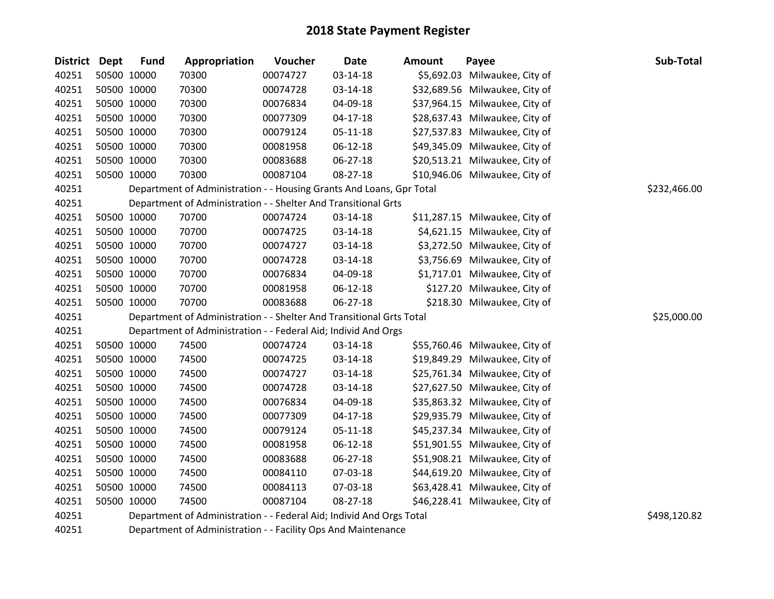| <b>District Dept</b> |             | <b>Fund</b> | Appropriation                                                        | Voucher  | <b>Date</b>    | Amount | Payee                          | Sub-Total    |
|----------------------|-------------|-------------|----------------------------------------------------------------------|----------|----------------|--------|--------------------------------|--------------|
| 40251                |             | 50500 10000 | 70300                                                                | 00074727 | $03 - 14 - 18$ |        | \$5,692.03 Milwaukee, City of  |              |
| 40251                | 50500 10000 |             | 70300                                                                | 00074728 | 03-14-18       |        | \$32,689.56 Milwaukee, City of |              |
| 40251                | 50500 10000 |             | 70300                                                                | 00076834 | 04-09-18       |        | \$37,964.15 Milwaukee, City of |              |
| 40251                |             | 50500 10000 | 70300                                                                | 00077309 | $04 - 17 - 18$ |        | \$28,637.43 Milwaukee, City of |              |
| 40251                |             | 50500 10000 | 70300                                                                | 00079124 | 05-11-18       |        | \$27,537.83 Milwaukee, City of |              |
| 40251                |             | 50500 10000 | 70300                                                                | 00081958 | 06-12-18       |        | \$49,345.09 Milwaukee, City of |              |
| 40251                | 50500 10000 |             | 70300                                                                | 00083688 | 06-27-18       |        | \$20,513.21 Milwaukee, City of |              |
| 40251                |             | 50500 10000 | 70300                                                                | 00087104 | 08-27-18       |        | \$10,946.06 Milwaukee, City of |              |
| 40251                |             |             | Department of Administration - - Housing Grants And Loans, Gpr Total |          |                |        |                                | \$232,466.00 |
| 40251                |             |             | Department of Administration - - Shelter And Transitional Grts       |          |                |        |                                |              |
| 40251                |             | 50500 10000 | 70700                                                                | 00074724 | 03-14-18       |        | \$11,287.15 Milwaukee, City of |              |
| 40251                |             | 50500 10000 | 70700                                                                | 00074725 | 03-14-18       |        | \$4,621.15 Milwaukee, City of  |              |
| 40251                |             | 50500 10000 | 70700                                                                | 00074727 | 03-14-18       |        | \$3,272.50 Milwaukee, City of  |              |
| 40251                |             | 50500 10000 | 70700                                                                | 00074728 | 03-14-18       |        | \$3,756.69 Milwaukee, City of  |              |
| 40251                | 50500 10000 |             | 70700                                                                | 00076834 | 04-09-18       |        | \$1,717.01 Milwaukee, City of  |              |
| 40251                |             | 50500 10000 | 70700                                                                | 00081958 | 06-12-18       |        | \$127.20 Milwaukee, City of    |              |
| 40251                |             | 50500 10000 | 70700                                                                | 00083688 | 06-27-18       |        | \$218.30 Milwaukee, City of    |              |
| 40251                |             |             | Department of Administration - - Shelter And Transitional Grts Total |          |                |        |                                | \$25,000.00  |
| 40251                |             |             | Department of Administration - - Federal Aid; Individ And Orgs       |          |                |        |                                |              |
| 40251                |             | 50500 10000 | 74500                                                                | 00074724 | 03-14-18       |        | \$55,760.46 Milwaukee, City of |              |
| 40251                |             | 50500 10000 | 74500                                                                | 00074725 | 03-14-18       |        | \$19,849.29 Milwaukee, City of |              |
| 40251                |             | 50500 10000 | 74500                                                                | 00074727 | 03-14-18       |        | \$25,761.34 Milwaukee, City of |              |
| 40251                |             | 50500 10000 | 74500                                                                | 00074728 | 03-14-18       |        | \$27,627.50 Milwaukee, City of |              |
| 40251                |             | 50500 10000 | 74500                                                                | 00076834 | 04-09-18       |        | \$35,863.32 Milwaukee, City of |              |
| 40251                |             | 50500 10000 | 74500                                                                | 00077309 | 04-17-18       |        | \$29,935.79 Milwaukee, City of |              |
| 40251                |             | 50500 10000 | 74500                                                                | 00079124 | $05 - 11 - 18$ |        | \$45,237.34 Milwaukee, City of |              |
| 40251                | 50500 10000 |             | 74500                                                                | 00081958 | 06-12-18       |        | \$51,901.55 Milwaukee, City of |              |
| 40251                |             | 50500 10000 | 74500                                                                | 00083688 | 06-27-18       |        | \$51,908.21 Milwaukee, City of |              |
| 40251                |             | 50500 10000 | 74500                                                                | 00084110 | 07-03-18       |        | \$44,619.20 Milwaukee, City of |              |
| 40251                |             | 50500 10000 | 74500                                                                | 00084113 | 07-03-18       |        | \$63,428.41 Milwaukee, City of |              |
| 40251                |             | 50500 10000 | 74500                                                                | 00087104 | 08-27-18       |        | \$46,228.41 Milwaukee, City of |              |
| 40251                |             |             | Department of Administration - - Federal Aid; Individ And Orgs Total |          |                |        |                                | \$498,120.82 |
|                      |             |             |                                                                      |          |                |        |                                |              |

Department of Administration - - Facility Ops And Maintenance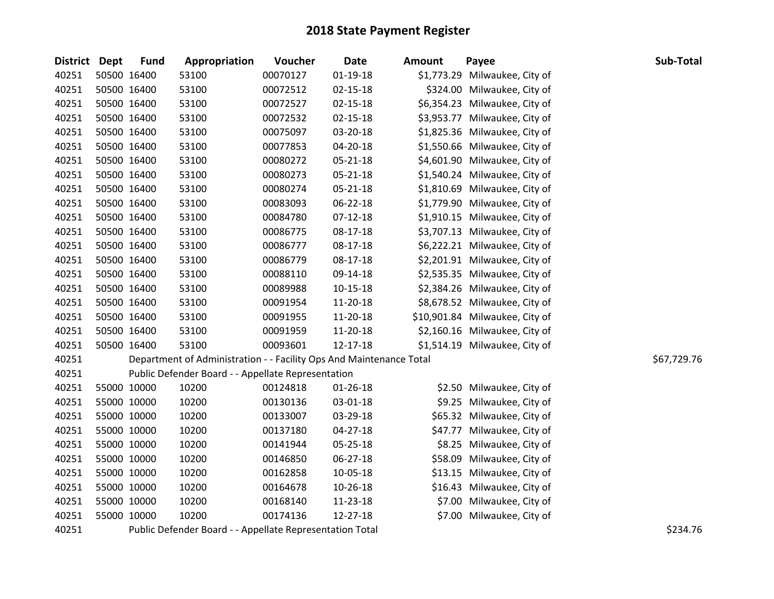| District Dept |             | <b>Fund</b> | Appropriation                                                       | Voucher  | <b>Date</b>    | <b>Amount</b> | Payee                          | Sub-Total   |
|---------------|-------------|-------------|---------------------------------------------------------------------|----------|----------------|---------------|--------------------------------|-------------|
| 40251         | 50500 16400 |             | 53100                                                               | 00070127 | 01-19-18       | \$1,773.29    | Milwaukee, City of             |             |
| 40251         | 50500 16400 |             | 53100                                                               | 00072512 | $02 - 15 - 18$ |               | \$324.00 Milwaukee, City of    |             |
| 40251         | 50500 16400 |             | 53100                                                               | 00072527 | $02 - 15 - 18$ |               | \$6,354.23 Milwaukee, City of  |             |
| 40251         | 50500 16400 |             | 53100                                                               | 00072532 | $02 - 15 - 18$ |               | \$3,953.77 Milwaukee, City of  |             |
| 40251         | 50500 16400 |             | 53100                                                               | 00075097 | 03-20-18       |               | \$1,825.36 Milwaukee, City of  |             |
| 40251         | 50500 16400 |             | 53100                                                               | 00077853 | 04-20-18       |               | \$1,550.66 Milwaukee, City of  |             |
| 40251         | 50500 16400 |             | 53100                                                               | 00080272 | 05-21-18       |               | \$4,601.90 Milwaukee, City of  |             |
| 40251         | 50500 16400 |             | 53100                                                               | 00080273 | 05-21-18       |               | \$1,540.24 Milwaukee, City of  |             |
| 40251         | 50500 16400 |             | 53100                                                               | 00080274 | 05-21-18       |               | \$1,810.69 Milwaukee, City of  |             |
| 40251         | 50500 16400 |             | 53100                                                               | 00083093 | 06-22-18       |               | \$1,779.90 Milwaukee, City of  |             |
| 40251         | 50500 16400 |             | 53100                                                               | 00084780 | $07-12-18$     |               | \$1,910.15 Milwaukee, City of  |             |
| 40251         | 50500 16400 |             | 53100                                                               | 00086775 | 08-17-18       |               | \$3,707.13 Milwaukee, City of  |             |
| 40251         | 50500 16400 |             | 53100                                                               | 00086777 | 08-17-18       |               | \$6,222.21 Milwaukee, City of  |             |
| 40251         | 50500 16400 |             | 53100                                                               | 00086779 | 08-17-18       |               | \$2,201.91 Milwaukee, City of  |             |
| 40251         | 50500 16400 |             | 53100                                                               | 00088110 | 09-14-18       |               | \$2,535.35 Milwaukee, City of  |             |
| 40251         | 50500 16400 |             | 53100                                                               | 00089988 | 10-15-18       |               | \$2,384.26 Milwaukee, City of  |             |
| 40251         | 50500 16400 |             | 53100                                                               | 00091954 | 11-20-18       |               | \$8,678.52 Milwaukee, City of  |             |
| 40251         | 50500 16400 |             | 53100                                                               | 00091955 | 11-20-18       |               | \$10,901.84 Milwaukee, City of |             |
| 40251         | 50500 16400 |             | 53100                                                               | 00091959 | 11-20-18       |               | \$2,160.16 Milwaukee, City of  |             |
| 40251         | 50500 16400 |             | 53100                                                               | 00093601 | 12-17-18       |               | \$1,514.19 Milwaukee, City of  |             |
| 40251         |             |             | Department of Administration - - Facility Ops And Maintenance Total |          |                |               |                                | \$67,729.76 |
| 40251         |             |             | Public Defender Board - - Appellate Representation                  |          |                |               |                                |             |
| 40251         | 55000 10000 |             | 10200                                                               | 00124818 | $01 - 26 - 18$ |               | \$2.50 Milwaukee, City of      |             |
| 40251         | 55000 10000 |             | 10200                                                               | 00130136 | 03-01-18       |               | \$9.25 Milwaukee, City of      |             |
| 40251         | 55000 10000 |             | 10200                                                               | 00133007 | 03-29-18       |               | \$65.32 Milwaukee, City of     |             |
| 40251         | 55000 10000 |             | 10200                                                               | 00137180 | $04 - 27 - 18$ |               | \$47.77 Milwaukee, City of     |             |
| 40251         | 55000 10000 |             | 10200                                                               | 00141944 | 05-25-18       |               | \$8.25 Milwaukee, City of      |             |
| 40251         | 55000 10000 |             | 10200                                                               | 00146850 | 06-27-18       |               | \$58.09 Milwaukee, City of     |             |
| 40251         | 55000 10000 |             | 10200                                                               | 00162858 | 10-05-18       |               | \$13.15 Milwaukee, City of     |             |
| 40251         | 55000 10000 |             | 10200                                                               | 00164678 | 10-26-18       |               | \$16.43 Milwaukee, City of     |             |
| 40251         | 55000 10000 |             | 10200                                                               | 00168140 | 11-23-18       |               | \$7.00 Milwaukee, City of      |             |
| 40251         | 55000 10000 |             | 10200                                                               | 00174136 | 12-27-18       |               | \$7.00 Milwaukee, City of      |             |
| 40251         |             |             | Public Defender Board - - Appellate Representation Total            |          |                |               |                                | \$234.76    |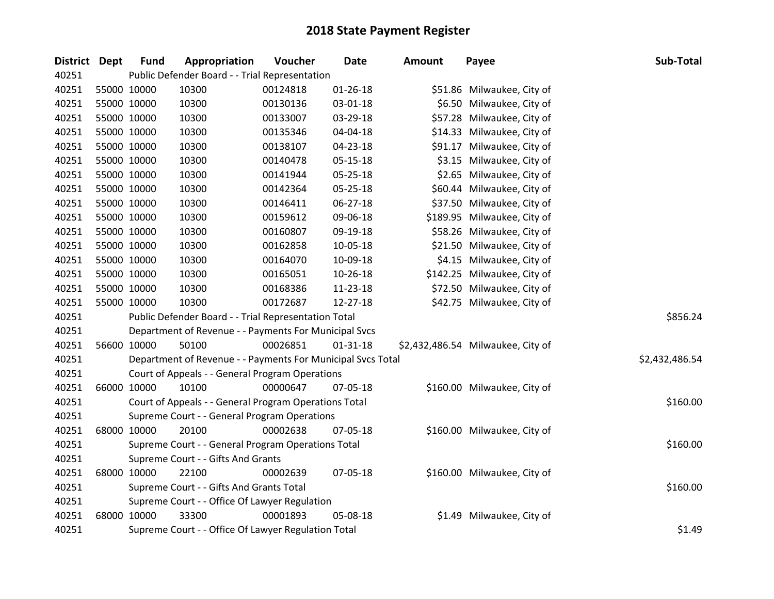| District Dept | <b>Fund</b> | Appropriation                                               | Voucher  | <b>Date</b>    | <b>Amount</b> | Payee                             | Sub-Total      |
|---------------|-------------|-------------------------------------------------------------|----------|----------------|---------------|-----------------------------------|----------------|
| 40251         |             | Public Defender Board - - Trial Representation              |          |                |               |                                   |                |
| 40251         | 55000 10000 | 10300                                                       | 00124818 | $01 - 26 - 18$ |               | \$51.86 Milwaukee, City of        |                |
| 40251         | 55000 10000 | 10300                                                       | 00130136 | 03-01-18       |               | \$6.50 Milwaukee, City of         |                |
| 40251         | 55000 10000 | 10300                                                       | 00133007 | 03-29-18       |               | \$57.28 Milwaukee, City of        |                |
| 40251         | 55000 10000 | 10300                                                       | 00135346 | 04-04-18       |               | \$14.33 Milwaukee, City of        |                |
| 40251         | 55000 10000 | 10300                                                       | 00138107 | 04-23-18       |               | \$91.17 Milwaukee, City of        |                |
| 40251         | 55000 10000 | 10300                                                       | 00140478 | $05 - 15 - 18$ |               | \$3.15 Milwaukee, City of         |                |
| 40251         | 55000 10000 | 10300                                                       | 00141944 | 05-25-18       |               | \$2.65 Milwaukee, City of         |                |
| 40251         | 55000 10000 | 10300                                                       | 00142364 | 05-25-18       |               | \$60.44 Milwaukee, City of        |                |
| 40251         | 55000 10000 | 10300                                                       | 00146411 | $06 - 27 - 18$ |               | \$37.50 Milwaukee, City of        |                |
| 40251         | 55000 10000 | 10300                                                       | 00159612 | 09-06-18       |               | \$189.95 Milwaukee, City of       |                |
| 40251         | 55000 10000 | 10300                                                       | 00160807 | 09-19-18       |               | \$58.26 Milwaukee, City of        |                |
| 40251         | 55000 10000 | 10300                                                       | 00162858 | 10-05-18       |               | \$21.50 Milwaukee, City of        |                |
| 40251         | 55000 10000 | 10300                                                       | 00164070 | 10-09-18       |               | \$4.15 Milwaukee, City of         |                |
| 40251         | 55000 10000 | 10300                                                       | 00165051 | 10-26-18       |               | \$142.25 Milwaukee, City of       |                |
| 40251         | 55000 10000 | 10300                                                       | 00168386 | $11 - 23 - 18$ |               | \$72.50 Milwaukee, City of        |                |
| 40251         | 55000 10000 | 10300                                                       | 00172687 | 12-27-18       |               | \$42.75 Milwaukee, City of        |                |
| 40251         |             | Public Defender Board - - Trial Representation Total        |          |                |               |                                   | \$856.24       |
| 40251         |             | Department of Revenue - - Payments For Municipal Svcs       |          |                |               |                                   |                |
| 40251         | 56600 10000 | 50100                                                       | 00026851 | $01 - 31 - 18$ |               | \$2,432,486.54 Milwaukee, City of |                |
| 40251         |             | Department of Revenue - - Payments For Municipal Svcs Total |          |                |               |                                   | \$2,432,486.54 |
| 40251         |             | Court of Appeals - - General Program Operations             |          |                |               |                                   |                |
| 40251         | 66000 10000 | 10100                                                       | 00000647 | 07-05-18       |               | \$160.00 Milwaukee, City of       |                |
| 40251         |             | Court of Appeals - - General Program Operations Total       |          |                |               |                                   | \$160.00       |
| 40251         |             | Supreme Court - - General Program Operations                |          |                |               |                                   |                |
| 40251         | 68000 10000 | 20100                                                       | 00002638 | 07-05-18       |               | \$160.00 Milwaukee, City of       |                |
| 40251         |             | Supreme Court - - General Program Operations Total          |          |                |               |                                   | \$160.00       |
| 40251         |             | Supreme Court - - Gifts And Grants                          |          |                |               |                                   |                |
| 40251         | 68000 10000 | 22100                                                       | 00002639 | 07-05-18       |               | \$160.00 Milwaukee, City of       |                |
| 40251         |             | Supreme Court - - Gifts And Grants Total                    |          |                |               |                                   | \$160.00       |
| 40251         |             | Supreme Court - - Office Of Lawyer Regulation               |          |                |               |                                   |                |
| 40251         | 68000 10000 | 33300                                                       | 00001893 | 05-08-18       |               | \$1.49 Milwaukee, City of         |                |
| 40251         |             | Supreme Court - - Office Of Lawyer Regulation Total         |          |                |               |                                   | \$1.49         |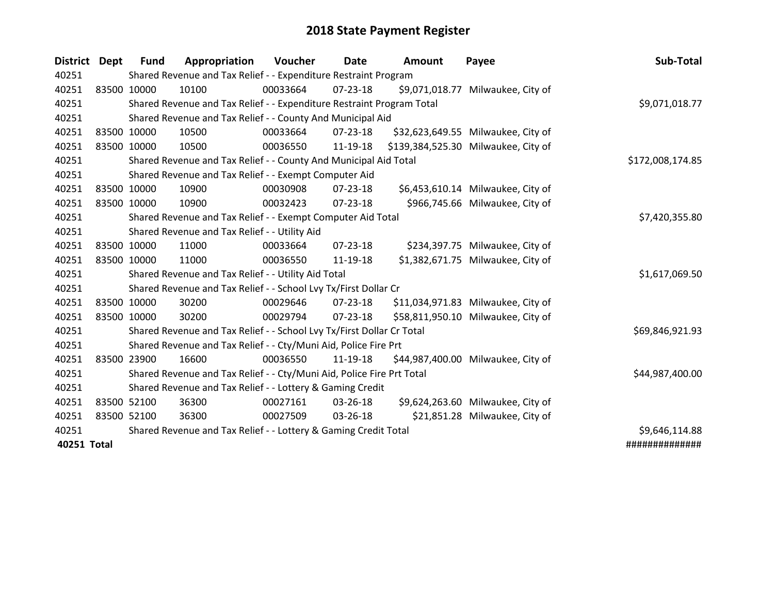| District Dept | <b>Fund</b> | Appropriation                                                         | Voucher  | Date             | Amount | Payee                               | Sub-Total       |  |  |  |  |
|---------------|-------------|-----------------------------------------------------------------------|----------|------------------|--------|-------------------------------------|-----------------|--|--|--|--|
| 40251         |             | Shared Revenue and Tax Relief - - Expenditure Restraint Program       |          |                  |        |                                     |                 |  |  |  |  |
| 40251         | 83500 10000 | 10100                                                                 | 00033664 | $07 - 23 - 18$   |        | \$9,071,018.77 Milwaukee, City of   |                 |  |  |  |  |
| 40251         |             | Shared Revenue and Tax Relief - - Expenditure Restraint Program Total |          |                  |        |                                     | \$9,071,018.77  |  |  |  |  |
| 40251         |             | Shared Revenue and Tax Relief - - County And Municipal Aid            |          |                  |        |                                     |                 |  |  |  |  |
| 40251         | 83500 10000 | 10500                                                                 | 00033664 | $07 - 23 - 18$   |        | \$32,623,649.55 Milwaukee, City of  |                 |  |  |  |  |
| 40251         | 83500 10000 | 10500                                                                 | 00036550 | 11-19-18         |        | \$139,384,525.30 Milwaukee, City of |                 |  |  |  |  |
| 40251         |             | Shared Revenue and Tax Relief - - County And Municipal Aid Total      |          | \$172,008,174.85 |        |                                     |                 |  |  |  |  |
| 40251         |             | Shared Revenue and Tax Relief - - Exempt Computer Aid                 |          |                  |        |                                     |                 |  |  |  |  |
| 40251         | 83500 10000 | 10900                                                                 | 00030908 | 07-23-18         |        | \$6,453,610.14 Milwaukee, City of   |                 |  |  |  |  |
| 40251         | 83500 10000 | 10900                                                                 | 00032423 | $07 - 23 - 18$   |        | \$966,745.66 Milwaukee, City of     |                 |  |  |  |  |
| 40251         |             | Shared Revenue and Tax Relief - - Exempt Computer Aid Total           |          |                  |        |                                     | \$7,420,355.80  |  |  |  |  |
| 40251         |             | Shared Revenue and Tax Relief - - Utility Aid                         |          |                  |        |                                     |                 |  |  |  |  |
| 40251         | 83500 10000 | 11000                                                                 | 00033664 | $07 - 23 - 18$   |        | \$234,397.75 Milwaukee, City of     |                 |  |  |  |  |
| 40251         | 83500 10000 | 11000                                                                 | 00036550 | 11-19-18         |        | \$1,382,671.75 Milwaukee, City of   |                 |  |  |  |  |
| 40251         |             | Shared Revenue and Tax Relief - - Utility Aid Total                   |          |                  |        |                                     | \$1,617,069.50  |  |  |  |  |
| 40251         |             | Shared Revenue and Tax Relief - - School Lvy Tx/First Dollar Cr       |          |                  |        |                                     |                 |  |  |  |  |
| 40251         | 83500 10000 | 30200                                                                 | 00029646 | $07 - 23 - 18$   |        | \$11,034,971.83 Milwaukee, City of  |                 |  |  |  |  |
| 40251         | 83500 10000 | 30200                                                                 | 00029794 | 07-23-18         |        | \$58,811,950.10 Milwaukee, City of  |                 |  |  |  |  |
| 40251         |             | Shared Revenue and Tax Relief - - School Lvy Tx/First Dollar Cr Total |          |                  |        |                                     | \$69,846,921.93 |  |  |  |  |
| 40251         |             | Shared Revenue and Tax Relief - - Cty/Muni Aid, Police Fire Prt       |          |                  |        |                                     |                 |  |  |  |  |
| 40251         | 83500 23900 | 16600                                                                 | 00036550 | 11-19-18         |        | \$44,987,400.00 Milwaukee, City of  |                 |  |  |  |  |
| 40251         |             | Shared Revenue and Tax Relief - - Cty/Muni Aid, Police Fire Prt Total |          |                  |        |                                     | \$44,987,400.00 |  |  |  |  |
| 40251         |             | Shared Revenue and Tax Relief - - Lottery & Gaming Credit             |          |                  |        |                                     |                 |  |  |  |  |
| 40251         | 83500 52100 | 36300                                                                 | 00027161 | 03-26-18         |        | \$9,624,263.60 Milwaukee, City of   |                 |  |  |  |  |
| 40251         | 83500 52100 | 36300                                                                 | 00027509 | 03-26-18         |        | \$21,851.28 Milwaukee, City of      |                 |  |  |  |  |
| 40251         |             | Shared Revenue and Tax Relief - - Lottery & Gaming Credit Total       |          |                  |        |                                     | \$9,646,114.88  |  |  |  |  |
| 40251 Total   |             |                                                                       |          |                  |        |                                     | ##############  |  |  |  |  |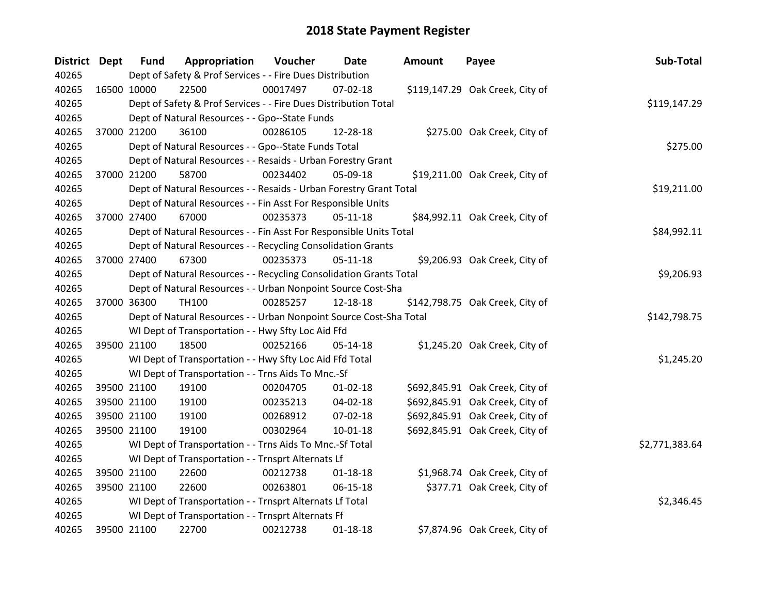| District Dept | <b>Fund</b> | Appropriation                                                      | Voucher  | Date           | Amount | Payee                           | Sub-Total      |
|---------------|-------------|--------------------------------------------------------------------|----------|----------------|--------|---------------------------------|----------------|
| 40265         |             | Dept of Safety & Prof Services - - Fire Dues Distribution          |          |                |        |                                 |                |
| 40265         | 16500 10000 | 22500                                                              | 00017497 | 07-02-18       |        | \$119,147.29 Oak Creek, City of |                |
| 40265         |             | Dept of Safety & Prof Services - - Fire Dues Distribution Total    |          |                |        |                                 | \$119,147.29   |
| 40265         |             | Dept of Natural Resources - - Gpo--State Funds                     |          |                |        |                                 |                |
| 40265         | 37000 21200 | 36100                                                              | 00286105 | 12-28-18       |        | \$275.00 Oak Creek, City of     |                |
| 40265         |             | Dept of Natural Resources - - Gpo--State Funds Total               |          |                |        |                                 | \$275.00       |
| 40265         |             | Dept of Natural Resources - - Resaids - Urban Forestry Grant       |          |                |        |                                 |                |
| 40265         | 37000 21200 | 58700                                                              | 00234402 | 05-09-18       |        | \$19,211.00 Oak Creek, City of  |                |
| 40265         |             | Dept of Natural Resources - - Resaids - Urban Forestry Grant Total |          |                |        |                                 | \$19,211.00    |
| 40265         |             | Dept of Natural Resources - - Fin Asst For Responsible Units       |          |                |        |                                 |                |
| 40265         | 37000 27400 | 67000                                                              | 00235373 | $05-11-18$     |        | \$84,992.11 Oak Creek, City of  |                |
| 40265         |             | Dept of Natural Resources - - Fin Asst For Responsible Units Total |          |                |        |                                 | \$84,992.11    |
| 40265         |             | Dept of Natural Resources - - Recycling Consolidation Grants       |          |                |        |                                 |                |
| 40265         | 37000 27400 | 67300                                                              | 00235373 | $05 - 11 - 18$ |        | \$9,206.93 Oak Creek, City of   |                |
| 40265         |             | Dept of Natural Resources - - Recycling Consolidation Grants Total |          |                |        |                                 | \$9,206.93     |
| 40265         |             | Dept of Natural Resources - - Urban Nonpoint Source Cost-Sha       |          |                |        |                                 |                |
| 40265         | 37000 36300 | <b>TH100</b>                                                       | 00285257 | 12-18-18       |        | \$142,798.75 Oak Creek, City of |                |
| 40265         |             | Dept of Natural Resources - - Urban Nonpoint Source Cost-Sha Total |          |                |        |                                 | \$142,798.75   |
| 40265         |             | WI Dept of Transportation - - Hwy Sfty Loc Aid Ffd                 |          |                |        |                                 |                |
| 40265         | 39500 21100 | 18500                                                              | 00252166 | 05-14-18       |        | \$1,245.20 Oak Creek, City of   |                |
| 40265         |             | WI Dept of Transportation - - Hwy Sfty Loc Aid Ffd Total           |          |                |        |                                 | \$1,245.20     |
| 40265         |             | WI Dept of Transportation - - Trns Aids To Mnc.-Sf                 |          |                |        |                                 |                |
| 40265         | 39500 21100 | 19100                                                              | 00204705 | $01 - 02 - 18$ |        | \$692,845.91 Oak Creek, City of |                |
| 40265         | 39500 21100 | 19100                                                              | 00235213 | 04-02-18       |        | \$692,845.91 Oak Creek, City of |                |
| 40265         | 39500 21100 | 19100                                                              | 00268912 | 07-02-18       |        | \$692,845.91 Oak Creek, City of |                |
| 40265         | 39500 21100 | 19100                                                              | 00302964 | $10 - 01 - 18$ |        | \$692,845.91 Oak Creek, City of |                |
| 40265         |             | WI Dept of Transportation - - Trns Aids To Mnc.-Sf Total           |          |                |        |                                 | \$2,771,383.64 |
| 40265         |             | WI Dept of Transportation - - Trnsprt Alternats Lf                 |          |                |        |                                 |                |
| 40265         | 39500 21100 | 22600                                                              | 00212738 | $01 - 18 - 18$ |        | \$1,968.74 Oak Creek, City of   |                |
| 40265         | 39500 21100 | 22600                                                              | 00263801 | $06 - 15 - 18$ |        | \$377.71 Oak Creek, City of     |                |
| 40265         |             | WI Dept of Transportation - - Trnsprt Alternats Lf Total           |          |                |        |                                 | \$2,346.45     |
| 40265         |             | WI Dept of Transportation - - Trnsprt Alternats Ff                 |          |                |        |                                 |                |
| 40265         | 39500 21100 | 22700                                                              | 00212738 | $01 - 18 - 18$ |        | \$7,874.96 Oak Creek, City of   |                |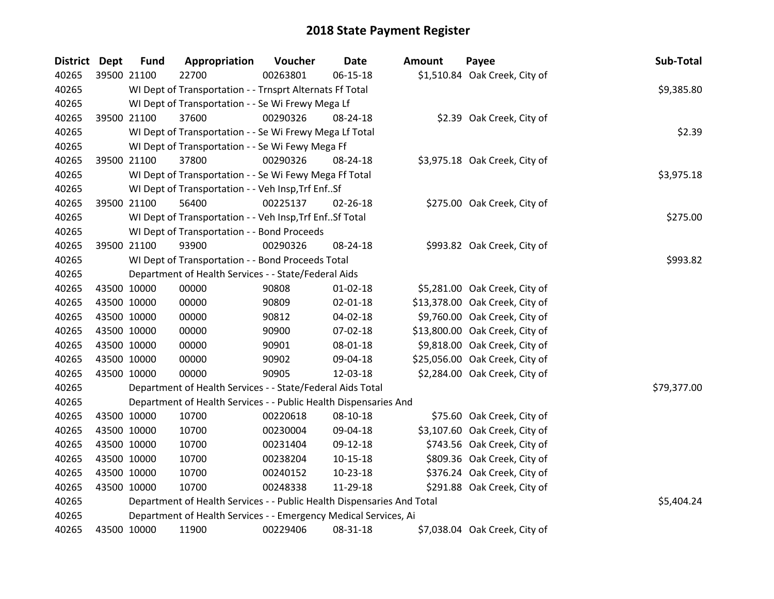| District Dept |             | <b>Fund</b> | Appropriation                                                          | Voucher  | Date           | <b>Amount</b> | Payee                          | Sub-Total   |
|---------------|-------------|-------------|------------------------------------------------------------------------|----------|----------------|---------------|--------------------------------|-------------|
| 40265         |             | 39500 21100 | 22700                                                                  | 00263801 | 06-15-18       |               | \$1,510.84 Oak Creek, City of  |             |
| 40265         |             |             | WI Dept of Transportation - - Trnsprt Alternats Ff Total               |          |                |               |                                | \$9,385.80  |
| 40265         |             |             | WI Dept of Transportation - - Se Wi Frewy Mega Lf                      |          |                |               |                                |             |
| 40265         |             | 39500 21100 | 37600                                                                  | 00290326 | 08-24-18       |               | \$2.39 Oak Creek, City of      |             |
| 40265         |             |             | WI Dept of Transportation - - Se Wi Frewy Mega Lf Total                |          |                |               |                                | \$2.39      |
| 40265         |             |             | WI Dept of Transportation - - Se Wi Fewy Mega Ff                       |          |                |               |                                |             |
| 40265         |             | 39500 21100 | 37800                                                                  | 00290326 | 08-24-18       |               | \$3,975.18 Oak Creek, City of  |             |
| 40265         |             |             | WI Dept of Transportation - - Se Wi Fewy Mega Ff Total                 |          |                |               |                                | \$3,975.18  |
| 40265         |             |             | WI Dept of Transportation - - Veh Insp, Trf EnfSf                      |          |                |               |                                |             |
| 40265         |             | 39500 21100 | 56400                                                                  | 00225137 | 02-26-18       |               | \$275.00 Oak Creek, City of    |             |
| 40265         |             |             | WI Dept of Transportation - - Veh Insp, Trf Enf Sf Total               |          |                |               |                                | \$275.00    |
| 40265         |             |             | WI Dept of Transportation - - Bond Proceeds                            |          |                |               |                                |             |
| 40265         |             | 39500 21100 | 93900                                                                  | 00290326 | 08-24-18       |               | \$993.82 Oak Creek, City of    |             |
| 40265         |             |             | WI Dept of Transportation - - Bond Proceeds Total                      |          |                |               |                                | \$993.82    |
| 40265         |             |             | Department of Health Services - - State/Federal Aids                   |          |                |               |                                |             |
| 40265         |             | 43500 10000 | 00000                                                                  | 90808    | 01-02-18       |               | \$5,281.00 Oak Creek, City of  |             |
| 40265         | 43500 10000 |             | 00000                                                                  | 90809    | $02 - 01 - 18$ |               | \$13,378.00 Oak Creek, City of |             |
| 40265         | 43500 10000 |             | 00000                                                                  | 90812    | 04-02-18       |               | \$9,760.00 Oak Creek, City of  |             |
| 40265         |             | 43500 10000 | 00000                                                                  | 90900    | 07-02-18       |               | \$13,800.00 Oak Creek, City of |             |
| 40265         |             | 43500 10000 | 00000                                                                  | 90901    | 08-01-18       |               | \$9,818.00 Oak Creek, City of  |             |
| 40265         |             | 43500 10000 | 00000                                                                  | 90902    | 09-04-18       |               | \$25,056.00 Oak Creek, City of |             |
| 40265         | 43500 10000 |             | 00000                                                                  | 90905    | 12-03-18       |               | \$2,284.00 Oak Creek, City of  |             |
| 40265         |             |             | Department of Health Services - - State/Federal Aids Total             |          |                |               |                                | \$79,377.00 |
| 40265         |             |             | Department of Health Services - - Public Health Dispensaries And       |          |                |               |                                |             |
| 40265         |             | 43500 10000 | 10700                                                                  | 00220618 | 08-10-18       |               | \$75.60 Oak Creek, City of     |             |
| 40265         |             | 43500 10000 | 10700                                                                  | 00230004 | 09-04-18       |               | \$3,107.60 Oak Creek, City of  |             |
| 40265         | 43500 10000 |             | 10700                                                                  | 00231404 | 09-12-18       |               | \$743.56 Oak Creek, City of    |             |
| 40265         | 43500 10000 |             | 10700                                                                  | 00238204 | $10 - 15 - 18$ |               | \$809.36 Oak Creek, City of    |             |
| 40265         |             | 43500 10000 | 10700                                                                  | 00240152 | 10-23-18       |               | \$376.24 Oak Creek, City of    |             |
| 40265         | 43500 10000 |             | 10700                                                                  | 00248338 | 11-29-18       |               | \$291.88 Oak Creek, City of    |             |
| 40265         |             |             | Department of Health Services - - Public Health Dispensaries And Total |          |                |               |                                | \$5,404.24  |
| 40265         |             |             | Department of Health Services - - Emergency Medical Services, Ai       |          |                |               |                                |             |
| 40265         | 43500 10000 |             | 11900                                                                  | 00229406 | 08-31-18       |               | \$7,038.04 Oak Creek, City of  |             |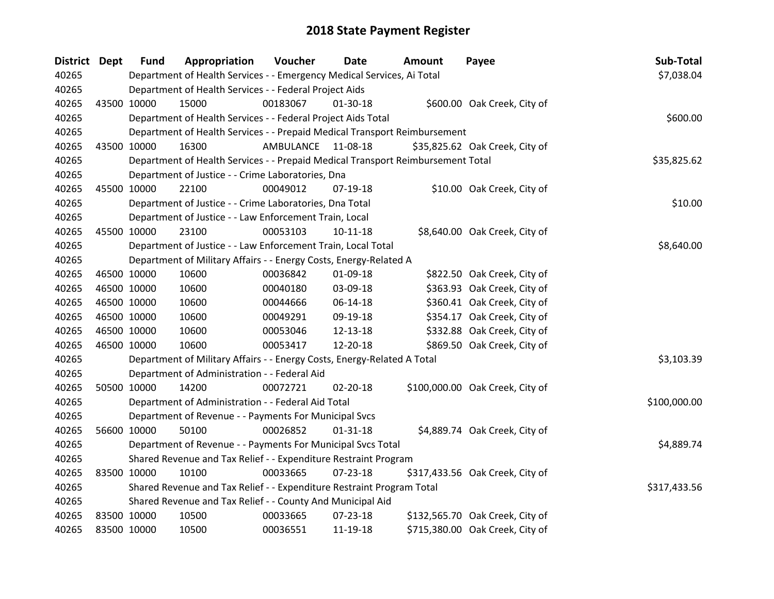| <b>District Dept</b> | <b>Fund</b> | Appropriation                                                                   | Voucher   | <b>Date</b>    | <b>Amount</b> | Payee                           | Sub-Total    |
|----------------------|-------------|---------------------------------------------------------------------------------|-----------|----------------|---------------|---------------------------------|--------------|
| 40265                |             | Department of Health Services - - Emergency Medical Services, Ai Total          |           |                |               |                                 | \$7,038.04   |
| 40265                |             | Department of Health Services - - Federal Project Aids                          |           |                |               |                                 |              |
| 40265                | 43500 10000 | 15000                                                                           | 00183067  | 01-30-18       |               | \$600.00 Oak Creek, City of     |              |
| 40265                |             | Department of Health Services - - Federal Project Aids Total                    |           |                |               |                                 | \$600.00     |
| 40265                |             | Department of Health Services - - Prepaid Medical Transport Reimbursement       |           |                |               |                                 |              |
| 40265                | 43500 10000 | 16300                                                                           | AMBULANCE | 11-08-18       |               | \$35,825.62 Oak Creek, City of  |              |
| 40265                |             | Department of Health Services - - Prepaid Medical Transport Reimbursement Total |           |                |               |                                 | \$35,825.62  |
| 40265                |             | Department of Justice - - Crime Laboratories, Dna                               |           |                |               |                                 |              |
| 40265                | 45500 10000 | 22100                                                                           | 00049012  | 07-19-18       |               | \$10.00 Oak Creek, City of      |              |
| 40265                |             | Department of Justice - - Crime Laboratories, Dna Total                         |           |                |               |                                 | \$10.00      |
| 40265                |             | Department of Justice - - Law Enforcement Train, Local                          |           |                |               |                                 |              |
| 40265                | 45500 10000 | 23100                                                                           | 00053103  | $10-11-18$     |               | \$8,640.00 Oak Creek, City of   |              |
| 40265                |             | Department of Justice - - Law Enforcement Train, Local Total                    |           |                |               |                                 | \$8,640.00   |
| 40265                |             | Department of Military Affairs - - Energy Costs, Energy-Related A               |           |                |               |                                 |              |
| 40265                | 46500 10000 | 10600                                                                           | 00036842  | 01-09-18       |               | \$822.50 Oak Creek, City of     |              |
| 40265                | 46500 10000 | 10600                                                                           | 00040180  | 03-09-18       |               | \$363.93 Oak Creek, City of     |              |
| 40265                | 46500 10000 | 10600                                                                           | 00044666  | 06-14-18       |               | \$360.41 Oak Creek, City of     |              |
| 40265                | 46500 10000 | 10600                                                                           | 00049291  | 09-19-18       |               | \$354.17 Oak Creek, City of     |              |
| 40265                | 46500 10000 | 10600                                                                           | 00053046  | 12-13-18       |               | \$332.88 Oak Creek, City of     |              |
| 40265                | 46500 10000 | 10600                                                                           | 00053417  | 12-20-18       |               | \$869.50 Oak Creek, City of     |              |
| 40265                |             | Department of Military Affairs - - Energy Costs, Energy-Related A Total         |           |                |               |                                 | \$3,103.39   |
| 40265                |             | Department of Administration - - Federal Aid                                    |           |                |               |                                 |              |
| 40265                | 50500 10000 | 14200                                                                           | 00072721  | 02-20-18       |               | \$100,000.00 Oak Creek, City of |              |
| 40265                |             | Department of Administration - - Federal Aid Total                              |           |                |               |                                 | \$100,000.00 |
| 40265                |             | Department of Revenue - - Payments For Municipal Svcs                           |           |                |               |                                 |              |
| 40265                | 56600 10000 | 50100                                                                           | 00026852  | $01 - 31 - 18$ |               | \$4,889.74 Oak Creek, City of   |              |
| 40265                |             | Department of Revenue - - Payments For Municipal Svcs Total                     |           |                |               |                                 | \$4,889.74   |
| 40265                |             | Shared Revenue and Tax Relief - - Expenditure Restraint Program                 |           |                |               |                                 |              |
| 40265                | 83500 10000 | 10100                                                                           | 00033665  | 07-23-18       |               | \$317,433.56 Oak Creek, City of |              |
| 40265                |             | Shared Revenue and Tax Relief - - Expenditure Restraint Program Total           |           |                |               |                                 | \$317,433.56 |
| 40265                |             | Shared Revenue and Tax Relief - - County And Municipal Aid                      |           |                |               |                                 |              |
| 40265                | 83500 10000 | 10500                                                                           | 00033665  | $07 - 23 - 18$ |               | \$132,565.70 Oak Creek, City of |              |
| 40265                | 83500 10000 | 10500                                                                           | 00036551  | 11-19-18       |               | \$715,380.00 Oak Creek, City of |              |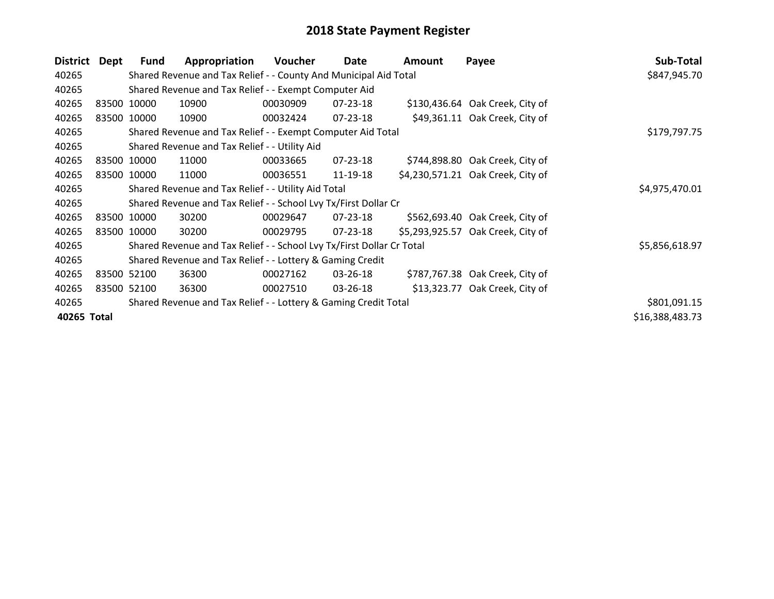| <b>District</b> | Dept | <b>Fund</b>  | Appropriation                                                         | Voucher  | Date     | <b>Amount</b> | Payee                             | Sub-Total       |
|-----------------|------|--------------|-----------------------------------------------------------------------|----------|----------|---------------|-----------------------------------|-----------------|
| 40265           |      |              | Shared Revenue and Tax Relief - - County And Municipal Aid Total      |          |          |               |                                   | \$847,945.70    |
| 40265           |      |              | Shared Revenue and Tax Relief - - Exempt Computer Aid                 |          |          |               |                                   |                 |
| 40265           |      | 83500 10000  | 10900                                                                 | 00030909 | 07-23-18 |               | \$130,436.64 Oak Creek, City of   |                 |
| 40265           |      | 83500 10000  | 10900                                                                 | 00032424 | 07-23-18 |               | \$49,361.11 Oak Creek, City of    |                 |
| 40265           |      | \$179,797.75 |                                                                       |          |          |               |                                   |                 |
| 40265           |      |              | Shared Revenue and Tax Relief - - Utility Aid                         |          |          |               |                                   |                 |
| 40265           |      | 83500 10000  | 11000                                                                 | 00033665 | 07-23-18 |               | \$744,898.80 Oak Creek, City of   |                 |
| 40265           |      | 83500 10000  | 11000                                                                 | 00036551 | 11-19-18 |               | \$4,230,571.21 Oak Creek, City of |                 |
| 40265           |      |              | Shared Revenue and Tax Relief - - Utility Aid Total                   |          |          |               |                                   | \$4,975,470.01  |
| 40265           |      |              | Shared Revenue and Tax Relief - - School Lvy Tx/First Dollar Cr       |          |          |               |                                   |                 |
| 40265           |      | 83500 10000  | 30200                                                                 | 00029647 | 07-23-18 |               | \$562,693.40 Oak Creek, City of   |                 |
| 40265           |      | 83500 10000  | 30200                                                                 | 00029795 | 07-23-18 |               | \$5,293,925.57 Oak Creek, City of |                 |
| 40265           |      |              | Shared Revenue and Tax Relief - - School Lvy Tx/First Dollar Cr Total |          |          |               |                                   | \$5,856,618.97  |
| 40265           |      |              | Shared Revenue and Tax Relief - - Lottery & Gaming Credit             |          |          |               |                                   |                 |
| 40265           |      | 83500 52100  | 36300                                                                 | 00027162 | 03-26-18 |               | \$787,767.38 Oak Creek, City of   |                 |
| 40265           |      | 83500 52100  | 36300                                                                 | 00027510 | 03-26-18 |               | \$13,323.77 Oak Creek, City of    |                 |
| 40265           |      |              | Shared Revenue and Tax Relief - - Lottery & Gaming Credit Total       |          |          |               |                                   | \$801,091.15    |
| 40265 Total     |      |              |                                                                       |          |          |               |                                   | \$16,388,483.73 |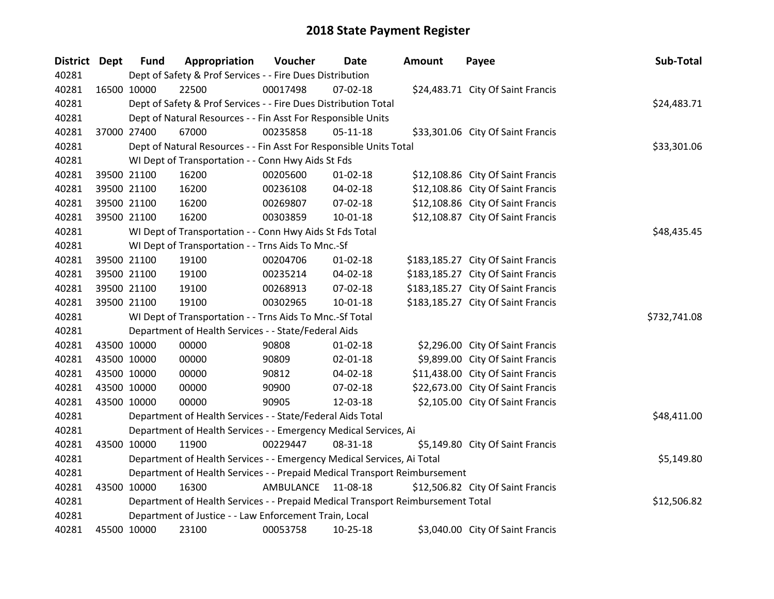| <b>District Dept</b> | <b>Fund</b> | Appropriation                                                                   | Voucher            | <b>Date</b>    | <b>Amount</b> | Payee                              | Sub-Total    |
|----------------------|-------------|---------------------------------------------------------------------------------|--------------------|----------------|---------------|------------------------------------|--------------|
| 40281                |             | Dept of Safety & Prof Services - - Fire Dues Distribution                       |                    |                |               |                                    |              |
| 40281                | 16500 10000 | 22500                                                                           | 00017498           | 07-02-18       |               | \$24,483.71 City Of Saint Francis  |              |
| 40281                |             | Dept of Safety & Prof Services - - Fire Dues Distribution Total                 |                    |                |               |                                    | \$24,483.71  |
| 40281                |             | Dept of Natural Resources - - Fin Asst For Responsible Units                    |                    |                |               |                                    |              |
| 40281                | 37000 27400 | 67000                                                                           | 00235858           | $05-11-18$     |               | \$33,301.06 City Of Saint Francis  |              |
| 40281                |             | Dept of Natural Resources - - Fin Asst For Responsible Units Total              |                    |                |               |                                    | \$33,301.06  |
| 40281                |             | WI Dept of Transportation - - Conn Hwy Aids St Fds                              |                    |                |               |                                    |              |
| 40281                | 39500 21100 | 16200                                                                           | 00205600           | $01 - 02 - 18$ |               | \$12,108.86 City Of Saint Francis  |              |
| 40281                | 39500 21100 | 16200                                                                           | 00236108           | 04-02-18       |               | \$12,108.86 City Of Saint Francis  |              |
| 40281                | 39500 21100 | 16200                                                                           | 00269807           | 07-02-18       |               | \$12,108.86 City Of Saint Francis  |              |
| 40281                | 39500 21100 | 16200                                                                           | 00303859           | $10 - 01 - 18$ |               | \$12,108.87 City Of Saint Francis  |              |
| 40281                |             | WI Dept of Transportation - - Conn Hwy Aids St Fds Total                        |                    |                |               |                                    | \$48,435.45  |
| 40281                |             | WI Dept of Transportation - - Trns Aids To Mnc.-Sf                              |                    |                |               |                                    |              |
| 40281                | 39500 21100 | 19100                                                                           | 00204706           | $01 - 02 - 18$ |               | \$183,185.27 City Of Saint Francis |              |
| 40281                | 39500 21100 | 19100                                                                           | 00235214           | 04-02-18       |               | \$183,185.27 City Of Saint Francis |              |
| 40281                | 39500 21100 | 19100                                                                           | 00268913           | 07-02-18       |               | \$183,185.27 City Of Saint Francis |              |
| 40281                | 39500 21100 | 19100                                                                           | 00302965           | $10 - 01 - 18$ |               | \$183,185.27 City Of Saint Francis |              |
| 40281                |             | WI Dept of Transportation - - Trns Aids To Mnc.-Sf Total                        |                    |                |               |                                    | \$732,741.08 |
| 40281                |             | Department of Health Services - - State/Federal Aids                            |                    |                |               |                                    |              |
| 40281                | 43500 10000 | 00000                                                                           | 90808              | $01 - 02 - 18$ |               | \$2,296.00 City Of Saint Francis   |              |
| 40281                | 43500 10000 | 00000                                                                           | 90809              | $02 - 01 - 18$ |               | \$9,899.00 City Of Saint Francis   |              |
| 40281                | 43500 10000 | 00000                                                                           | 90812              | 04-02-18       |               | \$11,438.00 City Of Saint Francis  |              |
| 40281                | 43500 10000 | 00000                                                                           | 90900              | 07-02-18       |               | \$22,673.00 City Of Saint Francis  |              |
| 40281                | 43500 10000 | 00000                                                                           | 90905              | 12-03-18       |               | \$2,105.00 City Of Saint Francis   |              |
| 40281                |             | Department of Health Services - - State/Federal Aids Total                      |                    |                |               |                                    | \$48,411.00  |
| 40281                |             | Department of Health Services - - Emergency Medical Services, Ai                |                    |                |               |                                    |              |
| 40281                | 43500 10000 | 11900                                                                           | 00229447           | 08-31-18       |               | \$5,149.80 City Of Saint Francis   |              |
| 40281                |             | Department of Health Services - - Emergency Medical Services, Ai Total          |                    |                |               |                                    | \$5,149.80   |
| 40281                |             | Department of Health Services - - Prepaid Medical Transport Reimbursement       |                    |                |               |                                    |              |
| 40281                | 43500 10000 | 16300                                                                           | AMBULANCE 11-08-18 |                |               | \$12,506.82 City Of Saint Francis  |              |
| 40281                |             | Department of Health Services - - Prepaid Medical Transport Reimbursement Total |                    |                |               |                                    | \$12,506.82  |
| 40281                |             | Department of Justice - - Law Enforcement Train, Local                          |                    |                |               |                                    |              |
| 40281                | 45500 10000 | 23100                                                                           | 00053758           | 10-25-18       |               | \$3,040.00 City Of Saint Francis   |              |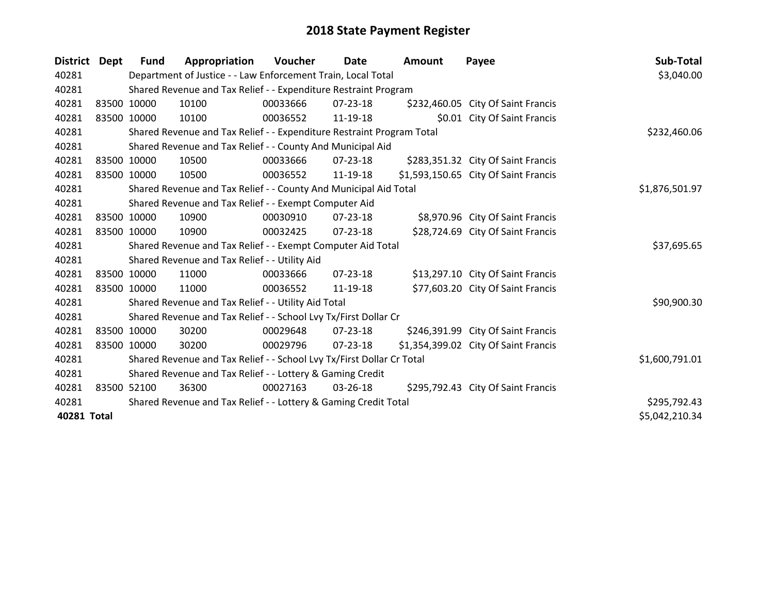| District Dept |             | Fund        | Appropriation                                                         | Voucher  | Date           | <b>Amount</b> | Payee                                | Sub-Total      |
|---------------|-------------|-------------|-----------------------------------------------------------------------|----------|----------------|---------------|--------------------------------------|----------------|
| 40281         |             |             | Department of Justice - - Law Enforcement Train, Local Total          |          |                |               |                                      | \$3,040.00     |
| 40281         |             |             | Shared Revenue and Tax Relief - - Expenditure Restraint Program       |          |                |               |                                      |                |
| 40281         | 83500 10000 |             | 10100                                                                 | 00033666 | 07-23-18       |               | \$232,460.05 City Of Saint Francis   |                |
| 40281         | 83500 10000 |             | 10100                                                                 | 00036552 | 11-19-18       |               | \$0.01 City Of Saint Francis         |                |
| 40281         |             |             | Shared Revenue and Tax Relief - - Expenditure Restraint Program Total |          |                |               |                                      | \$232,460.06   |
| 40281         |             |             | Shared Revenue and Tax Relief - - County And Municipal Aid            |          |                |               |                                      |                |
| 40281         | 83500 10000 |             | 10500                                                                 | 00033666 | 07-23-18       |               | \$283,351.32 City Of Saint Francis   |                |
| 40281         |             | 83500 10000 | 10500                                                                 | 00036552 | 11-19-18       |               | \$1,593,150.65 City Of Saint Francis |                |
| 40281         |             |             | Shared Revenue and Tax Relief - - County And Municipal Aid Total      |          |                |               |                                      | \$1,876,501.97 |
| 40281         |             |             | Shared Revenue and Tax Relief - - Exempt Computer Aid                 |          |                |               |                                      |                |
| 40281         | 83500 10000 |             | 10900                                                                 | 00030910 | $07 - 23 - 18$ |               | \$8,970.96 City Of Saint Francis     |                |
| 40281         | 83500 10000 |             | 10900                                                                 | 00032425 | $07 - 23 - 18$ |               | \$28,724.69 City Of Saint Francis    |                |
| 40281         |             |             | Shared Revenue and Tax Relief - - Exempt Computer Aid Total           |          |                |               |                                      | \$37,695.65    |
| 40281         |             |             | Shared Revenue and Tax Relief - - Utility Aid                         |          |                |               |                                      |                |
| 40281         | 83500 10000 |             | 11000                                                                 | 00033666 | $07 - 23 - 18$ |               | \$13,297.10 City Of Saint Francis    |                |
| 40281         | 83500 10000 |             | 11000                                                                 | 00036552 | 11-19-18       |               | \$77,603.20 City Of Saint Francis    |                |
| 40281         |             |             | Shared Revenue and Tax Relief - - Utility Aid Total                   |          |                |               |                                      | \$90,900.30    |
| 40281         |             |             | Shared Revenue and Tax Relief - - School Lvy Tx/First Dollar Cr       |          |                |               |                                      |                |
| 40281         | 83500 10000 |             | 30200                                                                 | 00029648 | 07-23-18       |               | \$246,391.99 City Of Saint Francis   |                |
| 40281         |             | 83500 10000 | 30200                                                                 | 00029796 | $07 - 23 - 18$ |               | \$1,354,399.02 City Of Saint Francis |                |
| 40281         |             |             | Shared Revenue and Tax Relief - - School Lvy Tx/First Dollar Cr Total |          |                |               |                                      | \$1,600,791.01 |
| 40281         |             |             | Shared Revenue and Tax Relief - - Lottery & Gaming Credit             |          |                |               |                                      |                |
| 40281         | 83500 52100 |             | 36300                                                                 | 00027163 | 03-26-18       |               | \$295,792.43 City Of Saint Francis   |                |
| 40281         |             |             | Shared Revenue and Tax Relief - - Lottery & Gaming Credit Total       |          |                |               |                                      | \$295,792.43   |
| 40281 Total   |             |             |                                                                       |          |                |               |                                      | \$5,042,210.34 |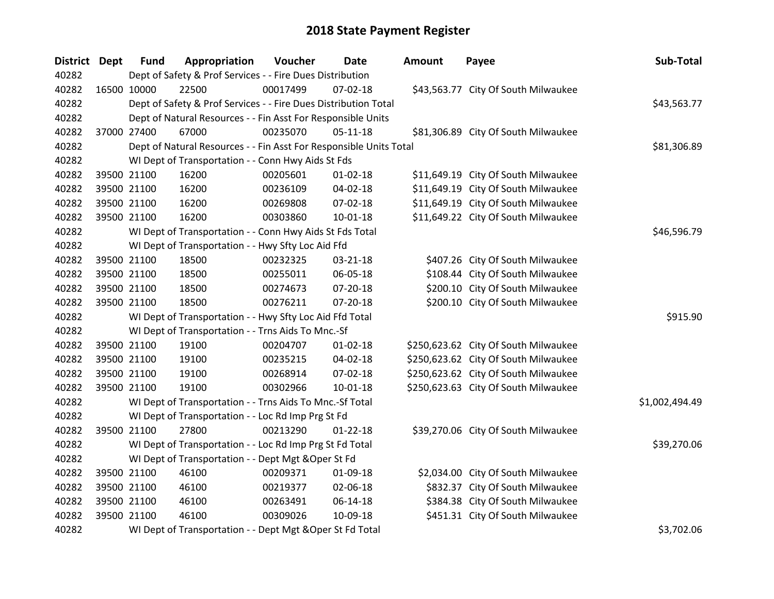| District Dept | <b>Fund</b> | Appropriation                                                      | Voucher  | <b>Date</b>    | <b>Amount</b> | Payee                                | Sub-Total      |
|---------------|-------------|--------------------------------------------------------------------|----------|----------------|---------------|--------------------------------------|----------------|
| 40282         |             | Dept of Safety & Prof Services - - Fire Dues Distribution          |          |                |               |                                      |                |
| 40282         | 16500 10000 | 22500                                                              | 00017499 | 07-02-18       |               | \$43,563.77 City Of South Milwaukee  |                |
| 40282         |             | Dept of Safety & Prof Services - - Fire Dues Distribution Total    |          |                |               |                                      | \$43,563.77    |
| 40282         |             | Dept of Natural Resources - - Fin Asst For Responsible Units       |          |                |               |                                      |                |
| 40282         | 37000 27400 | 67000                                                              | 00235070 | $05 - 11 - 18$ |               | \$81,306.89 City Of South Milwaukee  |                |
| 40282         |             | Dept of Natural Resources - - Fin Asst For Responsible Units Total |          |                |               |                                      | \$81,306.89    |
| 40282         |             | WI Dept of Transportation - - Conn Hwy Aids St Fds                 |          |                |               |                                      |                |
| 40282         | 39500 21100 | 16200                                                              | 00205601 | $01 - 02 - 18$ |               | \$11,649.19 City Of South Milwaukee  |                |
| 40282         | 39500 21100 | 16200                                                              | 00236109 | 04-02-18       |               | \$11,649.19 City Of South Milwaukee  |                |
| 40282         | 39500 21100 | 16200                                                              | 00269808 | 07-02-18       |               | \$11,649.19 City Of South Milwaukee  |                |
| 40282         | 39500 21100 | 16200                                                              | 00303860 | $10 - 01 - 18$ |               | \$11,649.22 City Of South Milwaukee  |                |
| 40282         |             | WI Dept of Transportation - - Conn Hwy Aids St Fds Total           |          |                |               |                                      | \$46,596.79    |
| 40282         |             | WI Dept of Transportation - - Hwy Sfty Loc Aid Ffd                 |          |                |               |                                      |                |
| 40282         | 39500 21100 | 18500                                                              | 00232325 | 03-21-18       |               | \$407.26 City Of South Milwaukee     |                |
| 40282         | 39500 21100 | 18500                                                              | 00255011 | 06-05-18       |               | \$108.44 City Of South Milwaukee     |                |
| 40282         | 39500 21100 | 18500                                                              | 00274673 | $07 - 20 - 18$ |               | \$200.10 City Of South Milwaukee     |                |
| 40282         | 39500 21100 | 18500                                                              | 00276211 | $07 - 20 - 18$ |               | \$200.10 City Of South Milwaukee     |                |
| 40282         |             | WI Dept of Transportation - - Hwy Sfty Loc Aid Ffd Total           |          |                |               |                                      | \$915.90       |
| 40282         |             | WI Dept of Transportation - - Trns Aids To Mnc.-Sf                 |          |                |               |                                      |                |
| 40282         | 39500 21100 | 19100                                                              | 00204707 | $01 - 02 - 18$ |               | \$250,623.62 City Of South Milwaukee |                |
| 40282         | 39500 21100 | 19100                                                              | 00235215 | 04-02-18       |               | \$250,623.62 City Of South Milwaukee |                |
| 40282         | 39500 21100 | 19100                                                              | 00268914 | 07-02-18       |               | \$250,623.62 City Of South Milwaukee |                |
| 40282         | 39500 21100 | 19100                                                              | 00302966 | $10 - 01 - 18$ |               | \$250,623.63 City Of South Milwaukee |                |
| 40282         |             | WI Dept of Transportation - - Trns Aids To Mnc.-Sf Total           |          |                |               |                                      | \$1,002,494.49 |
| 40282         |             | WI Dept of Transportation - - Loc Rd Imp Prg St Fd                 |          |                |               |                                      |                |
| 40282         | 39500 21100 | 27800                                                              | 00213290 | $01 - 22 - 18$ |               | \$39,270.06 City Of South Milwaukee  |                |
| 40282         |             | WI Dept of Transportation - - Loc Rd Imp Prg St Fd Total           |          |                |               |                                      | \$39,270.06    |
| 40282         |             | WI Dept of Transportation - - Dept Mgt & Oper St Fd                |          |                |               |                                      |                |
| 40282         | 39500 21100 | 46100                                                              | 00209371 | 01-09-18       |               | \$2,034.00 City Of South Milwaukee   |                |
| 40282         | 39500 21100 | 46100                                                              | 00219377 | 02-06-18       |               | \$832.37 City Of South Milwaukee     |                |
| 40282         | 39500 21100 | 46100                                                              | 00263491 | 06-14-18       |               | \$384.38 City Of South Milwaukee     |                |
| 40282         | 39500 21100 | 46100                                                              | 00309026 | 10-09-18       |               | \$451.31 City Of South Milwaukee     |                |
| 40282         |             | WI Dept of Transportation - - Dept Mgt & Oper St Fd Total          |          |                |               |                                      | \$3,702.06     |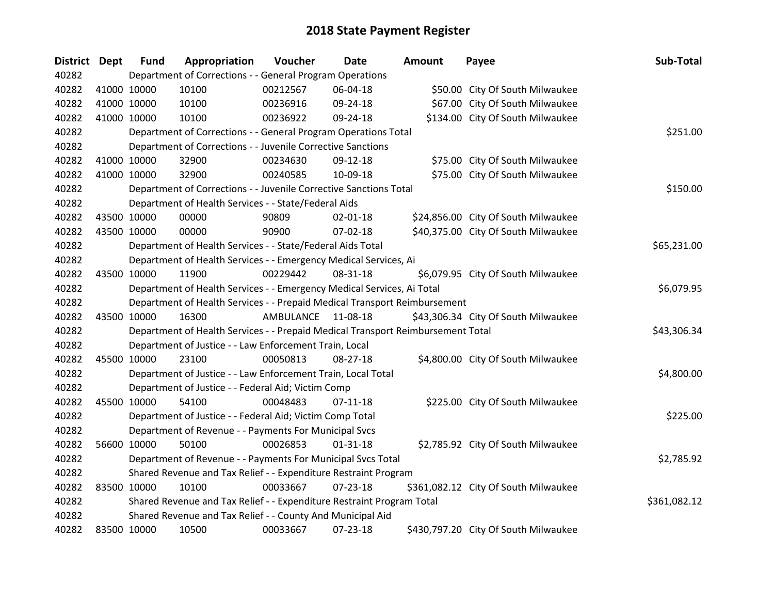| <b>District Dept</b> | <b>Fund</b> | Appropriation                                                                   | Voucher            | <b>Date</b>    | Amount | Payee                                | Sub-Total    |
|----------------------|-------------|---------------------------------------------------------------------------------|--------------------|----------------|--------|--------------------------------------|--------------|
| 40282                |             | Department of Corrections - - General Program Operations                        |                    |                |        |                                      |              |
| 40282                | 41000 10000 | 10100                                                                           | 00212567           | 06-04-18       |        | \$50.00 City Of South Milwaukee      |              |
| 40282                | 41000 10000 | 10100                                                                           | 00236916           | 09-24-18       |        | \$67.00 City Of South Milwaukee      |              |
| 40282                | 41000 10000 | 10100                                                                           | 00236922           | 09-24-18       |        | \$134.00 City Of South Milwaukee     |              |
| 40282                |             | Department of Corrections - - General Program Operations Total                  |                    |                |        |                                      | \$251.00     |
| 40282                |             | Department of Corrections - - Juvenile Corrective Sanctions                     |                    |                |        |                                      |              |
| 40282                | 41000 10000 | 32900                                                                           | 00234630           | 09-12-18       |        | \$75.00 City Of South Milwaukee      |              |
| 40282                | 41000 10000 | 32900                                                                           | 00240585           | 10-09-18       |        | \$75.00 City Of South Milwaukee      |              |
| 40282                |             | Department of Corrections - - Juvenile Corrective Sanctions Total               |                    |                |        |                                      | \$150.00     |
| 40282                |             | Department of Health Services - - State/Federal Aids                            |                    |                |        |                                      |              |
| 40282                | 43500 10000 | 00000                                                                           | 90809              | 02-01-18       |        | \$24,856.00 City Of South Milwaukee  |              |
| 40282                | 43500 10000 | 00000                                                                           | 90900              | $07 - 02 - 18$ |        | \$40,375.00 City Of South Milwaukee  |              |
| 40282                |             | Department of Health Services - - State/Federal Aids Total                      |                    |                |        |                                      | \$65,231.00  |
| 40282                |             | Department of Health Services - - Emergency Medical Services, Ai                |                    |                |        |                                      |              |
| 40282                | 43500 10000 | 11900                                                                           | 00229442           | 08-31-18       |        | \$6,079.95 City Of South Milwaukee   |              |
| 40282                |             | Department of Health Services - - Emergency Medical Services, Ai Total          |                    |                |        |                                      | \$6,079.95   |
| 40282                |             | Department of Health Services - - Prepaid Medical Transport Reimbursement       |                    |                |        |                                      |              |
| 40282                | 43500 10000 | 16300                                                                           | AMBULANCE 11-08-18 |                |        | \$43,306.34 City Of South Milwaukee  |              |
| 40282                |             | Department of Health Services - - Prepaid Medical Transport Reimbursement Total |                    |                |        |                                      | \$43,306.34  |
| 40282                |             | Department of Justice - - Law Enforcement Train, Local                          |                    |                |        |                                      |              |
| 40282                | 45500 10000 | 23100                                                                           | 00050813           | $08-27-18$     |        | \$4,800.00 City Of South Milwaukee   |              |
| 40282                |             | Department of Justice - - Law Enforcement Train, Local Total                    |                    |                |        |                                      | \$4,800.00   |
| 40282                |             | Department of Justice - - Federal Aid; Victim Comp                              |                    |                |        |                                      |              |
| 40282                | 45500 10000 | 54100                                                                           | 00048483           | $07-11-18$     |        | \$225.00 City Of South Milwaukee     |              |
| 40282                |             | Department of Justice - - Federal Aid; Victim Comp Total                        |                    |                |        |                                      | \$225.00     |
| 40282                |             | Department of Revenue - - Payments For Municipal Svcs                           |                    |                |        |                                      |              |
| 40282                | 56600 10000 | 50100                                                                           | 00026853           | $01 - 31 - 18$ |        | \$2,785.92 City Of South Milwaukee   |              |
| 40282                |             | Department of Revenue - - Payments For Municipal Svcs Total                     |                    |                |        |                                      | \$2,785.92   |
| 40282                |             | Shared Revenue and Tax Relief - - Expenditure Restraint Program                 |                    |                |        |                                      |              |
| 40282                | 83500 10000 | 10100                                                                           | 00033667           | $07 - 23 - 18$ |        | \$361,082.12 City Of South Milwaukee |              |
| 40282                |             | Shared Revenue and Tax Relief - - Expenditure Restraint Program Total           |                    |                |        |                                      | \$361,082.12 |
| 40282                |             | Shared Revenue and Tax Relief - - County And Municipal Aid                      |                    |                |        |                                      |              |
| 40282                | 83500 10000 | 10500                                                                           | 00033667           | 07-23-18       |        | \$430,797.20 City Of South Milwaukee |              |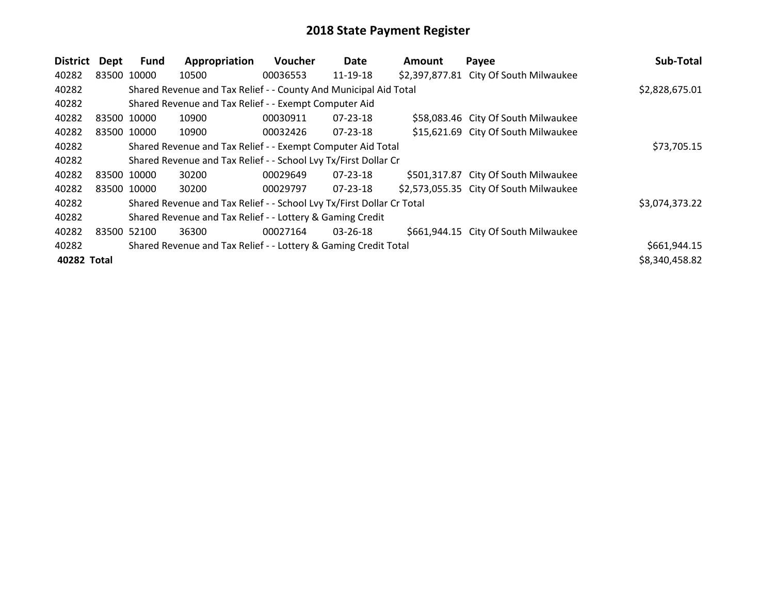| <b>District</b> | Dept        | Fund        | Appropriation                                                         | <b>Voucher</b> | Date           | <b>Amount</b> | Payee                                  | Sub-Total      |
|-----------------|-------------|-------------|-----------------------------------------------------------------------|----------------|----------------|---------------|----------------------------------------|----------------|
| 40282           |             | 83500 10000 | 10500                                                                 | 00036553       | $11 - 19 - 18$ |               | \$2,397,877.81 City Of South Milwaukee |                |
| 40282           |             |             | Shared Revenue and Tax Relief - - County And Municipal Aid Total      |                |                |               |                                        | \$2,828,675.01 |
| 40282           |             |             | Shared Revenue and Tax Relief - - Exempt Computer Aid                 |                |                |               |                                        |                |
| 40282           | 83500 10000 |             | 10900                                                                 | 00030911       | $07 - 23 - 18$ |               | \$58,083.46 City Of South Milwaukee    |                |
| 40282           |             | 83500 10000 | 10900                                                                 | 00032426       | 07-23-18       |               | \$15,621.69 City Of South Milwaukee    |                |
| 40282           |             |             | Shared Revenue and Tax Relief - - Exempt Computer Aid Total           |                |                |               |                                        | \$73,705.15    |
| 40282           |             |             | Shared Revenue and Tax Relief - - School Lvy Tx/First Dollar Cr       |                |                |               |                                        |                |
| 40282           |             | 83500 10000 | 30200                                                                 | 00029649       | 07-23-18       |               | \$501,317.87 City Of South Milwaukee   |                |
| 40282           |             | 83500 10000 | 30200                                                                 | 00029797       | $07 - 23 - 18$ |               | \$2,573,055.35 City Of South Milwaukee |                |
| 40282           |             |             | Shared Revenue and Tax Relief - - School Lvy Tx/First Dollar Cr Total |                |                |               |                                        | \$3,074,373.22 |
| 40282           |             |             | Shared Revenue and Tax Relief - - Lottery & Gaming Credit             |                |                |               |                                        |                |
| 40282           |             | 83500 52100 | 36300                                                                 | 00027164       | $03 - 26 - 18$ |               | \$661,944.15 City Of South Milwaukee   |                |
| 40282           |             |             | Shared Revenue and Tax Relief - - Lottery & Gaming Credit Total       |                |                |               |                                        | \$661,944.15   |
| 40282 Total     |             |             |                                                                       |                |                |               |                                        | \$8,340,458.82 |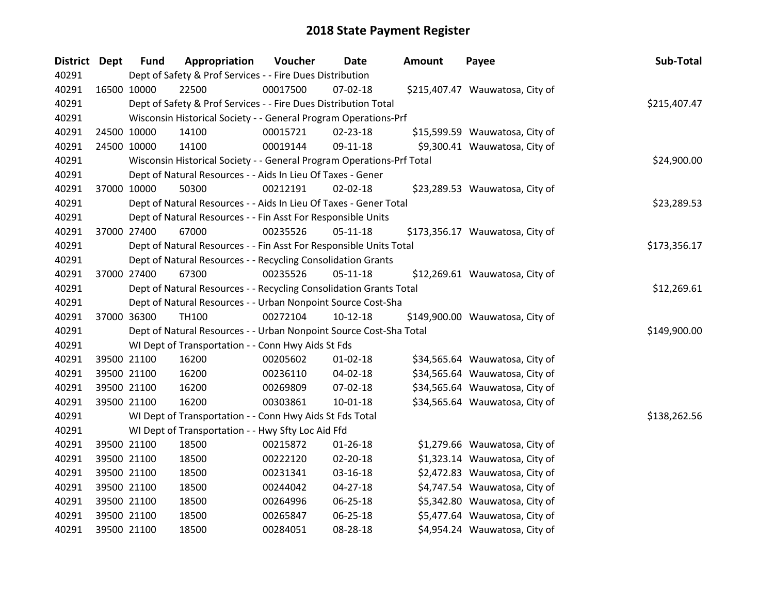| <b>District Dept</b> | <b>Fund</b> | Appropriation                                                         | Voucher  | <b>Date</b>    | <b>Amount</b> | Payee                           | Sub-Total    |
|----------------------|-------------|-----------------------------------------------------------------------|----------|----------------|---------------|---------------------------------|--------------|
| 40291                |             | Dept of Safety & Prof Services - - Fire Dues Distribution             |          |                |               |                                 |              |
| 40291                | 16500 10000 | 22500                                                                 | 00017500 | $07 - 02 - 18$ |               | \$215,407.47 Wauwatosa, City of |              |
| 40291                |             | Dept of Safety & Prof Services - - Fire Dues Distribution Total       |          |                |               |                                 | \$215,407.47 |
| 40291                |             | Wisconsin Historical Society - - General Program Operations-Prf       |          |                |               |                                 |              |
| 40291                | 24500 10000 | 14100                                                                 | 00015721 | 02-23-18       |               | \$15,599.59 Wauwatosa, City of  |              |
| 40291                | 24500 10000 | 14100                                                                 | 00019144 | 09-11-18       |               | \$9,300.41 Wauwatosa, City of   |              |
| 40291                |             | Wisconsin Historical Society - - General Program Operations-Prf Total |          |                |               |                                 | \$24,900.00  |
| 40291                |             | Dept of Natural Resources - - Aids In Lieu Of Taxes - Gener           |          |                |               |                                 |              |
| 40291                | 37000 10000 | 50300                                                                 | 00212191 | $02 - 02 - 18$ |               | \$23,289.53 Wauwatosa, City of  |              |
| 40291                |             | Dept of Natural Resources - - Aids In Lieu Of Taxes - Gener Total     |          |                |               |                                 | \$23,289.53  |
| 40291                |             | Dept of Natural Resources - - Fin Asst For Responsible Units          |          |                |               |                                 |              |
| 40291                | 37000 27400 | 67000                                                                 | 00235526 | $05-11-18$     |               | \$173,356.17 Wauwatosa, City of |              |
| 40291                |             | Dept of Natural Resources - - Fin Asst For Responsible Units Total    |          |                |               |                                 | \$173,356.17 |
| 40291                |             | Dept of Natural Resources - - Recycling Consolidation Grants          |          |                |               |                                 |              |
| 40291                | 37000 27400 | 67300                                                                 | 00235526 | $05-11-18$     |               | \$12,269.61 Wauwatosa, City of  |              |
| 40291                |             | Dept of Natural Resources - - Recycling Consolidation Grants Total    |          |                |               |                                 | \$12,269.61  |
| 40291                |             | Dept of Natural Resources - - Urban Nonpoint Source Cost-Sha          |          |                |               |                                 |              |
| 40291                | 37000 36300 | <b>TH100</b>                                                          | 00272104 | $10-12-18$     |               | \$149,900.00 Wauwatosa, City of |              |
| 40291                |             | Dept of Natural Resources - - Urban Nonpoint Source Cost-Sha Total    |          |                |               |                                 | \$149,900.00 |
| 40291                |             | WI Dept of Transportation - - Conn Hwy Aids St Fds                    |          |                |               |                                 |              |
| 40291                | 39500 21100 | 16200                                                                 | 00205602 | $01 - 02 - 18$ |               | \$34,565.64 Wauwatosa, City of  |              |
| 40291                | 39500 21100 | 16200                                                                 | 00236110 | 04-02-18       |               | \$34,565.64 Wauwatosa, City of  |              |
| 40291                | 39500 21100 | 16200                                                                 | 00269809 | 07-02-18       |               | \$34,565.64 Wauwatosa, City of  |              |
| 40291                | 39500 21100 | 16200                                                                 | 00303861 | 10-01-18       |               | \$34,565.64 Wauwatosa, City of  |              |
| 40291                |             | WI Dept of Transportation - - Conn Hwy Aids St Fds Total              |          |                |               |                                 | \$138,262.56 |
| 40291                |             | WI Dept of Transportation - - Hwy Sfty Loc Aid Ffd                    |          |                |               |                                 |              |
| 40291                | 39500 21100 | 18500                                                                 | 00215872 | $01 - 26 - 18$ |               | \$1,279.66 Wauwatosa, City of   |              |
| 40291                | 39500 21100 | 18500                                                                 | 00222120 | $02 - 20 - 18$ |               | \$1,323.14 Wauwatosa, City of   |              |
| 40291                | 39500 21100 | 18500                                                                 | 00231341 | 03-16-18       |               | \$2,472.83 Wauwatosa, City of   |              |
| 40291                | 39500 21100 | 18500                                                                 | 00244042 | 04-27-18       |               | \$4,747.54 Wauwatosa, City of   |              |
| 40291                | 39500 21100 | 18500                                                                 | 00264996 | 06-25-18       |               | \$5,342.80 Wauwatosa, City of   |              |
| 40291                | 39500 21100 | 18500                                                                 | 00265847 | 06-25-18       |               | \$5,477.64 Wauwatosa, City of   |              |
| 40291                | 39500 21100 | 18500                                                                 | 00284051 | 08-28-18       |               | \$4,954.24 Wauwatosa, City of   |              |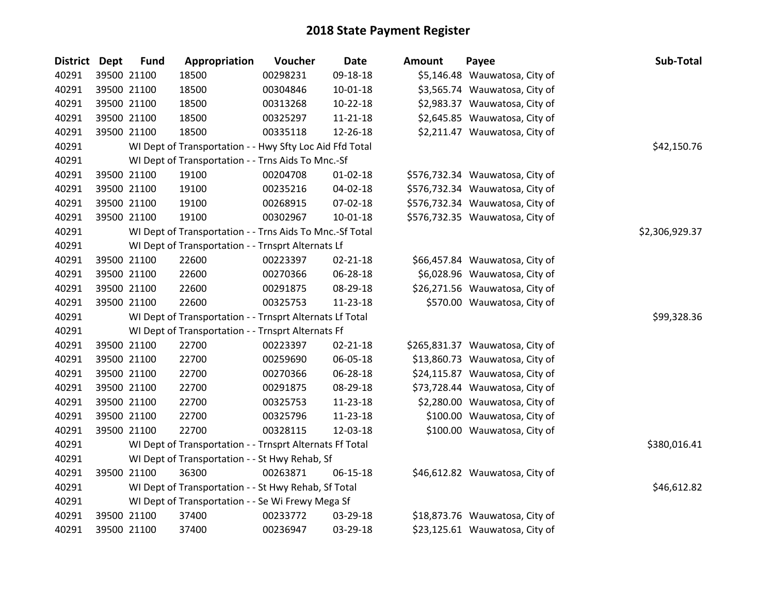| District Dept | <b>Fund</b> | Appropriation                                            | Voucher  | <b>Date</b>    | Amount | Payee                           | Sub-Total      |
|---------------|-------------|----------------------------------------------------------|----------|----------------|--------|---------------------------------|----------------|
| 40291         | 39500 21100 | 18500                                                    | 00298231 | 09-18-18       |        | \$5,146.48 Wauwatosa, City of   |                |
| 40291         | 39500 21100 | 18500                                                    | 00304846 | $10 - 01 - 18$ |        | \$3,565.74 Wauwatosa, City of   |                |
| 40291         | 39500 21100 | 18500                                                    | 00313268 | $10-22-18$     |        | \$2,983.37 Wauwatosa, City of   |                |
| 40291         | 39500 21100 | 18500                                                    | 00325297 | 11-21-18       |        | \$2,645.85 Wauwatosa, City of   |                |
| 40291         | 39500 21100 | 18500                                                    | 00335118 | 12-26-18       |        | \$2,211.47 Wauwatosa, City of   |                |
| 40291         |             | WI Dept of Transportation - - Hwy Sfty Loc Aid Ffd Total |          |                |        |                                 | \$42,150.76    |
| 40291         |             | WI Dept of Transportation - - Trns Aids To Mnc.-Sf       |          |                |        |                                 |                |
| 40291         | 39500 21100 | 19100                                                    | 00204708 | $01 - 02 - 18$ |        | \$576,732.34 Wauwatosa, City of |                |
| 40291         | 39500 21100 | 19100                                                    | 00235216 | 04-02-18       |        | \$576,732.34 Wauwatosa, City of |                |
| 40291         | 39500 21100 | 19100                                                    | 00268915 | 07-02-18       |        | \$576,732.34 Wauwatosa, City of |                |
| 40291         | 39500 21100 | 19100                                                    | 00302967 | $10 - 01 - 18$ |        | \$576,732.35 Wauwatosa, City of |                |
| 40291         |             | WI Dept of Transportation - - Trns Aids To Mnc.-Sf Total |          |                |        |                                 | \$2,306,929.37 |
| 40291         |             | WI Dept of Transportation - - Trnsprt Alternats Lf       |          |                |        |                                 |                |
| 40291         | 39500 21100 | 22600                                                    | 00223397 | $02 - 21 - 18$ |        | \$66,457.84 Wauwatosa, City of  |                |
| 40291         | 39500 21100 | 22600                                                    | 00270366 | 06-28-18       |        | \$6,028.96 Wauwatosa, City of   |                |
| 40291         | 39500 21100 | 22600                                                    | 00291875 | 08-29-18       |        | \$26,271.56 Wauwatosa, City of  |                |
| 40291         | 39500 21100 | 22600                                                    | 00325753 | 11-23-18       |        | \$570.00 Wauwatosa, City of     |                |
| 40291         |             | WI Dept of Transportation - - Trnsprt Alternats Lf Total |          |                |        |                                 | \$99,328.36    |
| 40291         |             | WI Dept of Transportation - - Trnsprt Alternats Ff       |          |                |        |                                 |                |
| 40291         | 39500 21100 | 22700                                                    | 00223397 | $02 - 21 - 18$ |        | \$265,831.37 Wauwatosa, City of |                |
| 40291         | 39500 21100 | 22700                                                    | 00259690 | 06-05-18       |        | \$13,860.73 Wauwatosa, City of  |                |
| 40291         | 39500 21100 | 22700                                                    | 00270366 | 06-28-18       |        | \$24,115.87 Wauwatosa, City of  |                |
| 40291         | 39500 21100 | 22700                                                    | 00291875 | 08-29-18       |        | \$73,728.44 Wauwatosa, City of  |                |
| 40291         | 39500 21100 | 22700                                                    | 00325753 | 11-23-18       |        | \$2,280.00 Wauwatosa, City of   |                |
| 40291         | 39500 21100 | 22700                                                    | 00325796 | 11-23-18       |        | \$100.00 Wauwatosa, City of     |                |
| 40291         | 39500 21100 | 22700                                                    | 00328115 | 12-03-18       |        | \$100.00 Wauwatosa, City of     |                |
| 40291         |             | WI Dept of Transportation - - Trnsprt Alternats Ff Total |          |                |        |                                 | \$380,016.41   |
| 40291         |             | WI Dept of Transportation - - St Hwy Rehab, Sf           |          |                |        |                                 |                |
| 40291         | 39500 21100 | 36300                                                    | 00263871 | 06-15-18       |        | \$46,612.82 Wauwatosa, City of  |                |
| 40291         |             | WI Dept of Transportation - - St Hwy Rehab, Sf Total     |          |                |        |                                 | \$46,612.82    |
| 40291         |             | WI Dept of Transportation - - Se Wi Frewy Mega Sf        |          |                |        |                                 |                |
| 40291         | 39500 21100 | 37400                                                    | 00233772 | 03-29-18       |        | \$18,873.76 Wauwatosa, City of  |                |
| 40291         | 39500 21100 | 37400                                                    | 00236947 | 03-29-18       |        | \$23,125.61 Wauwatosa, City of  |                |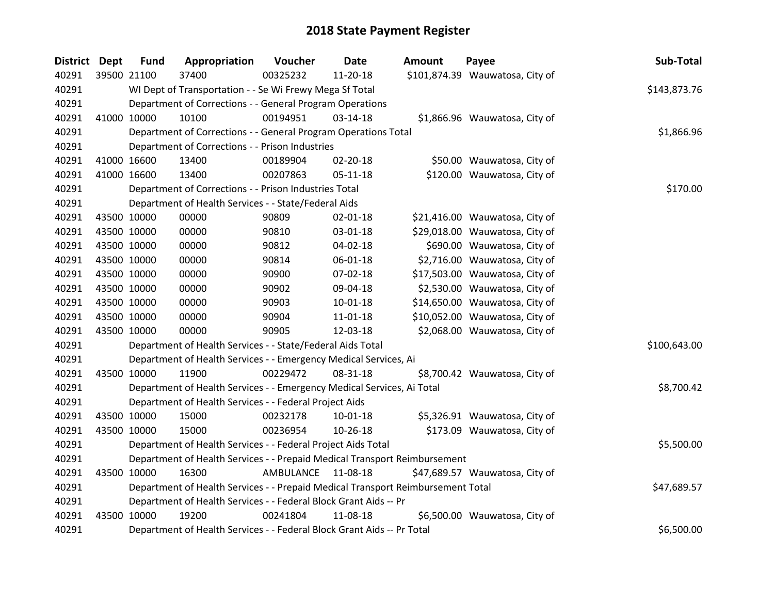| <b>District</b> | <b>Dept</b> | <b>Fund</b> | Appropriation                                                                   | Voucher            | <b>Date</b>    | <b>Amount</b> | Payee                           | Sub-Total    |
|-----------------|-------------|-------------|---------------------------------------------------------------------------------|--------------------|----------------|---------------|---------------------------------|--------------|
| 40291           |             | 39500 21100 | 37400                                                                           | 00325232           | 11-20-18       |               | \$101,874.39 Wauwatosa, City of |              |
| 40291           |             |             | WI Dept of Transportation - - Se Wi Frewy Mega Sf Total                         |                    |                |               |                                 | \$143,873.76 |
| 40291           |             |             | Department of Corrections - - General Program Operations                        |                    |                |               |                                 |              |
| 40291           |             | 41000 10000 | 10100                                                                           | 00194951           | 03-14-18       |               | \$1,866.96 Wauwatosa, City of   |              |
| 40291           |             |             | Department of Corrections - - General Program Operations Total                  |                    |                |               |                                 | \$1,866.96   |
| 40291           |             |             | Department of Corrections - - Prison Industries                                 |                    |                |               |                                 |              |
| 40291           |             | 41000 16600 | 13400                                                                           | 00189904           | $02 - 20 - 18$ |               | \$50.00 Wauwatosa, City of      |              |
| 40291           |             | 41000 16600 | 13400                                                                           | 00207863           | $05 - 11 - 18$ |               | \$120.00 Wauwatosa, City of     |              |
| 40291           |             |             | Department of Corrections - - Prison Industries Total                           |                    |                |               |                                 | \$170.00     |
| 40291           |             |             | Department of Health Services - - State/Federal Aids                            |                    |                |               |                                 |              |
| 40291           |             | 43500 10000 | 00000                                                                           | 90809              | 02-01-18       |               | \$21,416.00 Wauwatosa, City of  |              |
| 40291           |             | 43500 10000 | 00000                                                                           | 90810              | 03-01-18       |               | \$29,018.00 Wauwatosa, City of  |              |
| 40291           |             | 43500 10000 | 00000                                                                           | 90812              | 04-02-18       |               | \$690.00 Wauwatosa, City of     |              |
| 40291           |             | 43500 10000 | 00000                                                                           | 90814              | 06-01-18       |               | \$2,716.00 Wauwatosa, City of   |              |
| 40291           |             | 43500 10000 | 00000                                                                           | 90900              | 07-02-18       |               | \$17,503.00 Wauwatosa, City of  |              |
| 40291           |             | 43500 10000 | 00000                                                                           | 90902              | 09-04-18       |               | \$2,530.00 Wauwatosa, City of   |              |
| 40291           |             | 43500 10000 | 00000                                                                           | 90903              | $10-01-18$     |               | \$14,650.00 Wauwatosa, City of  |              |
| 40291           |             | 43500 10000 | 00000                                                                           | 90904              | 11-01-18       |               | \$10,052.00 Wauwatosa, City of  |              |
| 40291           |             | 43500 10000 | 00000                                                                           | 90905              | 12-03-18       |               | \$2,068.00 Wauwatosa, City of   |              |
| 40291           |             |             | Department of Health Services - - State/Federal Aids Total                      |                    |                |               |                                 | \$100,643.00 |
| 40291           |             |             | Department of Health Services - - Emergency Medical Services, Ai                |                    |                |               |                                 |              |
| 40291           |             | 43500 10000 | 11900                                                                           | 00229472           | 08-31-18       |               | \$8,700.42 Wauwatosa, City of   |              |
| 40291           |             |             | Department of Health Services - - Emergency Medical Services, Ai Total          |                    |                |               |                                 | \$8,700.42   |
| 40291           |             |             | Department of Health Services - - Federal Project Aids                          |                    |                |               |                                 |              |
| 40291           |             | 43500 10000 | 15000                                                                           | 00232178           | $10 - 01 - 18$ |               | \$5,326.91 Wauwatosa, City of   |              |
| 40291           |             | 43500 10000 | 15000                                                                           | 00236954           | 10-26-18       |               | \$173.09 Wauwatosa, City of     |              |
| 40291           |             |             | Department of Health Services - - Federal Project Aids Total                    |                    |                |               |                                 | \$5,500.00   |
| 40291           |             |             | Department of Health Services - - Prepaid Medical Transport Reimbursement       |                    |                |               |                                 |              |
| 40291           |             | 43500 10000 | 16300                                                                           | AMBULANCE 11-08-18 |                |               | \$47,689.57 Wauwatosa, City of  |              |
| 40291           |             |             | Department of Health Services - - Prepaid Medical Transport Reimbursement Total |                    |                |               |                                 | \$47,689.57  |
| 40291           |             |             | Department of Health Services - - Federal Block Grant Aids -- Pr                |                    |                |               |                                 |              |
| 40291           |             | 43500 10000 | 19200                                                                           | 00241804           | 11-08-18       |               | \$6,500.00 Wauwatosa, City of   |              |
| 40291           |             |             | Department of Health Services - - Federal Block Grant Aids -- Pr Total          |                    |                |               |                                 | \$6,500.00   |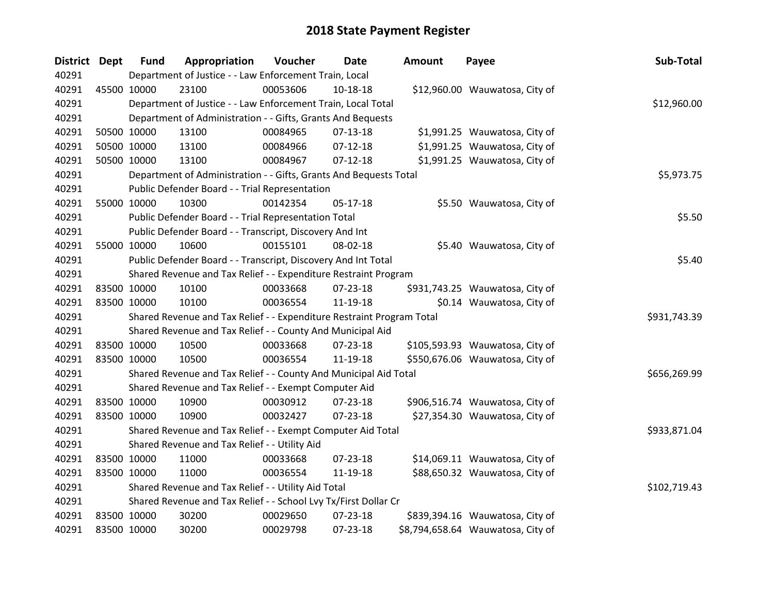| District Dept | <b>Fund</b>                                   | Appropriation                                                         | Voucher  | <b>Date</b> | <b>Amount</b> | Payee                             | Sub-Total    |
|---------------|-----------------------------------------------|-----------------------------------------------------------------------|----------|-------------|---------------|-----------------------------------|--------------|
| 40291         |                                               | Department of Justice - - Law Enforcement Train, Local                |          |             |               |                                   |              |
| 40291         | 45500 10000                                   | 23100                                                                 | 00053606 | $10-18-18$  |               | \$12,960.00 Wauwatosa, City of    |              |
| 40291         |                                               | Department of Justice - - Law Enforcement Train, Local Total          |          |             |               |                                   | \$12,960.00  |
| 40291         |                                               | Department of Administration - - Gifts, Grants And Bequests           |          |             |               |                                   |              |
| 40291         | 50500 10000                                   | 13100                                                                 | 00084965 | 07-13-18    |               | \$1,991.25 Wauwatosa, City of     |              |
| 40291         | 50500 10000                                   | 13100                                                                 | 00084966 | $07-12-18$  |               | \$1,991.25 Wauwatosa, City of     |              |
| 40291         | 50500 10000                                   | 13100                                                                 | 00084967 | $07-12-18$  |               | \$1,991.25 Wauwatosa, City of     |              |
| 40291         |                                               | Department of Administration - - Gifts, Grants And Bequests Total     |          |             |               |                                   | \$5,973.75   |
| 40291         |                                               | Public Defender Board - - Trial Representation                        |          |             |               |                                   |              |
| 40291         | 55000 10000                                   | 10300                                                                 | 00142354 | $05-17-18$  |               | \$5.50 Wauwatosa, City of         |              |
| 40291         |                                               | Public Defender Board - - Trial Representation Total                  |          |             |               |                                   | \$5.50       |
| 40291         |                                               | Public Defender Board - - Transcript, Discovery And Int               |          |             |               |                                   |              |
| 40291         | 55000 10000                                   | 10600                                                                 | 00155101 | 08-02-18    |               | \$5.40 Wauwatosa, City of         |              |
| 40291         |                                               | Public Defender Board - - Transcript, Discovery And Int Total         |          |             |               |                                   | \$5.40       |
| 40291         |                                               | Shared Revenue and Tax Relief - - Expenditure Restraint Program       |          |             |               |                                   |              |
| 40291         | 83500 10000                                   | 10100                                                                 | 00033668 | 07-23-18    |               | \$931,743.25 Wauwatosa, City of   |              |
| 40291         | 83500 10000                                   | 10100                                                                 | 00036554 | 11-19-18    |               | \$0.14 Wauwatosa, City of         |              |
| 40291         |                                               | Shared Revenue and Tax Relief - - Expenditure Restraint Program Total |          |             |               |                                   | \$931,743.39 |
| 40291         |                                               | Shared Revenue and Tax Relief - - County And Municipal Aid            |          |             |               |                                   |              |
| 40291         | 83500 10000                                   | 10500                                                                 | 00033668 | 07-23-18    |               | \$105,593.93 Wauwatosa, City of   |              |
| 40291         | 83500 10000                                   | 10500                                                                 | 00036554 | 11-19-18    |               | \$550,676.06 Wauwatosa, City of   |              |
| 40291         |                                               | Shared Revenue and Tax Relief - - County And Municipal Aid Total      |          |             |               |                                   | \$656,269.99 |
| 40291         |                                               | Shared Revenue and Tax Relief - - Exempt Computer Aid                 |          |             |               |                                   |              |
| 40291         | 83500 10000                                   | 10900                                                                 | 00030912 | 07-23-18    |               | \$906,516.74 Wauwatosa, City of   |              |
| 40291         | 83500 10000                                   | 10900                                                                 | 00032427 | 07-23-18    |               | \$27,354.30 Wauwatosa, City of    |              |
| 40291         |                                               | Shared Revenue and Tax Relief - - Exempt Computer Aid Total           |          |             |               |                                   | \$933,871.04 |
| 40291         | Shared Revenue and Tax Relief - - Utility Aid |                                                                       |          |             |               |                                   |              |
| 40291         | 83500 10000                                   | 11000                                                                 | 00033668 | 07-23-18    |               | \$14,069.11 Wauwatosa, City of    |              |
| 40291         | 83500 10000                                   | 11000                                                                 | 00036554 | 11-19-18    |               | \$88,650.32 Wauwatosa, City of    |              |
| 40291         |                                               | Shared Revenue and Tax Relief - - Utility Aid Total                   |          |             |               |                                   | \$102,719.43 |
| 40291         |                                               | Shared Revenue and Tax Relief - - School Lvy Tx/First Dollar Cr       |          |             |               |                                   |              |
| 40291         | 83500 10000                                   | 30200                                                                 | 00029650 | 07-23-18    |               | \$839,394.16 Wauwatosa, City of   |              |
| 40291         | 83500 10000                                   | 30200                                                                 | 00029798 | 07-23-18    |               | \$8,794,658.64 Wauwatosa, City of |              |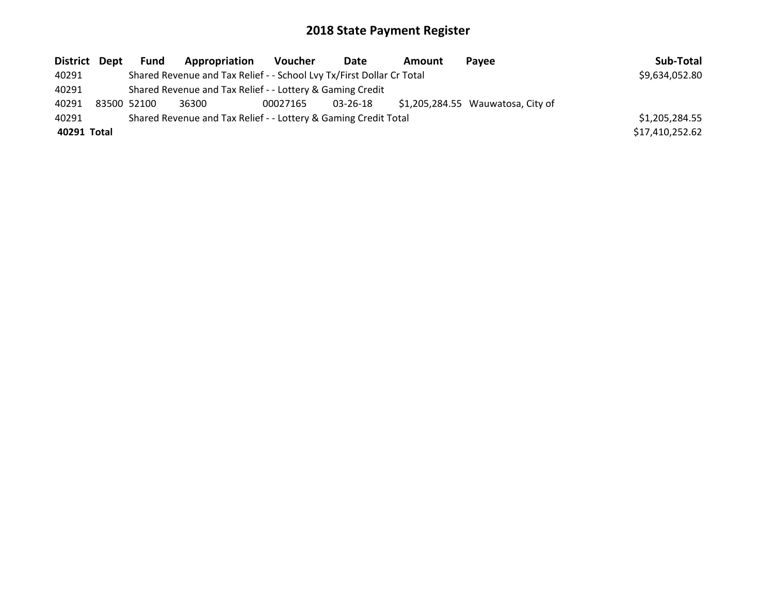| District Dept |                                                                 | Fund | Appropriation                                                         | <b>Voucher</b> | Date     | Amount | Pavee                              | Sub-Total       |
|---------------|-----------------------------------------------------------------|------|-----------------------------------------------------------------------|----------------|----------|--------|------------------------------------|-----------------|
| 40291         |                                                                 |      | Shared Revenue and Tax Relief - - School Lvy Tx/First Dollar Cr Total |                |          |        |                                    | \$9,634,052.80  |
| 40291         |                                                                 |      | Shared Revenue and Tax Relief - - Lottery & Gaming Credit             |                |          |        |                                    |                 |
| 40291         | 83500 52100                                                     |      | 36300                                                                 | 00027165       | 03-26-18 |        | $$1,205,284.55$ Wauwatosa, City of |                 |
| 40291         | Shared Revenue and Tax Relief - - Lottery & Gaming Credit Total |      |                                                                       |                |          |        |                                    | \$1,205,284.55  |
| 40291 Total   |                                                                 |      |                                                                       |                |          |        |                                    | \$17,410,252.62 |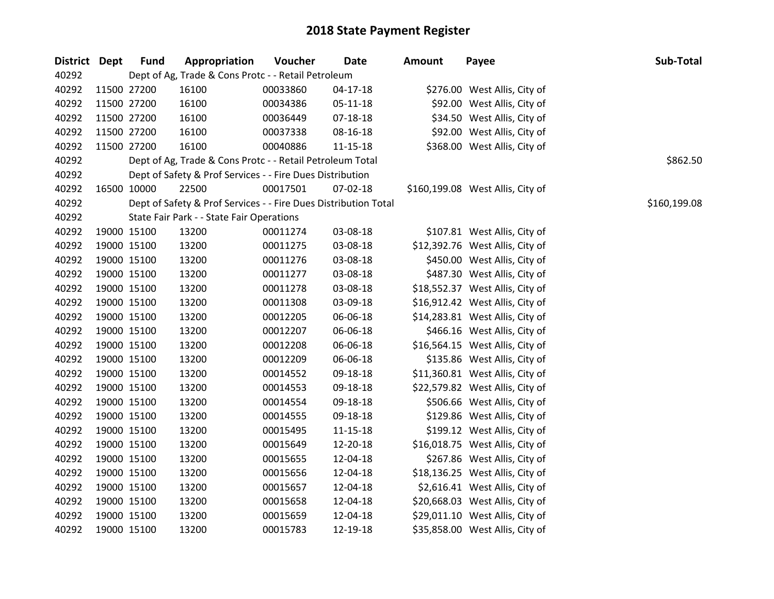| District Dept |             | <b>Fund</b>                                         | Appropriation                                                   | Voucher  | <b>Date</b>    | Amount | Payee                            | Sub-Total |
|---------------|-------------|-----------------------------------------------------|-----------------------------------------------------------------|----------|----------------|--------|----------------------------------|-----------|
| 40292         |             | Dept of Ag, Trade & Cons Protc - - Retail Petroleum |                                                                 |          |                |        |                                  |           |
| 40292         |             | 11500 27200                                         | 16100                                                           | 00033860 | $04-17-18$     |        | \$276.00 West Allis, City of     |           |
| 40292         |             | 11500 27200                                         | 16100                                                           | 00034386 | 05-11-18       |        | \$92.00 West Allis, City of      |           |
| 40292         |             | 11500 27200                                         | 16100                                                           | 00036449 | 07-18-18       |        | \$34.50 West Allis, City of      |           |
| 40292         |             | 11500 27200                                         | 16100                                                           | 00037338 | 08-16-18       |        | \$92.00 West Allis, City of      |           |
| 40292         |             | 11500 27200                                         | 16100                                                           | 00040886 | $11 - 15 - 18$ |        | \$368.00 West Allis, City of     |           |
| 40292         |             |                                                     | Dept of Ag, Trade & Cons Protc - - Retail Petroleum Total       |          |                |        |                                  | \$862.50  |
| 40292         |             |                                                     | Dept of Safety & Prof Services - - Fire Dues Distribution       |          |                |        |                                  |           |
| 40292         |             | 16500 10000                                         | 22500                                                           | 00017501 | 07-02-18       |        | \$160,199.08 West Allis, City of |           |
| 40292         |             |                                                     | Dept of Safety & Prof Services - - Fire Dues Distribution Total |          | \$160,199.08   |        |                                  |           |
| 40292         |             |                                                     | State Fair Park - - State Fair Operations                       |          |                |        |                                  |           |
| 40292         |             | 19000 15100                                         | 13200                                                           | 00011274 | 03-08-18       |        | \$107.81 West Allis, City of     |           |
| 40292         |             | 19000 15100                                         | 13200                                                           | 00011275 | 03-08-18       |        | \$12,392.76 West Allis, City of  |           |
| 40292         |             | 19000 15100                                         | 13200                                                           | 00011276 | 03-08-18       |        | \$450.00 West Allis, City of     |           |
| 40292         |             | 19000 15100                                         | 13200                                                           | 00011277 | 03-08-18       |        | \$487.30 West Allis, City of     |           |
| 40292         |             | 19000 15100                                         | 13200                                                           | 00011278 | 03-08-18       |        | \$18,552.37 West Allis, City of  |           |
| 40292         |             | 19000 15100                                         | 13200                                                           | 00011308 | 03-09-18       |        | \$16,912.42 West Allis, City of  |           |
| 40292         |             | 19000 15100                                         | 13200                                                           | 00012205 | 06-06-18       |        | \$14,283.81 West Allis, City of  |           |
| 40292         |             | 19000 15100                                         | 13200                                                           | 00012207 | 06-06-18       |        | \$466.16 West Allis, City of     |           |
| 40292         |             | 19000 15100                                         | 13200                                                           | 00012208 | 06-06-18       |        | \$16,564.15 West Allis, City of  |           |
| 40292         |             | 19000 15100                                         | 13200                                                           | 00012209 | 06-06-18       |        | \$135.86 West Allis, City of     |           |
| 40292         |             | 19000 15100                                         | 13200                                                           | 00014552 | 09-18-18       |        | \$11,360.81 West Allis, City of  |           |
| 40292         |             | 19000 15100                                         | 13200                                                           | 00014553 | 09-18-18       |        | \$22,579.82 West Allis, City of  |           |
| 40292         |             | 19000 15100                                         | 13200                                                           | 00014554 | 09-18-18       |        | \$506.66 West Allis, City of     |           |
| 40292         |             | 19000 15100                                         | 13200                                                           | 00014555 | 09-18-18       |        | \$129.86 West Allis, City of     |           |
| 40292         |             | 19000 15100                                         | 13200                                                           | 00015495 | $11 - 15 - 18$ |        | \$199.12 West Allis, City of     |           |
| 40292         |             | 19000 15100                                         | 13200                                                           | 00015649 | 12-20-18       |        | \$16,018.75 West Allis, City of  |           |
| 40292         |             | 19000 15100                                         | 13200                                                           | 00015655 | 12-04-18       |        | \$267.86 West Allis, City of     |           |
| 40292         |             | 19000 15100                                         | 13200                                                           | 00015656 | 12-04-18       |        | \$18,136.25 West Allis, City of  |           |
| 40292         |             | 19000 15100                                         | 13200                                                           | 00015657 | 12-04-18       |        | \$2,616.41 West Allis, City of   |           |
| 40292         |             | 19000 15100                                         | 13200                                                           | 00015658 | 12-04-18       |        | \$20,668.03 West Allis, City of  |           |
| 40292         |             | 19000 15100                                         | 13200                                                           | 00015659 | 12-04-18       |        | \$29,011.10 West Allis, City of  |           |
| 40292         | 19000 15100 |                                                     | 13200                                                           | 00015783 | 12-19-18       |        | \$35,858.00 West Allis, City of  |           |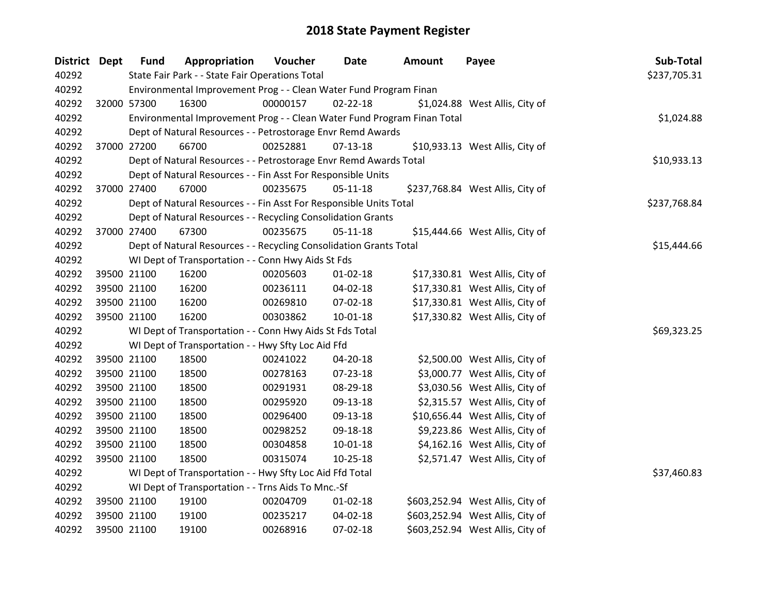| District Dept |                                                                    | <b>Fund</b>                                                       | Appropriation                                                           | Voucher     | <b>Date</b>    | <b>Amount</b> | Payee                            | Sub-Total    |
|---------------|--------------------------------------------------------------------|-------------------------------------------------------------------|-------------------------------------------------------------------------|-------------|----------------|---------------|----------------------------------|--------------|
| 40292         |                                                                    |                                                                   | State Fair Park - - State Fair Operations Total                         |             |                |               |                                  | \$237,705.31 |
| 40292         |                                                                    |                                                                   | Environmental Improvement Prog - - Clean Water Fund Program Finan       |             |                |               |                                  |              |
| 40292         |                                                                    | 32000 57300                                                       | 16300                                                                   | 00000157    | $02 - 22 - 18$ |               | \$1,024.88 West Allis, City of   |              |
| 40292         |                                                                    |                                                                   | Environmental Improvement Prog - - Clean Water Fund Program Finan Total |             |                |               |                                  | \$1,024.88   |
| 40292         |                                                                    | Dept of Natural Resources - - Petrostorage Envr Remd Awards       |                                                                         |             |                |               |                                  |              |
| 40292         |                                                                    | 37000 27200                                                       | 66700                                                                   | 00252881    | $07-13-18$     |               | \$10,933.13 West Allis, City of  |              |
| 40292         |                                                                    | Dept of Natural Resources - - Petrostorage Envr Remd Awards Total |                                                                         | \$10,933.13 |                |               |                                  |              |
| 40292         |                                                                    | Dept of Natural Resources - - Fin Asst For Responsible Units      |                                                                         |             |                |               |                                  |              |
| 40292         |                                                                    | 37000 27400                                                       | 67000                                                                   | 00235675    | $05-11-18$     |               | \$237,768.84 West Allis, City of |              |
| 40292         |                                                                    |                                                                   | \$237,768.84                                                            |             |                |               |                                  |              |
| 40292         |                                                                    |                                                                   | Dept of Natural Resources - - Recycling Consolidation Grants            |             |                |               |                                  |              |
| 40292         |                                                                    | 37000 27400                                                       | 67300                                                                   | 00235675    | $05-11-18$     |               | \$15,444.66 West Allis, City of  |              |
| 40292         | Dept of Natural Resources - - Recycling Consolidation Grants Total |                                                                   |                                                                         |             |                |               |                                  | \$15,444.66  |
| 40292         |                                                                    |                                                                   | WI Dept of Transportation - - Conn Hwy Aids St Fds                      |             |                |               |                                  |              |
| 40292         |                                                                    | 39500 21100                                                       | 16200                                                                   | 00205603    | $01 - 02 - 18$ |               | \$17,330.81 West Allis, City of  |              |
| 40292         |                                                                    | 39500 21100                                                       | 16200                                                                   | 00236111    | 04-02-18       |               | \$17,330.81 West Allis, City of  |              |
| 40292         |                                                                    | 39500 21100                                                       | 16200                                                                   | 00269810    | 07-02-18       |               | \$17,330.81 West Allis, City of  |              |
| 40292         |                                                                    | 39500 21100                                                       | 16200                                                                   | 00303862    | 10-01-18       |               | \$17,330.82 West Allis, City of  |              |
| 40292         |                                                                    |                                                                   | WI Dept of Transportation - - Conn Hwy Aids St Fds Total                |             |                |               |                                  | \$69,323.25  |
| 40292         |                                                                    |                                                                   | WI Dept of Transportation - - Hwy Sfty Loc Aid Ffd                      |             |                |               |                                  |              |
| 40292         |                                                                    | 39500 21100                                                       | 18500                                                                   | 00241022    | 04-20-18       |               | \$2,500.00 West Allis, City of   |              |
| 40292         |                                                                    | 39500 21100                                                       | 18500                                                                   | 00278163    | 07-23-18       |               | \$3,000.77 West Allis, City of   |              |
| 40292         |                                                                    | 39500 21100                                                       | 18500                                                                   | 00291931    | 08-29-18       |               | \$3,030.56 West Allis, City of   |              |
| 40292         |                                                                    | 39500 21100                                                       | 18500                                                                   | 00295920    | 09-13-18       |               | \$2,315.57 West Allis, City of   |              |
| 40292         |                                                                    | 39500 21100                                                       | 18500                                                                   | 00296400    | 09-13-18       |               | \$10,656.44 West Allis, City of  |              |
| 40292         |                                                                    | 39500 21100                                                       | 18500                                                                   | 00298252    | 09-18-18       |               | \$9,223.86 West Allis, City of   |              |
| 40292         |                                                                    | 39500 21100                                                       | 18500                                                                   | 00304858    | $10 - 01 - 18$ |               | \$4,162.16 West Allis, City of   |              |
| 40292         |                                                                    | 39500 21100                                                       | 18500                                                                   | 00315074    | $10 - 25 - 18$ |               | \$2,571.47 West Allis, City of   |              |
| 40292         |                                                                    |                                                                   | WI Dept of Transportation - - Hwy Sfty Loc Aid Ffd Total                |             |                |               |                                  | \$37,460.83  |
| 40292         |                                                                    |                                                                   | WI Dept of Transportation - - Trns Aids To Mnc.-Sf                      |             |                |               |                                  |              |
| 40292         |                                                                    | 39500 21100                                                       | 19100                                                                   | 00204709    | 01-02-18       |               | \$603,252.94 West Allis, City of |              |
| 40292         |                                                                    | 39500 21100                                                       | 19100                                                                   | 00235217    | 04-02-18       |               | \$603,252.94 West Allis, City of |              |
| 40292         |                                                                    | 39500 21100                                                       | 19100                                                                   | 00268916    | 07-02-18       |               | \$603,252.94 West Allis, City of |              |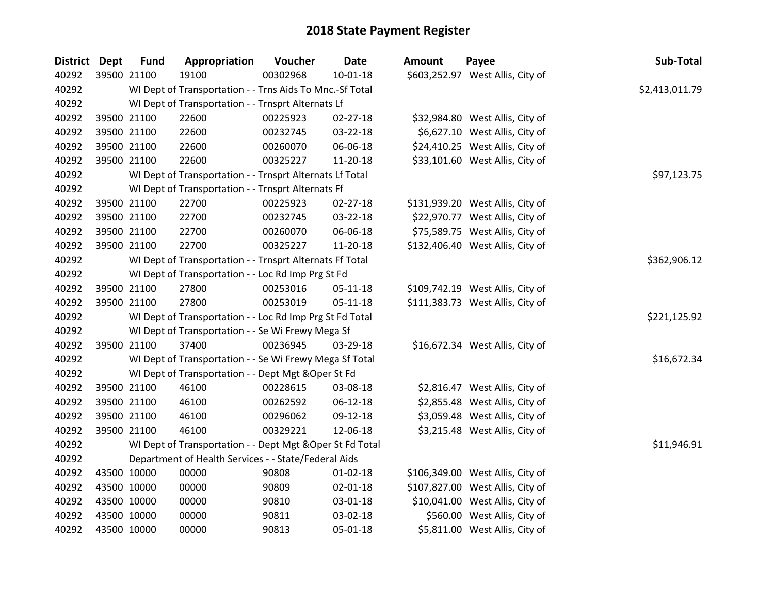## **2018 State Payment Register**

| District Dept | <b>Fund</b>                                               | Appropriation                                      | Voucher  | <b>Date</b>    | <b>Amount</b> | Payee                            | Sub-Total   |
|---------------|-----------------------------------------------------------|----------------------------------------------------|----------|----------------|---------------|----------------------------------|-------------|
| 40292         | 39500 21100                                               | 19100                                              | 00302968 | $10 - 01 - 18$ |               | \$603,252.97 West Allis, City of |             |
| 40292         | WI Dept of Transportation - - Trns Aids To Mnc.-Sf Total  | \$2,413,011.79                                     |          |                |               |                                  |             |
| 40292         | WI Dept of Transportation - - Trnsprt Alternats Lf        |                                                    |          |                |               |                                  |             |
| 40292         | 39500 21100                                               | 22600                                              | 00225923 | 02-27-18       |               | \$32,984.80 West Allis, City of  |             |
| 40292         | 39500 21100                                               | 22600                                              | 00232745 | 03-22-18       |               | \$6,627.10 West Allis, City of   |             |
| 40292         | 39500 21100                                               | 22600                                              | 00260070 | 06-06-18       |               | \$24,410.25 West Allis, City of  |             |
| 40292         | 39500 21100                                               | 22600                                              | 00325227 | 11-20-18       |               | \$33,101.60 West Allis, City of  |             |
| 40292         | WI Dept of Transportation - - Trnsprt Alternats Lf Total  | \$97,123.75                                        |          |                |               |                                  |             |
| 40292         | WI Dept of Transportation - - Trnsprt Alternats Ff        |                                                    |          |                |               |                                  |             |
| 40292         | 39500 21100                                               | 22700                                              | 00225923 | 02-27-18       |               | \$131,939.20 West Allis, City of |             |
| 40292         | 39500 21100                                               | 22700                                              | 00232745 | 03-22-18       |               | \$22,970.77 West Allis, City of  |             |
| 40292         | 39500 21100                                               | 22700                                              | 00260070 | 06-06-18       |               | \$75,589.75 West Allis, City of  |             |
| 40292         | 39500 21100                                               | 22700                                              | 00325227 | 11-20-18       |               | \$132,406.40 West Allis, City of |             |
| 40292         | WI Dept of Transportation - - Trnsprt Alternats Ff Total  | \$362,906.12                                       |          |                |               |                                  |             |
| 40292         |                                                           | WI Dept of Transportation - - Loc Rd Imp Prg St Fd |          |                |               |                                  |             |
| 40292         | 39500 21100                                               | 27800                                              | 00253016 | 05-11-18       |               | \$109,742.19 West Allis, City of |             |
| 40292         | 39500 21100                                               | 27800                                              | 00253019 | $05 - 11 - 18$ |               | \$111,383.73 West Allis, City of |             |
| 40292         | WI Dept of Transportation - - Loc Rd Imp Prg St Fd Total  | \$221,125.92                                       |          |                |               |                                  |             |
| 40292         | WI Dept of Transportation - - Se Wi Frewy Mega Sf         |                                                    |          |                |               |                                  |             |
| 40292         | 39500 21100                                               | 37400                                              | 00236945 | 03-29-18       |               | \$16,672.34 West Allis, City of  |             |
| 40292         | WI Dept of Transportation - - Se Wi Frewy Mega Sf Total   |                                                    |          |                |               |                                  | \$16,672.34 |
| 40292         | WI Dept of Transportation - - Dept Mgt & Oper St Fd       |                                                    |          |                |               |                                  |             |
| 40292         | 39500 21100                                               | 46100                                              | 00228615 | 03-08-18       |               | \$2,816.47 West Allis, City of   |             |
| 40292         | 39500 21100                                               | 46100                                              | 00262592 | 06-12-18       |               | \$2,855.48 West Allis, City of   |             |
| 40292         | 39500 21100                                               | 46100                                              | 00296062 | 09-12-18       |               | \$3,059.48 West Allis, City of   |             |
| 40292         | 39500 21100                                               | 46100                                              | 00329221 | 12-06-18       |               | \$3,215.48 West Allis, City of   |             |
| 40292         | WI Dept of Transportation - - Dept Mgt & Oper St Fd Total | \$11,946.91                                        |          |                |               |                                  |             |
| 40292         | Department of Health Services - - State/Federal Aids      |                                                    |          |                |               |                                  |             |
| 40292         | 43500 10000                                               | 00000                                              | 90808    | $01 - 02 - 18$ |               | \$106,349.00 West Allis, City of |             |
| 40292         | 43500 10000                                               | 00000                                              | 90809    | 02-01-18       |               | \$107,827.00 West Allis, City of |             |
| 40292         | 43500 10000                                               | 00000                                              | 90810    | 03-01-18       |               | \$10,041.00 West Allis, City of  |             |
| 40292         | 43500 10000                                               | 00000                                              | 90811    | 03-02-18       |               | \$560.00 West Allis, City of     |             |
| 40292         | 43500 10000                                               | 00000                                              | 90813    | 05-01-18       |               | \$5,811.00 West Allis, City of   |             |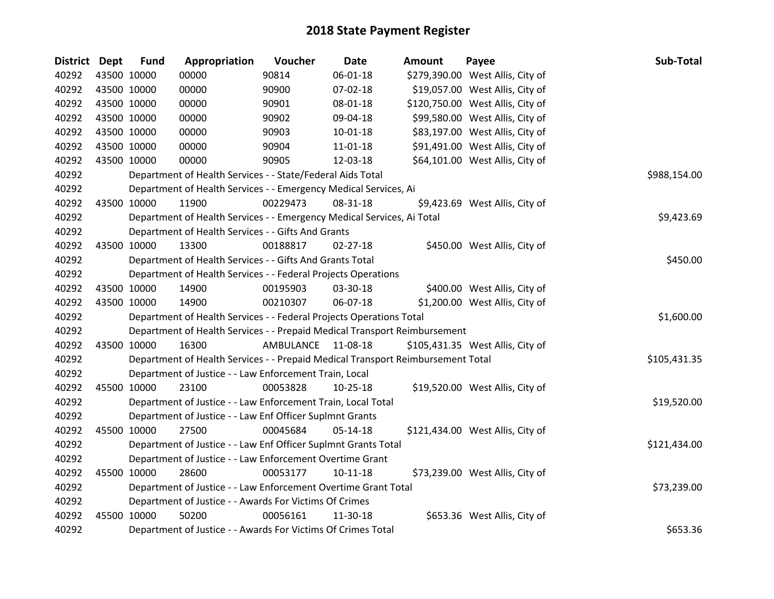## **2018 State Payment Register**

| District Dept |             | <b>Fund</b>                                                                     | Appropriation                                                          | Voucher      | <b>Date</b>    | Amount | Payee                            | Sub-Total    |
|---------------|-------------|---------------------------------------------------------------------------------|------------------------------------------------------------------------|--------------|----------------|--------|----------------------------------|--------------|
| 40292         |             | 43500 10000                                                                     | 00000                                                                  | 90814        | 06-01-18       |        | \$279,390.00 West Allis, City of |              |
| 40292         |             | 43500 10000                                                                     | 00000                                                                  | 90900        | 07-02-18       |        | \$19,057.00 West Allis, City of  |              |
| 40292         |             | 43500 10000                                                                     | 00000                                                                  | 90901        | 08-01-18       |        | \$120,750.00 West Allis, City of |              |
| 40292         |             | 43500 10000                                                                     | 00000                                                                  | 90902        | 09-04-18       |        | \$99,580.00 West Allis, City of  |              |
| 40292         |             | 43500 10000                                                                     | 00000                                                                  | 90903        | $10 - 01 - 18$ |        | \$83,197.00 West Allis, City of  |              |
| 40292         |             | 43500 10000                                                                     | 00000                                                                  | 90904        | $11 - 01 - 18$ |        | \$91,491.00 West Allis, City of  |              |
| 40292         |             | 43500 10000                                                                     | 00000                                                                  | 90905        | 12-03-18       |        | \$64,101.00 West Allis, City of  |              |
| 40292         |             |                                                                                 | Department of Health Services - - State/Federal Aids Total             | \$988,154.00 |                |        |                                  |              |
| 40292         |             |                                                                                 | Department of Health Services - - Emergency Medical Services, Ai       |              |                |        |                                  |              |
| 40292         |             | 43500 10000                                                                     | 11900                                                                  | 00229473     | 08-31-18       |        | \$9,423.69 West Allis, City of   |              |
| 40292         |             |                                                                                 | Department of Health Services - - Emergency Medical Services, Ai Total |              |                |        |                                  | \$9,423.69   |
| 40292         |             |                                                                                 | Department of Health Services - - Gifts And Grants                     |              |                |        |                                  |              |
| 40292         |             | 43500 10000                                                                     | 13300                                                                  | 00188817     | $02 - 27 - 18$ |        | \$450.00 West Allis, City of     |              |
| 40292         |             |                                                                                 | Department of Health Services - - Gifts And Grants Total               |              |                |        |                                  | \$450.00     |
| 40292         |             | Department of Health Services - - Federal Projects Operations                   |                                                                        |              |                |        |                                  |              |
| 40292         |             | 43500 10000                                                                     | 14900                                                                  | 00195903     | 03-30-18       |        | \$400.00 West Allis, City of     |              |
| 40292         |             | 43500 10000                                                                     | 14900                                                                  | 00210307     | 06-07-18       |        | \$1,200.00 West Allis, City of   |              |
| 40292         |             | Department of Health Services - - Federal Projects Operations Total             | \$1,600.00                                                             |              |                |        |                                  |              |
| 40292         |             | Department of Health Services - - Prepaid Medical Transport Reimbursement       |                                                                        |              |                |        |                                  |              |
| 40292         |             | 43500 10000                                                                     | 16300                                                                  | AMBULANCE    | 11-08-18       |        | \$105,431.35 West Allis, City of |              |
| 40292         |             | Department of Health Services - - Prepaid Medical Transport Reimbursement Total |                                                                        |              |                |        |                                  | \$105,431.35 |
| 40292         |             | Department of Justice - - Law Enforcement Train, Local                          |                                                                        |              |                |        |                                  |              |
| 40292         |             | 45500 10000                                                                     | 23100                                                                  | 00053828     | 10-25-18       |        | \$19,520.00 West Allis, City of  |              |
| 40292         |             | Department of Justice - - Law Enforcement Train, Local Total                    |                                                                        |              |                |        |                                  | \$19,520.00  |
| 40292         |             | Department of Justice - - Law Enf Officer Suplmnt Grants                        |                                                                        |              |                |        |                                  |              |
| 40292         | 45500 10000 |                                                                                 | 27500                                                                  | 00045684     | $05-14-18$     |        | \$121,434.00 West Allis, City of |              |
| 40292         |             | Department of Justice - - Law Enf Officer Suplmnt Grants Total                  | \$121,434.00                                                           |              |                |        |                                  |              |
| 40292         |             | Department of Justice - - Law Enforcement Overtime Grant                        |                                                                        |              |                |        |                                  |              |
| 40292         |             | 45500 10000                                                                     | 28600                                                                  | 00053177     | $10 - 11 - 18$ |        | \$73,239.00 West Allis, City of  |              |
| 40292         |             | Department of Justice - - Law Enforcement Overtime Grant Total                  |                                                                        |              |                |        |                                  | \$73,239.00  |
| 40292         |             | Department of Justice - - Awards For Victims Of Crimes                          |                                                                        |              |                |        |                                  |              |
| 40292         |             | 45500 10000                                                                     | 50200                                                                  | 00056161     | 11-30-18       |        | \$653.36 West Allis, City of     |              |
| 40292         |             |                                                                                 | Department of Justice - - Awards For Victims Of Crimes Total           |              |                |        |                                  | \$653.36     |